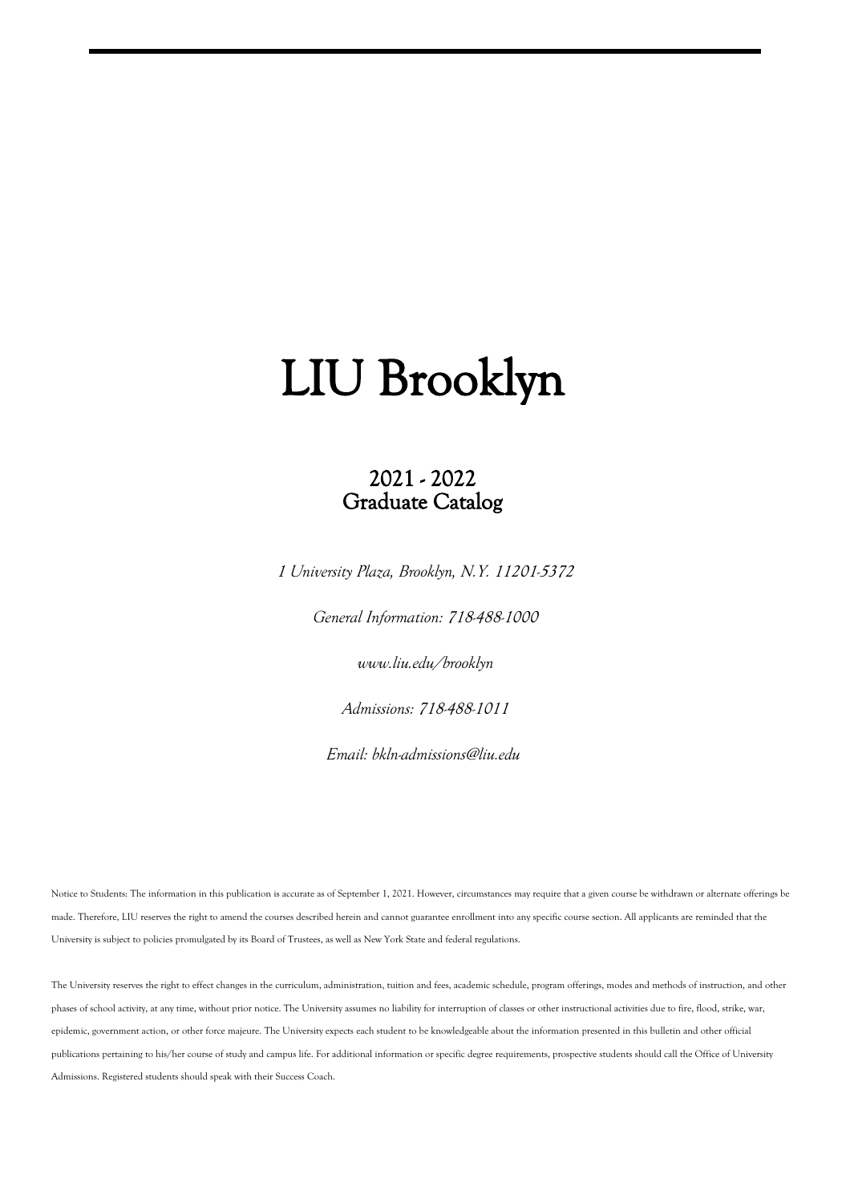# 2021 - 2022 Graduate Catalog

*1 University Plaza, Brooklyn, N.Y. 11201-5372*

*General Information: 718-488-1000*

*www.liu.edu/brooklyn*

*Admissions: 718-488-1011*

*Email: bkln-admissions@liu.edu*

Notice to Students: The information in this publication is accurate as of September 1, 2021. However, circumstances may require that a given course be withdrawn or alternate offerings be made. Therefore, LIU reserves the right to amend the courses described herein and cannot guarantee enrollment into any specific course section. All applicants are reminded that the University is subject to policies promulgated by its Board of Trustees, as well as New York State and federal regulations.

The University reserves the right to effect changes in the curriculum, administration, tuition and fees, academic schedule, program offerings, modes and methods of instruction, and other phases of school activity, at any time, without prior notice. The University assumes no liability for interruption of classes or other instructional activities due to fire, flood, strike, war, epidemic, government action, or other force majeure. The University expects each student to be knowledgeable about the information presented in this bulletin and other official publications pertaining to his/her course of study and campus life. For additional information or specific degree requirements, prospective students should call the Office of University Admissions. Registered students should speak with their Success Coach.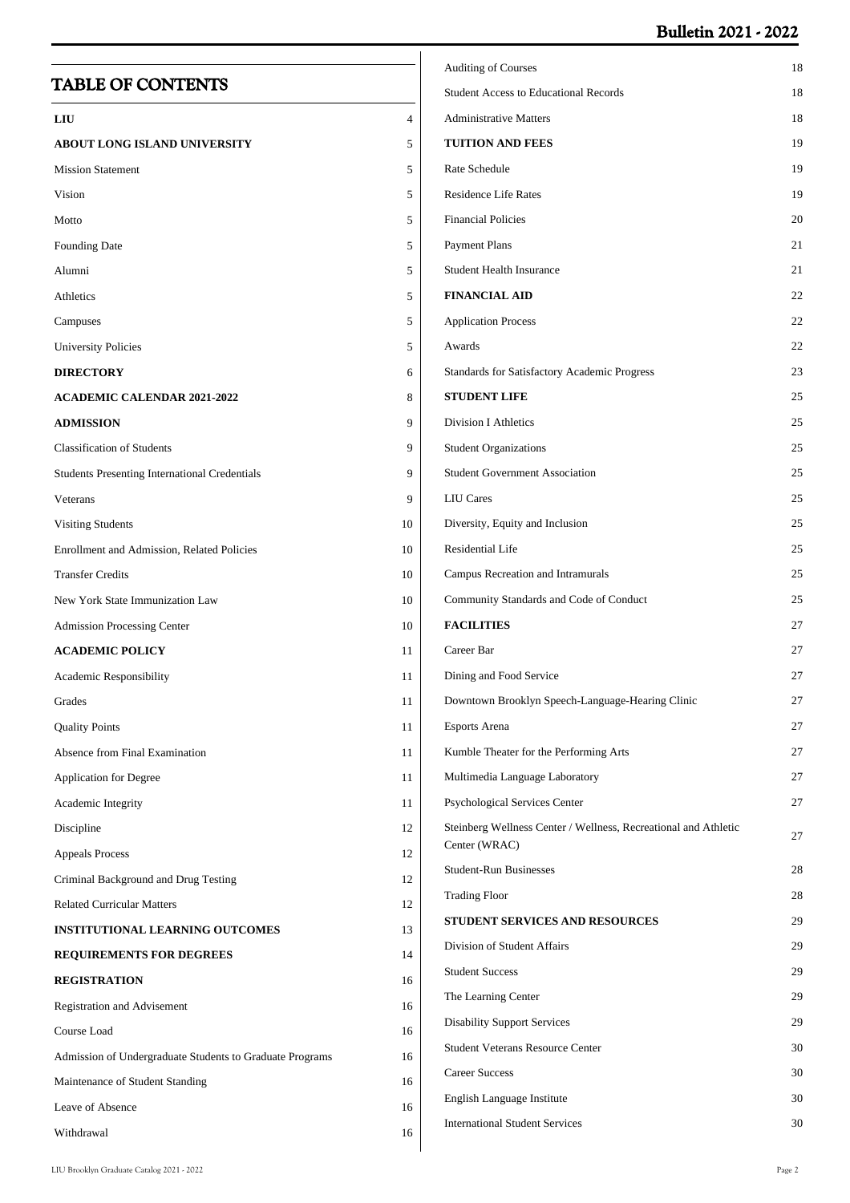# **Bulletin 2021 - 2022**

|                                                          |    | <b>Auditing of Courses</b>                                                    | 18       |
|----------------------------------------------------------|----|-------------------------------------------------------------------------------|----------|
| <b>TABLE OF CONTENTS</b>                                 |    | <b>Student Access to Educational Records</b>                                  | 18       |
| LIU                                                      | 4  | <b>Administrative Matters</b>                                                 | 18       |
| <b>ABOUT LONG ISLAND UNIVERSITY</b>                      | 5  | <b>TUITION AND FEES</b>                                                       | 19       |
| <b>Mission Statement</b>                                 | 5  | Rate Schedule                                                                 | 19       |
| Vision                                                   | 5  | <b>Residence Life Rates</b>                                                   | 19       |
| Motto                                                    | 5  | <b>Financial Policies</b>                                                     | 20       |
| Founding Date                                            | 5  | <b>Payment Plans</b>                                                          | 21       |
| Alumni                                                   | 5  | <b>Student Health Insurance</b>                                               | 21       |
| Athletics                                                | 5  | <b>FINANCIAL AID</b>                                                          | 22       |
| Campuses                                                 | 5  | <b>Application Process</b>                                                    | 22       |
| <b>University Policies</b>                               | 5  | Awards                                                                        | 22       |
| <b>DIRECTORY</b>                                         | 6  | Standards for Satisfactory Academic Progress                                  | 23       |
| <b>ACADEMIC CALENDAR 2021-2022</b>                       | 8  | <b>STUDENT LIFE</b>                                                           | 25       |
| <b>ADMISSION</b>                                         | 9  | <b>Division I Athletics</b>                                                   | 25       |
| <b>Classification of Students</b>                        | 9  | <b>Student Organizations</b>                                                  | 25       |
| <b>Students Presenting International Credentials</b>     | 9  | <b>Student Government Association</b>                                         | 25       |
| Veterans                                                 | 9  | <b>LIU</b> Cares                                                              | 25       |
| <b>Visiting Students</b>                                 | 10 | Diversity, Equity and Inclusion                                               | 25       |
| Enrollment and Admission, Related Policies               | 10 | Residential Life                                                              | 25       |
| <b>Transfer Credits</b>                                  | 10 | Campus Recreation and Intramurals                                             | 25       |
| New York State Immunization Law                          | 10 | Community Standards and Code of Conduct                                       | 25       |
| <b>Admission Processing Center</b>                       | 10 | <b>FACILITIES</b>                                                             | 27       |
| <b>ACADEMIC POLICY</b>                                   | 11 | Career Bar                                                                    | 27       |
| Academic Responsibility                                  | 11 | Dining and Food Service                                                       | 27       |
| Grades                                                   | 11 | Downtown Brooklyn Speech-Language-Hearing Clinic                              | 27       |
| <b>Quality Points</b>                                    | 11 | Esports Arena                                                                 | 27       |
| Absence from Final Examination                           | 11 | Kumble Theater for the Performing Arts                                        | 27       |
| Application for Degree                                   | 11 | Multimedia Language Laboratory                                                | 27       |
| Academic Integrity                                       | 11 | Psychological Services Center                                                 | 27       |
| Discipline                                               | 12 | Steinberg Wellness Center / Wellness, Recreational and Athletic               | 27       |
| <b>Appeals Process</b>                                   | 12 | Center (WRAC)                                                                 |          |
| Criminal Background and Drug Testing                     | 12 | <b>Student-Run Businesses</b>                                                 | 28       |
| <b>Related Curricular Matters</b>                        | 12 | <b>Trading Floor</b>                                                          | 28       |
| INSTITUTIONAL LEARNING OUTCOMES                          | 13 | <b>STUDENT SERVICES AND RESOURCES</b>                                         | 29       |
| REQUIREMENTS FOR DEGREES                                 | 14 | Division of Student Affairs                                                   | 29       |
| <b>REGISTRATION</b>                                      | 16 | <b>Student Success</b>                                                        | 29       |
| Registration and Advisement                              | 16 | The Learning Center                                                           | 29       |
| Course Load                                              | 16 | <b>Disability Support Services</b><br><b>Student Veterans Resource Center</b> | 29       |
| Admission of Undergraduate Students to Graduate Programs | 16 | <b>Career Success</b>                                                         | 30<br>30 |
| Maintenance of Student Standing                          | 16 |                                                                               |          |
| Leave of Absence                                         | 16 | English Language Institute<br><b>International Student Services</b>           | 30<br>30 |
| Withdrawal                                               | 16 |                                                                               |          |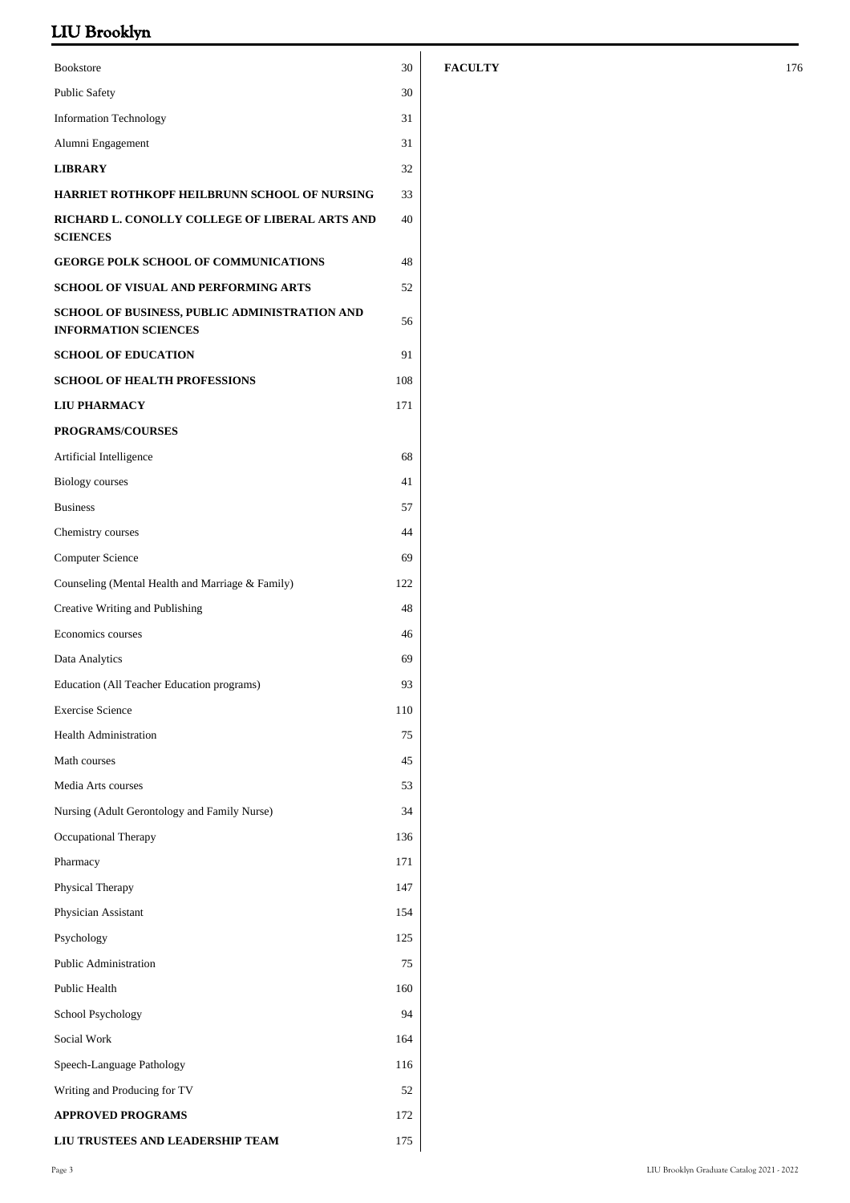| <b>Bookstore</b>                                                                    | 30  |
|-------------------------------------------------------------------------------------|-----|
| <b>Public Safety</b>                                                                | 30  |
| <b>Information Technology</b>                                                       | 31  |
| Alumni Engagement                                                                   | 31  |
| <b>LIBRARY</b>                                                                      | 32  |
| <b>HARRIET ROTHKOPF HEILBRUNN SCHOOL OF NURSING</b>                                 | 33  |
| RICHARD L. CONOLLY COLLEGE OF LIBERAL ARTS AND<br><b>SCIENCES</b>                   | 40  |
| <b>GEORGE POLK SCHOOL OF COMMUNICATIONS</b>                                         | 48  |
| <b>SCHOOL OF VISUAL AND PERFORMING ARTS</b>                                         | 52  |
| <b>SCHOOL OF BUSINESS, PUBLIC ADMINISTRATION AND</b><br><b>INFORMATION SCIENCES</b> | 56  |
| <b>SCHOOL OF EDUCATION</b>                                                          | 91  |
| <b>SCHOOL OF HEALTH PROFESSIONS</b>                                                 | 108 |
| <b>LIU PHARMACY</b>                                                                 | 171 |
| <b>PROGRAMS/COURSES</b>                                                             |     |
| Artificial Intelligence                                                             | 68  |
| <b>Biology</b> courses                                                              | 41  |
| <b>Business</b>                                                                     | 57  |
| Chemistry courses                                                                   | 44  |
| <b>Computer Science</b>                                                             | 69  |
| Counseling (Mental Health and Marriage & Family)                                    | 122 |
| Creative Writing and Publishing                                                     | 48  |
| Economics courses                                                                   | 46  |
| Data Analytics                                                                      | 69  |
| Education (All Teacher Education programs)                                          | 93  |
| <b>Exercise Science</b>                                                             | 110 |
| <b>Health Administration</b>                                                        | 75  |
| Math courses                                                                        | 45  |
| Media Arts courses                                                                  | 53  |
| Nursing (Adult Gerontology and Family Nurse)                                        | 34  |
| Occupational Therapy                                                                | 136 |
| Pharmacy                                                                            | 171 |
| Physical Therapy                                                                    | 147 |
| Physician Assistant                                                                 | 154 |
| Psychology                                                                          | 125 |
| <b>Public Administration</b>                                                        | 75  |
| Public Health                                                                       | 160 |
| School Psychology                                                                   | 94  |
| Social Work                                                                         | 164 |
| Speech-Language Pathology                                                           | 116 |
| Writing and Producing for TV                                                        | 52  |
| <b>APPROVED PROGRAMS</b>                                                            | 172 |
| LIU TRUSTEES AND LEADERSHIP TEAM                                                    | 175 |

### **FACULTY** 176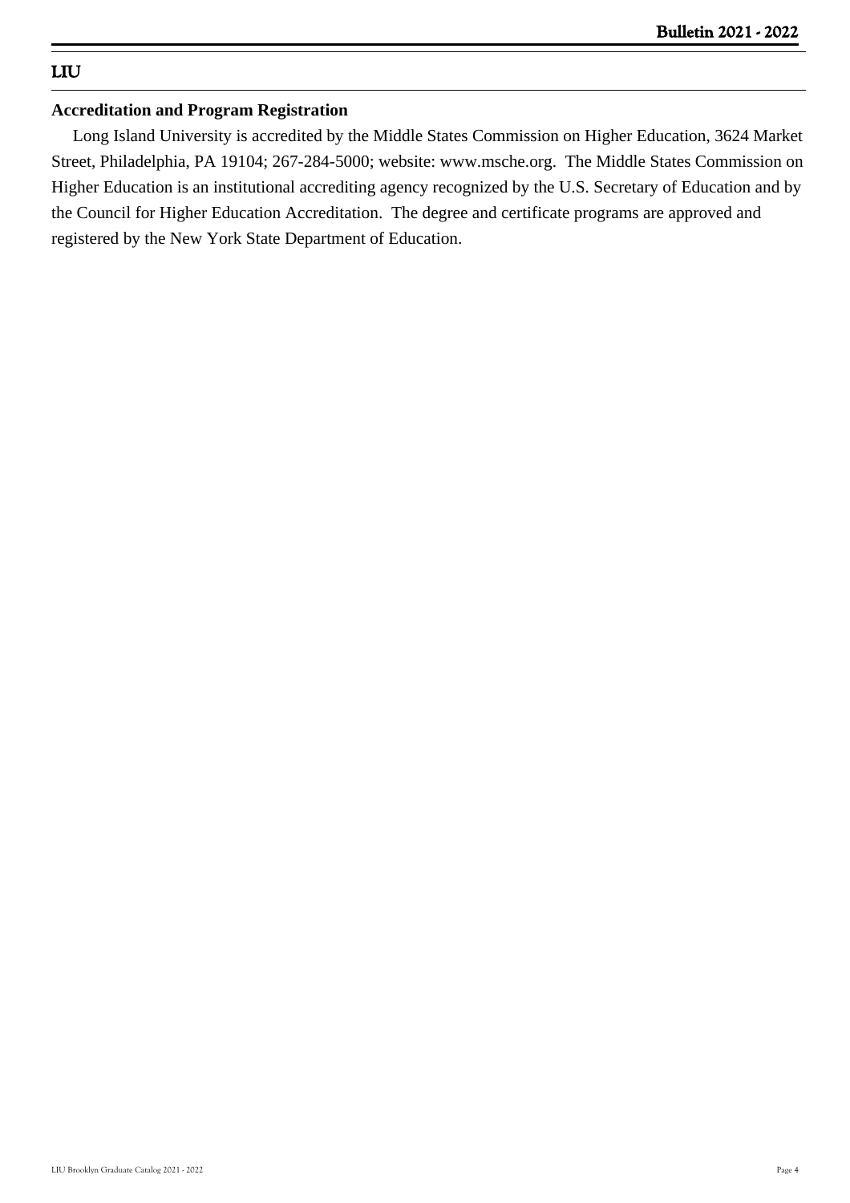# **LIU**

### **Accreditation and Program Registration**

 Long Island University is accredited by the Middle States Commission on Higher Education, 3624 Market Street, Philadelphia, PA 19104; 267-284-5000; website: www.msche.org. The Middle States Commission on Higher Education is an institutional accrediting agency recognized by the U.S. Secretary of Education and by the Council for Higher Education Accreditation. The degree and certificate programs are approved and registered by the New York State Department of Education.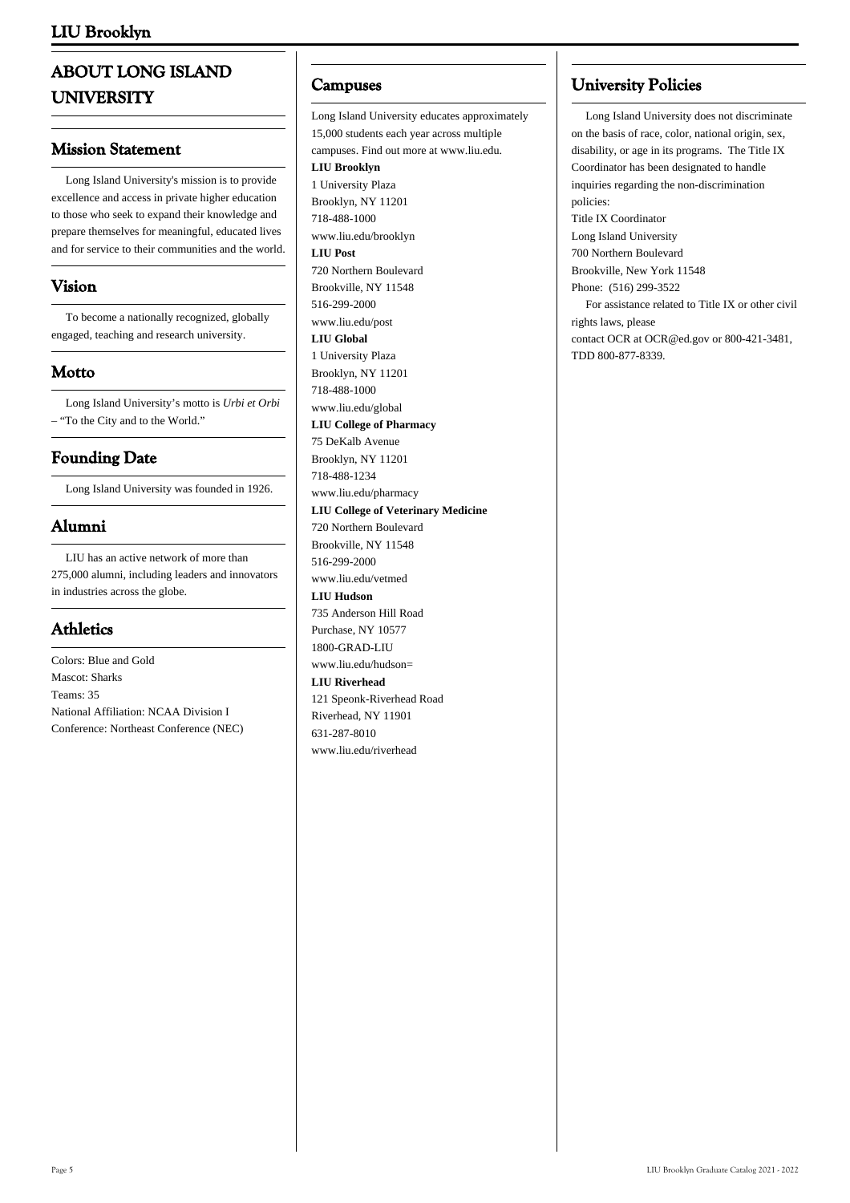# **ABOUT LONG ISLAND UNIVERSITY**

### **Mission Statement**

 Long Island University's mission is to provide excellence and access in private higher education to those who seek to expand their knowledge and prepare themselves for meaningful, educated lives and for service to their communities and the world.

### **Vision**

 To become a nationally recognized, globally engaged, teaching and research university.

### **Motto**

 Long Island University's motto is *Urbi et Orbi* – "To the City and to the World."

# **Founding Date**

Long Island University was founded in 1926.

# **Alumni**

 LIU has an active network of more than 275,000 alumni, including leaders and innovators in industries across the globe.

# **Athletics**

Colors: Blue and Gold Mascot: Sharks Teams: 35 National Affiliation: NCAA Division I Conference: Northeast Conference (NEC)

### **Campuses**

Long Island University educates approximately 15,000 students each year across multiple campuses. Find out more at www.liu.edu. **LIU Brooklyn** 1 University Plaza Brooklyn, NY 11201 718-488-1000 www.liu.edu/brooklyn **LIU Post** 720 Northern Boulevard Brookville, NY 11548 516-299-2000 www.liu.edu/post **LIU Global** 1 University Plaza Brooklyn, NY 11201 718-488-1000 www.liu.edu/global **LIU College of Pharmacy** 75 DeKalb Avenue Brooklyn, NY 11201 718-488-1234 www.liu.edu/pharmacy **LIU College of Veterinary Medicine** 720 Northern Boulevard Brookville, NY 11548 516-299-2000 www.liu.edu/vetmed **LIU Hudson** 735 Anderson Hill Road Purchase, NY 10577 1800-GRAD-LIU www.liu.edu/hudson= **LIU Riverhead** 121 Speonk-Riverhead Road Riverhead, NY 11901 631-287-8010 www.liu.edu/riverhead

### **University Policies**

 Long Island University does not discriminate on the basis of race, color, national origin, sex, disability, or age in its programs. The Title IX Coordinator has been designated to handle inquiries regarding the non-discrimination policies: Title IX Coordinator Long Island University 700 Northern Boulevard Brookville, New York 11548 Phone: (516) 299-3522 For assistance related to Title IX or other civil rights laws, please contact [OCR](https://wdcrobcolp01.ed.gov/CFAPPS/OCR/contactus.cfm) at [OCR@ed.gov](mailto:ocr@ed.gov) or 800-421-3481, TDD 800-877-8339.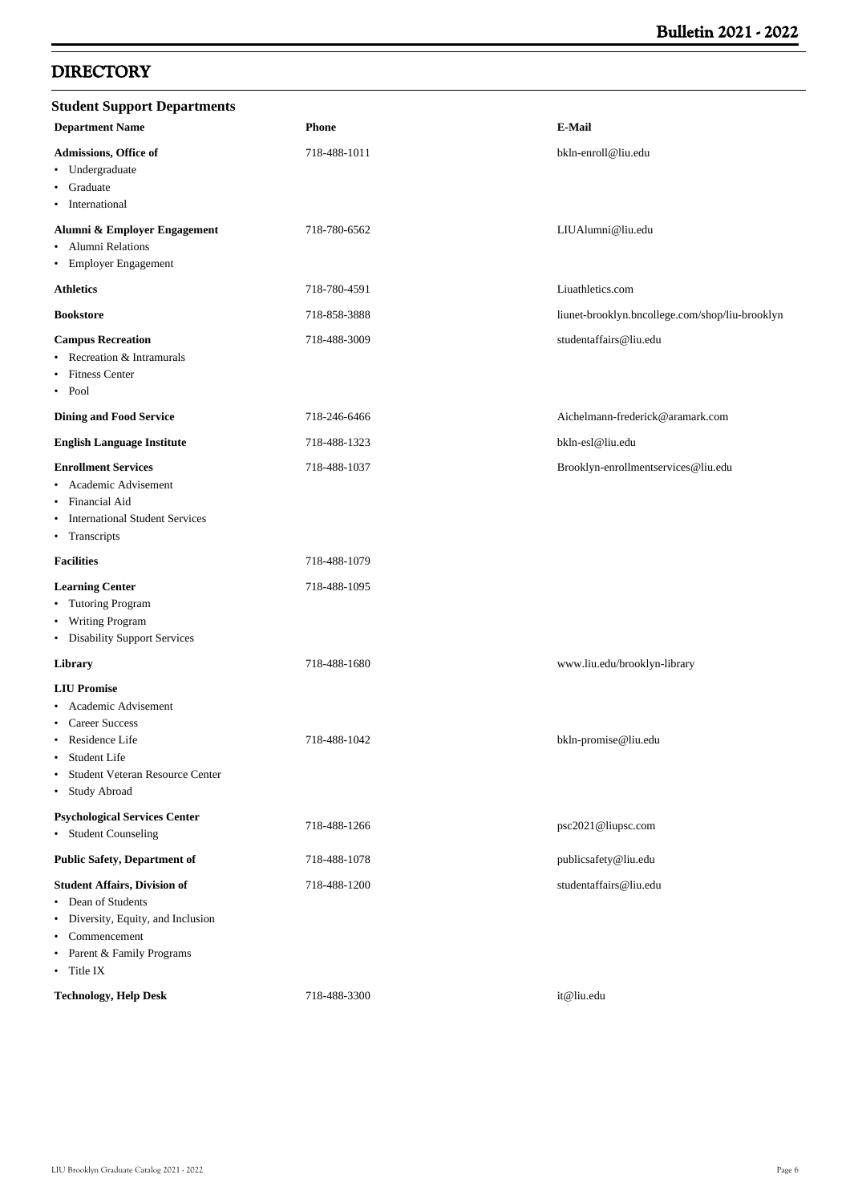# **DIRECTORY**

| <b>Student Support Departments</b>                                                                                                                                                       |              |                                                 |
|------------------------------------------------------------------------------------------------------------------------------------------------------------------------------------------|--------------|-------------------------------------------------|
| <b>Department Name</b>                                                                                                                                                                   | <b>Phone</b> | <b>E-Mail</b>                                   |
| Admissions, Office of<br>• Undergraduate<br>Graduate<br>$\bullet$<br>International<br>٠                                                                                                  | 718-488-1011 | bkln-enroll@liu.edu                             |
| Alumni & Employer Engagement<br>• Alumni Relations<br>• Employer Engagement                                                                                                              | 718-780-6562 | LIUAlumni@liu.edu                               |
| <b>Athletics</b>                                                                                                                                                                         | 718-780-4591 | Liuathletics.com                                |
| <b>Bookstore</b>                                                                                                                                                                         | 718-858-3888 | liunet-brooklyn.bncollege.com/shop/liu-brooklyn |
| <b>Campus Recreation</b><br>Recreation & Intramurals<br>٠<br><b>Fitness Center</b><br>٠<br>$\bullet$ Pool                                                                                | 718-488-3009 | studentaffairs@liu.edu                          |
| <b>Dining and Food Service</b>                                                                                                                                                           | 718-246-6466 | Aichelmann-frederick@aramark.com                |
| <b>English Language Institute</b>                                                                                                                                                        | 718-488-1323 | bkln-esl@liu.edu                                |
| <b>Enrollment Services</b><br>Academic Advisement<br>٠<br><b>Financial Aid</b><br>٠<br><b>International Student Services</b><br>٠<br>• Transcripts                                       | 718-488-1037 | Brooklyn-enrollmentservices@liu.edu             |
| <b>Facilities</b>                                                                                                                                                                        | 718-488-1079 |                                                 |
| <b>Learning Center</b><br>• Tutoring Program<br>• Writing Program<br>• Disability Support Services                                                                                       | 718-488-1095 |                                                 |
| Library                                                                                                                                                                                  | 718-488-1680 | www.liu.edu/brooklyn-library                    |
| <b>LIU Promise</b><br>Academic Advisement<br><b>Career Success</b><br>٠<br>Residence Life<br>Student Life<br>$\bullet$<br>Student Veteran Resource Center<br>$\bullet$<br>• Study Abroad | 718-488-1042 | bkln-promise@liu.edu                            |
| <b>Psychological Services Center</b><br>• Student Counseling                                                                                                                             | 718-488-1266 | psc2021@liupsc.com                              |
| <b>Public Safety, Department of</b>                                                                                                                                                      | 718-488-1078 | publicsafety@liu.edu                            |
| <b>Student Affairs, Division of</b><br>• Dean of Students<br>• Diversity, Equity, and Inclusion<br>• Commencement<br>• Parent & Family Programs<br>• Title IX                            | 718-488-1200 | studentaffairs@liu.edu                          |
| <b>Technology, Help Desk</b>                                                                                                                                                             | 718-488-3300 | it@liu.edu                                      |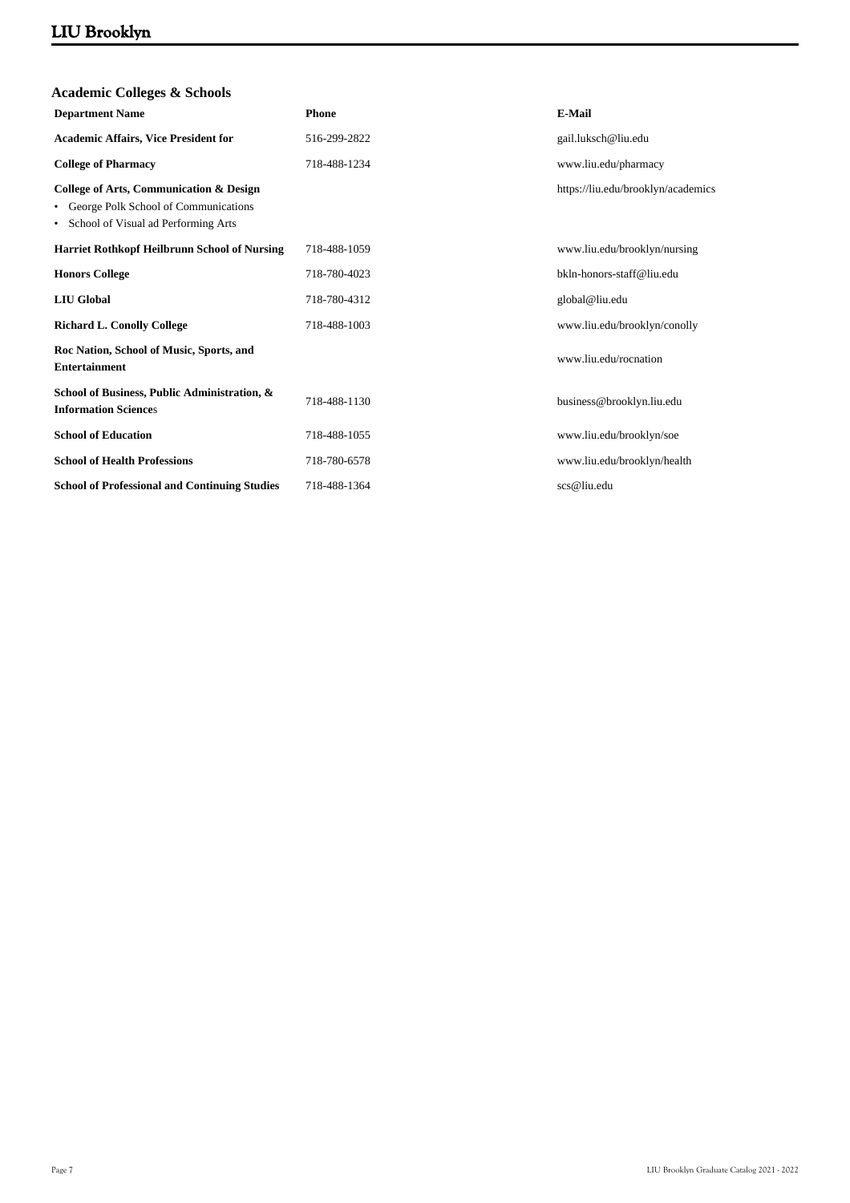| <b>Phone</b> | <b>E-Mail</b>                      |
|--------------|------------------------------------|
| 516-299-2822 | gail.luksch@liu.edu                |
| 718-488-1234 | www.liu.edu/pharmacy               |
|              | https://liu.edu/brooklyn/academics |
| 718-488-1059 | www.liu.edu/brooklyn/nursing       |
| 718-780-4023 | bkln-honors-staff@liu.edu          |
| 718-780-4312 | global@liu.edu                     |
| 718-488-1003 | www.liu.edu/brooklyn/conolly       |
|              | www.liu.edu/rocnation              |
| 718-488-1130 | business@brooklyn.liu.edu          |
| 718-488-1055 | www.liu.edu/brooklyn/soe           |
| 718-780-6578 | www.liu.edu/brooklyn/health        |
| 718-488-1364 | scs@liu.edu                        |
|              |                                    |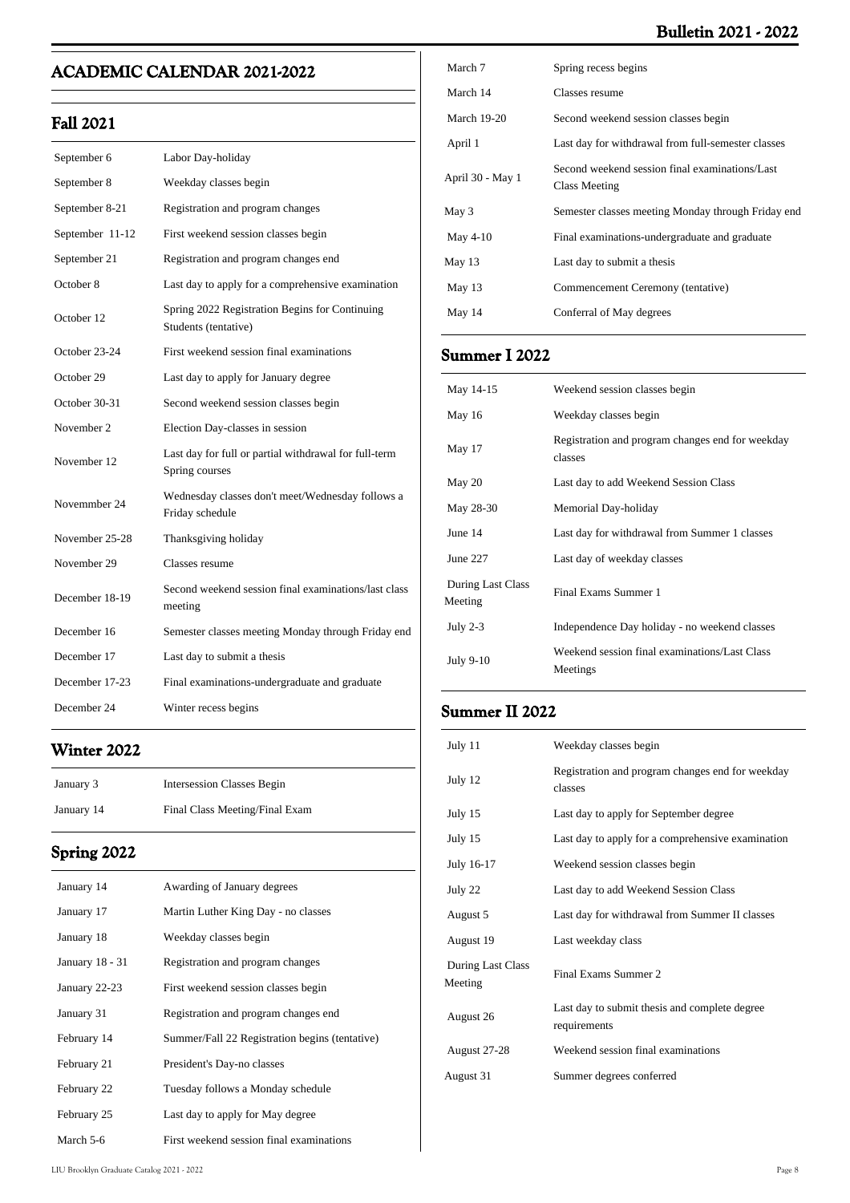# **Bulletin 2021 - 2022**

# **ACADEMIC CALENDAR 2021-2022**

# **Fall 2021**

| September 6     | Labor Day-holiday                                                       |
|-----------------|-------------------------------------------------------------------------|
| September 8     | Weekday classes begin                                                   |
| September 8-21  | Registration and program changes                                        |
| September 11-12 | First weekend session classes begin                                     |
| September 21    | Registration and program changes end                                    |
| October 8       | Last day to apply for a comprehensive examination                       |
| October 12      | Spring 2022 Registration Begins for Continuing<br>Students (tentative)  |
| October 23-24   | First weekend session final examinations                                |
| October 29      | Last day to apply for January degree                                    |
| October 30-31   | Second weekend session classes begin                                    |
| November 2      | Election Day-classes in session                                         |
| November 12     | Last day for full or partial withdrawal for full-term<br>Spring courses |
| Novemmber 24    | Wednesday classes don't meet/Wednesday follows a<br>Friday schedule     |
| November 25-28  | Thanksgiving holiday                                                    |
| November 29     | Classes resume                                                          |
| December 18-19  | Second weekend session final examinations/last class<br>meeting         |
| December 16     | Semester classes meeting Monday through Friday end                      |
| December 17     | Last day to submit a thesis                                             |
| December 17-23  | Final examinations-undergraduate and graduate                           |
| December 24     | Winter recess begins                                                    |

# **Winter 2022**

| January 3  | <b>Intersession Classes Begin</b> |
|------------|-----------------------------------|
| January 14 | Final Class Meeting/Final Exam    |

# **Spring 2022**

| January 14      | Awarding of January degrees                    |
|-----------------|------------------------------------------------|
| January 17      | Martin Luther King Day - no classes            |
| January 18      | Weekday classes begin                          |
| January 18 - 31 | Registration and program changes               |
| January 22-23   | First weekend session classes begin            |
| January 31      | Registration and program changes end           |
| February 14     | Summer/Fall 22 Registration begins (tentative) |
| February 21     | President's Day-no classes                     |
| February 22     | Tuesday follows a Monday schedule              |
| February 25     | Last day to apply for May degree               |
| March 5-6       | First weekend session final examinations       |

| March 7            | Spring recess begins                                            |
|--------------------|-----------------------------------------------------------------|
| March 14           | Classes resume                                                  |
| <b>March 19-20</b> | Second weekend session classes begin                            |
| April 1            | Last day for withdrawal from full-semester classes              |
| April 30 - May 1   | Second weekend session final examinations/Last<br>Class Meeting |
| May 3              | Semester classes meeting Monday through Friday end              |
|                    |                                                                 |
| May 4-10           | Final examinations-undergraduate and graduate                   |
| May 13             | Last day to submit a thesis                                     |
| May 13             | Commencement Ceremony (tentative)                               |
| May 14             | Conferral of May degrees                                        |

# **Summer I 2022**

| May 14-15                    | Weekend session classes begin                               |
|------------------------------|-------------------------------------------------------------|
| May 16                       | Weekday classes begin                                       |
| May 17                       | Registration and program changes end for weekday<br>classes |
| May 20                       | Last day to add Weekend Session Class                       |
| May 28-30                    | Memorial Day-holiday                                        |
| June 14                      | Last day for withdrawal from Summer 1 classes               |
| June 227                     | Last day of weekday classes                                 |
| During Last Class<br>Meeting | Final Exams Summer 1                                        |
| July $2-3$                   | Independence Day holiday - no weekend classes               |
| July 9-10                    | Weekend session final examinations/Last Class<br>Meetings   |

# **Summer II 2022**

| July 11                      | Weekday classes begin                                         |
|------------------------------|---------------------------------------------------------------|
| July 12                      | Registration and program changes end for weekday<br>classes   |
| July 15                      | Last day to apply for September degree                        |
| July 15                      | Last day to apply for a comprehensive examination             |
| July 16-17                   | Weekend session classes begin                                 |
| July 22                      | Last day to add Weekend Session Class                         |
| August 5                     | Last day for withdrawal from Summer II classes                |
| August 19                    | Last weekday class                                            |
| During Last Class<br>Meeting | Final Exams Summer 2                                          |
| August 26                    | Last day to submit thesis and complete degree<br>requirements |
| August 27-28                 | Weekend session final examinations                            |
| August 31                    | Summer degrees conferred                                      |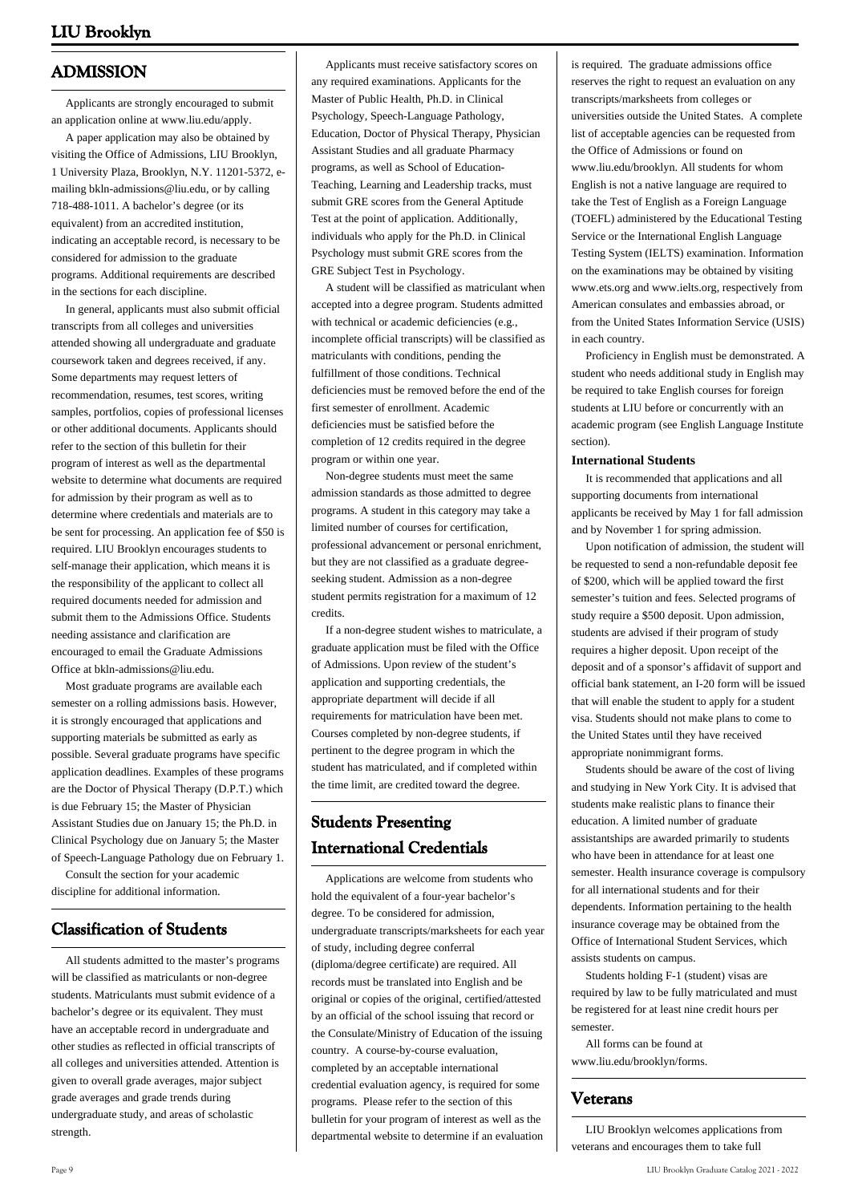# **ADMISSION**

 Applicants are strongly encouraged to submit an application online at www.liu.edu/apply.

 A paper application may also be obtained by visiting the Office of Admissions, LIU Brooklyn, 1 University Plaza, Brooklyn, N.Y. 11201-5372, emailing bkln-admissions@liu.edu, or by calling 718-488-1011. A bachelor's degree (or its equivalent) from an accredited institution, indicating an acceptable record, is necessary to be considered for admission to the graduate programs. Additional requirements are described in the sections for each discipline.

 In general, applicants must also submit official transcripts from all colleges and universities attended showing all undergraduate and graduate coursework taken and degrees received, if any. Some departments may request letters of recommendation, resumes, test scores, writing samples, portfolios, copies of professional licenses or other additional documents. Applicants should refer to the section of this bulletin for their program of interest as well as the departmental website to determine what documents are required for admission by their program as well as to determine where credentials and materials are to be sent for processing. An application fee of \$50 is required. LIU Brooklyn encourages students to self-manage their application, which means it is the responsibility of the applicant to collect all required documents needed for admission and submit them to the Admissions Office. Students needing assistance and clarification are encouraged to email the Graduate Admissions Office at bkln-admissions@liu.edu.

 Most graduate programs are available each semester on a rolling admissions basis. However, it is strongly encouraged that applications and supporting materials be submitted as early as possible. Several graduate programs have specific application deadlines. Examples of these programs are the Doctor of Physical Therapy (D.P.T.) which is due February 15; the Master of Physician Assistant Studies due on January 15; the Ph.D. in Clinical Psychology due on January 5; the Master of Speech-Language Pathology due on February 1.

 Consult the section for your academic discipline for additional information.

# **Classification of Students**

 All students admitted to the master's programs will be classified as matriculants or non-degree students. Matriculants must submit evidence of a bachelor's degree or its equivalent. They must have an acceptable record in undergraduate and other studies as reflected in official transcripts of all colleges and universities attended. Attention is given to overall grade averages, major subject grade averages and grade trends during undergraduate study, and areas of scholastic strength.

 Applicants must receive satisfactory scores on any required examinations. Applicants for the Master of Public Health, Ph.D. in Clinical Psychology, Speech-Language Pathology, Education, Doctor of Physical Therapy, Physician Assistant Studies and all graduate Pharmacy programs, as well as School of Education-Teaching, Learning and Leadership tracks, must submit GRE scores from the General Aptitude Test at the point of application. Additionally, individuals who apply for the Ph.D. in Clinical Psychology must submit GRE scores from the GRE Subject Test in Psychology.

 A student will be classified as matriculant when accepted into a degree program. Students admitted with technical or academic deficiencies (e.g., incomplete official transcripts) will be classified as matriculants with conditions, pending the fulfillment of those conditions. Technical deficiencies must be removed before the end of the first semester of enrollment. Academic deficiencies must be satisfied before the completion of 12 credits required in the degree program or within one year.

 Non-degree students must meet the same admission standards as those admitted to degree programs. A student in this category may take a limited number of courses for certification, professional advancement or personal enrichment, but they are not classified as a graduate degreeseeking student. Admission as a non-degree student permits registration for a maximum of 12 credits.

 If a non-degree student wishes to matriculate, a graduate application must be filed with the Office of Admissions. Upon review of the student's application and supporting credentials, the appropriate department will decide if all requirements for matriculation have been met. Courses completed by non-degree students, if pertinent to the degree program in which the student has matriculated, and if completed within the time limit, are credited toward the degree.

# **Students Presenting International Credentials**

 Applications are welcome from students who hold the equivalent of a four-year bachelor's degree. To be considered for admission, undergraduate transcripts/marksheets for each year of study, including degree conferral (diploma/degree certificate) are required. All records must be translated into English and be original or copies of the original, certified/attested by an official of the school issuing that record or the Consulate/Ministry of Education of the issuing country. A course-by-course evaluation, completed by an acceptable international credential evaluation agency, is required for some programs. Please refer to the section of this bulletin for your program of interest as well as the departmental website to determine if an evaluation

is required. The graduate admissions office reserves the right to request an evaluation on any transcripts/marksheets from colleges or universities outside the United States. A complete list of acceptable agencies can be requested from the Office of Admissions or found on www.liu.edu/brooklyn. All students for whom English is not a native language are required to take the Test of English as a Foreign Language (TOEFL) administered by the Educational Testing Service or the International English Language Testing System (IELTS) examination. Information on the examinations may be obtained by visiting www.ets.org and www.ielts.org, respectively from American consulates and embassies abroad, or from the United States Information Service (USIS) in each country.

 Proficiency in English must be demonstrated. A student who needs additional study in English may be required to take English courses for foreign students at LIU before or concurrently with an academic program (see English Language Institute section).

#### **International Students**

 It is recommended that applications and all supporting documents from international applicants be received by May 1 for fall admission and by November 1 for spring admission.

 Upon notification of admission, the student will be requested to send a non-refundable deposit fee of \$200, which will be applied toward the first semester's tuition and fees. Selected programs of study require a \$500 deposit. Upon admission, students are advised if their program of study requires a higher deposit. Upon receipt of the deposit and of a sponsor's affidavit of support and official bank statement, an I-20 form will be issued that will enable the student to apply for a student visa. Students should not make plans to come to the United States until they have received appropriate nonimmigrant forms.

 Students should be aware of the cost of living and studying in New York City. It is advised that students make realistic plans to finance their education. A limited number of graduate assistantships are awarded primarily to students who have been in attendance for at least one semester. Health insurance coverage is compulsory for all international students and for their dependents. Information pertaining to the health insurance coverage may be obtained from the Office of International Student Services, which assists students on campus.

 Students holding F-1 (student) visas are required by law to be fully matriculated and must be registered for at least nine credit hours per semester.

 All forms can be found at www.liu.edu/brooklyn/forms.

### **Veterans**

 LIU Brooklyn welcomes applications from veterans and encourages them to take full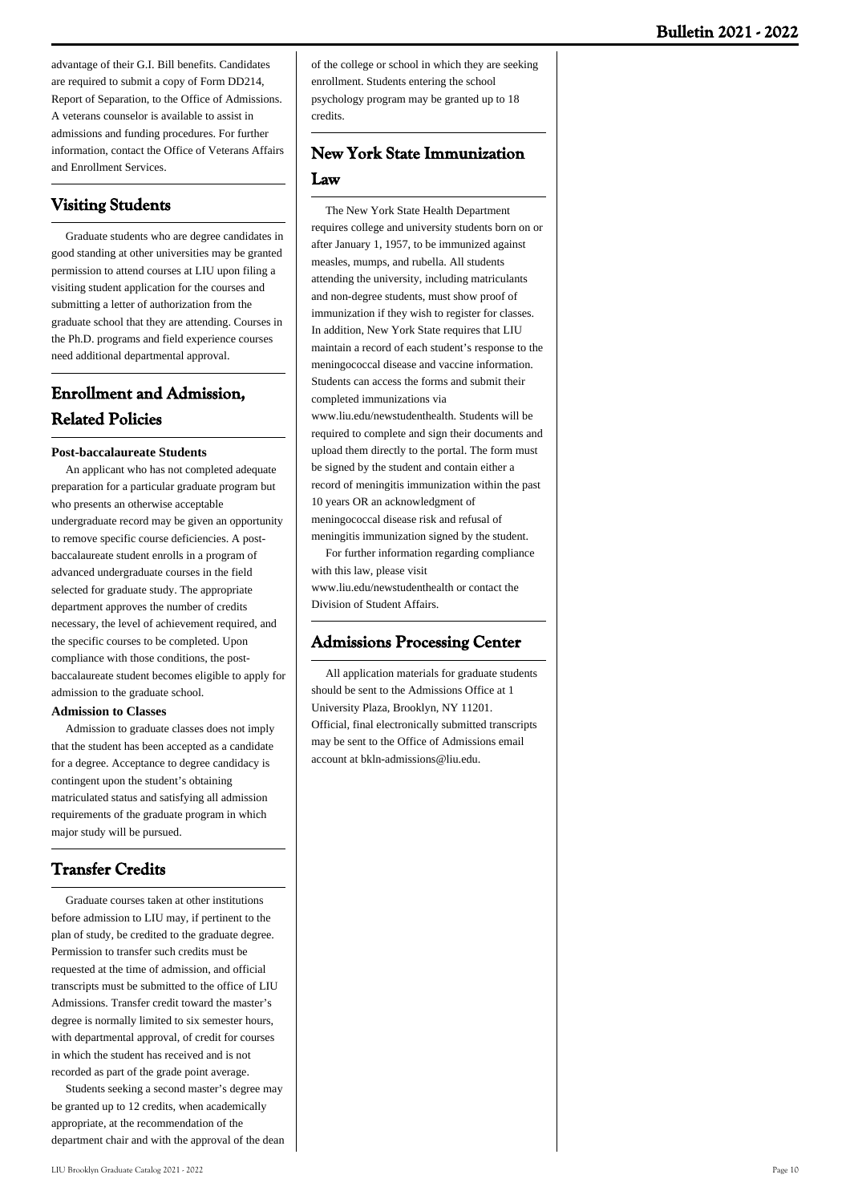advantage of their G.I. Bill benefits. Candidates are required to submit a copy of Form DD214, Report of Separation, to the Office of Admissions. A veterans counselor is available to assist in admissions and funding procedures. For further information, contact the Office of Veterans Affairs and Enrollment Services.

# **Visiting Students**

 Graduate students who are degree candidates in good standing at other universities may be granted permission to attend courses at LIU upon filing a visiting student application for the courses and submitting a letter of authorization from the graduate school that they are attending. Courses in the Ph.D. programs and field experience courses need additional departmental approval.

# **Enrollment and Admission, Related Policies**

#### **Post-baccalaureate Students**

 An applicant who has not completed adequate preparation for a particular graduate program but who presents an otherwise acceptable undergraduate record may be given an opportunity to remove specific course deficiencies. A postbaccalaureate student enrolls in a program of advanced undergraduate courses in the field selected for graduate study. The appropriate department approves the number of credits necessary, the level of achievement required, and the specific courses to be completed. Upon compliance with those conditions, the postbaccalaureate student becomes eligible to apply for admission to the graduate school.

#### **Admission to Classes**

 Admission to graduate classes does not imply that the student has been accepted as a candidate for a degree. Acceptance to degree candidacy is contingent upon the student's obtaining matriculated status and satisfying all admission requirements of the graduate program in which major study will be pursued.

# **Transfer Credits**

 Graduate courses taken at other institutions before admission to LIU may, if pertinent to the plan of study, be credited to the graduate degree. Permission to transfer such credits must be requested at the time of admission, and official transcripts must be submitted to the office of LIU Admissions. Transfer credit toward the master's degree is normally limited to six semester hours, with departmental approval, of credit for courses in which the student has received and is not recorded as part of the grade point average.

 Students seeking a second master's degree may be granted up to 12 credits, when academically appropriate, at the recommendation of the department chair and with the approval of the dean of the college or school in which they are seeking enrollment. Students entering the school psychology program may be granted up to 18 credits.

# **New York State Immunization Law**

 The New York State Health Department requires college and university students born on or after January 1, 1957, to be immunized against measles, mumps, and rubella. All students attending the university, including matriculants and non-degree students, must show proof of immunization if they wish to register for classes. In addition, New York State requires that LIU maintain a record of each student's response to the meningococcal disease and vaccine information. Students can access the forms and submit their completed immunizations via www.liu.edu/newstudenthealth. Students will be required to complete and sign their documents and upload them directly to the portal. The form must be signed by the student and contain either a record of meningitis immunization within the past 10 years OR an acknowledgment of meningococcal disease risk and refusal of meningitis immunization signed by the student.

 For further information regarding compliance with this law, please visit www.liu.edu/newstudenthealth or contact the Division of Student Affairs.

### **Admissions Processing Center**

 All application materials for graduate students should be sent to the Admissions Office at 1 University Plaza, Brooklyn, NY 11201. Official, final electronically submitted transcripts may be sent to the Office of Admissions email account at bkln-admissions@liu.edu.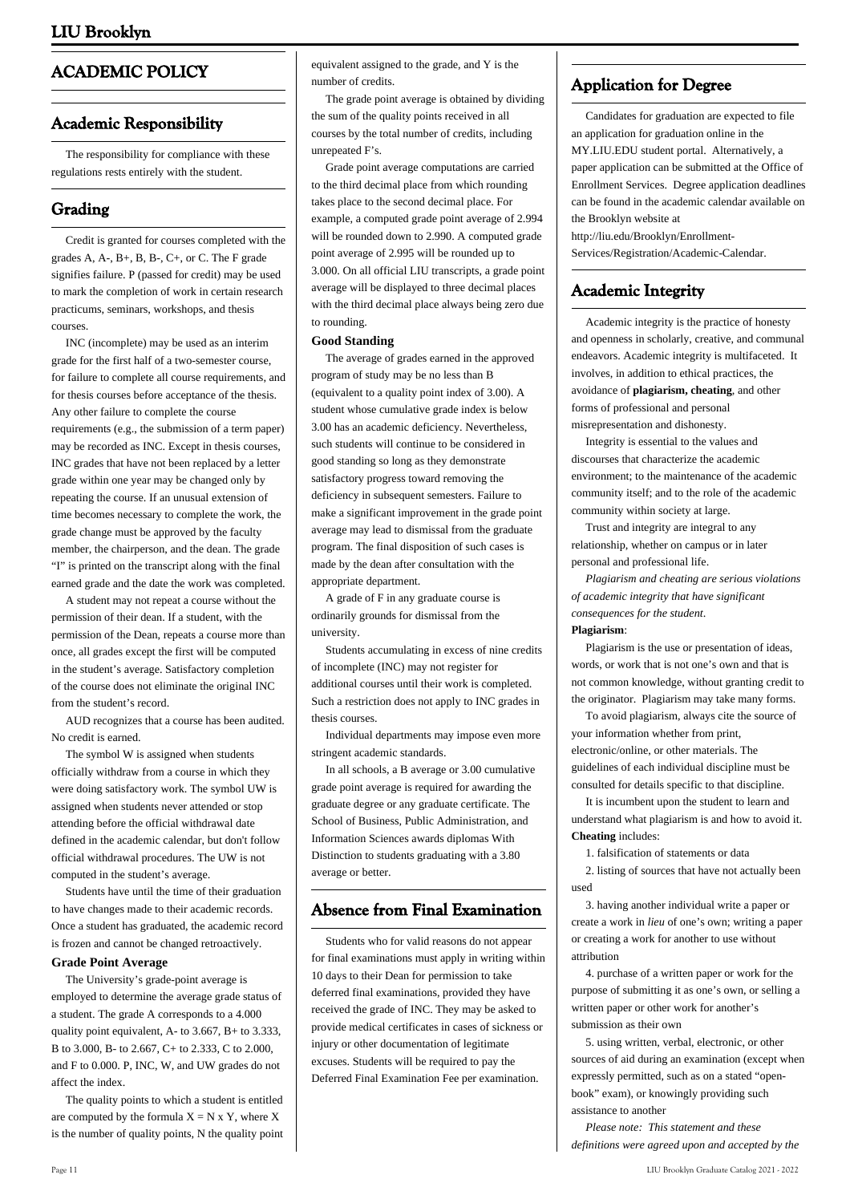# **ACADEMIC POLICY**

### **Academic Responsibility**

 The responsibility for compliance with these regulations rests entirely with the student.

# **Grading**

 Credit is granted for courses completed with the grades A, A-, B+, B, B-, C+, or C. The F grade signifies failure. P (passed for credit) may be used to mark the completion of work in certain research practicums, seminars, workshops, and thesis courses.

 INC (incomplete) may be used as an interim grade for the first half of a two-semester course, for failure to complete all course requirements, and for thesis courses before acceptance of the thesis. Any other failure to complete the course requirements (e.g., the submission of a term paper) may be recorded as INC. Except in thesis courses, INC grades that have not been replaced by a letter grade within one year may be changed only by repeating the course. If an unusual extension of time becomes necessary to complete the work, the grade change must be approved by the faculty member, the chairperson, and the dean. The grade "I" is printed on the transcript along with the final earned grade and the date the work was completed.

 A student may not repeat a course without the permission of their dean. If a student, with the permission of the Dean, repeats a course more than once, all grades except the first will be computed in the student's average. Satisfactory completion of the course does not eliminate the original INC from the student's record.

 AUD recognizes that a course has been audited. No credit is earned.

 The symbol W is assigned when students officially withdraw from a course in which they were doing satisfactory work. The symbol UW is assigned when students never attended or stop attending before the official withdrawal date defined in the academic calendar, but don't follow official withdrawal procedures. The UW is not computed in the student's average.

 Students have until the time of their graduation to have changes made to their academic records. Once a student has graduated, the academic record is frozen and cannot be changed retroactively.

#### **Grade Point Average**

 The University's grade-point average is employed to determine the average grade status of a student. The grade A corresponds to a 4.000 quality point equivalent, A- to  $3.667$ , B+ to  $3.333$ , B to 3.000, B- to 2.667, C+ to 2.333, C to 2.000, and F to 0.000. P, INC, W, and UW grades do not affect the index.

 The quality points to which a student is entitled are computed by the formula  $X = N \times Y$ , where X is the number of quality points, N the quality point

equivalent assigned to the grade, and Y is the number of credits.

 The grade point average is obtained by dividing the sum of the quality points received in all courses by the total number of credits, including unrepeated F's.

 Grade point average computations are carried to the third decimal place from which rounding takes place to the second decimal place. For example, a computed grade point average of 2.994 will be rounded down to 2.990. A computed grade point average of 2.995 will be rounded up to 3.000. On all official LIU transcripts, a grade point average will be displayed to three decimal places with the third decimal place always being zero due to rounding.

#### **Good Standing**

 The average of grades earned in the approved program of study may be no less than B (equivalent to a quality point index of 3.00). A student whose cumulative grade index is below 3.00 has an academic deficiency. Nevertheless, such students will continue to be considered in good standing so long as they demonstrate satisfactory progress toward removing the deficiency in subsequent semesters. Failure to make a significant improvement in the grade point average may lead to dismissal from the graduate program. The final disposition of such cases is made by the dean after consultation with the appropriate department.

 A grade of F in any graduate course is ordinarily grounds for dismissal from the university.

 Students accumulating in excess of nine credits of incomplete (INC) may not register for additional courses until their work is completed. Such a restriction does not apply to INC grades in thesis courses.

 Individual departments may impose even more stringent academic standards.

 In all schools, a B average or 3.00 cumulative grade point average is required for awarding the graduate degree or any graduate certificate. The School of Business, Public Administration, and Information Sciences awards diplomas With Distinction to students graduating with a 3.80 average or better.

### **Absence from Final Examination**

 Students who for valid reasons do not appear for final examinations must apply in writing within 10 days to their Dean for permission to take deferred final examinations, provided they have received the grade of INC. They may be asked to provide medical certificates in cases of sickness or injury or other documentation of legitimate excuses. Students will be required to pay the Deferred Final Examination Fee per examination.

# **Application for Degree**

 Candidates for graduation are expected to file an application for graduation online in the MY.LIU.EDU student portal. Alternatively, a paper application can be submitted at the Office of Enrollment Services. Degree application deadlines can be found in the academic calendar available on the Brooklyn website at http://liu.edu/Brooklyn/Enrollment-

Services/Registration/Academic-Calendar.

# **Academic Integrity**

 Academic integrity is the practice of honesty and openness in scholarly, creative, and communal endeavors. Academic integrity is multifaceted. It involves, in addition to ethical practices, the avoidance of **plagiarism, cheating**, and other forms of professional and personal misrepresentation and dishonesty.

 Integrity is essential to the values and discourses that characterize the academic environment; to the maintenance of the academic community itself; and to the role of the academic community within society at large.

 Trust and integrity are integral to any relationship, whether on campus or in later personal and professional life.

 *Plagiarism and cheating are serious violations of academic integrity that have significant consequences for the student*. **Plagiarism**:

 Plagiarism is the use or presentation of ideas, words, or work that is not one's own and that is not common knowledge, without granting credit to the originator. Plagiarism may take many forms.

 To avoid plagiarism, always cite the source of your information whether from print, electronic/online, or other materials. The guidelines of each individual discipline must be consulted for details specific to that discipline.

 It is incumbent upon the student to learn and understand what plagiarism is and how to avoid it. **Cheating** includes:

1. falsification of statements or data

 2. listing of sources that have not actually been used

 3. having another individual write a paper or create a work in *lieu* of one's own; writing a paper or creating a work for another to use without attribution

 4. purchase of a written paper or work for the purpose of submitting it as one's own, or selling a written paper or other work for another's submission as their own

 5. using written, verbal, electronic, or other sources of aid during an examination (except when expressly permitted, such as on a stated "openbook" exam), or knowingly providing such assistance to another

 *Please note: This statement and these definitions were agreed upon and accepted by the*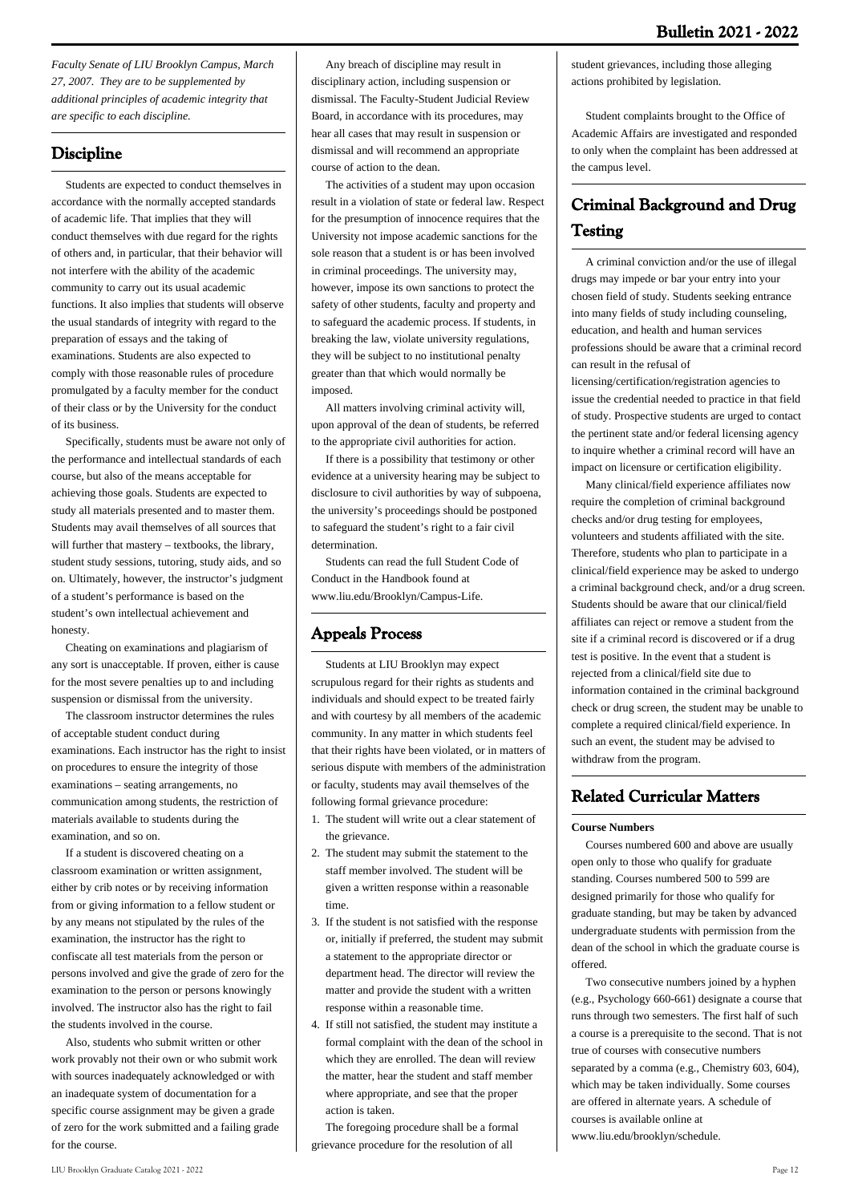*Faculty Senate of LIU Brooklyn Campus, March 27, 2007. They are to be supplemented by additional principles of academic integrity that are specific to each discipline.*

# **Discipline**

 Students are expected to conduct themselves in accordance with the normally accepted standards of academic life. That implies that they will conduct themselves with due regard for the rights of others and, in particular, that their behavior will not interfere with the ability of the academic community to carry out its usual academic functions. It also implies that students will observe the usual standards of integrity with regard to the preparation of essays and the taking of examinations. Students are also expected to comply with those reasonable rules of procedure promulgated by a faculty member for the conduct of their class or by the University for the conduct of its business.

 Specifically, students must be aware not only of the performance and intellectual standards of each course, but also of the means acceptable for achieving those goals. Students are expected to study all materials presented and to master them. Students may avail themselves of all sources that will further that mastery – textbooks, the library, student study sessions, tutoring, study aids, and so on. Ultimately, however, the instructor's judgment of a student's performance is based on the student's own intellectual achievement and honesty.

 Cheating on examinations and plagiarism of any sort is unacceptable. If proven, either is cause for the most severe penalties up to and including suspension or dismissal from the university.

 The classroom instructor determines the rules of acceptable student conduct during examinations. Each instructor has the right to insist on procedures to ensure the integrity of those examinations – seating arrangements, no communication among students, the restriction of materials available to students during the examination, and so on.

 If a student is discovered cheating on a classroom examination or written assignment, either by crib notes or by receiving information from or giving information to a fellow student or by any means not stipulated by the rules of the examination, the instructor has the right to confiscate all test materials from the person or persons involved and give the grade of zero for the examination to the person or persons knowingly involved. The instructor also has the right to fail the students involved in the course.

 Also, students who submit written or other work provably not their own or who submit work with sources inadequately acknowledged or with an inadequate system of documentation for a specific course assignment may be given a grade of zero for the work submitted and a failing grade for the course.

 Any breach of discipline may result in disciplinary action, including suspension or dismissal. The Faculty-Student Judicial Review Board, in accordance with its procedures, may hear all cases that may result in suspension or dismissal and will recommend an appropriate course of action to the dean.

 The activities of a student may upon occasion result in a violation of state or federal law. Respect for the presumption of innocence requires that the University not impose academic sanctions for the sole reason that a student is or has been involved in criminal proceedings. The university may, however, impose its own sanctions to protect the safety of other students, faculty and property and to safeguard the academic process. If students, in breaking the law, violate university regulations, they will be subject to no institutional penalty greater than that which would normally be imposed.

 All matters involving criminal activity will, upon approval of the dean of students, be referred to the appropriate civil authorities for action.

 If there is a possibility that testimony or other evidence at a university hearing may be subject to disclosure to civil authorities by way of subpoena, the university's proceedings should be postponed to safeguard the student's right to a fair civil determination.

 Students can read the full Student Code of Conduct in the Handbook found at www.liu.edu/Brooklyn/Campus-Life.

# **Appeals Process**

 Students at LIU Brooklyn may expect scrupulous regard for their rights as students and individuals and should expect to be treated fairly and with courtesy by all members of the academic community. In any matter in which students feel that their rights have been violated, or in matters of serious dispute with members of the administration or faculty, students may avail themselves of the following formal grievance procedure:

- 1. The student will write out a clear statement of the grievance.
- 2. The student may submit the statement to the staff member involved. The student will be given a written response within a reasonable time.
- 3. If the student is not satisfied with the response or, initially if preferred, the student may submit a statement to the appropriate director or department head. The director will review the matter and provide the student with a written response within a reasonable time.
- 4. If still not satisfied, the student may institute a formal complaint with the dean of the school in which they are enrolled. The dean will review the matter, hear the student and staff member where appropriate, and see that the proper action is taken.

 The foregoing procedure shall be a formal grievance procedure for the resolution of all

student grievances, including those alleging actions prohibited by legislation.

 Student complaints brought to the Office of Academic Affairs are investigated and responded to only when the complaint has been addressed at the campus level.

# **Criminal Background and Drug Testing**

 A criminal conviction and/or the use of illegal drugs may impede or bar your entry into your chosen field of study. Students seeking entrance into many fields of study including counseling, education, and health and human services professions should be aware that a criminal record can result in the refusal of

licensing/certification/registration agencies to issue the credential needed to practice in that field of study. Prospective students are urged to contact the pertinent state and/or federal licensing agency to inquire whether a criminal record will have an impact on licensure or certification eligibility.

 Many clinical/field experience affiliates now require the completion of criminal background checks and/or drug testing for employees, volunteers and students affiliated with the site. Therefore, students who plan to participate in a clinical/field experience may be asked to undergo a criminal background check, and/or a drug screen. Students should be aware that our clinical/field affiliates can reject or remove a student from the site if a criminal record is discovered or if a drug test is positive. In the event that a student is rejected from a clinical/field site due to information contained in the criminal background check or drug screen, the student may be unable to complete a required clinical/field experience. In such an event, the student may be advised to withdraw from the program.

# **Related Curricular Matters**

### **Course Numbers**

 Courses numbered 600 and above are usually open only to those who qualify for graduate standing. Courses numbered 500 to 599 are designed primarily for those who qualify for graduate standing, but may be taken by advanced undergraduate students with permission from the dean of the school in which the graduate course is offered.

 Two consecutive numbers joined by a hyphen (e.g., Psychology 660-661) designate a course that runs through two semesters. The first half of such a course is a prerequisite to the second. That is not true of courses with consecutive numbers separated by a comma (e.g., Chemistry 603, 604), which may be taken individually. Some courses are offered in alternate years. A schedule of courses is available online at www.liu.edu/brooklyn/schedule.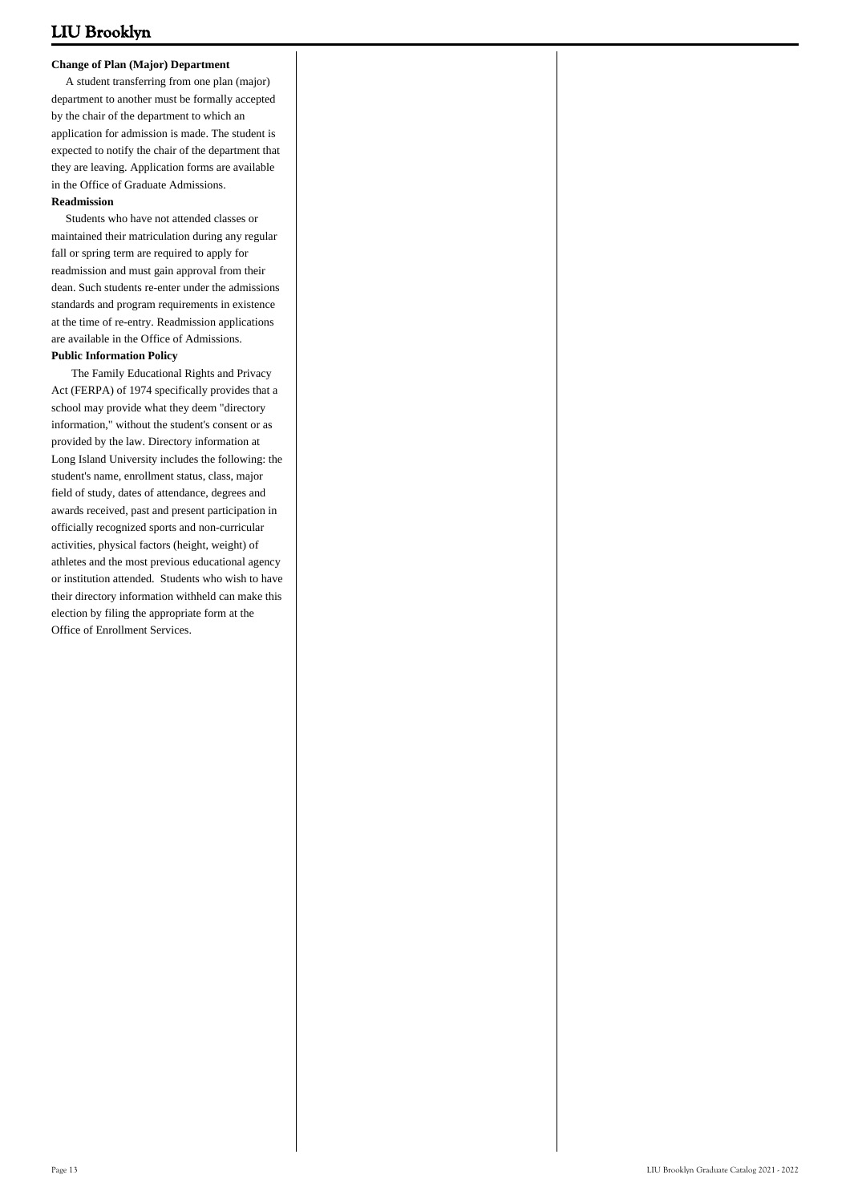#### **Change of Plan (Major) Department**

 A student transferring from one plan (major) department to another must be formally accepted by the chair of the department to which an application for admission is made. The student is expected to notify the chair of the department that they are leaving. Application forms are available in the Office of Graduate Admissions.

#### **Readmission**

 Students who have not attended classes or maintained their matriculation during any regular fall or spring term are required to apply for readmission and must gain approval from their dean. Such students re-enter under the admissions standards and program requirements in existence at the time of re-entry. Readmission applications are available in the Office of Admissions.

#### **Public Information Policy**

 The Family Educational Rights and Privacy Act (FERPA) of 1974 specifically provides that a school may provide what they deem "directory information," without the student's consent or as provided by the law. Directory information at Long Island University includes the following: the student's name, enrollment status, class, major field of study, dates of attendance, degrees and awards received, past and present participation in officially recognized sports and non-curricular activities, physical factors (height, weight) of athletes and the most previous educational agency or institution attended. Students who wish to have their directory information withheld can make this election by filing the appropriate form at the Office of Enrollment Services.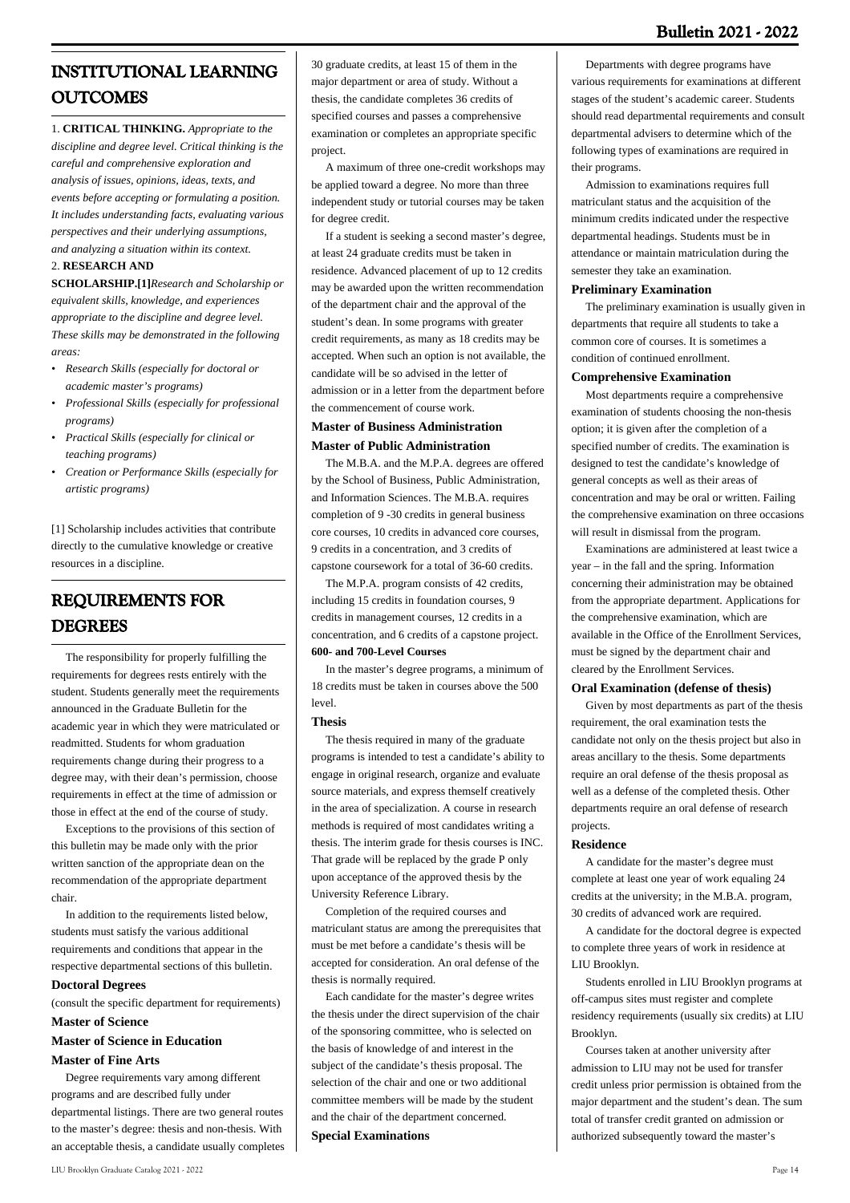### **Bulletin 2021 - 2022**

# **INSTITUTIONAL LEARNING OUTCOMES**

1. **CRITICAL THINKING.** *Appropriate to the discipline and degree level. Critical thinking is the careful and comprehensive exploration and analysis of issues, opinions, ideas, texts, and events before accepting or formulating a position. It includes understanding facts, evaluating various perspectives and their underlying assumptions, and analyzing a situation within its context.*

#### 2. **RESEARCH AND**

**SCHOLARSHIP[.\[1\]](#_ftn1)***Research and Scholarship or equivalent skills, knowledge, and experiences appropriate to the discipline and degree level. These skills may be demonstrated in the following areas:*

- *Research Skills (especially for doctoral or academic master's programs) •*
- *Professional Skills (especially for professional • programs)*
- *Practical Skills (especially for clinical or • teaching programs)*
- *Creation or Performance Skills (especially for • artistic programs)*

[\[1\]](#_ftnref1) Scholarship includes activities that contribute directly to the cumulative knowledge or creative resources in a discipline.

# **REQUIREMENTS FOR DEGREES**

 The responsibility for properly fulfilling the requirements for degrees rests entirely with the student. Students generally meet the requirements announced in the Graduate Bulletin for the academic year in which they were matriculated or readmitted. Students for whom graduation requirements change during their progress to a degree may, with their dean's permission, choose requirements in effect at the time of admission or those in effect at the end of the course of study.

 Exceptions to the provisions of this section of this bulletin may be made only with the prior written sanction of the appropriate dean on the recommendation of the appropriate department chair.

 In addition to the requirements listed below, students must satisfy the various additional requirements and conditions that appear in the respective departmental sections of this bulletin.

#### **Doctoral Degrees**

(consult the specific department for requirements) **Master of Science**

# **Master of Science in Education**

#### **Master of Fine Arts**

 Degree requirements vary among different programs and are described fully under departmental listings. There are two general routes to the master's degree: thesis and non-thesis. With an acceptable thesis, a candidate usually completes 30 graduate credits, at least 15 of them in the major department or area of study. Without a thesis, the candidate completes 36 credits of specified courses and passes a comprehensive examination or completes an appropriate specific project.

 A maximum of three one-credit workshops may be applied toward a degree. No more than three independent study or tutorial courses may be taken for degree credit.

 If a student is seeking a second master's degree, at least 24 graduate credits must be taken in residence. Advanced placement of up to 12 credits may be awarded upon the written recommendation of the department chair and the approval of the student's dean. In some programs with greater credit requirements, as many as 18 credits may be accepted. When such an option is not available, the candidate will be so advised in the letter of admission or in a letter from the department before the commencement of course work.

#### **Master of Business Administration Master of Public Administration**

 The M.B.A. and the M.P.A. degrees are offered by the School of Business, Public Administration, and Information Sciences. The M.B.A. requires completion of 9 -30 credits in general business core courses, 10 credits in advanced core courses, 9 credits in a concentration, and 3 credits of capstone coursework for a total of 36-60 credits.

 The M.P.A. program consists of 42 credits, including 15 credits in foundation courses, 9 credits in management courses, 12 credits in a concentration, and 6 credits of a capstone project. **600- and 700-Level Courses**

 In the master's degree programs, a minimum of 18 credits must be taken in courses above the 500 level.

#### **Thesis**

 The thesis required in many of the graduate programs is intended to test a candidate's ability to engage in original research, organize and evaluate source materials, and express themself creatively in the area of specialization. A course in research methods is required of most candidates writing a thesis. The interim grade for thesis courses is INC. That grade will be replaced by the grade P only upon acceptance of the approved thesis by the University Reference Library.

 Completion of the required courses and matriculant status are among the prerequisites that must be met before a candidate's thesis will be accepted for consideration. An oral defense of the thesis is normally required.

 Each candidate for the master's degree writes the thesis under the direct supervision of the chair of the sponsoring committee, who is selected on the basis of knowledge of and interest in the subject of the candidate's thesis proposal. The selection of the chair and one or two additional committee members will be made by the student and the chair of the department concerned.

#### **Special Examinations**

 Departments with degree programs have various requirements for examinations at different stages of the student's academic career. Students should read departmental requirements and consult departmental advisers to determine which of the following types of examinations are required in their programs.

 Admission to examinations requires full matriculant status and the acquisition of the minimum credits indicated under the respective departmental headings. Students must be in attendance or maintain matriculation during the semester they take an examination.

#### **Preliminary Examination**

 The preliminary examination is usually given in departments that require all students to take a common core of courses. It is sometimes a condition of continued enrollment.

#### **Comprehensive Examination**

 Most departments require a comprehensive examination of students choosing the non-thesis option; it is given after the completion of a specified number of credits. The examination is designed to test the candidate's knowledge of general concepts as well as their areas of concentration and may be oral or written. Failing the comprehensive examination on three occasions will result in dismissal from the program.

 Examinations are administered at least twice a year – in the fall and the spring. Information concerning their administration may be obtained from the appropriate department. Applications for the comprehensive examination, which are available in the Office of the Enrollment Services, must be signed by the department chair and cleared by the Enrollment Services.

#### **Oral Examination (defense of thesis)**

 Given by most departments as part of the thesis requirement, the oral examination tests the candidate not only on the thesis project but also in areas ancillary to the thesis. Some departments require an oral defense of the thesis proposal as well as a defense of the completed thesis. Other departments require an oral defense of research projects.

#### **Residence**

 A candidate for the master's degree must complete at least one year of work equaling 24 credits at the university; in the M.B.A. program, 30 credits of advanced work are required.

 A candidate for the doctoral degree is expected to complete three years of work in residence at LIU Brooklyn.

 Students enrolled in LIU Brooklyn programs at off-campus sites must register and complete residency requirements (usually six credits) at LIU Brooklyn.

 Courses taken at another university after admission to LIU may not be used for transfer credit unless prior permission is obtained from the major department and the student's dean. The sum total of transfer credit granted on admission or authorized subsequently toward the master's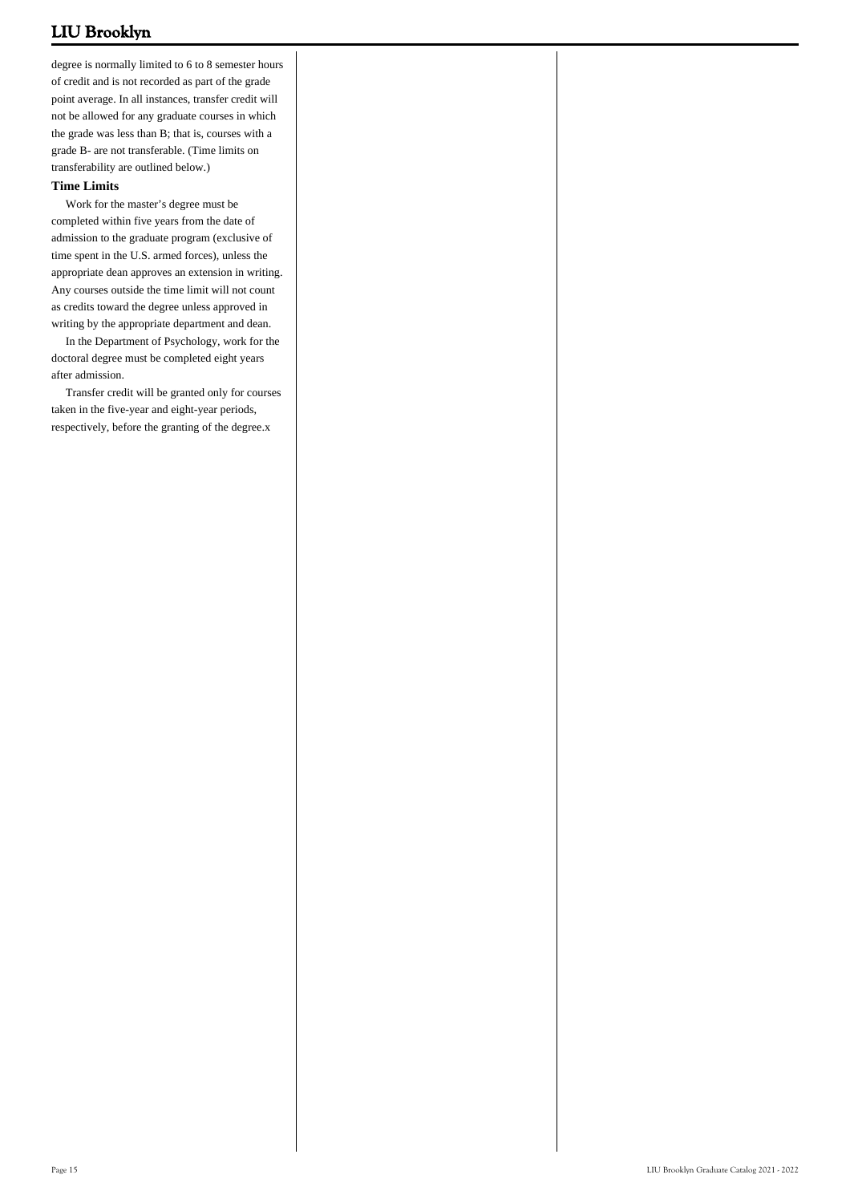degree is normally limited to 6 to 8 semester hours of credit and is not recorded as part of the grade point average. In all instances, transfer credit will not be allowed for any graduate courses in which the grade was less than B; that is, courses with a grade B- are not transferable. (Time limits on transferability are outlined below.)

#### **Time Limits**

 Work for the master's degree must be completed within five years from the date of admission to the graduate program (exclusive of time spent in the U.S. armed forces), unless the appropriate dean approves an extension in writing. Any courses outside the time limit will not count as credits toward the degree unless approved in writing by the appropriate department and dean.

 In the Department of Psychology, work for the doctoral degree must be completed eight years after admission.

 Transfer credit will be granted only for courses taken in the five-year and eight-year periods, respectively, before the granting of the degree.x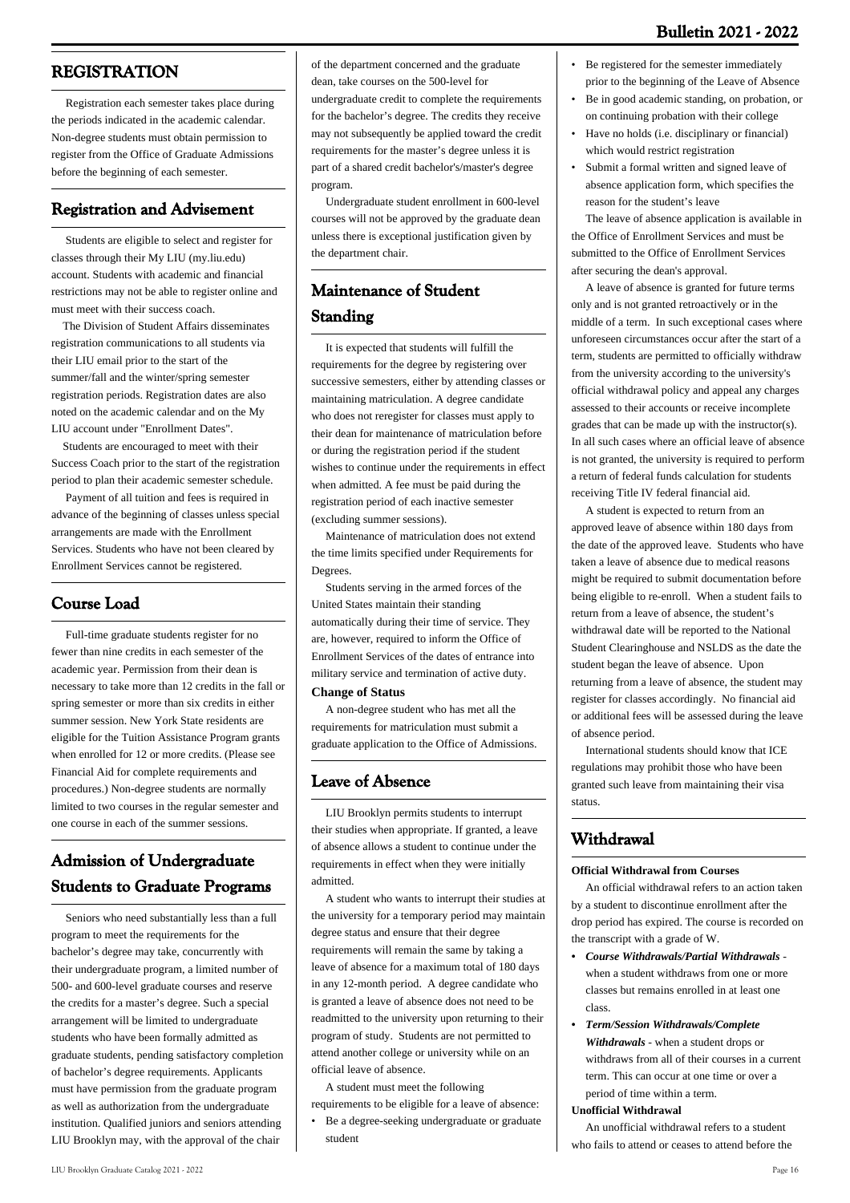# **REGISTRATION**

 Registration each semester takes place during the periods indicated in the academic calendar. Non-degree students must obtain permission to register from the Office of Graduate Admissions before the beginning of each semester.

# **Registration and Advisement**

 Students are eligible to select and register for classes through their My LIU ([my.liu.edu](https://my.liu.edu/psp/MYPRD/?cmd=login)) account. Students with academic and financial restrictions may not be able to register online and must meet with their success coach.

 The Division of Student Affairs disseminates registration communications to all students via their LIU email prior to the start of the summer/fall and the winter/spring semester registration periods. Registration dates are also noted on the academic calendar and on the My LIU account under "Enrollment Dates".

 Students are encouraged to meet with their Success Coach prior to the start of the registration period to plan their academic semester schedule.

 Payment of all tuition and fees is required in advance of the beginning of classes unless special arrangements are made with the Enrollment Services. Students who have not been cleared by Enrollment Services cannot be registered.

# **Course Load**

 Full-time graduate students register for no fewer than nine credits in each semester of the academic year. Permission from their dean is necessary to take more than 12 credits in the fall or spring semester or more than six credits in either summer session. New York State residents are eligible for the Tuition Assistance Program grants when enrolled for 12 or more credits. (Please see Financial Aid for complete requirements and procedures.) Non-degree students are normally limited to two courses in the regular semester and one course in each of the summer sessions.

# **Admission of Undergraduate Students to Graduate Programs**

 Seniors who need substantially less than a full program to meet the requirements for the bachelor's degree may take, concurrently with their undergraduate program, a limited number of 500- and 600-level graduate courses and reserve the credits for a master's degree. Such a special arrangement will be limited to undergraduate students who have been formally admitted as graduate students, pending satisfactory completion of bachelor's degree requirements. Applicants must have permission from the graduate program as well as authorization from the undergraduate institution. Qualified juniors and seniors attending LIU Brooklyn may, with the approval of the chair

may not subsequently be applied toward the credit requirements for the master's degree unless it is part of a shared credit bachelor's/master's degree program.

 Undergraduate student enrollment in 600-level courses will not be approved by the graduate dean unless there is exceptional justification given by the department chair.

# **Maintenance of Student Standing**

 It is expected that students will fulfill the requirements for the degree by registering over successive semesters, either by attending classes or maintaining matriculation. A degree candidate who does not reregister for classes must apply to their dean for maintenance of matriculation before or during the registration period if the student wishes to continue under the requirements in effect when admitted. A fee must be paid during the registration period of each inactive semester (excluding summer sessions).

 Maintenance of matriculation does not extend the time limits specified under Requirements for Degrees.

 Students serving in the armed forces of the United States maintain their standing automatically during their time of service. They are, however, required to inform the Office of Enrollment Services of the dates of entrance into military service and termination of active duty.

#### **Change of Status**

 A non-degree student who has met all the requirements for matriculation must submit a graduate application to the Office of Admissions.

### **Leave of Absence**

 LIU Brooklyn permits students to interrupt their studies when appropriate. If granted, a leave of absence allows a student to continue under the requirements in effect when they were initially admitted.

 A student who wants to interrupt their studies at the university for a temporary period may maintain degree status and ensure that their degree requirements will remain the same by taking a leave of absence for a maximum total of 180 days in any 12-month period. A degree candidate who is granted a leave of absence does not need to be readmitted to the university upon returning to their program of study. Students are not permitted to attend another college or university while on an official leave of absence.

A student must meet the following

requirements to be eligible for a leave of absence:

Be a degree-seeking undergraduate or graduate student •

- Be registered for the semester immediately prior to the beginning of the Leave of Absence
- Be in good academic standing, on probation, or on continuing probation with their college •
- Have no holds (i.e. disciplinary or financial) which would restrict registration
- Submit a formal written and signed leave of absence application form, which specifies the reason for the student's leave •

 The leave of absence application is available in the Office of Enrollment Services and must be submitted to the Office of Enrollment Services after securing the dean's approval.

 A leave of absence is granted for future terms only and is not granted retroactively or in the middle of a term. In such exceptional cases where unforeseen circumstances occur after the start of a term, students are permitted to officially withdraw from the university according to the university's official withdrawal policy and appeal any charges assessed to their accounts or receive incomplete grades that can be made up with the instructor(s). In all such cases where an official leave of absence is not granted, the university is required to perform a return of federal funds calculation for students receiving Title IV federal financial aid.

 A student is expected to return from an approved leave of absence within 180 days from the date of the approved leave. Students who have taken a leave of absence due to medical reasons might be required to submit documentation before being eligible to re-enroll. When a student fails to return from a leave of absence, the student's withdrawal date will be reported to the National Student Clearinghouse and NSLDS as the date the student began the leave of absence. Upon returning from a leave of absence, the student may register for classes accordingly. No financial aid or additional fees will be assessed during the leave of absence period.

 International students should know that ICE regulations may prohibit those who have been granted such leave from maintaining their visa status.

# **Withdrawal**

#### **Official Withdrawal from Courses**

 An official withdrawal refers to an action taken by a student to discontinue enrollment after the drop period has expired. The course is recorded on the transcript with a grade of W.

- *Course Withdrawals/Partial Withdrawals - •* when a student withdraws from one or more classes but remains enrolled in at least one class.
- *Term/Session Withdrawals/Complete Withdrawals* - when a student drops or withdraws from all of their courses in a current term. This can occur at one time or over a period of time within a term. *•*

#### **Unofficial Withdrawal**

 An unofficial withdrawal refers to a student who fails to attend or ceases to attend before the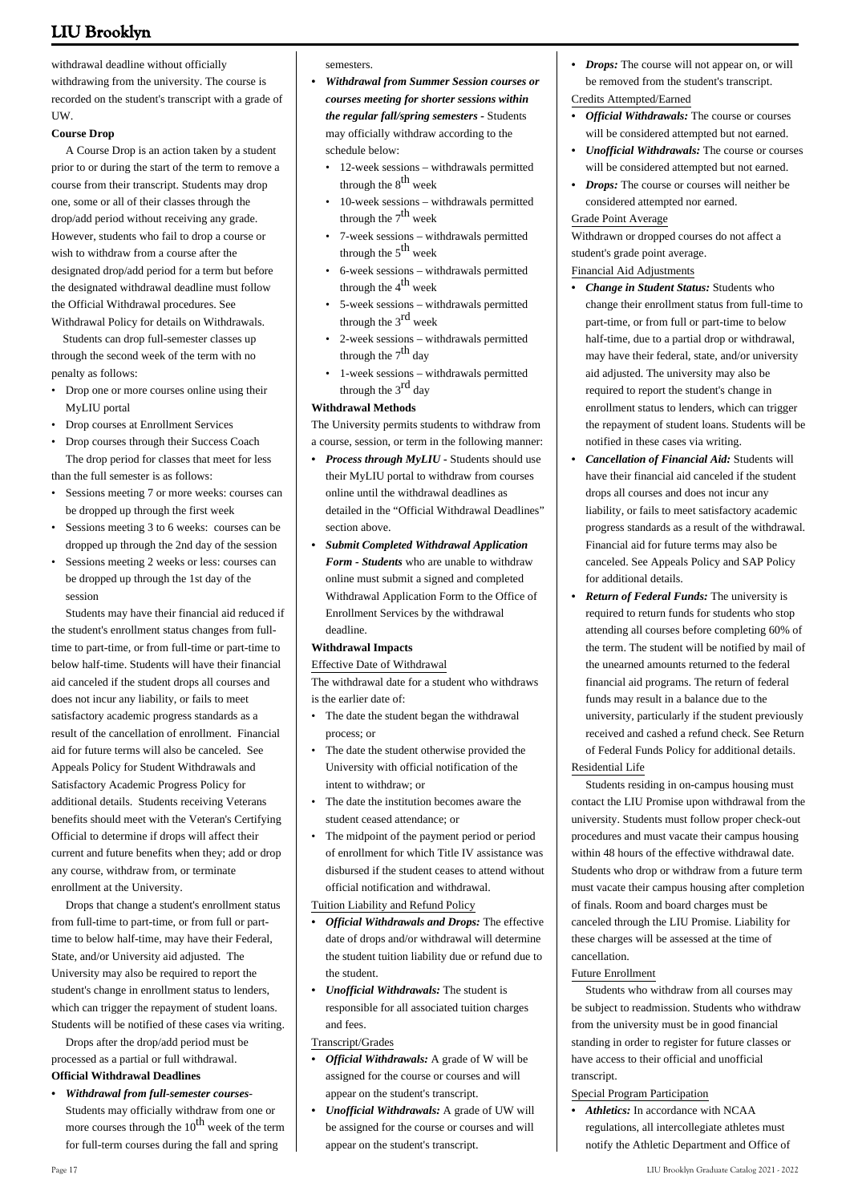withdrawal deadline without officially withdrawing from the university. The course is recorded on the student's transcript with a grade of UW.

#### **Course Drop**

 A Course Drop is an action taken by a student prior to or during the start of the term to remove a course from their transcript. Students may drop one, some or all of their classes through the drop/add period without receiving any grade. However, students who fail to drop a course or wish to withdraw from a course after the designated drop/add period for a term but before the designated withdrawal deadline must follow the Official Withdrawal procedures. See Withdrawal Policy for details on Withdrawals.

 Students can drop full-semester classes up through the second week of the term with no penalty as follows:

- Drop one or more courses online using their MyLIU portal
- Drop courses at Enrollment Services
- Drop courses through their Success Coach The drop period for classes that meet for less than the full semester is as follows:
- Sessions meeting 7 or more weeks: courses can be dropped up through the first week •
- Sessions meeting 3 to 6 weeks: courses can be dropped up through the 2nd day of the session •
- Sessions meeting 2 weeks or less: courses can be dropped up through the 1st day of the session •

 Students may have their financial aid reduced if the student's enrollment status changes from fulltime to part-time, or from full-time or part-time to below half-time. Students will have their financial aid canceled if the student drops all courses and does not incur any liability, or fails to meet satisfactory academic progress standards as a result of the cancellation of enrollment. Financial aid for future terms will also be canceled. See Appeals Policy for Student Withdrawals and Satisfactory Academic Progress Policy for additional details. Students receiving Veterans benefits should meet with the Veteran's Certifying Official to determine if drops will affect their current and future benefits when they; add or drop any course, withdraw from, or terminate enrollment at the University.

 Drops that change a student's enrollment status from full-time to part-time, or from full or parttime to below half-time, may have their Federal, State, and/or University aid adjusted. The University may also be required to report the student's change in enrollment status to lenders, which can trigger the repayment of student loans. Students will be notified of these cases via writing.

 Drops after the drop/add period must be processed as a partial or full withdrawal.

### **Official Withdrawal Deadlines**

*Withdrawal from full-semester courses-•* Students may officially withdraw from one or more courses through the  $10^{th}$  week of the term for full-term courses during the fall and spring

semesters.

- *Withdrawal from Summer Session courses or courses meeting for shorter sessions within the regular fall/spring semesters -* Students may officially withdraw according to the schedule below: *•*
	- 12-week sessions withdrawals permitted through the  $8<sup>th</sup>$  week
	- 10-week sessions withdrawals permitted through the  $7<sup>th</sup>$  week •
	- 7-week sessions withdrawals permitted through the  $5<sup>th</sup>$  week •
	- 6-week sessions withdrawals permitted through the  $4^{th}$  week •
	- 5-week sessions withdrawals permitted through the 3rd week •
	- 2-week sessions withdrawals permitted through the  $7<sup>th</sup>$  day •
	- 1-week sessions withdrawals permitted through the 3<sup>rd</sup> day •

### **Withdrawal Methods**

The University permits students to withdraw from a course, session, or term in the following manner:

- *Process through MyLIU* Students should use their MyLIU portal to withdraw from courses online until the withdrawal deadlines as detailed in the "Official Withdrawal Deadlines" section above. *•*
- *Submit Completed Withdrawal Application Form - Students* who are unable to withdraw online must submit a signed and completed Withdrawal Application Form to the Office of Enrollment Services by the withdrawal deadline. *•*

#### **Withdrawal Impacts**

#### Effective Date of Withdrawal

The withdrawal date for a student who withdraws is the earlier date of:

- The date the student began the withdrawal process; or
- The date the student otherwise provided the University with official notification of the intent to withdraw; or •
- The date the institution becomes aware the student ceased attendance; or •
- The midpoint of the payment period or period of enrollment for which Title IV assistance was disbursed if the student ceases to attend without official notification and withdrawal. •

#### Tuition Liability and Refund Policy

- *Official Withdrawals and Drops:* The effective date of drops and/or withdrawal will determine the student tuition liability due or refund due to the student. *•*
- *Unofficial Withdrawals:* The student is responsible for all associated tuition charges and fees. *•*

#### Transcript/Grades

- *Official Withdrawals:* A grade of W will be assigned for the course or courses and will appear on the student's transcript. *•*
- *Unofficial Withdrawals:* A grade of UW will be assigned for the course or courses and will appear on the student's transcript. *•*
- *Drops:* The course will not appear on, or will be removed from the student's transcript. Credits Attempted/Earned
- *Official Withdrawals:* The course or courses will be considered attempted but not earned. *•*
- *Unofficial Withdrawals:* The course or courses will be considered attempted but not earned. *•*
- *Drops:* The course or courses will neither be considered attempted nor earned. *•*

#### Grade Point Average

Withdrawn or dropped courses do not affect a student's grade point average.

#### Financial Aid Adjustments

- *Change in Student Status:* Students who change their enrollment status from full-time to part-time, or from full or part-time to below half-time, due to a partial drop or withdrawal, may have their federal, state, and/or university aid adjusted. The university may also be required to report the student's change in enrollment status to lenders, which can trigger the repayment of student loans. Students will be notified in these cases via writing. *•*
- *Cancellation of Financial Aid:* Students will have their financial aid canceled if the student drops all courses and does not incur any liability, or fails to meet satisfactory academic progress standards as a result of the withdrawal. Financial aid for future terms may also be canceled. See [Appeals Policy](https://webapps3.liu.edu/SFS/Policies/Appeal-Policy) and [SAP Policy](https://webapps3.liu.edu/SFS/Policies/Satis-Acad-Pol) for additional details. *•*
- *Return of Federal Funds:* The university is required to return funds for students who stop attending all courses before completing 60% of the term. The student will be notified by mail of the unearned amounts returned to the federal financial aid programs. The return of federal funds may result in a balance due to the university, particularly if the student previously received and cashed a refund check. See [Return](https://webapps3.liu.edu/SFS/Policies/Return-Title-Funds) [of Federal Funds Policy](https://webapps3.liu.edu/SFS/Policies/Return-Title-Funds) for additional details. *•*

#### Residential Life

 Students residing in on-campus housing must contact the LIU Promise upon withdrawal from the university. Students must follow proper check-out procedures and must vacate their campus housing within 48 hours of the effective withdrawal date. Students who drop or withdraw from a future term must vacate their campus housing after completion of finals. Room and board charges must be canceled through the LIU Promise. Liability for these charges will be assessed at the time of cancellation.

#### Future Enrollment

 Students who withdraw from all courses may be subject to readmission. Students who withdraw from the university must be in good financial standing in order to register for future classes or have access to their official and unofficial transcript.

#### Special Program Participation

• *Athletics:* In accordance with NCAA regulations, all intercollegiate athletes must notify the Athletic Department and Office of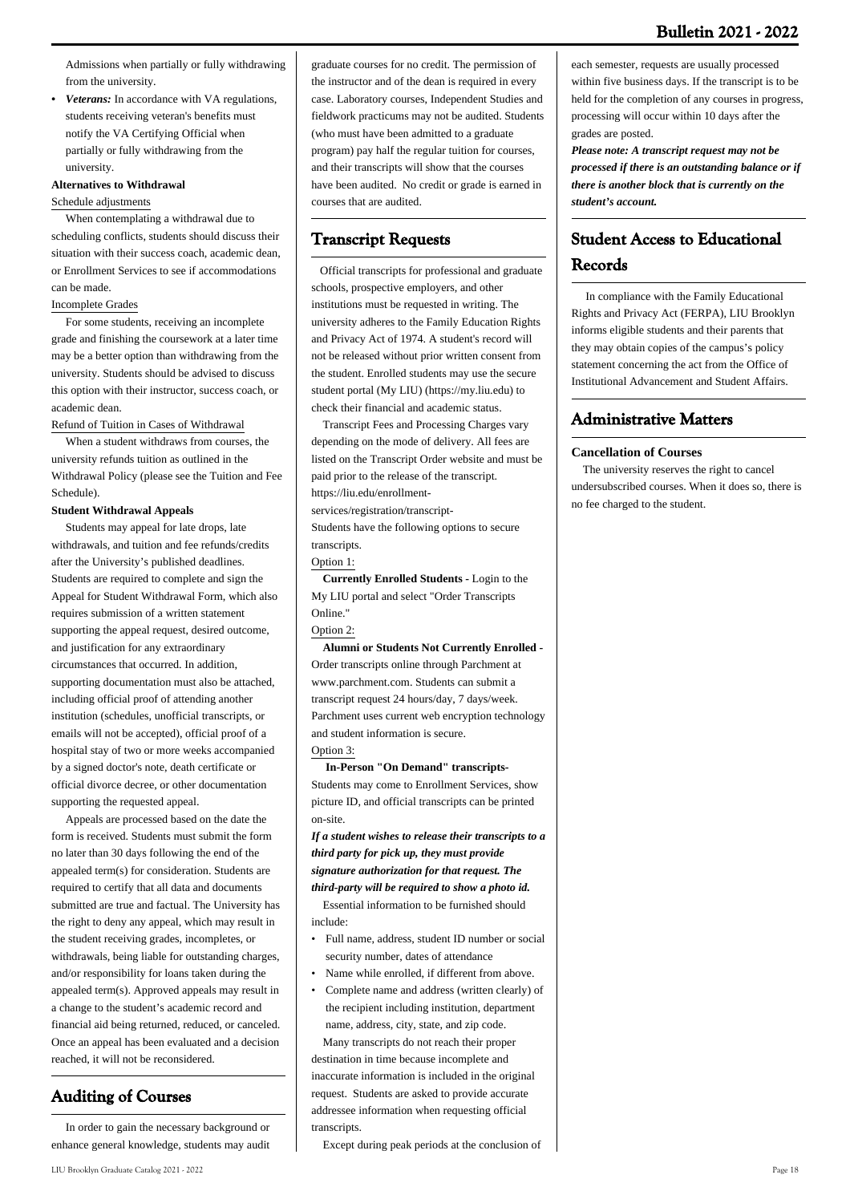Admissions when partially or fully withdrawing from the university.

*Veterans:* In accordance with VA regulations, students receiving veteran's benefits must notify the VA Certifying Official when partially or fully withdrawing from the university. *•*

#### **Alternatives to Withdrawal**

#### Schedule adjustments

 When contemplating a withdrawal due to scheduling conflicts, students should discuss their situation with their success coach, academic dean, or Enrollment Services to see if accommodations can be made.

#### Incomplete Grades

 For some students, receiving an incomplete grade and finishing the coursework at a later time may be a better option than withdrawing from the university. Students should be advised to discuss this option with their instructor, success coach, or academic dean.

#### Refund of Tuition in Cases of Withdrawal

 When a student withdraws from courses, the university refunds tuition as outlined in the Withdrawal Policy (please see the Tuition and Fee Schedule).

#### **Student Withdrawal Appeals**

 Students may appeal for late drops, late withdrawals, and tuition and fee refunds/credits after the University's published deadlines. Students are required to complete and sign the Appeal for Student Withdrawal Form, which also requires submission of a written statement supporting the appeal request, desired outcome, and justification for any extraordinary circumstances that occurred. In addition, supporting documentation must also be attached, including official proof of attending another institution (schedules, unofficial transcripts, or emails will not be accepted), official proof of a hospital stay of two or more weeks accompanied by a signed doctor's note, death certificate or official divorce decree, or other documentation supporting the requested appeal.

 Appeals are processed based on the date the form is received. Students must submit the form no later than 30 days following the end of the appealed term(s) for consideration. Students are required to certify that all data and documents submitted are true and factual. The University has the right to deny any appeal, which may result in the student receiving grades, incompletes, or withdrawals, being liable for outstanding charges, and/or responsibility for loans taken during the appealed term(s). Approved appeals may result in a change to the student's academic record and financial aid being returned, reduced, or canceled. Once an appeal has been evaluated and a decision reached, it will not be reconsidered.

# **Auditing of Courses**

 In order to gain the necessary background or enhance general knowledge, students may audit

graduate courses for no credit. The permission of the instructor and of the dean is required in every case. Laboratory courses, Independent Studies and fieldwork practicums may not be audited. Students (who must have been admitted to a graduate program) pay half the regular tuition for courses, and their transcripts will show that the courses have been audited. No credit or grade is earned in courses that are audited.

# **Transcript Requests**

 Official transcripts for professional and graduate schools, prospective employers, and other institutions must be requested in writing. The university adheres to the Family Education Rights and Privacy Act of 1974. A student's record will not be released without prior written consent from the student. Enrolled students may use the secure student portal (My LIU) (https://my.liu.edu) to check their financial and academic status.

 Transcript Fees and Processing Charges vary depending on the mode of delivery. All fees are listed on the Transcript Order website and must be paid prior to the release of the transcript. https://liu.edu/enrollment-

services/registration/transcript-

Students have the following options to secure transcripts.

#### Option 1:

 **Currently Enrolled Students -** Login to the My LIU portal and select "Order Transcripts Online."

#### Option 2:

 **Alumni or Students Not Currently Enrolled -** Order transcripts online through Parchment at www.parchment.com. Students can submit a transcript request 24 hours/day, 7 days/week. Parchment uses current web encryption technology and student information is secure. Option 3:

 **In-Person "On Demand" transcripts-**Students may come to Enrollment Services, show picture ID, and official transcripts can be printed on-site.

*If a student wishes to release their transcripts to a third party for pick up, they must provide signature authorization for that request. The third-party will be required to show a photo id.* Essential information to be furnished should include:

- Full name, address, student ID number or social security number, dates of attendance •
- Name while enrolled, if different from above.
- Complete name and address (written clearly) of the recipient including institution, department name, address, city, state, and zip code. •

 Many transcripts do not reach their proper destination in time because incomplete and inaccurate information is included in the original request. Students are asked to provide accurate addressee information when requesting official transcripts.

Except during peak periods at the conclusion of

each semester, requests are usually processed within five business days. If the transcript is to be held for the completion of any courses in progress, processing will occur within 10 days after the grades are posted.

*Please note: A transcript request may not be processed if there is an outstanding balance or if there is another block that is currently on the student's account.*

# **Student Access to Educational Records**

 In compliance with the Family Educational Rights and Privacy Act (FERPA), LIU Brooklyn informs eligible students and their parents that they may obtain copies of the campus's policy statement concerning the act from the Office of Institutional Advancement and Student Affairs.

### **Administrative Matters**

#### **Cancellation of Courses**

 The university reserves the right to cancel undersubscribed courses. When it does so, there is no fee charged to the student.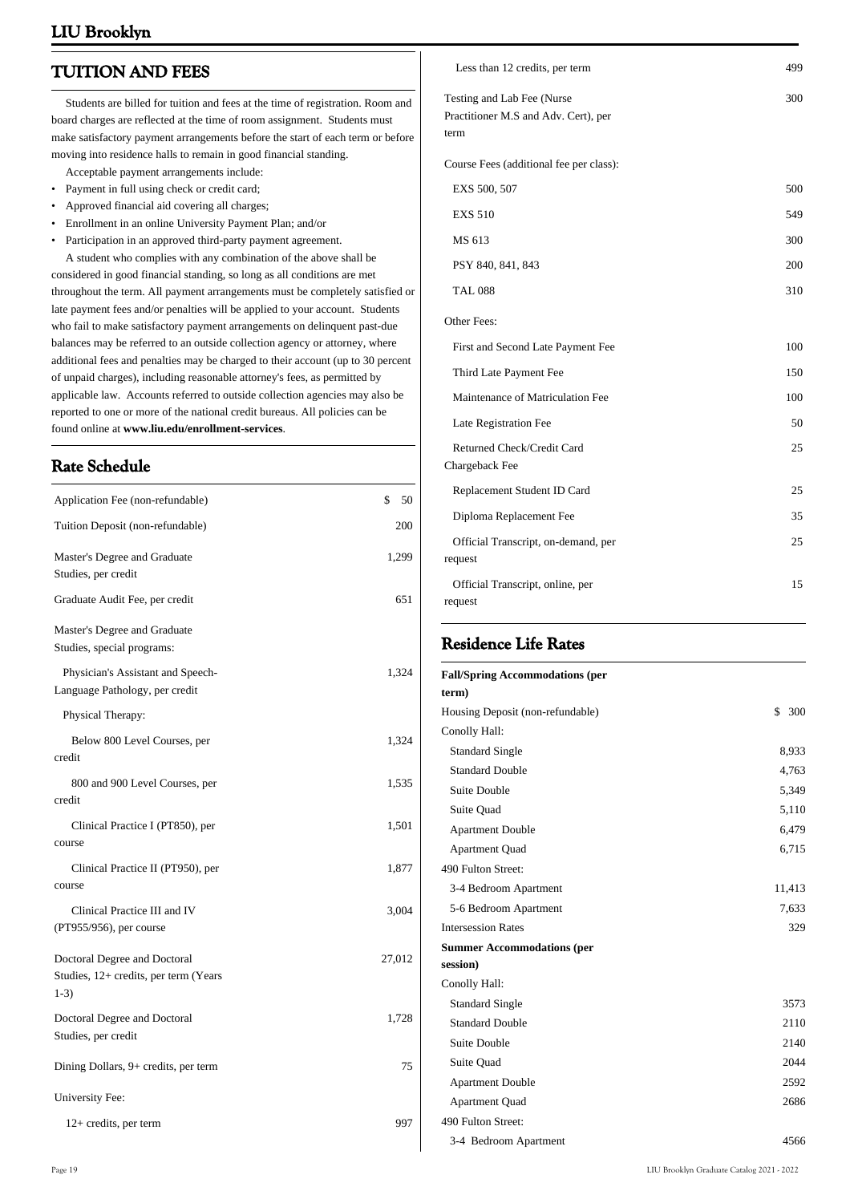# **TUITION AND FEES**

 Students are billed for tuition and fees at the time of registration. Room and board charges are reflected at the time of room assignment. Students must make satisfactory payment arrangements before the start of each term or before moving into residence halls to remain in good financial standing.

- Acceptable payment arrangements include:
- Payment in full using check or credit card; • Approved financial aid covering all charges;
- Enrollment in an online University Payment Plan; and/or
- Participation in an approved third-party payment agreement.

 A student who complies with any combination of the above shall be considered in good financial standing, so long as all conditions are met throughout the term. All payment arrangements must be completely satisfied or late payment fees and/or penalties will be applied to your account. Students who fail to make satisfactory payment arrangements on delinquent past-due balances may be referred to an outside collection agency or attorney, where additional fees and penalties may be charged to their account (up to 30 percent of unpaid charges), including reasonable attorney's fees, as permitted by applicable law. Accounts referred to outside collection agencies may also be reported to one or more of the national credit bureaus. All policies can be found online at **www.liu.edu/enrollment-services**.

# **Rate Schedule**

| Application Fee (non-refundable)                                                | \$<br>50 |
|---------------------------------------------------------------------------------|----------|
| Tuition Deposit (non-refundable)                                                | 200      |
| Master's Degree and Graduate<br>Studies, per credit                             | 1,299    |
| Graduate Audit Fee, per credit                                                  | 651      |
| Master's Degree and Graduate<br>Studies, special programs:                      |          |
| Physician's Assistant and Speech-<br>Language Pathology, per credit             | 1,324    |
| Physical Therapy:                                                               |          |
| Below 800 Level Courses, per<br>credit                                          | 1,324    |
| 800 and 900 Level Courses, per<br>credit                                        | 1,535    |
| Clinical Practice I (PT850), per<br>course                                      | 1,501    |
| Clinical Practice II (PT950), per<br>course                                     | 1,877    |
| Clinical Practice III and IV<br>(PT955/956), per course                         | 3,004    |
| Doctoral Degree and Doctoral<br>Studies, 12+ credits, per term (Years<br>$1-3)$ | 27,012   |
| Doctoral Degree and Doctoral<br>Studies, per credit                             | 1,728    |
| Dining Dollars, 9+ credits, per term                                            | 75       |
| University Fee:                                                                 |          |
| 12+ credits, per term                                                           | 997      |
|                                                                                 |          |

| Less than 12 credits, per term                                             | 499 |
|----------------------------------------------------------------------------|-----|
| Testing and Lab Fee (Nurse<br>Practitioner M.S and Adv. Cert), per<br>term | 300 |
| Course Fees (additional fee per class):                                    |     |
| EXS 500, 507                                                               | 500 |
| <b>EXS 510</b>                                                             | 549 |
| MS 613                                                                     | 300 |
| PSY 840, 841, 843                                                          | 200 |
| <b>TAL 088</b>                                                             | 310 |
| Other Fees:                                                                |     |
| First and Second Late Payment Fee                                          | 100 |
| Third Late Payment Fee                                                     | 150 |
| Maintenance of Matriculation Fee                                           | 100 |
| Late Registration Fee                                                      | 50  |
| Returned Check/Credit Card<br>Chargeback Fee                               | 25  |
| Replacement Student ID Card                                                | 25  |
| Diploma Replacement Fee                                                    | 35  |
| Official Transcript, on-demand, per<br>request                             | 25  |
| Official Transcript, online, per<br>request                                | 15  |

# **Residence Life Rates**

| <b>Fall/Spring Accommodations (per</b> |           |
|----------------------------------------|-----------|
| term)                                  |           |
| Housing Deposit (non-refundable)       | 300<br>\$ |
| Conolly Hall:                          |           |
| <b>Standard Single</b>                 | 8,933     |
| <b>Standard Double</b>                 | 4,763     |
| Suite Double                           | 5,349     |
| Suite Quad                             | 5,110     |
| <b>Apartment Double</b>                | 6,479     |
| <b>Apartment Quad</b>                  | 6,715     |
| 490 Fulton Street:                     |           |
| 3-4 Bedroom Apartment                  | 11,413    |
| 5-6 Bedroom Apartment                  | 7,633     |
| <b>Intersession Rates</b>              | 329       |
| <b>Summer Accommodations (per</b>      |           |
| session)                               |           |
| Conolly Hall:                          |           |
| <b>Standard Single</b>                 | 3573      |
| <b>Standard Double</b>                 | 2110      |
| Suite Double                           | 2140      |
| Suite Quad                             | 2044      |
| <b>Apartment Double</b>                | 2592      |
| <b>Apartment Quad</b>                  | 2686      |
| 490 Fulton Street:                     |           |
| 3-4 Bedroom Apartment                  | 4566      |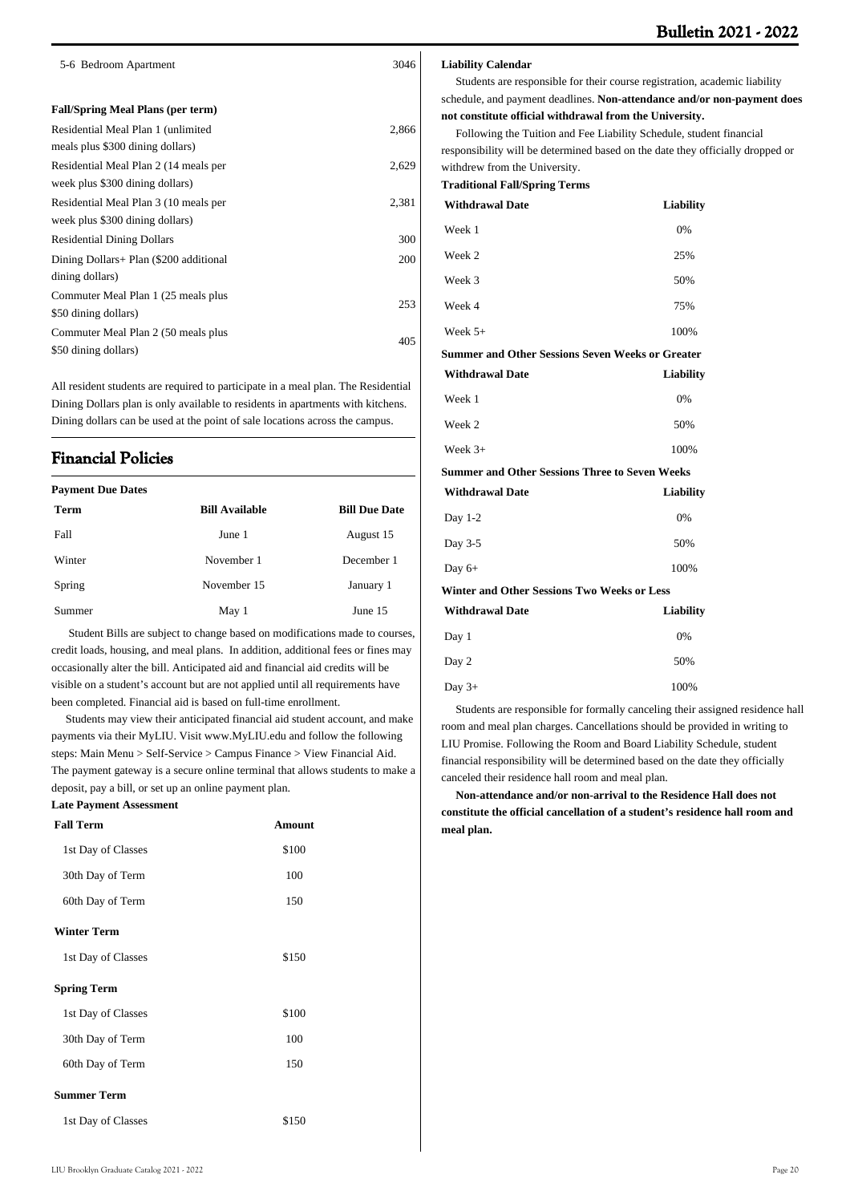| 5-6 Bedroom Apartment                                                    | 3046  |
|--------------------------------------------------------------------------|-------|
| <b>Fall/Spring Meal Plans (per term)</b>                                 |       |
| Residential Meal Plan 1 (unlimited<br>meals plus \$300 dining dollars)   | 2,866 |
| Residential Meal Plan 2 (14 meals per<br>week plus \$300 dining dollars) | 2,629 |
| Residential Meal Plan 3 (10 meals per<br>week plus \$300 dining dollars) | 2,381 |
| <b>Residential Dining Dollars</b>                                        | 300   |
| Dining Dollars+ Plan (\$200 additional<br>dining dollars)                | 200   |
| Commuter Meal Plan 1 (25 meals plus<br>\$50 dining dollars)              | 253   |
| Commuter Meal Plan 2 (50 meals plus<br>\$50 dining dollars)              | 405   |
|                                                                          |       |

All resident students are required to participate in a meal plan. The Residential Dining Dollars plan is only available to residents in apartments with kitchens. Dining dollars can be used at the point of sale locations across the campus.

# **Financial Policies**

| <b>Payment Due Dates</b> |                       |                      |  |
|--------------------------|-----------------------|----------------------|--|
| <b>Term</b>              | <b>Bill Available</b> | <b>Bill Due Date</b> |  |
| Fall                     | June 1                | August 15            |  |
| Winter                   | November 1            | December 1           |  |
| Spring                   | November 15           | January 1            |  |
| Summer                   | May 1                 | June 15              |  |

 Student Bills are subject to change based on modifications made to courses, credit loads, housing, and meal plans. In addition, additional fees or fines may occasionally alter the bill. Anticipated aid and financial aid credits will be visible on a student's account but are not applied until all requirements have been completed. Financial aid is based on full-time enrollment.

 Students may view their anticipated financial aid student account, and make payments via their MyLIU. Visit [www.MyLIU.edu](http://www.MyLIU.edu) and follow the following steps: Main Menu > Self-Service > Campus Finance > View Financial Aid. The payment gateway is a secure online terminal that allows students to make a deposit, pay a bill, or set up an online payment plan.

#### **Late Payment Assessment**

| <b>Fall Term</b>   | <b>Amount</b> |
|--------------------|---------------|
| 1st Day of Classes | \$100         |
| 30th Day of Term   | 100           |
| 60th Day of Term   | 150           |
| <b>Winter Term</b> |               |
| 1st Day of Classes | \$150         |
| <b>Spring Term</b> |               |
| 1st Day of Classes | \$100         |
| 30th Day of Term   | 100           |
| 60th Day of Term   | 150           |
| <b>Summer Term</b> |               |
| 1st Day of Classes | \$150         |

#### **Liability Calendar**

 Students are responsible for their course registration, academic liability schedule, and payment deadlines. **Non-attendance and/or non-payment does not constitute official withdrawal from the University.**

 Following the Tuition and Fee Liability Schedule, student financial responsibility will be determined based on the date they officially dropped or withdrew from the University.

**Traditional Fall/Spring Terms**

| <b>Withdrawal Date</b>                                | <b>Liability</b> |
|-------------------------------------------------------|------------------|
| Week 1                                                | 0%               |
| Week 2                                                | 25%              |
| Week 3                                                | 50%              |
| Week 4                                                | 75%              |
| Week $5+$                                             | 100%             |
| Summer and Other Sessions Seven Weeks or Greater      |                  |
| <b>Withdrawal Date</b>                                | Liability        |
| Week 1                                                | 0%               |
| Week 2                                                | 50%              |
| Week $3+$                                             | 100%             |
| <b>Summer and Other Sessions Three to Seven Weeks</b> |                  |
| <b>Withdrawal Date</b>                                | <b>Liability</b> |
| Day $1-2$                                             | 0%               |
| Day 3-5                                               | 50%              |
| Day $6+$                                              | 100%             |
| Winter and Other Sessions Two Weeks or Less           |                  |
| <b>Withdrawal Date</b>                                | <b>Liability</b> |
| Day 1                                                 | 0%               |
| Day 2                                                 | 50%              |
| Day $3+$                                              | 100%             |

 Students are responsible for formally canceling their assigned residence hall room and meal plan charges. Cancellations should be provided in writing to LIU Promise. Following the Room and Board Liability Schedule, student financial responsibility will be determined based on the date they officially canceled their residence hall room and meal plan.

 **Non-attendance and/or non-arrival to the Residence Hall does not constitute the official cancellation of a student's residence hall room and meal plan.**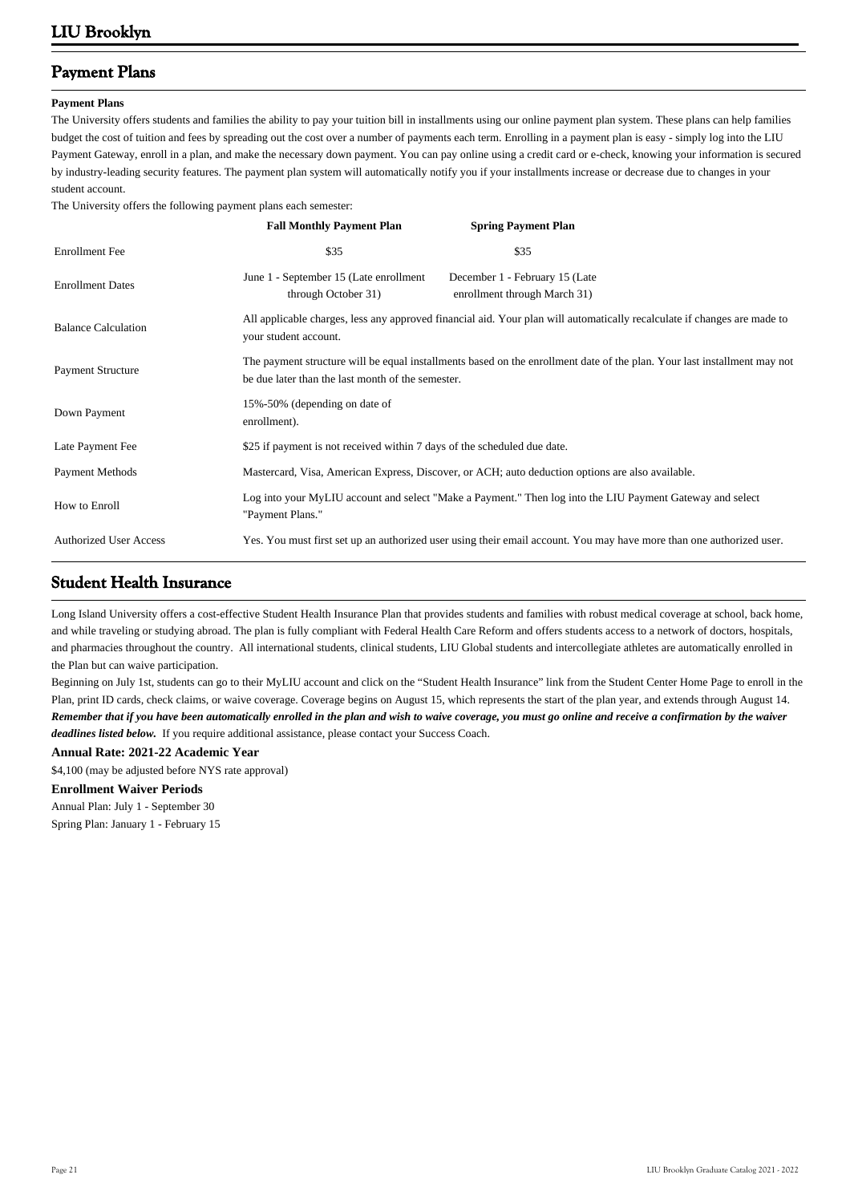# **Payment Plans**

#### **Payment Plans**

The University offers students and families the ability to pay your tuition bill in installments using our online payment plan system. These plans can help families budget the cost of tuition and fees by spreading out the cost over a number of payments each term. Enrolling in a payment plan is easy - simply log into the LIU Payment Gateway, enroll in a plan, and make the necessary down payment. You can pay online using a credit card or e-check, knowing your information is secured by industry-leading security features. The payment plan system will automatically notify you if your installments increase or decrease due to changes in your student account.

The University offers the following payment plans each semester:

|                               | <b>Fall Monthly Payment Plan</b>                                         | <b>Spring Payment Plan</b>                                                                                               |
|-------------------------------|--------------------------------------------------------------------------|--------------------------------------------------------------------------------------------------------------------------|
| <b>Enrollment</b> Fee         | \$35                                                                     | \$35                                                                                                                     |
| <b>Enrollment Dates</b>       | June 1 - September 15 (Late enrollment<br>through October 31)            | December 1 - February 15 (Late<br>enrollment through March 31)                                                           |
| <b>Balance Calculation</b>    | your student account.                                                    | All applicable charges, less any approved financial aid. Your plan will automatically recalculate if changes are made to |
| <b>Payment Structure</b>      | be due later than the last month of the semester.                        | The payment structure will be equal installments based on the enrollment date of the plan. Your last installment may not |
| Down Payment                  | 15%-50% (depending on date of<br>enrollment).                            |                                                                                                                          |
| Late Payment Fee              | \$25 if payment is not received within 7 days of the scheduled due date. |                                                                                                                          |
| Payment Methods               |                                                                          | Mastercard, Visa, American Express, Discover, or ACH; auto deduction options are also available.                         |
| How to Enroll                 | "Payment Plans."                                                         | Log into your MyLIU account and select "Make a Payment." Then log into the LIU Payment Gateway and select                |
| <b>Authorized User Access</b> |                                                                          | Yes. You must first set up an authorized user using their email account. You may have more than one authorized user.     |

### **Student Health Insurance**

Long Island University offers a cost-effective Student Health Insurance Plan that provides students and families with robust medical coverage at school, back home, and while traveling or studying abroad. The plan is fully compliant with Federal Health Care Reform and offers students access to a network of doctors, hospitals, and pharmacies throughout the country. All international students, clinical students, LIU Global students and intercollegiate athletes are automatically enrolled in the Plan but can waive participation.

Beginning on July 1st, students can go to their MyLIU account and click on the "Student Health Insurance" link from the Student Center Home Page to enroll in the Plan, print ID cards, check claims, or waive coverage. Coverage begins on August 15, which represents the start of the plan year, and extends through August 14. *Remember that if you have been automatically enrolled in the plan and wish to waive coverage, you must go online and receive a confirmation by the waiver deadlines listed below.* If you require additional assistance, please contact your Success Coach.

#### **Annual Rate: 2021-22 Academic Year**

\$4,100 (may be adjusted before NYS rate approval)

#### **Enrollment Waiver Periods**

Annual Plan: July 1 - September 30 Spring Plan: January 1 - February 15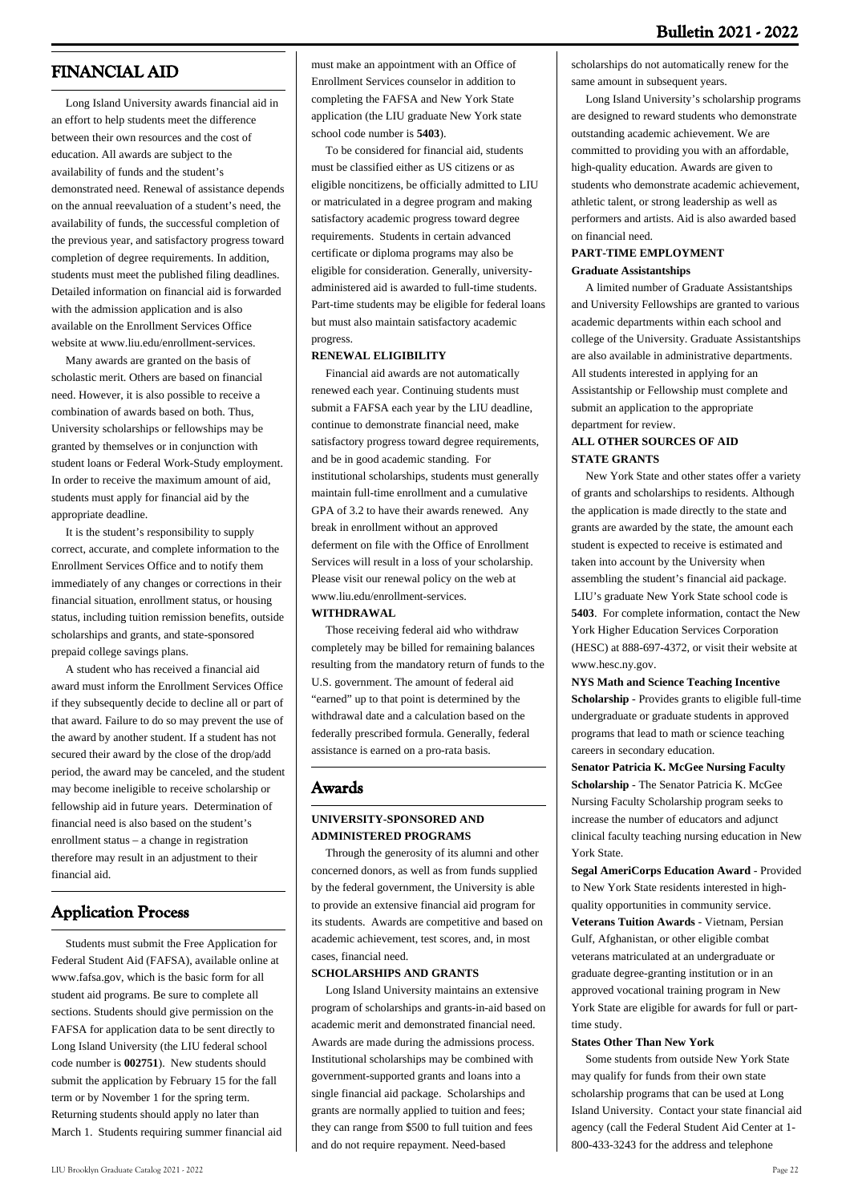# **FINANCIAL AID**

 Long Island University awards financial aid in an effort to help students meet the difference between their own resources and the cost of education. All awards are subject to the availability of funds and the student's demonstrated need. Renewal of assistance depends on the annual reevaluation of a student's need, the availability of funds, the successful completion of the previous year, and satisfactory progress toward completion of degree requirements. In addition, students must meet the published filing deadlines. Detailed information on financial aid is forwarded with the admission application and is also available on the Enrollment Services Office website at [www.liu.edu/enrollment-services.](http://www.liu.edu/enrollment-services)

 Many awards are granted on the basis of scholastic merit. Others are based on financial need. However, it is also possible to receive a combination of awards based on both. Thus, University scholarships or fellowships may be granted by themselves or in conjunction with student loans or Federal Work-Study employment. In order to receive the maximum amount of aid, students must apply for financial aid by the appropriate deadline.

 It is the student's responsibility to supply correct, accurate, and complete information to the Enrollment Services Office and to notify them immediately of any changes or corrections in their financial situation, enrollment status, or housing status, including tuition remission benefits, outside scholarships and grants, and state-sponsored prepaid college savings plans.

 A student who has received a financial aid award must inform the Enrollment Services Office if they subsequently decide to decline all or part of that award. Failure to do so may prevent the use of the award by another student. If a student has not secured their award by the close of the drop/add period, the award may be canceled, and the student may become ineligible to receive scholarship or fellowship aid in future years. Determination of financial need is also based on the student's enrollment status – a change in registration therefore may result in an adjustment to their financial aid.

### **Application Process**

 Students must submit the Free Application for Federal Student Aid (FAFSA), available online at [www.fafsa.gov,](http://www.fafsa.gov) which is the basic form for all student aid programs. Be sure to complete all sections. Students should give permission on the FAFSA for application data to be sent directly to Long Island University (the LIU federal school code number is **002751**). New students should submit the application by February 15 for the fall term or by November 1 for the spring term. Returning students should apply no later than March 1. Students requiring summer financial aid must make an appointment with an Office of Enrollment Services counselor in addition to completing the FAFSA and New York State application (the LIU graduate New York state school code number is **5403**).

 To be considered for financial aid, students must be classified either as US citizens or as eligible noncitizens, be officially admitted to LIU or matriculated in a degree program and making satisfactory academic progress toward degree requirements. Students in certain advanced certificate or diploma programs may also be eligible for consideration. Generally, universityadministered aid is awarded to full-time students. Part-time students may be eligible for federal loans but must also maintain satisfactory academic progress.

#### **RENEWAL ELIGIBILITY**

 Financial aid awards are not automatically renewed each year. Continuing students must submit a FAFSA each year by the LIU deadline, continue to demonstrate financial need, make satisfactory progress toward degree requirements, and be in good academic standing. For institutional scholarships, students must generally maintain full-time enrollment and a cumulative GPA of 3.2 to have their awards renewed. Any break in enrollment without an approved deferment on file with the Office of Enrollment Services will result in a loss of your scholarship. Please visit our renewal policy on the web at www.liu.edu/enrollment-services.

#### **WITHDRAWAL**

 Those receiving federal aid who withdraw completely may be billed for remaining balances resulting from the mandatory return of funds to the U.S. government. The amount of federal aid "earned" up to that point is determined by the withdrawal date and a calculation based on the federally prescribed formula. Generally, federal assistance is earned on a pro-rata basis.

#### **Awards**

#### **UNIVERSITY-SPONSORED AND ADMINISTERED PROGRAMS**

 Through the generosity of its alumni and other concerned donors, as well as from funds supplied by the federal government, the University is able to provide an extensive financial aid program for its students. Awards are competitive and based on academic achievement, test scores, and, in most cases, financial need.

#### **SCHOLARSHIPS AND GRANTS**

 Long Island University maintains an extensive program of scholarships and grants-in-aid based on academic merit and demonstrated financial need. Awards are made during the admissions process. Institutional scholarships may be combined with government-supported grants and loans into a single financial aid package. Scholarships and grants are normally applied to tuition and fees; they can range from \$500 to full tuition and fees and do not require repayment. Need-based

scholarships do not automatically renew for the same amount in subsequent years.

 Long Island University's scholarship programs are designed to reward students who demonstrate outstanding academic achievement. We are committed to providing you with an affordable, high-quality education. Awards are given to students who demonstrate academic achievement, athletic talent, or strong leadership as well as performers and artists. Aid is also awarded based on financial need.

#### **PART-TIME EMPLOYMENT Graduate Assistantships**

 A limited number of Graduate Assistantships and University Fellowships are granted to various academic departments within each school and college of the University. Graduate Assistantships are also available in administrative departments. All students interested in applying for an Assistantship or Fellowship must complete and submit an application to the appropriate department for review.

#### **ALL OTHER SOURCES OF AID STATE GRANTS**

 New York State and other states offer a variety of grants and scholarships to residents. Although the application is made directly to the state and grants are awarded by the state, the amount each student is expected to receive is estimated and taken into account by the University when assembling the student's financial aid package. LIU's graduate New York State school code is **5403**. For complete information, contact the New York Higher Education Services Corporation (HESC) at 888-697-4372, or visit their website at [www.hesc.ny.gov.](http://www.hesc.ny.gov)

**NYS Math and Science Teaching Incentive Scholarship** - Provides grants to eligible full-time undergraduate or graduate students in approved programs that lead to math or science teaching careers in secondary education.

**Senator Patricia K. McGee Nursing Faculty Scholarship** - The Senator Patricia K. McGee Nursing Faculty Scholarship program seeks to increase the number of educators and adjunct clinical faculty teaching nursing education in New York State.

**Segal AmeriCorps Education Award** - Provided to New York State residents interested in highquality opportunities in community service. **Veterans Tuition Awards** - Vietnam, Persian Gulf, Afghanistan, or other eligible combat veterans matriculated at an undergraduate or graduate degree-granting institution or in an approved vocational training program in New York State are eligible for awards for full or parttime study.

#### **States Other Than New York**

 Some students from outside New York State may qualify for funds from their own state scholarship programs that can be used at Long Island University. Contact your state financial aid agency (call the Federal Student Aid Center at 1- 800-433-3243 for the address and telephone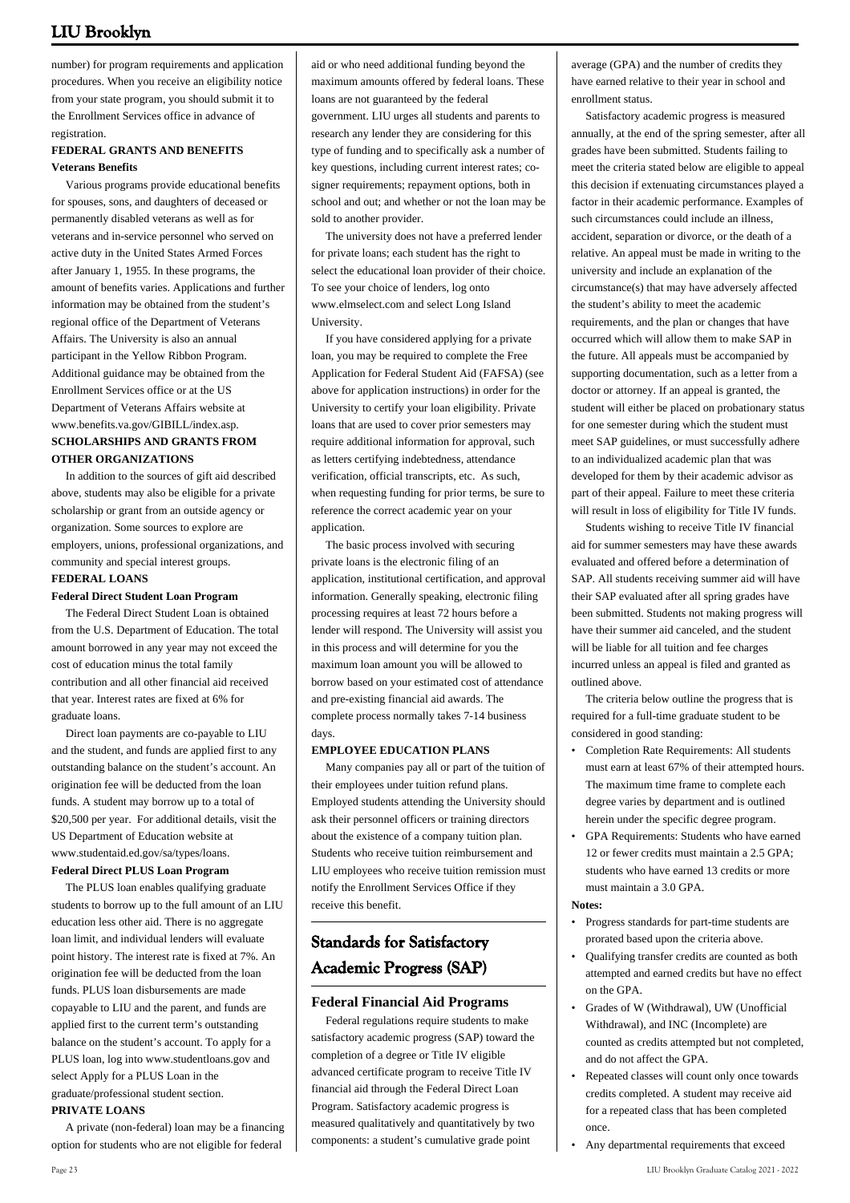number) for program requirements and application procedures. When you receive an eligibility notice from your state program, you should submit it to the Enrollment Services office in advance of registration.

### **FEDERAL GRANTS AND BENEFITS Veterans Benefits**

 Various programs provide educational benefits for spouses, sons, and daughters of deceased or permanently disabled veterans as well as for veterans and in-service personnel who served on active duty in the United States Armed Forces after January 1, 1955. In these programs, the amount of benefits varies. Applications and further information may be obtained from the student's regional office of the Department of Veterans Affairs. The University is also an annual participant in the Yellow Ribbon Program. Additional guidance may be obtained from the Enrollment Services office or at the US Department of Veterans Affairs website at [www.benefits.va.gov/GIBILL/index.asp](http://www.benefits.va.gov/GIBILL/index.asp). **SCHOLARSHIPS AND GRANTS FROM OTHER ORGANIZATIONS**

 In addition to the sources of gift aid described above, students may also be eligible for a private scholarship or grant from an outside agency or organization. Some sources to explore are employers, unions, professional organizations, and community and special interest groups. **FEDERAL LOANS**

#### **Federal Direct Student Loan Program**

 The Federal Direct Student Loan is obtained from the U.S. Department of Education. The total amount borrowed in any year may not exceed the cost of education minus the total family contribution and all other financial aid received that year. Interest rates are fixed at 6% for graduate loans.

 Direct loan payments are co-payable to LIU and the student, and funds are applied first to any outstanding balance on the student's account. An origination fee will be deducted from the loan funds. A student may borrow up to a total of \$20,500 per year. For additional details, visit the US Department of Education website at [www.studentaid.ed.gov/sa/types/loans.](http://www.studentaid.ed.gov/sa/types/loans) **Federal Direct PLUS Loan Program**

 The PLUS loan enables qualifying graduate students to borrow up to the full amount of an LIU education less other aid. There is no aggregate loan limit, and individual lenders will evaluate point history. The interest rate is fixed at 7%. An origination fee will be deducted from the loan funds. PLUS loan disbursements are made copayable to LIU and the parent, and funds are applied first to the current term's outstanding balance on the student's account. To apply for a PLUS loan, log into [www.studentloans.gov](http://www.studentloans.gov) and select Apply for a PLUS Loan in the graduate/professional student section.

#### **PRIVATE LOANS**

 A private (non-federal) loan may be a financing option for students who are not eligible for federal

aid or who need additional funding beyond the maximum amounts offered by federal loans. These loans are not guaranteed by the federal government. LIU urges all students and parents to research any lender they are considering for this type of funding and to specifically ask a number of key questions, including current interest rates; cosigner requirements; repayment options, both in school and out; and whether or not the loan may be sold to another provider.

 The university does not have a preferred lender for private loans; each student has the right to select the educational loan provider of their choice. To see your choice of lenders, log onto [www.elmselect.com](http://www.elmselect.com) and select Long Island University.

 If you have considered applying for a private loan, you may be required to complete the Free Application for Federal Student Aid (FAFSA) (see above for application instructions) in order for the University to certify your loan eligibility. Private loans that are used to cover prior semesters may require additional information for approval, such as letters certifying indebtedness, attendance verification, official transcripts, etc. As such, when requesting funding for prior terms, be sure to reference the correct academic year on your application.

 The basic process involved with securing private loans is the electronic filing of an application, institutional certification, and approval information. Generally speaking, electronic filing processing requires at least 72 hours before a lender will respond. The University will assist you in this process and will determine for you the maximum loan amount you will be allowed to borrow based on your estimated cost of attendance and pre-existing financial aid awards. The complete process normally takes 7-14 business days.

#### **EMPLOYEE EDUCATION PLANS**

 Many companies pay all or part of the tuition of their employees under tuition refund plans. Employed students attending the University should ask their personnel officers or training directors about the existence of a company tuition plan. Students who receive tuition reimbursement and LIU employees who receive tuition remission must notify the Enrollment Services Office if they receive this benefit.

# **Standards for Satisfactory Academic Progress (SAP)**

#### **Federal Financial Aid Programs**

 Federal regulations require students to make satisfactory academic progress (SAP) toward the completion of a degree or Title IV eligible advanced certificate program to receive Title IV financial aid through the Federal Direct Loan Program. Satisfactory academic progress is measured qualitatively and quantitatively by two components: a student's cumulative grade point

average (GPA) and the number of credits they have earned relative to their year in school and enrollment status.

 Satisfactory academic progress is measured annually, at the end of the spring semester, after all grades have been submitted. Students failing to meet the criteria stated below are eligible to appeal this decision if extenuating circumstances played a factor in their academic performance. Examples of such circumstances could include an illness, accident, separation or divorce, or the death of a relative. An appeal must be made in writing to the university and include an explanation of the circumstance(s) that may have adversely affected the student's ability to meet the academic requirements, and the plan or changes that have occurred which will allow them to make SAP in the future. All appeals must be accompanied by supporting documentation, such as a letter from a doctor or attorney. If an appeal is granted, the student will either be placed on probationary status for one semester during which the student must meet SAP guidelines, or must successfully adhere to an individualized academic plan that was developed for them by their academic advisor as part of their appeal. Failure to meet these criteria will result in loss of eligibility for Title IV funds.

 Students wishing to receive Title IV financial aid for summer semesters may have these awards evaluated and offered before a determination of SAP. All students receiving summer aid will have their SAP evaluated after all spring grades have been submitted. Students not making progress will have their summer aid canceled, and the student will be liable for all tuition and fee charges incurred unless an appeal is filed and granted as outlined above.

 The criteria below outline the progress that is required for a full-time graduate student to be considered in good standing:

- Completion Rate Requirements: All students must earn at least 67% of their attempted hours. The maximum time frame to complete each degree varies by department and is outlined herein under the specific degree program.
- GPA Requirements: Students who have earned 12 or fewer credits must maintain a 2.5 GPA; students who have earned 13 credits or more must maintain a 3.0 GPA.

#### **Notes:**

- Progress standards for part-time students are prorated based upon the criteria above. •
- Qualifying transfer credits are counted as both attempted and earned credits but have no effect on the GPA. •
- Grades of W (Withdrawal), UW (Unofficial Withdrawal), and INC (Incomplete) are counted as credits attempted but not completed, and do not affect the GPA.
- Repeated classes will count only once towards credits completed. A student may receive aid for a repeated class that has been completed once. •
- Any departmental requirements that exceed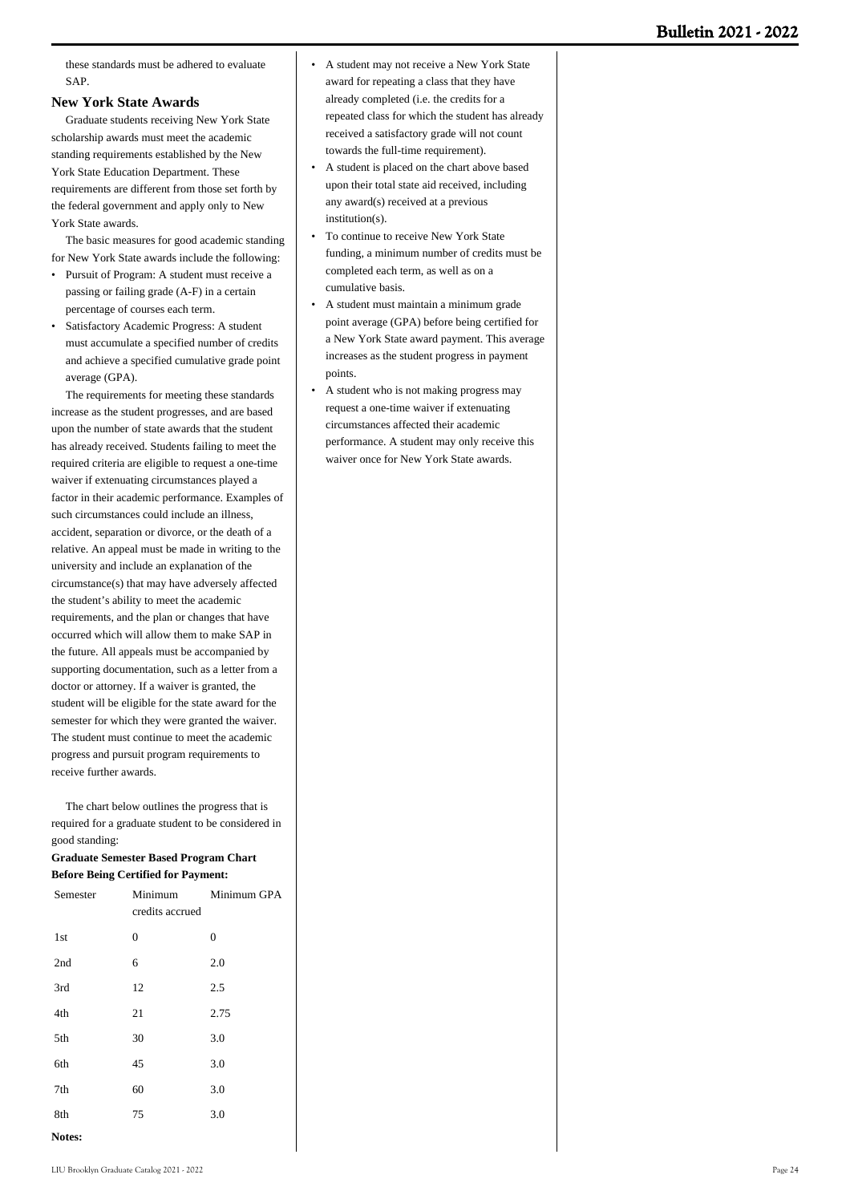these standards must be adhered to evaluate SAP.

#### **New York State Awards**

 Graduate students receiving New York State scholarship awards must meet the academic standing requirements established by the New York State Education Department. These requirements are different from those set forth by the federal government and apply only to New York State awards.

 The basic measures for good academic standing for New York State awards include the following:

- Pursuit of Program: A student must receive a passing or failing grade (A-F) in a certain percentage of courses each term.
- Satisfactory Academic Progress: A student must accumulate a specified number of credits and achieve a specified cumulative grade point average (GPA).

 The requirements for meeting these standards increase as the student progresses, and are based upon the number of state awards that the student has already received. Students failing to meet the required criteria are eligible to request a one-time waiver if extenuating circumstances played a factor in their academic performance. Examples of such circumstances could include an illness, accident, separation or divorce, or the death of a relative. An appeal must be made in writing to the university and include an explanation of the circumstance(s) that may have adversely affected the student's ability to meet the academic requirements, and the plan or changes that have occurred which will allow them to make SAP in the future. All appeals must be accompanied by supporting documentation, such as a letter from a doctor or attorney. If a waiver is granted, the student will be eligible for the state award for the semester for which they were granted the waiver. The student must continue to meet the academic progress and pursuit program requirements to receive further awards.

 The chart below outlines the progress that is required for a graduate student to be considered in good standing:

#### **Graduate Semester Based Program Chart Before Being Certified for Payment:**

| Semester        | Minimum<br>credits accrued | Minimum GPA |
|-----------------|----------------------------|-------------|
| 1 <sub>st</sub> | $\boldsymbol{0}$           | 0           |
| 2nd             | 6                          | 2.0         |
| 3rd             | 12                         | 2.5         |
| 4th             | 21                         | 2.75        |
| 5th             | 30                         | 3.0         |
| 6th             | 45                         | 3.0         |
| 7th             | 60                         | 3.0         |
| 8th             | 75                         | 3.0         |
| Notes:          |                            |             |

- A student may not receive a New York State award for repeating a class that they have already completed (i.e. the credits for a repeated class for which the student has already received a satisfactory grade will not count towards the full-time requirement). •
- A student is placed on the chart above based upon their total state aid received, including any award(s) received at a previous institution(s). •
- To continue to receive New York State funding, a minimum number of credits must be completed each term, as well as on a cumulative basis. •
- A student must maintain a minimum grade point average (GPA) before being certified for a New York State award payment. This average increases as the student progress in payment points. •
- A student who is not making progress may request a one-time waiver if extenuating circumstances affected their academic performance. A student may only receive this waiver once for New York State awards. •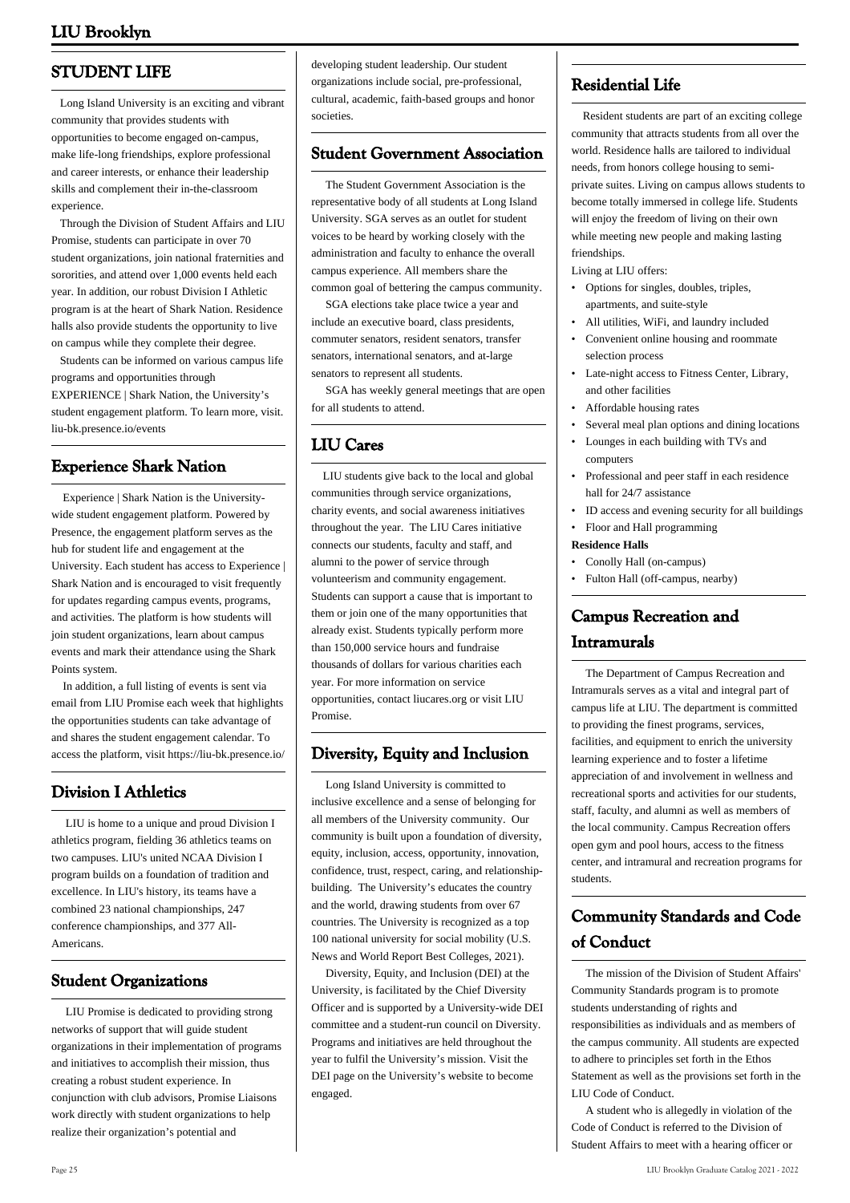# **STUDENT LIFE**

 Long Island University is an exciting and vibrant community that provides students with opportunities to become engaged on-campus, make life-long friendships, explore professional and career interests, or enhance their leadership skills and complement their in-the-classroom experience.

 Through the Division of Student Affairs and LIU Promise, students can participate in over 70 student organizations, join national fraternities and sororities, and attend over 1,000 events held each year. In addition, our robust Division I Athletic program is at the heart of Shark Nation. Residence halls also provide students the opportunity to live on campus while they complete their degree.

 Students can be informed on various campus life programs and opportunities through EXPERIENCE | Shark Nation, the University's student engagement platform. To learn more, visit. liu-bk.presence.io/events

### **Experience Shark Nation**

 Experience | Shark Nation is the Universitywide student engagement platform. Powered by Presence, the engagement platform serves as the hub for student life and engagement at the University. Each student has access to Experience | Shark Nation and is encouraged to visit frequently for updates regarding campus events, programs, and activities. The platform is how students will join student organizations, learn about campus events and mark their attendance using the Shark Points system.

 In addition, a full listing of events is sent via email from LIU Promise each week that highlights the opportunities students can take advantage of and shares the student engagement calendar. To access the platform, visit https://liu-bk.presence.io/

# **Division I Athletics**

 LIU is home to a unique and proud Division I athletics program, fielding 36 athletics teams on two campuses. LIU's united NCAA Division I program builds on a foundation of tradition and excellence. In LIU's history, its teams have a combined 23 national championships, 247 conference championships, and 377 All-Americans.

### **Student Organizations**

 LIU Promise is dedicated to providing strong networks of support that will guide student organizations in their implementation of programs and initiatives to accomplish their mission, thus creating a robust student experience. In conjunction with club advisors, Promise Liaisons work directly with student organizations to help realize their organization's potential and

developing student leadership. Our student organizations include social, pre-professional, cultural, academic, faith-based groups and honor societies.

### **Student Government Association**

 The Student Government Association is the representative body of all students at Long Island University. SGA serves as an outlet for student voices to be heard by working closely with the administration and faculty to enhance the overall campus experience. All members share the common goal of bettering the campus community.

 SGA elections take place twice a year and include an executive board, class presidents, commuter senators, resident senators, transfer senators, international senators, and at-large senators to represent all students.

 SGA has weekly general meetings that are open for all students to attend.

### **LIU Cares**

 LIU students give back to the local and global communities through service organizations, charity events, and social awareness initiatives throughout the year. The LIU Cares initiative connects our students, faculty and staff, and alumni to the power of service through volunteerism and community engagement. Students can support a cause that is important to them or join one of the many opportunities that already exist. Students typically perform more than 150,000 service hours and fundraise thousands of dollars for various charities each year. For more information on service opportunities, contact liucares.org or visit LIU Promise.

### **Diversity, Equity and Inclusion**

 Long Island University is committed to inclusive excellence and a sense of belonging for all members of the University community. Our community is built upon a foundation of diversity, equity, inclusion, access, opportunity, innovation, confidence, trust, respect, caring, and relationshipbuilding. The University's educates the country and the world, drawing students from over 67 countries. The University is recognized as a top 100 national university for social mobility (U.S. News and World Report Best Colleges, 2021).

 Diversity, Equity, and Inclusion (DEI) at the University, is facilitated by the Chief Diversity Officer and is supported by a University-wide DEI committee and a student-run council on Diversity. Programs and initiatives are held throughout the year to fulfil the University's mission. Visit the DEI page on the University's website to become engaged.

# **Residential Life**

 Resident students are part of an exciting college community that attracts students from all over the world. Residence halls are tailored to individual needs, from honors college housing to semiprivate suites. Living on campus allows students to become totally immersed in college life. Students will enjoy the freedom of living on their own while meeting new people and making lasting friendships.

Living at LIU offers:

- Options for singles, doubles, triples, apartments, and suite-style •
- All utilities, WiFi, and laundry included
- Convenient online housing and roommate selection process •
- Late-night access to Fitness Center, Library, and other facilities
- Affordable housing rates
- Several meal plan options and dining locations
- Lounges in each building with TVs and computers •
- Professional and peer staff in each residence hall for 24/7 assistance •
- ID access and evening security for all buildings
- Floor and Hall programming

#### **Residence Halls**

- Conolly Hall (on-campus)
- Fulton Hall (off-campus, nearby)

# **Campus Recreation and Intramurals**

 The Department of Campus Recreation and Intramurals serves as a vital and integral part of campus life at LIU. The department is committed to providing the finest programs, services, facilities, and equipment to enrich the university learning experience and to foster a lifetime appreciation of and involvement in wellness and recreational sports and activities for our students, staff, faculty, and alumni as well as members of the local community. Campus Recreation offers open gym and pool hours, access to the fitness center, and intramural and recreation programs for students.

# **Community Standards and Code of Conduct**

 The mission of the Division of Student Affairs' Community Standards program is to promote students understanding of rights and responsibilities as individuals and as members of the campus community. All students are expected to adhere to principles set forth in the Ethos Statement as well as the provisions set forth in the LIU Code of Conduct.

 A student who is allegedly in violation of the Code of Conduct is referred to the Division of Student Affairs to meet with a hearing officer or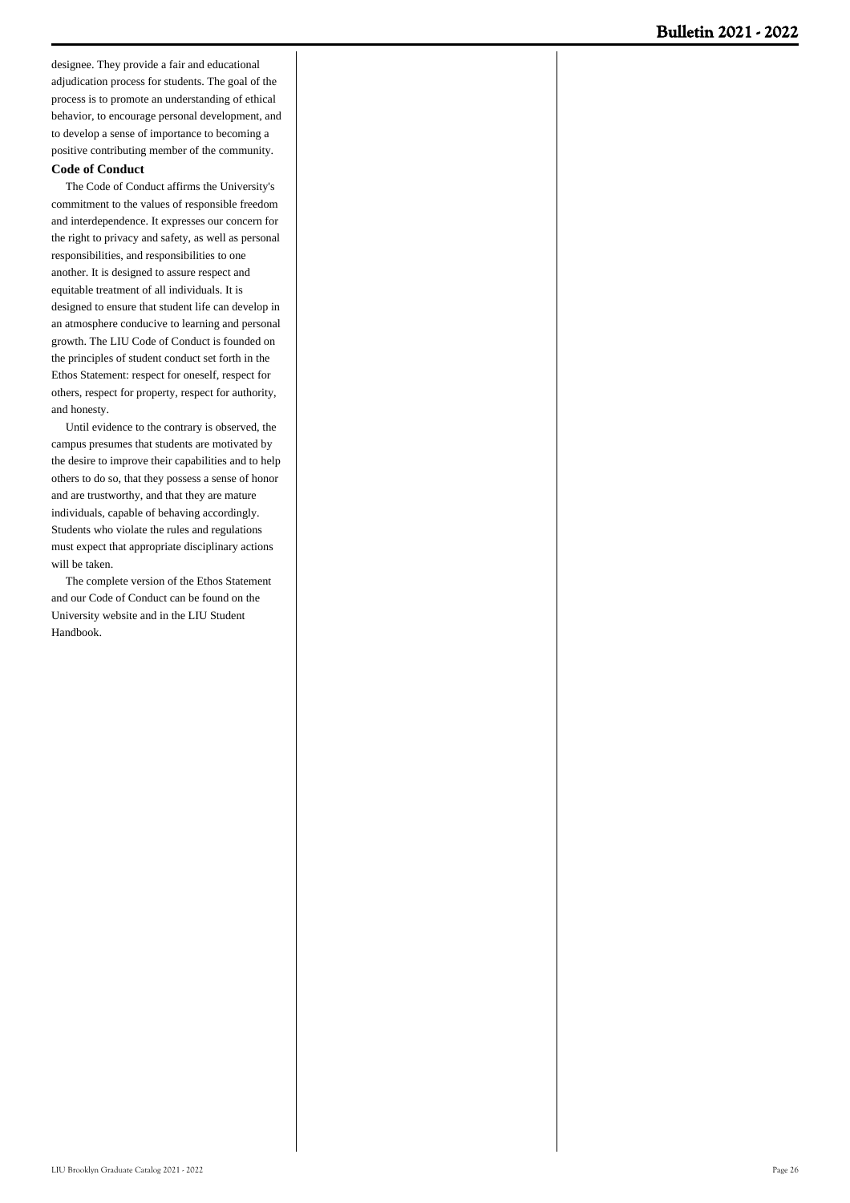designee. They provide a fair and educational adjudication process for students. The goal of the process is to promote an understanding of ethical behavior, to encourage personal development, and to develop a sense of importance to becoming a positive contributing member of the community.

#### **Code of Conduct**

 The Code of Conduct affirms the University's commitment to the values of responsible freedom and interdependence. It expresses our concern for the right to privacy and safety, as well as personal responsibilities, and responsibilities to one another. It is designed to assure respect and equitable treatment of all individuals. It is designed to ensure that student life can develop in an atmosphere conducive to learning and personal growth. The LIU Code of Conduct is founded on the principles of student conduct set forth in the Ethos Statement: respect for oneself, respect for others, respect for property, respect for authority, and honesty.

 Until evidence to the contrary is observed, the campus presumes that students are motivated by the desire to improve their capabilities and to help others to do so, that they possess a sense of honor and are trustworthy, and that they are mature individuals, capable of behaving accordingly. Students who violate the rules and regulations must expect that appropriate disciplinary actions will be taken.

 The complete version of the Ethos Statement and our Code of Conduct can be found on the University website and in the LIU Student Handbook.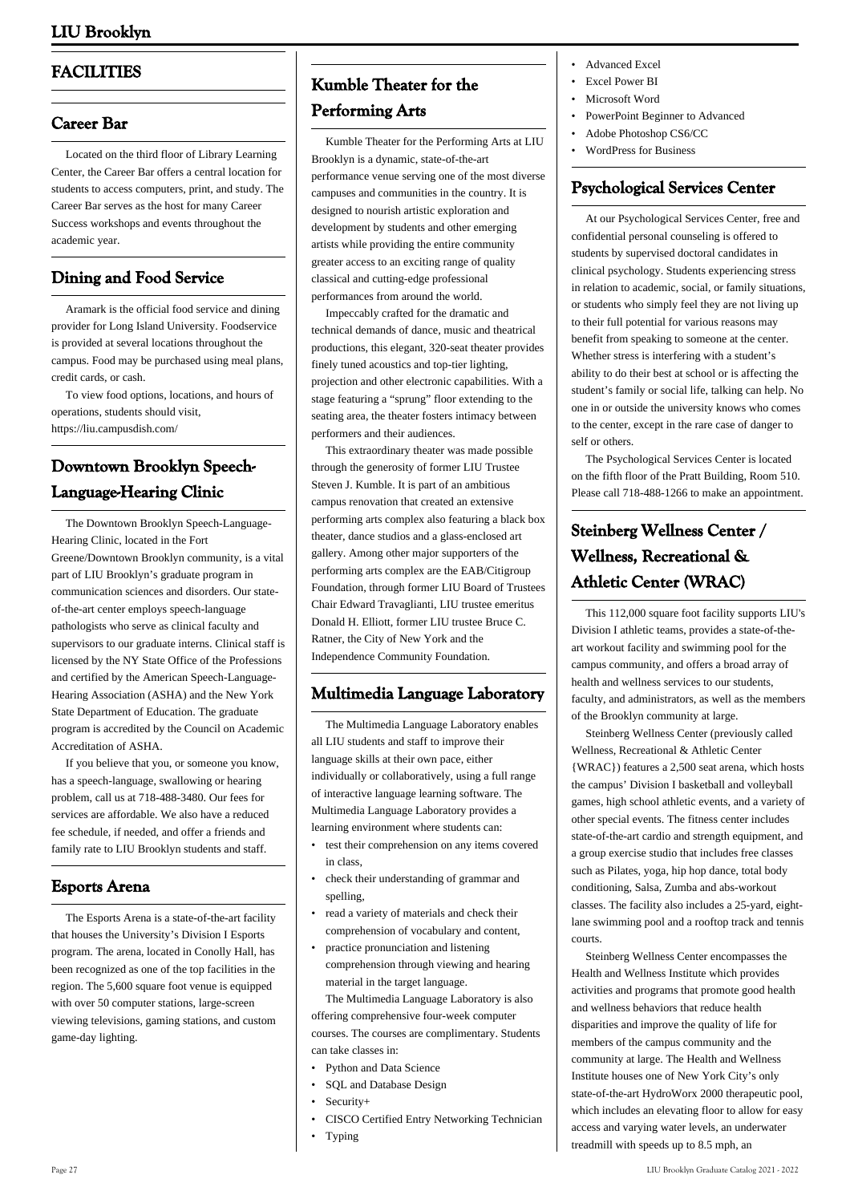# **FACILITIES**

### **Career Bar**

 Located on the third floor of Library Learning Center, the Career Bar offers a central location for students to access computers, print, and study. The Career Bar serves as the host for many Career Success workshops and events throughout the academic year.

### **Dining and Food Service**

 Aramark is the official food service and dining provider for Long Island University. Foodservice is provided at several locations throughout the campus. Food may be purchased using meal plans, credit cards, or cash.

 To view food options, locations, and hours of operations, students should visit, <https://liu.campusdish.com/>

# **Downtown Brooklyn Speech-Language-Hearing Clinic**

 The Downtown Brooklyn Speech-Language-Hearing Clinic, located in the Fort Greene/Downtown Brooklyn community, is a vital part of LIU Brooklyn's graduate program in communication sciences and disorders. Our stateof-the-art center employs speech-language pathologists who serve as clinical faculty and supervisors to our graduate interns. Clinical staff is licensed by the NY State Office of the Professions and certified by the American Speech-Language-Hearing Association (ASHA) and the New York State Department of Education. The graduate program is accredited by the Council on Academic Accreditation of ASHA.

 If you believe that you, or someone you know, has a speech-language, swallowing or hearing problem, call us at 718-488-3480. Our fees for services are affordable. We also have a reduced fee schedule, if needed, and offer a friends and family rate to LIU Brooklyn students and staff.

### **Esports Arena**

 The Esports Arena is a state-of-the-art facility that houses the University's Division I Esports program. The arena, located in Conolly Hall, has been recognized as one of the top facilities in the region. The 5,600 square foot venue is equipped with over 50 computer stations, large-screen viewing televisions, gaming stations, and custom game-day lighting.

# **Kumble Theater for the Performing Arts**

 Kumble Theater for the Performing Arts at LIU Brooklyn is a dynamic, state-of-the-art performance venue serving one of the most diverse campuses and communities in the country. It is designed to nourish artistic exploration and development by students and other emerging artists while providing the entire community greater access to an exciting range of quality classical and cutting-edge professional performances from around the world.

 Impeccably crafted for the dramatic and technical demands of dance, music and theatrical productions, this elegant, 320-seat theater provides finely tuned acoustics and top-tier lighting, projection and other electronic capabilities. With a stage featuring a "sprung" floor extending to the seating area, the theater fosters intimacy between performers and their audiences.

 This extraordinary theater was made possible through the generosity of former LIU Trustee Steven J. Kumble. It is part of an ambitious campus renovation that created an extensive performing arts complex also featuring a black box theater, dance studios and a glass-enclosed art gallery. Among other major supporters of the performing arts complex are the EAB/Citigroup Foundation, through former LIU Board of Trustees Chair Edward Travaglianti, LIU trustee emeritus Donald H. Elliott, former LIU trustee Bruce C. Ratner, the City of New York and the Independence Community Foundation.

### **Multimedia Language Laboratory**

 The Multimedia Language Laboratory enables all LIU students and staff to improve their language skills at their own pace, either individually or collaboratively, using a full range of interactive language learning software. The Multimedia Language Laboratory provides a learning environment where students can:

- test their comprehension on any items covered in class,
- check their understanding of grammar and spelling, •
- read a variety of materials and check their comprehension of vocabulary and content, •
- practice pronunciation and listening comprehension through viewing and hearing material in the target language. •

 The Multimedia Language Laboratory is also offering comprehensive four-week computer courses. The courses are complimentary. Students can take classes in:

- Python and Data Science
- SQL and Database Design
- Security+
- CISCO Certified Entry Networking Technician
- Typing
- Advanced Excel
- Excel Power BI
- Microsoft Word
- PowerPoint Beginner to Advanced
- Adobe Photoshop CS6/CC
- WordPress for Business

# **Psychological Services Center**

 At our Psychological Services Center, free and confidential personal counseling is offered to students by supervised doctoral candidates in clinical psychology. Students experiencing stress in relation to academic, social, or family situations, or students who simply feel they are not living up to their full potential for various reasons may benefit from speaking to someone at the center. Whether stress is interfering with a student's ability to do their best at school or is affecting the student's family or social life, talking can help. No one in or outside the university knows who comes to the center, except in the rare case of danger to self or others.

 The Psychological Services Center is located on the fifth floor of the Pratt Building, Room 510. Please call 718-488-1266 to make an appointment.

# **Steinberg Wellness Center / Wellness, Recreational & Athletic Center (WRAC)**

 This 112,000 square foot facility supports LIU's Division I athletic teams, provides a state-of-theart workout facility and swimming pool for the campus community, and offers a broad array of health and wellness services to our students, faculty, and administrators, as well as the members of the Brooklyn community at large.

 Steinberg Wellness Center (previously called Wellness, Recreational & Athletic Center {WRAC}) features a 2,500 seat arena, which hosts the campus' Division I basketball and volleyball games, high school athletic events, and a variety of other special events. The fitness center includes state-of-the-art cardio and strength equipment, and a group exercise studio that includes free classes such as Pilates, yoga, hip hop dance, total body conditioning, Salsa, Zumba and abs-workout classes. The facility also includes a 25-yard, eightlane swimming pool and a rooftop track and tennis courts.

 Steinberg Wellness Center encompasses the Health and Wellness Institute which provides activities and programs that promote good health and wellness behaviors that reduce health disparities and improve the quality of life for members of the campus community and the community at large. The Health and Wellness Institute houses one of New York City's only state-of-the-art HydroWorx 2000 therapeutic pool, which includes an elevating floor to allow for easy access and varying water levels, an underwater treadmill with speeds up to 8.5 mph, an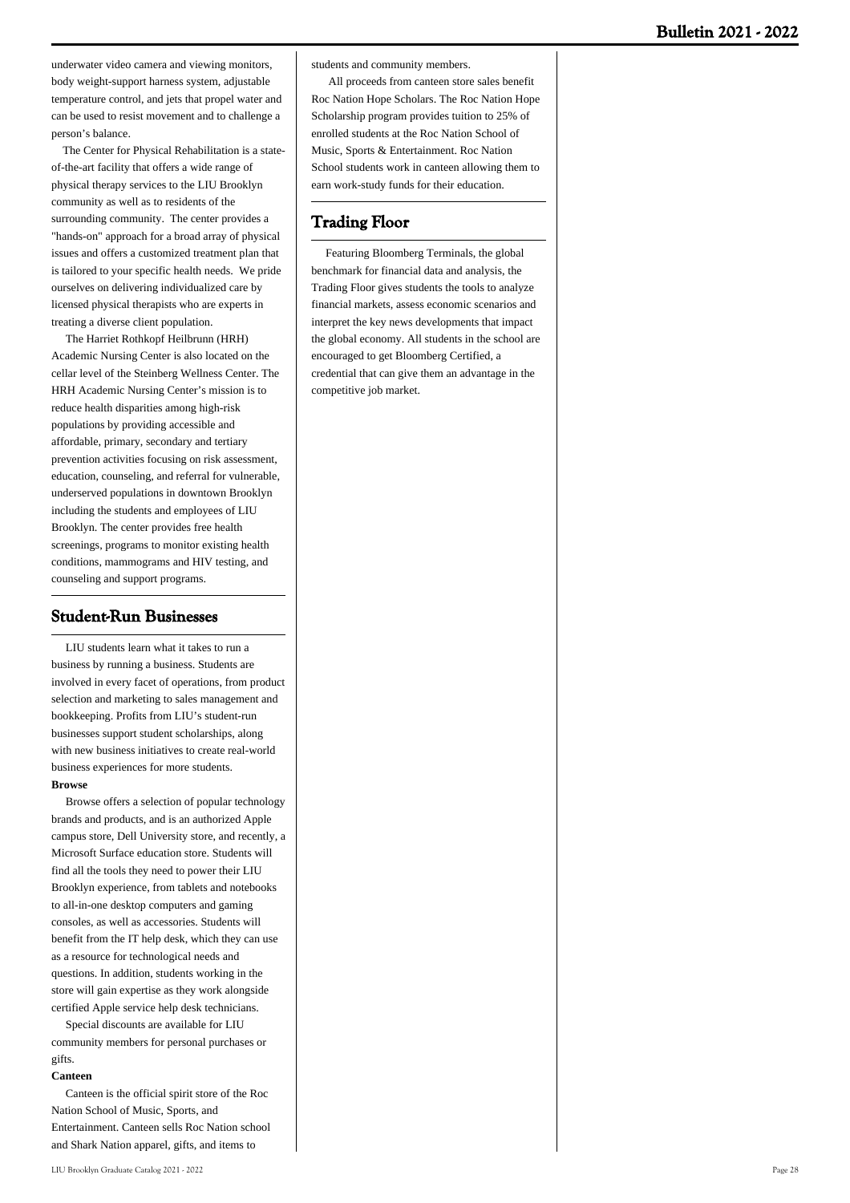underwater video camera and viewing monitors, body weight-support harness system, adjustable temperature control, and jets that propel water and can be used to resist movement and to challenge a person's balance.

 The Center for Physical Rehabilitation is a stateof-the-art facility that offers a wide range of physical therapy services to the LIU Brooklyn community as well as to residents of the surrounding community. The center provides a "hands-on" approach for a broad array of physical issues and offers a customized treatment plan that is tailored to your specific health needs. We pride ourselves on delivering individualized care by licensed physical therapists who are experts in treating a diverse client population.

 The Harriet Rothkopf Heilbrunn (HRH) Academic Nursing Center is also located on the cellar level of the Steinberg Wellness Center. The HRH Academic Nursing Center's mission is to reduce health disparities among high-risk populations by providing accessible and affordable, primary, secondary and tertiary prevention activities focusing on risk assessment, education, counseling, and referral for vulnerable, underserved populations in downtown Brooklyn including the students and employees of LIU Brooklyn. The center provides free health screenings, programs to monitor existing health conditions, mammograms and HIV testing, and counseling and support programs.

### **Student-Run Businesses**

 LIU students learn what it takes to run a business by running a business. Students are involved in every facet of operations, from product selection and marketing to sales management and bookkeeping. Profits from LIU's student-run businesses support student scholarships, along with new business initiatives to create real-world business experiences for more students. **Browse**

 Browse offers a selection of popular technology brands and products, and is an authorized Apple campus store, Dell University store, and recently, a Microsoft Surface education store. Students will find all the tools they need to power their LIU Brooklyn experience, from tablets and notebooks to all-in-one desktop computers and gaming consoles, as well as accessories. Students will benefit from the IT help desk, which they can use as a resource for technological needs and questions. In addition, students working in the store will gain expertise as they work alongside certified Apple service help desk technicians.

 Special discounts are available for LIU community members for personal purchases or gifts.

#### **Canteen**

 Canteen is the official spirit store of the Roc Nation School of Music, Sports, and Entertainment. Canteen sells Roc Nation school and Shark Nation apparel, gifts, and items to

students and community members.

 All proceeds from canteen store sales benefit Roc Nation Hope Scholars. The Roc Nation Hope Scholarship program provides tuition to 25% of enrolled students at the Roc Nation School of Music, Sports & Entertainment. Roc Nation School students work in canteen allowing them to earn work-study funds for their education.

### **Trading Floor**

 Featuring Bloomberg Terminals, the global benchmark for financial data and analysis, the Trading Floor gives students the tools to analyze financial markets, assess economic scenarios and interpret the key news developments that impact the global economy. All students in the school are encouraged to get Bloomberg Certified, a credential that can give them an advantage in the competitive job market.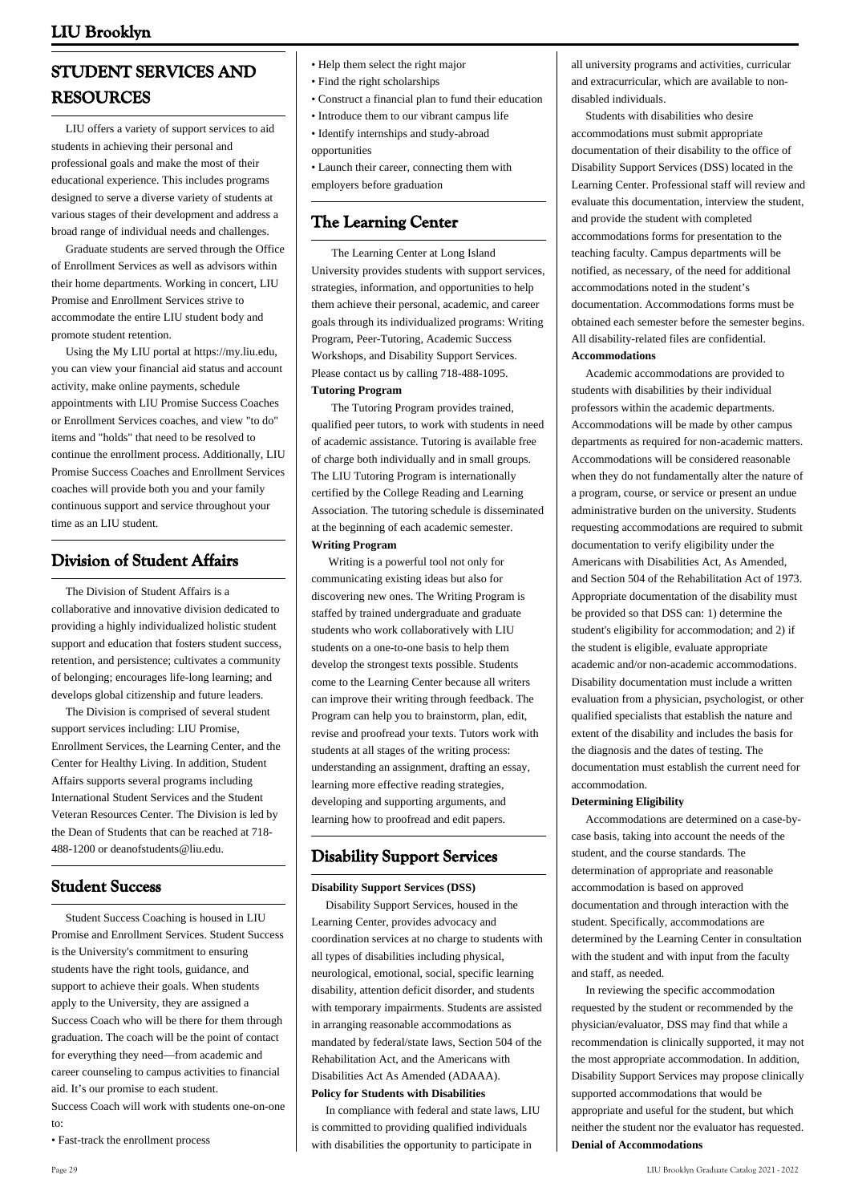# **STUDENT SERVICES AND RESOURCES**

 LIU offers a variety of support services to aid students in achieving their personal and professional goals and make the most of their educational experience. This includes programs designed to serve a diverse variety of students at various stages of their development and address a broad range of individual needs and challenges.

 Graduate students are served through the Office of Enrollment Services as well as advisors within their home departments. Working in concert, LIU Promise and Enrollment Services strive to accommodate the entire LIU student body and promote student retention.

 Using the My LIU portal at https://my.liu.edu, you can view your financial aid status and account activity, make online payments, schedule appointments with LIU Promise Success Coaches or Enrollment Services coaches, and view "to do" items and "holds" that need to be resolved to continue the enrollment process. Additionally, LIU Promise Success Coaches and Enrollment Services coaches will provide both you and your family continuous support and service throughout your time as an LIU student.

# **Division of Student Affairs**

 The Division of Student Affairs is a collaborative and innovative division dedicated to providing a highly individualized holistic student support and education that fosters student success, retention, and persistence; cultivates a community of belonging; encourages life-long learning; and develops global citizenship and future leaders.

 The Division is comprised of several student support services including: LIU Promise, Enrollment Services, the Learning Center, and the Center for Healthy Living. In addition, Student Affairs supports several programs including International Student Services and the Student Veteran Resources Center. The Division is led by the Dean of Students that can be reached at 718- 488-1200 or [deanofstudents@liu.edu.](mailto:deanofstudents@liu.edu)

# **Student Success**

 Student Success Coaching is housed in LIU Promise and Enrollment Services. Student Success is the University's commitment to ensuring students have the right tools, guidance, and support to achieve their goals. When students apply to the University, they are assigned a Success Coach who will be there for them through graduation. The coach will be the point of contact for everything they need—from academic and career counseling to campus activities to financial aid. It's our promise to each student. Success Coach will work with students one-on-one

• Fast-track the enrollment process

- Help them select the right major
- Find the right scholarships
- Construct a financial plan to fund their education
- Introduce them to our vibrant campus life
- Identify internships and study-abroad opportunities
- Launch their career, connecting them with employers before graduation

### **The Learning Center**

 The Learning Center at Long Island University provides students with support services, strategies, information, and opportunities to help them achieve their personal, academic, and career goals through its individualized programs: Writing Program, Peer-Tutoring, Academic Success Workshops, and Disability Support Services. Please contact us by calling 718-488-1095. **Tutoring Program**

 The Tutoring Program provides trained, qualified peer tutors, to work with students in need of academic assistance. Tutoring is available free of charge both individually and in small groups. The LIU Tutoring Program is internationally certified by the College Reading and Learning Association. The tutoring schedule is disseminated at the beginning of each academic semester. **Writing Program**

 Writing is a powerful tool not only for communicating existing ideas but also for discovering new ones. The Writing Program is staffed by trained undergraduate and graduate students who work collaboratively with LIU students on a one-to-one basis to help them develop the strongest texts possible. Students come to the Learning Center because all writers can improve their writing through feedback. The Program can help you to brainstorm, plan, edit, revise and proofread your texts. Tutors work with students at all stages of the writing process: understanding an assignment, drafting an essay, learning more effective reading strategies, developing and supporting arguments, and learning how to proofread and edit papers.

### **Disability Support Services**

#### **Disability Support Services (DSS)**

 Disability Support Services, housed in the Learning Center, provides advocacy and coordination services at no charge to students with all types of disabilities including physical, neurological, emotional, social, specific learning disability, attention deficit disorder, and students with temporary impairments. Students are assisted in arranging reasonable accommodations as mandated by federal/state laws, Section 504 of the Rehabilitation Act, and the Americans with Disabilities Act As Amended (ADAAA). **Policy for Students with Disabilities**

 In compliance with federal and state laws, LIU is committed to providing qualified individuals with disabilities the opportunity to participate in

all university programs and activities, curricular and extracurricular, which are available to nondisabled individuals.

 Students with disabilities who desire accommodations must submit appropriate documentation of their disability to the office of Disability Support Services (DSS) located in the Learning Center. Professional staff will review and evaluate this documentation, interview the student, and provide the student with completed accommodations forms for presentation to the teaching faculty. Campus departments will be notified, as necessary, of the need for additional accommodations noted in the student's documentation. Accommodations forms must be obtained each semester before the semester begins. All disability-related files are confidential. **Accommodations**

 Academic accommodations are provided to students with disabilities by their individual professors within the academic departments. Accommodations will be made by other campus departments as required for non-academic matters. Accommodations will be considered reasonable when they do not fundamentally alter the nature of a program, course, or service or present an undue administrative burden on the university. Students requesting accommodations are required to submit documentation to verify eligibility under the Americans with Disabilities Act, As Amended, and Section 504 of the Rehabilitation Act of 1973. Appropriate documentation of the disability must be provided so that DSS can: 1) determine the student's eligibility for accommodation; and 2) if the student is eligible, evaluate appropriate academic and/or non-academic accommodations. Disability documentation must include a written evaluation from a physician, psychologist, or other qualified specialists that establish the nature and extent of the disability and includes the basis for the diagnosis and the dates of testing. The documentation must establish the current need for accommodation.

#### **Determining Eligibility**

 Accommodations are determined on a case-bycase basis, taking into account the needs of the student, and the course standards. The determination of appropriate and reasonable accommodation is based on approved documentation and through interaction with the student. Specifically, accommodations are determined by the Learning Center in consultation with the student and with input from the faculty and staff, as needed.

 In reviewing the specific accommodation requested by the student or recommended by the physician/evaluator, DSS may find that while a recommendation is clinically supported, it may not the most appropriate accommodation. In addition, Disability Support Services may propose clinically supported accommodations that would be appropriate and useful for the student, but which neither the student nor the evaluator has requested. **Denial of Accommodations**

to: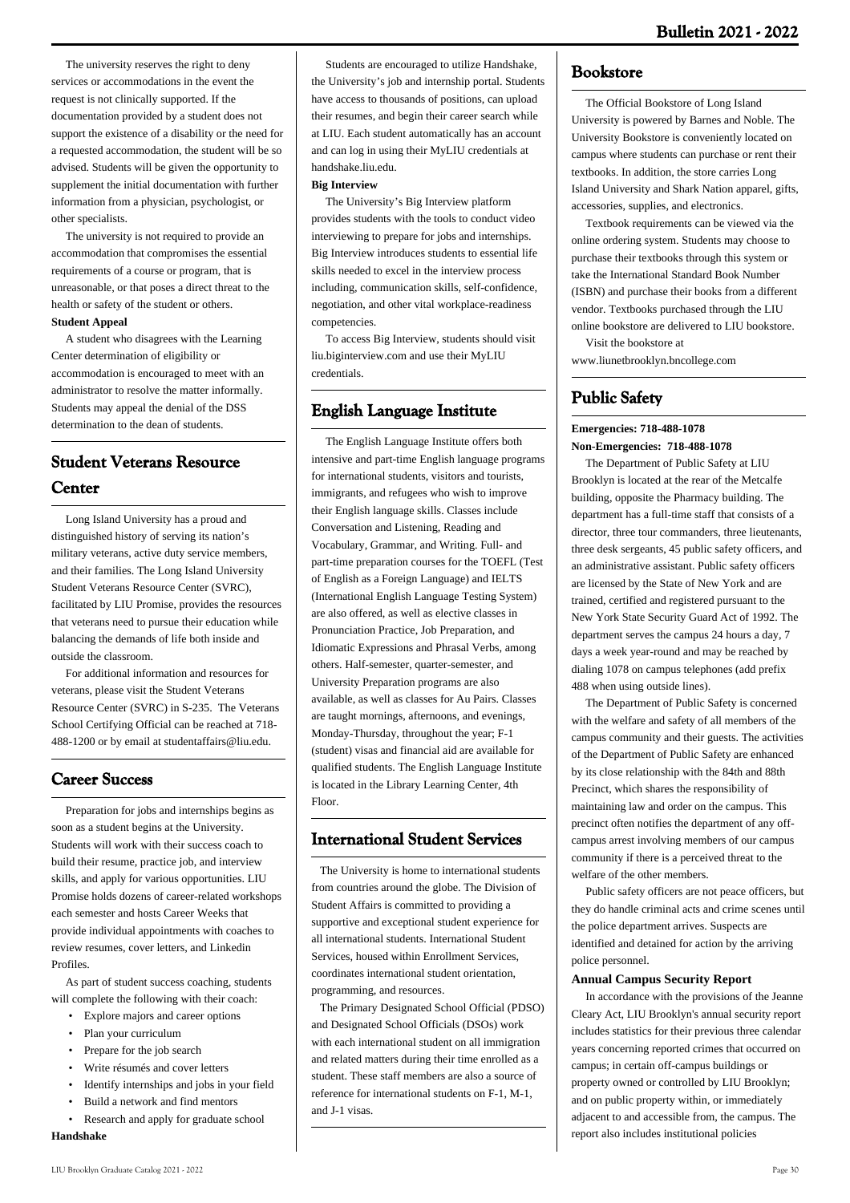The university reserves the right to deny services or accommodations in the event the request is not clinically supported. If the documentation provided by a student does not support the existence of a disability or the need for a requested accommodation, the student will be so advised. Students will be given the opportunity to supplement the initial documentation with further information from a physician, psychologist, or other specialists.

 The university is not required to provide an accommodation that compromises the essential requirements of a course or program, that is unreasonable, or that poses a direct threat to the health or safety of the student or others. **Student Appeal**

 A student who disagrees with the Learning Center determination of eligibility or accommodation is encouraged to meet with an administrator to resolve the matter informally. Students may appeal the denial of the DSS determination to the dean of students.

# **Student Veterans Resource Center**

 Long Island University has a proud and distinguished history of serving its nation's military veterans, active duty service members, and their families. The Long Island University Student Veterans Resource Center (SVRC), facilitated by LIU Promise, provides the resources that veterans need to pursue their education while balancing the demands of life both inside and outside the classroom.

 For additional information and resources for veterans, please visit the Student Veterans Resource Center (SVRC) in S-235. The Veterans School Certifying Official can be reached at 718- 488-1200 or by email at studentaffairs@liu.edu.

# **Career Success**

 Preparation for jobs and internships begins as soon as a student begins at the University. Students will work with their success coach to build their resume, practice job, and interview skills, and apply for various opportunities. LIU Promise holds dozens of career-related workshops each semester and hosts Career Weeks that provide individual appointments with coaches to review resumes, cover letters, and Linkedin Profiles.

 As part of student success coaching, students will complete the following with their coach:

- Explore majors and career options
- Plan your curriculum
- Prepare for the job search
- Write résumés and cover letters
- Identify internships and jobs in your field
- Build a network and find mentors
- Research and apply for graduate school

### **Handshake**

 Students are encouraged to utilize Handshake, the University's job and internship portal. Students have access to thousands of positions, can upload their resumes, and begin their career search while at LIU. Each student automatically has an account and can log in using their MyLIU credentials at handshake.liu.edu.

#### **Big Interview**

 The University's Big Interview platform provides students with the tools to conduct video interviewing to prepare for jobs and internships. Big Interview introduces students to essential life skills needed to excel in the interview process including, communication skills, self-confidence, negotiation, and other vital workplace-readiness competencies.

 To access Big Interview, students should visit liu.biginterview.com and use their MyLIU credentials.

# **English Language Institute**

 The English Language Institute offers both intensive and part-time English language programs for international students, visitors and tourists, immigrants, and refugees who wish to improve their English language skills. Classes include Conversation and Listening, Reading and Vocabulary, Grammar, and Writing. Full- and part-time preparation courses for the TOEFL (Test of English as a Foreign Language) and IELTS (International English Language Testing System) are also offered, as well as elective classes in Pronunciation Practice, Job Preparation, and Idiomatic Expressions and Phrasal Verbs, among others. Half-semester, quarter-semester, and University Preparation programs are also available, as well as classes for Au Pairs. Classes are taught mornings, afternoons, and evenings, Monday-Thursday, throughout the year; F-1 (student) visas and financial aid are available for qualified students. The English Language Institute is located in the Library Learning Center, 4th Floor.

# **International Student Services**

 The University is home to international students from countries around the globe. The Division of Student Affairs is committed to providing a supportive and exceptional student experience for all international students. International Student Services, housed within Enrollment Services coordinates international student orientation, programming, and resources.

 The Primary Designated School Official (PDSO) and Designated School Officials (DSOs) work with each international student on all immigration and related matters during their time enrolled as a student. These staff members are also a source of reference for international students on  $F_1$ , M<sub>-1</sub> and J-1 visas.

### **Bookstore**

 The Official Bookstore of Long Island University is powered by Barnes and Noble. The University Bookstore is conveniently located on campus where students can purchase or rent their textbooks. In addition, the store carries Long Island University and Shark Nation apparel, gifts, accessories, supplies, and electronics.

 Textbook requirements can be viewed via the online ordering system. Students may choose to purchase their textbooks through this system or take the International Standard Book Number (ISBN) and purchase their books from a different vendor. Textbooks purchased through the LIU online bookstore are delivered to LIU bookstore.

Visit the bookstore at

### www.liunetbrooklyn.bncollege.com

# **Public Safety**

#### **Emergencies: 718-488-1078 Non-Emergencies: 718-488-1078**

 The Department of Public Safety at LIU Brooklyn is located at the rear of the Metcalfe building, opposite the Pharmacy building. The department has a full-time staff that consists of a director, three tour commanders, three lieutenants, three desk sergeants, 45 public safety officers, and an administrative assistant. Public safety officers are licensed by the State of New York and are trained, certified and registered pursuant to the New York State Security Guard Act of 1992. The department serves the campus 24 hours a day, 7 days a week year-round and may be reached by dialing 1078 on campus telephones (add prefix 488 when using outside lines).

 The Department of Public Safety is concerned with the welfare and safety of all members of the campus community and their guests. The activities of the Department of Public Safety are enhanced by its close relationship with the 84th and 88th Precinct, which shares the responsibility of maintaining law and order on the campus. This precinct often notifies the department of any offcampus arrest involving members of our campus community if there is a perceived threat to the welfare of the other members.

 Public safety officers are not peace officers, but they do handle criminal acts and crime scenes until the police department arrives. Suspects are identified and detained for action by the arriving police personnel.

#### **Annual Campus Security Report**

 In accordance with the provisions of the Jeanne Cleary Act, LIU Brooklyn's annual security report includes statistics for their previous three calendar years concerning reported crimes that occurred on campus; in certain off-campus buildings or property owned or controlled by LIU Brooklyn; and on public property within, or immediately adjacent to and accessible from, the campus. The report also includes institutional policies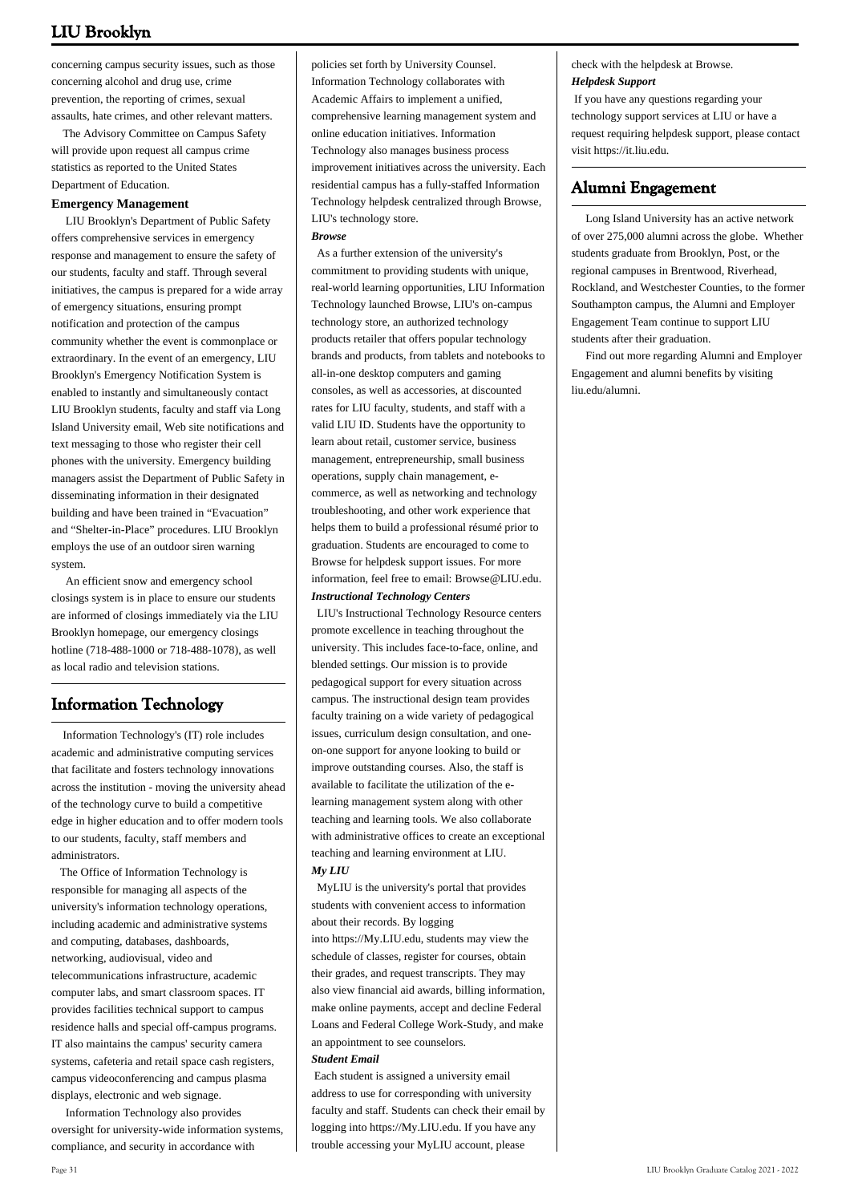concerning campus security issues, such as those concerning alcohol and drug use, crime prevention, the reporting of crimes, sexual assaults, hate crimes, and other relevant matters.

 The Advisory Committee on Campus Safety will provide upon request all campus crime statistics as reported to the United States Department of Education.

#### **Emergency Management**

 LIU Brooklyn's Department of Public Safety offers comprehensive services in emergency response and management to ensure the safety of our students, faculty and staff. Through several initiatives, the campus is prepared for a wide array of emergency situations, ensuring prompt notification and protection of the campus community whether the event is commonplace or extraordinary. In the event of an emergency, LIU Brooklyn's Emergency Notification System is enabled to instantly and simultaneously contact LIU Brooklyn students, faculty and staff via Long Island University email, Web site notifications and text messaging to those who register their cell phones with the university. Emergency building managers assist the Department of Public Safety in disseminating information in their designated building and have been trained in "Evacuation" and "Shelter-in-Place" procedures. LIU Brooklyn employs the use of an outdoor siren warning system.

 An efficient snow and emergency school closings system is in place to ensure our students are informed of closings immediately via the LIU Brooklyn homepage, our emergency closings hotline (718-488-1000 or 718-488-1078), as well as local radio and television stations.

# **Information Technology**

 Information Technology's (IT) role includes academic and administrative computing services that facilitate and fosters technology innovations across the institution - moving the university ahead of the technology curve to build a competitive edge in higher education and to offer modern tools to our students, faculty, staff members and administrators.

 The Office of Information Technology is responsible for managing all aspects of the university's information technology operations, including academic and administrative systems and computing, databases, dashboards, networking, audiovisual, video and telecommunications infrastructure, academic computer labs, and smart classroom spaces. IT provides facilities technical support to campus residence halls and special off-campus programs. IT also maintains the campus' security camera systems, cafeteria and retail space cash registers, campus videoconferencing and campus plasma displays, electronic and web signage.

 Information Technology also provides oversight for university-wide information systems, compliance, and security in accordance with

policies set forth by University Counsel. Information Technology collaborates with Academic Affairs to implement a unified, comprehensive learning management system and online education initiatives. Information Technology also manages business process improvement initiatives across the university. Each residential campus has a fully-staffed Information Technology helpdesk centralized through Browse, LIU's technology store.

#### *Browse*

 As a further extension of the university's commitment to providing students with unique, real-world learning opportunities, LIU Information Technology launched Browse, LIU's on-campus technology store, an authorized technology products retailer that offers popular technology brands and products, from tablets and notebooks to all-in-one desktop computers and gaming consoles, as well as accessories, at discounted rates for LIU faculty, students, and staff with a valid LIU ID. Students have the opportunity to learn about retail, customer service, business management, entrepreneurship, small business operations, supply chain management, ecommerce, as well as networking and technology troubleshooting, and other work experience that helps them to build a professional résumé prior to graduation. Students are encouraged to come to Browse for helpdesk support issues. For more information, feel free to email: [Browse@LIU.edu](mailto:Browse@LIU.edu.). *Instructional Technology Centers*

 LIU's Instructional Technology Resource centers promote excellence in teaching throughout the university. This includes face-to-face, online, and blended settings. Our mission is to provide pedagogical support for every situation across campus. The instructional design team provides faculty training on a wide variety of pedagogical issues, curriculum design consultation, and oneon-one support for anyone looking to build or improve outstanding courses. Also, the staff is available to facilitate the utilization of the elearning management system along with other teaching and learning tools. We also collaborate with administrative offices to create an exceptional teaching and learning environment at LIU. *My LIU*

 MyLIU is the university's portal that provides students with convenient access to information about their records. By logging

into [https://My.LIU.edu,](https://My.LIU.edu) students may view the schedule of classes, register for courses, obtain their grades, and request transcripts. They may also view financial aid awards, billing information, make online payments, accept and decline Federal Loans and Federal College Work-Study, and make an appointment to see counselors.

#### *Student Email*

 Each student is assigned a university email address to use for corresponding with university faculty and staff. Students can check their email by logging into <https://My.LIU.edu>. If you have any trouble accessing your MyLIU account, please

check with the helpdesk at Browse. *Helpdesk Support* 

 If you have any questions regarding your technology support services at LIU or have a request requiring helpdesk support, please contact visit [https://it.liu.edu](http://IT.LIU.edu).

#### **Alumni Engagement**

 Long Island University has an active network of over 275,000 alumni across the globe. Whether students graduate from Brooklyn, Post, or the regional campuses in Brentwood, Riverhead, Rockland, and Westchester Counties, to the former Southampton campus, the Alumni and Employer Engagement Team continue to support LIU students after their graduation.

 Find out more regarding Alumni and Employer Engagement and alumni benefits by visiting liu.edu/alumni.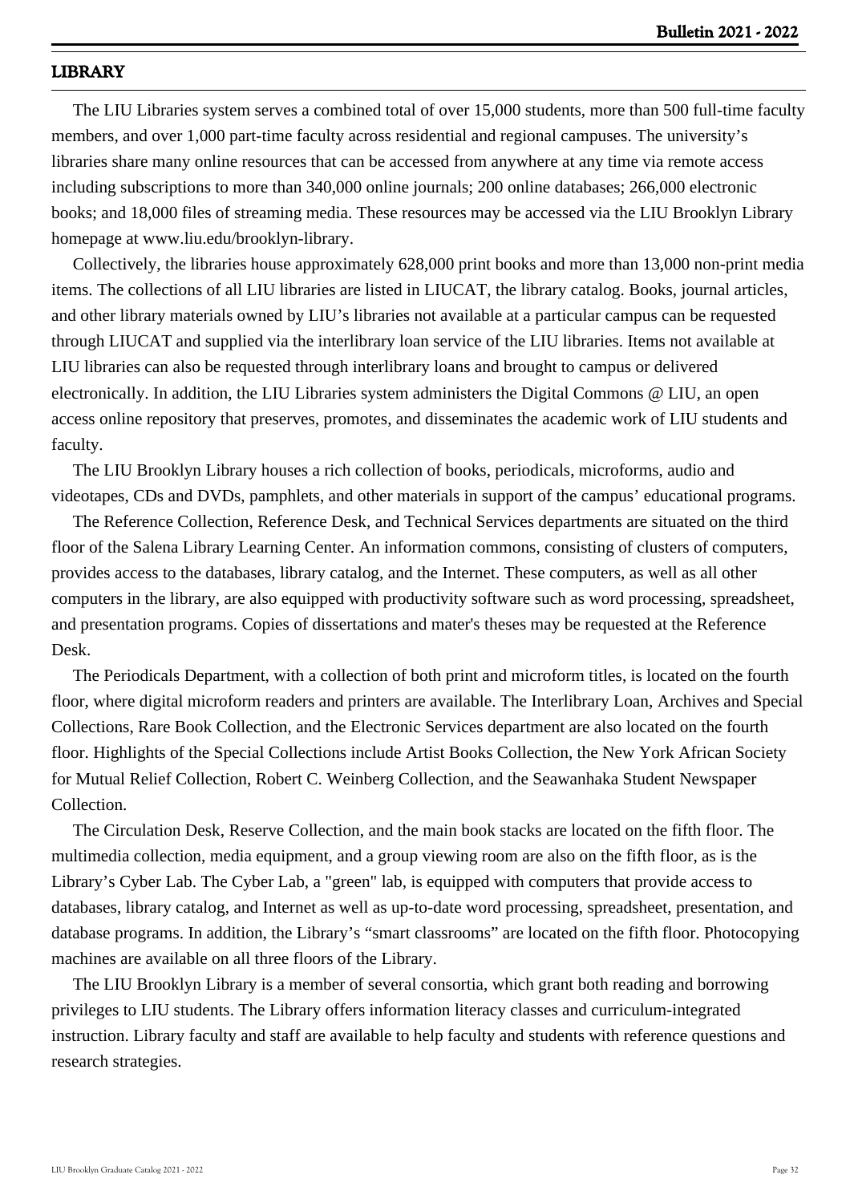# **LIBRARY**

 The LIU Libraries system serves a combined total of over 15,000 students, more than 500 full-time faculty members, and over 1,000 part-time faculty across residential and regional campuses. The university's libraries share many online resources that can be accessed from anywhere at any time via remote access including subscriptions to more than 340,000 online journals; 200 online databases; 266,000 electronic books; and 18,000 files of streaming media. These resources may be accessed via the LIU Brooklyn Library homepage at www.liu.edu/brooklyn-library.

 Collectively, the libraries house approximately 628,000 print books and more than 13,000 non-print media items. The collections of all LIU libraries are listed in LIUCAT, the library catalog. Books, journal articles, and other library materials owned by LIU's libraries not available at a particular campus can be requested through LIUCAT and supplied via the interlibrary loan service of the LIU libraries. Items not available at LIU libraries can also be requested through interlibrary loans and brought to campus or delivered electronically. In addition, the LIU Libraries system administers the Digital Commons @ LIU, an open access online repository that preserves, promotes, and disseminates the academic work of LIU students and faculty.

 The LIU Brooklyn Library houses a rich collection of books, periodicals, microforms, audio and videotapes, CDs and DVDs, pamphlets, and other materials in support of the campus' educational programs.

 The Reference Collection, Reference Desk, and Technical Services departments are situated on the third floor of the Salena Library Learning Center. An information commons, consisting of clusters of computers, provides access to the databases, library catalog, and the Internet. These computers, as well as all other computers in the library, are also equipped with productivity software such as word processing, spreadsheet, and presentation programs. Copies of dissertations and mater's theses may be requested at the Reference Desk.

 The Periodicals Department, with a collection of both print and microform titles, is located on the fourth floor, where digital microform readers and printers are available. The Interlibrary Loan, Archives and Special Collections, Rare Book Collection, and the Electronic Services department are also located on the fourth floor. Highlights of the Special Collections include Artist Books Collection, the New York African Society for Mutual Relief Collection, Robert C. Weinberg Collection, and the Seawanhaka Student Newspaper Collection.

 The Circulation Desk, Reserve Collection, and the main book stacks are located on the fifth floor. The multimedia collection, media equipment, and a group viewing room are also on the fifth floor, as is the Library's Cyber Lab. The Cyber Lab, a "green" lab, is equipped with computers that provide access to databases, library catalog, and Internet as well as up-to-date word processing, spreadsheet, presentation, and database programs. In addition, the Library's "smart classrooms" are located on the fifth floor. Photocopying machines are available on all three floors of the Library.

 The LIU Brooklyn Library is a member of several consortia, which grant both reading and borrowing privileges to LIU students. The Library offers information literacy classes and curriculum-integrated instruction. Library faculty and staff are available to help faculty and students with reference questions and research strategies.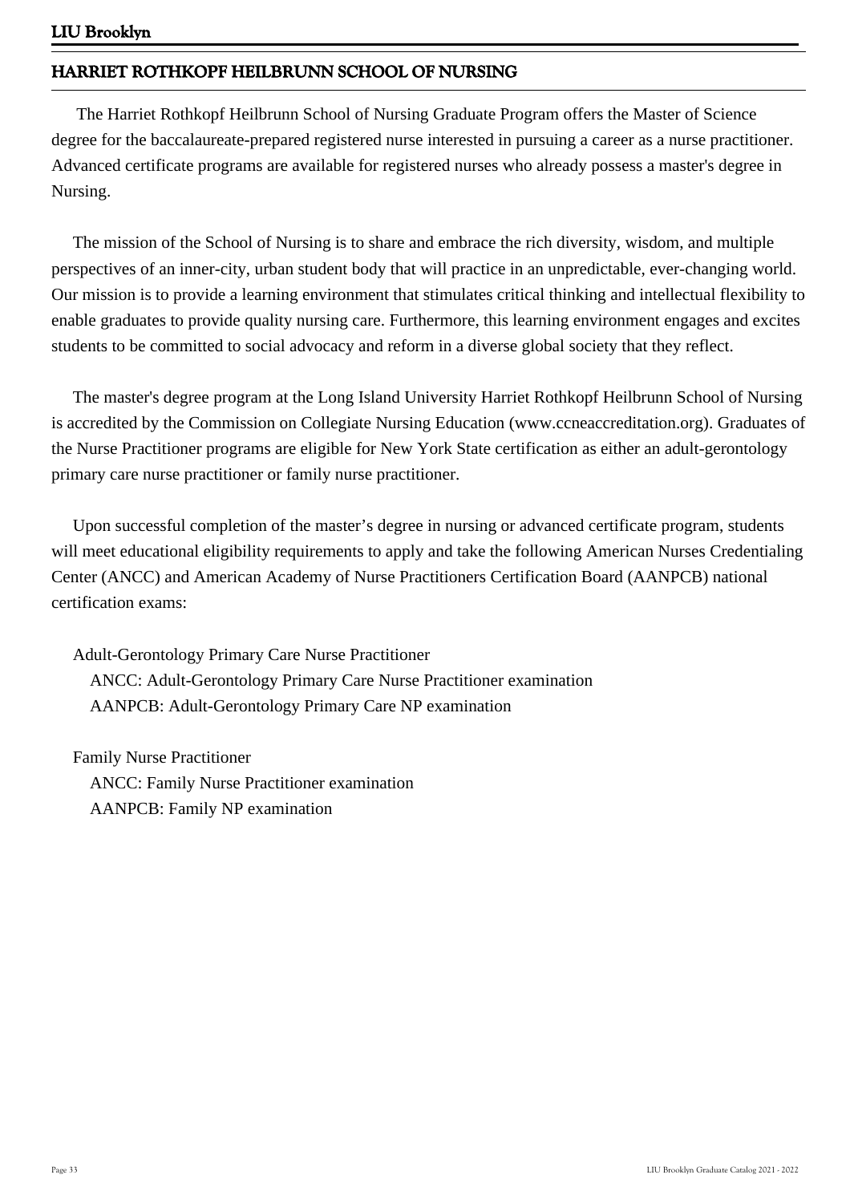# **HARRIET ROTHKOPF HEILBRUNN SCHOOL OF NURSING**

 The Harriet Rothkopf Heilbrunn School of Nursing Graduate Program offers the Master of Science degree for the baccalaureate-prepared registered nurse interested in pursuing a career as a nurse practitioner. Advanced certificate programs are available for registered nurses who already possess a master's degree in Nursing.

 The mission of the School of Nursing is to share and embrace the rich diversity, wisdom, and multiple perspectives of an inner-city, urban student body that will practice in an unpredictable, ever-changing world. Our mission is to provide a learning environment that stimulates critical thinking and intellectual flexibility to enable graduates to provide quality nursing care. Furthermore, this learning environment engages and excites students to be committed to social advocacy and reform in a diverse global society that they reflect.

 The master's degree program at the Long Island University Harriet Rothkopf Heilbrunn School of Nursing is accredited by the Commission on Collegiate Nursing Education (www.ccneaccreditation.org). Graduates of the Nurse Practitioner programs are eligible for New York State certification as either an adult-gerontology primary care nurse practitioner or family nurse practitioner.

 Upon successful completion of the master's degree in nursing or advanced certificate program, students will meet educational eligibility requirements to apply and take the following American Nurses Credentialing Center (ANCC) and American Academy of Nurse Practitioners Certification Board (AANPCB) national certification exams:

 Adult-Gerontology Primary Care Nurse Practitioner ANCC: Adult-Gerontology Primary Care Nurse Practitioner examination AANPCB: Adult-Gerontology Primary Care NP examination

 Family Nurse Practitioner ANCC: Family Nurse Practitioner examination AANPCB: Family NP examination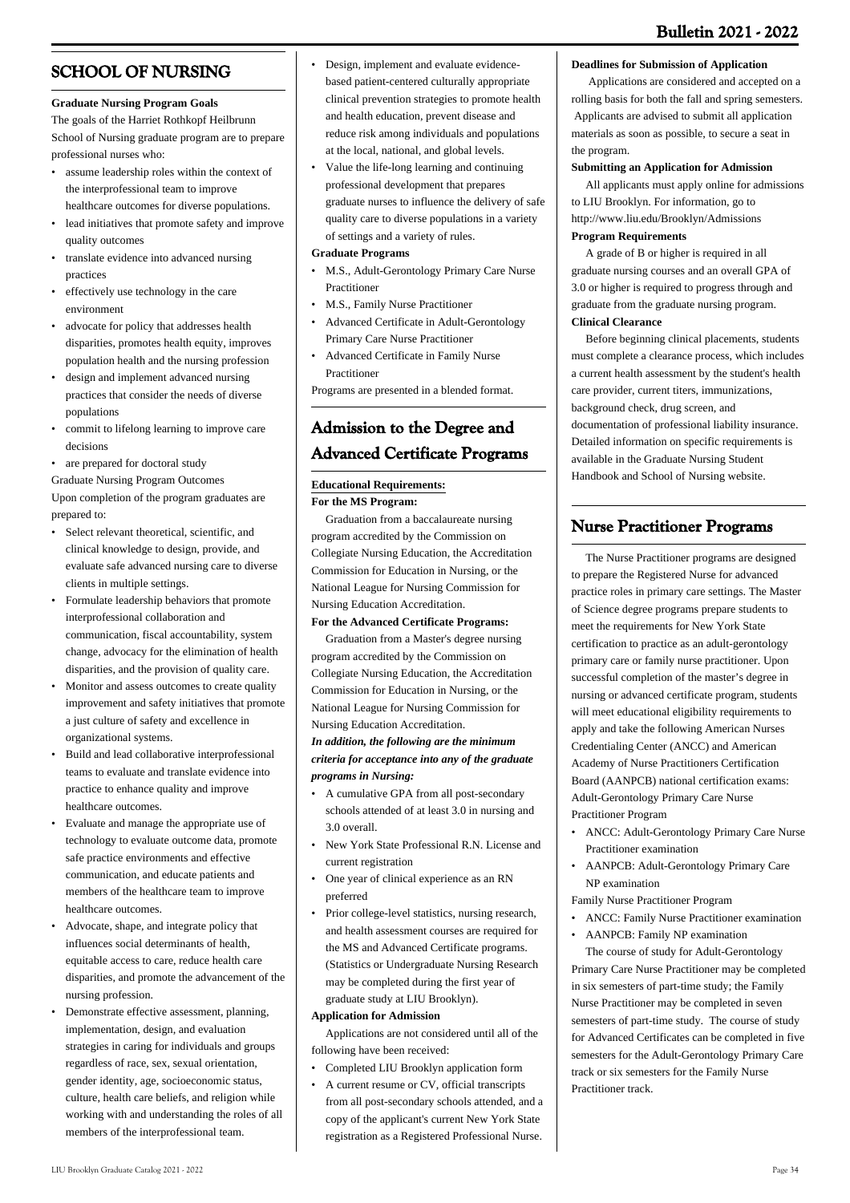# **SCHOOL OF NURSING**

#### **Graduate Nursing Program Goals**

The goals of the Harriet Rothkopf Heilbrunn School of Nursing graduate program are to prepare professional nurses who:

- assume leadership roles within the context of the interprofessional team to improve healthcare outcomes for diverse populations.
- lead initiatives that promote safety and improve quality outcomes
- translate evidence into advanced nursing practices •
- effectively use technology in the care environment
- advocate for policy that addresses health disparities, promotes health equity, improves population health and the nursing profession
- design and implement advanced nursing practices that consider the needs of diverse populations •
- commit to lifelong learning to improve care decisions •
- are prepared for doctoral study

Graduate Nursing Program Outcomes

Upon completion of the program graduates are prepared to:

- Select relevant theoretical, scientific, and clinical knowledge to design, provide, and evaluate safe advanced nursing care to diverse clients in multiple settings.
- Formulate leadership behaviors that promote interprofessional collaboration and communication, fiscal accountability, system change, advocacy for the elimination of health disparities, and the provision of quality care.
- Monitor and assess outcomes to create quality improvement and safety initiatives that promote a just culture of safety and excellence in organizational systems. •
- Build and lead collaborative interprofessional teams to evaluate and translate evidence into practice to enhance quality and improve healthcare outcomes. •
- Evaluate and manage the appropriate use of technology to evaluate outcome data, promote safe practice environments and effective communication, and educate patients and members of the healthcare team to improve healthcare outcomes.
- Advocate, shape, and integrate policy that influences social determinants of health, equitable access to care, reduce health care disparities, and promote the advancement of the nursing profession. •
- Demonstrate effective assessment, planning, implementation, design, and evaluation strategies in caring for individuals and groups regardless of race, sex, sexual orientation, gender identity, age, socioeconomic status, culture, health care beliefs, and religion while working with and understanding the roles of all members of the interprofessional team. •
- Design, implement and evaluate evidencebased patient-centered culturally appropriate clinical prevention strategies to promote health and health education, prevent disease and reduce risk among individuals and populations at the local, national, and global levels.
- Value the life-long learning and continuing professional development that prepares graduate nurses to influence the delivery of safe quality care to diverse populations in a variety of settings and a variety of rules. •

#### **Graduate Programs**

- M.S., Adult-Gerontology Primary Care Nurse Practitioner
- M.S., Family Nurse Practitioner
- Advanced Certificate in Adult-Gerontology Primary Care Nurse Practitioner •
- Advanced Certificate in Family Nurse Practitioner •

Programs are presented in a blended format.

# **Admission to the Degree and Advanced Certificate Programs**

### **Educational Requirements:**

**For the MS Program:**

 Graduation from a baccalaureate nursing program accredited by the Commission on Collegiate Nursing Education, the Accreditation Commission for Education in Nursing, or the National League for Nursing Commission for Nursing Education Accreditation.

#### **For the Advanced Certificate Programs:**

 Graduation from a Master's degree nursing program accredited by the Commission on Collegiate Nursing Education, the Accreditation Commission for Education in Nursing, or the National League for Nursing Commission for Nursing Education Accreditation.

#### *In addition, the following are the minimum criteria for acceptance into any of the graduate programs in Nursing:*

- A cumulative GPA from all post-secondary schools attended of at least 3.0 in nursing and 3.0 overall. •
- New York State Professional R.N. License and current registration •
- One year of clinical experience as an RN preferred •
- Prior college-level statistics, nursing research, and health assessment courses are required for the MS and Advanced Certificate programs. (Statistics or Undergraduate Nursing Research may be completed during the first year of graduate study at LIU Brooklyn). •

#### **Application for Admission**

 Applications are not considered until all of the following have been received:

- Completed LIU Brooklyn application form
- A current resume or CV, official transcripts from all post-secondary schools attended, and a copy of the applicant's current New York State registration as a Registered Professional Nurse. •

#### **Deadlines for Submission of Application**

 Applications are considered and accepted on a rolling basis for both the fall and spring semesters. Applicants are advised to submit all application materials as soon as possible, to secure a seat in the program.

#### **Submitting an Application for Admission**

 All applicants must apply online for admissions to LIU Brooklyn. For information, go to <http://www.liu.edu/Brooklyn/Admissions>

### **Program Requirements**

 A grade of B or higher is required in all graduate nursing courses and an overall GPA of 3.0 or higher is required to progress through and graduate from the graduate nursing program. **Clinical Clearance**

 Before beginning clinical placements, students must complete a clearance process, which includes a current health assessment by the student's health care provider, current titers, immunizations, background check, drug screen, and documentation of professional liability insurance. Detailed information on specific requirements is available in the Graduate Nursing Student Handbook and School of Nursing website.

# **Nurse Practitioner Programs**

 The Nurse Practitioner programs are designed to prepare the Registered Nurse for advanced practice roles in primary care settings. The Master of Science degree programs prepare students to meet the requirements for New York State certification to practice as an adult-gerontology primary care or family nurse practitioner. Upon successful completion of the master's degree in nursing or advanced certificate program, students will meet educational eligibility requirements to apply and take the following American Nurses Credentialing Center (ANCC) and American Academy of Nurse Practitioners Certification Board (AANPCB) national certification exams: Adult-Gerontology Primary Care Nurse Practitioner Program

- ANCC: Adult-Gerontology Primary Care Nurse Practitioner examination •
- AANPCB: Adult-Gerontology Primary Care NP examination •

Family Nurse Practitioner Program

- ANCC: Family Nurse Practitioner examination
- AANPCB: Family NP examination

 The course of study for Adult-Gerontology Primary Care Nurse Practitioner may be completed in six semesters of part-time study; the Family Nurse Practitioner may be completed in seven semesters of part-time study. The course of study for Advanced Certificates can be completed in five semesters for the Adult-Gerontology Primary Care track or six semesters for the Family Nurse Practitioner track.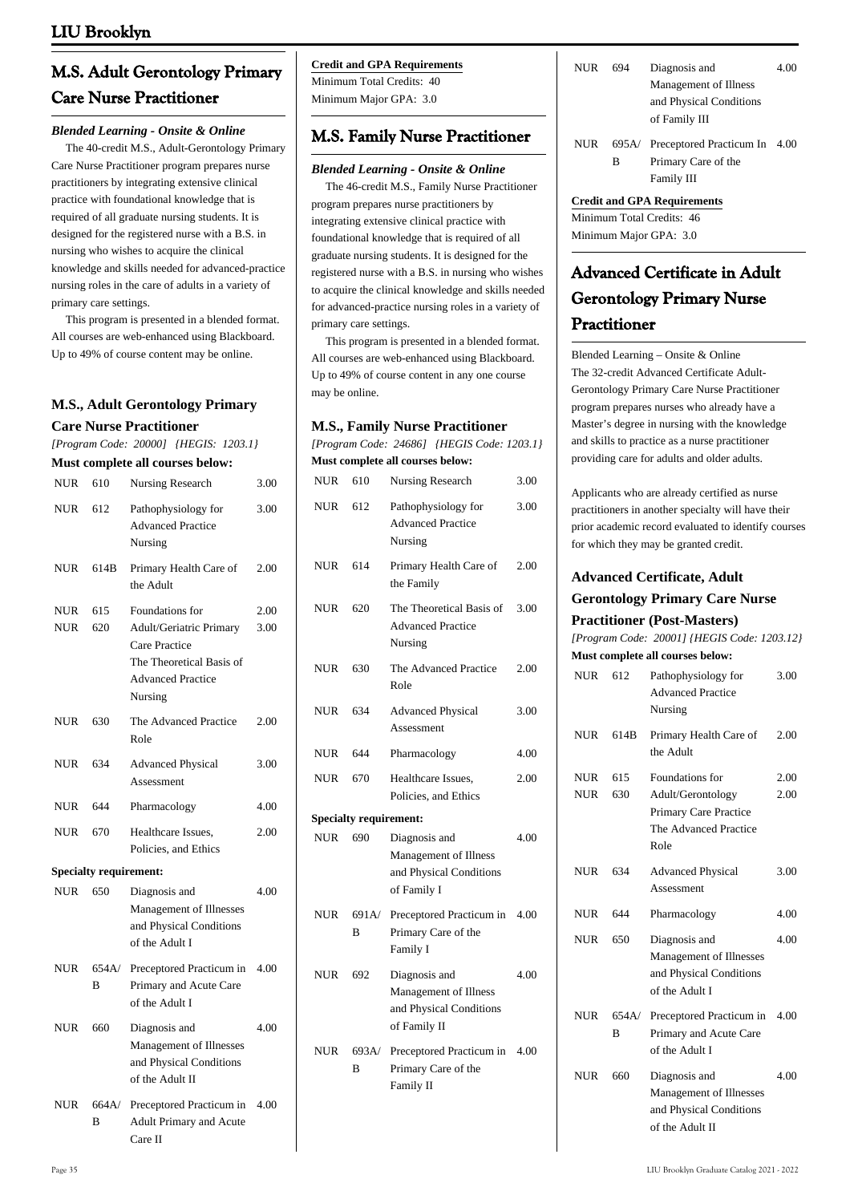# **M.S. Adult Gerontology Primary Care Nurse Practitioner**

#### *Blended Learning - Onsite & Online*

 The 40-credit M.S., Adult-Gerontology Primary Care Nurse Practitioner program prepares nurse practitioners by integrating extensive clinical practice with foundational knowledge that is required of all graduate nursing students. It is designed for the registered nurse with a B.S. in nursing who wishes to acquire the clinical knowledge and skills needed for advanced-practice nursing roles in the care of adults in a variety of primary care settings.

 This program is presented in a blended format. All courses are web-enhanced using Blackboard. Up to 49% of course content may be online.

# **M.S., Adult Gerontology Primary**

#### **Care Nurse Practitioner**

*[Program Code: 20000] {HEGIS: 1203.1}*

| Must complete all courses below: |  |
|----------------------------------|--|
|----------------------------------|--|

| NUR               | 610                           | Nursing Research                                                                                                                      | 3.00         |
|-------------------|-------------------------------|---------------------------------------------------------------------------------------------------------------------------------------|--------------|
| NUR               | 612                           | Pathophysiology for<br><b>Advanced Practice</b><br>Nursing                                                                            | 3.00         |
| NUR               | 614B                          | Primary Health Care of<br>the Adult                                                                                                   | 2.00         |
| <b>NUR</b><br>NUR | 615<br>620                    | Foundations for<br><b>Adult/Geriatric Primary</b><br>Care Practice<br>The Theoretical Basis of<br><b>Advanced Practice</b><br>Nursing | 2.00<br>3.00 |
| NUR               | 630                           | The Advanced Practice<br>Role                                                                                                         | 2.00         |
| <b>NUR</b>        | 634                           | <b>Advanced Physical</b><br>Assessment                                                                                                | 3.00         |
| NUR               | 644                           | Pharmacology                                                                                                                          | 4.00         |
| NUR               | 670                           | Healthcare Issues,<br>Policies, and Ethics                                                                                            | 2.00         |
|                   | <b>Specialty requirement:</b> |                                                                                                                                       |              |
| NUR.              | 650                           | Diagnosis and<br>Management of Illnesses<br>and Physical Conditions<br>of the Adult I                                                 | 4.00         |
| NUR               | 654A/<br>B                    | Preceptored Practicum in<br>Primary and Acute Care<br>of the Adult I                                                                  | 4.00         |
| <b>NUR</b>        | 660                           | Diagnosis and<br>Management of Illnesses<br>and Physical Conditions<br>of the Adult II                                                | 4.00         |
| <b>NUR</b>        | 664A/<br>B                    | Preceptored Practicum in<br>Adult Primary and Acute<br>Care II                                                                        | 4.00         |

### **Credit and GPA Requirements**

Minimum Total Credits: 40 Minimum Major GPA: 3.0

# **M.S. Family Nurse Practitioner**

#### *Blended Learning - Onsite & Online*

 The 46-credit M.S., Family Nurse Practitioner program prepares nurse practitioners by integrating extensive clinical practice with foundational knowledge that is required of all graduate nursing students. It is designed for the registered nurse with a B.S. in nursing who wishes to acquire the clinical knowledge and skills needed for advanced-practice nursing roles in a variety of primary care settings.

 This program is presented in a blended format. All courses are web-enhanced using Blackboard. Up to 49% of course content in any one course may be online.

| <b>M.S., Family Nurse Practitioner</b><br>[Program Code: 24686] {HEGIS Code: 1203.1}<br>Must complete all courses below: |                               |                                                                                   |      |
|--------------------------------------------------------------------------------------------------------------------------|-------------------------------|-----------------------------------------------------------------------------------|------|
| <b>NUR</b>                                                                                                               | 610                           | Nursing Research                                                                  | 3.00 |
| <b>NUR</b>                                                                                                               | 612                           | Pathophysiology for<br><b>Advanced Practice</b><br>Nursing                        | 3.00 |
| <b>NUR</b>                                                                                                               | 614                           | Primary Health Care of<br>the Family                                              | 2.00 |
| <b>NUR</b>                                                                                                               | 620                           | The Theoretical Basis of<br><b>Advanced Practice</b><br>Nursing                   | 3.00 |
| <b>NUR</b>                                                                                                               | 630                           | The Advanced Practice<br>Role                                                     | 2.00 |
| <b>NUR</b>                                                                                                               | 634                           | <b>Advanced Physical</b><br>Assessment                                            | 3.00 |
| <b>NUR</b>                                                                                                               | 644                           | Pharmacology                                                                      | 4.00 |
| <b>NUR</b>                                                                                                               | 670                           | Healthcare Issues,<br>Policies, and Ethics                                        | 2.00 |
|                                                                                                                          | <b>Specialty requirement:</b> |                                                                                   |      |
| <b>NUR</b>                                                                                                               | 690                           | Diagnosis and<br>Management of Illness<br>and Physical Conditions<br>of Family I  | 4.00 |
| <b>NUR</b>                                                                                                               | 691A/<br>B                    | Preceptored Practicum in<br>Primary Care of the<br>Family I                       | 4.00 |
| <b>NUR</b>                                                                                                               | 692                           | Diagnosis and<br>Management of Illness<br>and Physical Conditions<br>of Family II | 4.00 |
| <b>NUR</b>                                                                                                               | 693A/<br>B                    | Preceptored Practicum in<br>Primary Care of the<br>Family II                      | 4.00 |

| NUR. | 694 | Diagnosis and           | 4.00 |
|------|-----|-------------------------|------|
|      |     | Management of Illness   |      |
|      |     | and Physical Conditions |      |
|      |     | of Family III           |      |

NUR 695A/ Preceptored Practicum In 4.00 B Primary Care of the Family III

#### **Credit and GPA Requirements**

Minimum Total Credits: 46 Minimum Major GPA: 3.0

# **Advanced Certificate in Adult Gerontology Primary Nurse Practitioner**

Blended Learning – Onsite & Online The 32-credit Advanced Certificate Adult-Gerontology Primary Care Nurse Practitioner program prepares nurses who already have a Master's degree in nursing with the knowledge and skills to practice as a nurse practitioner providing care for adults and older adults.

Applicants who are already certified as nurse practitioners in another specialty will have their prior academic record evaluated to identify courses for which they may be granted credit.

# **Advanced Certificate, Adult**

#### **Gerontology Primary Care Nurse**

#### **Practitioner (Post-Masters)**

*[Program Code: 20001] {HEGIS Code: 1203.12}*

|            |            | Must complete all courses below:                                                       |      |
|------------|------------|----------------------------------------------------------------------------------------|------|
| <b>NUR</b> | 612        | Pathophysiology for<br><b>Advanced Practice</b><br>Nursing                             | 3.00 |
| <b>NUR</b> | 614B       | Primary Health Care of<br>the Adult                                                    | 2.00 |
| <b>NUR</b> | 615        | Foundations for                                                                        | 2.00 |
| <b>NUR</b> | 630        | Adult/Gerontology<br>Primary Care Practice<br>The Advanced Practice<br>Role            | 2.00 |
| <b>NUR</b> | 634        | <b>Advanced Physical</b><br>Assessment                                                 | 3.00 |
| <b>NUR</b> | 644        | Pharmacology                                                                           | 4.00 |
| <b>NUR</b> | 650        | Diagnosis and<br>Management of Illnesses<br>and Physical Conditions<br>of the Adult I  | 4.00 |
| <b>NUR</b> | 654A/<br>в | Preceptored Practicum in<br>Primary and Acute Care<br>of the Adult I                   | 4.00 |
| <b>NUR</b> | 660        | Diagnosis and<br>Management of Illnesses<br>and Physical Conditions<br>of the Adult II | 4.00 |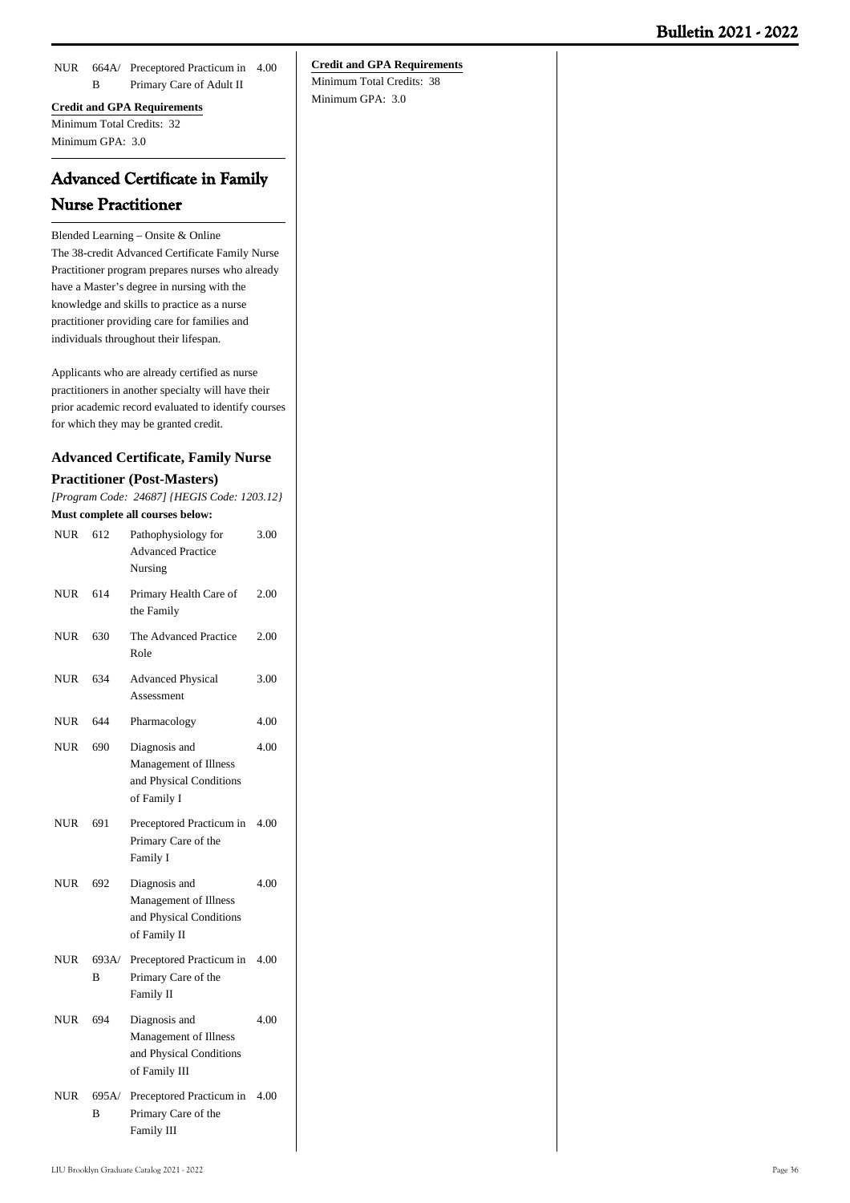NUR 664A/ Preceptored Practicum in 4.00 B Primary Care of Adult II

### **Credit and GPA Requirements** Minimum Total Credits: 32 Minimum GPA: 3.0

# **Advanced Certificate in Family Nurse Practitioner**

Blended Learning – Onsite & Online The 38-credit Advanced Certificate Family Nurse Practitioner program prepares nurses who already have a Master's degree in nursing with the knowledge and skills to practice as a nurse practitioner providing care for families and individuals throughout their lifespan.

Applicants who are already certified as nurse practitioners in another specialty will have their prior academic record evaluated to identify courses for which they may be granted credit.

|            | <b>Advanced Certificate, Family Nurse</b> |                                                                                  |      |  |
|------------|-------------------------------------------|----------------------------------------------------------------------------------|------|--|
|            |                                           | <b>Practitioner (Post-Masters)</b>                                               |      |  |
|            |                                           | [Program Code: 24687] {HEGIS Code: 1203.12}                                      |      |  |
|            |                                           | Must complete all courses below:                                                 |      |  |
| <b>NUR</b> | 612                                       | Pathophysiology for<br><b>Advanced Practice</b><br>Nursing                       | 3.00 |  |
| <b>NUR</b> | 614                                       | Primary Health Care of<br>the Family                                             | 2.00 |  |
| NUR        | 630                                       | The Advanced Practice<br>Role                                                    | 2.00 |  |
| <b>NUR</b> | 634                                       | <b>Advanced Physical</b><br>Assessment                                           | 3.00 |  |
| <b>NUR</b> | 644                                       | Pharmacology                                                                     | 4.00 |  |
| <b>NUR</b> | 690                                       | Diagnosis and<br>Management of Illness<br>and Physical Conditions<br>of Family I | 4.00 |  |
| NUR        | 691                                       | Preceptored Practicum in<br>Primary Care of the<br>Family I                      | 4.00 |  |
| <b>NUR</b> | 692                                       | Diagnosis and<br>Management of Illness<br>and Physical Conditions                | 4.00 |  |

NUR 693A/ Preceptored Practicum in 4.00 B Primary Care of the Family II

of Family II

- NUR 694 Diagnosis and Management of Illness and Physical Conditions of Family III 4.00
- NUR 695A/ Preceptored Practicum in 4.00 B Primary Care of the Family III

# **Credit and GPA Requirements**

Minimum Total Credits: 38 Minimum GPA: 3.0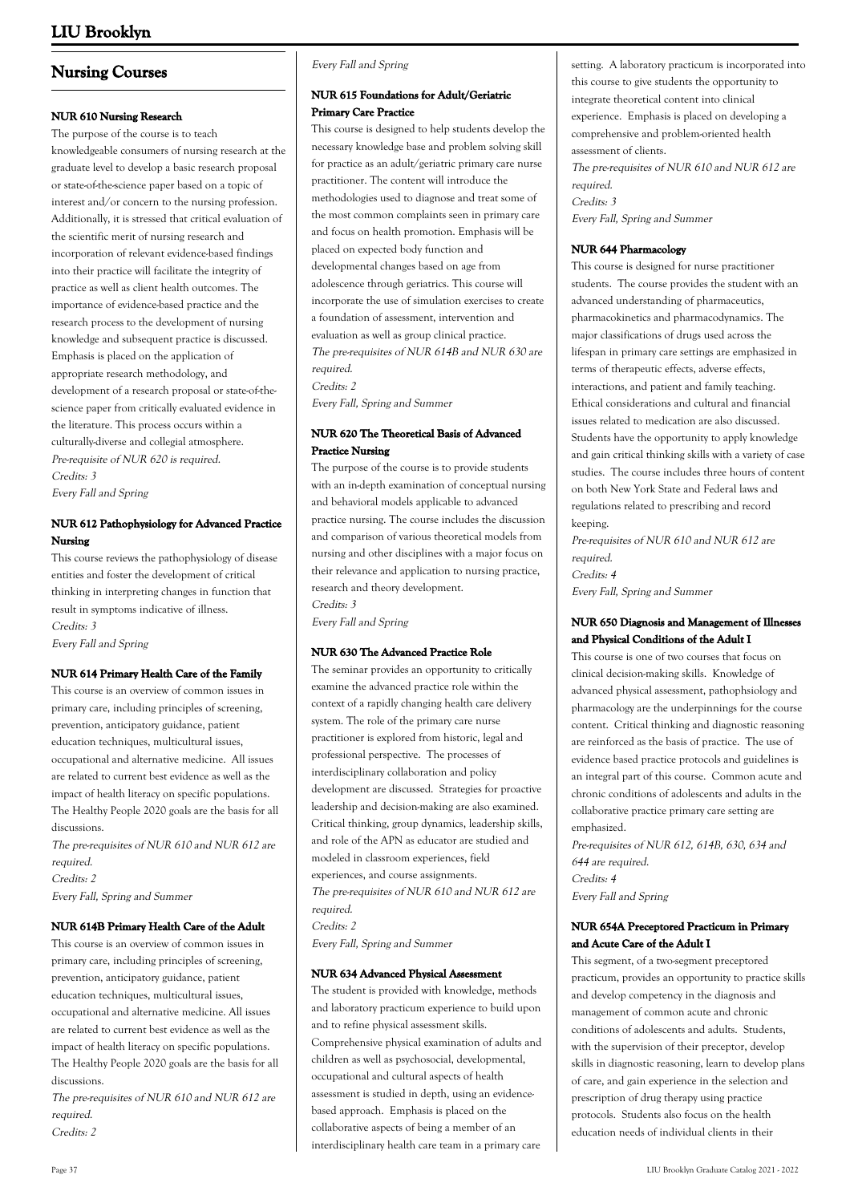# **Nursing Courses**

# **NUR 610 Nursing Research**

The purpose of the course is to teach knowledgeable consumers of nursing research at the graduate level to develop a basic research proposal or state-of-the-science paper based on a topic of interest and/or concern to the nursing profession. Additionally, it is stressed that critical evaluation of the scientific merit of nursing research and incorporation of relevant evidence-based findings into their practice will facilitate the integrity of practice as well as client health outcomes. The importance of evidence-based practice and the research process to the development of nursing knowledge and subsequent practice is discussed. Emphasis is placed on the application of appropriate research methodology, and development of a research proposal or state-of-thescience paper from critically evaluated evidence in the literature. This process occurs within a culturally-diverse and collegial atmosphere. Pre-requisite of NUR 620 is required. Credits: 3 Every Fall and Spring

# **NUR 612 Pathophysiology for Advanced Practice Nursing**

This course reviews the pathophysiology of disease entities and foster the development of critical thinking in interpreting changes in function that result in symptoms indicative of illness. Credits: 3 Every Fall and Spring

### **NUR 614 Primary Health Care of the Family**

This course is an overview of common issues in primary care, including principles of screening, prevention, anticipatory guidance, patient education techniques, multicultural issues, occupational and alternative medicine. All issues are related to current best evidence as well as the impact of health literacy on specific populations. The Healthy People 2020 goals are the basis for all discussions.

The pre-requisites of NUR 610 and NUR 612 are required. Credits: 2

Every Fall, Spring and Summer

### **NUR 614B Primary Health Care of the Adult**

This course is an overview of common issues in primary care, including principles of screening, prevention, anticipatory guidance, patient education techniques, multicultural issues, occupational and alternative medicine. All issues are related to current best evidence as well as the impact of health literacy on specific populations. The Healthy People 2020 goals are the basis for all discussions.

The pre-requisites of NUR 610 and NUR 612 are required.

Credits: 2

#### Every Fall and Spring

### **NUR 615 Foundations for Adult/Geriatric Primary Care Practice**

This course is designed to help students develop the necessary knowledge base and problem solving skill for practice as an adult/geriatric primary care nurse practitioner. The content will introduce the methodologies used to diagnose and treat some of the most common complaints seen in primary care and focus on health promotion. Emphasis will be placed on expected body function and developmental changes based on age from adolescence through geriatrics. This course will incorporate the use of simulation exercises to create a foundation of assessment, intervention and evaluation as well as group clinical practice. The pre-requisites of NUR 614B and NUR 630 are required.

Credits: 2

Every Fall, Spring and Summer

# **NUR 620 The Theoretical Basis of Advanced Practice Nursing**

The purpose of the course is to provide students with an in-depth examination of conceptual nursing and behavioral models applicable to advanced practice nursing. The course includes the discussion and comparison of various theoretical models from nursing and other disciplines with a major focus on their relevance and application to nursing practice, research and theory development. Credits: 3 Every Fall and Spring

#### **NUR 630 The Advanced Practice Role**

The seminar provides an opportunity to critically examine the advanced practice role within the context of a rapidly changing health care delivery system. The role of the primary care nurse practitioner is explored from historic, legal and professional perspective. The processes of interdisciplinary collaboration and policy development are discussed. Strategies for proactive leadership and decision-making are also examined. Critical thinking, group dynamics, leadership skills, and role of the APN as educator are studied and modeled in classroom experiences, field experiences, and course assignments. The pre-requisites of NUR 610 and NUR 612 are required. Credits: 2

Every Fall, Spring and Summer

#### **NUR 634 Advanced Physical Assessment**

The student is provided with knowledge, methods and laboratory practicum experience to build upon and to refine physical assessment skills. Comprehensive physical examination of adults and children as well as psychosocial, developmental, occupational and cultural aspects of health assessment is studied in depth, using an evidencebased approach. Emphasis is placed on the collaborative aspects of being a member of an interdisciplinary health care team in a primary care

setting. A laboratory practicum is incorporated into this course to give students the opportunity to integrate theoretical content into clinical experience. Emphasis is placed on developing a comprehensive and problem-oriented health assessment of clients.

The pre-requisites of NUR 610 and NUR 612 are required. Credits: 3 Every Fall, Spring and Summer

### **NUR 644 Pharmacology**

This course is designed for nurse practitioner students. The course provides the student with an advanced understanding of pharmaceutics, pharmacokinetics and pharmacodynamics. The major classifications of drugs used across the lifespan in primary care settings are emphasized in terms of therapeutic effects, adverse effects, interactions, and patient and family teaching. Ethical considerations and cultural and financial issues related to medication are also discussed. Students have the opportunity to apply knowledge and gain critical thinking skills with a variety of case studies. The course includes three hours of content on both New York State and Federal laws and regulations related to prescribing and record keeping.

Pre-requisites of NUR 610 and NUR 612 are required. Credits: 4 Every Fall, Spring and Summer

# **NUR 650 Diagnosis and Management of Illnesses and Physical Conditions of the Adult I**

This course is one of two courses that focus on clinical decision-making skills. Knowledge of advanced physical assessment, pathophsiology and pharmacology are the underpinnings for the course content. Critical thinking and diagnostic reasoning are reinforced as the basis of practice. The use of evidence based practice protocols and guidelines is an integral part of this course. Common acute and chronic conditions of adolescents and adults in the collaborative practice primary care setting are emphasized.

Pre-requisites of NUR 612, 614B, 630, 634 and 644 are required. Credits: 4 Every Fall and Spring

# **NUR 654A Preceptored Practicum in Primary and Acute Care of the Adult I**

This segment, of a two-segment preceptored practicum, provides an opportunity to practice skills and develop competency in the diagnosis and management of common acute and chronic conditions of adolescents and adults. Students, with the supervision of their preceptor, develop skills in diagnostic reasoning, learn to develop plans of care, and gain experience in the selection and prescription of drug therapy using practice protocols. Students also focus on the health education needs of individual clients in their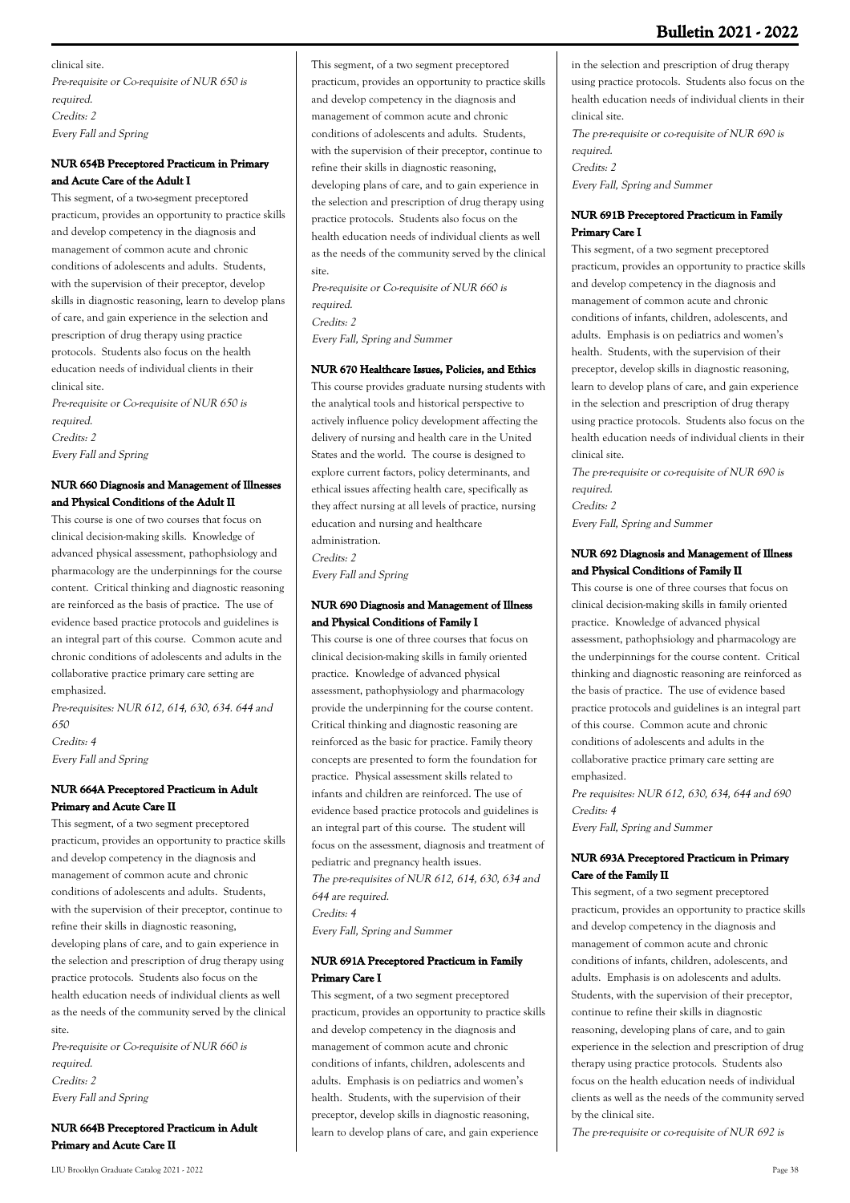clinical site. Pre-requisite or Co-requisite of NUR 650 is required. Credits: 2 Every Fall and Spring

# **NUR 654B Preceptored Practicum in Primary and Acute Care of the Adult I**

This segment, of a two-segment preceptored practicum, provides an opportunity to practice skills and develop competency in the diagnosis and management of common acute and chronic conditions of adolescents and adults. Students, with the supervision of their preceptor, develop skills in diagnostic reasoning, learn to develop plans of care, and gain experience in the selection and prescription of drug therapy using practice protocols. Students also focus on the health education needs of individual clients in their clinical site.

Pre-requisite or Co-requisite of NUR 650 is required. Credits: 2 Every Fall and Spring

# **NUR 660 Diagnosis and Management of Illnesses and Physical Conditions of the Adult II**

This course is one of two courses that focus on clinical decision-making skills. Knowledge of advanced physical assessment, pathophsiology and pharmacology are the underpinnings for the course content. Critical thinking and diagnostic reasoning are reinforced as the basis of practice. The use of evidence based practice protocols and guidelines is an integral part of this course. Common acute and chronic conditions of adolescents and adults in the collaborative practice primary care setting are emphasized.

Pre-requisites: NUR 612, 614, 630, 634. 644 and 650 Credits: 4

Every Fall and Spring

# **NUR 664A Preceptored Practicum in Adult Primary and Acute Care II**

This segment, of a two segment preceptored practicum, provides an opportunity to practice skills and develop competency in the diagnosis and management of common acute and chronic conditions of adolescents and adults. Students, with the supervision of their preceptor, continue to refine their skills in diagnostic reasoning, developing plans of care, and to gain experience in the selection and prescription of drug therapy using practice protocols. Students also focus on the health education needs of individual clients as well as the needs of the community served by the clinical site.

Pre-requisite or Co-requisite of NUR 660 is required. Credits: 2 Every Fall and Spring

# **NUR 664B Preceptored Practicum in Adult Primary and Acute Care II**

This segment, of a two segment preceptored practicum, provides an opportunity to practice skills and develop competency in the diagnosis and management of common acute and chronic conditions of adolescents and adults. Students, with the supervision of their preceptor, continue to refine their skills in diagnostic reasoning, developing plans of care, and to gain experience in the selection and prescription of drug therapy using practice protocols. Students also focus on the health education needs of individual clients as well as the needs of the community served by the clinical site.

Pre-requisite or Co-requisite of NUR 660 is required. Credits: 2 Every Fall, Spring and Summer

# **NUR 670 Healthcare Issues, Policies, and Ethics**

This course provides graduate nursing students with the analytical tools and historical perspective to actively influence policy development affecting the delivery of nursing and health care in the United States and the world. The course is designed to explore current factors, policy determinants, and ethical issues affecting health care, specifically as they affect nursing at all levels of practice, nursing education and nursing and healthcare administration.

Credits: 2 Every Fall and Spring

# **NUR 690 Diagnosis and Management of Illness and Physical Conditions of Family I**

This course is one of three courses that focus on clinical decision-making skills in family oriented practice. Knowledge of advanced physical assessment, pathophysiology and pharmacology provide the underpinning for the course content. Critical thinking and diagnostic reasoning are reinforced as the basic for practice. Family theory concepts are presented to form the foundation for practice. Physical assessment skills related to infants and children are reinforced. The use of evidence based practice protocols and guidelines is an integral part of this course. The student will focus on the assessment, diagnosis and treatment of pediatric and pregnancy health issues. The pre-requisites of NUR 612, 614, 630, 634 and 644 are required. Credits: 4

Every Fall, Spring and Summer

# **NUR 691A Preceptored Practicum in Family Primary Care I**

This segment, of a two segment preceptored practicum, provides an opportunity to practice skills and develop competency in the diagnosis and management of common acute and chronic conditions of infants, children, adolescents and adults. Emphasis is on pediatrics and women's health. Students, with the supervision of their preceptor, develop skills in diagnostic reasoning, learn to develop plans of care, and gain experience

The pre-requisite or co-requisite of NUR 690 is required. Credits: 2 Every Fall, Spring and Summer

# **NUR 691B Preceptored Practicum in Family Primary Care I**

This segment, of a two segment preceptored practicum, provides an opportunity to practice skills and develop competency in the diagnosis and management of common acute and chronic conditions of infants, children, adolescents, and adults. Emphasis is on pediatrics and women's health. Students, with the supervision of their preceptor, develop skills in diagnostic reasoning, learn to develop plans of care, and gain experience in the selection and prescription of drug therapy using practice protocols. Students also focus on the health education needs of individual clients in their clinical site.

The pre-requisite or co-requisite of NUR 690 is required.

Credits: 2

Every Fall, Spring and Summer

# **NUR 692 Diagnosis and Management of Illness and Physical Conditions of Family II**

This course is one of three courses that focus on clinical decision-making skills in family oriented practice. Knowledge of advanced physical assessment, pathophsiology and pharmacology are the underpinnings for the course content. Critical thinking and diagnostic reasoning are reinforced as the basis of practice. The use of evidence based practice protocols and guidelines is an integral part of this course. Common acute and chronic conditions of adolescents and adults in the collaborative practice primary care setting are emphasized.

Pre requisites: NUR 612, 630, 634, 644 and 690 Credits: 4 Every Fall, Spring and Summer

# **NUR 693A Preceptored Practicum in Primary Care of the Family II**

This segment, of a two segment preceptored practicum, provides an opportunity to practice skills and develop competency in the diagnosis and management of common acute and chronic conditions of infants, children, adolescents, and adults. Emphasis is on adolescents and adults. Students, with the supervision of their preceptor, continue to refine their skills in diagnostic reasoning, developing plans of care, and to gain experience in the selection and prescription of drug therapy using practice protocols. Students also focus on the health education needs of individual clients as well as the needs of the community served by the clinical site.

The pre-requisite or co-requisite of NUR 692 is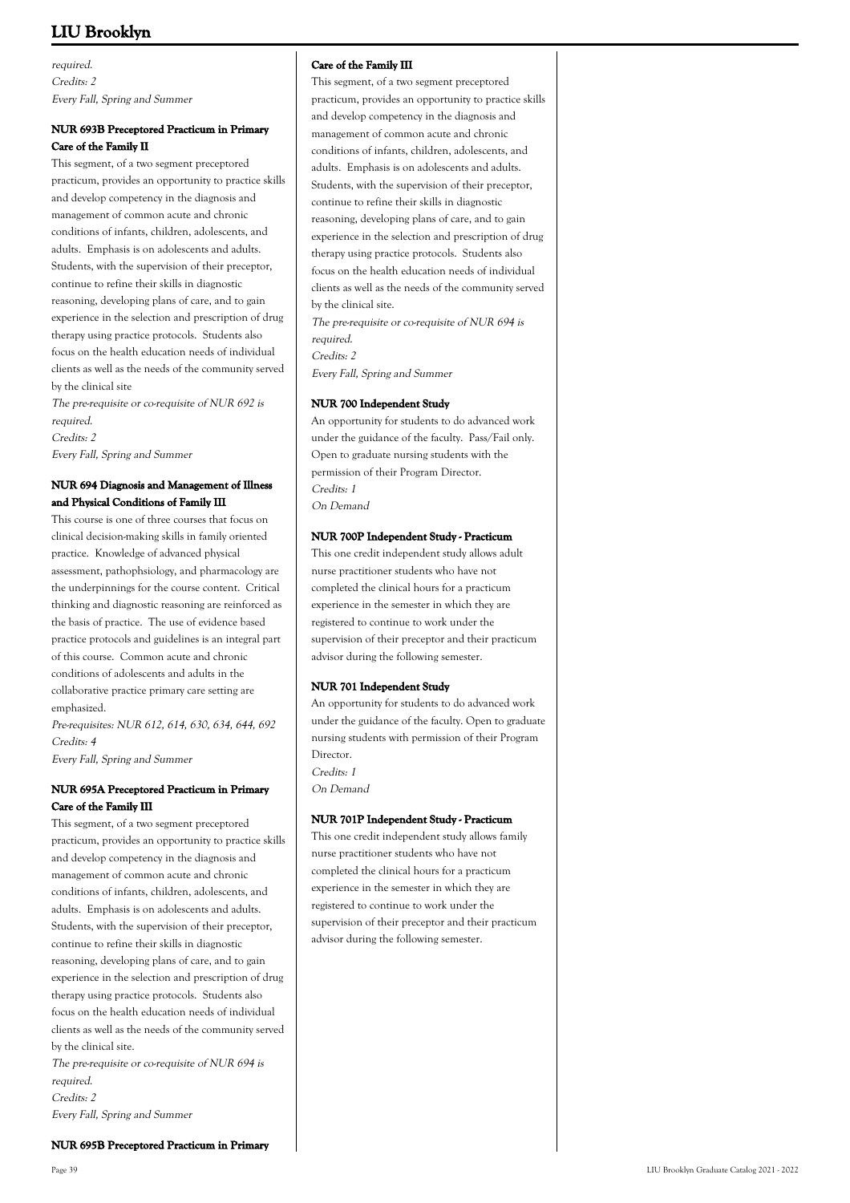required. Credits: 2 Every Fall, Spring and Summer

# **NUR 693B Preceptored Practicum in Primary Care of the Family II**

This segment, of a two segment preceptored practicum, provides an opportunity to practice skills and develop competency in the diagnosis and management of common acute and chronic conditions of infants, children, adolescents, and adults. Emphasis is on adolescents and adults. Students, with the supervision of their preceptor, continue to refine their skills in diagnostic reasoning, developing plans of care, and to gain experience in the selection and prescription of drug therapy using practice protocols. Students also focus on the health education needs of individual clients as well as the needs of the community served by the clinical site

The pre-requisite or co-requisite of NUR 692 is required. Credits: 2 Every Fall, Spring and Summer

# **NUR 694 Diagnosis and Management of Illness and Physical Conditions of Family III**

This course is one of three courses that focus on clinical decision-making skills in family oriented practice. Knowledge of advanced physical assessment, pathophsiology, and pharmacology are the underpinnings for the course content. Critical thinking and diagnostic reasoning are reinforced as the basis of practice. The use of evidence based practice protocols and guidelines is an integral part of this course. Common acute and chronic conditions of adolescents and adults in the collaborative practice primary care setting are emphasized.

Pre-requisites: NUR 612, 614, 630, 634, 644, 692 Credits: 4

Every Fall, Spring and Summer

# **NUR 695A Preceptored Practicum in Primary Care of the Family III**

This segment, of a two segment preceptored practicum, provides an opportunity to practice skills and develop competency in the diagnosis and management of common acute and chronic conditions of infants, children, adolescents, and adults. Emphasis is on adolescents and adults. Students, with the supervision of their preceptor, continue to refine their skills in diagnostic reasoning, developing plans of care, and to gain experience in the selection and prescription of drug therapy using practice protocols. Students also focus on the health education needs of individual clients as well as the needs of the community served by the clinical site.

The pre-requisite or co-requisite of NUR 694 is required.

**NUR 695B Preceptored Practicum in Primary**

Credits: 2 Every Fall, Spring and Summer

# **Care of the Family III**

This segment, of a two segment preceptored practicum, provides an opportunity to practice skills and develop competency in the diagnosis and management of common acute and chronic conditions of infants, children, adolescents, and adults. Emphasis is on adolescents and adults. Students, with the supervision of their preceptor, continue to refine their skills in diagnostic reasoning, developing plans of care, and to gain experience in the selection and prescription of drug therapy using practice protocols. Students also focus on the health education needs of individual clients as well as the needs of the community served by the clinical site. The pre-requisite or co-requisite of NUR 694 is

required. Credits: 2 Every Fall, Spring and Summer

### **NUR 700 Independent Study**

An opportunity for students to do advanced work under the guidance of the faculty. Pass/Fail only. Open to graduate nursing students with the permission of their Program Director. Credits: 1 On Demand

### **NUR 700P Independent Study - Practicum**

This one credit independent study allows adult nurse practitioner students who have not completed the clinical hours for a practicum experience in the semester in which they are registered to continue to work under the supervision of their preceptor and their practicum advisor during the following semester.

### **NUR 701 Independent Study**

An opportunity for students to do advanced work under the guidance of the faculty. Open to graduate nursing students with permission of their Program Director. Credits: 1 On Demand

### **NUR 701P Independent Study - Practicum**

This one credit independent study allows family nurse practitioner students who have not completed the clinical hours for a practicum experience in the semester in which they are registered to continue to work under the supervision of their preceptor and their practicum advisor during the following semester.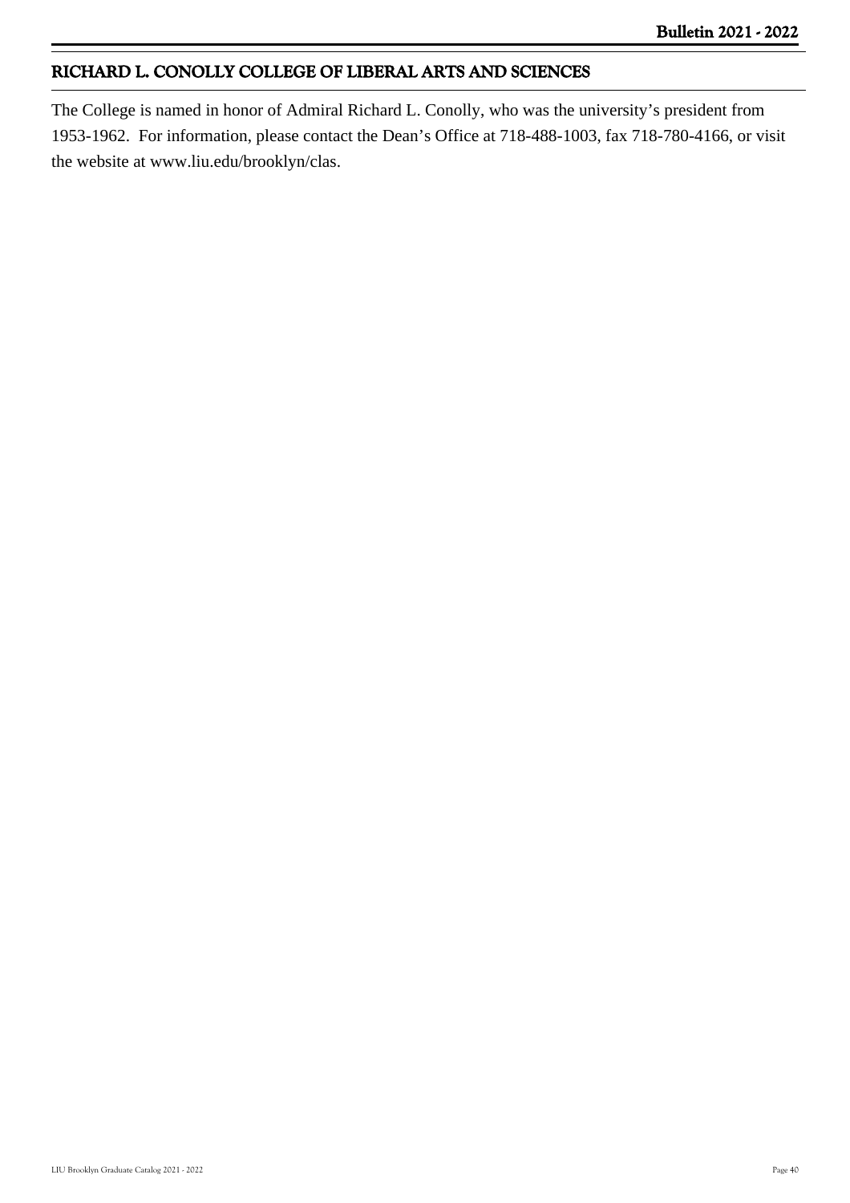# **RICHARD L. CONOLLY COLLEGE OF LIBERAL ARTS AND SCIENCES**

The College is named in honor of Admiral Richard L. Conolly, who was the university's president from 1953-1962. For information, please contact the Dean's Office at 718-488-1003, fax 718-780-4166, or visit the website at www.liu.edu/brooklyn/clas.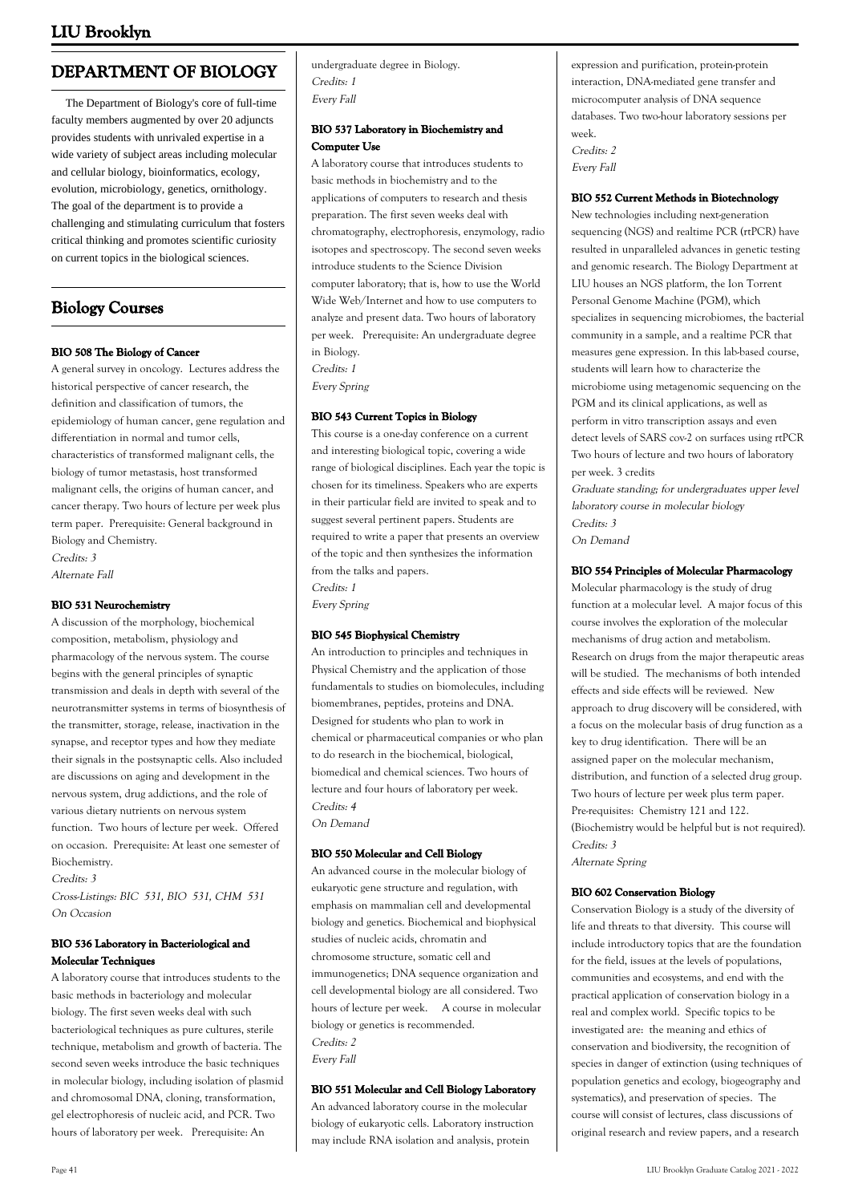# **DEPARTMENT OF BIOLOGY**

 The Department of Biology's core of full-time faculty members augmented by over 20 adjuncts provides students with unrivaled expertise in a wide variety of subject areas including molecular and cellular biology, bioinformatics, ecology, evolution, microbiology, genetics, ornithology. The goal of the department is to provide a challenging and stimulating curriculum that fosters critical thinking and promotes scientific curiosity on current topics in the biological sciences.

# **Biology Courses**

# **BIO 508 The Biology of Cancer**

A general survey in oncology. Lectures address the historical perspective of cancer research, the definition and classification of tumors, the epidemiology of human cancer, gene regulation and differentiation in normal and tumor cells, characteristics of transformed malignant cells, the biology of tumor metastasis, host transformed malignant cells, the origins of human cancer, and cancer therapy. Two hours of lecture per week plus term paper. Prerequisite: General background in Biology and Chemistry.

Credits: 3 Alternate Fall

### **BIO 531 Neurochemistry**

A discussion of the morphology, biochemical composition, metabolism, physiology and pharmacology of the nervous system. The course begins with the general principles of synaptic transmission and deals in depth with several of the neurotransmitter systems in terms of biosynthesis of the transmitter, storage, release, inactivation in the synapse, and receptor types and how they mediate their signals in the postsynaptic cells. Also included are discussions on aging and development in the nervous system, drug addictions, and the role of various dietary nutrients on nervous system function. Two hours of lecture per week. Offered on occasion. Prerequisite: At least one semester of Biochemistry.

Credits: 3

Cross-Listings: BIC 531, BIO 531, CHM 531 On Occasion

# **BIO 536 Laboratory in Bacteriological and Molecular Techniques**

A laboratory course that introduces students to the basic methods in bacteriology and molecular biology. The first seven weeks deal with such bacteriological techniques as pure cultures, sterile technique, metabolism and growth of bacteria. The second seven weeks introduce the basic techniques in molecular biology, including isolation of plasmid and chromosomal DNA, cloning, transformation, gel electrophoresis of nucleic acid, and PCR. Two hours of laboratory per week. Prerequisite: An

undergraduate degree in Biology. Credits: 1 Every Fall

# **BIO 537 Laboratory in Biochemistry and Computer Use**

A laboratory course that introduces students to basic methods in biochemistry and to the applications of computers to research and thesis preparation. The first seven weeks deal with chromatography, electrophoresis, enzymology, radio isotopes and spectroscopy. The second seven weeks introduce students to the Science Division computer laboratory; that is, how to use the World Wide Web/Internet and how to use computers to analyze and present data. Two hours of laboratory per week. Prerequisite: An undergraduate degree in Biology. Credits: 1

Every Spring

# **BIO 543 Current Topics in Biology**

This course is a one-day conference on a current and interesting biological topic, covering a wide range of biological disciplines. Each year the topic is chosen for its timeliness. Speakers who are experts in their particular field are invited to speak and to suggest several pertinent papers. Students are required to write a paper that presents an overview of the topic and then synthesizes the information from the talks and papers. Credits: 1

Every Spring

# **BIO 545 Biophysical Chemistry**

An introduction to principles and techniques in Physical Chemistry and the application of those fundamentals to studies on biomolecules, including biomembranes, peptides, proteins and DNA. Designed for students who plan to work in chemical or pharmaceutical companies or who plan to do research in the biochemical, biological, biomedical and chemical sciences. Two hours of lecture and four hours of laboratory per week. Credits: 4 On Demand

# **BIO 550 Molecular and Cell Biology**

An advanced course in the molecular biology of eukaryotic gene structure and regulation, with emphasis on mammalian cell and developmental biology and genetics. Biochemical and biophysical studies of nucleic acids, chromatin and chromosome structure, somatic cell and immunogenetics; DNA sequence organization and cell developmental biology are all considered. Two hours of lecture per week. A course in molecular biology or genetics is recommended. Credits: 2 Every Fall

### **BIO 551 Molecular and Cell Biology Laboratory**

An advanced laboratory course in the molecular biology of eukaryotic cells. Laboratory instruction may include RNA isolation and analysis, protein

expression and purification, protein-protein interaction, DNA-mediated gene transfer and microcomputer analysis of DNA sequence databases. Two two-hour laboratory sessions per week. Credits: 2

Every Fall

# **BIO 552 Current Methods in Biotechnology**

New technologies including next-generation sequencing (NGS) and realtime PCR (rtPCR) have resulted in unparalleled advances in genetic testing and genomic research. The Biology Department at LIU houses an NGS platform, the Ion Torrent Personal Genome Machine (PGM), which specializes in sequencing microbiomes, the bacterial community in a sample, and a realtime PCR that measures gene expression. In this lab-based course, students will learn how to characterize the microbiome using metagenomic sequencing on the PGM and its clinical applications, as well as perform in vitro transcription assays and even detect levels of SARS cov-2 on surfaces using rtPCR Two hours of lecture and two hours of laboratory per week. 3 credits

Graduate standing; for undergraduates upper level laboratory course in molecular biology Credits: 3 On Demand

# **BIO 554 Principles of Molecular Pharmacology**

Molecular pharmacology is the study of drug function at a molecular level. A major focus of this course involves the exploration of the molecular mechanisms of drug action and metabolism. Research on drugs from the major therapeutic areas will be studied. The mechanisms of both intended effects and side effects will be reviewed. New approach to drug discovery will be considered, with a focus on the molecular basis of drug function as a key to drug identification. There will be an assigned paper on the molecular mechanism, distribution, and function of a selected drug group. Two hours of lecture per week plus term paper. Pre-requisites: Chemistry 121 and 122. (Biochemistry would be helpful but is not required). Credits: 3

Alternate Spring

# **BIO 602 Conservation Biology**

Conservation Biology is a study of the diversity of life and threats to that diversity. This course will include introductory topics that are the foundation for the field, issues at the levels of populations, communities and ecosystems, and end with the practical application of conservation biology in a real and complex world. Specific topics to be investigated are: the meaning and ethics of conservation and biodiversity, the recognition of species in danger of extinction (using techniques of population genetics and ecology, biogeography and systematics), and preservation of species. The course will consist of lectures, class discussions of original research and review papers, and a research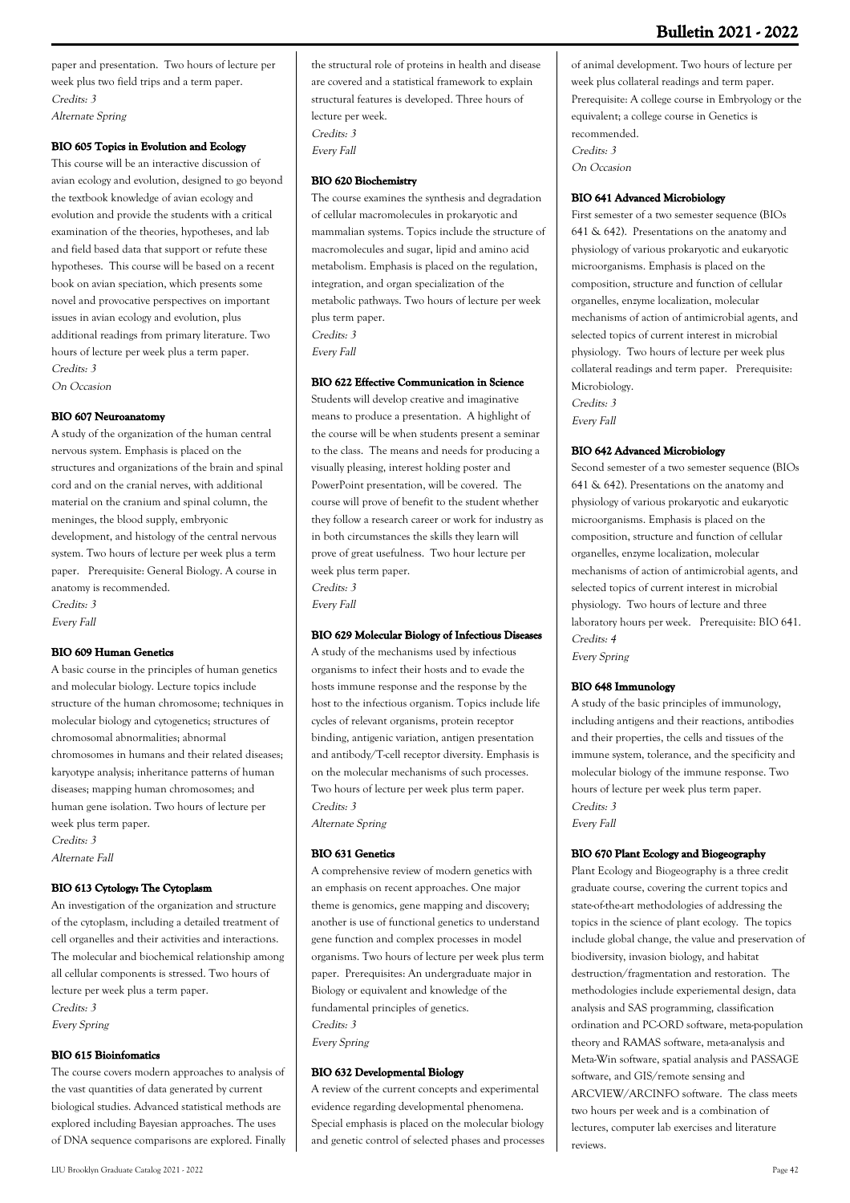# **Bulletin 2021 - 2022**

paper and presentation. Two hours of lecture per week plus two field trips and a term paper. Credits: 3 Alternate Spring

### **BIO 605 Topics in Evolution and Ecology**

This course will be an interactive discussion of avian ecology and evolution, designed to go beyond the textbook knowledge of avian ecology and evolution and provide the students with a critical examination of the theories, hypotheses, and lab and field based data that support or refute these hypotheses. This course will be based on a recent book on avian speciation, which presents some novel and provocative perspectives on important issues in avian ecology and evolution, plus additional readings from primary literature. Two hours of lecture per week plus a term paper. Credits: 3

On Occasion

#### **BIO 607 Neuroanatomy**

A study of the organization of the human central nervous system. Emphasis is placed on the structures and organizations of the brain and spinal cord and on the cranial nerves, with additional material on the cranium and spinal column, the meninges, the blood supply, embryonic development, and histology of the central nervous system. Two hours of lecture per week plus a term paper. Prerequisite: General Biology. A course in anatomy is recommended. Credits: 3

Every Fall

#### **BIO 609 Human Genetics**

A basic course in the principles of human genetics and molecular biology. Lecture topics include structure of the human chromosome; techniques in molecular biology and cytogenetics; structures of chromosomal abnormalities; abnormal chromosomes in humans and their related diseases; karyotype analysis; inheritance patterns of human diseases; mapping human chromosomes; and human gene isolation. Two hours of lecture per week plus term paper. Credits: 3 Alternate Fall

### **BIO 613 Cytology: The Cytoplasm**

An investigation of the organization and structure of the cytoplasm, including a detailed treatment of cell organelles and their activities and interactions. The molecular and biochemical relationship among all cellular components is stressed. Two hours of lecture per week plus a term paper. Credits: 3

Every Spring

# **BIO 615 Bioinfomatics**

The course covers modern approaches to analysis of the vast quantities of data generated by current biological studies. Advanced statistical methods are explored including Bayesian approaches. The uses of DNA sequence comparisons are explored. Finally the structural role of proteins in health and disease are covered and a statistical framework to explain structural features is developed. Three hours of lecture per week. Credits: 3 Every Fall

### **BIO 620 Biochemistry**

The course examines the synthesis and degradation of cellular macromolecules in prokaryotic and mammalian systems. Topics include the structure of macromolecules and sugar, lipid and amino acid metabolism. Emphasis is placed on the regulation, integration, and organ specialization of the metabolic pathways. Two hours of lecture per week plus term paper. Credits: 3

Every Fall

# **BIO 622 Effective Communication in Science**

Students will develop creative and imaginative means to produce a presentation. A highlight of the course will be when students present a seminar to the class. The means and needs for producing a visually pleasing, interest holding poster and PowerPoint presentation, will be covered. The course will prove of benefit to the student whether they follow a research career or work for industry as in both circumstances the skills they learn will prove of great usefulness. Two hour lecture per week plus term paper. Credits: 3

Every Fall

# **BIO 629 Molecular Biology of Infectious Diseases**

A study of the mechanisms used by infectious organisms to infect their hosts and to evade the hosts immune response and the response by the host to the infectious organism. Topics include life cycles of relevant organisms, protein receptor binding, antigenic variation, antigen presentation and antibody/T-cell receptor diversity. Emphasis is on the molecular mechanisms of such processes. Two hours of lecture per week plus term paper. Credits: 3 Alternate Spring

#### **BIO 631 Genetics**

A comprehensive review of modern genetics with an emphasis on recent approaches. One major theme is genomics, gene mapping and discovery; another is use of functional genetics to understand gene function and complex processes in model organisms. Two hours of lecture per week plus term paper. Prerequisites: An undergraduate major in Biology or equivalent and knowledge of the fundamental principles of genetics. Credits: 3 Every Spring

### **BIO 632 Developmental Biology**

A review of the current concepts and experimental evidence regarding developmental phenomena. Special emphasis is placed on the molecular biology and genetic control of selected phases and processes of animal development. Two hours of lecture per week plus collateral readings and term paper. Prerequisite: A college course in Embryology or the equivalent; a college course in Genetics is recommended. Credits: 3 On Occasion

### **BIO 641 Advanced Microbiology**

First semester of a two semester sequence (BIOs 641 & 642). Presentations on the anatomy and physiology of various prokaryotic and eukaryotic microorganisms. Emphasis is placed on the composition, structure and function of cellular organelles, enzyme localization, molecular mechanisms of action of antimicrobial agents, and selected topics of current interest in microbial physiology. Two hours of lecture per week plus collateral readings and term paper. Prerequisite: Microbiology. Credits: 3

Every Fall

#### **BIO 642 Advanced Microbiology**

Second semester of a two semester sequence (BIOs 641 & 642). Presentations on the anatomy and physiology of various prokaryotic and eukaryotic microorganisms. Emphasis is placed on the composition, structure and function of cellular organelles, enzyme localization, molecular mechanisms of action of antimicrobial agents, and selected topics of current interest in microbial physiology. Two hours of lecture and three laboratory hours per week. Prerequisite: BIO 641. Credits: 4 Every Spring

#### **BIO 648 Immunology**

A study of the basic principles of immunology, including antigens and their reactions, antibodies and their properties, the cells and tissues of the immune system, tolerance, and the specificity and molecular biology of the immune response. Two hours of lecture per week plus term paper. Credits: 3 Every Fall

#### **BIO 670 Plant Ecology and Biogeography**

Plant Ecology and Biogeography is a three credit graduate course, covering the current topics and state-of-the-art methodologies of addressing the topics in the science of plant ecology. The topics include global change, the value and preservation of biodiversity, invasion biology, and habitat destruction/fragmentation and restoration. The methodologies include experiemental design, data analysis and SAS programming, classification ordination and PC-ORD software, meta-population theory and RAMAS software, meta-analysis and Meta-Win software, spatial analysis and PASSAGE software, and GIS/remote sensing and ARCVIEW/ARCINFO software. The class meets two hours per week and is a combination of lectures, computer lab exercises and literature reviews.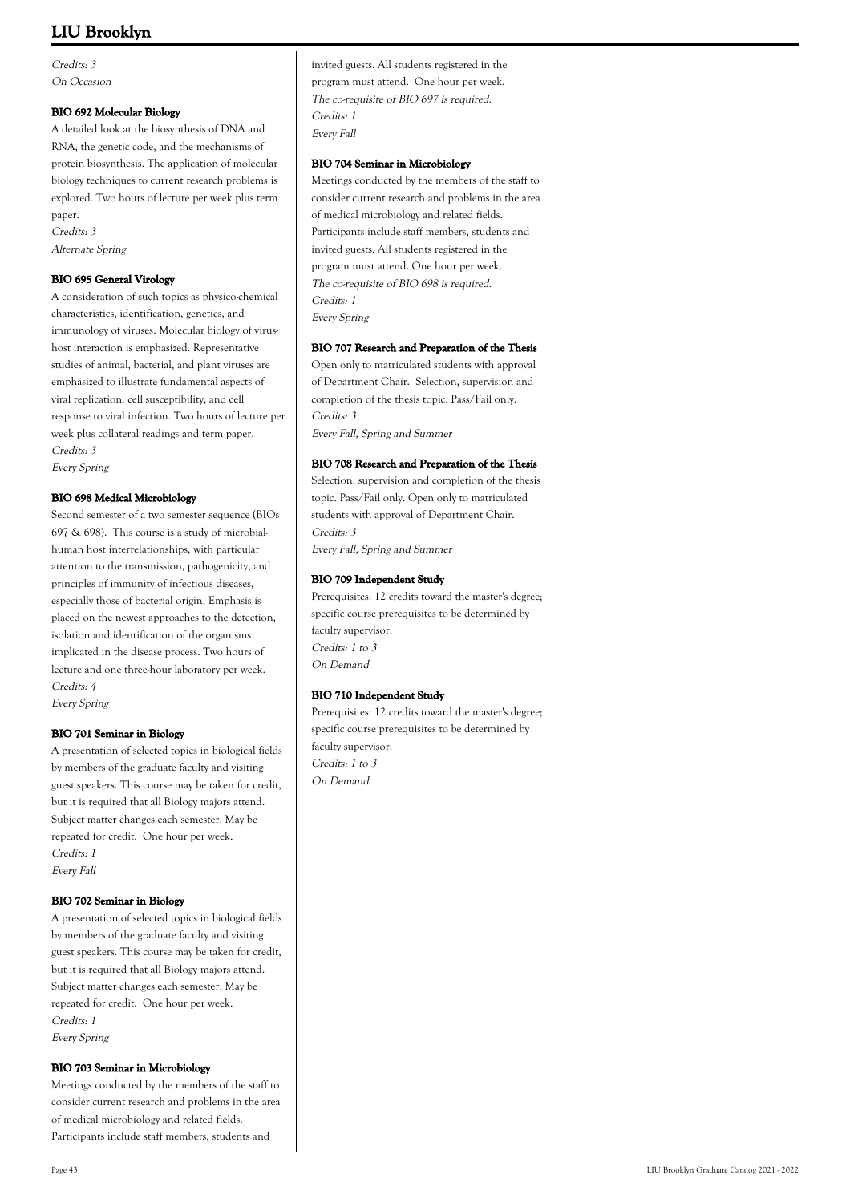Credits: 3 On Occasion

# **BIO 692 Molecular Biology**

A detailed look at the biosynthesis of DNA and RNA, the genetic code, and the mechanisms of protein biosynthesis. The application of molecular biology techniques to current research problems is explored. Two hours of lecture per week plus term paper.

Credits: 3 Alternate Spring

# **BIO 695 General Virology**

A consideration of such topics as physico-chemical characteristics, identification, genetics, and immunology of viruses. Molecular biology of virushost interaction is emphasized. Representative studies of animal, bacterial, and plant viruses are emphasized to illustrate fundamental aspects of viral replication, cell susceptibility, and cell response to viral infection. Two hours of lecture per week plus collateral readings and term paper. Credits: 3

Every Spring

# **BIO 698 Medical Microbiology**

Second semester of a two semester sequence (BIOs 697 & 698). This course is a study of microbialhuman host interrelationships, with particular attention to the transmission, pathogenicity, and principles of immunity of infectious diseases, especially those of bacterial origin. Emphasis is placed on the newest approaches to the detection, isolation and identification of the organisms implicated in the disease process. Two hours of lecture and one three-hour laboratory per week. Credits: 4

Every Spring

### **BIO 701 Seminar in Biology**

A presentation of selected topics in biological fields by members of the graduate faculty and visiting guest speakers. This course may be taken for credit, but it is required that all Biology majors attend. Subject matter changes each semester. May be repeated for credit. One hour per week. Credits: 1 Every Fall

### **BIO 702 Seminar in Biology**

A presentation of selected topics in biological fields by members of the graduate faculty and visiting guest speakers. This course may be taken for credit, but it is required that all Biology majors attend. Subject matter changes each semester. May be repeated for credit. One hour per week. Credits: 1 Every Spring

# **BIO 703 Seminar in Microbiology**

Meetings conducted by the members of the staff to consider current research and problems in the area of medical microbiology and related fields. Participants include staff members, students and

invited guests. All students registered in the program must attend. One hour per week. The co-requisite of BIO 697 is required. Credits: 1 Every Fall

#### **BIO 704 Seminar in Microbiology**

Meetings conducted by the members of the staff to consider current research and problems in the area of medical microbiology and related fields. Participants include staff members, students and invited guests. All students registered in the program must attend. One hour per week. The co-requisite of BIO 698 is required. Credits: 1 Every Spring

### **BIO 707 Research and Preparation of the Thesis**

Open only to matriculated students with approval of Department Chair. Selection, supervision and completion of the thesis topic. Pass/Fail only. Credits: 3 Every Fall, Spring and Summer

### **BIO 708 Research and Preparation of the Thesis**

Selection, supervision and completion of the thesis topic. Pass/Fail only. Open only to matriculated students with approval of Department Chair. Credits: 3

Every Fall, Spring and Summer

### **BIO 709 Independent Study**

Prerequisites: 12 credits toward the master's degree; specific course prerequisites to be determined by faculty supervisor. Credits: 1 to 3 On Demand

# **BIO 710 Independent Study**

Prerequisites: 12 credits toward the master's degree; specific course prerequisites to be determined by faculty supervisor. Credits: 1 to 3 On Demand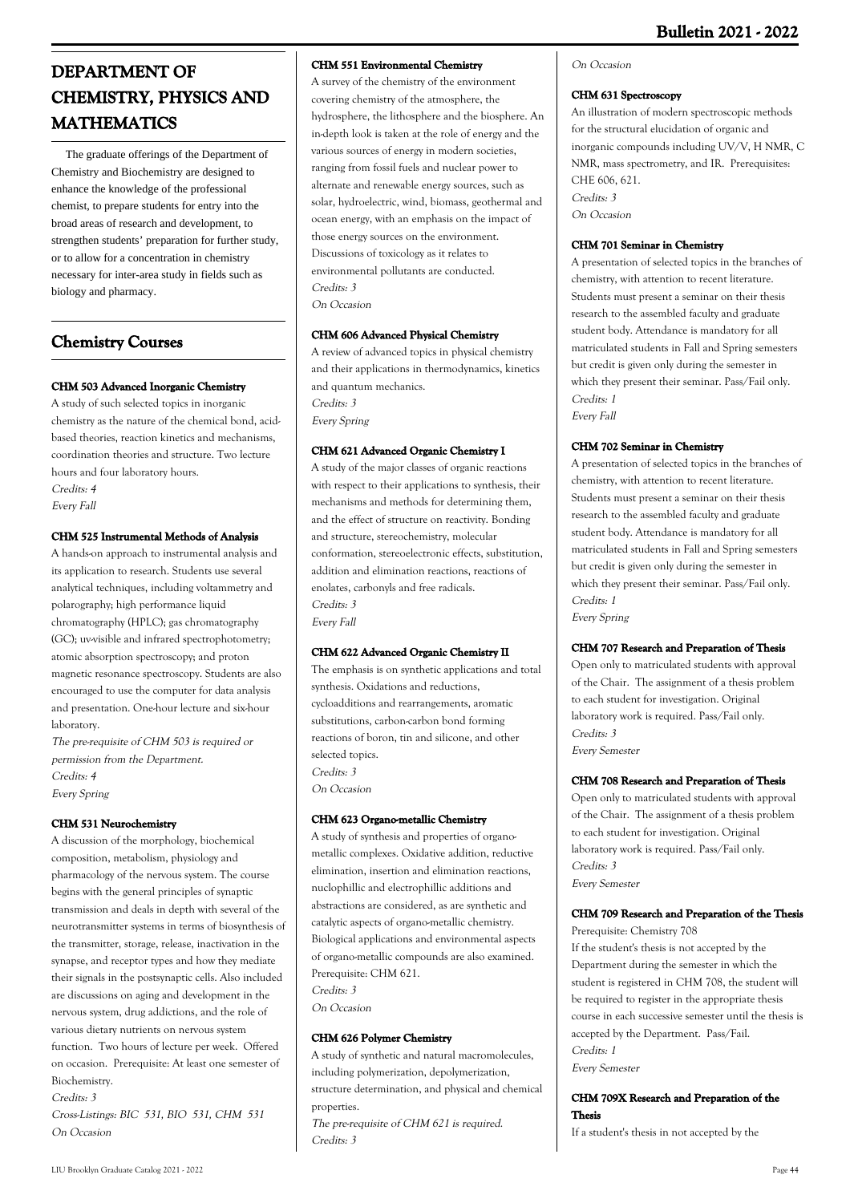# **DEPARTMENT OF CHEMISTRY, PHYSICS AND MATHEMATICS**

 The graduate offerings of the Department of Chemistry and Biochemistry are designed to enhance the knowledge of the professional chemist, to prepare students for entry into the broad areas of research and development, to strengthen students' preparation for further study, or to allow for a concentration in chemistry necessary for inter-area study in fields such as biology and pharmacy.

# **Chemistry Courses**

# **CHM 503 Advanced Inorganic Chemistry**

A study of such selected topics in inorganic chemistry as the nature of the chemical bond, acidbased theories, reaction kinetics and mechanisms, coordination theories and structure. Two lecture hours and four laboratory hours. Credits: 4 Every Fall

# **CHM 525 Instrumental Methods of Analysis**

A hands-on approach to instrumental analysis and its application to research. Students use several analytical techniques, including voltammetry and polarography; high performance liquid chromatography (HPLC); gas chromatography (GC); uv-visible and infrared spectrophotometry; atomic absorption spectroscopy; and proton magnetic resonance spectroscopy. Students are also encouraged to use the computer for data analysis and presentation. One-hour lecture and six-hour laboratory.

The pre-requisite of CHM 503 is required or permission from the Department. Credits: 4 Every Spring

# **CHM 531 Neurochemistry**

A discussion of the morphology, biochemical composition, metabolism, physiology and pharmacology of the nervous system. The course begins with the general principles of synaptic transmission and deals in depth with several of the neurotransmitter systems in terms of biosynthesis of the transmitter, storage, release, inactivation in the synapse, and receptor types and how they mediate their signals in the postsynaptic cells. Also included are discussions on aging and development in the nervous system, drug addictions, and the role of various dietary nutrients on nervous system function. Two hours of lecture per week. Offered on occasion. Prerequisite: At least one semester of Biochemistry. Credits: 3

Cross-Listings: BIC 531, BIO 531, CHM 531 On Occasion

# **CHM 551 Environmental Chemistry**

A survey of the chemistry of the environment covering chemistry of the atmosphere, the hydrosphere, the lithosphere and the biosphere. An in-depth look is taken at the role of energy and the various sources of energy in modern societies, ranging from fossil fuels and nuclear power to alternate and renewable energy sources, such as solar, hydroelectric, wind, biomass, geothermal and ocean energy, with an emphasis on the impact of those energy sources on the environment. Discussions of toxicology as it relates to environmental pollutants are conducted. Credits: 3 On Occasion

# **CHM 606 Advanced Physical Chemistry**

A review of advanced topics in physical chemistry and their applications in thermodynamics, kinetics and quantum mechanics. Credits: 3 Every Spring

# **CHM 621 Advanced Organic Chemistry I**

A study of the major classes of organic reactions with respect to their applications to synthesis, their mechanisms and methods for determining them, and the effect of structure on reactivity. Bonding and structure, stereochemistry, molecular conformation, stereoelectronic effects, substitution, addition and elimination reactions, reactions of enolates, carbonyls and free radicals. Credits: 3 Every Fall

# **CHM 622 Advanced Organic Chemistry II**

The emphasis is on synthetic applications and total synthesis. Oxidations and reductions, cycloadditions and rearrangements, aromatic substitutions, carbon-carbon bond forming reactions of boron, tin and silicone, and other selected topics. Credits: 3 On Occasion

# **CHM 623 Organo-metallic Chemistry**

A study of synthesis and properties of organometallic complexes. Oxidative addition, reductive elimination, insertion and elimination reactions, nuclophillic and electrophillic additions and abstractions are considered, as are synthetic and catalytic aspects of organo-metallic chemistry. Biological applications and environmental aspects of organo-metallic compounds are also examined. Prerequisite: CHM 621. Credits: 3

On Occasion

# **CHM 626 Polymer Chemistry**

A study of synthetic and natural macromolecules, including polymerization, depolymerization, structure determination, and physical and chemical properties.

The pre-requisite of CHM 621 is required. Credits: 3

# On Occasion

# **CHM 631 Spectroscopy**

An illustration of modern spectroscopic methods for the structural elucidation of organic and inorganic compounds including UV/V, H NMR, C NMR, mass spectrometry, and IR. Prerequisites: CHE 606, 621. Credits: 3 On Occasion

# **CHM 701 Seminar in Chemistry**

A presentation of selected topics in the branches of chemistry, with attention to recent literature. Students must present a seminar on their thesis research to the assembled faculty and graduate student body. Attendance is mandatory for all matriculated students in Fall and Spring semesters but credit is given only during the semester in which they present their seminar. Pass/Fail only. Credits: 1 Every Fall

# **CHM 702 Seminar in Chemistry**

A presentation of selected topics in the branches of chemistry, with attention to recent literature. Students must present a seminar on their thesis research to the assembled faculty and graduate student body. Attendance is mandatory for all matriculated students in Fall and Spring semesters but credit is given only during the semester in which they present their seminar. Pass/Fail only. Credits: 1 Every Spring

# **CHM 707 Research and Preparation of Thesis**

Open only to matriculated students with approval of the Chair. The assignment of a thesis problem to each student for investigation. Original laboratory work is required. Pass/Fail only. Credits: 3 Every Semester

# **CHM 708 Research and Preparation of Thesis**

Open only to matriculated students with approval of the Chair. The assignment of a thesis problem to each student for investigation. Original laboratory work is required. Pass/Fail only. Credits: 3 Every Semester

# **CHM 709 Research and Preparation of the Thesis**

Prerequisite: Chemistry 708 If the student's thesis is not accepted by the Department during the semester in which the student is registered in CHM 708, the student will be required to register in the appropriate thesis course in each successive semester until the thesis is accepted by the Department. Pass/Fail. Credits: 1 Every Semester

# **CHM 709X Research and Preparation of the Thesis**

If a student's thesis in not accepted by the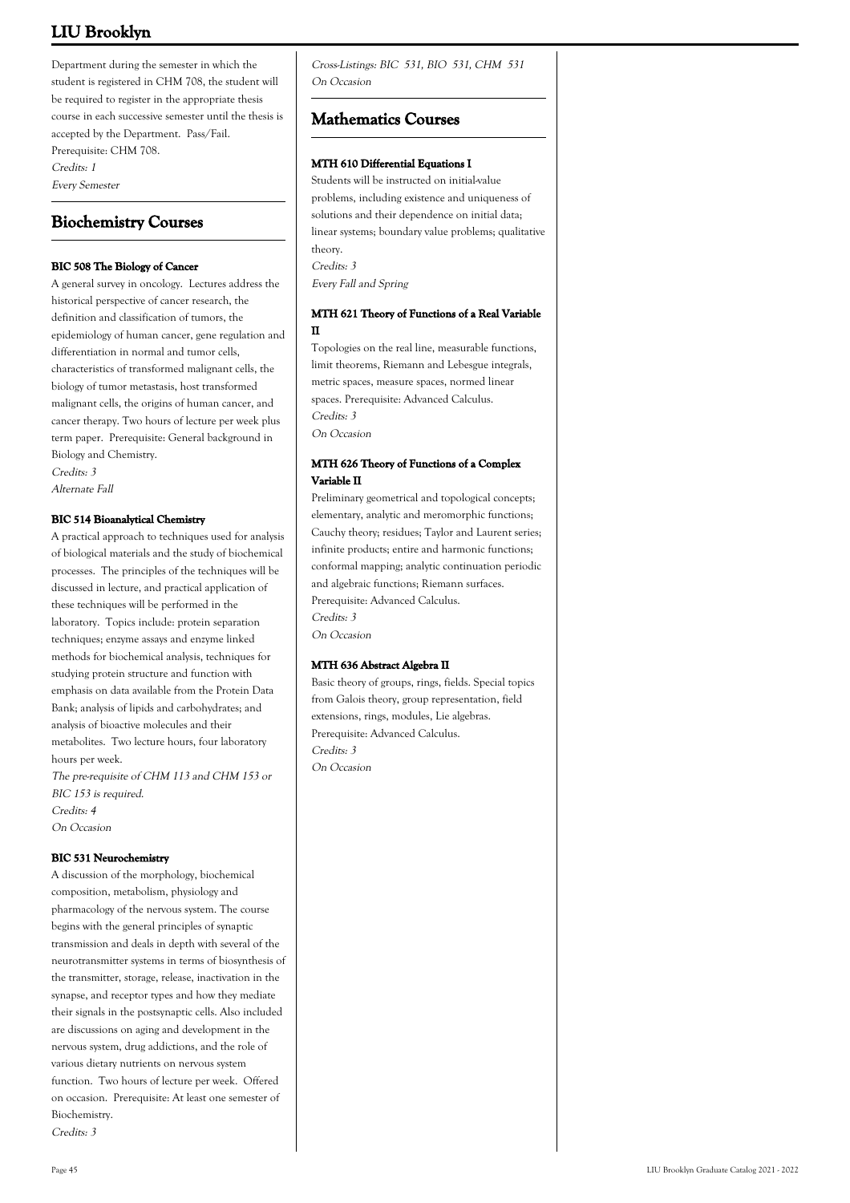Department during the semester in which the student is registered in CHM 708, the student will be required to register in the appropriate thesis course in each successive semester until the thesis is accepted by the Department. Pass/Fail. Prerequisite: CHM 708. Credits: 1 Every Semester

# **Biochemistry Courses**

# **BIC 508 The Biology of Cancer**

A general survey in oncology. Lectures address the historical perspective of cancer research, the definition and classification of tumors, the epidemiology of human cancer, gene regulation and differentiation in normal and tumor cells, characteristics of transformed malignant cells, the biology of tumor metastasis, host transformed malignant cells, the origins of human cancer, and cancer therapy. Two hours of lecture per week plus term paper. Prerequisite: General background in Biology and Chemistry. Credits: 3

Alternate Fall

# **BIC 514 Bioanalytical Chemistry**

A practical approach to techniques used for analysis of biological materials and the study of biochemical processes. The principles of the techniques will be discussed in lecture, and practical application of these techniques will be performed in the laboratory. Topics include: protein separation techniques; enzyme assays and enzyme linked methods for biochemical analysis, techniques for studying protein structure and function with emphasis on data available from the Protein Data Bank; analysis of lipids and carbohydrates; and analysis of bioactive molecules and their metabolites. Two lecture hours, four laboratory hours per week.

The pre-requisite of CHM 113 and CHM 153 or BIC 153 is required. Credits: 4 On Occasion

### **BIC 531 Neurochemistry**

A discussion of the morphology, biochemical composition, metabolism, physiology and pharmacology of the nervous system. The course begins with the general principles of synaptic transmission and deals in depth with several of the neurotransmitter systems in terms of biosynthesis of the transmitter, storage, release, inactivation in the synapse, and receptor types and how they mediate their signals in the postsynaptic cells. Also included are discussions on aging and development in the nervous system, drug addictions, and the role of various dietary nutrients on nervous system function. Two hours of lecture per week. Offered on occasion. Prerequisite: At least one semester of Biochemistry.

Credits: 3

Cross-Listings: BIC 531, BIO 531, CHM 531 On Occasion

# **Mathematics Courses**

### **MTH 610 Differential Equations I**

Students will be instructed on initial-value problems, including existence and uniqueness of solutions and their dependence on initial data; linear systems; boundary value problems; qualitative theory. Credits: 3 Every Fall and Spring

# **MTH 621 Theory of Functions of a Real Variable II**

Topologies on the real line, measurable functions, limit theorems, Riemann and Lebesgue integrals, metric spaces, measure spaces, normed linear spaces. Prerequisite: Advanced Calculus. Credits: 3 On Occasion

# **MTH 626 Theory of Functions of a Complex Variable II**

Preliminary geometrical and topological concepts; elementary, analytic and meromorphic functions; Cauchy theory; residues; Taylor and Laurent series; infinite products; entire and harmonic functions; conformal mapping; analytic continuation periodic and algebraic functions; Riemann surfaces. Prerequisite: Advanced Calculus. Credits: 3 On Occasion

# **MTH 636 Abstract Algebra II**

Basic theory of groups, rings, fields. Special topics from Galois theory, group representation, field extensions, rings, modules, Lie algebras. Prerequisite: Advanced Calculus. Credits: 3 On Occasion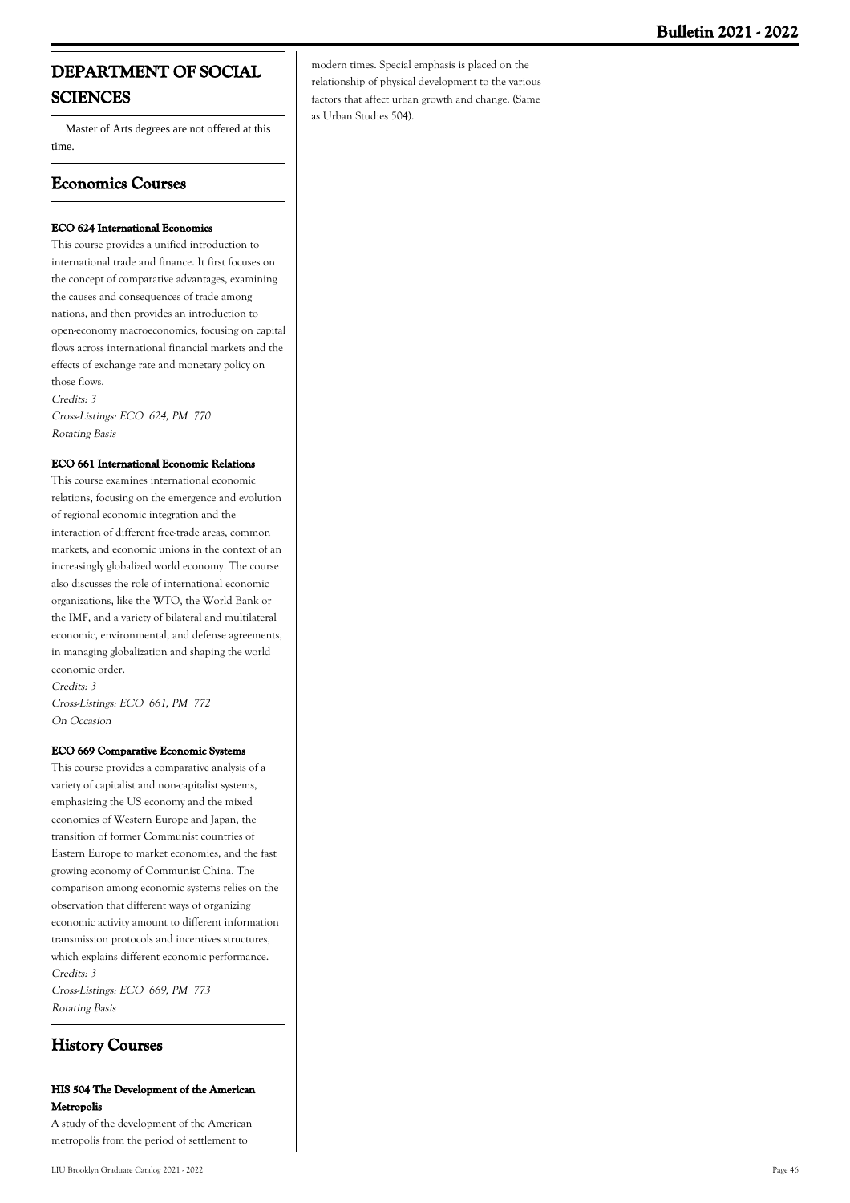# **DEPARTMENT OF SOCIAL SCIENCES**

 Master of Arts degrees are not offered at this time.

# **Economics Courses**

# **ECO 624 International Economics**

This course provides a unified introduction to international trade and finance. It first focuses on the concept of comparative advantages, examining the causes and consequences of trade among nations, and then provides an introduction to open-economy macroeconomics, focusing on capital flows across international financial markets and the effects of exchange rate and monetary policy on those flows. Credits: 3 Cross-Listings: ECO 624, PM 770 Rotating Basis

**ECO 661 International Economic Relations**

This course examines international economic relations, focusing on the emergence and evolution of regional economic integration and the interaction of different free-trade areas, common markets, and economic unions in the context of an increasingly globalized world economy. The course also discusses the role of international economic organizations, like the WTO, the World Bank or the IMF, and a variety of bilateral and multilateral economic, environmental, and defense agreements, in managing globalization and shaping the world economic order.

Credits: 3 Cross-Listings: ECO 661, PM 772 On Occasion

### **ECO 669 Comparative Economic Systems**

This course provides a comparative analysis of a variety of capitalist and non-capitalist systems, emphasizing the US economy and the mixed economies of Western Europe and Japan, the transition of former Communist countries of Eastern Europe to market economies, and the fast growing economy of Communist China. The comparison among economic systems relies on the observation that different ways of organizing economic activity amount to different information transmission protocols and incentives structures, which explains different economic performance. Credits: 3 Cross-Listings: ECO 669, PM 773 Rotating Basis

# **History Courses**

# **HIS 504 The Development of the American Metropolis**

A study of the development of the American metropolis from the period of settlement to

modern times. Special emphasis is placed on the relationship of physical development to the various factors that affect urban growth and change. (Same as Urban Studies 504).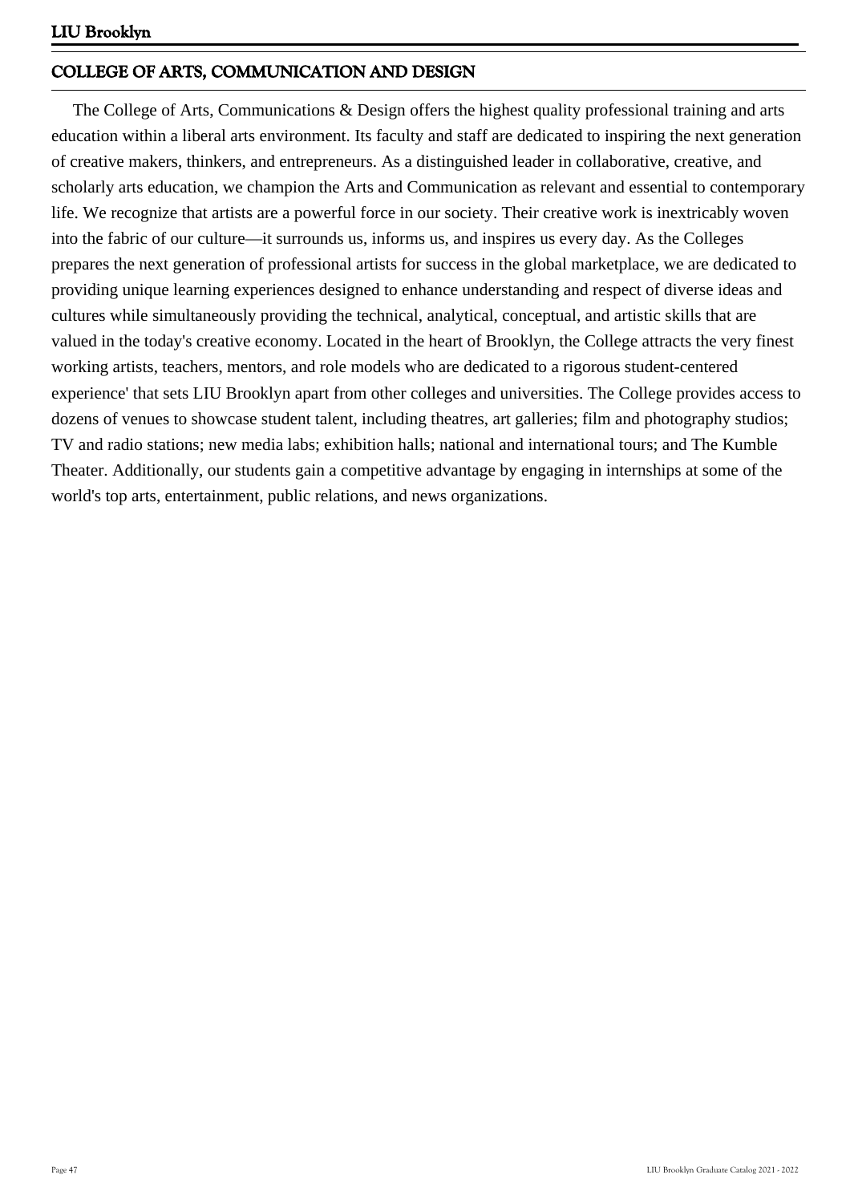# **COLLEGE OF ARTS, COMMUNICATION AND DESIGN**

 The College of Arts, Communications & Design offers the highest quality professional training and arts education within a liberal arts environment. Its faculty and staff are dedicated to inspiring the next generation of creative makers, thinkers, and entrepreneurs. As a distinguished leader in collaborative, creative, and scholarly arts education, we champion the Arts and Communication as relevant and essential to contemporary life. We recognize that artists are a powerful force in our society. Their creative work is inextricably woven into the fabric of our culture—it surrounds us, informs us, and inspires us every day. As the Colleges prepares the next generation of professional artists for success in the global marketplace, we are dedicated to providing unique learning experiences designed to enhance understanding and respect of diverse ideas and cultures while simultaneously providing the technical, analytical, conceptual, and artistic skills that are valued in the today's creative economy. Located in the heart of Brooklyn, the College attracts the very finest working artists, teachers, mentors, and role models who are dedicated to a rigorous student-centered experience' that sets LIU Brooklyn apart from other colleges and universities. The College provides access to dozens of venues to showcase student talent, including theatres, art galleries; film and photography studios; TV and radio stations; new media labs; exhibition halls; national and international tours; and The Kumble Theater. Additionally, our students gain a competitive advantage by engaging in internships at some of the world's top arts, entertainment, public relations, and news organizations.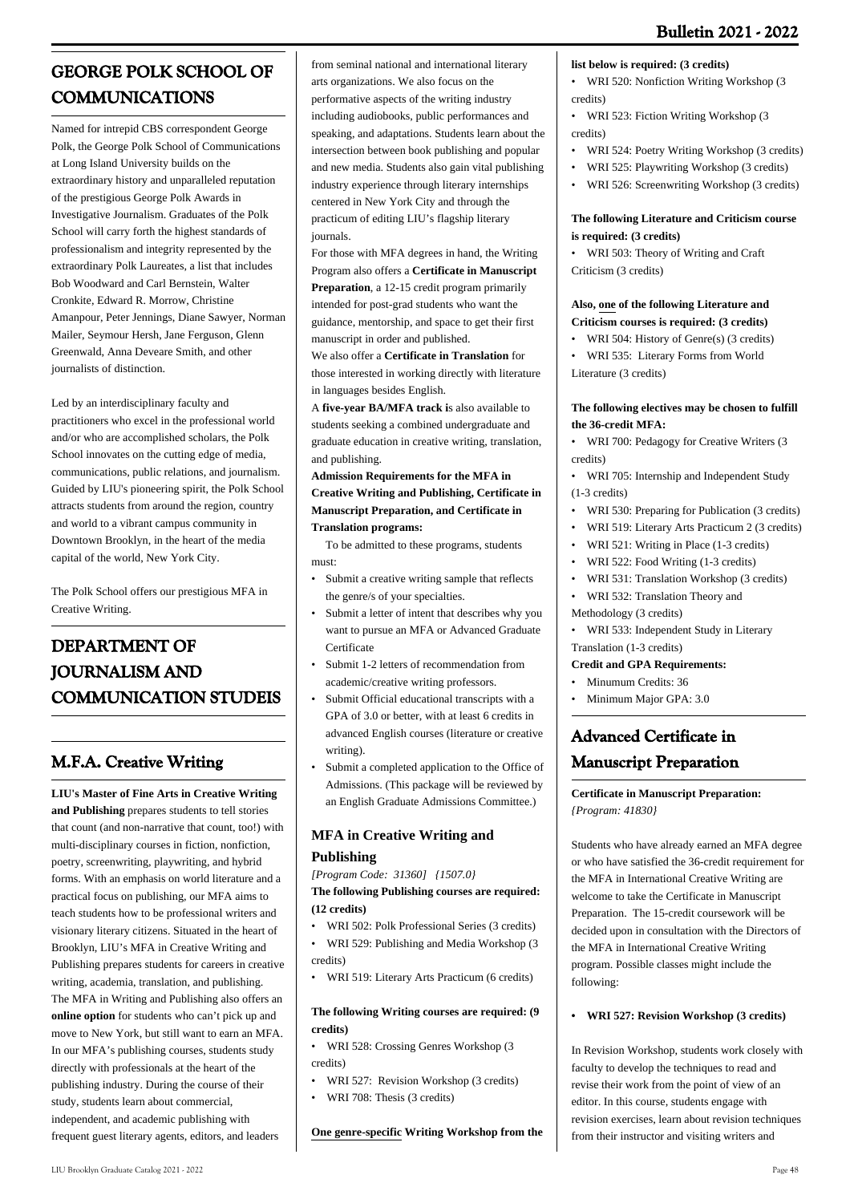# **GEORGE POLK SCHOOL OF COMMUNICATIONS**

Named for intrepid CBS correspondent George Polk, the George Polk School of Communications at Long Island University builds on the extraordinary history and unparalleled reputation of the prestigious George Polk Awards in Investigative Journalism. Graduates of the Polk School will carry forth the highest standards of professionalism and integrity represented by the extraordinary Polk Laureates, a list that includes Bob Woodward and Carl Bernstein, Walter Cronkite, Edward R. Morrow, Christine Amanpour, Peter Jennings, Diane Sawyer, Norman Mailer, Seymour Hersh, Jane Ferguson, Glenn Greenwald, Anna Deveare Smith, and other journalists of distinction.

Led by an interdisciplinary faculty and practitioners who excel in the professional world and/or who are accomplished scholars, the Polk School innovates on the cutting edge of media, communications, public relations, and journalism. Guided by LIU's pioneering spirit, the Polk School attracts students from around the region, country and world to a vibrant campus community in Downtown Brooklyn, in the heart of the media capital of the world, New York City.

The Polk School offers our prestigious MFA in Creative Writing.

# **DEPARTMENT OF JOURNALISM AND COMMUNICATION STUDEIS**

# **M.F.A. Creative Writing**

**LIU's Master of Fine Arts in Creative Writing and Publishing** prepares students to tell stories that count (and non-narrative that count, too!) with multi-disciplinary courses in fiction, nonfiction, poetry, screenwriting, playwriting, and hybrid forms. With an emphasis on world literature and a practical focus on publishing, our MFA aims to teach students how to be professional writers and visionary literary citizens. Situated in the heart of Brooklyn, LIU's MFA in Creative Writing and Publishing prepares students for careers in creative writing, academia, translation, and publishing. The MFA in Writing and Publishing also offers an **online option** for students who can't pick up and move to New York, but still want to earn an MFA. In our MFA's publishing courses, students study directly with professionals at the heart of the publishing industry. During the course of their study, students learn about commercial, independent, and academic publishing with frequent guest literary agents, editors, and leaders

from seminal national and international literary arts organizations. We also focus on the performative aspects of the writing industry including audiobooks, public performances and speaking, and adaptations. Students learn about the intersection between book publishing and popular and new media. Students also gain vital publishing industry experience through literary internships centered in New York City and through the practicum of editing LIU's flagship literary journals.

For those with MFA degrees in hand, the Writing Program also offers a **Certificate in Manuscript Preparation**, a 12-15 credit program primarily intended for post-grad students who want the guidance, mentorship, and space to get their first manuscript in order and published.

We also offer a **Certificate in Translation** for those interested in working directly with literature in languages besides English.

A **five-year BA/MFA track i**s also available to students seeking a combined undergraduate and graduate education in creative writing, translation, and publishing.

**Admission Requirements for the MFA in Creative Writing and Publishing, Certificate in Manuscript Preparation, and Certificate in Translation programs:**

 To be admitted to these programs, students must:

- Submit a creative writing sample that reflects the genre/s of your specialties. •
- Submit a letter of intent that describes why you want to pursue an MFA or Advanced Graduate **Certificate** •
- Submit 1-2 letters of recommendation from academic/creative writing professors. •
- Submit Official educational transcripts with a GPA of 3.0 or better, with at least 6 credits in advanced English courses (literature or creative writing). •
- Submit a completed application to the Office of Admissions. (This package will be reviewed by an English Graduate Admissions Committee.) •

# **MFA in Creative Writing and Publishing**

*[Program Code: 31360] {1507.0}*

**The following Publishing courses are required: (12 credits)**

- WRI 502: Polk Professional Series (3 credits)
- WRI 529: Publishing and Media Workshop (3 credits)
- WRI 519: Literary Arts Practicum (6 credits)

# **The following Writing courses are required: (9 credits)**

- WRI 528: Crossing Genres Workshop (3 credits)
- WRI 527: Revision Workshop (3 credits)
- WRI 708: Thesis (3 credits)

**One genre-specific Writing Workshop from the**

# **list below is required: (3 credits)**

- WRI 520: Nonfiction Writing Workshop (3 credits)
- WRI 523: Fiction Writing Workshop (3 credits)
- WRI 524: Poetry Writing Workshop (3 credits)
	- WRI 525: Playwriting Workshop (3 credits)
	- WRI 526: Screenwriting Workshop (3 credits)

### **The following Literature and Criticism course is required: (3 credits)**

• WRI 503: Theory of Writing and Craft Criticism (3 credits)

# **Also, one of the following Literature and Criticism courses is required: (3 credits)**

- WRI 504: History of Genre(s) (3 credits)
- WRI 535: Literary Forms from World Literature (3 credits)

# **The following electives may be chosen to fulfill the 36-credit MFA:**

- WRI 700: Pedagogy for Creative Writers (3 credits)
- WRI 705: Internship and Independent Study (1-3 credits)
- WRI 530: Preparing for Publication (3 credits)
- WRI 519: Literary Arts Practicum 2 (3 credits)
- WRI 521: Writing in Place (1-3 credits)
- WRI 522: Food Writing (1-3 credits)
- WRI 531: Translation Workshop (3 credits)
- WRI 532: Translation Theory and

Methodology (3 credits)

• WRI 533: Independent Study in Literary Translation (1-3 credits)

# **Credit and GPA Requirements:**

- Minumum Credits: 36
- Minimum Major GPA: 3.0

# **Advanced Certificate in Manuscript Preparation**

# **Certificate in Manuscript Preparation:** *{Program: 41830}*

Students who have already earned an MFA degree or who have satisfied the 36-credit requirement for the MFA in International Creative Writing are welcome to take the Certificate in Manuscript Preparation. The 15-credit coursework will be decided upon in consultation with the Directors of the MFA in International Creative Writing program. Possible classes might include the following:

### **• WRI 527: Revision Workshop (3 credits)**

In Revision Workshop, students work closely with faculty to develop the techniques to read and revise their work from the point of view of an editor. In this course, students engage with revision exercises, learn about revision techniques from their instructor and visiting writers and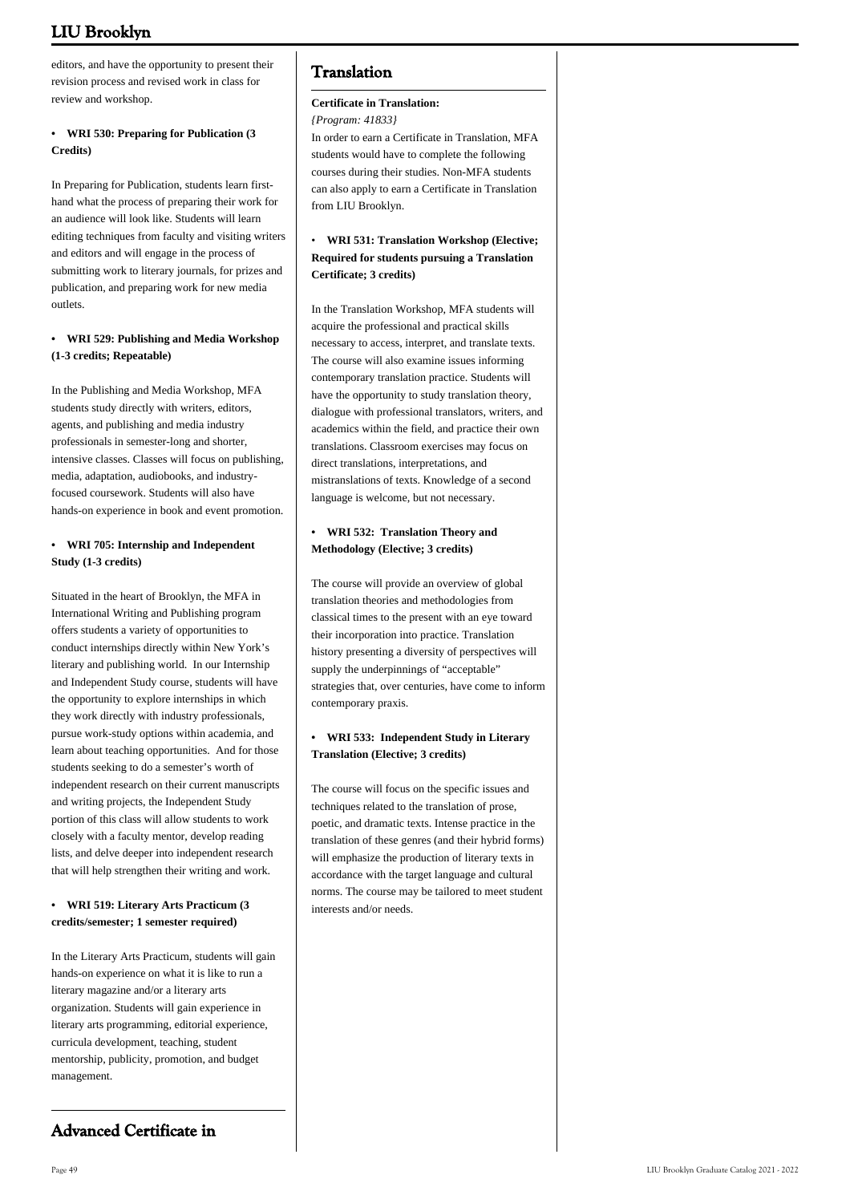editors, and have the opportunity to present their revision process and revised work in class for review and workshop.

# **• WRI 530: Preparing for Publication (3 Credits)**

In Preparing for Publication, students learn firsthand what the process of preparing their work for an audience will look like. Students will learn editing techniques from faculty and visiting writers and editors and will engage in the process of submitting work to literary journals, for prizes and publication, and preparing work for new media outlets.

# **• WRI 529: Publishing and Media Workshop (1-3 credits; Repeatable)**

In the Publishing and Media Workshop, MFA students study directly with writers, editors, agents, and publishing and media industry professionals in semester-long and shorter, intensive classes. Classes will focus on publishing, media, adaptation, audiobooks, and industryfocused coursework. Students will also have hands-on experience in book and event promotion.

# **• WRI 705: Internship and Independent Study (1-3 credits)**

Situated in the heart of Brooklyn, the MFA in International Writing and Publishing program offers students a variety of opportunities to conduct internships directly within New York's literary and publishing world. In our Internship and Independent Study course, students will have the opportunity to explore internships in which they work directly with industry professionals, pursue work-study options within academia, and learn about teaching opportunities. And for those students seeking to do a semester's worth of independent research on their current manuscripts and writing projects, the Independent Study portion of this class will allow students to work closely with a faculty mentor, develop reading lists, and delve deeper into independent research that will help strengthen their writing and work.

# **• WRI 519: Literary Arts Practicum (3 credits/semester; 1 semester required)**

In the Literary Arts Practicum, students will gain hands-on experience on what it is like to run a literary magazine and/or a literary arts organization. Students will gain experience in literary arts programming, editorial experience, curricula development, teaching, student mentorship, publicity, promotion, and budget management.

# **Translation**

# **Certificate in Translation:**

*{Program: 41833}*

In order to earn a Certificate in Translation, MFA students would have to complete the following courses during their studies. Non-MFA students can also apply to earn a Certificate in Translation from LIU Brooklyn.

# • **WRI 531: Translation Workshop (Elective; Required for students pursuing a Translation Certificate; 3 credits)**

In the Translation Workshop, MFA students will acquire the professional and practical skills necessary to access, interpret, and translate texts. The course will also examine issues informing contemporary translation practice. Students will have the opportunity to study translation theory, dialogue with professional translators, writers, and academics within the field, and practice their own translations. Classroom exercises may focus on direct translations, interpretations, and mistranslations of texts. Knowledge of a second language is welcome, but not necessary.

# **• WRI 532: Translation Theory and Methodology (Elective; 3 credits)**

The course will provide an overview of global translation theories and methodologies from classical times to the present with an eye toward their incorporation into practice. Translation history presenting a diversity of perspectives will supply the underpinnings of "acceptable" strategies that, over centuries, have come to inform contemporary praxis.

# **• WRI 533: Independent Study in Literary Translation (Elective; 3 credits)**

The course will focus on the specific issues and techniques related to the translation of prose, poetic, and dramatic texts. Intense practice in the translation of these genres (and their hybrid forms) will emphasize the production of literary texts in accordance with the target language and cultural norms. The course may be tailored to meet student interests and/or needs.

# **Advanced Certificate in**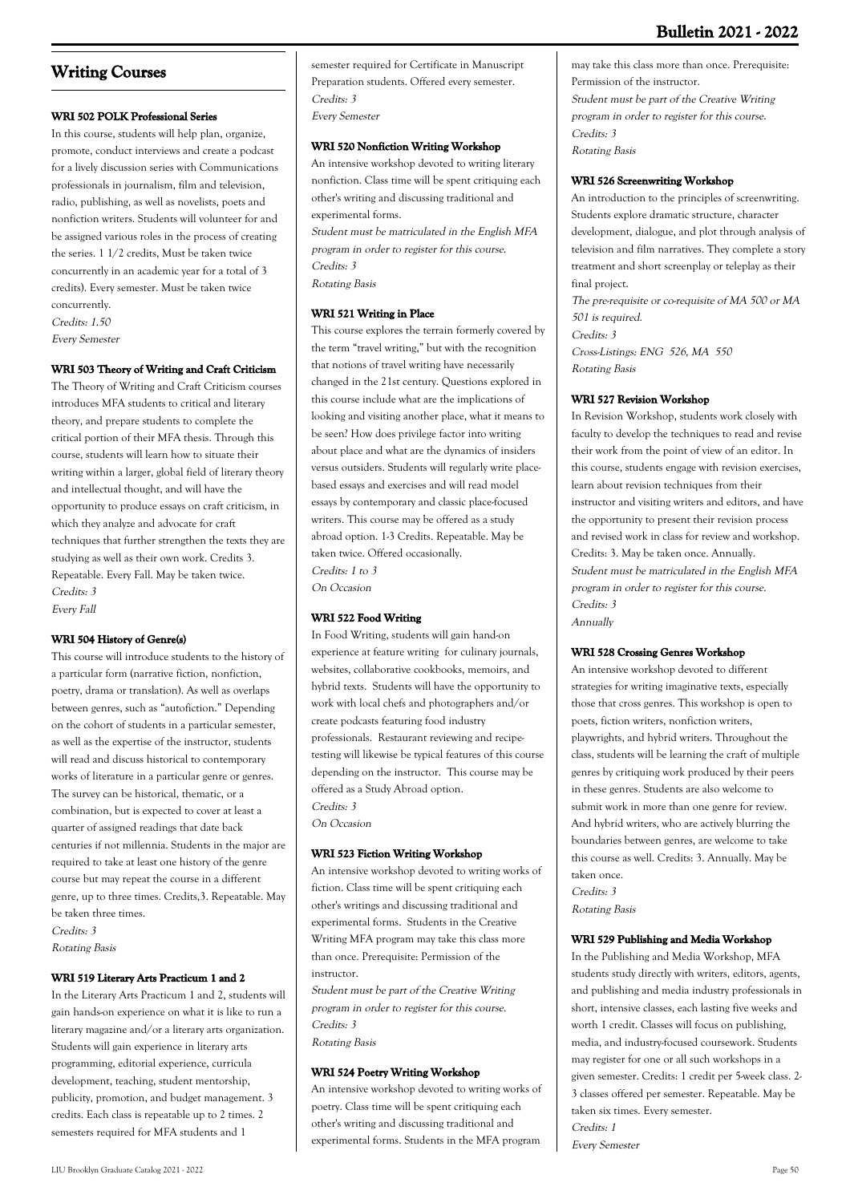# **Bulletin 2021 - 2022**

# **Writing Courses**

# **WRI 502 POLK Professional Series**

In this course, students will help plan, organize, promote, conduct interviews and create a podcast for a lively discussion series with Communications professionals in journalism, film and television, radio, publishing, as well as novelists, poets and nonfiction writers. Students will volunteer for and be assigned various roles in the process of creating the series. 1 1/2 credits, Must be taken twice concurrently in an academic year for a total of 3 credits). Every semester. Must be taken twice concurrently. Credits: 1.50

Every Semester

# **WRI 503 Theory of Writing and Craft Criticism**

The Theory of Writing and Craft Criticism courses introduces MFA students to critical and literary theory, and prepare students to complete the critical portion of their MFA thesis. Through this course, students will learn how to situate their writing within a larger, global field of literary theory and intellectual thought, and will have the opportunity to produce essays on craft criticism, in which they analyze and advocate for craft techniques that further strengthen the texts they are studying as well as their own work. Credits 3. Repeatable. Every Fall. May be taken twice. Credits: 3 Every Fall

### **WRI 504 History of Genre(s)**

This course will introduce students to the history of a particular form (narrative fiction, nonfiction, poetry, drama or translation). As well as overlaps between genres, such as "autofiction." Depending on the cohort of students in a particular semester, as well as the expertise of the instructor, students will read and discuss historical to contemporary works of literature in a particular genre or genres. The survey can be historical, thematic, or a combination, but is expected to cover at least a quarter of assigned readings that date back centuries if not millennia. Students in the major are required to take at least one history of the genre course but may repeat the course in a different genre, up to three times. Credits,3. Repeatable. May be taken three times.

Credits: 3 Rotating Basis

### **WRI 519 Literary Arts Practicum 1 and 2**

In the Literary Arts Practicum 1 and 2, students will gain hands-on experience on what it is like to run a literary magazine and/or a literary arts organization. Students will gain experience in literary arts programming, editorial experience, curricula development, teaching, student mentorship, publicity, promotion, and budget management. 3 credits. Each class is repeatable up to 2 times. 2 semesters required for MFA students and 1

semester required for Certificate in Manuscript Preparation students. Offered every semester. Credits: 3 Every Semester

### **WRI 520 Nonfiction Writing Workshop**

An intensive workshop devoted to writing literary nonfiction. Class time will be spent critiquing each other's writing and discussing traditional and experimental forms.

Student must be matriculated in the English MFA program in order to register for this course. Credits: 3 Rotating Basis

### **WRI 521 Writing in Place**

This course explores the terrain formerly covered by the term "travel writing," but with the recognition that notions of travel writing have necessarily changed in the 21st century. Questions explored in this course include what are the implications of looking and visiting another place, what it means to be seen? How does privilege factor into writing about place and what are the dynamics of insiders versus outsiders. Students will regularly write placebased essays and exercises and will read model essays by contemporary and classic place-focused writers. This course may be offered as a study abroad option. 1-3 Credits. Repeatable. May be taken twice. Offered occasionally. Credits: 1 to 3 On Occasion

# **WRI 522 Food Writing**

In Food Writing, students will gain hand-on experience at feature writing for culinary journals, websites, collaborative cookbooks, memoirs, and hybrid texts. Students will have the opportunity to work with local chefs and photographers and/or create podcasts featuring food industry professionals. Restaurant reviewing and recipetesting will likewise be typical features of this course depending on the instructor. This course may be offered as a Study Abroad option. Credits: 3 On Occasion

### **WRI 523 Fiction Writing Workshop**

An intensive workshop devoted to writing works of fiction. Class time will be spent critiquing each other's writings and discussing traditional and experimental forms. Students in the Creative Writing MFA program may take this class more than once. Prerequisite: Permission of the instructor.

Student must be part of the Creative Writing program in order to register for this course. Credits: 3 Rotating Basis

# **WRI 524 Poetry Writing Workshop**

An intensive workshop devoted to writing works of poetry. Class time will be spent critiquing each other's writing and discussing traditional and experimental forms. Students in the MFA program

may take this class more than once. Prerequisite: Permission of the instructor. Student must be part of the Creative Writing program in order to register for this course. Credits: 3 Rotating Basis

# **WRI 526 Screenwriting Workshop**

An introduction to the principles of screenwriting. Students explore dramatic structure, character development, dialogue, and plot through analysis of television and film narratives. They complete a story treatment and short screenplay or teleplay as their final project.

The pre-requisite or co-requisite of MA 500 or MA 501 is required. Credits: 3 Cross-Listings: ENG 526, MA 550 Rotating Basis

### **WRI 527 Revision Workshop**

In Revision Workshop, students work closely with faculty to develop the techniques to read and revise their work from the point of view of an editor. In this course, students engage with revision exercises, learn about revision techniques from their instructor and visiting writers and editors, and have the opportunity to present their revision process and revised work in class for review and workshop. Credits: 3. May be taken once. Annually. Student must be matriculated in the English MFA program in order to register for this course. Credits: 3 Annually

### **WRI 528 Crossing Genres Workshop**

An intensive workshop devoted to different strategies for writing imaginative texts, especially those that cross genres. This workshop is open to poets, fiction writers, nonfiction writers, playwrights, and hybrid writers. Throughout the class, students will be learning the craft of multiple genres by critiquing work produced by their peers in these genres. Students are also welcome to submit work in more than one genre for review. And hybrid writers, who are actively blurring the boundaries between genres, are welcome to take this course as well. Credits: 3. Annually. May be taken once. Credits: 3

Rotating Basis

#### **WRI 529 Publishing and Media Workshop**

In the Publishing and Media Workshop, MFA students study directly with writers, editors, agents, and publishing and media industry professionals in short, intensive classes, each lasting five weeks and worth 1 credit. Classes will focus on publishing, media, and industry-focused coursework. Students may register for one or all such workshops in a given semester. Credits: 1 credit per 5-week class. 2- 3 classes offered per semester. Repeatable. May be taken six times. Every semester. Credits: 1 Every Semester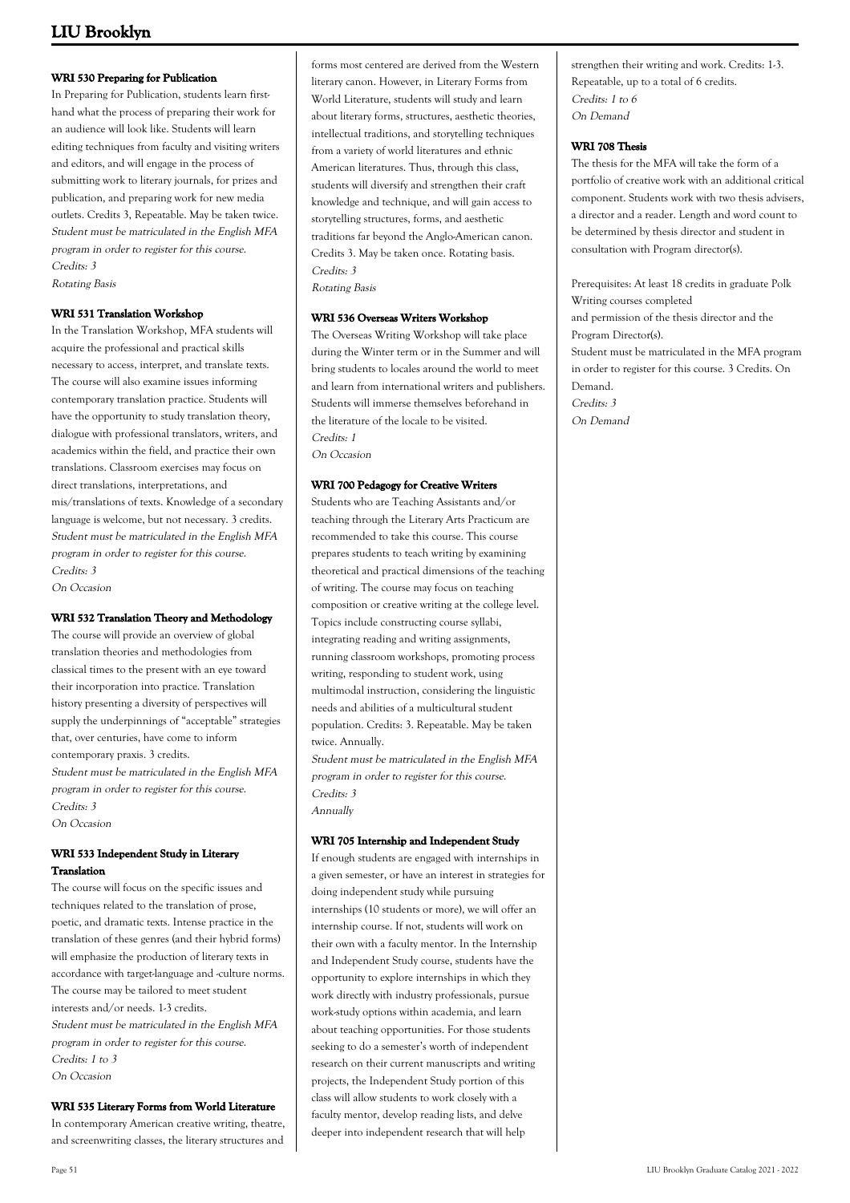# **WRI 530 Preparing for Publication**

In Preparing for Publication, students learn firsthand what the process of preparing their work for an audience will look like. Students will learn editing techniques from faculty and visiting writers and editors, and will engage in the process of submitting work to literary journals, for prizes and publication, and preparing work for new media outlets. Credits 3, Repeatable. May be taken twice. Student must be matriculated in the English MFA program in order to register for this course. Credits: 3 Rotating Basis

# **WRI 531 Translation Workshop**

In the Translation Workshop, MFA students will acquire the professional and practical skills necessary to access, interpret, and translate texts. The course will also examine issues informing contemporary translation practice. Students will have the opportunity to study translation theory, dialogue with professional translators, writers, and academics within the field, and practice their own translations. Classroom exercises may focus on direct translations, interpretations, and mis/translations of texts. Knowledge of a secondary language is welcome, but not necessary. 3 credits. Student must be matriculated in the English MFA program in order to register for this course. Credits: 3 On Occasion

### **WRI 532 Translation Theory and Methodology**

The course will provide an overview of global translation theories and methodologies from classical times to the present with an eye toward their incorporation into practice. Translation history presenting a diversity of perspectives will supply the underpinnings of "acceptable" strategies that, over centuries, have come to inform contemporary praxis. 3 credits. Student must be matriculated in the English MFA program in order to register for this course. Credits: 3 On Occasion

# **WRI 533 Independent Study in Literary Translation**

The course will focus on the specific issues and techniques related to the translation of prose, poetic, and dramatic texts. Intense practice in the translation of these genres (and their hybrid forms) will emphasize the production of literary texts in accordance with target-language and -culture norms. The course may be tailored to meet student interests and/or needs. 1-3 credits. Student must be matriculated in the English MFA program in order to register for this course. Credits: 1 to 3 On Occasion

# **WRI 535 Literary Forms from World Literature**

In contemporary American creative writing, theatre, and screenwriting classes, the literary structures and

forms most centered are derived from the Western literary canon. However, in Literary Forms from World Literature, students will study and learn about literary forms, structures, aesthetic theories, intellectual traditions, and storytelling techniques from a variety of world literatures and ethnic American literatures. Thus, through this class, students will diversify and strengthen their craft knowledge and technique, and will gain access to storytelling structures, forms, and aesthetic traditions far beyond the Anglo-American canon. Credits 3. May be taken once. Rotating basis. Credits: 3 Rotating Basis

### **WRI 536 Overseas Writers Workshop**

The Overseas Writing Workshop will take place during the Winter term or in the Summer and will bring students to locales around the world to meet and learn from international writers and publishers. Students will immerse themselves beforehand in the literature of the locale to be visited. Credits: 1

On Occasion

### **WRI 700 Pedagogy for Creative Writers**

Students who are Teaching Assistants and/or teaching through the Literary Arts Practicum are recommended to take this course. This course prepares students to teach writing by examining theoretical and practical dimensions of the teaching of writing. The course may focus on teaching composition or creative writing at the college level. Topics include constructing course syllabi, integrating reading and writing assignments, running classroom workshops, promoting process writing, responding to student work, using multimodal instruction, considering the linguistic needs and abilities of a multicultural student population. Credits: 3. Repeatable. May be taken twice. Annually.

Student must be matriculated in the English MFA program in order to register for this course. Credits: 3 Annually

### **WRI 705 Internship and Independent Study**

If enough students are engaged with internships in a given semester, or have an interest in strategies for doing independent study while pursuing internships (10 students or more), we will offer an internship course. If not, students will work on their own with a faculty mentor. In the Internship and Independent Study course, students have the opportunity to explore internships in which they work directly with industry professionals, pursue work-study options within academia, and learn about teaching opportunities. For those students seeking to do a semester's worth of independent research on their current manuscripts and writing projects, the Independent Study portion of this class will allow students to work closely with a faculty mentor, develop reading lists, and delve deeper into independent research that will help

strengthen their writing and work. Credits: 1-3. Repeatable, up to a total of 6 credits. Credits: 1 to 6 On Demand

### **WRI 708 Thesis**

The thesis for the MFA will take the form of a portfolio of creative work with an additional critical component. Students work with two thesis advisers, a director and a reader. Length and word count to be determined by thesis director and student in consultation with Program director(s).

Prerequisites: At least 18 credits in graduate Polk Writing courses completed and permission of the thesis director and the Program Director(s). Student must be matriculated in the MFA program in order to register for this course. 3 Credits. On Demand. Credits: 3 On Demand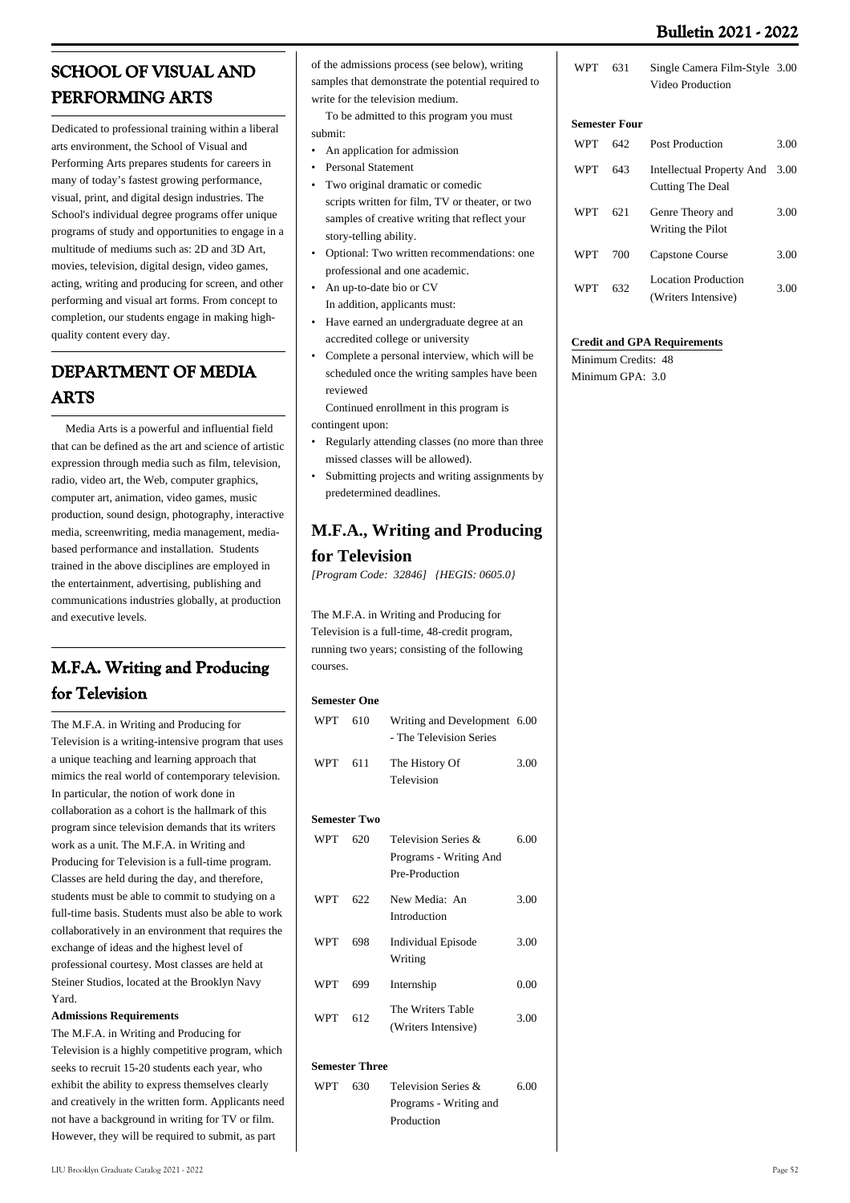# **Bulletin 2021 - 2022**

# **SCHOOL OF VISUAL AND PERFORMING ARTS**

Dedicated to professional training within a liberal arts environment, the School of Visual and Performing Arts prepares students for careers in many of today's fastest growing performance, visual, print, and digital design industries. The School's individual degree programs offer unique programs of study and opportunities to engage in a multitude of mediums such as: 2D and 3D Art, movies, television, digital design, video games, acting, writing and producing for screen, and other performing and visual art forms. From concept to completion, our students engage in making highquality content every day.

# **DEPARTMENT OF MEDIA ARTS**

 Media Arts is a powerful and influential field that can be defined as the art and science of artistic expression through media such as film, television, radio, video art, the Web, computer graphics, computer art, animation, video games, music production, sound design, photography, interactive media, screenwriting, media management, mediabased performance and installation. Students trained in the above disciplines are employed in the entertainment, advertising, publishing and communications industries globally, at production and executive levels.

# **M.F.A. Writing and Producing for Television**

The M.F.A. in Writing and Producing for Television is a writing-intensive program that uses a unique teaching and learning approach that mimics the real world of contemporary television. In particular, the notion of work done in collaboration as a cohort is the hallmark of this program since television demands that its writers work as a unit. The M.F.A. in Writing and Producing for Television is a full-time program. Classes are held during the day, and therefore, students must be able to commit to studying on a full-time basis. Students must also be able to work collaboratively in an environment that requires the exchange of ideas and the highest level of professional courtesy. Most classes are held at Steiner Studios, located at the Brooklyn Navy Yard.

# **Admissions Requirements**

The M.F.A. in Writing and Producing for Television is a highly competitive program, which seeks to recruit 15-20 students each year, who exhibit the ability to express themselves clearly and creatively in the written form. Applicants need not have a background in writing for TV or film. However, they will be required to submit, as part

of the admissions process (see below), writing samples that demonstrate the potential required to write for the television medium.

 To be admitted to this program you must submit:

- An application for admission
- Personal Statement
- Two original dramatic or comedic scripts written for film, TV or theater, or two samples of creative writing that reflect your story-telling ability. •
- Optional: Two written recommendations: one professional and one academic. •
- An up-to-date bio or CV In addition, applicants must:
- Have earned an undergraduate degree at an accredited college or university •
- Complete a personal interview, which will be scheduled once the writing samples have been reviewed •

 Continued enrollment in this program is contingent upon:

- Regularly attending classes (no more than three missed classes will be allowed). •
- Submitting projects and writing assignments by predetermined deadlines. •

# **M.F.A., Writing and Producing**

# **for Television**

*[Program Code: 32846] {HEGIS: 0605.0}*

The M.F.A. in Writing and Producing for Television is a full-time, 48-credit program, running two years; consisting of the following courses.

# **Semester One**

| WPT                 | 610 | Writing and Development 6.00<br>- The Television Series |      |
|---------------------|-----|---------------------------------------------------------|------|
| WPT                 | 611 | The History Of<br>Television                            | 3.00 |
| <b>Semester Two</b> |     |                                                         |      |
| WDT                 | ናንስ | Talerisian Series &                                     | 6 M  |

| WPT | 620  | Television Series &<br>Programs - Writing And | 6.00 |
|-----|------|-----------------------------------------------|------|
|     |      | Pre-Production                                |      |
| WPT | 622. | New Media: An<br>Introduction                 | 3.00 |
| WPT | 698  | <b>Individual Episode</b><br>Writing          | 3.00 |
| WPT | 699  | Internship                                    | 0.00 |
| WPT | 612  | The Writers Table<br>(Writers Intensive)      | 3.00 |
|     |      |                                               |      |

# **Semester Three**

| <b>WPT</b> | -630 | Television Series &    | 6.00 |
|------------|------|------------------------|------|
|            |      | Programs - Writing and |      |
|            |      | Production             |      |

| WPT 631 | Single Camera Film-Style 3.00 |  |
|---------|-------------------------------|--|
|         | Video Production              |  |

# **Semester Four**

| WPT | 642 | <b>Post Production</b>                             | 3.00 |
|-----|-----|----------------------------------------------------|------|
| WPT | 643 | Intellectual Property And 3.00<br>Cutting The Deal |      |
| WPT | 621 | Genre Theory and<br>Writing the Pilot              | 3.00 |
| WPT | 700 | Capstone Course                                    | 3.00 |
| WPT | 632 | <b>Location Production</b><br>(Writers Intensive)  | 3.00 |

# **Credit and GPA Requirements**

Minimum Credits: 48 Minimum GPA: 3.0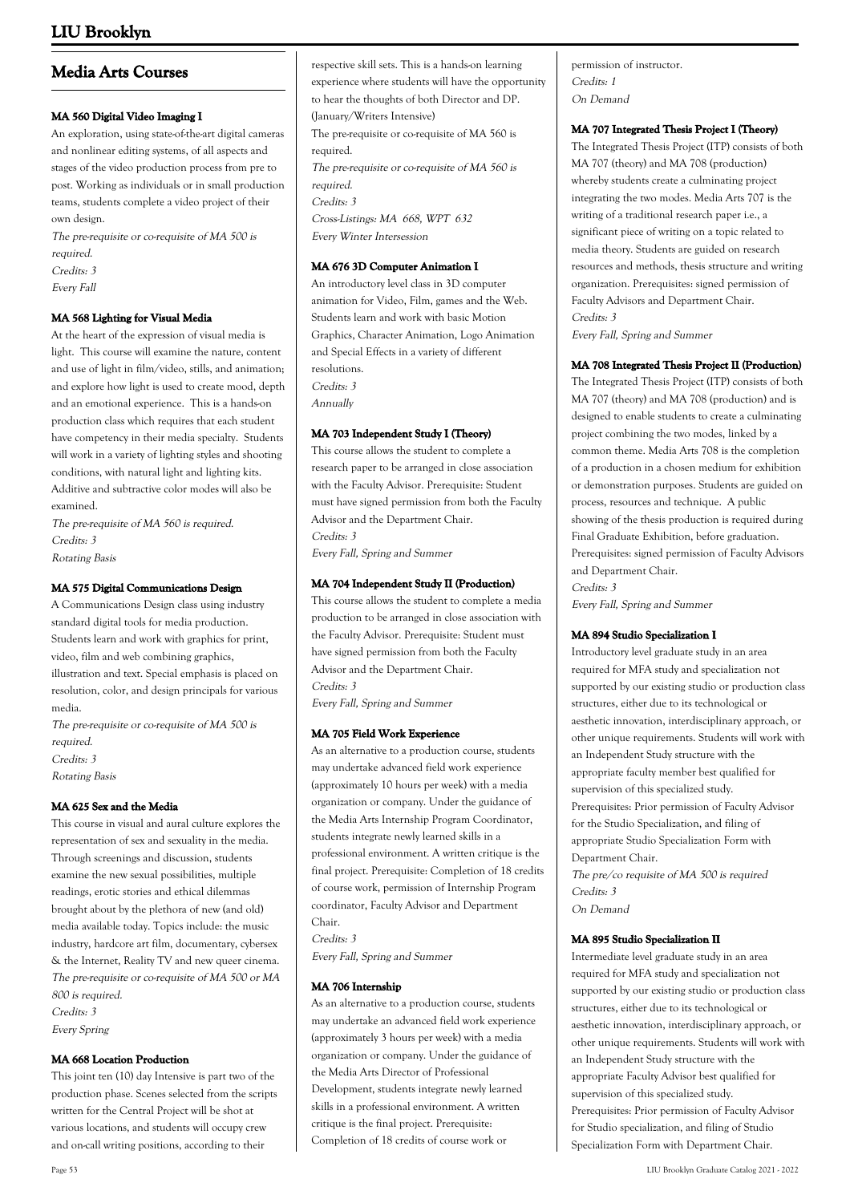# **Media Arts Courses**

### **MA 560 Digital Video Imaging I**

An exploration, using state-of-the-art digital cameras and nonlinear editing systems, of all aspects and stages of the video production process from pre to post. Working as individuals or in small production teams, students complete a video project of their own design.

The pre-requisite or co-requisite of MA 500 is required. Credits: 3

Every Fall

# **MA 568 Lighting for Visual Media**

At the heart of the expression of visual media is light. This course will examine the nature, content and use of light in film/video, stills, and animation; and explore how light is used to create mood, depth and an emotional experience. This is a hands-on production class which requires that each student have competency in their media specialty. Students will work in a variety of lighting styles and shooting conditions, with natural light and lighting kits. Additive and subtractive color modes will also be examined.

The pre-requisite of MA 560 is required. Credits: 3 Rotating Basis

# **MA 575 Digital Communications Design**

A Communications Design class using industry standard digital tools for media production. Students learn and work with graphics for print, video, film and web combining graphics, illustration and text. Special emphasis is placed on resolution, color, and design principals for various media.

The pre-requisite or co-requisite of MA 500 is required. Credits: 3 Rotating Basis

### **MA 625 Sex and the Media**

This course in visual and aural culture explores the representation of sex and sexuality in the media. Through screenings and discussion, students examine the new sexual possibilities, multiple readings, erotic stories and ethical dilemmas brought about by the plethora of new (and old) media available today. Topics include: the music industry, hardcore art film, documentary, cybersex & the Internet, Reality TV and new queer cinema. The pre-requisite or co-requisite of MA 500 or MA 800 is required. Credits: 3 Every Spring

### **MA 668 Location Production**

This joint ten (10) day Intensive is part two of the production phase. Scenes selected from the scripts written for the Central Project will be shot at various locations, and students will occupy crew and on-call writing positions, according to their

respective skill sets. This is a hands-on learning experience where students will have the opportunity to hear the thoughts of both Director and DP. (January/Writers Intensive) The pre-requisite or co-requisite of MA 560 is required. The pre-requisite or co-requisite of MA 560 is required. Credits: 3 Cross-Listings: MA 668, WPT 632 Every Winter Intersession

# **MA 676 3D Computer Animation I**

An introductory level class in 3D computer animation for Video, Film, games and the Web. Students learn and work with basic Motion Graphics, Character Animation, Logo Animation and Special Effects in a variety of different resolutions. Credits: 3 Annually

# **MA 703 Independent Study I (Theory)**

This course allows the student to complete a research paper to be arranged in close association with the Faculty Advisor. Prerequisite: Student must have signed permission from both the Faculty Advisor and the Department Chair. Credits: 3 Every Fall, Spring and Summer

### **MA 704 Independent Study II (Production)**

This course allows the student to complete a media production to be arranged in close association with the Faculty Advisor. Prerequisite: Student must have signed permission from both the Faculty Advisor and the Department Chair. Credits: 3 Every Fall, Spring and Summer

### **MA 705 Field Work Experience**

As an alternative to a production course, students may undertake advanced field work experience (approximately 10 hours per week) with a media organization or company. Under the guidance of the Media Arts Internship Program Coordinator, students integrate newly learned skills in a professional environment. A written critique is the final project. Prerequisite: Completion of 18 credits of course work, permission of Internship Program coordinator, Faculty Advisor and Department Chair.

Credits: 3 Every Fall, Spring and Summer

# **MA 706 Internship**

As an alternative to a production course, students may undertake an advanced field work experience (approximately 3 hours per week) with a media organization or company. Under the guidance of the Media Arts Director of Professional Development, students integrate newly learned skills in a professional environment. A written critique is the final project. Prerequisite: Completion of 18 credits of course work or

permission of instructor. Credits: 1 On Demand

# **MA 707 Integrated Thesis Project I (Theory)**

The Integrated Thesis Project (ITP) consists of both MA 707 (theory) and MA 708 (production) whereby students create a culminating project integrating the two modes. Media Arts 707 is the writing of a traditional research paper i.e., a significant piece of writing on a topic related to media theory. Students are guided on research resources and methods, thesis structure and writing organization. Prerequisites: signed permission of Faculty Advisors and Department Chair. Credits: 3

Every Fall, Spring and Summer

# **MA 708 Integrated Thesis Project II (Production)**

The Integrated Thesis Project (ITP) consists of both MA 707 (theory) and MA 708 (production) and is designed to enable students to create a culminating project combining the two modes, linked by a common theme. Media Arts 708 is the completion of a production in a chosen medium for exhibition or demonstration purposes. Students are guided on process, resources and technique. A public showing of the thesis production is required during Final Graduate Exhibition, before graduation. Prerequisites: signed permission of Faculty Advisors and Department Chair. Credits: 3

Every Fall, Spring and Summer

# **MA 894 Studio Specialization I**

Introductory level graduate study in an area required for MFA study and specialization not supported by our existing studio or production class structures, either due to its technological or aesthetic innovation, interdisciplinary approach, or other unique requirements. Students will work with an Independent Study structure with the appropriate faculty member best qualified for supervision of this specialized study. Prerequisites: Prior permission of Faculty Advisor for the Studio Specialization, and filing of appropriate Studio Specialization Form with Department Chair. The pre/co requisite of MA 500 is required Credits: 3

On Demand

### **MA 895 Studio Specialization II**

Intermediate level graduate study in an area required for MFA study and specialization not supported by our existing studio or production class structures, either due to its technological or aesthetic innovation, interdisciplinary approach, or other unique requirements. Students will work with an Independent Study structure with the appropriate Faculty Advisor best qualified for supervision of this specialized study. Prerequisites: Prior permission of Faculty Advisor for Studio specialization, and filing of Studio Specialization Form with Department Chair.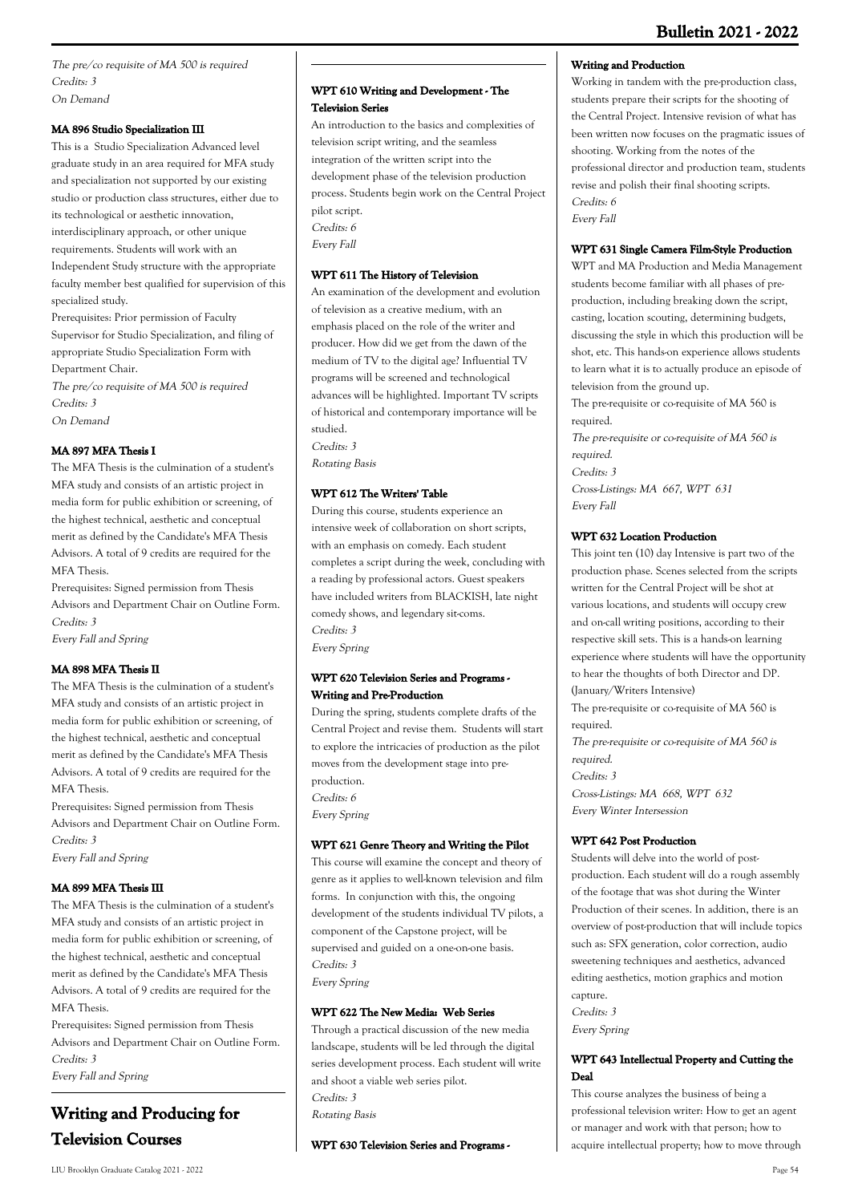The pre/co requisite of MA 500 is required Credits: 3 On Demand

# **MA 896 Studio Specialization III**

This is a Studio Specialization Advanced level graduate study in an area required for MFA study and specialization not supported by our existing studio or production class structures, either due to its technological or aesthetic innovation, interdisciplinary approach, or other unique requirements. Students will work with an Independent Study structure with the appropriate faculty member best qualified for supervision of this specialized study.

Prerequisites: Prior permission of Faculty Supervisor for Studio Specialization, and filing of appropriate Studio Specialization Form with Department Chair.

The pre/co requisite of MA 500 is required Credits: 3 On Demand

# **MA 897 MFA Thesis I**

The MFA Thesis is the culmination of a student's MFA study and consists of an artistic project in media form for public exhibition or screening, of the highest technical, aesthetic and conceptual merit as defined by the Candidate's MFA Thesis Advisors. A total of 9 credits are required for the MFA Thesis.

Prerequisites: Signed permission from Thesis Advisors and Department Chair on Outline Form. Credits: 3 Every Fall and Spring

# **MA 898 MFA Thesis II**

The MFA Thesis is the culmination of a student's MFA study and consists of an artistic project in media form for public exhibition or screening, of the highest technical, aesthetic and conceptual merit as defined by the Candidate's MFA Thesis Advisors. A total of 9 credits are required for the MFA Thesis.

Prerequisites: Signed permission from Thesis Advisors and Department Chair on Outline Form. Credits: 3

Every Fall and Spring

# **MA 899 MFA Thesis III**

The MFA Thesis is the culmination of a student's MFA study and consists of an artistic project in media form for public exhibition or screening, of the highest technical, aesthetic and conceptual merit as defined by the Candidate's MFA Thesis Advisors. A total of 9 credits are required for the MFA Thesis.

Prerequisites: Signed permission from Thesis Advisors and Department Chair on Outline Form. Credits: 3 Every Fall and Spring

# **Writing and Producing for Television Courses**

An introduction to the basics and complexities of television script writing, and the seamless integration of the written script into the development phase of the television production process. Students begin work on the Central Project pilot script. Credits: 6 Every Fall

# **WPT 611 The History of Television**

An examination of the development and evolution of television as a creative medium, with an emphasis placed on the role of the writer and producer. How did we get from the dawn of the medium of TV to the digital age? Influential TV programs will be screened and technological advances will be highlighted. Important TV scripts of historical and contemporary importance will be studied.

Credits: 3 Rotating Basis

# **WPT 612 The Writers' Table** During this course, students experience an

intensive week of collaboration on short scripts, with an emphasis on comedy. Each student completes a script during the week, concluding with a reading by professional actors. Guest speakers have included writers from BLACKISH, late night comedy shows, and legendary sit-coms. Credits: 3 Every Spring

# **WPT 620 Television Series and Programs - Writing and Pre-Production**

During the spring, students complete drafts of the Central Project and revise them. Students will start to explore the intricacies of production as the pilot moves from the development stage into preproduction. Credits: 6 Every Spring

# **WPT 621 Genre Theory and Writing the Pilot**

This course will examine the concept and theory of genre as it applies to well-known television and film forms. In conjunction with this, the ongoing development of the students individual TV pilots, a component of the Capstone project, will be supervised and guided on a one-on-one basis. Credits: 3 Every Spring

**WPT 622 The New Media: Web Series**

Through a practical discussion of the new media landscape, students will be led through the digital series development process. Each student will write and shoot a viable web series pilot. Credits: 3 Rotating Basis

### **WPT 630 Television Series and Programs -**

# **Writing and Production**

Working in tandem with the pre-production class, students prepare their scripts for the shooting of the Central Project. Intensive revision of what has been written now focuses on the pragmatic issues of shooting. Working from the notes of the professional director and production team, students revise and polish their final shooting scripts. Credits: 6 Every Fall

# **WPT 631 Single Camera Film-Style Production**

WPT and MA Production and Media Management students become familiar with all phases of preproduction, including breaking down the script, casting, location scouting, determining budgets, discussing the style in which this production will be shot, etc. This hands-on experience allows students to learn what it is to actually produce an episode of television from the ground up.

The pre-requisite or co-requisite of MA 560 is required.

The pre-requisite or co-requisite of MA 560 is required. Credits: 3 Cross-Listings: MA 667, WPT 631 Every Fall

# **WPT 632 Location Production**

This joint ten (10) day Intensive is part two of the production phase. Scenes selected from the scripts written for the Central Project will be shot at various locations, and students will occupy crew and on-call writing positions, according to their respective skill sets. This is a hands-on learning experience where students will have the opportunity to hear the thoughts of both Director and DP. (January/Writers Intensive) The pre-requisite or co-requisite of MA 560 is required. The pre-requisite or co-requisite of MA 560 is

required. Credits: 3 Cross-Listings: MA 668, WPT 632

Every Winter Intersession

# **WPT 642 Post Production**

Students will delve into the world of postproduction. Each student will do a rough assembly of the footage that was shot during the Winter Production of their scenes. In addition, there is an overview of post-production that will include topics such as: SFX generation, color correction, audio sweetening techniques and aesthetics, advanced editing aesthetics, motion graphics and motion capture.

Credits: 3 Every Spring

# **WPT 643 Intellectual Property and Cutting the Deal**

This course analyzes the business of being a professional television writer: How to get an agent or manager and work with that person; how to acquire intellectual property; how to move through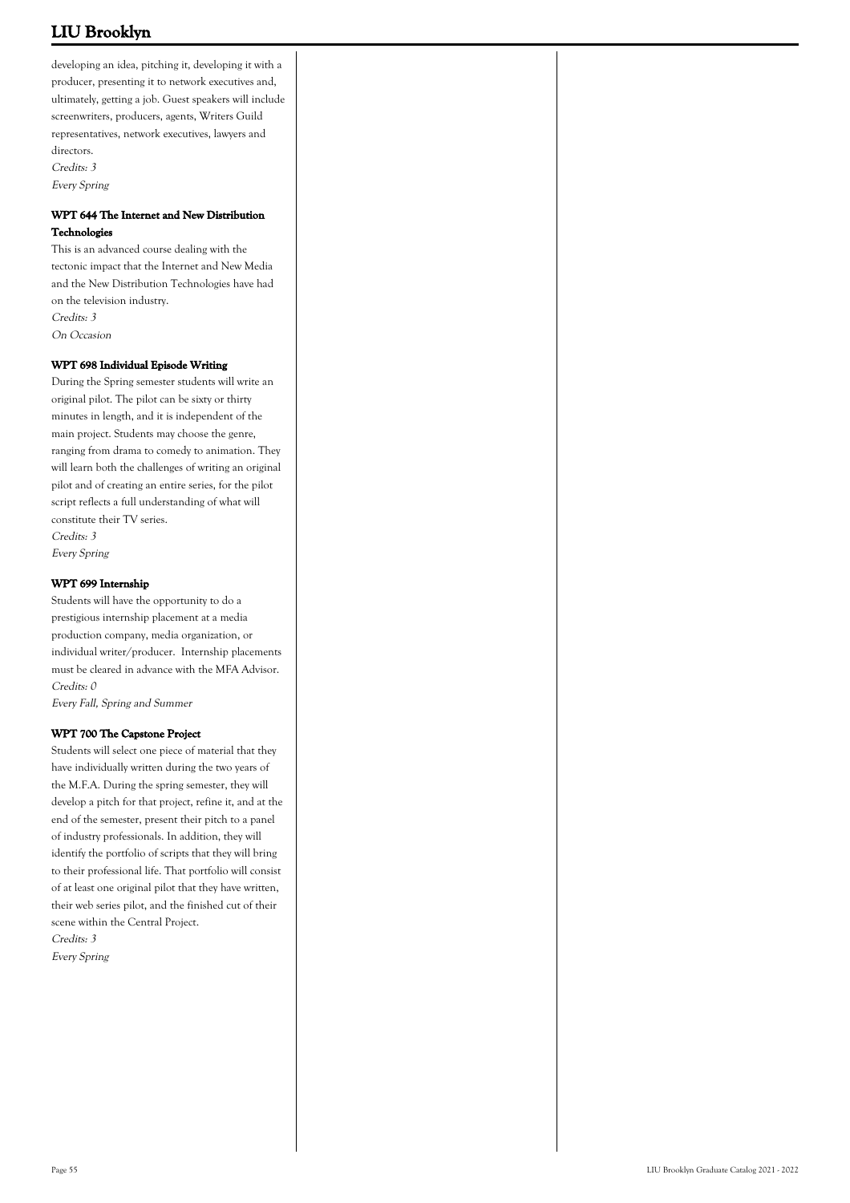developing an idea, pitching it, developing it with a producer, presenting it to network executives and, ultimately, getting a job. Guest speakers will include screenwriters, producers, agents, Writers Guild representatives, network executives, lawyers and directors. Credits: 3 Every Spring

# **WPT 644 The Internet and New Distribution Technologies**

This is an advanced course dealing with the tectonic impact that the Internet and New Media and the New Distribution Technologies have had on the television industry. Credits: 3 On Occasion

# **WPT 698 Individual Episode Writing**

During the Spring semester students will write an original pilot. The pilot can be sixty or thirty minutes in length, and it is independent of the main project. Students may choose the genre, ranging from drama to comedy to animation. They will learn both the challenges of writing an original pilot and of creating an entire series, for the pilot script reflects a full understanding of what will constitute their TV series. Credits: 3 Every Spring

### **WPT 699 Internship**

Students will have the opportunity to do a prestigious internship placement at a media production company, media organization, or individual writer/producer. Internship placements must be cleared in advance with the MFA Advisor. Credits: 0

Every Fall, Spring and Summer

### **WPT 700 The Capstone Project**

Students will select one piece of material that they have individually written during the two years of the M.F.A. During the spring semester, they will develop a pitch for that project, refine it, and at the end of the semester, present their pitch to a panel of industry professionals. In addition, they will identify the portfolio of scripts that they will bring to their professional life. That portfolio will consist of at least one original pilot that they have written, their web series pilot, and the finished cut of their scene within the Central Project. Credits: 3

Every Spring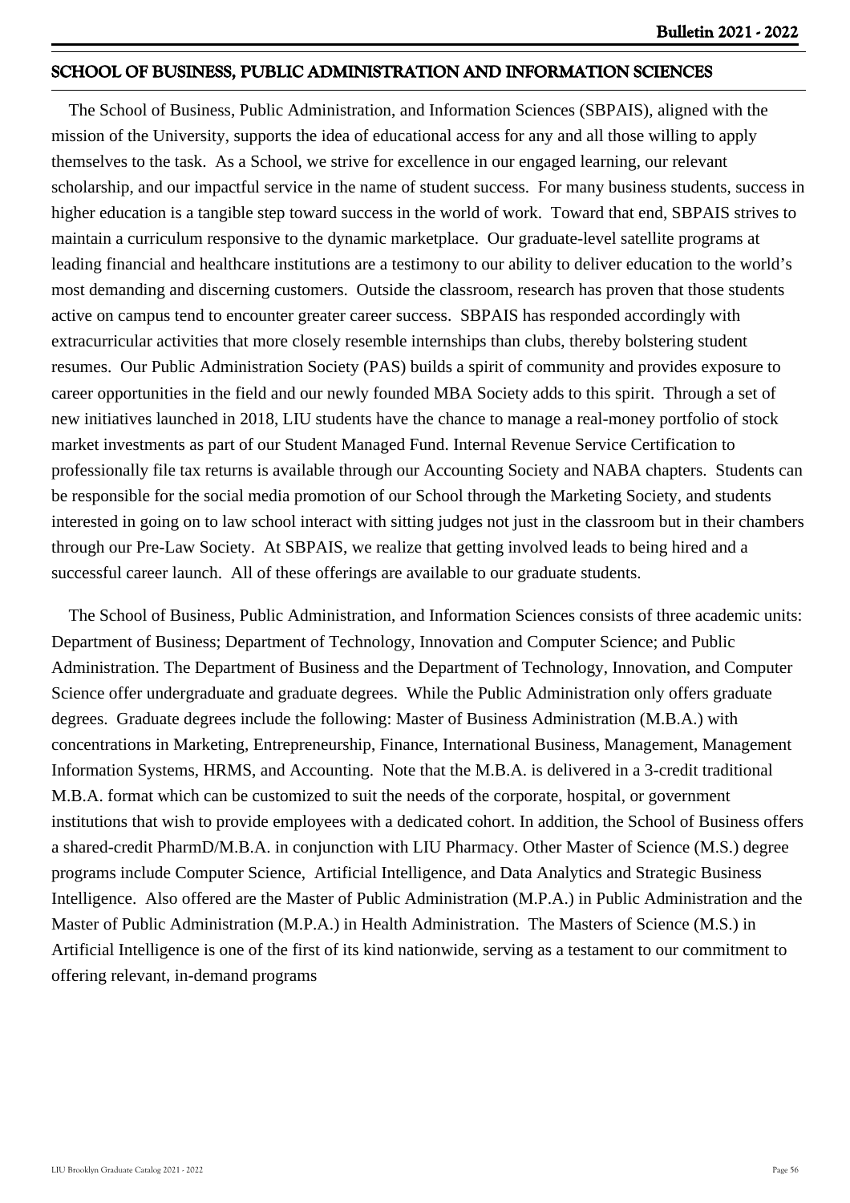# **SCHOOL OF BUSINESS, PUBLIC ADMINISTRATION AND INFORMATION SCIENCES**

 The School of Business, Public Administration, and Information Sciences (SBPAIS), aligned with the mission of the University, supports the idea of educational access for any and all those willing to apply themselves to the task. As a School, we strive for excellence in our engaged learning, our relevant scholarship, and our impactful service in the name of student success. For many business students, success in higher education is a tangible step toward success in the world of work. Toward that end, SBPAIS strives to maintain a curriculum responsive to the dynamic marketplace. Our graduate-level satellite programs at leading financial and healthcare institutions are a testimony to our ability to deliver education to the world's most demanding and discerning customers. Outside the classroom, research has proven that those students active on campus tend to encounter greater career success. SBPAIS has responded accordingly with extracurricular activities that more closely resemble internships than clubs, thereby bolstering student resumes. Our Public Administration Society (PAS) builds a spirit of community and provides exposure to career opportunities in the field and our newly founded MBA Society adds to this spirit. Through a set of new initiatives launched in 2018, LIU students have the chance to manage a real-money portfolio of stock market investments as part of our Student Managed Fund. Internal Revenue Service Certification to professionally file tax returns is available through our Accounting Society and NABA chapters. Students can be responsible for the social media promotion of our School through the Marketing Society, and students interested in going on to law school interact with sitting judges not just in the classroom but in their chambers through our Pre-Law Society. At SBPAIS, we realize that getting involved leads to being hired and a successful career launch. All of these offerings are available to our graduate students.

 The School of Business, Public Administration, and Information Sciences consists of three academic units: Department of Business; Department of Technology, Innovation and Computer Science; and Public Administration. The Department of Business and the Department of Technology, Innovation, and Computer Science offer undergraduate and graduate degrees. While the Public Administration only offers graduate degrees. Graduate degrees include the following: Master of Business Administration (M.B.A.) with concentrations in Marketing, Entrepreneurship, Finance, International Business, Management, Management Information Systems, HRMS, and Accounting. Note that the M.B.A. is delivered in a 3-credit traditional M.B.A. format which can be customized to suit the needs of the corporate, hospital, or government institutions that wish to provide employees with a dedicated cohort. In addition, the School of Business offers a shared-credit PharmD/M.B.A. in conjunction with LIU Pharmacy. Other Master of Science (M.S.) degree programs include Computer Science, Artificial Intelligence, and Data Analytics and Strategic Business Intelligence. Also offered are the Master of Public Administration (M.P.A.) in Public Administration and the Master of Public Administration (M.P.A.) in Health Administration. The Masters of Science (M.S.) in Artificial Intelligence is one of the first of its kind nationwide, serving as a testament to our commitment to offering relevant, in-demand programs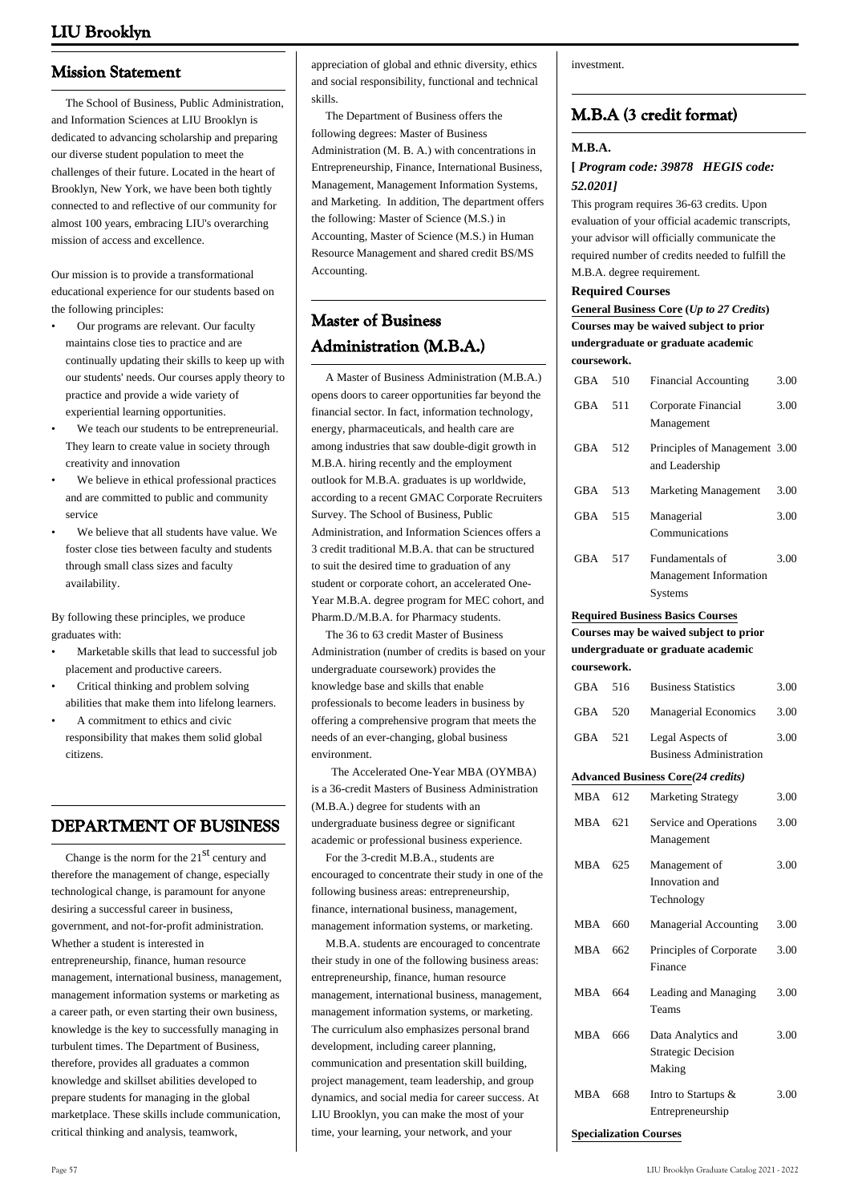# **Mission Statement**

 The School of Business, Public Administration, and Information Sciences at LIU Brooklyn is dedicated to advancing scholarship and preparing our diverse student population to meet the challenges of their future. Located in the heart of Brooklyn, New York, we have been both tightly connected to and reflective of our community for almost 100 years, embracing LIU's overarching mission of access and excellence.

Our mission is to provide a transformational educational experience for our students based on the following principles:

- Our programs are relevant. Our faculty maintains close ties to practice and are continually updating their skills to keep up with our students' needs. Our courses apply theory to practice and provide a wide variety of experiential learning opportunities. •
- We teach our students to be entrepreneurial. They learn to create value in society through creativity and innovation •
- We believe in ethical professional practices and are committed to public and community service •
- We believe that all students have value. We foster close ties between faculty and students through small class sizes and faculty availability. •

By following these principles, we produce graduates with:

- Marketable skills that lead to successful job placement and productive careers. •
- Critical thinking and problem solving abilities that make them into lifelong learners. •
- A commitment to ethics and civic responsibility that makes them solid global citizens. •

# **DEPARTMENT OF BUSINESS**

Change is the norm for the  $21<sup>st</sup>$  century and therefore the management of change, especially technological change, is paramount for anyone desiring a successful career in business, government, and not-for-profit administration. Whether a student is interested in entrepreneurship, finance, human resource management, international business, management, management information systems or marketing as a career path, or even starting their own business, knowledge is the key to successfully managing in turbulent times. The Department of Business, therefore, provides all graduates a common knowledge and skillset abilities developed to prepare students for managing in the global marketplace. These skills include communication, critical thinking and analysis, teamwork,

appreciation of global and ethnic diversity, ethics and social responsibility, functional and technical skills.

 The Department of Business offers the following degrees: Master of Business Administration (M. B. A.) with concentrations in Entrepreneurship, Finance, International Business, Management, Management Information Systems, and Marketing. In addition, The department offers the following: Master of Science (M.S.) in Accounting, Master of Science (M.S.) in Human Resource Management and shared credit BS/MS Accounting.

# **Master of Business Administration (M.B.A.)**

 A Master of Business Administration (M.B.A.) opens doors to career opportunities far beyond the financial sector. In fact, information technology, energy, pharmaceuticals, and health care are among industries that saw double-digit growth in M.B.A. hiring recently and the employment outlook for M.B.A. graduates is up worldwide, according to a recent GMAC Corporate Recruiters Survey. The School of Business, Public Administration, and Information Sciences offers a 3 credit traditional M.B.A. that can be structured to suit the desired time to graduation of any student or corporate cohort, an accelerated One-Year M.B.A. degree program for MEC cohort, and Pharm.D./M.B.A. for Pharmacy students.

 The 36 to 63 credit Master of Business Administration (number of credits is based on your undergraduate coursework) provides the knowledge base and skills that enable professionals to become leaders in business by offering a comprehensive program that meets the needs of an ever-changing, global business environment.

 The Accelerated One-Year MBA (OYMBA) is a 36-credit Masters of Business Administration (M.B.A.) degree for students with an undergraduate business degree or significant academic or professional business experience.

 For the 3-credit M.B.A., students are encouraged to concentrate their study in one of the following business areas: entrepreneurship, finance, international business, management, management information systems, or marketing.

 M.B.A. students are encouraged to concentrate their study in one of the following business areas: entrepreneurship, finance, human resource management, international business, management, management information systems, or marketing. The curriculum also emphasizes personal brand development, including career planning, communication and presentation skill building, project management, team leadership, and group dynamics, and social media for career success. At LIU Brooklyn, you can make the most of your time, your learning, your network, and your

investment.

# **M.B.A (3 credit format)**

# **M.B.A.**

# **[** *Program code: 39878 HEGIS code: 52.0201]*

This program requires 36-63 credits. Upon evaluation of your official academic transcripts, your advisor will officially communicate the required number of credits needed to fulfill the M.B.A. degree requirement.

### **Required Courses**

|              |  | General Business Core (Up to 27 Credits)                                                |  |  |  |
|--------------|--|-----------------------------------------------------------------------------------------|--|--|--|
|              |  | Courses may be waived subject to prior                                                  |  |  |  |
|              |  | undergraduate or graduate academic                                                      |  |  |  |
| coursework.  |  |                                                                                         |  |  |  |
| $CD_A$ $F_1$ |  | $\mathbf{r}$ , $\mathbf{r}$ , $\mathbf{r}$ , $\mathbf{r}$ , $\mathbf{r}$ , $\mathbf{r}$ |  |  |  |

| <b>GBA</b> | 510 | <b>Financial Accounting</b>                                 | 3.00 |
|------------|-----|-------------------------------------------------------------|------|
| <b>GBA</b> | 511 | Corporate Financial<br>Management                           | 3.00 |
| GBA        | 512 | Principles of Management 3.00<br>and Leadership             |      |
| <b>GBA</b> | 513 | <b>Marketing Management</b>                                 | 3.00 |
| GBA        | 515 | Managerial<br>Communications                                | 3.00 |
| GBA        | 517 | Fundamentals of<br>Management Information<br><b>Systems</b> | 3.00 |

# **Required Business Basics Courses**

|             |     | Courses may be waived subject to prior                    |      |
|-------------|-----|-----------------------------------------------------------|------|
|             |     | undergraduate or graduate academic                        |      |
| coursework. |     |                                                           |      |
| <b>GBA</b>  | 516 | <b>Business Statistics</b>                                | 3.00 |
| <b>GBA</b>  | 520 | <b>Managerial Economics</b>                               | 3.00 |
| GBA         | 521 | Legal Aspects of<br><b>Business Administration</b>        | 3.00 |
|             |     | <b>Advanced Business Core(24 credits)</b>                 |      |
| <b>MBA</b>  | 612 | <b>Marketing Strategy</b>                                 | 3.00 |
| <b>MBA</b>  | 621 | Service and Operations<br>Management                      | 3.00 |
| <b>MBA</b>  | 625 | Management of<br>Innovation and<br>Technology             | 3.00 |
| <b>MBA</b>  | 660 | <b>Managerial Accounting</b>                              | 3.00 |
| <b>MBA</b>  | 662 | Principles of Corporate<br>Finance                        | 3.00 |
| <b>MBA</b>  | 664 | Leading and Managing<br>Teams                             | 3.00 |
| <b>MBA</b>  | 666 | Data Analytics and<br><b>Strategic Decision</b><br>Making | 3.00 |
| MBA         | 668 | Intro to Startups &<br>Entrepreneurship                   | 3.00 |

**Specialization Courses**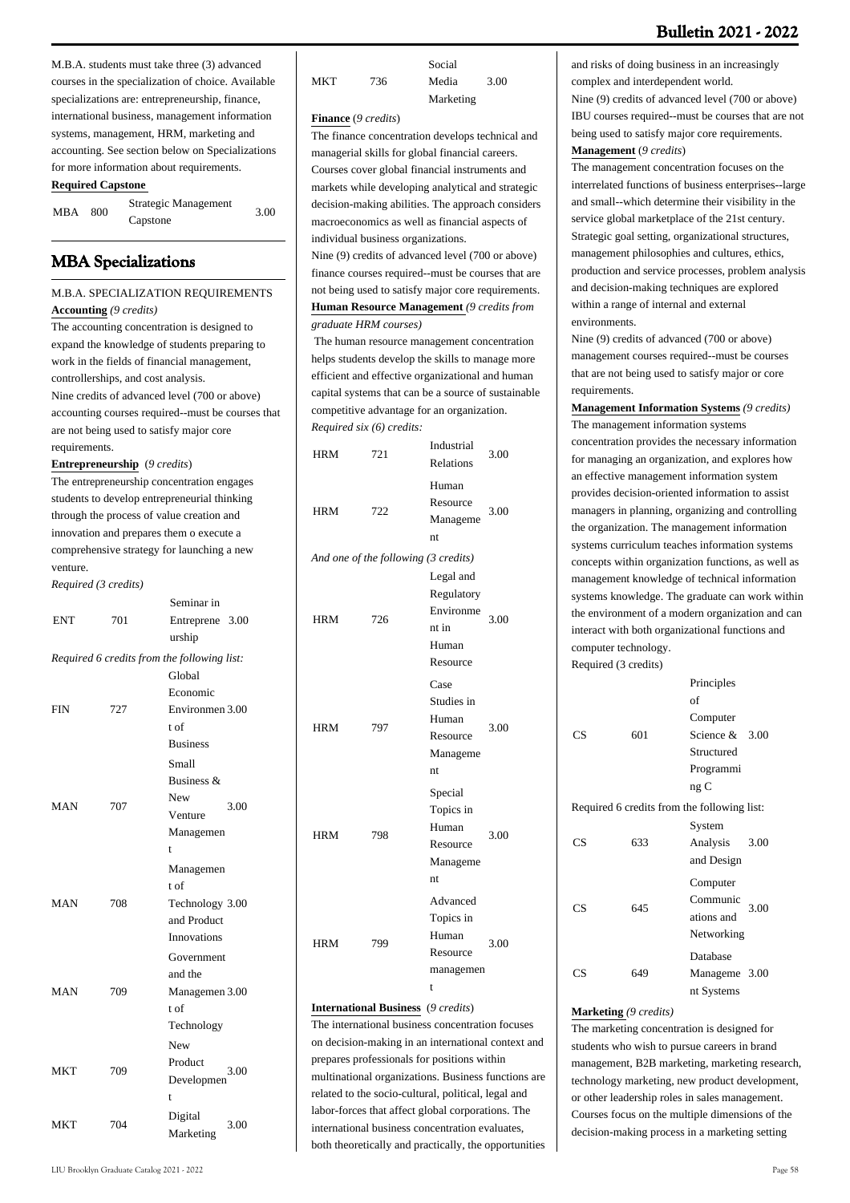M.B.A. students must take three (3) advanced courses in the specialization of choice. Available specializations are: entrepreneurship, finance, international business, management information systems, management, HRM, marketing and accounting. See section below on Specializations for more information about requirements.

# **Required Capstone**

| MBA | 800 | Strategic Management | 3.00 |
|-----|-----|----------------------|------|
|     |     | Capstone             |      |

# **MBA Specializations**

# M.B.A. SPECIALIZATION REQUIREMENTS **Accounting** *(9 credits)*

The accounting concentration is designed to expand the knowledge of students preparing to work in the fields of financial management, controllerships, and cost analysis. Nine credits of advanced level (700 or above) accounting courses required--must be courses that are not being used to satisfy major core requirements.

**Entrepreneurship** (*9 credits*)

The entrepreneurship concentration engages students to develop entrepreneurial thinking through the process of value creation and innovation and prepares them o execute a comprehensive strategy for launching a new venture.

*Required (3 credits)*

|     |     | Seminar in                                  |
|-----|-----|---------------------------------------------|
| ENT | 701 | Entreprene 3.00                             |
|     |     | urship                                      |
|     |     | Required 6 credits from the following list: |
|     |     | Global                                      |
|     |     | Economic                                    |
| FIN | 727 | Environmen 3.00                             |
|     |     | t of                                        |
|     |     | <b>Business</b>                             |
|     |     | Small                                       |
|     |     | Business $\&$                               |
|     |     | <b>New</b>                                  |
| MAN | 707 | 3.00<br>Venture                             |
|     |     | Managemen                                   |
|     |     | t                                           |
|     |     | Managemen                                   |
|     |     | t of                                        |
| MAN | 708 | Technology 3.00                             |
|     |     | and Product                                 |
|     |     | Innovations                                 |
|     |     | Government                                  |
|     |     | and the                                     |
| MAN | 709 | Managemen 3.00                              |
|     |     | t of                                        |
|     |     | Technology                                  |
|     |     | <b>New</b>                                  |
|     |     | Product                                     |
| MKT | 709 | 3.00<br>Developmen                          |
|     |     | t                                           |
|     |     | Digital                                     |
| MKT | 704 | 3.00<br>Marketing                           |

|     |     | Social    |      |
|-----|-----|-----------|------|
| MKT | 736 | Media     | 3.00 |
|     |     | Marketing |      |

### **Finance** (*9 credits*)

The finance concentration develops technical and managerial skills for global financial careers. Courses cover global financial instruments and markets while developing analytical and strategic decision-making abilities. The approach considers macroeconomics as well as financial aspects of individual business organizations.

Nine (9) credits of advanced level (700 or above) finance courses required--must be courses that are not being used to satisfy major core requirements. **Human Resource Management** *(9 credits from graduate HRM courses)*

 The human resource management concentration helps students develop the skills to manage more efficient and effective organizational and human capital systems that can be a source of sustainable competitive advantage for an organization. *Required six (6) credits:*

| HRM        | 721                                  | Industrial<br>Relations                                            | 3.00 |
|------------|--------------------------------------|--------------------------------------------------------------------|------|
| <b>HRM</b> | 722                                  | Human<br>Resource<br>Manageme<br>nt                                | 3.00 |
|            | And one of the following (3 credits) |                                                                    |      |
| <b>HRM</b> | 726                                  | Legal and<br>Regulatory<br>Environme<br>nt in<br>Human<br>Resource | 3.00 |
| <b>HRM</b> | 797                                  | Case<br>Studies in<br>Human<br>Resource<br>Manageme<br>nt.         | 3.00 |
| <b>HRM</b> | 798                                  | Special<br>Topics in<br>Human<br>Resource<br>Manageme<br>nt        | 3.00 |
| <b>HRM</b> | 799                                  | Advanced<br>Topics in<br>Human<br>Resource<br>managemen<br>t       | 3.00 |

**International Business** (*9 credits*)

The international business concentration focuses on decision-making in an international context and prepares professionals for positions within multinational organizations. Business functions are related to the socio-cultural, political, legal and labor-forces that affect global corporations. The international business concentration evaluates, both theoretically and practically, the opportunities

and risks of doing business in an increasingly complex and interdependent world. Nine (9) credits of advanced level (700 or above) IBU courses required--must be courses that are not being used to satisfy major core requirements.

**Management** (*9 credits*)

The management concentration focuses on the interrelated functions of business enterprises--large and small--which determine their visibility in the service global marketplace of the 21st century. Strategic goal setting, organizational structures, management philosophies and cultures, ethics, production and service processes, problem analysis and decision-making techniques are explored within a range of internal and external environments.

Nine (9) credits of advanced (700 or above) management courses required--must be courses that are not being used to satisfy major or core requirements.

**Management Information Systems** *(9 credits)* The management information systems concentration provides the necessary information for managing an organization, and explores how an effective management information system provides decision-oriented information to assist managers in planning, organizing and controlling the organization. The management information systems curriculum teaches information systems concepts within organization functions, as well as management knowledge of technical information systems knowledge. The graduate can work within the environment of a modern organization and can interact with both organizational functions and computer technology. Required (3 credits)

| CS | 601 | Principles<br>of<br>Computer<br>Science &<br>Structured<br>Programmi<br>ngC | 3.00 |
|----|-----|-----------------------------------------------------------------------------|------|
|    |     | Required 6 credits from the following list:                                 |      |
| CS | 633 | System<br>Analysis<br>and Design                                            | 3.00 |
| CS | 645 | Computer<br>Communic<br>ations and<br>Networking                            | 3.00 |
| CS | 649 | Database<br>Manageme 3.00<br>nt Systems                                     |      |

### **Marketing** *(9 credits)*

The marketing concentration is designed for students who wish to pursue careers in brand management, B2B marketing, marketing research, technology marketing, new product development, or other leadership roles in sales management. Courses focus on the multiple dimensions of the decision-making process in a marketing setting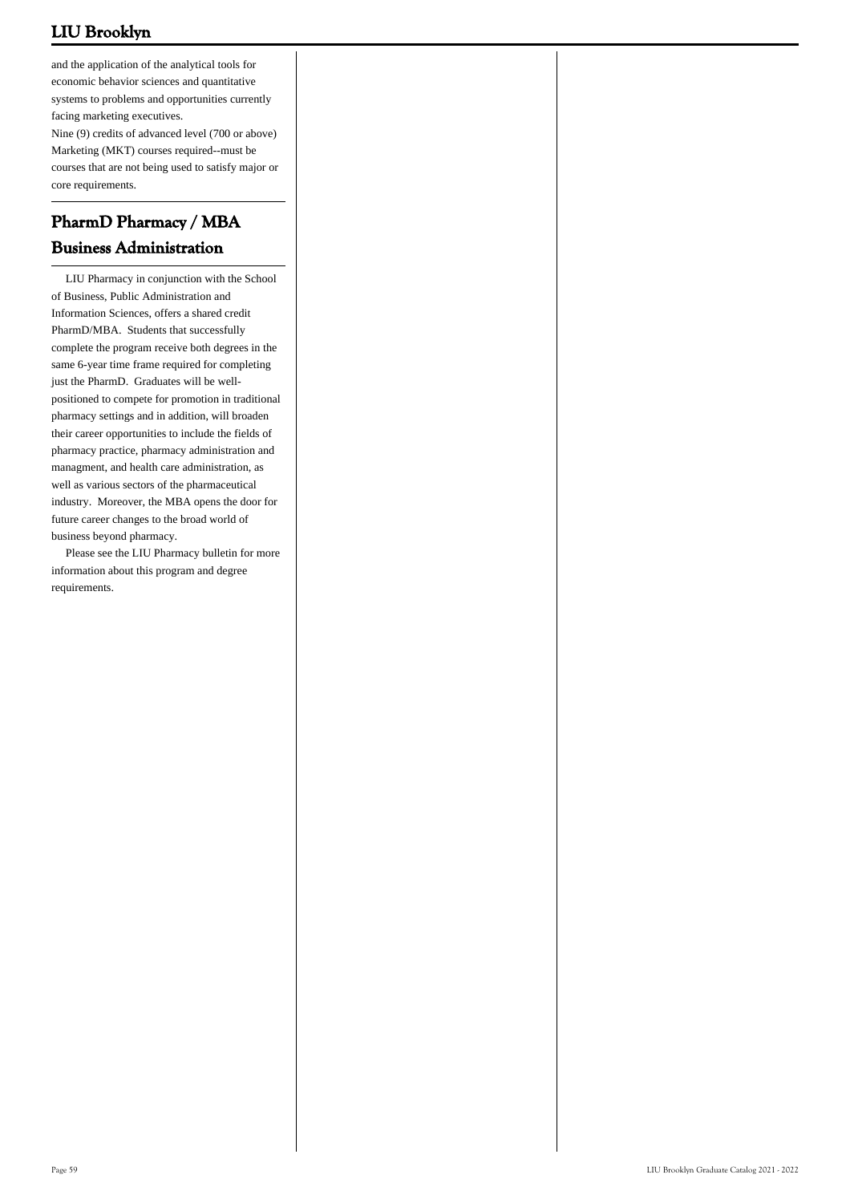and the application of the analytical tools for economic behavior sciences and quantitative systems to problems and opportunities currently facing marketing executives.

Nine (9) credits of advanced level (700 or above) Marketing (MKT) courses required--must be courses that are not being used to satisfy major or core requirements.

# **PharmD Pharmacy / MBA Business Administration**

 LIU Pharmacy in conjunction with the School of Business, Public Administration and Information Sciences, offers a shared credit PharmD/MBA. Students that successfully complete the program receive both degrees in the same 6-year time frame required for completing just the PharmD. Graduates will be wellpositioned to compete for promotion in traditional pharmacy settings and in addition, will broaden their career opportunities to include the fields of pharmacy practice, pharmacy administration and managment, and health care administration, as well as various sectors of the pharmaceutical industry. Moreover, the MBA opens the door for future career changes to the broad world of business beyond pharmacy.

 Please see the LIU Pharmacy bulletin for more information about this program and degree requirements.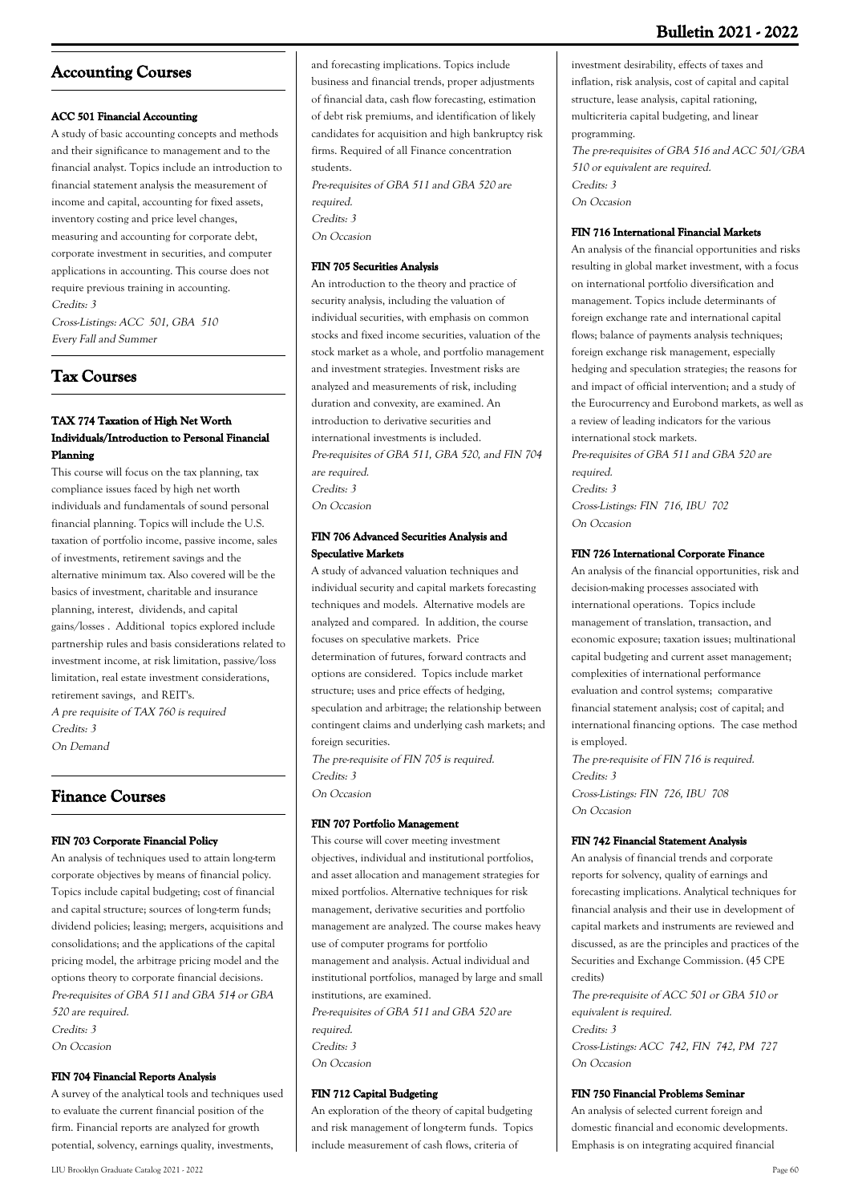# **Bulletin 2021 - 2022**

# **Accounting Courses**

# **ACC 501 Financial Accounting**

A study of basic accounting concepts and methods and their significance to management and to the financial analyst. Topics include an introduction to financial statement analysis the measurement of income and capital, accounting for fixed assets, inventory costing and price level changes, measuring and accounting for corporate debt, corporate investment in securities, and computer applications in accounting. This course does not require previous training in accounting. Credits: 3 Cross-Listings: ACC 501, GBA 510 Every Fall and Summer

**Tax Courses**

# **TAX 774 Taxation of High Net Worth Individuals/Introduction to Personal Financial Planning**

This course will focus on the tax planning, tax compliance issues faced by high net worth individuals and fundamentals of sound personal financial planning. Topics will include the U.S. taxation of portfolio income, passive income, sales of investments, retirement savings and the alternative minimum tax. Also covered will be the basics of investment, charitable and insurance planning, interest, dividends, and capital gains/losses . Additional topics explored include partnership rules and basis considerations related to investment income, at risk limitation, passive/loss limitation, real estate investment considerations, retirement savings, and REIT's. A pre requisite of TAX 760 is required

Credits: 3 On Demand

# **Finance Courses**

# **FIN 703 Corporate Financial Policy**

An analysis of techniques used to attain long-term corporate objectives by means of financial policy. Topics include capital budgeting; cost of financial and capital structure; sources of long-term funds; dividend policies; leasing; mergers, acquisitions and consolidations; and the applications of the capital pricing model, the arbitrage pricing model and the options theory to corporate financial decisions. Pre-requisites of GBA 511 and GBA 514 or GBA 520 are required. Credits: 3 On Occasion

# **FIN 704 Financial Reports Analysis**

A survey of the analytical tools and techniques used to evaluate the current financial position of the firm. Financial reports are analyzed for growth potential, solvency, earnings quality, investments,

Pre-requisites of GBA 511 and GBA 520 are required. Credits: 3 On Occasion

### **FIN 705 Securities Analysis**

An introduction to the theory and practice of security analysis, including the valuation of individual securities, with emphasis on common stocks and fixed income securities, valuation of the stock market as a whole, and portfolio management and investment strategies. Investment risks are analyzed and measurements of risk, including duration and convexity, are examined. An introduction to derivative securities and international investments is included. Pre-requisites of GBA 511, GBA 520, and FIN 704 are required. Credits: 3 On Occasion

**FIN 706 Advanced Securities Analysis and Speculative Markets**

A study of advanced valuation techniques and individual security and capital markets forecasting techniques and models. Alternative models are analyzed and compared. In addition, the course focuses on speculative markets. Price determination of futures, forward contracts and options are considered. Topics include market structure; uses and price effects of hedging, speculation and arbitrage; the relationship between contingent claims and underlying cash markets; and foreign securities.

The pre-requisite of FIN 705 is required. Credits: 3 On Occasion

### **FIN 707 Portfolio Management**

This course will cover meeting investment objectives, individual and institutional portfolios, and asset allocation and management strategies for mixed portfolios. Alternative techniques for risk management, derivative securities and portfolio management are analyzed. The course makes heavy use of computer programs for portfolio management and analysis. Actual individual and institutional portfolios, managed by large and small institutions, are examined. Pre-requisites of GBA 511 and GBA 520 are required. Credits: 3 On Occasion

#### **FIN 712 Capital Budgeting**

An exploration of the theory of capital budgeting and risk management of long-term funds. Topics include measurement of cash flows, criteria of

investment desirability, effects of taxes and inflation, risk analysis, cost of capital and capital structure, lease analysis, capital rationing, multicriteria capital budgeting, and linear programming. The pre-requisites of GBA 516 and ACC 501/GBA 510 or equivalent are required. Credits: 3 On Occasion

### **FIN 716 International Financial Markets**

An analysis of the financial opportunities and risks resulting in global market investment, with a focus on international portfolio diversification and management. Topics include determinants of foreign exchange rate and international capital flows; balance of payments analysis techniques; foreign exchange risk management, especially hedging and speculation strategies; the reasons for and impact of official intervention; and a study of the Eurocurrency and Eurobond markets, as well as a review of leading indicators for the various international stock markets.

Pre-requisites of GBA 511 and GBA 520 are required. Credits: 3 Cross-Listings: FIN 716, IBU 702 On Occasion

# **FIN 726 International Corporate Finance**

An analysis of the financial opportunities, risk and decision-making processes associated with international operations. Topics include management of translation, transaction, and economic exposure; taxation issues; multinational capital budgeting and current asset management; complexities of international performance evaluation and control systems; comparative financial statement analysis; cost of capital; and international financing options. The case method is employed. The pre-requisite of FIN 716 is required.

Credits: 3 Cross-Listings: FIN 726, IBU 708 On Occasion

### **FIN 742 Financial Statement Analysis**

An analysis of financial trends and corporate reports for solvency, quality of earnings and forecasting implications. Analytical techniques for financial analysis and their use in development of capital markets and instruments are reviewed and discussed, as are the principles and practices of the Securities and Exchange Commission. (45 CPE credits)

The pre-requisite of ACC 501 or GBA 510 or equivalent is required. Credits: 3 Cross-Listings: ACC 742, FIN 742, PM 727 On Occasion

### **FIN 750 Financial Problems Seminar**

An analysis of selected current foreign and domestic financial and economic developments. Emphasis is on integrating acquired financial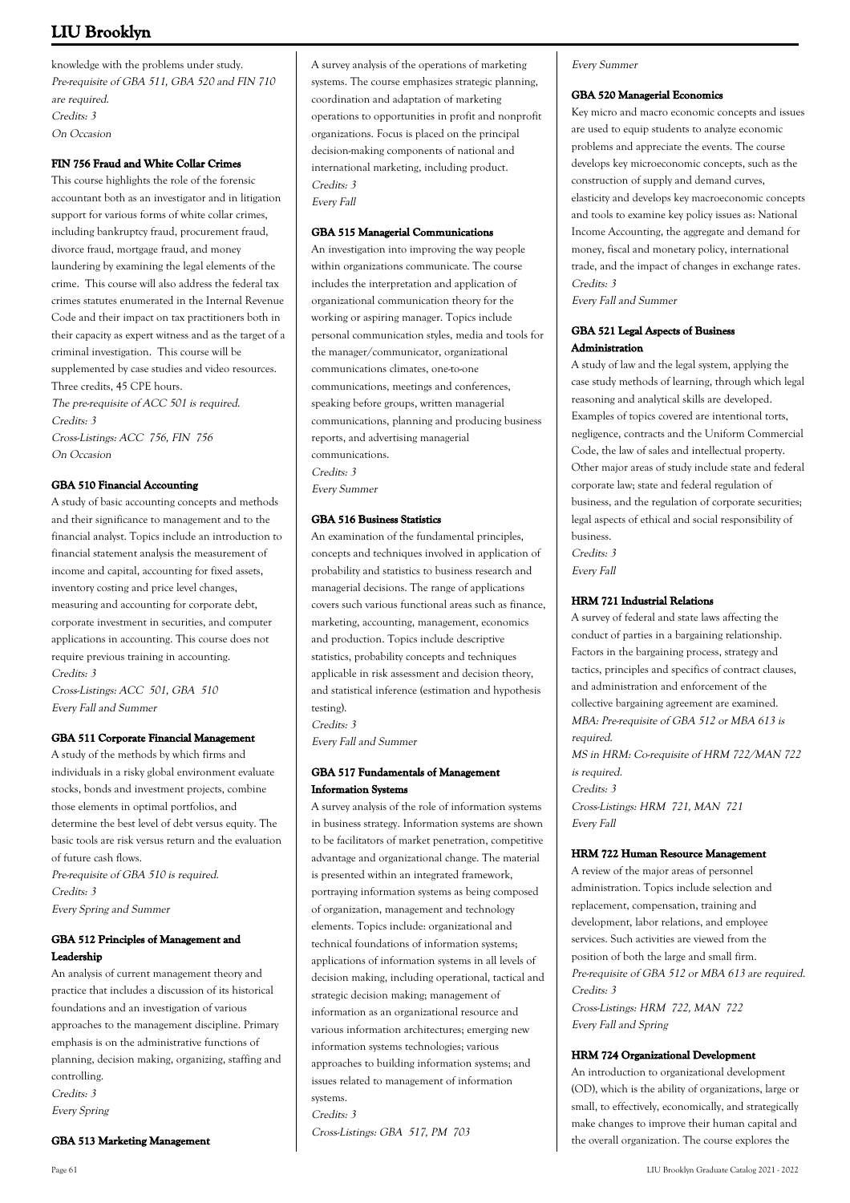knowledge with the problems under study. Pre-requisite of GBA 511, GBA 520 and FIN 710 are required. Credits: 3 On Occasion

# **FIN 756 Fraud and White Collar Crimes**

This course highlights the role of the forensic accountant both as an investigator and in litigation support for various forms of white collar crimes, including bankruptcy fraud, procurement fraud, divorce fraud, mortgage fraud, and money laundering by examining the legal elements of the crime. This course will also address the federal tax crimes statutes enumerated in the Internal Revenue Code and their impact on tax practitioners both in their capacity as expert witness and as the target of a criminal investigation. This course will be supplemented by case studies and video resources. Three credits, 45 CPE hours. The pre-requisite of ACC 501 is required. Credits: 3 Cross-Listings: ACC 756, FIN 756 On Occasion

### **GBA 510 Financial Accounting**

A study of basic accounting concepts and methods and their significance to management and to the financial analyst. Topics include an introduction to financial statement analysis the measurement of income and capital, accounting for fixed assets, inventory costing and price level changes, measuring and accounting for corporate debt, corporate investment in securities, and computer applications in accounting. This course does not require previous training in accounting. Credits: 3 Cross-Listings: ACC 501, GBA 510

# **GBA 511 Corporate Financial Management**

Every Fall and Summer

A study of the methods by which firms and individuals in a risky global environment evaluate stocks, bonds and investment projects, combine those elements in optimal portfolios, and determine the best level of debt versus equity. The basic tools are risk versus return and the evaluation of future cash flows. Pre-requisite of GBA 510 is required. Credits: 3 Every Spring and Summer

# **GBA 512 Principles of Management and Leadership**

An analysis of current management theory and practice that includes a discussion of its historical foundations and an investigation of various approaches to the management discipline. Primary emphasis is on the administrative functions of planning, decision making, organizing, staffing and controlling. Credits: 3 Every Spring

#### **GBA 513 Marketing Management**

Every Fall

### **GBA 515 Managerial Communications**

An investigation into improving the way people within organizations communicate. The course includes the interpretation and application of organizational communication theory for the working or aspiring manager. Topics include personal communication styles, media and tools for the manager/communicator, organizational communications climates, one-to-one communications, meetings and conferences, speaking before groups, written managerial communications, planning and producing business reports, and advertising managerial communications. Credits: 3 Every Summer

### **GBA 516 Business Statistics**

An examination of the fundamental principles, concepts and techniques involved in application of probability and statistics to business research and managerial decisions. The range of applications covers such various functional areas such as finance, marketing, accounting, management, economics and production. Topics include descriptive statistics, probability concepts and techniques applicable in risk assessment and decision theory, and statistical inference (estimation and hypothesis testing).

Credits: 3

Every Fall and Summer

### **GBA 517 Fundamentals of Management Information Systems**

A survey analysis of the role of information systems in business strategy. Information systems are shown to be facilitators of market penetration, competitive advantage and organizational change. The material is presented within an integrated framework, portraying information systems as being composed of organization, management and technology elements. Topics include: organizational and technical foundations of information systems; applications of information systems in all levels of decision making, including operational, tactical and strategic decision making; management of information as an organizational resource and various information architectures; emerging new information systems technologies; various approaches to building information systems; and issues related to management of information systems. Credits: 3

Cross-Listings: GBA 517, PM 703

### Every Summer

#### **GBA 520 Managerial Economics**

Key micro and macro economic concepts and issues are used to equip students to analyze economic problems and appreciate the events. The course develops key microeconomic concepts, such as the construction of supply and demand curves, elasticity and develops key macroeconomic concepts and tools to examine key policy issues as: National Income Accounting, the aggregate and demand for money, fiscal and monetary policy, international trade, and the impact of changes in exchange rates. Credits: 3

Every Fall and Summer

# **GBA 521 Legal Aspects of Business Administration**

A study of law and the legal system, applying the case study methods of learning, through which legal reasoning and analytical skills are developed. Examples of topics covered are intentional torts, negligence, contracts and the Uniform Commercial Code, the law of sales and intellectual property. Other major areas of study include state and federal corporate law; state and federal regulation of business, and the regulation of corporate securities; legal aspects of ethical and social responsibility of business.

Credits: 3 Every Fall

### **HRM 721 Industrial Relations**

A survey of federal and state laws affecting the conduct of parties in a bargaining relationship. Factors in the bargaining process, strategy and tactics, principles and specifics of contract clauses, and administration and enforcement of the collective bargaining agreement are examined. MBA: Pre-requisite of GBA 512 or MBA 613 is required. MS in HRM: Co-requisite of HRM 722/MAN 722 is required. Credits: 3 Cross-Listings: HRM 721, MAN 721 Every Fall

### **HRM 722 Human Resource Management**

A review of the major areas of personnel administration. Topics include selection and replacement, compensation, training and development, labor relations, and employee services. Such activities are viewed from the position of both the large and small firm. Pre-requisite of GBA 512 or MBA 613 are required. Credits: 3 Cross-Listings: HRM 722, MAN 722

Every Fall and Spring

### **HRM 724 Organizational Development**

An introduction to organizational development (OD), which is the ability of organizations, large or small, to effectively, economically, and strategically make changes to improve their human capital and the overall organization. The course explores the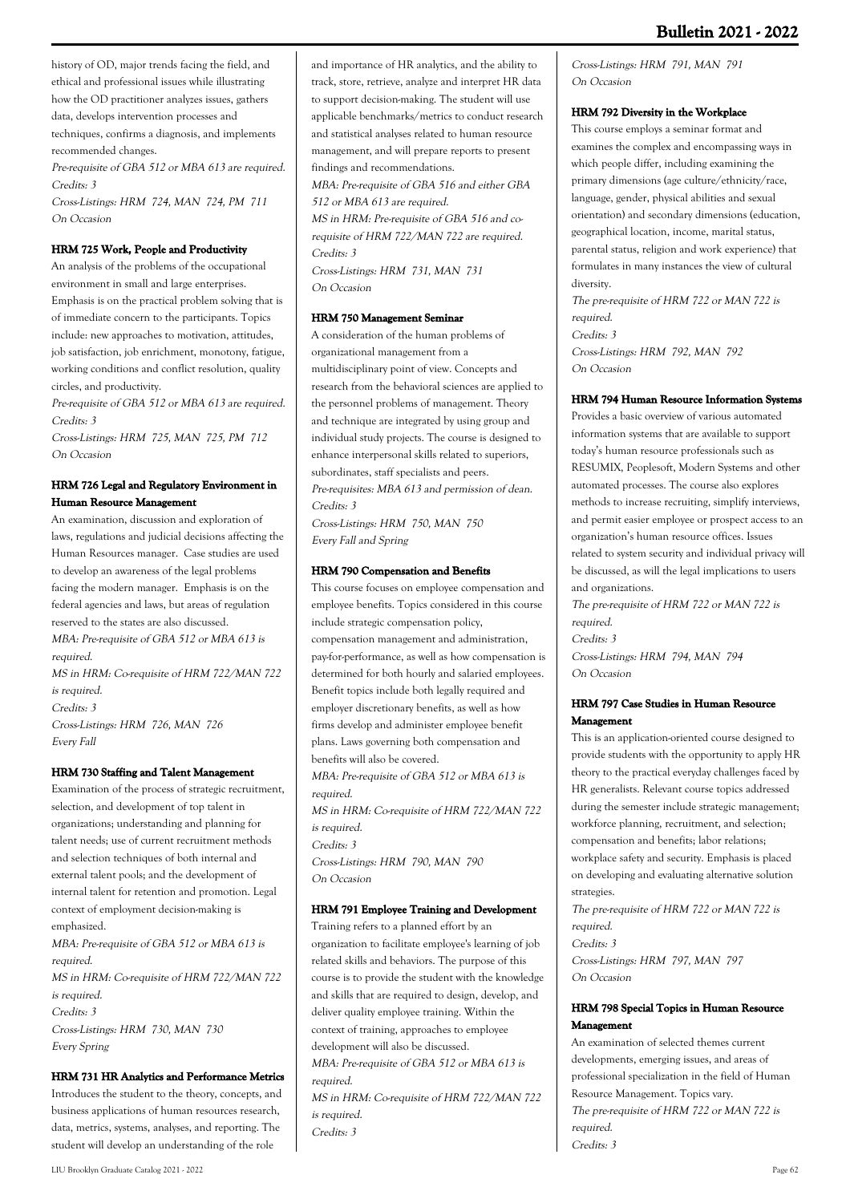history of OD, major trends facing the field, and ethical and professional issues while illustrating how the OD practitioner analyzes issues, gathers data, develops intervention processes and techniques, confirms a diagnosis, and implements recommended changes.

Pre-requisite of GBA 512 or MBA 613 are required. Credits: 3

Cross-Listings: HRM 724, MAN 724, PM 711 On Occasion

# **HRM 725 Work, People and Productivity**

An analysis of the problems of the occupational environment in small and large enterprises. Emphasis is on the practical problem solving that is of immediate concern to the participants. Topics include: new approaches to motivation, attitudes, job satisfaction, job enrichment, monotony, fatigue, working conditions and conflict resolution, quality circles, and productivity.

Pre-requisite of GBA 512 or MBA 613 are required. Credits: 3

Cross-Listings: HRM 725, MAN 725, PM 712 On Occasion

# **HRM 726 Legal and Regulatory Environment in Human Resource Management**

An examination, discussion and exploration of laws, regulations and judicial decisions affecting the Human Resources manager. Case studies are used to develop an awareness of the legal problems facing the modern manager. Emphasis is on the federal agencies and laws, but areas of regulation reserved to the states are also discussed. MBA: Pre-requisite of GBA 512 or MBA 613 is required. MS in HRM: Co-requisite of HRM 722/MAN 722 is required. Credits: 3 Cross-Listings: HRM 726, MAN 726

### **HRM 730 Staffing and Talent Management**

Every Fall

Examination of the process of strategic recruitment, selection, and development of top talent in organizations; understanding and planning for talent needs; use of current recruitment methods and selection techniques of both internal and external talent pools; and the development of internal talent for retention and promotion. Legal context of employment decision-making is emphasized. MBA: Pre-requisite of GBA 512 or MBA 613 is required. MS in HRM: Co-requisite of HRM 722/MAN 722 is required. Credits: 3 Cross-Listings: HRM 730, MAN 730 Every Spring

### **HRM 731 HR Analytics and Performance Metrics**

Introduces the student to the theory, concepts, and business applications of human resources research, data, metrics, systems, analyses, and reporting. The student will develop an understanding of the role

and importance of HR analytics, and the ability to track, store, retrieve, analyze and interpret HR data to support decision-making. The student will use applicable benchmarks/metrics to conduct research and statistical analyses related to human resource management, and will prepare reports to present findings and recommendations. MBA: Pre-requisite of GBA 516 and either GBA 512 or MBA 613 are required. MS in HRM: Pre-requisite of GBA 516 and corequisite of HRM 722/MAN 722 are required. Credits: 3

Cross-Listings: HRM 731, MAN 731 On Occasion

### **HRM 750 Management Seminar**

A consideration of the human problems of organizational management from a multidisciplinary point of view. Concepts and research from the behavioral sciences are applied to the personnel problems of management. Theory and technique are integrated by using group and individual study projects. The course is designed to enhance interpersonal skills related to superiors, subordinates, staff specialists and peers. Pre-requisites: MBA 613 and permission of dean. Credits: 3

Cross-Listings: HRM 750, MAN 750 Every Fall and Spring

### **HRM 790 Compensation and Benefits**

This course focuses on employee compensation and employee benefits. Topics considered in this course include strategic compensation policy, compensation management and administration, pay-for-performance, as well as how compensation is determined for both hourly and salaried employees. Benefit topics include both legally required and employer discretionary benefits, as well as how firms develop and administer employee benefit plans. Laws governing both compensation and benefits will also be covered.

MBA: Pre-requisite of GBA 512 or MBA 613 is required.

MS in HRM: Co-requisite of HRM 722/MAN 722 is required. Credits: 3 Cross-Listings: HRM 790, MAN 790 On Occasion

### **HRM 791 Employee Training and Development**

Training refers to a planned effort by an organization to facilitate employee's learning of job related skills and behaviors. The purpose of this course is to provide the student with the knowledge and skills that are required to design, develop, and deliver quality employee training. Within the context of training, approaches to employee development will also be discussed. MBA: Pre-requisite of GBA 512 or MBA 613 is required. MS in HRM: Co-requisite of HRM 722/MAN 722

is required. Credits: 3

# Cross-Listings: HRM 791, MAN 791 On Occasion

#### **HRM 792 Diversity in the Workplace**

This course employs a seminar format and examines the complex and encompassing ways in which people differ, including examining the primary dimensions (age culture/ethnicity/race, language, gender, physical abilities and sexual orientation) and secondary dimensions (education, geographical location, income, marital status, parental status, religion and work experience) that formulates in many instances the view of cultural diversity.

The pre-requisite of HRM 722 or MAN 722 is required. Credits: 3 Cross-Listings: HRM 792, MAN 792 On Occasion

# **HRM 794 Human Resource Information Systems**

Provides a basic overview of various automated information systems that are available to support today's human resource professionals such as RESUMIX, Peoplesoft, Modern Systems and other automated processes. The course also explores methods to increase recruiting, simplify interviews, and permit easier employee or prospect access to an organization's human resource offices. Issues related to system security and individual privacy will be discussed, as will the legal implications to users and organizations.

The pre-requisite of HRM 722 or MAN 722 is required. Credits: 3 Cross-Listings: HRM 794, MAN 794 On Occasion

### **HRM 797 Case Studies in Human Resource Management**

This is an application-oriented course designed to provide students with the opportunity to apply HR theory to the practical everyday challenges faced by HR generalists. Relevant course topics addressed during the semester include strategic management; workforce planning, recruitment, and selection; compensation and benefits; labor relations; workplace safety and security. Emphasis is placed on developing and evaluating alternative solution strategies.

The pre-requisite of HRM 722 or MAN 722 is required. Credits: 3 Cross-Listings: HRM 797, MAN 797 On Occasion

### **HRM 798 Special Topics in Human Resource Management**

An examination of selected themes current developments, emerging issues, and areas of professional specialization in the field of Human Resource Management. Topics vary. The pre-requisite of HRM 722 or MAN 722 is required. Credits: 3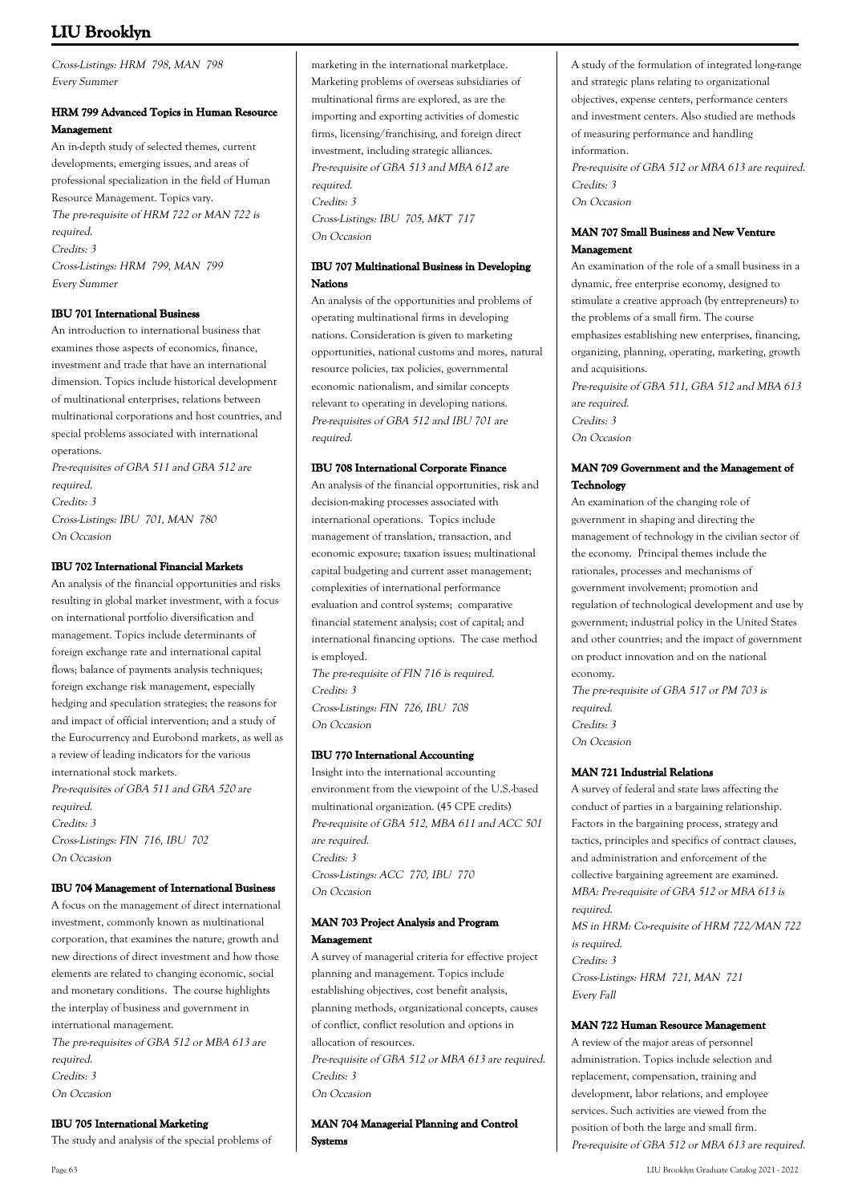Cross-Listings: HRM 798, MAN 798 Every Summer

# **HRM 799 Advanced Topics in Human Resource Management**

An in-depth study of selected themes, current developments, emerging issues, and areas of professional specialization in the field of Human Resource Management. Topics vary. The pre-requisite of HRM 722 or MAN 722 is required. Credits: 3 Cross-Listings: HRM 799, MAN 799 Every Summer

# **IBU 701 International Business**

An introduction to international business that examines those aspects of economics, finance, investment and trade that have an international dimension. Topics include historical development of multinational enterprises, relations between multinational corporations and host countries, and special problems associated with international operations.

Pre-requisites of GBA 511 and GBA 512 are required. Credits: 3 Cross-Listings: IBU 701, MAN 780 On Occasion

### **IBU 702 International Financial Markets**

An analysis of the financial opportunities and risks resulting in global market investment, with a focus on international portfolio diversification and management. Topics include determinants of foreign exchange rate and international capital flows; balance of payments analysis techniques; foreign exchange risk management, especially hedging and speculation strategies; the reasons for and impact of official intervention; and a study of the Eurocurrency and Eurobond markets, as well as a review of leading indicators for the various international stock markets. Pre-requisites of GBA 511 and GBA 520 are required. Credits: 3 Cross-Listings: FIN 716, IBU 702 On Occasion

### **IBU 704 Management of International Business**

A focus on the management of direct international investment, commonly known as multinational corporation, that examines the nature, growth and new directions of direct investment and how those elements are related to changing economic, social and monetary conditions. The course highlights the interplay of business and government in international management. The pre-requisites of GBA 512 or MBA 613 are required. Credits: 3 On Occasion

### **IBU 705 International Marketing**

The study and analysis of the special problems of

marketing in the international marketplace. Marketing problems of overseas subsidiaries of multinational firms are explored, as are the importing and exporting activities of domestic firms, licensing/franchising, and foreign direct investment, including strategic alliances. Pre-requisite of GBA 513 and MBA 612 are required. Credits: 3 Cross-Listings: IBU 705, MKT 717 On Occasion

# **IBU 707 Multinational Business in Developing Nations**

An analysis of the opportunities and problems of operating multinational firms in developing nations. Consideration is given to marketing opportunities, national customs and mores, natural resource policies, tax policies, governmental economic nationalism, and similar concepts relevant to operating in developing nations. Pre-requisites of GBA 512 and IBU 701 are required.

### **IBU 708 International Corporate Finance**

An analysis of the financial opportunities, risk and decision-making processes associated with international operations. Topics include management of translation, transaction, and economic exposure; taxation issues; multinational capital budgeting and current asset management; complexities of international performance evaluation and control systems; comparative financial statement analysis; cost of capital; and international financing options. The case method is employed. The pre-requisite of FIN 716 is required.

Credits: 3 Cross-Listings: FIN 726, IBU 708 On Occasion

### **IBU 770 International Accounting**

Insight into the international accounting environment from the viewpoint of the U.S.-based multinational organization. (45 CPE credits) Pre-requisite of GBA 512, MBA 611 and ACC 501 are required. Credits: 3 Cross-Listings: ACC 770, IBU 770 On Occasion

### **MAN 703 Project Analysis and Program Management**

A survey of managerial criteria for effective project planning and management. Topics include establishing objectives, cost benefit analysis, planning methods, organizational concepts, causes of conflict, conflict resolution and options in allocation of resources. Pre-requisite of GBA 512 or MBA 613 are required.

Credits: 3 On Occasion

**MAN 704 Managerial Planning and Control Systems**

A study of the formulation of integrated long-range and strategic plans relating to organizational objectives, expense centers, performance centers and investment centers. Also studied are methods of measuring performance and handling information.

Pre-requisite of GBA 512 or MBA 613 are required. Credits: 3 On Occasion

### **MAN 707 Small Business and New Venture Management**

An examination of the role of a small business in a dynamic, free enterprise economy, designed to stimulate a creative approach (by entrepreneurs) to the problems of a small firm. The course emphasizes establishing new enterprises, financing, organizing, planning, operating, marketing, growth and acquisitions.

Pre-requisite of GBA 511, GBA 512 and MBA 613 are required. Credits: 3 On Occasion

# **MAN 709 Government and the Management of Technology**

An examination of the changing role of government in shaping and directing the management of technology in the civilian sector of the economy. Principal themes include the rationales, processes and mechanisms of government involvement; promotion and regulation of technological development and use by government; industrial policy in the United States and other countries; and the impact of government on product innovation and on the national economy.

The pre-requisite of GBA 517 or PM 703 is required. Credits: 3 On Occasion

### **MAN 721 Industrial Relations**

A survey of federal and state laws affecting the conduct of parties in a bargaining relationship. Factors in the bargaining process, strategy and tactics, principles and specifics of contract clauses, and administration and enforcement of the collective bargaining agreement are examined. MBA: Pre-requisite of GBA 512 or MBA 613 is required.

MS in HRM: Co-requisite of HRM 722/MAN 722 is required. Credits: 3 Cross-Listings: HRM 721, MAN 721 Every Fall

### **MAN 722 Human Resource Management**

A review of the major areas of personnel administration. Topics include selection and replacement, compensation, training and development, labor relations, and employee services. Such activities are viewed from the position of both the large and small firm. Pre-requisite of GBA 512 or MBA 613 are required.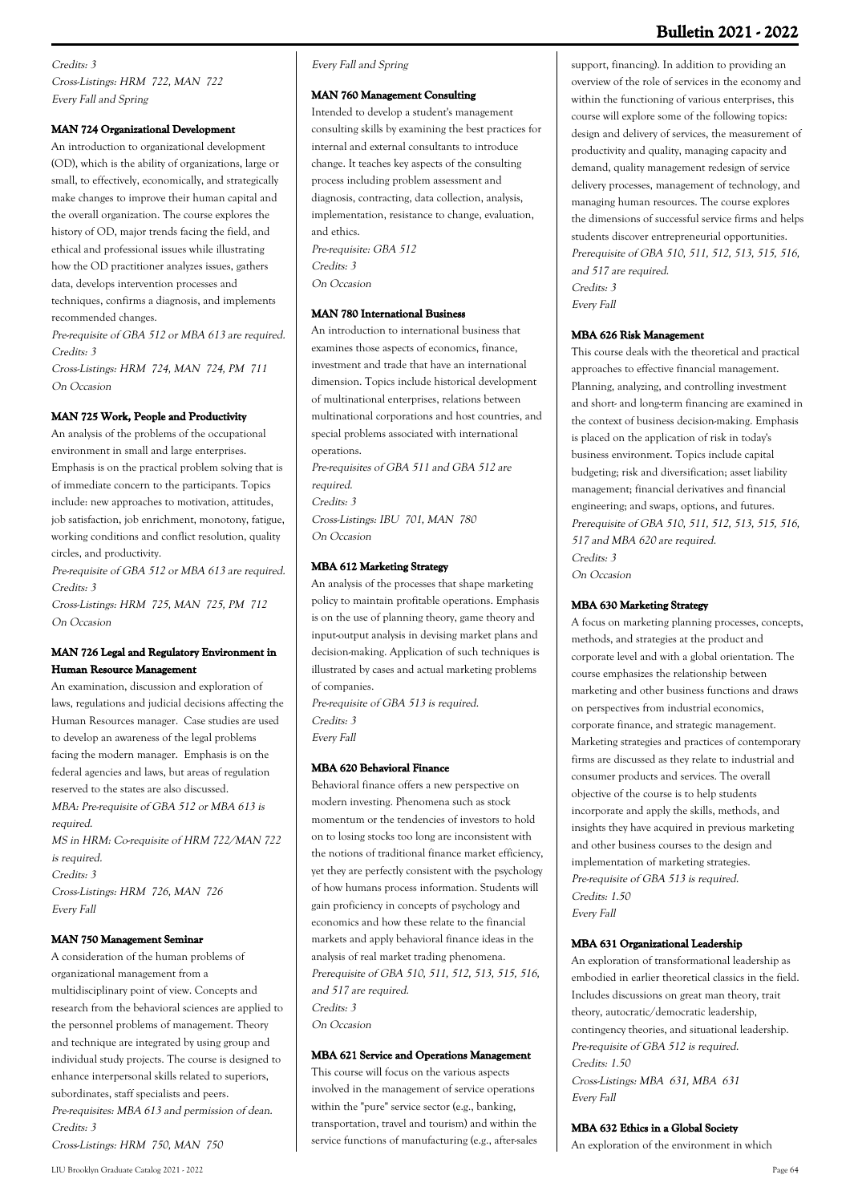# **Bulletin 2021 - 2022**

# Credits: 3 Cross-Listings: HRM 722, MAN 722 Every Fall and Spring

# **MAN 724 Organizational Development**

An introduction to organizational development (OD), which is the ability of organizations, large or small, to effectively, economically, and strategically make changes to improve their human capital and the overall organization. The course explores the history of OD, major trends facing the field, and ethical and professional issues while illustrating how the OD practitioner analyzes issues, gathers data, develops intervention processes and techniques, confirms a diagnosis, and implements recommended changes.

Pre-requisite of GBA 512 or MBA 613 are required. Credits: 3

Cross-Listings: HRM 724, MAN 724, PM 711 On Occasion

### **MAN 725 Work, People and Productivity**

An analysis of the problems of the occupational environment in small and large enterprises. Emphasis is on the practical problem solving that is of immediate concern to the participants. Topics include: new approaches to motivation, attitudes, job satisfaction, job enrichment, monotony, fatigue, working conditions and conflict resolution, quality circles, and productivity.

Pre-requisite of GBA 512 or MBA 613 are required. Credits: 3

Cross-Listings: HRM 725, MAN 725, PM 712 On Occasion

### **MAN 726 Legal and Regulatory Environment in Human Resource Management**

An examination, discussion and exploration of laws, regulations and judicial decisions affecting the Human Resources manager. Case studies are used to develop an awareness of the legal problems facing the modern manager. Emphasis is on the federal agencies and laws, but areas of regulation reserved to the states are also discussed. MBA: Pre-requisite of GBA 512 or MBA 613 is required. MS in HRM: Co-requisite of HRM 722/MAN 722 is required. Credits: 3 Cross-Listings: HRM 726, MAN 726 Every Fall

#### **MAN 750 Management Seminar**

A consideration of the human problems of organizational management from a multidisciplinary point of view. Concepts and research from the behavioral sciences are applied to the personnel problems of management. Theory and technique are integrated by using group and individual study projects. The course is designed to enhance interpersonal skills related to superiors, subordinates, staff specialists and peers. Pre-requisites: MBA 613 and permission of dean. Credits: 3 Cross-Listings: HRM 750, MAN 750

### Every Fall and Spring

#### **MAN 760 Management Consulting**

Intended to develop a student's management consulting skills by examining the best practices for internal and external consultants to introduce change. It teaches key aspects of the consulting process including problem assessment and diagnosis, contracting, data collection, analysis, implementation, resistance to change, evaluation, and ethics. Pre-requisite: GBA 512 Credits: 3

On Occasion

# **MAN 780 International Business**

An introduction to international business that examines those aspects of economics, finance, investment and trade that have an international dimension. Topics include historical development of multinational enterprises, relations between multinational corporations and host countries, and special problems associated with international operations.

Pre-requisites of GBA 511 and GBA 512 are required. Credits: 3

Cross-Listings: IBU 701, MAN 780 On Occasion

### **MBA 612 Marketing Strategy**

An analysis of the processes that shape marketing policy to maintain profitable operations. Emphasis is on the use of planning theory, game theory and input-output analysis in devising market plans and decision-making. Application of such techniques is illustrated by cases and actual marketing problems of companies.

Pre-requisite of GBA 513 is required. Credits: 3 Every Fall

### **MBA 620 Behavioral Finance**

Behavioral finance offers a new perspective on modern investing. Phenomena such as stock momentum or the tendencies of investors to hold on to losing stocks too long are inconsistent with the notions of traditional finance market efficiency, yet they are perfectly consistent with the psychology of how humans process information. Students will gain proficiency in concepts of psychology and economics and how these relate to the financial markets and apply behavioral finance ideas in the analysis of real market trading phenomena. Prerequisite of GBA 510, 511, 512, 513, 515, 516, and 517 are required. Credits: 3 On Occasion

# **MBA 621 Service and Operations Management**

This course will focus on the various aspects involved in the management of service operations within the "pure" service sector (e.g., banking, transportation, travel and tourism) and within the service functions of manufacturing (e.g., after-sales support, financing). In addition to providing an overview of the role of services in the economy and within the functioning of various enterprises, this course will explore some of the following topics: design and delivery of services, the measurement of productivity and quality, managing capacity and demand, quality management redesign of service delivery processes, management of technology, and managing human resources. The course explores the dimensions of successful service firms and helps students discover entrepreneurial opportunities. Prerequisite of GBA 510, 511, 512, 513, 515, 516, and 517 are required. Credits: 3

**MBA 626 Risk Management**

Every Fall

This course deals with the theoretical and practical approaches to effective financial management. Planning, analyzing, and controlling investment and short- and long-term financing are examined in the context of business decision-making. Emphasis is placed on the application of risk in today's business environment. Topics include capital budgeting; risk and diversification; asset liability management; financial derivatives and financial engineering; and swaps, options, and futures. Prerequisite of GBA 510, 511, 512, 513, 515, 516, 517 and MBA 620 are required. Credits: 3 On Occasion

### **MBA 630 Marketing Strategy**

A focus on marketing planning processes, concepts, methods, and strategies at the product and corporate level and with a global orientation. The course emphasizes the relationship between marketing and other business functions and draws on perspectives from industrial economics, corporate finance, and strategic management. Marketing strategies and practices of contemporary firms are discussed as they relate to industrial and consumer products and services. The overall objective of the course is to help students incorporate and apply the skills, methods, and insights they have acquired in previous marketing and other business courses to the design and implementation of marketing strategies. Pre-requisite of GBA 513 is required. Credits: 1.50 Every Fall

#### **MBA 631 Organizational Leadership**

An exploration of transformational leadership as embodied in earlier theoretical classics in the field. Includes discussions on great man theory, trait theory, autocratic/democratic leadership, contingency theories, and situational leadership. Pre-requisite of GBA 512 is required. Credits: 1.50 Cross-Listings: MBA 631, MBA 631 Every Fall

### **MBA 632 Ethics in a Global Society**

An exploration of the environment in which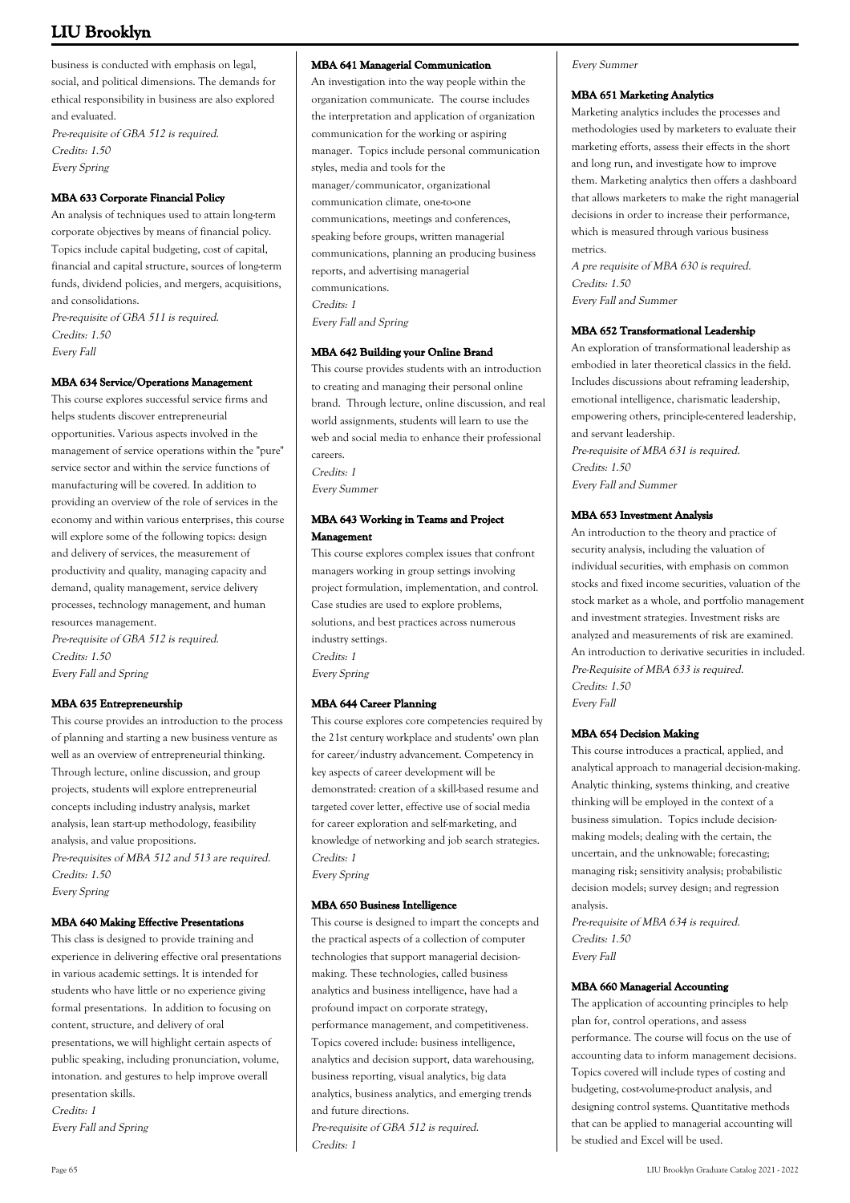business is conducted with emphasis on legal, social, and political dimensions. The demands for ethical responsibility in business are also explored and evaluated.

Pre-requisite of GBA 512 is required. Credits: 1.50 Every Spring

# **MBA 633 Corporate Financial Policy**

An analysis of techniques used to attain long-term corporate objectives by means of financial policy. Topics include capital budgeting, cost of capital, financial and capital structure, sources of long-term funds, dividend policies, and mergers, acquisitions, and consolidations. Pre-requisite of GBA 511 is required. Credits: 1.50 Every Fall

### **MBA 634 Service/Operations Management**

This course explores successful service firms and helps students discover entrepreneurial opportunities. Various aspects involved in the management of service operations within the "pure" service sector and within the service functions of manufacturing will be covered. In addition to providing an overview of the role of services in the economy and within various enterprises, this course will explore some of the following topics: design and delivery of services, the measurement of productivity and quality, managing capacity and demand, quality management, service delivery processes, technology management, and human resources management.

Pre-requisite of GBA 512 is required. Credits: 1.50 Every Fall and Spring

### **MBA 635 Entrepreneurship**

This course provides an introduction to the process of planning and starting a new business venture as well as an overview of entrepreneurial thinking. Through lecture, online discussion, and group projects, students will explore entrepreneurial concepts including industry analysis, market analysis, lean start-up methodology, feasibility analysis, and value propositions.

Pre-requisites of MBA 512 and 513 are required. Credits: 1.50 Every Spring

#### **MBA 640 Making Effective Presentations**

This class is designed to provide training and experience in delivering effective oral presentations in various academic settings. It is intended for students who have little or no experience giving formal presentations. In addition to focusing on content, structure, and delivery of oral presentations, we will highlight certain aspects of public speaking, including pronunciation, volume, intonation. and gestures to help improve overall presentation skills.

Credits: 1 Every Fall and Spring

### **MBA 641 Managerial Communication**

An investigation into the way people within the organization communicate. The course includes the interpretation and application of organization communication for the working or aspiring manager. Topics include personal communication styles, media and tools for the manager/communicator, organizational communication climate, one-to-one communications, meetings and conferences, speaking before groups, written managerial communications, planning an producing business reports, and advertising managerial communications. Credits: 1 Every Fall and Spring

#### **MBA 642 Building your Online Brand**

This course provides students with an introduction to creating and managing their personal online brand. Through lecture, online discussion, and real world assignments, students will learn to use the web and social media to enhance their professional careers. Credits: 1 Every Summer

# **MBA 643 Working in Teams and Project Management**

This course explores complex issues that confront managers working in group settings involving project formulation, implementation, and control. Case studies are used to explore problems, solutions, and best practices across numerous industry settings. Credits: 1 Every Spring

# **MBA 644 Career Planning**

This course explores core competencies required by the 21st century workplace and students' own plan for career/industry advancement. Competency in key aspects of career development will be demonstrated: creation of a skill-based resume and targeted cover letter, effective use of social media for career exploration and self-marketing, and knowledge of networking and job search strategies. Credits: 1 Every Spring

#### **MBA 650 Business Intelligence**

This course is designed to impart the concepts and the practical aspects of a collection of computer technologies that support managerial decisionmaking. These technologies, called business analytics and business intelligence, have had a profound impact on corporate strategy, performance management, and competitiveness. Topics covered include: business intelligence, analytics and decision support, data warehousing, business reporting, visual analytics, big data analytics, business analytics, and emerging trends and future directions. Pre-requisite of GBA 512 is required. Credits: 1

Every Summer

### **MBA 651 Marketing Analytics**

Marketing analytics includes the processes and methodologies used by marketers to evaluate their marketing efforts, assess their effects in the short and long run, and investigate how to improve them. Marketing analytics then offers a dashboard that allows marketers to make the right managerial decisions in order to increase their performance, which is measured through various business metrics.

A pre requisite of MBA 630 is required. Credits: 1.50 Every Fall and Summer

### **MBA 652 Transformational Leadership**

An exploration of transformational leadership as embodied in later theoretical classics in the field. Includes discussions about reframing leadership, emotional intelligence, charismatic leadership, empowering others, principle-centered leadership, and servant leadership.

Pre-requisite of MBA 631 is required. Credits: 1.50 Every Fall and Summer

### **MBA 653 Investment Analysis**

An introduction to the theory and practice of security analysis, including the valuation of individual securities, with emphasis on common stocks and fixed income securities, valuation of the stock market as a whole, and portfolio management and investment strategies. Investment risks are analyzed and measurements of risk are examined. An introduction to derivative securities in included. Pre-Requisite of MBA 633 is required. Credits: 1.50 Every Fall

#### **MBA 654 Decision Making**

This course introduces a practical, applied, and analytical approach to managerial decision-making. Analytic thinking, systems thinking, and creative thinking will be employed in the context of a business simulation. Topics include decisionmaking models; dealing with the certain, the uncertain, and the unknowable; forecasting; managing risk; sensitivity analysis; probabilistic decision models; survey design; and regression analysis.

Pre-requisite of MBA 634 is required. Credits: 1.50 Every Fall

#### **MBA 660 Managerial Accounting**

The application of accounting principles to help plan for, control operations, and assess performance. The course will focus on the use of accounting data to inform management decisions. Topics covered will include types of costing and budgeting, cost-volume-product analysis, and designing control systems. Quantitative methods that can be applied to managerial accounting will be studied and Excel will be used.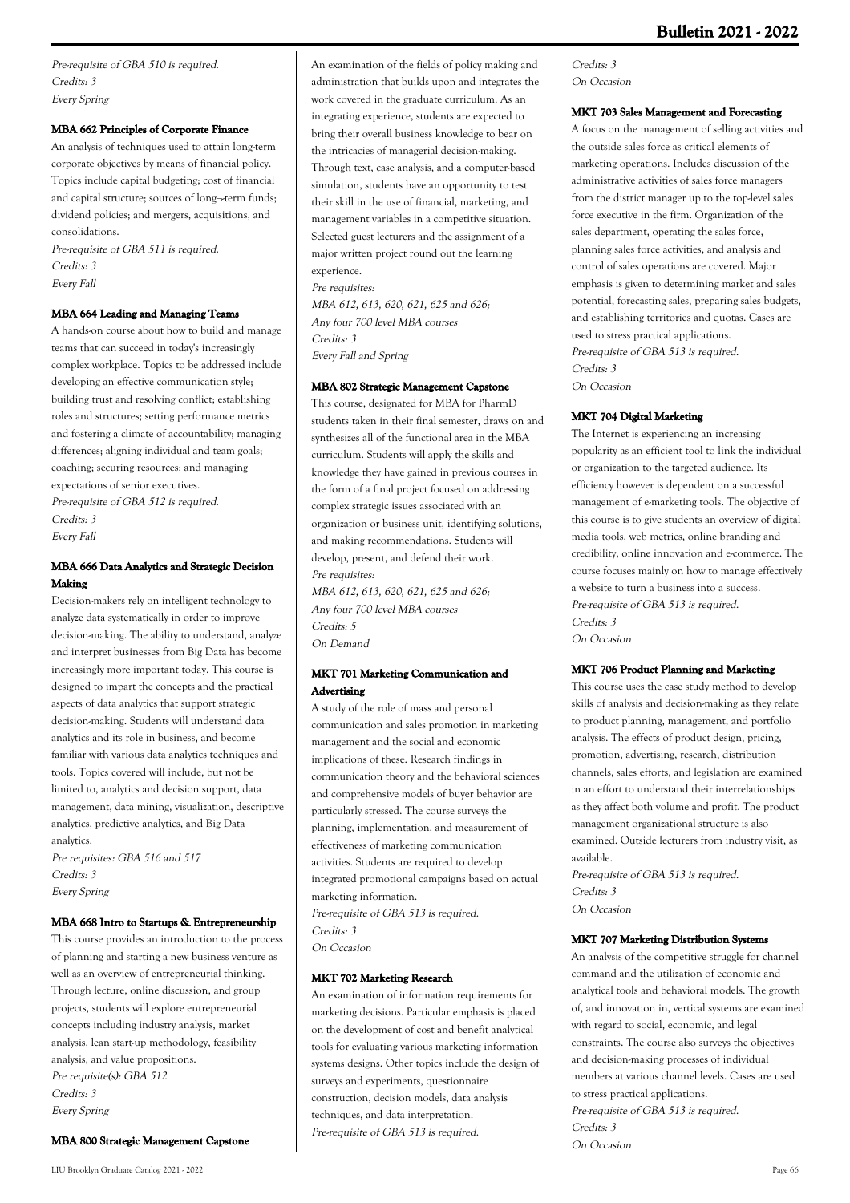Pre-requisite of GBA 510 is required. Credits: 3 Every Spring

### **MBA 662 Principles of Corporate Finance**

An analysis of techniques used to attain long-term corporate objectives by means of financial policy. Topics include capital budgeting; cost of financial and capital structure; sources of long¬-term funds; dividend policies; and mergers, acquisitions, and consolidations.

Pre-requisite of GBA 511 is required. Credits: 3 Every Fall

### **MBA 664 Leading and Managing Teams**

A hands-on course about how to build and manage teams that can succeed in today's increasingly complex workplace. Topics to be addressed include developing an effective communication style; building trust and resolving conflict; establishing roles and structures; setting performance metrics and fostering a climate of accountability; managing differences; aligning individual and team goals; coaching; securing resources; and managing expectations of senior executives. Pre-requisite of GBA 512 is required. Credits: 3 Every Fall

# **MBA 666 Data Analytics and Strategic Decision Making**

Decision-makers rely on intelligent technology to analyze data systematically in order to improve decision-making. The ability to understand, analyze and interpret businesses from Big Data has become increasingly more important today. This course is designed to impart the concepts and the practical aspects of data analytics that support strategic decision-making. Students will understand data analytics and its role in business, and become familiar with various data analytics techniques and tools. Topics covered will include, but not be limited to, analytics and decision support, data management, data mining, visualization, descriptive analytics, predictive analytics, and Big Data analytics.

Pre requisites: GBA 516 and 517 Credits: 3 Every Spring

### **MBA 668 Intro to Startups & Entrepreneurship**

This course provides an introduction to the process of planning and starting a new business venture as well as an overview of entrepreneurial thinking. Through lecture, online discussion, and group projects, students will explore entrepreneurial concepts including industry analysis, market analysis, lean start-up methodology, feasibility analysis, and value propositions. Pre requisite(s): GBA 512 Credits: 3 Every Spring

#### **MBA 800 Strategic Management Capstone**

An examination of the fields of policy making and administration that builds upon and integrates the work covered in the graduate curriculum. As an integrating experience, students are expected to bring their overall business knowledge to bear on the intricacies of managerial decision-making. Through text, case analysis, and a computer-based simulation, students have an opportunity to test their skill in the use of financial, marketing, and management variables in a competitive situation. Selected guest lecturers and the assignment of a major written project round out the learning experience. Pre requisites:

MBA 612, 613, 620, 621, 625 and 626; Any four 700 level MBA courses Credits: 3 Every Fall and Spring

# **MBA 802 Strategic Management Capstone**

This course, designated for MBA for PharmD students taken in their final semester, draws on and synthesizes all of the functional area in the MBA curriculum. Students will apply the skills and knowledge they have gained in previous courses in the form of a final project focused on addressing complex strategic issues associated with an organization or business unit, identifying solutions, and making recommendations. Students will develop, present, and defend their work. Pre requisites:

MBA 612, 613, 620, 621, 625 and 626; Any four 700 level MBA courses Credits: 5 On Demand

# **MKT 701 Marketing Communication and Advertising**

A study of the role of mass and personal communication and sales promotion in marketing management and the social and economic implications of these. Research findings in communication theory and the behavioral sciences and comprehensive models of buyer behavior are particularly stressed. The course surveys the planning, implementation, and measurement of effectiveness of marketing communication activities. Students are required to develop integrated promotional campaigns based on actual marketing information. Pre-requisite of GBA 513 is required.

Credits: 3

On Occasion

# **MKT 702 Marketing Research**

An examination of information requirements for marketing decisions. Particular emphasis is placed on the development of cost and benefit analytical tools for evaluating various marketing information systems designs. Other topics include the design of surveys and experiments, questionnaire construction, decision models, data analysis techniques, and data interpretation. Pre-requisite of GBA 513 is required.

### Credits: 3 On Occasion

#### **MKT 703 Sales Management and Forecasting**

A focus on the management of selling activities and the outside sales force as critical elements of marketing operations. Includes discussion of the administrative activities of sales force managers from the district manager up to the top-level sales force executive in the firm. Organization of the sales department, operating the sales force, planning sales force activities, and analysis and control of sales operations are covered. Major emphasis is given to determining market and sales potential, forecasting sales, preparing sales budgets, and establishing territories and quotas. Cases are used to stress practical applications. Pre-requisite of GBA 513 is required. Credits: 3 On Occasion

#### **MKT 704 Digital Marketing**

The Internet is experiencing an increasing popularity as an efficient tool to link the individual or organization to the targeted audience. Its efficiency however is dependent on a successful management of e-marketing tools. The objective of this course is to give students an overview of digital media tools, web metrics, online branding and credibility, online innovation and e-commerce. The course focuses mainly on how to manage effectively a website to turn a business into a success. Pre-requisite of GBA 513 is required. Credits: 3 On Occasion

### **MKT 706 Product Planning and Marketing**

This course uses the case study method to develop skills of analysis and decision-making as they relate to product planning, management, and portfolio analysis. The effects of product design, pricing, promotion, advertising, research, distribution channels, sales efforts, and legislation are examined in an effort to understand their interrelationships as they affect both volume and profit. The product management organizational structure is also examined. Outside lecturers from industry visit, as available.

Pre-requisite of GBA 513 is required. Credits: 3 On Occasion

#### **MKT 707 Marketing Distribution Systems**

An analysis of the competitive struggle for channel command and the utilization of economic and analytical tools and behavioral models. The growth of, and innovation in, vertical systems are examined with regard to social, economic, and legal constraints. The course also surveys the objectives and decision-making processes of individual members at various channel levels. Cases are used to stress practical applications. Pre-requisite of GBA 513 is required. Credits: 3 On Occasion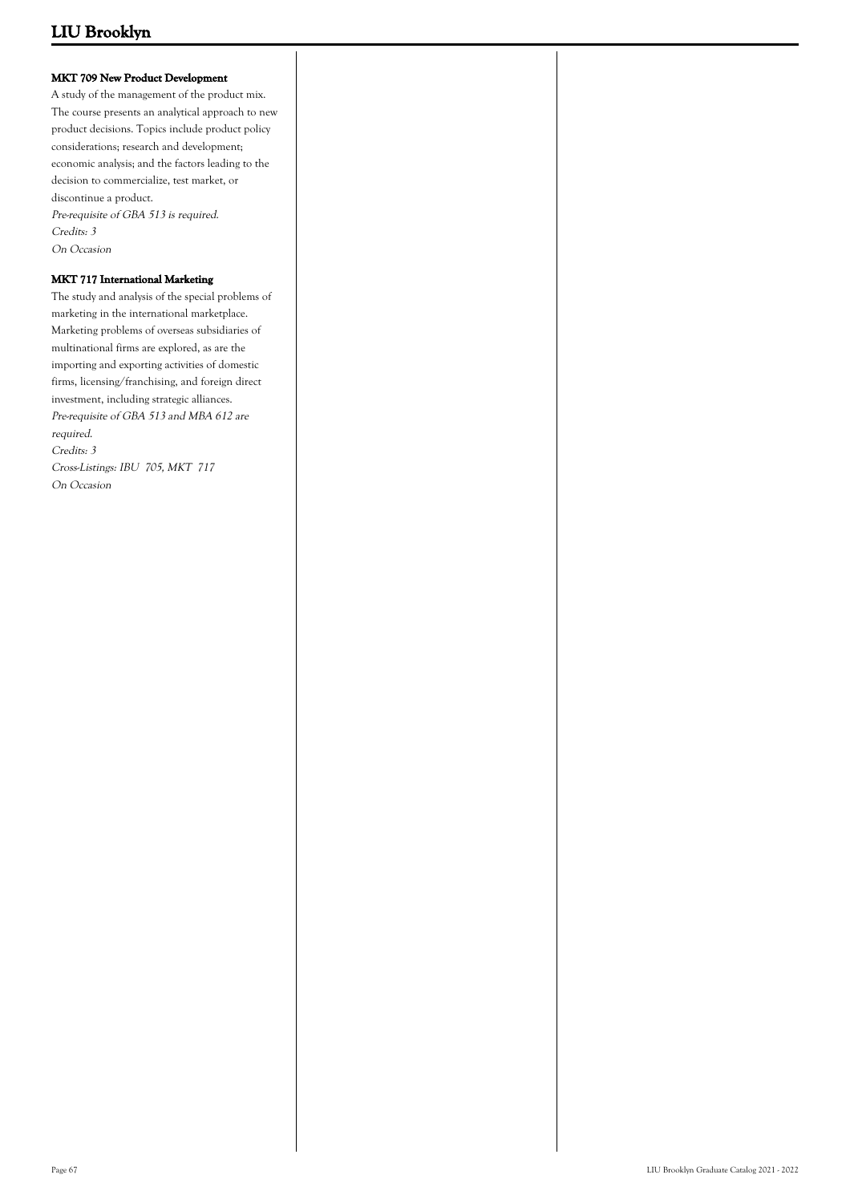# **MKT 709 New Product Development**

A study of the management of the product mix. The course presents an analytical approach to new product decisions. Topics include product policy considerations; research and development; economic analysis; and the factors leading to the decision to commercialize, test market, or discontinue a product. Pre-requisite of GBA 513 is required. Credits: 3 On Occasion

# **MKT 717 International Marketing**

The study and analysis of the special problems of marketing in the international marketplace. Marketing problems of overseas subsidiaries of multinational firms are explored, as are the importing and exporting activities of domestic firms, licensing/franchising, and foreign direct investment, including strategic alliances. Pre-requisite of GBA 513 and MBA 612 are required. Credits: 3 Cross-Listings: IBU 705, MKT 717 On Occasion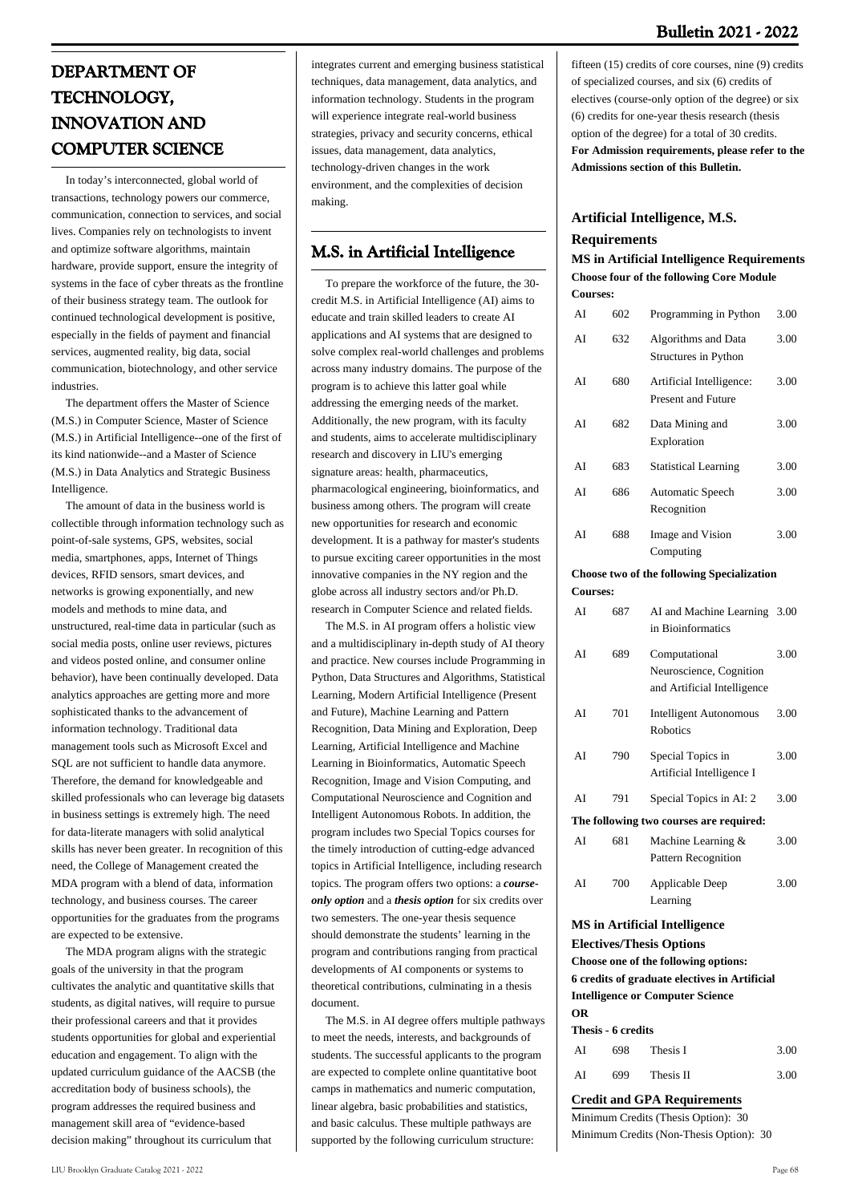# **DEPARTMENT OF TECHNOLOGY, INNOVATION AND COMPUTER SCIENCE**

 In today's interconnected, global world of transactions, technology powers our commerce, communication, connection to services, and social lives. Companies rely on technologists to invent and optimize software algorithms, maintain hardware, provide support, ensure the integrity of systems in the face of cyber threats as the frontline of their business strategy team. The outlook for continued technological development is positive, especially in the fields of payment and financial services, augmented reality, big data, social communication, biotechnology, and other service industries.

 The department offers the Master of Science (M.S.) in Computer Science, Master of Science (M.S.) in Artificial Intelligence--one of the first of its kind nationwide--and a Master of Science (M.S.) in Data Analytics and Strategic Business Intelligence.

 The amount of data in the business world is collectible through information technology such as point-of-sale systems, GPS, websites, social media, smartphones, apps, Internet of Things devices, RFID sensors, smart devices, and networks is growing exponentially, and new models and methods to mine data, and unstructured, real-time data in particular (such as social media posts, online user reviews, pictures and videos posted online, and consumer online behavior), have been continually developed. Data analytics approaches are getting more and more sophisticated thanks to the advancement of information technology. Traditional data management tools such as Microsoft Excel and SQL are not sufficient to handle data anymore. Therefore, the demand for knowledgeable and skilled professionals who can leverage big datasets in business settings is extremely high. The need for data-literate managers with solid analytical skills has never been greater. In recognition of this need, the College of Management created the MDA program with a blend of data, information technology, and business courses. The career opportunities for the graduates from the programs are expected to be extensive.

 The MDA program aligns with the strategic goals of the university in that the program cultivates the analytic and quantitative skills that students, as digital natives, will require to pursue their professional careers and that it provides students opportunities for global and experiential education and engagement. To align with the updated curriculum guidance of the AACSB (the accreditation body of business schools), the program addresses the required business and management skill area of "evidence-based decision making" throughout its curriculum that

integrates current and emerging business statistical techniques, data management, data analytics, and information technology. Students in the program will experience integrate real-world business strategies, privacy and security concerns, ethical issues, data management, data analytics, technology-driven changes in the work environment, and the complexities of decision making.

# **M.S. in Artificial Intelligence**

 To prepare the workforce of the future, the 30 credit M.S. in Artificial Intelligence (AI) aims to educate and train skilled leaders to create AI applications and AI systems that are designed to solve complex real-world challenges and problems across many industry domains. The purpose of the program is to achieve this latter goal while addressing the emerging needs of the market. Additionally, the new program, with its faculty and students, aims to accelerate multidisciplinary research and discovery in LIU's emerging signature areas: health, pharmaceutics, pharmacological engineering, bioinformatics, and business among others. The program will create new opportunities for research and economic development. It is a pathway for master's students to pursue exciting career opportunities in the most innovative companies in the NY region and the globe across all industry sectors and/or Ph.D. research in Computer Science and related fields.

 The M.S. in AI program offers a holistic view and a multidisciplinary in-depth study of AI theory and practice. New courses include Programming in Python, Data Structures and Algorithms, Statistical Learning, Modern Artificial Intelligence (Present and Future), Machine Learning and Pattern Recognition, Data Mining and Exploration, Deep Learning, Artificial Intelligence and Machine Learning in Bioinformatics, Automatic Speech Recognition, Image and Vision Computing, and Computational Neuroscience and Cognition and Intelligent Autonomous Robots. In addition, the program includes two Special Topics courses for the timely introduction of cutting-edge advanced topics in Artificial Intelligence, including research topics. The program offers two options: a *courseonly option* and a *thesis option* for six credits over two semesters. The one-year thesis sequence should demonstrate the students' learning in the program and contributions ranging from practical developments of AI components or systems to theoretical contributions, culminating in a thesis document.

 The M.S. in AI degree offers multiple pathways to meet the needs, interests, and backgrounds of students. The successful applicants to the program are expected to complete online quantitative boot camps in mathematics and numeric computation, linear algebra, basic probabilities and statistics, and basic calculus. These multiple pathways are supported by the following curriculum structure:

fifteen (15) credits of core courses, nine (9) credits of specialized courses, and six (6) credits of electives (course-only option of the degree) or six (6) credits for one-year thesis research (thesis option of the degree) for a total of 30 credits. **For Admission requirements, please refer to the Admissions section of this Bulletin.**

# **Artificial Intelligence, M.S.**

### **Requirements**

**MS in Artificial Intelligence Requirements Choose four of the following Core Module Courses:**

| AI              | 602 | Programming in Python                                                   | 3.00 |
|-----------------|-----|-------------------------------------------------------------------------|------|
| AI              | 632 | Algorithms and Data<br>Structures in Python                             | 3.00 |
| AI              | 680 | Artificial Intelligence:<br><b>Present and Future</b>                   | 3.00 |
| AI              | 682 | Data Mining and<br>Exploration                                          | 3.00 |
| AI              | 683 | <b>Statistical Learning</b>                                             | 3.00 |
| AI              | 686 | Automatic Speech<br>Recognition                                         | 3.00 |
| AI              | 688 | Image and Vision<br>Computing                                           | 3.00 |
|                 |     | <b>Choose two of the following Specialization</b>                       |      |
| <b>Courses:</b> |     |                                                                         |      |
| AI              | 687 | AI and Machine Learning<br>in Bioinformatics                            | 3.00 |
| AI              | 689 | Computational<br>Neuroscience, Cognition<br>and Artificial Intelligence | 3.00 |
| AI              | 701 | <b>Intelligent Autonomous</b><br>Robotics                               | 3.00 |
| AI              | 790 | Special Topics in<br>Artificial Intelligence I                          | 3.00 |
| AI              | 791 | Special Topics in AI: 2                                                 | 3.00 |
|                 |     | The following two courses are required:                                 |      |
| AI              | 681 | Machine Learning &<br>Pattern Recognition                               | 3.00 |
| AI              | 700 | Applicable Deep<br>Learning                                             | 3.00 |

# **MS in Artificial Intelligence**

**Electives/Thesis Options**

**Choose one of the following options: 6 credits of graduate electives in Artificial Intelligence or Computer Science OR**

#### **Thesis - 6 credits**

| AI | 698 | Thesis I  | 3.00 |
|----|-----|-----------|------|
| AI | 699 | Thesis II | 3.00 |

**Credit and GPA Requirements**

Minimum Credits (Thesis Option): 30 Minimum Credits (Non-Thesis Option): 30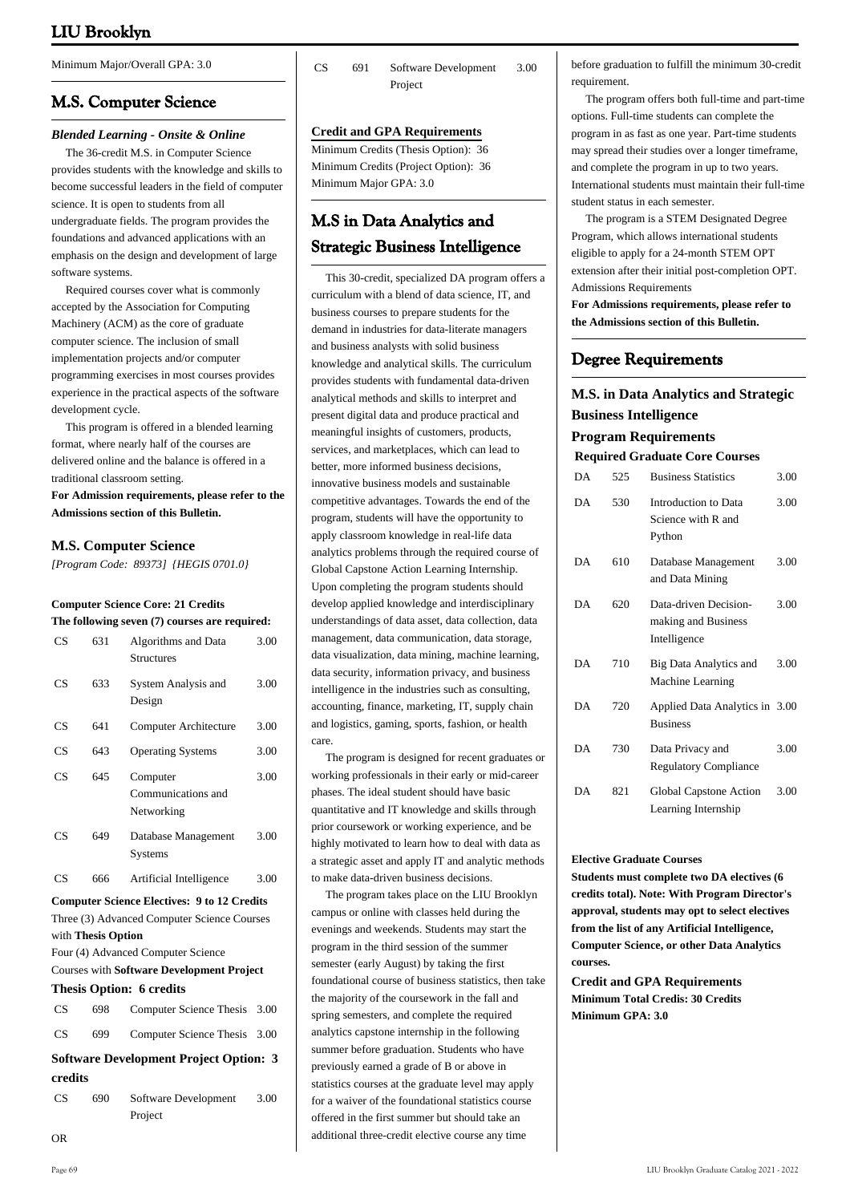Minimum Major/Overall GPA: 3.0

# **M.S. Computer Science**

### *Blended Learning - Onsite & Online*

 The 36-credit M.S. in Computer Science provides students with the knowledge and skills to become successful leaders in the field of computer science. It is open to students from all undergraduate fields. The program provides the foundations and advanced applications with an emphasis on the design and development of large software systems.

 Required courses cover what is commonly accepted by the Association for Computing Machinery (ACM) as the core of graduate computer science. The inclusion of small implementation projects and/or computer programming exercises in most courses provides experience in the practical aspects of the software development cycle.

 This program is offered in a blended learning format, where nearly half of the courses are delivered online and the balance is offered in a traditional classroom setting.

**For Admission requirements, please refer to the Admissions section of this Bulletin.**

# **M.S. Computer Science**

*[Program Code: 89373] {HEGIS 0701.0}*

### **Computer Science Core: 21 Credits**

| The following seven (7) courses are required: |     |                                              |      |
|-----------------------------------------------|-----|----------------------------------------------|------|
| CS                                            | 631 | Algorithms and Data<br><b>Structures</b>     | 3.00 |
| CS                                            | 633 | System Analysis and<br>Design                | 3.00 |
| CS                                            | 641 | Computer Architecture                        | 3.00 |
| CS                                            | 643 | <b>Operating Systems</b>                     | 3.00 |
| CS                                            | 645 | Computer<br>Communications and<br>Networking | 3.00 |
| CS                                            | 649 | Database Management<br>Systems               | 3.00 |
| CS                                            | 666 | Artificial Intelligence                      | 3.00 |

# **Computer Science Electives: 9 to 12 Credits** Three (3) Advanced Computer Science Courses with **Thesis Option**

Four (4) Advanced Computer Science

Courses with **Software Development Project**

# **Thesis Option: 6 credits**

| CS. | 698 Computer Science Thesis 3.00 |  |
|-----|----------------------------------|--|
| CS. | 699 Computer Science Thesis 3.00 |  |

**Software Development Project Option: 3 credits**

| CS <sup>-</sup> | 690 | Software Development | 3.00 |
|-----------------|-----|----------------------|------|
|                 |     | Project              |      |

CS 691 Software Development Project 3.00

### **Credit and GPA Requirements**

Minimum Credits (Thesis Option): 36 Minimum Credits (Project Option): 36 Minimum Major GPA: 3.0

# **M.S in Data Analytics and Strategic Business Intelligence**

 This 30-credit, specialized DA program offers a curriculum with a blend of data science, IT, and business courses to prepare students for the demand in industries for data-literate managers and business analysts with solid business knowledge and analytical skills. The curriculum provides students with fundamental data-driven analytical methods and skills to interpret and present digital data and produce practical and meaningful insights of customers, products, services, and marketplaces, which can lead to better, more informed business decisions, innovative business models and sustainable competitive advantages. Towards the end of the program, students will have the opportunity to apply classroom knowledge in real-life data analytics problems through the required course of Global Capstone Action Learning Internship. Upon completing the program students should develop applied knowledge and interdisciplinary understandings of data asset, data collection, data management, data communication, data storage, data visualization, data mining, machine learning, data security, information privacy, and business intelligence in the industries such as consulting, accounting, finance, marketing, IT, supply chain and logistics, gaming, sports, fashion, or health care.

 The program is designed for recent graduates or working professionals in their early or mid-career phases. The ideal student should have basic quantitative and IT knowledge and skills through prior coursework or working experience, and be highly motivated to learn how to deal with data as a strategic asset and apply IT and analytic methods to make data-driven business decisions.

 The program takes place on the LIU Brooklyn campus or online with classes held during the evenings and weekends. Students may start the program in the third session of the summer semester (early August) by taking the first foundational course of business statistics, then take the majority of the coursework in the fall and spring semesters, and complete the required analytics capstone internship in the following summer before graduation. Students who have previously earned a grade of B or above in statistics courses at the graduate level may apply for a waiver of the foundational statistics course offered in the first summer but should take an additional three-credit elective course any time

before graduation to fulfill the minimum 30-credit requirement.

 The program offers both full-time and part-time options. Full-time students can complete the program in as fast as one year. Part-time students may spread their studies over a longer timeframe, and complete the program in up to two years. International students must maintain their full-time student status in each semester.

 The program is a STEM Designated Degree Program, which allows international students eligible to apply for a 24-month STEM OPT extension after their initial post-completion OPT. Admissions Requirements

**For Admissions requirements, please refer to the Admissions section of this Bulletin.** 

# **Degree Requirements**

# **M.S. in Data Analytics and Strategic Business Intelligence Program Requirements**

| DA | 525 | <b>Business Statistics</b>                                   | 3.00 |
|----|-----|--------------------------------------------------------------|------|
| DA | 530 | Introduction to Data<br>Science with R and<br>Python         | 3.00 |
| DA | 610 | Database Management<br>and Data Mining                       | 3.00 |
| DА | 620 | Data-driven Decision-<br>making and Business<br>Intelligence | 3.00 |
| DA | 710 | Big Data Analytics and<br>Machine Learning                   | 3.00 |
| DА | 720 | Applied Data Analytics in 3.00<br><b>Business</b>            |      |
| DA | 730 | Data Privacy and<br><b>Regulatory Compliance</b>             | 3.00 |
| DА | 821 | Global Capstone Action<br>Learning Internship                | 3.00 |

#### **Elective Graduate Courses**

**Students must complete two DA electives (6 credits total). Note: With Program Director's approval, students may opt to select electives from the list of any Artificial Intelligence, Computer Science, or other Data Analytics courses.** 

**Credit and GPA Requirements Minimum Total Credis: 30 Credits Minimum GPA: 3.0** 

OR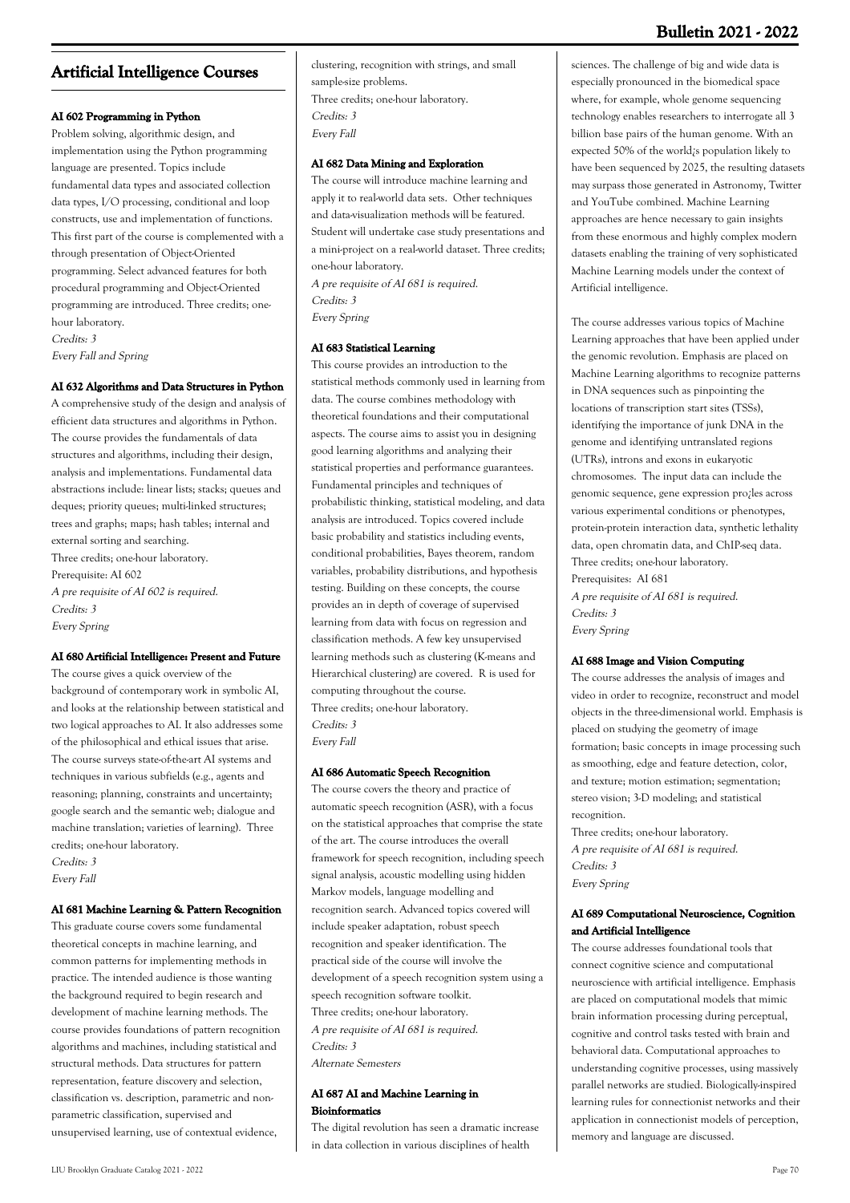# **Bulletin 2021 - 2022**

# **Artificial Intelligence Courses**

# **AI 602 Programming in Python**

Problem solving, algorithmic design, and implementation using the Python programming language are presented. Topics include fundamental data types and associated collection data types, I/O processing, conditional and loop constructs, use and implementation of functions. This first part of the course is complemented with a through presentation of Object-Oriented programming. Select advanced features for both procedural programming and Object-Oriented programming are introduced. Three credits; onehour laboratory. Credits: 3

Every Fall and Spring

# **AI 632 Algorithms and Data Structures in Python**

A comprehensive study of the design and analysis of efficient data structures and algorithms in Python. The course provides the fundamentals of data structures and algorithms, including their design, analysis and implementations. Fundamental data abstractions include: linear lists; stacks; queues and deques; priority queues; multi-linked structures; trees and graphs; maps; hash tables; internal and external sorting and searching. Three credits; one-hour laboratory. Prerequisite: AI 602 A pre requisite of AI 602 is required. Credits: 3

Every Spring

### **AI 680 Artificial Intelligence: Present and Future**

The course gives a quick overview of the background of contemporary work in symbolic AI, and looks at the relationship between statistical and two logical approaches to AI. It also addresses some of the philosophical and ethical issues that arise. The course surveys state-of-the-art AI systems and techniques in various subfields (e.g., agents and reasoning; planning, constraints and uncertainty; google search and the semantic web; dialogue and machine translation; varieties of learning). Three credits; one-hour laboratory.

Credits: 3 Every Fall

#### **AI 681 Machine Learning & Pattern Recognition**

This graduate course covers some fundamental theoretical concepts in machine learning, and common patterns for implementing methods in practice. The intended audience is those wanting the background required to begin research and development of machine learning methods. The course provides foundations of pattern recognition algorithms and machines, including statistical and structural methods. Data structures for pattern representation, feature discovery and selection, classification vs. description, parametric and nonparametric classification, supervised and unsupervised learning, use of contextual evidence,

clustering, recognition with strings, and small sample-size problems. Three credits; one-hour laboratory. Credits: 3 Every Fall

#### **AI 682 Data Mining and Exploration**

The course will introduce machine learning and apply it to real-world data sets. Other techniques and data-visualization methods will be featured. Student will undertake case study presentations and a mini-project on a real-world dataset. Three credits; one-hour laboratory. A pre requisite of AI 681 is required. Credits: 3 Every Spring

#### **AI 683 Statistical Learning**

This course provides an introduction to the statistical methods commonly used in learning from data. The course combines methodology with theoretical foundations and their computational aspects. The course aims to assist you in designing good learning algorithms and analyzing their statistical properties and performance guarantees. Fundamental principles and techniques of probabilistic thinking, statistical modeling, and data analysis are introduced. Topics covered include basic probability and statistics including events, conditional probabilities, Bayes theorem, random variables, probability distributions, and hypothesis testing. Building on these concepts, the course provides an in depth of coverage of supervised learning from data with focus on regression and classification methods. A few key unsupervised learning methods such as clustering (K-means and Hierarchical clustering) are covered. R is used for computing throughout the course. Three credits; one-hour laboratory. Credits: 3 Every Fall

#### **AI 686 Automatic Speech Recognition**

The course covers the theory and practice of automatic speech recognition (ASR), with a focus on the statistical approaches that comprise the state of the art. The course introduces the overall framework for speech recognition, including speech signal analysis, acoustic modelling using hidden Markov models, language modelling and recognition search. Advanced topics covered will include speaker adaptation, robust speech recognition and speaker identification. The practical side of the course will involve the development of a speech recognition system using a speech recognition software toolkit. Three credits; one-hour laboratory. A pre requisite of AI 681 is required. Credits: 3 Alternate Semesters

# **AI 687 AI and Machine Learning in Bioinformatics**

The digital revolution has seen a dramatic increase in data collection in various disciplines of health

sciences. The challenge of big and wide data is especially pronounced in the biomedical space where, for example, whole genome sequencing technology enables researchers to interrogate all 3 billion base pairs of the human genome. With an expected 50% of the world¿s population likely to have been sequenced by 2025, the resulting datasets may surpass those generated in Astronomy, Twitter and YouTube combined. Machine Learning approaches are hence necessary to gain insights from these enormous and highly complex modern datasets enabling the training of very sophisticated Machine Learning models under the context of Artificial intelligence.

The course addresses various topics of Machine Learning approaches that have been applied under the genomic revolution. Emphasis are placed on Machine Learning algorithms to recognize patterns in DNA sequences such as pinpointing the locations of transcription start sites (TSSs), identifying the importance of junk DNA in the genome and identifying untranslated regions (UTRs), introns and exons in eukaryotic chromosomes. The input data can include the genomic sequence, gene expression pro¿les across various experimental conditions or phenotypes, protein-protein interaction data, synthetic lethality data, open chromatin data, and ChIP-seq data. Three credits; one-hour laboratory. Prerequisites: AI 681 A pre requisite of AI 681 is required. Credits: 3 Every Spring

#### **AI 688 Image and Vision Computing**

The course addresses the analysis of images and video in order to recognize, reconstruct and model objects in the three-dimensional world. Emphasis is placed on studying the geometry of image formation; basic concepts in image processing such as smoothing, edge and feature detection, color, and texture; motion estimation; segmentation; stereo vision; 3-D modeling; and statistical recognition. Three credits; one-hour laboratory.

A pre requisite of AI 681 is required. Credits: 3 Every Spring

### **AI 689 Computational Neuroscience, Cognition and Artificial Intelligence**

The course addresses foundational tools that connect cognitive science and computational neuroscience with artificial intelligence. Emphasis are placed on computational models that mimic brain information processing during perceptual, cognitive and control tasks tested with brain and behavioral data. Computational approaches to understanding cognitive processes, using massively parallel networks are studied. Biologically-inspired learning rules for connectionist networks and their application in connectionist models of perception, memory and language are discussed.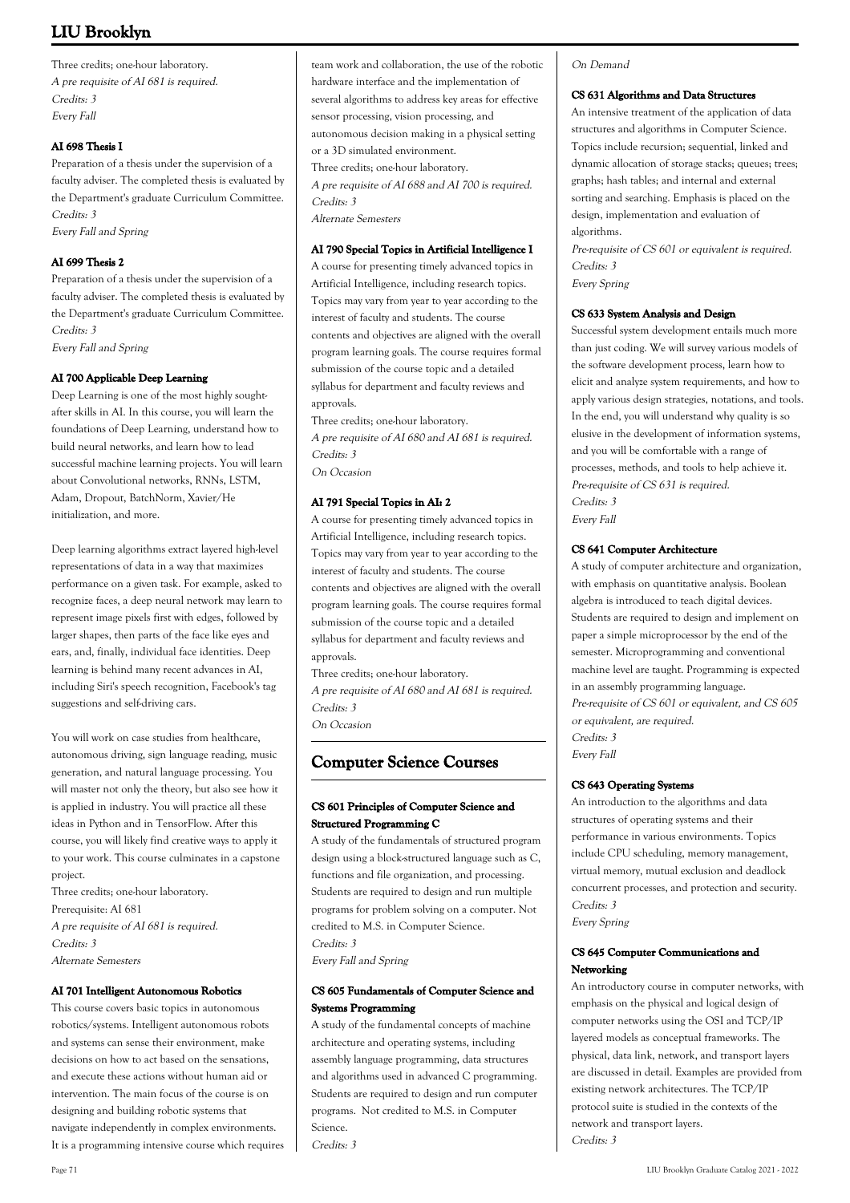Three credits; one-hour laboratory. A pre requisite of AI 681 is required. Credits: 3 Every Fall

# **AI 698 Thesis I**

Preparation of a thesis under the supervision of a faculty adviser. The completed thesis is evaluated by the Department's graduate Curriculum Committee. Credits: 3 Every Fall and Spring

# **AI 699 Thesis 2**

Preparation of a thesis under the supervision of a faculty adviser. The completed thesis is evaluated by the Department's graduate Curriculum Committee. Credits: 3 Every Fall and Spring

# **AI 700 Applicable Deep Learning**

Deep Learning is one of the most highly soughtafter skills in AI. In this course, you will learn the foundations of Deep Learning, understand how to build neural networks, and learn how to lead successful machine learning projects. You will learn about Convolutional networks, RNNs, LSTM, Adam, Dropout, BatchNorm, Xavier/He initialization, and more.

Deep learning algorithms extract layered high-level representations of data in a way that maximizes performance on a given task. For example, asked to recognize faces, a deep neural network may learn to represent image pixels first with edges, followed by larger shapes, then parts of the face like eyes and ears, and, finally, individual face identities. Deep learning is behind many recent advances in AI, including Siri's speech recognition, Facebook's tag suggestions and self-driving cars.

You will work on case studies from healthcare, autonomous driving, sign language reading, music generation, and natural language processing. You will master not only the theory, but also see how it is applied in industry. You will practice all these ideas in Python and in TensorFlow. After this course, you will likely find creative ways to apply it to your work. This course culminates in a capstone project.

Three credits; one-hour laboratory. Prerequisite: AI 681 A pre requisite of AI 681 is required. Credits: 3 Alternate Semesters

# **AI 701 Intelligent Autonomous Robotics**

This course covers basic topics in autonomous robotics/systems. Intelligent autonomous robots and systems can sense their environment, make decisions on how to act based on the sensations, and execute these actions without human aid or intervention. The main focus of the course is on designing and building robotic systems that navigate independently in complex environments. It is a programming intensive course which requires

team work and collaboration, the use of the robotic hardware interface and the implementation of several algorithms to address key areas for effective sensor processing, vision processing, and autonomous decision making in a physical setting or a 3D simulated environment. Three credits; one-hour laboratory. A pre requisite of AI 688 and AI 700 is required. Credits: 3

Alternate Semesters

#### **AI 790 Special Topics in Artificial Intelligence I**

A course for presenting timely advanced topics in Artificial Intelligence, including research topics. Topics may vary from year to year according to the interest of faculty and students. The course contents and objectives are aligned with the overall program learning goals. The course requires formal submission of the course topic and a detailed syllabus for department and faculty reviews and approvals.

Three credits; one-hour laboratory. A pre requisite of AI 680 and AI 681 is required. Credits: 3 On Occasion

# **AI 791 Special Topics in AI: 2**

A course for presenting timely advanced topics in Artificial Intelligence, including research topics. Topics may vary from year to year according to the interest of faculty and students. The course contents and objectives are aligned with the overall program learning goals. The course requires formal submission of the course topic and a detailed syllabus for department and faculty reviews and approvals.

Three credits; one-hour laboratory. A pre requisite of AI 680 and AI 681 is required. Credits: 3 On Occasion

# **Computer Science Courses**

# **CS 601 Principles of Computer Science and Structured Programming C**

A study of the fundamentals of structured program design using a block-structured language such as C, functions and file organization, and processing. Students are required to design and run multiple programs for problem solving on a computer. Not credited to M.S. in Computer Science. Credits: 3 Every Fall and Spring

# **CS 605 Fundamentals of Computer Science and Systems Programming**

A study of the fundamental concepts of machine architecture and operating systems, including assembly language programming, data structures and algorithms used in advanced C programming. Students are required to design and run computer programs. Not credited to M.S. in Computer Science. Credits: 3

### On Demand

### **CS 631 Algorithms and Data Structures**

An intensive treatment of the application of data structures and algorithms in Computer Science. Topics include recursion; sequential, linked and dynamic allocation of storage stacks; queues; trees; graphs; hash tables; and internal and external sorting and searching. Emphasis is placed on the design, implementation and evaluation of algorithms.

Pre-requisite of CS 601 or equivalent is required. Credits: 3 Every Spring

### **CS 633 System Analysis and Design**

Successful system development entails much more than just coding. We will survey various models of the software development process, learn how to elicit and analyze system requirements, and how to apply various design strategies, notations, and tools. In the end, you will understand why quality is so elusive in the development of information systems, and you will be comfortable with a range of processes, methods, and tools to help achieve it. Pre-requisite of CS 631 is required. Credits: 3 Every Fall

### **CS 641 Computer Architecture**

A study of computer architecture and organization, with emphasis on quantitative analysis. Boolean algebra is introduced to teach digital devices. Students are required to design and implement on paper a simple microprocessor by the end of the semester. Microprogramming and conventional machine level are taught. Programming is expected in an assembly programming language. Pre-requisite of CS 601 or equivalent, and CS 605 or equivalent, are required. Credits: 3 Every Fall

### **CS 643 Operating Systems**

An introduction to the algorithms and data structures of operating systems and their performance in various environments. Topics include CPU scheduling, memory management, virtual memory, mutual exclusion and deadlock concurrent processes, and protection and security. Credits: 3 Every Spring

# **CS 645 Computer Communications and Networking**

An introductory course in computer networks, with emphasis on the physical and logical design of computer networks using the OSI and TCP/IP layered models as conceptual frameworks. The physical, data link, network, and transport layers are discussed in detail. Examples are provided from existing network architectures. The TCP/IP protocol suite is studied in the contexts of the network and transport layers. Credits: 3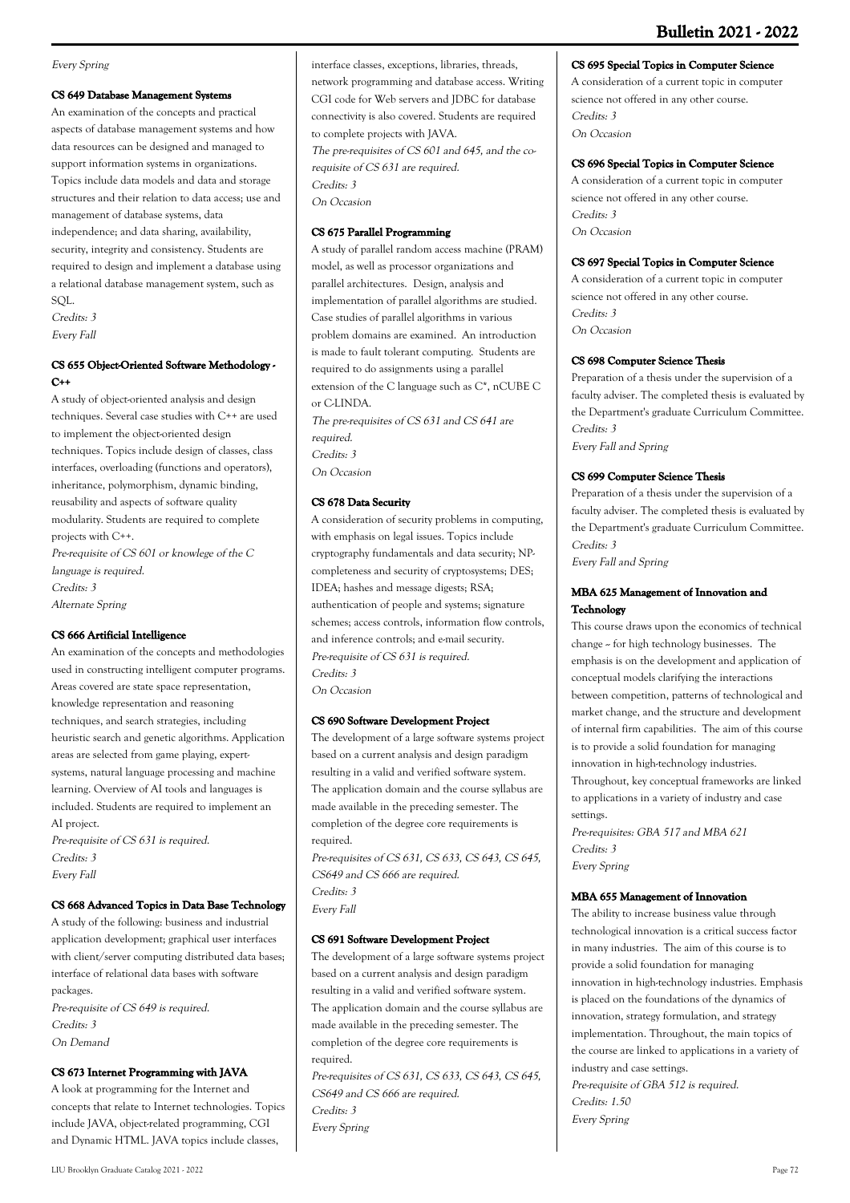# **Bulletin 2021 - 2022**

# Every Spring

# **CS 649 Database Management Systems**

An examination of the concepts and practical aspects of database management systems and how data resources can be designed and managed to support information systems in organizations. Topics include data models and data and storage structures and their relation to data access; use and management of database systems, data independence; and data sharing, availability, security, integrity and consistency. Students are required to design and implement a database using a relational database management system, such as SQL. Credits: 3

Every Fall

# **CS 655 Object-Oriented Software Methodology - C++**

A study of object-oriented analysis and design techniques. Several case studies with C++ are used to implement the object-oriented design techniques. Topics include design of classes, class interfaces, overloading (functions and operators), inheritance, polymorphism, dynamic binding, reusability and aspects of software quality modularity. Students are required to complete projects with C++. Pre-requisite of CS 601 or knowlege of the C language is required.

Credits: 3

Alternate Spring

### **CS 666 Artificial Intelligence**

An examination of the concepts and methodologies used in constructing intelligent computer programs. Areas covered are state space representation, knowledge representation and reasoning techniques, and search strategies, including heuristic search and genetic algorithms. Application areas are selected from game playing, expertsystems, natural language processing and machine learning. Overview of AI tools and languages is included. Students are required to implement an AI project. Pre-requisite of CS 631 is required.

Credits: 3 Every Fall

# **CS 668 Advanced Topics in Data Base Technology**

A study of the following: business and industrial application development; graphical user interfaces with client/server computing distributed data bases; interface of relational data bases with software packages.

Pre-requisite of CS 649 is required. Credits: 3 On Demand

### **CS 673 Internet Programming with JAVA**

A look at programming for the Internet and concepts that relate to Internet technologies. Topics include JAVA, object-related programming, CGI and Dynamic HTML. JAVA topics include classes,

interface classes, exceptions, libraries, threads, network programming and database access. Writing CGI code for Web servers and JDBC for database connectivity is also covered. Students are required to complete projects with JAVA. The pre-requisites of CS 601 and 645, and the corequisite of CS 631 are required. Credits: 3 On Occasion

## **CS 675 Parallel Programming**

A study of parallel random access machine (PRAM) model, as well as processor organizations and parallel architectures. Design, analysis and implementation of parallel algorithms are studied. Case studies of parallel algorithms in various problem domains are examined. An introduction is made to fault tolerant computing. Students are required to do assignments using a parallel extension of the C language such as C\*, nCUBE C or C-LINDA

The pre-requisites of CS 631 and CS 641 are required. Credits: 3 On Occasion

# **CS 678 Data Security**

A consideration of security problems in computing, with emphasis on legal issues. Topics include cryptography fundamentals and data security; NPcompleteness and security of cryptosystems; DES; IDEA; hashes and message digests; RSA; authentication of people and systems; signature schemes; access controls, information flow controls, and inference controls; and e-mail security. Pre-requisite of CS 631 is required. Credits: 3 On Occasion

### **CS 690 Software Development Project**

The development of a large software systems project based on a current analysis and design paradigm resulting in a valid and verified software system. The application domain and the course syllabus are made available in the preceding semester. The completion of the degree core requirements is required.

Pre-requisites of CS 631, CS 633, CS 643, CS 645, CS649 and CS 666 are required. Credits: 3 Every Fall

# **CS 691 Software Development Project**

The development of a large software systems project based on a current analysis and design paradigm resulting in a valid and verified software system. The application domain and the course syllabus are made available in the preceding semester. The completion of the degree core requirements is required.

Pre-requisites of CS 631, CS 633, CS 643, CS 645, CS649 and CS 666 are required. Credits: 3 Every Spring

# **CS 695 Special Topics in Computer Science**

A consideration of a current topic in computer science not offered in any other course. Credits: 3 On Occasion

# **CS 696 Special Topics in Computer Science**

A consideration of a current topic in computer science not offered in any other course. Credits: 3 On Occasion

# **CS 697 Special Topics in Computer Science**

A consideration of a current topic in computer science not offered in any other course. Credits: 3 On Occasion

# **CS 698 Computer Science Thesis**

Preparation of a thesis under the supervision of a faculty adviser. The completed thesis is evaluated by the Department's graduate Curriculum Committee. Credits: 3 Every Fall and Spring

# **CS 699 Computer Science Thesis**

Preparation of a thesis under the supervision of a faculty adviser. The completed thesis is evaluated by the Department's graduate Curriculum Committee. Credits: 3

Every Fall and Spring

# **MBA 625 Management of Innovation and Technology**

This course draws upon the economics of technical change -- for high technology businesses. The emphasis is on the development and application of conceptual models clarifying the interactions between competition, patterns of technological and market change, and the structure and development of internal firm capabilities. The aim of this course is to provide a solid foundation for managing innovation in high-technology industries. Throughout, key conceptual frameworks are linked to applications in a variety of industry and case settings.

Pre-requisites: GBA 517 and MBA 621 Credits: 3 Every Spring

#### **MBA 655 Management of Innovation**

The ability to increase business value through technological innovation is a critical success factor in many industries. The aim of this course is to provide a solid foundation for managing innovation in high-technology industries. Emphasis is placed on the foundations of the dynamics of innovation, strategy formulation, and strategy implementation. Throughout, the main topics of the course are linked to applications in a variety of industry and case settings. Pre-requisite of GBA 512 is required. Credits: 1.50 Every Spring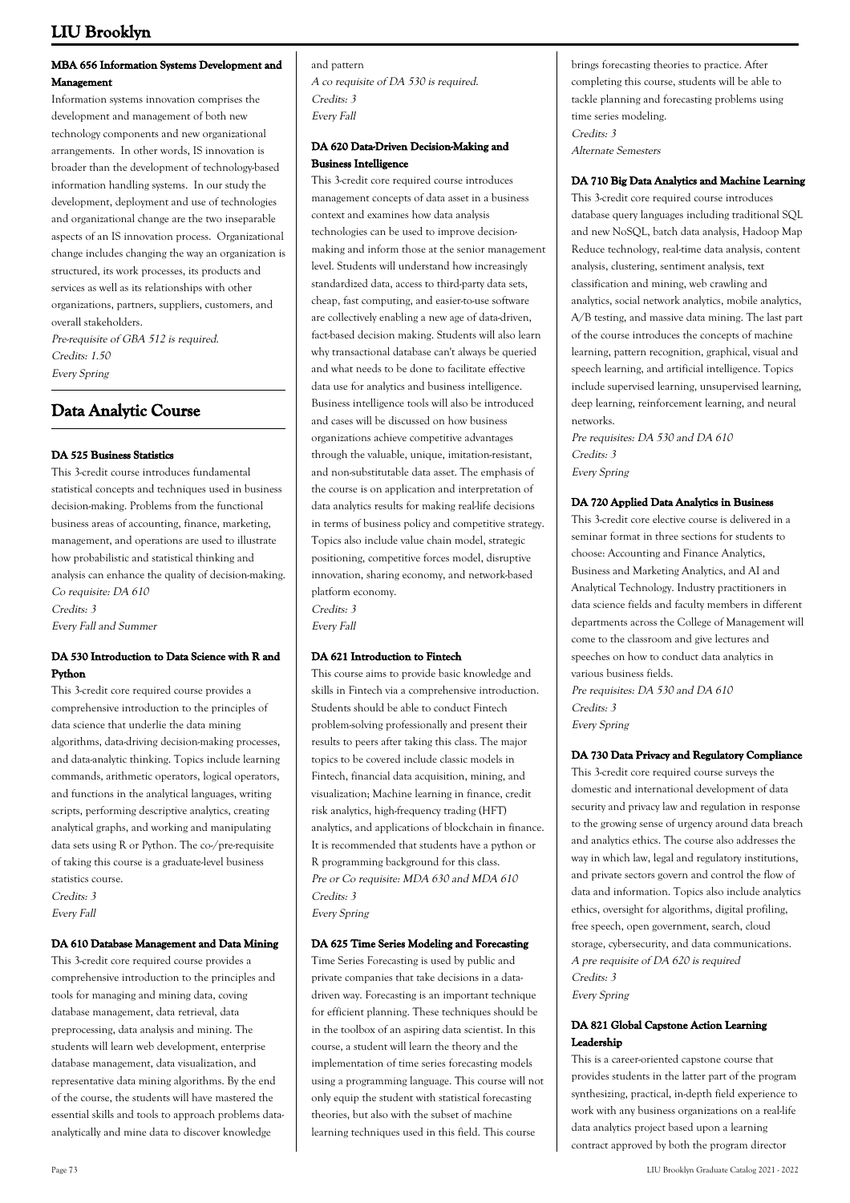# **MBA 656 Information Systems Development and Management**

Information systems innovation comprises the development and management of both new technology components and new organizational arrangements. In other words, IS innovation is broader than the development of technology-based information handling systems. In our study the development, deployment and use of technologies and organizational change are the two inseparable aspects of an IS innovation process. Organizational change includes changing the way an organization is structured, its work processes, its products and services as well as its relationships with other organizations, partners, suppliers, customers, and overall stakeholders. Pre-requisite of GBA 512 is required. Credits: 1.50

Every Spring

# **Data Analytic Course**

# **DA 525 Business Statistics**

This 3-credit course introduces fundamental statistical concepts and techniques used in business decision-making. Problems from the functional business areas of accounting, finance, marketing, management, and operations are used to illustrate how probabilistic and statistical thinking and analysis can enhance the quality of decision-making. Co requisite: DA 610 Credits: 3 Every Fall and Summer

### **DA 530 Introduction to Data Science with R and Python**

This 3-credit core required course provides a comprehensive introduction to the principles of data science that underlie the data mining algorithms, data-driving decision-making processes, and data-analytic thinking. Topics include learning commands, arithmetic operators, logical operators, and functions in the analytical languages, writing scripts, performing descriptive analytics, creating analytical graphs, and working and manipulating data sets using R or Python. The co-/pre-requisite of taking this course is a graduate-level business statistics course. Credits: 3 Every Fall

### **DA 610 Database Management and Data Mining**

This 3-credit core required course provides a comprehensive introduction to the principles and tools for managing and mining data, coving database management, data retrieval, data preprocessing, data analysis and mining. The students will learn web development, enterprise database management, data visualization, and representative data mining algorithms. By the end of the course, the students will have mastered the essential skills and tools to approach problems dataanalytically and mine data to discover knowledge

and pattern A co requisite of DA 530 is required. Credits: 3 Every Fall

## **DA 620 Data-Driven Decision-Making and Business Intelligence**

This 3-credit core required course introduces management concepts of data asset in a business context and examines how data analysis technologies can be used to improve decisionmaking and inform those at the senior management level. Students will understand how increasingly standardized data, access to third-party data sets, cheap, fast computing, and easier-to-use software are collectively enabling a new age of data-driven, fact-based decision making. Students will also learn why transactional database can't always be queried and what needs to be done to facilitate effective data use for analytics and business intelligence. Business intelligence tools will also be introduced and cases will be discussed on how business organizations achieve competitive advantages through the valuable, unique, imitation-resistant, and non-substitutable data asset. The emphasis of the course is on application and interpretation of data analytics results for making real-life decisions in terms of business policy and competitive strategy. Topics also include value chain model, strategic positioning, competitive forces model, disruptive innovation, sharing economy, and network-based platform economy. Credits: 3

Every Fall

# **DA 621 Introduction to Fintech**

This course aims to provide basic knowledge and skills in Fintech via a comprehensive introduction. Students should be able to conduct Fintech problem-solving professionally and present their results to peers after taking this class. The major topics to be covered include classic models in Fintech, financial data acquisition, mining, and visualization; Machine learning in finance, credit risk analytics, high-frequency trading (HFT) analytics, and applications of blockchain in finance. It is recommended that students have a python or R programming background for this class. Pre or Co requisite: MDA 630 and MDA 610 Credits: 3 Every Spring

### **DA 625 Time Series Modeling and Forecasting**

Time Series Forecasting is used by public and private companies that take decisions in a datadriven way. Forecasting is an important technique for efficient planning. These techniques should be in the toolbox of an aspiring data scientist. In this course, a student will learn the theory and the implementation of time series forecasting models using a programming language. This course will not only equip the student with statistical forecasting theories, but also with the subset of machine learning techniques used in this field. This course

brings forecasting theories to practice. After completing this course, students will be able to tackle planning and forecasting problems using time series modeling. Credits: 3 Alternate Semesters

### **DA 710 Big Data Analytics and Machine Learning**

This 3-credit core required course introduces database query languages including traditional SQL and new NoSQL, batch data analysis, Hadoop Map Reduce technology, real-time data analysis, content analysis, clustering, sentiment analysis, text classification and mining, web crawling and analytics, social network analytics, mobile analytics, A/B testing, and massive data mining. The last part of the course introduces the concepts of machine learning, pattern recognition, graphical, visual and speech learning, and artificial intelligence. Topics include supervised learning, unsupervised learning, deep learning, reinforcement learning, and neural networks.

Pre requisites: DA 530 and DA 610 Credits: 3 Every Spring

## **DA 720 Applied Data Analytics in Business**

This 3-credit core elective course is delivered in a seminar format in three sections for students to choose: Accounting and Finance Analytics, Business and Marketing Analytics, and AI and Analytical Technology. Industry practitioners in data science fields and faculty members in different departments across the College of Management will come to the classroom and give lectures and speeches on how to conduct data analytics in various business fields. Pre requisites: DA 530 and DA 610 Credits: 3 Every Spring

### **DA 730 Data Privacy and Regulatory Compliance**

This 3-credit core required course surveys the domestic and international development of data security and privacy law and regulation in response to the growing sense of urgency around data breach and analytics ethics. The course also addresses the way in which law, legal and regulatory institutions, and private sectors govern and control the flow of data and information. Topics also include analytics ethics, oversight for algorithms, digital profiling, free speech, open government, search, cloud storage, cybersecurity, and data communications. A pre requisite of DA 620 is required Credits: 3 Every Spring

# **DA 821 Global Capstone Action Learning Leadership**

This is a career-oriented capstone course that provides students in the latter part of the program synthesizing, practical, in-depth field experience to work with any business organizations on a real-life data analytics project based upon a learning contract approved by both the program director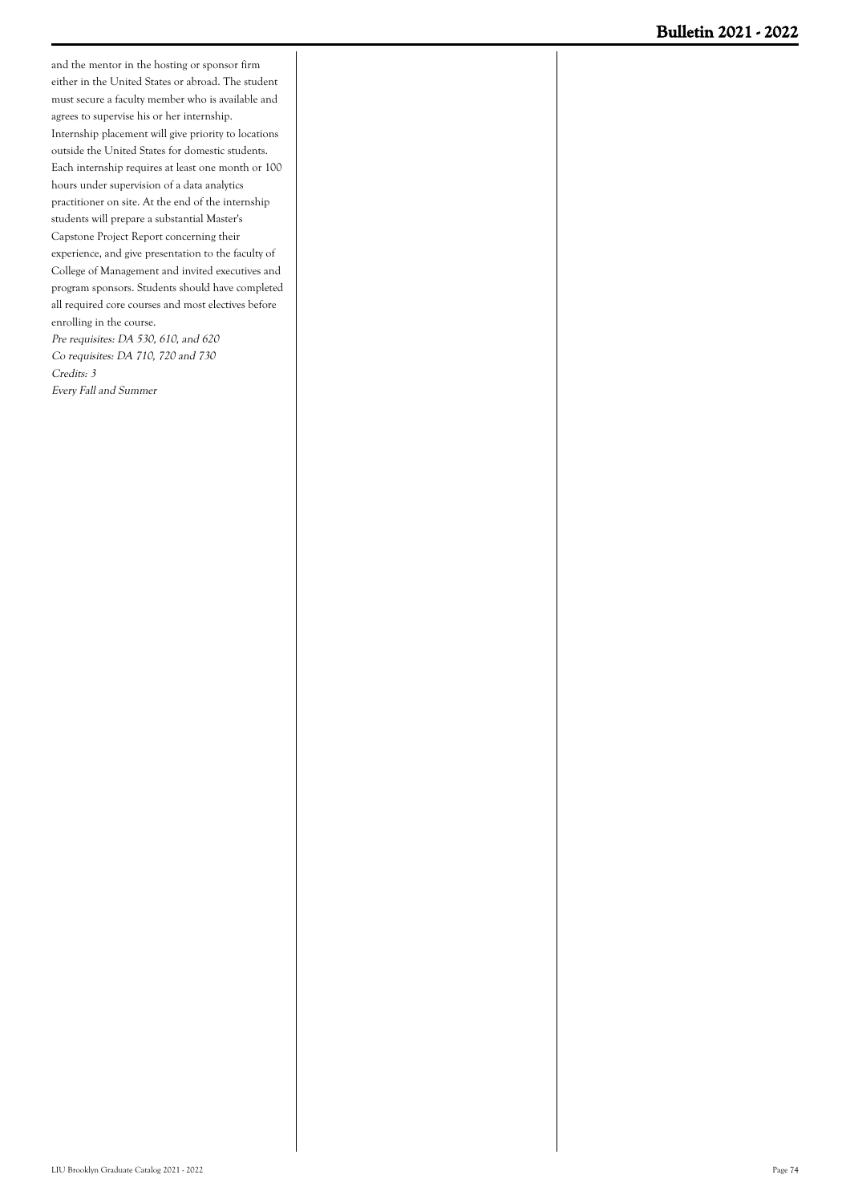and the mentor in the hosting or sponsor firm either in the United States or abroad. The student must secure a faculty member who is available and agrees to supervise his or her internship. Internship placement will give priority to locations outside the United States for domestic students. Each internship requires at least one month or 100 hours under supervision of a data analytics practitioner on site. At the end of the internship students will prepare a substantial Master's Capstone Project Report concerning their experience, and give presentation to the faculty of College of Management and invited executives and program sponsors. Students should have completed all required core courses and most electives before enrolling in the course. Pre requisites: DA 530, 610, and 620 Co requisites: DA 710, 720 and 730 Credits: 3

Every Fall and Summer

LIU Brooklyn Graduate Catalog 2021 - 2022 Page 74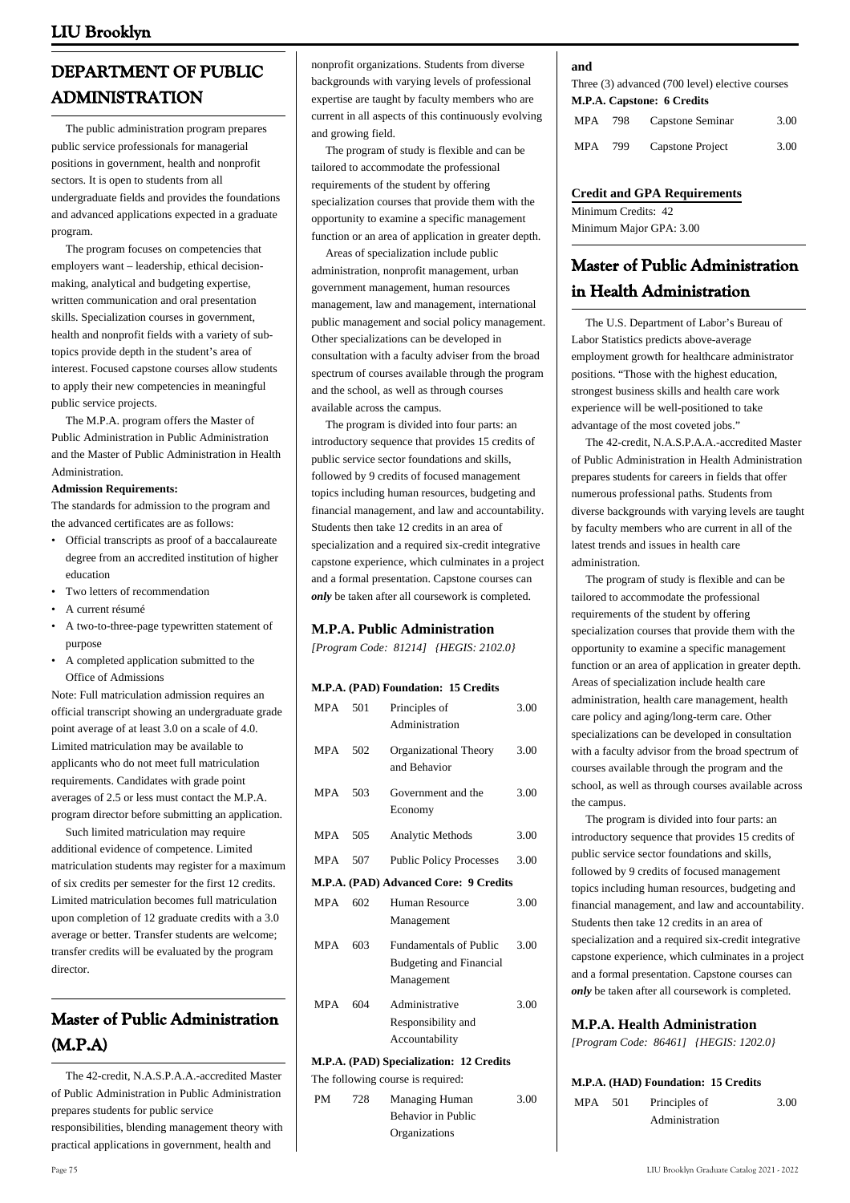# **DEPARTMENT OF PUBLIC ADMINISTRATION**

 The public administration program prepares public service professionals for managerial positions in government, health and nonprofit sectors. It is open to students from all undergraduate fields and provides the foundations and advanced applications expected in a graduate program.

 The program focuses on competencies that employers want – leadership, ethical decisionmaking, analytical and budgeting expertise, written communication and oral presentation skills. Specialization courses in government, health and nonprofit fields with a variety of subtopics provide depth in the student's area of interest. Focused capstone courses allow students to apply their new competencies in meaningful public service projects.

 The M.P.A. program offers the Master of Public Administration in Public Administration and the Master of Public Administration in Health Administration.

#### **Admission Requirements:**

The standards for admission to the program and the advanced certificates are as follows:

- Official transcripts as proof of a baccalaureate degree from an accredited institution of higher education
- Two letters of recommendation
- A current résumé
- A two-to-three-page typewritten statement of purpose •
- A completed application submitted to the Office of Admissions

Note: Full matriculation admission requires an official transcript showing an undergraduate grade point average of at least 3.0 on a scale of 4.0. Limited matriculation may be available to applicants who do not meet full matriculation requirements. Candidates with grade point averages of 2.5 or less must contact the M.P.A. program director before submitting an application.

 Such limited matriculation may require additional evidence of competence. Limited matriculation students may register for a maximum of six credits per semester for the first 12 credits. Limited matriculation becomes full matriculation upon completion of 12 graduate credits with a 3.0 average or better. Transfer students are welcome; transfer credits will be evaluated by the program director.

# **Master of Public Administration (M.P.A)**

 The 42-credit, N.A.S.P.A.A.-accredited Master of Public Administration in Public Administration prepares students for public service responsibilities, blending management theory with practical applications in government, health and

nonprofit organizations. Students from diverse backgrounds with varying levels of professional expertise are taught by faculty members who are current in all aspects of this continuously evolving and growing field.

 The program of study is flexible and can be tailored to accommodate the professional requirements of the student by offering specialization courses that provide them with the opportunity to examine a specific management function or an area of application in greater depth.

 Areas of specialization include public administration, nonprofit management, urban government management, human resources management, law and management, international public management and social policy management. Other specializations can be developed in consultation with a faculty adviser from the broad spectrum of courses available through the program and the school, as well as through courses available across the campus.

 The program is divided into four parts: an introductory sequence that provides 15 credits of public service sector foundations and skills, followed by 9 credits of focused management topics including human resources, budgeting and financial management, and law and accountability. Students then take 12 credits in an area of specialization and a required six-credit integrative capstone experience, which culminates in a project and a formal presentation. Capstone courses can *only* be taken after all coursework is completed.

# **M.P.A. Public Administration**

*[Program Code: 81214] {HEGIS: 2102.0}*

### **M.P.A. (PAD) Foundation: 15 Credits**

| <b>MPA</b> | 501 | Principles of<br>Administration                                               | 3.00 |
|------------|-----|-------------------------------------------------------------------------------|------|
| <b>MPA</b> | 502 | Organizational Theory<br>and Behavior                                         | 3.00 |
| MPA        | 503 | Government and the<br>Economy                                                 | 3.00 |
| <b>MPA</b> | 505 | <b>Analytic Methods</b>                                                       | 3.00 |
| MPA        | 507 | <b>Public Policy Processes</b>                                                | 3.00 |
|            |     | M.P.A. (PAD) Advanced Core: 9 Credits                                         |      |
| <b>MPA</b> | 602 | Human Resource<br>Management                                                  | 3.00 |
| <b>MPA</b> | 603 | <b>Fundamentals of Public</b><br><b>Budgeting and Financial</b><br>Management | 3.00 |
| <b>MPA</b> | 604 | Administrative<br>Responsibility and<br>Accountability                        | 3.00 |
|            |     | M.P.A. (PAD) Specialization: 12 Credits                                       |      |
|            |     | The following course is required:                                             |      |

PM 728 Managing Human Behavior in Public **Organizations** 3.00

#### **and**

Three (3) advanced (700 level) elective courses **M.P.A. Capstone: 6 Credits**

| MPA | 798 | Capstone Seminar | 3.00 |
|-----|-----|------------------|------|
| MPA | 799 | Capstone Project | 3.00 |

# **Credit and GPA Requirements**

Minimum Credits: 42 Minimum Major GPA: 3.00

# **Master of Public Administration in Health Administration**

 The U.S. Department of Labor's Bureau of Labor Statistics predicts above-average employment growth for healthcare administrator positions. "Those with the highest education, strongest business skills and health care work experience will be well-positioned to take advantage of the most coveted jobs."

 The 42-credit, N.A.S.P.A.A.-accredited Master of Public Administration in Health Administration prepares students for careers in fields that offer numerous professional paths. Students from diverse backgrounds with varying levels are taught by faculty members who are current in all of the latest trends and issues in health care administration.

 The program of study is flexible and can be tailored to accommodate the professional requirements of the student by offering specialization courses that provide them with the opportunity to examine a specific management function or an area of application in greater depth. Areas of specialization include health care administration, health care management, health care policy and aging/long-term care. Other specializations can be developed in consultation with a faculty advisor from the broad spectrum of courses available through the program and the school, as well as through courses available across the campus.

 The program is divided into four parts: an introductory sequence that provides 15 credits of public service sector foundations and skills, followed by 9 credits of focused management topics including human resources, budgeting and financial management, and law and accountability. Students then take 12 credits in an area of specialization and a required six-credit integrative capstone experience, which culminates in a project and a formal presentation. Capstone courses can *only* be taken after all coursework is completed.

# **M.P.A. Health Administration**

*[Program Code: 86461] {HEGIS: 1202.0}*

|         | M.P.A. (HAD) Foundation: 15 Credits |      |
|---------|-------------------------------------|------|
| MPA 501 | Principles of                       | 3.00 |
|         | Administration                      |      |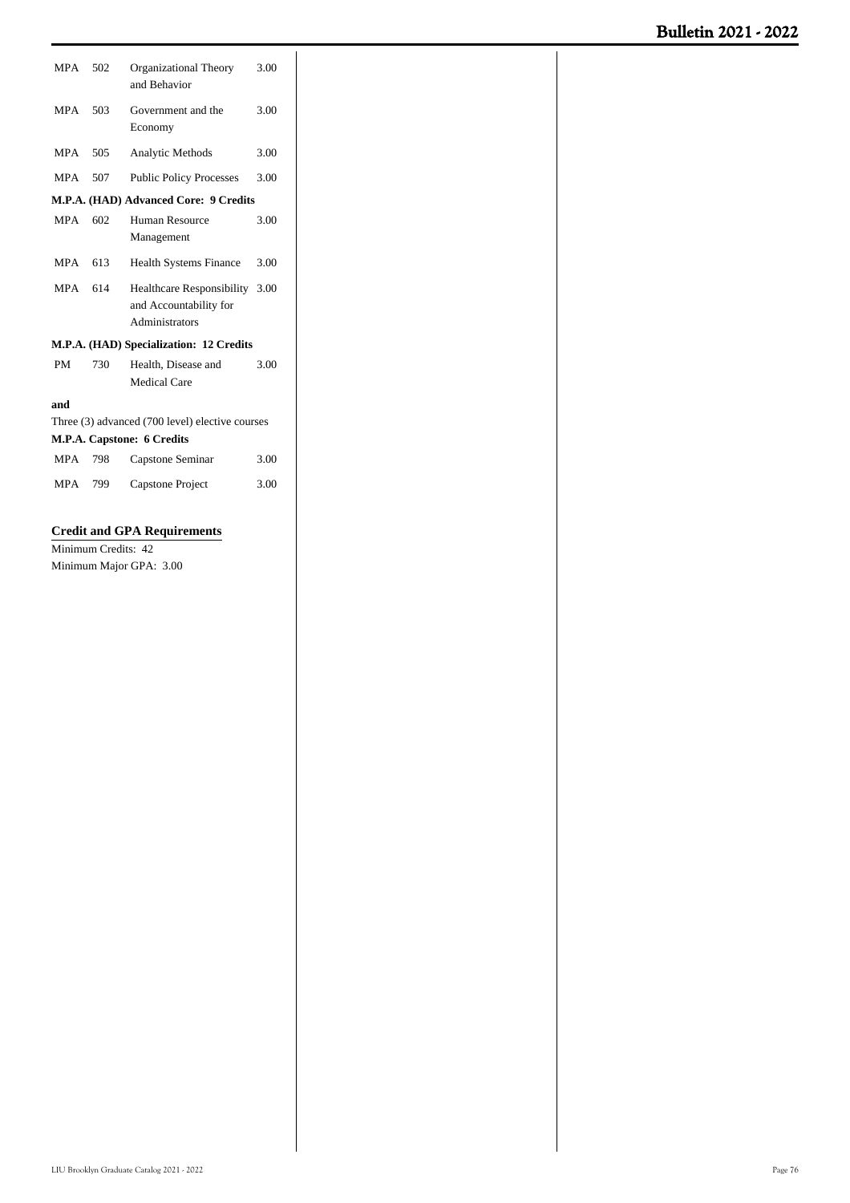| MPA        | 502 | Organizational Theory<br>and Behavior                                      | 3.00 |
|------------|-----|----------------------------------------------------------------------------|------|
| <b>MPA</b> | 503 | Government and the<br>Economy                                              | 3.00 |
| <b>MPA</b> | 505 | Analytic Methods                                                           | 3.00 |
| <b>MPA</b> | 507 | <b>Public Policy Processes</b>                                             | 3.00 |
|            |     | M.P.A. (HAD) Advanced Core: 9 Credits                                      |      |
| <b>MPA</b> | 602 | Human Resource<br>Management                                               | 3.00 |
| <b>MPA</b> | 613 | <b>Health Systems Finance</b>                                              | 3.00 |
| <b>MPA</b> | 614 | Healthcare Responsibility 3.00<br>and Accountability for<br>Administrators |      |
|            |     | M.P.A. (HAD) Specialization: 12 Credits                                    |      |
| <b>PM</b>  | 730 | Health, Disease and<br><b>Medical Care</b>                                 | 3.00 |
| and        |     |                                                                            |      |
|            |     | Three (3) advanced (700 level) elective courses                            |      |
|            |     | M.P.A. Capstone: 6 Credits                                                 |      |
| <b>MPA</b> | 798 | Capstone Seminar                                                           | 3.00 |
| <b>MPA</b> | 799 | Capstone Project                                                           | 3.00 |

# **Credit and GPA Requirements**

Minimum Credits: 42 Minimum Major GPA: 3.00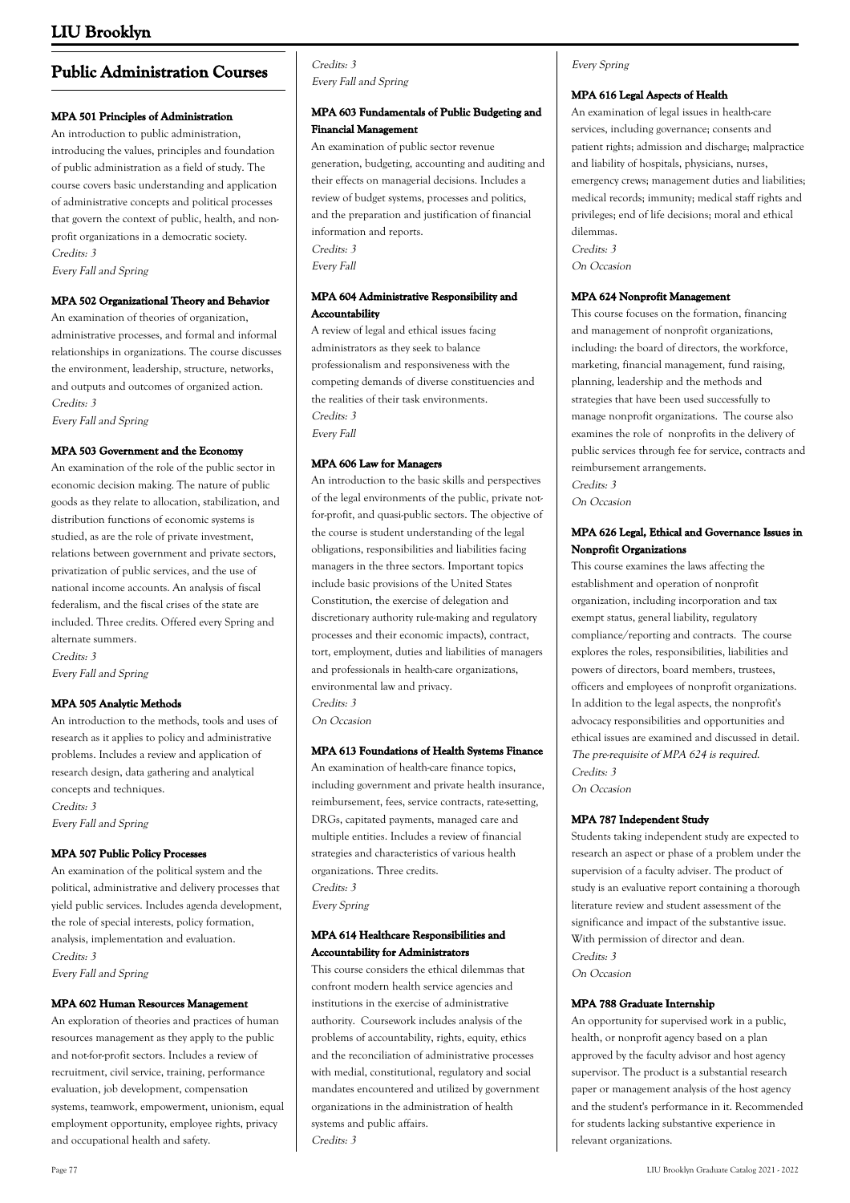# **Public Administration Courses**

## **MPA 501 Principles of Administration**

An introduction to public administration, introducing the values, principles and foundation of public administration as a field of study. The course covers basic understanding and application of administrative concepts and political processes that govern the context of public, health, and nonprofit organizations in a democratic society. Credits: 3 Every Fall and Spring

#### **MPA 502 Organizational Theory and Behavior**

An examination of theories of organization, administrative processes, and formal and informal relationships in organizations. The course discusses the environment, leadership, structure, networks, and outputs and outcomes of organized action. Credits: 3 Every Fall and Spring

#### **MPA 503 Government and the Economy**

An examination of the role of the public sector in economic decision making. The nature of public goods as they relate to allocation, stabilization, and distribution functions of economic systems is studied, as are the role of private investment, relations between government and private sectors, privatization of public services, and the use of national income accounts. An analysis of fiscal federalism, and the fiscal crises of the state are included. Three credits. Offered every Spring and alternate summers.

Credits: 3 Every Fall and Spring

### **MPA 505 Analytic Methods**

An introduction to the methods, tools and uses of research as it applies to policy and administrative problems. Includes a review and application of research design, data gathering and analytical concepts and techniques. Credits: 3

Every Fall and Spring

### **MPA 507 Public Policy Processes**

An examination of the political system and the political, administrative and delivery processes that yield public services. Includes agenda development, the role of special interests, policy formation, analysis, implementation and evaluation. Credits: 3 Every Fall and Spring

### **MPA 602 Human Resources Management**

An exploration of theories and practices of human resources management as they apply to the public and not-for-profit sectors. Includes a review of recruitment, civil service, training, performance evaluation, job development, compensation systems, teamwork, empowerment, unionism, equal employment opportunity, employee rights, privacy and occupational health and safety.

## Credits: 3 Every Fall and Spring

# **MPA 603 Fundamentals of Public Budgeting and Financial Management**

An examination of public sector revenue generation, budgeting, accounting and auditing and their effects on managerial decisions. Includes a review of budget systems, processes and politics, and the preparation and justification of financial information and reports. Credits: 3 Every Fall

# **MPA 604 Administrative Responsibility and Accountability**

A review of legal and ethical issues facing administrators as they seek to balance professionalism and responsiveness with the competing demands of diverse constituencies and the realities of their task environments. Credits: 3 Every Fall

## **MPA 606 Law for Managers**

An introduction to the basic skills and perspectives of the legal environments of the public, private notfor-profit, and quasi-public sectors. The objective of the course is student understanding of the legal obligations, responsibilities and liabilities facing managers in the three sectors. Important topics include basic provisions of the United States Constitution, the exercise of delegation and discretionary authority rule-making and regulatory processes and their economic impacts), contract, tort, employment, duties and liabilities of managers and professionals in health-care organizations, environmental law and privacy. Credits: 3

On Occasion

### **MPA 613 Foundations of Health Systems Finance**

An examination of health-care finance topics, including government and private health insurance, reimbursement, fees, service contracts, rate-setting, DRGs, capitated payments, managed care and multiple entities. Includes a review of financial strategies and characteristics of various health organizations. Three credits. Credits: 3 Every Spring

### **MPA 614 Healthcare Responsibilities and Accountability for Administrators**

This course considers the ethical dilemmas that confront modern health service agencies and institutions in the exercise of administrative authority. Coursework includes analysis of the problems of accountability, rights, equity, ethics and the reconciliation of administrative processes with medial, constitutional, regulatory and social mandates encountered and utilized by government organizations in the administration of health systems and public affairs. Credits: 3

# Every Spring

#### **MPA 616 Legal Aspects of Health**

An examination of legal issues in health-care services, including governance; consents and patient rights; admission and discharge; malpractice and liability of hospitals, physicians, nurses, emergency crews; management duties and liabilities; medical records; immunity; medical staff rights and privileges; end of life decisions; moral and ethical dilemmas. Credits: 3 On Occasion

### **MPA 624 Nonprofit Management**

This course focuses on the formation, financing and management of nonprofit organizations, including: the board of directors, the workforce, marketing, financial management, fund raising, planning, leadership and the methods and strategies that have been used successfully to manage nonprofit organizations. The course also examines the role of nonprofits in the delivery of public services through fee for service, contracts and reimbursement arrangements.

Credits: 3 On Occasion

## **MPA 626 Legal, Ethical and Governance Issues in Nonprofit Organizations**

This course examines the laws affecting the establishment and operation of nonprofit organization, including incorporation and tax exempt status, general liability, regulatory compliance/reporting and contracts. The course explores the roles, responsibilities, liabilities and powers of directors, board members, trustees, officers and employees of nonprofit organizations. In addition to the legal aspects, the nonprofit's advocacy responsibilities and opportunities and ethical issues are examined and discussed in detail. The pre-requisite of MPA 624 is required. Credits: 3

On Occasion

### **MPA 787 Independent Study**

Students taking independent study are expected to research an aspect or phase of a problem under the supervision of a faculty adviser. The product of study is an evaluative report containing a thorough literature review and student assessment of the significance and impact of the substantive issue. With permission of director and dean. Credits: 3 On Occasion

### **MPA 788 Graduate Internship**

An opportunity for supervised work in a public, health, or nonprofit agency based on a plan approved by the faculty advisor and host agency supervisor. The product is a substantial research paper or management analysis of the host agency and the student's performance in it. Recommended for students lacking substantive experience in relevant organizations.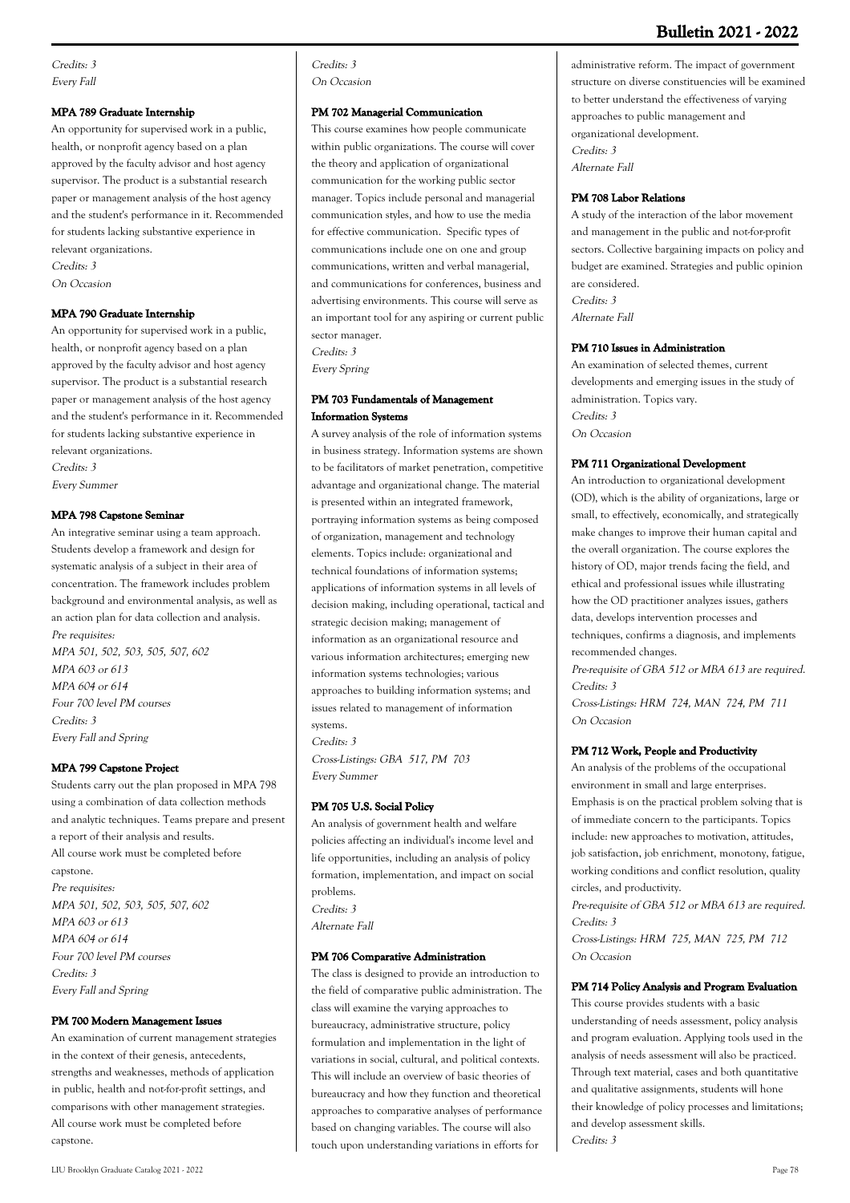# **Bulletin 2021 - 2022**

Credits: 3 Every Fall

#### **MPA 789 Graduate Internship**

An opportunity for supervised work in a public, health, or nonprofit agency based on a plan approved by the faculty advisor and host agency supervisor. The product is a substantial research paper or management analysis of the host agency and the student's performance in it. Recommended for students lacking substantive experience in relevant organizations. Credits: 3 On Occasion

#### **MPA 790 Graduate Internship**

An opportunity for supervised work in a public, health, or nonprofit agency based on a plan approved by the faculty advisor and host agency supervisor. The product is a substantial research paper or management analysis of the host agency and the student's performance in it. Recommended for students lacking substantive experience in relevant organizations. Credits: 3 Every Summer

#### **MPA 798 Capstone Seminar**

An integrative seminar using a team approach. Students develop a framework and design for systematic analysis of a subject in their area of concentration. The framework includes problem background and environmental analysis, as well as an action plan for data collection and analysis. Pre requisites: MPA 501, 502, 503, 505, 507, 602 MPA 603 or 613 MPA 604 or 614 Four 700 level PM courses Credits: 3 Every Fall and Spring

### **MPA 799 Capstone Project**

Students carry out the plan proposed in MPA 798 using a combination of data collection methods and analytic techniques. Teams prepare and present a report of their analysis and results. All course work must be completed before capstone. Pre requisites: MPA 501, 502, 503, 505, 507, 602 MPA 603 or 613 MPA 604 or 614 Four 700 level PM courses Credits: 3 Every Fall and Spring

### **PM 700 Modern Management Issues**

An examination of current management strategies in the context of their genesis, antecedents, strengths and weaknesses, methods of application in public, health and not-for-profit settings, and comparisons with other management strategies. All course work must be completed before capstone.

Credits: 3 On Occasion

#### **PM 702 Managerial Communication**

This course examines how people communicate within public organizations. The course will cover the theory and application of organizational communication for the working public sector manager. Topics include personal and managerial communication styles, and how to use the media for effective communication. Specific types of communications include one on one and group communications, written and verbal managerial, and communications for conferences, business and advertising environments. This course will serve as an important tool for any aspiring or current public sector manager. Credits: 3

Every Spring

### **PM 703 Fundamentals of Management Information Systems**

A survey analysis of the role of information systems in business strategy. Information systems are shown to be facilitators of market penetration, competitive advantage and organizational change. The material is presented within an integrated framework, portraying information systems as being composed of organization, management and technology elements. Topics include: organizational and technical foundations of information systems; applications of information systems in all levels of decision making, including operational, tactical and strategic decision making; management of information as an organizational resource and various information architectures; emerging new information systems technologies; various approaches to building information systems; and issues related to management of information systems.

Credits: 3 Cross-Listings: GBA 517, PM 703 Every Summer

## **PM 705 U.S. Social Policy**

An analysis of government health and welfare policies affecting an individual's income level and life opportunities, including an analysis of policy formation, implementation, and impact on social problems. Credits: 3 Alternate Fall

#### **PM 706 Comparative Administration**

The class is designed to provide an introduction to the field of comparative public administration. The class will examine the varying approaches to bureaucracy, administrative structure, policy formulation and implementation in the light of variations in social, cultural, and political contexts. This will include an overview of basic theories of bureaucracy and how they function and theoretical approaches to comparative analyses of performance based on changing variables. The course will also touch upon understanding variations in efforts for

administrative reform. The impact of government structure on diverse constituencies will be examined to better understand the effectiveness of varying approaches to public management and organizational development. Credits: 3 Alternate Fall

#### **PM 708 Labor Relations**

A study of the interaction of the labor movement and management in the public and not-for-profit sectors. Collective bargaining impacts on policy and budget are examined. Strategies and public opinion are considered. Credits: 3 Alternate Fall

#### **PM 710 Issues in Administration**

An examination of selected themes, current developments and emerging issues in the study of administration. Topics vary. Credits: 3 On Occasion

#### **PM 711 Organizational Development**

An introduction to organizational development (OD), which is the ability of organizations, large or small, to effectively, economically, and strategically make changes to improve their human capital and the overall organization. The course explores the history of OD, major trends facing the field, and ethical and professional issues while illustrating how the OD practitioner analyzes issues, gathers data, develops intervention processes and techniques, confirms a diagnosis, and implements recommended changes.

Pre-requisite of GBA 512 or MBA 613 are required. Credits: 3

Cross-Listings: HRM 724, MAN 724, PM 711 On Occasion

#### **PM 712 Work, People and Productivity**

An analysis of the problems of the occupational environment in small and large enterprises. Emphasis is on the practical problem solving that is of immediate concern to the participants. Topics include: new approaches to motivation, attitudes, job satisfaction, job enrichment, monotony, fatigue, working conditions and conflict resolution, quality circles, and productivity.

Pre-requisite of GBA 512 or MBA 613 are required. Credits: 3 Cross-Listings: HRM 725, MAN 725, PM 712

On Occasion

#### **PM 714 Policy Analysis and Program Evaluation**

This course provides students with a basic understanding of needs assessment, policy analysis and program evaluation. Applying tools used in the analysis of needs assessment will also be practiced. Through text material, cases and both quantitative and qualitative assignments, students will hone their knowledge of policy processes and limitations; and develop assessment skills. Credits: 3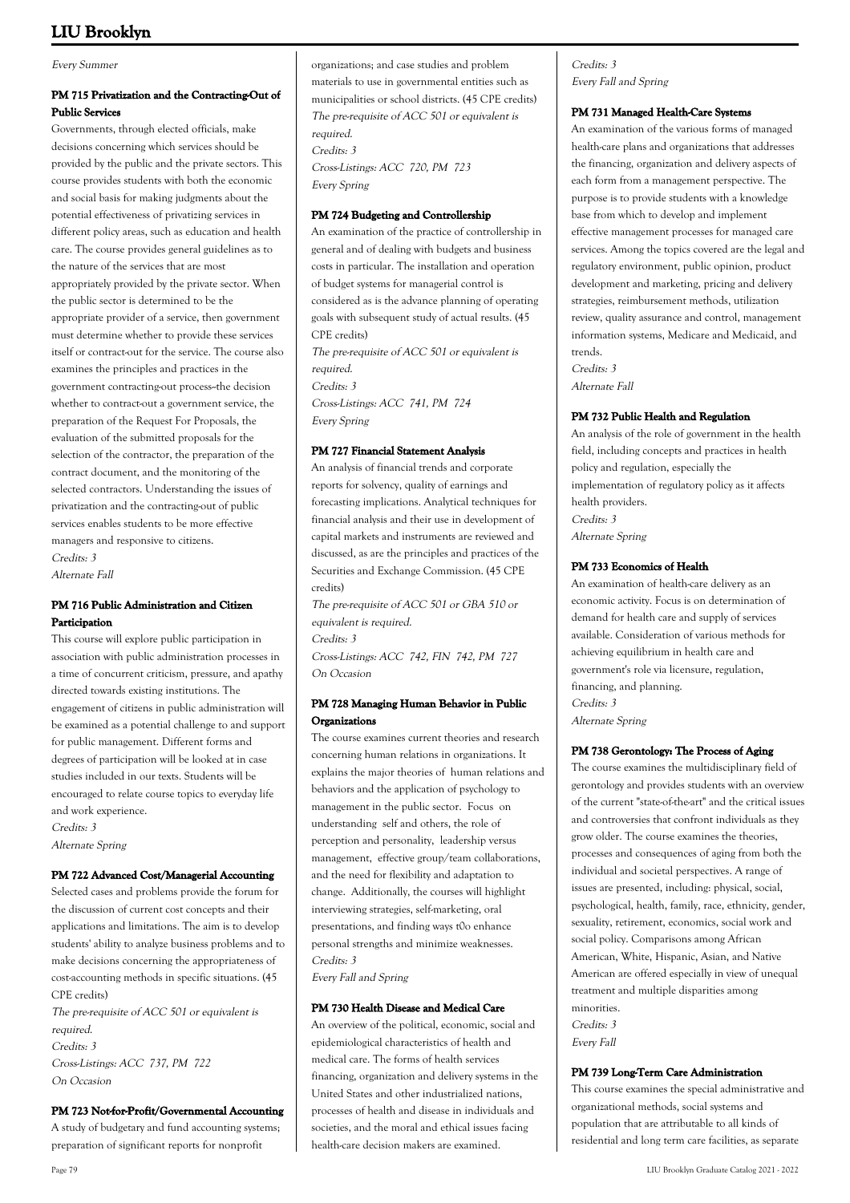Every Summer

# **PM 715 Privatization and the Contracting-Out of Public Services**

Governments, through elected officials, make decisions concerning which services should be provided by the public and the private sectors. This course provides students with both the economic and social basis for making judgments about the potential effectiveness of privatizing services in different policy areas, such as education and health care. The course provides general guidelines as to the nature of the services that are most appropriately provided by the private sector. When the public sector is determined to be the appropriate provider of a service, then government must determine whether to provide these services itself or contract-out for the service. The course also examines the principles and practices in the government contracting-out process--the decision whether to contract-out a government service, the preparation of the Request For Proposals, the evaluation of the submitted proposals for the selection of the contractor, the preparation of the contract document, and the monitoring of the selected contractors. Understanding the issues of privatization and the contracting-out of public services enables students to be more effective managers and responsive to citizens. Credits: 3

Alternate Fall

# **PM 716 Public Administration and Citizen Participation**

This course will explore public participation in association with public administration processes in a time of concurrent criticism, pressure, and apathy directed towards existing institutions. The engagement of citizens in public administration will be examined as a potential challenge to and support for public management. Different forms and degrees of participation will be looked at in case studies included in our texts. Students will be encouraged to relate course topics to everyday life and work experience. Credits: 3

Alternate Spring

# **PM 722 Advanced Cost/Managerial Accounting**

Selected cases and problems provide the forum for the discussion of current cost concepts and their applications and limitations. The aim is to develop students' ability to analyze business problems and to make decisions concerning the appropriateness of cost-accounting methods in specific situations. (45 CPE credits)

The pre-requisite of ACC 501 or equivalent is required. Credits: 3 Cross-Listings: ACC 737, PM 722 On Occasion

# **PM 723 Not-for-Profit/Governmental Accounting**

A study of budgetary and fund accounting systems; preparation of significant reports for nonprofit

organizations; and case studies and problem materials to use in governmental entities such as municipalities or school districts. (45 CPE credits) The pre-requisite of ACC 501 or equivalent is required. Credits: 3 Cross-Listings: ACC 720, PM 723 Every Spring

## **PM 724 Budgeting and Controllership**

An examination of the practice of controllership in general and of dealing with budgets and business costs in particular. The installation and operation of budget systems for managerial control is considered as is the advance planning of operating goals with subsequent study of actual results. (45 CPE credits) The pre-requisite of ACC 501 or equivalent is required. Credits: 3 Cross-Listings: ACC 741, PM 724 Every Spring

## **PM 727 Financial Statement Analysis**

An analysis of financial trends and corporate reports for solvency, quality of earnings and forecasting implications. Analytical techniques for financial analysis and their use in development of capital markets and instruments are reviewed and discussed, as are the principles and practices of the Securities and Exchange Commission. (45 CPE credits)

The pre-requisite of ACC 501 or GBA 510 or equivalent is required. Credits: 3 Cross-Listings: ACC 742, FIN 742, PM 727 On Occasion

## **PM 728 Managing Human Behavior in Public Organizations**

The course examines current theories and research concerning human relations in organizations. It explains the major theories of human relations and behaviors and the application of psychology to management in the public sector. Focus on understanding self and others, the role of perception and personality, leadership versus management, effective group/team collaborations, and the need for flexibility and adaptation to change. Additionally, the courses will highlight interviewing strategies, self-marketing, oral presentations, and finding ways t0o enhance personal strengths and minimize weaknesses. Credits: 3

Every Fall and Spring

# **PM 730 Health Disease and Medical Care**

An overview of the political, economic, social and epidemiological characteristics of health and medical care. The forms of health services financing, organization and delivery systems in the United States and other industrialized nations, processes of health and disease in individuals and societies, and the moral and ethical issues facing health-care decision makers are examined.

Credits: 3 Every Fall and Spring

## **PM 731 Managed Health-Care Systems**

An examination of the various forms of managed health-care plans and organizations that addresses the financing, organization and delivery aspects of each form from a management perspective. The purpose is to provide students with a knowledge base from which to develop and implement effective management processes for managed care services. Among the topics covered are the legal and regulatory environment, public opinion, product development and marketing, pricing and delivery strategies, reimbursement methods, utilization review, quality assurance and control, management information systems, Medicare and Medicaid, and trends. Credits: 3 Alternate Fall

## **PM 732 Public Health and Regulation**

An analysis of the role of government in the health field, including concepts and practices in health policy and regulation, especially the implementation of regulatory policy as it affects health providers. Credits: 3 Alternate Spring

# **PM 733 Economics of Health**

An examination of health-care delivery as an economic activity. Focus is on determination of demand for health care and supply of services available. Consideration of various methods for achieving equilibrium in health care and government's role via licensure, regulation, financing, and planning. Credits: 3 Alternate Spring

### **PM 738 Gerontology: The Process of Aging**

The course examines the multidisciplinary field of gerontology and provides students with an overview of the current "state-of-the-art" and the critical issues and controversies that confront individuals as they grow older. The course examines the theories, processes and consequences of aging from both the individual and societal perspectives. A range of issues are presented, including: physical, social, psychological, health, family, race, ethnicity, gender, sexuality, retirement, economics, social work and social policy. Comparisons among African American, White, Hispanic, Asian, and Native American are offered especially in view of unequal treatment and multiple disparities among minorities. Credits: 3 Every Fall

## **PM 739 Long-Term Care Administration**

This course examines the special administrative and organizational methods, social systems and population that are attributable to all kinds of residential and long term care facilities, as separate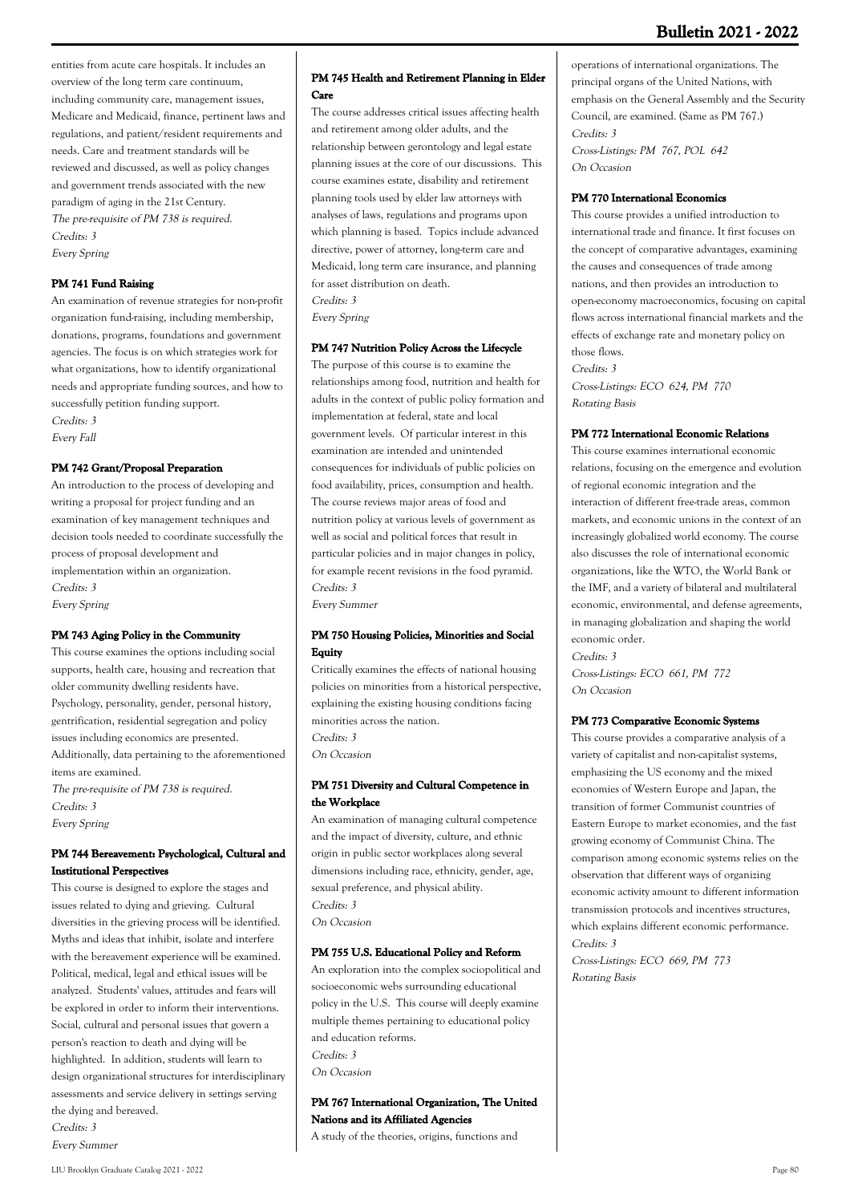entities from acute care hospitals. It includes an overview of the long term care continuum, including community care, management issues, Medicare and Medicaid, finance, pertinent laws and regulations, and patient/resident requirements and needs. Care and treatment standards will be reviewed and discussed, as well as policy changes and government trends associated with the new paradigm of aging in the 21st Century. The pre-requisite of PM 738 is required. Credits: 3 Every Spring

# **PM 741 Fund Raising**

An examination of revenue strategies for non-profit organization fund-raising, including membership, donations, programs, foundations and government agencies. The focus is on which strategies work for what organizations, how to identify organizational needs and appropriate funding sources, and how to successfully petition funding support. Credits: 3

Every Fall

# **PM 742 Grant/Proposal Preparation**

An introduction to the process of developing and writing a proposal for project funding and an examination of key management techniques and decision tools needed to coordinate successfully the process of proposal development and implementation within an organization. Credits: 3 Every Spring

# **PM 743 Aging Policy in the Community**

This course examines the options including social supports, health care, housing and recreation that older community dwelling residents have. Psychology, personality, gender, personal history, gentrification, residential segregation and policy issues including economics are presented. Additionally, data pertaining to the aforementioned items are examined. The pre-requisite of PM 738 is required. Credits: 3 Every Spring

# **PM 744 Bereavement: Psychological, Cultural and Institutional Perspectives**

This course is designed to explore the stages and issues related to dying and grieving. Cultural diversities in the grieving process will be identified. Myths and ideas that inhibit, isolate and interfere with the bereavement experience will be examined. Political, medical, legal and ethical issues will be analyzed. Students' values, attitudes and fears will be explored in order to inform their interventions. Social, cultural and personal issues that govern a person's reaction to death and dying will be highlighted. In addition, students will learn to design organizational structures for interdisciplinary assessments and service delivery in settings serving the dying and bereaved. Credits: 3

Every Summer

### **PM 745 Health and Retirement Planning in Elder Care**

The course addresses critical issues affecting health and retirement among older adults, and the relationship between gerontology and legal estate planning issues at the core of our discussions. This course examines estate, disability and retirement planning tools used by elder law attorneys with analyses of laws, regulations and programs upon which planning is based. Topics include advanced directive, power of attorney, long-term care and Medicaid, long term care insurance, and planning for asset distribution on death. Credits: 3

Every Spring

# **PM 747 Nutrition Policy Across the Lifecycle**

The purpose of this course is to examine the relationships among food, nutrition and health for adults in the context of public policy formation and implementation at federal, state and local government levels. Of particular interest in this examination are intended and unintended consequences for individuals of public policies on food availability, prices, consumption and health. The course reviews major areas of food and nutrition policy at various levels of government as well as social and political forces that result in particular policies and in major changes in policy, for example recent revisions in the food pyramid. Credits: 3

Every Summer

# **PM 750 Housing Policies, Minorities and Social Equity**

Critically examines the effects of national housing policies on minorities from a historical perspective, explaining the existing housing conditions facing minorities across the nation. Credits: 3 On Occasion

## **PM 751 Diversity and Cultural Competence in the Workplace**

An examination of managing cultural competence and the impact of diversity, culture, and ethnic origin in public sector workplaces along several dimensions including race, ethnicity, gender, age, sexual preference, and physical ability. Credits: 3 On Occasion

# **PM 755 U.S. Educational Policy and Reform**

An exploration into the complex sociopolitical and socioeconomic webs surrounding educational policy in the U.S. This course will deeply examine multiple themes pertaining to educational policy and education reforms. Credits: 3 On Occasion

# **PM 767 International Organization, The United Nations and its Affiliated Agencies**

A study of the theories, origins, functions and

# operations of international organizations. The principal organs of the United Nations, with emphasis on the General Assembly and the Security Council, are examined. (Same as PM 767.) Credits: 3

Cross-Listings: PM 767, POL 642 On Occasion

# **PM 770 International Economics**

This course provides a unified introduction to international trade and finance. It first focuses on the concept of comparative advantages, examining the causes and consequences of trade among nations, and then provides an introduction to open-economy macroeconomics, focusing on capital flows across international financial markets and the effects of exchange rate and monetary policy on those flows. Credits: 3 Cross-Listings: ECO 624, PM 770 Rotating Basis

# **PM 772 International Economic Relations**

This course examines international economic relations, focusing on the emergence and evolution of regional economic integration and the interaction of different free-trade areas, common markets, and economic unions in the context of an increasingly globalized world economy. The course also discusses the role of international economic organizations, like the WTO, the World Bank or the IMF, and a variety of bilateral and multilateral economic, environmental, and defense agreements, in managing globalization and shaping the world economic order. Credite: 3

Cross-Listings: ECO 661, PM 772 On Occasion

# **PM 773 Comparative Economic Systems**

This course provides a comparative analysis of a variety of capitalist and non-capitalist systems, emphasizing the US economy and the mixed economies of Western Europe and Japan, the transition of former Communist countries of Eastern Europe to market economies, and the fast growing economy of Communist China. The comparison among economic systems relies on the observation that different ways of organizing economic activity amount to different information transmission protocols and incentives structures, which explains different economic performance. Credits: 3

Cross-Listings: ECO 669, PM 773 Rotating Basis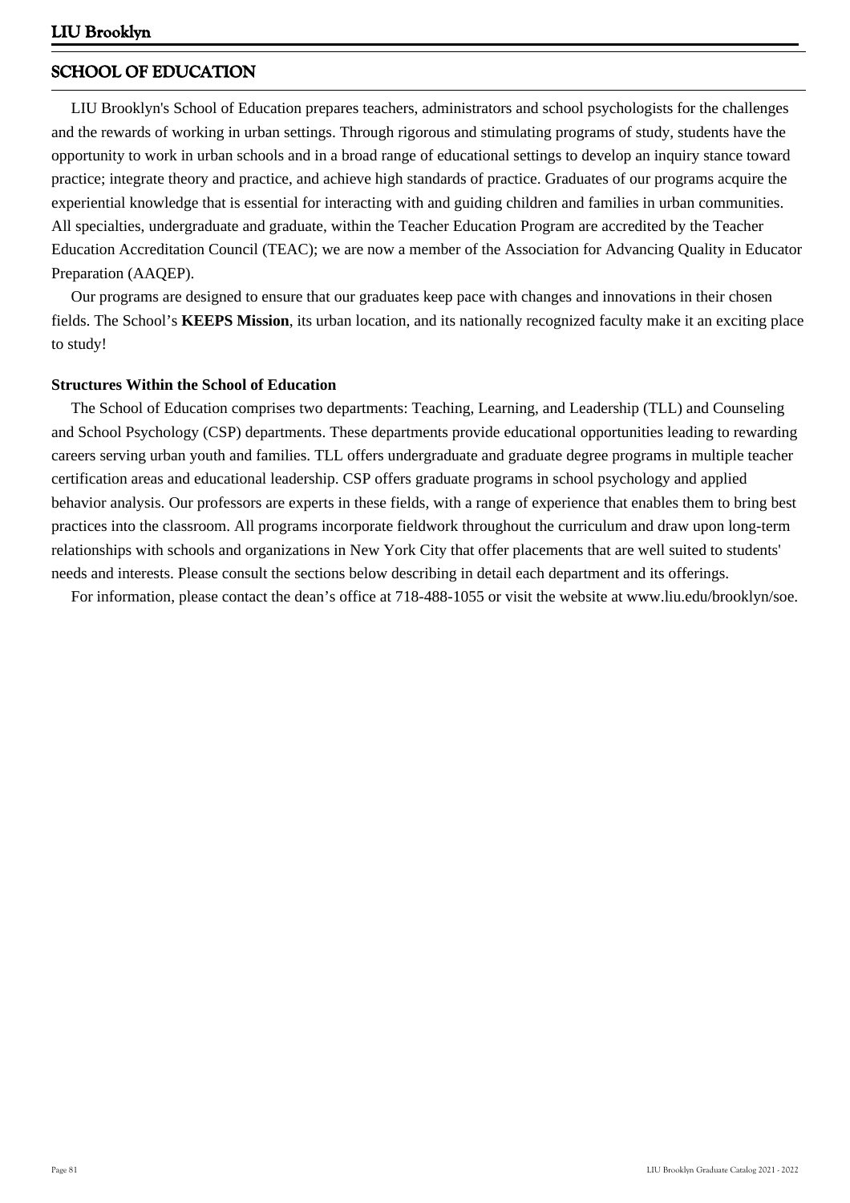# **SCHOOL OF EDUCATION**

 LIU Brooklyn's School of Education prepares teachers, administrators and school psychologists for the challenges and the rewards of working in urban settings. Through rigorous and stimulating programs of study, students have the opportunity to work in urban schools and in a broad range of educational settings to develop an inquiry stance toward practice; integrate theory and practice, and achieve high standards of practice. Graduates of our programs acquire the experiential knowledge that is essential for interacting with and guiding children and families in urban communities. All specialties, undergraduate and graduate, within the Teacher Education Program are accredited by the Teacher Education Accreditation Council (TEAC); we are now a member of the Association for Advancing Quality in Educator Preparation (AAQEP).

 Our programs are designed to ensure that our graduates keep pace with changes and innovations in their chosen fields. The School's **KEEPS Mission**, its urban location, and its nationally recognized faculty make it an exciting place to study!

# **Structures Within the School of Education**

 The School of Education comprises two departments: Teaching, Learning, and Leadership (TLL) and Counseling and School Psychology (CSP) departments. These departments provide educational opportunities leading to rewarding careers serving urban youth and families. TLL offers undergraduate and graduate degree programs in multiple teacher certification areas and educational leadership. CSP offers graduate programs in school psychology and applied behavior analysis. Our professors are experts in these fields, with a range of experience that enables them to bring best practices into the classroom. All programs incorporate fieldwork throughout the curriculum and draw upon long-term relationships with schools and organizations in New York City that offer placements that are well suited to students' needs and interests. Please consult the sections below describing in detail each department and its offerings.

For information, please contact the dean's office at 718-488-1055 or visit the website at www.liu.edu/brooklyn/soe.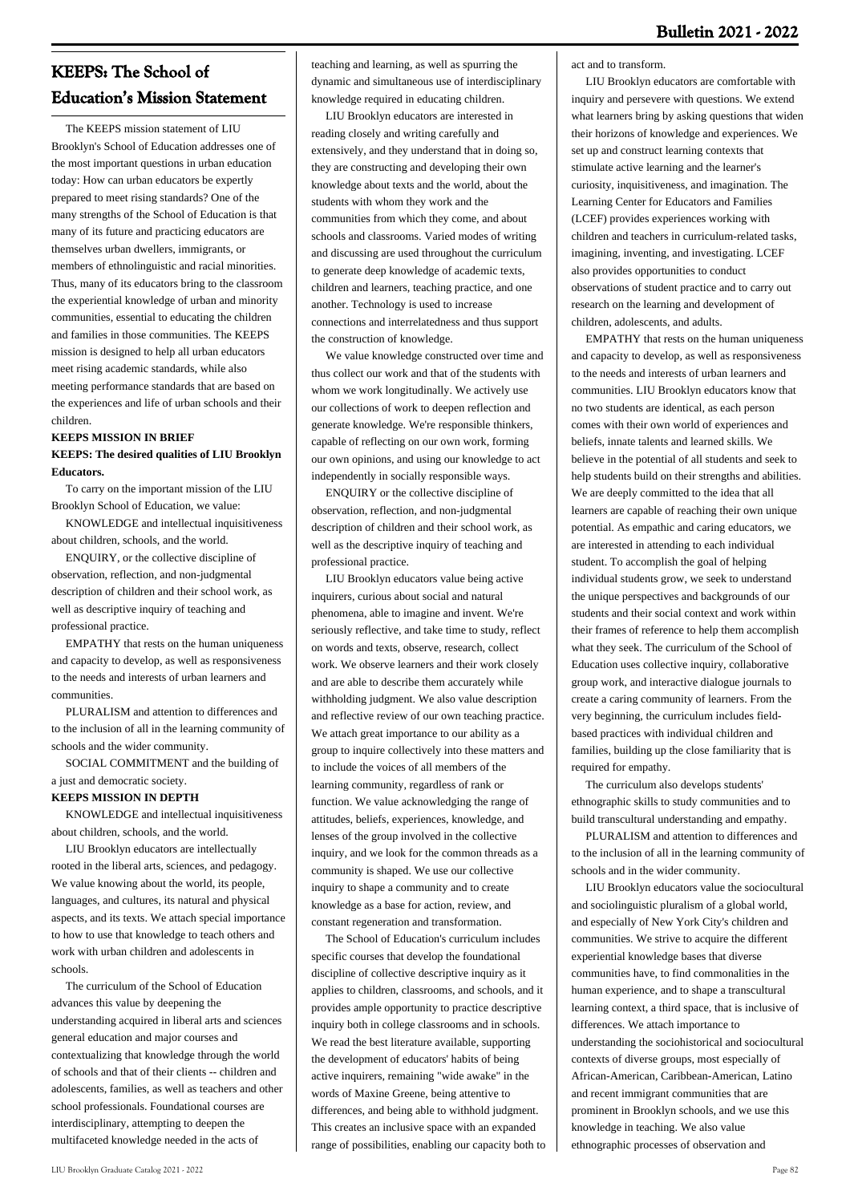# **KEEPS: The School of Education's Mission Statement**

 The KEEPS mission statement of LIU Brooklyn's School of Education addresses one of the most important questions in urban education today: How can urban educators be expertly prepared to meet rising standards? One of the many strengths of the School of Education is that many of its future and practicing educators are themselves urban dwellers, immigrants, or members of ethnolinguistic and racial minorities. Thus, many of its educators bring to the classroom the experiential knowledge of urban and minority communities, essential to educating the children and families in those communities. The KEEPS mission is designed to help all urban educators meet rising academic standards, while also meeting performance standards that are based on the experiences and life of urban schools and their children.

# **KEEPS MISSION IN BRIEF**

# **KEEPS: The desired qualities of LIU Brooklyn Educators.**

 To carry on the important mission of the LIU Brooklyn School of Education, we value:

 KNOWLEDGE and intellectual inquisitiveness about children, schools, and the world.

 ENQUIRY, or the collective discipline of observation, reflection, and non-judgmental description of children and their school work, as well as descriptive inquiry of teaching and professional practice.

 EMPATHY that rests on the human uniqueness and capacity to develop, as well as responsiveness to the needs and interests of urban learners and communities.

 PLURALISM and attention to differences and to the inclusion of all in the learning community of schools and the wider community.

 SOCIAL COMMITMENT and the building of a just and democratic society.

# **KEEPS MISSION IN DEPTH**

 KNOWLEDGE and intellectual inquisitiveness about children, schools, and the world.

 LIU Brooklyn educators are intellectually rooted in the liberal arts, sciences, and pedagogy. We value knowing about the world, its people, languages, and cultures, its natural and physical aspects, and its texts. We attach special importance to how to use that knowledge to teach others and work with urban children and adolescents in schools.

 The curriculum of the School of Education advances this value by deepening the understanding acquired in liberal arts and sciences general education and major courses and contextualizing that knowledge through the world of schools and that of their clients -- children and adolescents, families, as well as teachers and other school professionals. Foundational courses are interdisciplinary, attempting to deepen the multifaceted knowledge needed in the acts of

teaching and learning, as well as spurring the dynamic and simultaneous use of interdisciplinary knowledge required in educating children.

 LIU Brooklyn educators are interested in reading closely and writing carefully and extensively, and they understand that in doing so, they are constructing and developing their own knowledge about texts and the world, about the students with whom they work and the communities from which they come, and about schools and classrooms. Varied modes of writing and discussing are used throughout the curriculum to generate deep knowledge of academic texts, children and learners, teaching practice, and one another. Technology is used to increase connections and interrelatedness and thus support the construction of knowledge.

 We value knowledge constructed over time and thus collect our work and that of the students with whom we work longitudinally. We actively use our collections of work to deepen reflection and generate knowledge. We're responsible thinkers, capable of reflecting on our own work, forming our own opinions, and using our knowledge to act independently in socially responsible ways.

 ENQUIRY or the collective discipline of observation, reflection, and non-judgmental description of children and their school work, as well as the descriptive inquiry of teaching and professional practice.

 LIU Brooklyn educators value being active inquirers, curious about social and natural phenomena, able to imagine and invent. We're seriously reflective, and take time to study, reflect on words and texts, observe, research, collect work. We observe learners and their work closely and are able to describe them accurately while withholding judgment. We also value description and reflective review of our own teaching practice. We attach great importance to our ability as a group to inquire collectively into these matters and to include the voices of all members of the learning community, regardless of rank or function. We value acknowledging the range of attitudes, beliefs, experiences, knowledge, and lenses of the group involved in the collective inquiry, and we look for the common threads as a community is shaped. We use our collective inquiry to shape a community and to create knowledge as a base for action, review, and constant regeneration and transformation.

 The School of Education's curriculum includes specific courses that develop the foundational discipline of collective descriptive inquiry as it applies to children, classrooms, and schools, and it provides ample opportunity to practice descriptive inquiry both in college classrooms and in schools. We read the best literature available, supporting the development of educators' habits of being active inquirers, remaining "wide awake" in the words of Maxine Greene, being attentive to differences, and being able to withhold judgment. This creates an inclusive space with an expanded range of possibilities, enabling our capacity both to act and to transform.

 LIU Brooklyn educators are comfortable with inquiry and persevere with questions. We extend what learners bring by asking questions that widen their horizons of knowledge and experiences. We set up and construct learning contexts that stimulate active learning and the learner's curiosity, inquisitiveness, and imagination. The Learning Center for Educators and Families (LCEF) provides experiences working with children and teachers in curriculum-related tasks, imagining, inventing, and investigating. LCEF also provides opportunities to conduct observations of student practice and to carry out research on the learning and development of children, adolescents, and adults.

 EMPATHY that rests on the human uniqueness and capacity to develop, as well as responsiveness to the needs and interests of urban learners and communities. LIU Brooklyn educators know that no two students are identical, as each person comes with their own world of experiences and beliefs, innate talents and learned skills. We believe in the potential of all students and seek to help students build on their strengths and abilities. We are deeply committed to the idea that all learners are capable of reaching their own unique potential. As empathic and caring educators, we are interested in attending to each individual student. To accomplish the goal of helping individual students grow, we seek to understand the unique perspectives and backgrounds of our students and their social context and work within their frames of reference to help them accomplish what they seek. The curriculum of the School of Education uses collective inquiry, collaborative group work, and interactive dialogue journals to create a caring community of learners. From the very beginning, the curriculum includes fieldbased practices with individual children and families, building up the close familiarity that is required for empathy.

 The curriculum also develops students' ethnographic skills to study communities and to build transcultural understanding and empathy.

 PLURALISM and attention to differences and to the inclusion of all in the learning community of schools and in the wider community.

 LIU Brooklyn educators value the sociocultural and sociolinguistic pluralism of a global world, and especially of New York City's children and communities. We strive to acquire the different experiential knowledge bases that diverse communities have, to find commonalities in the human experience, and to shape a transcultural learning context, a third space, that is inclusive of differences. We attach importance to understanding the sociohistorical and sociocultural contexts of diverse groups, most especially of African-American, Caribbean-American, Latino and recent immigrant communities that are prominent in Brooklyn schools, and we use this knowledge in teaching. We also value ethnographic processes of observation and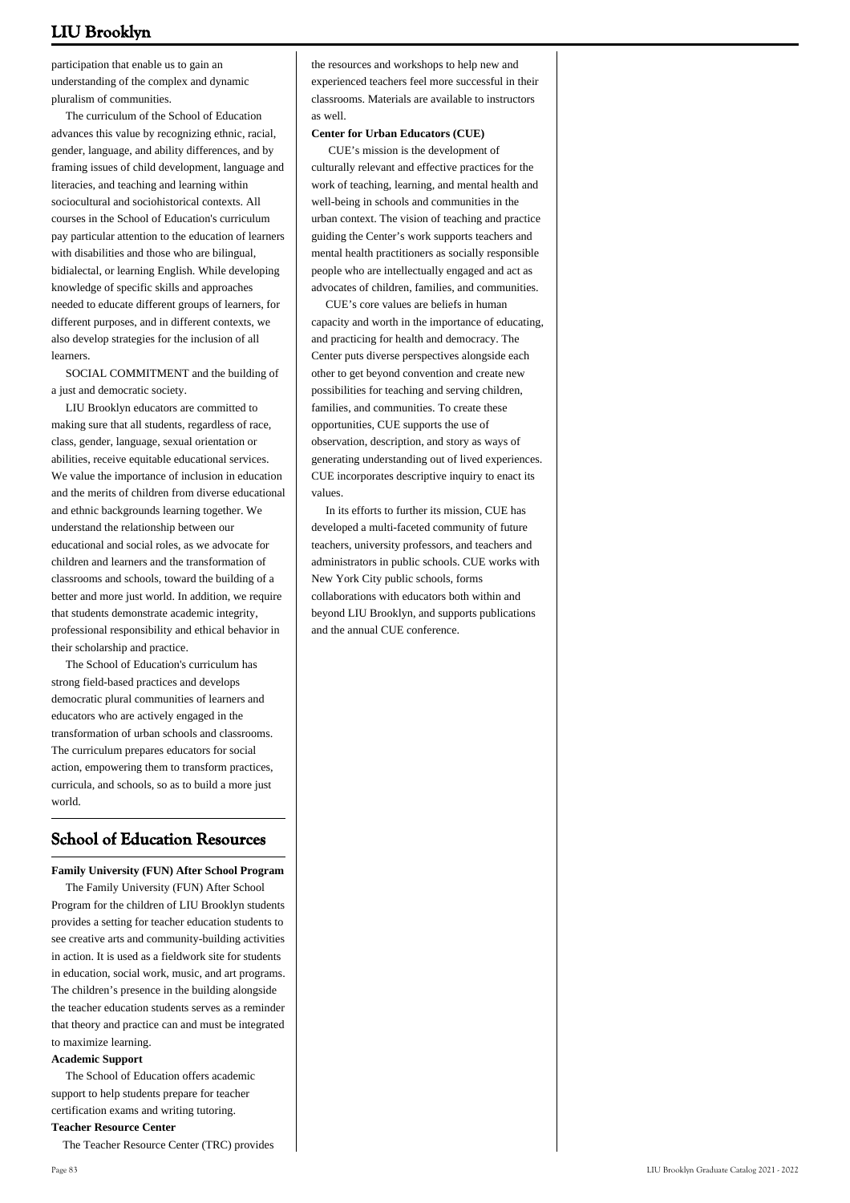participation that enable us to gain an understanding of the complex and dynamic pluralism of communities.

 The curriculum of the School of Education advances this value by recognizing ethnic, racial, gender, language, and ability differences, and by framing issues of child development, language and literacies, and teaching and learning within sociocultural and sociohistorical contexts. All courses in the School of Education's curriculum pay particular attention to the education of learners with disabilities and those who are bilingual, bidialectal, or learning English. While developing knowledge of specific skills and approaches needed to educate different groups of learners, for different purposes, and in different contexts, we also develop strategies for the inclusion of all learners.

 SOCIAL COMMITMENT and the building of a just and democratic society.

 LIU Brooklyn educators are committed to making sure that all students, regardless of race, class, gender, language, sexual orientation or abilities, receive equitable educational services. We value the importance of inclusion in education and the merits of children from diverse educational and ethnic backgrounds learning together. We understand the relationship between our educational and social roles, as we advocate for children and learners and the transformation of classrooms and schools, toward the building of a better and more just world. In addition, we require that students demonstrate academic integrity, professional responsibility and ethical behavior in their scholarship and practice.

 The School of Education's curriculum has strong field-based practices and develops democratic plural communities of learners and educators who are actively engaged in the transformation of urban schools and classrooms. The curriculum prepares educators for social action, empowering them to transform practices, curricula, and schools, so as to build a more just world.

# **School of Education Resources**

**Family University (FUN) After School Program**

 The Family University (FUN) After School Program for the children of LIU Brooklyn students provides a setting for teacher education students to see creative arts and community-building activities in action. It is used as a fieldwork site for students in education, social work, music, and art programs. The children's presence in the building alongside the teacher education students serves as a reminder that theory and practice can and must be integrated to maximize learning.

#### **Academic Support**

 The School of Education offers academic support to help students prepare for teacher certification exams and writing tutoring. **Teacher Resource Center**

The Teacher Resource Center (TRC) provides

the resources and workshops to help new and experienced teachers feel more successful in their classrooms. Materials are available to instructors as well.

### **Center for Urban Educators (CUE)**

 CUE's mission is the development of culturally relevant and effective practices for the work of teaching, learning, and mental health and well-being in schools and communities in the urban context. The vision of teaching and practice guiding the Center's work supports teachers and mental health practitioners as socially responsible people who are intellectually engaged and act as advocates of children, families, and communities.

 CUE's core values are beliefs in human capacity and worth in the importance of educating, and practicing for health and democracy. The Center puts diverse perspectives alongside each other to get beyond convention and create new possibilities for teaching and serving children, families, and communities. To create these opportunities, CUE supports the use of observation, description, and story as ways of generating understanding out of lived experiences. CUE incorporates descriptive inquiry to enact its values.

 In its efforts to further its mission, CUE has developed a multi-faceted community of future teachers, university professors, and teachers and administrators in public schools. CUE works with New York City public schools, forms collaborations with educators both within and beyond LIU Brooklyn, and supports publications and the annual CUE conference.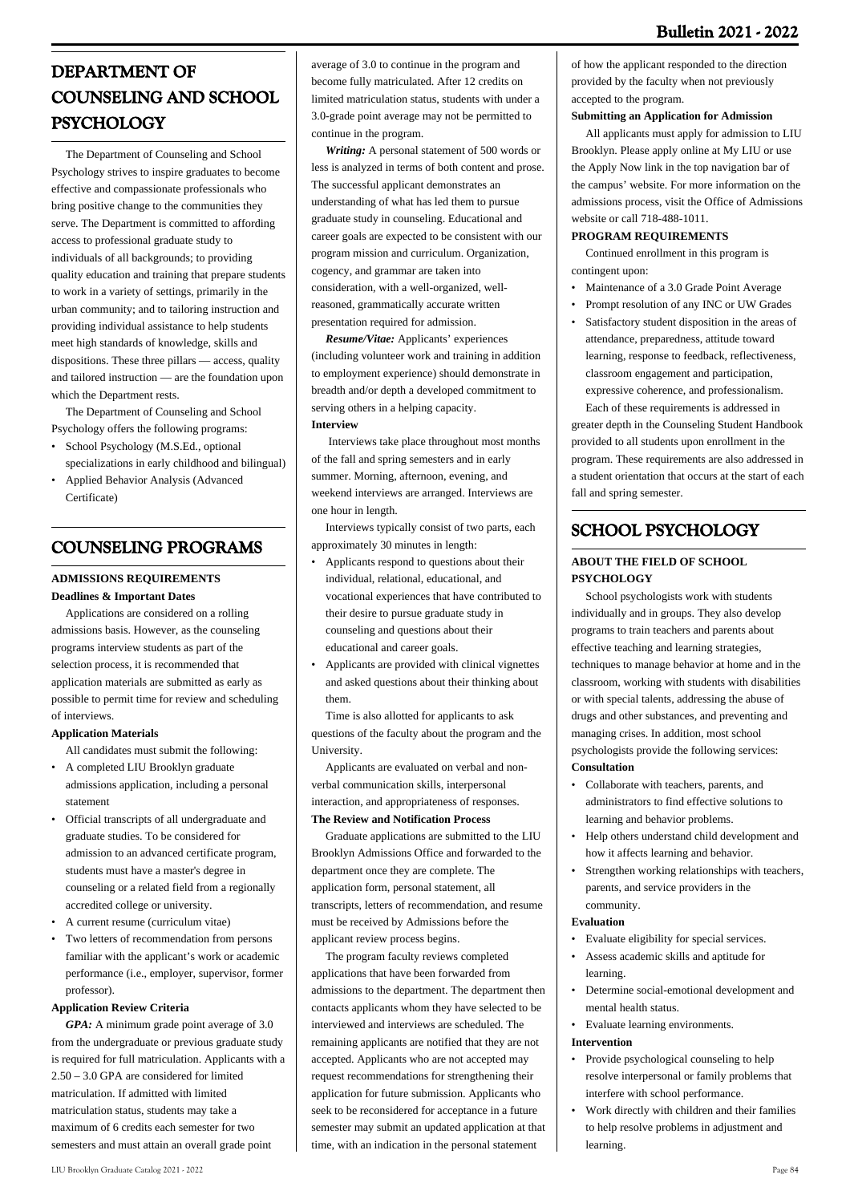# **DEPARTMENT OF COUNSELING AND SCHOOL PSYCHOLOGY**

 The Department of Counseling and School Psychology strives to inspire graduates to become effective and compassionate professionals who bring positive change to the communities they serve. The Department is committed to affording access to professional graduate study to individuals of all backgrounds; to providing quality education and training that prepare students to work in a variety of settings, primarily in the urban community; and to tailoring instruction and providing individual assistance to help students meet high standards of knowledge, skills and dispositions. These three pillars — access, quality and tailored instruction — are the foundation upon which the Department rests.

 The Department of Counseling and School Psychology offers the following programs:

- School Psychology (M.S.Ed., optional specializations in early childhood and bilingual)
- Applied Behavior Analysis (Advanced Certificate) •

# **COUNSELING PROGRAMS**

# **ADMISSIONS REQUIREMENTS Deadlines & Important Dates**

 Applications are considered on a rolling admissions basis. However, as the counseling programs interview students as part of the selection process, it is recommended that application materials are submitted as early as possible to permit time for review and scheduling of interviews.

# **Application Materials**

- All candidates must submit the following: • A completed LIU Brooklyn graduate
- admissions application, including a personal statement
- Official transcripts of all undergraduate and graduate studies. To be considered for admission to an advanced certificate program, students must have a master's degree in counseling or a related field from a regionally accredited college or university.
- A current resume (curriculum vitae)
- Two letters of recommendation from persons familiar with the applicant's work or academic performance (i.e., employer, supervisor, former professor). •

# **Application Review Criteria**

 *GPA:* A minimum grade point average of 3.0 from the undergraduate or previous graduate study is required for full matriculation. Applicants with a 2.50 – 3.0 GPA are considered for limited matriculation. If admitted with limited matriculation status, students may take a maximum of 6 credits each semester for two semesters and must attain an overall grade point

average of 3.0 to continue in the program and become fully matriculated. After 12 credits on limited matriculation status, students with under a 3.0-grade point average may not be permitted to continue in the program.

 *Writing:* A personal statement of 500 words or less is analyzed in terms of both content and prose. The successful applicant demonstrates an understanding of what has led them to pursue graduate study in counseling. Educational and career goals are expected to be consistent with our program mission and curriculum. Organization, cogency, and grammar are taken into consideration, with a well-organized, wellreasoned, grammatically accurate written presentation required for admission.

 *Resume/Vitae:* Applicants' experiences (including volunteer work and training in addition to employment experience) should demonstrate in breadth and/or depth a developed commitment to serving others in a helping capacity. **Interview**

 Interviews take place throughout most months of the fall and spring semesters and in early summer. Morning, afternoon, evening, and weekend interviews are arranged. Interviews are one hour in length.

 Interviews typically consist of two parts, each approximately 30 minutes in length:

- Applicants respond to questions about their individual, relational, educational, and vocational experiences that have contributed to their desire to pursue graduate study in counseling and questions about their educational and career goals. •
- Applicants are provided with clinical vignettes and asked questions about their thinking about them. •

 Time is also allotted for applicants to ask questions of the faculty about the program and the University.

 Applicants are evaluated on verbal and nonverbal communication skills, interpersonal interaction, and appropriateness of responses. **The Review and Notification Process**

 Graduate applications are submitted to the LIU Brooklyn Admissions Office and forwarded to the department once they are complete. The application form, personal statement, all transcripts, letters of recommendation, and resume must be received by Admissions before the applicant review process begins.

 The program faculty reviews completed applications that have been forwarded from admissions to the department. The department then contacts applicants whom they have selected to be interviewed and interviews are scheduled. The remaining applicants are notified that they are not accepted. Applicants who are not accepted may request recommendations for strengthening their application for future submission. Applicants who seek to be reconsidered for acceptance in a future semester may submit an updated application at that time, with an indication in the personal statement

of how the applicant responded to the direction provided by the faculty when not previously accepted to the program.

# **Submitting an Application for Admission**

 All applicants must apply for admission to LIU Brooklyn. Please apply online at My LIU or use the Apply Now link in the top navigation bar of the campus' website. For more information on the admissions process, visit the Office of Admissions website or call 718-488-1011.

# **PROGRAM REQUIREMENTS**

 Continued enrollment in this program is contingent upon:

- Maintenance of a 3.0 Grade Point Average
- Prompt resolution of any INC or UW Grades
- Satisfactory student disposition in the areas of attendance, preparedness, attitude toward learning, response to feedback, reflectiveness, classroom engagement and participation, expressive coherence, and professionalism. • Each of these requirements is addressed in

greater depth in the Counseling Student Handbook provided to all students upon enrollment in the program. These requirements are also addressed in a student orientation that occurs at the start of each fall and spring semester.

# **SCHOOL PSYCHOLOGY**

# **ABOUT THE FIELD OF SCHOOL PSYCHOLOGY**

 School psychologists work with students individually and in groups. They also develop programs to train teachers and parents about effective teaching and learning strategies, techniques to manage behavior at home and in the classroom, working with students with disabilities or with special talents, addressing the abuse of drugs and other substances, and preventing and managing crises. In addition, most school psychologists provide the following services: **Consultation**

- Collaborate with teachers, parents, and administrators to find effective solutions to learning and behavior problems. •
- Help others understand child development and how it affects learning and behavior. •
- Strengthen working relationships with teachers, parents, and service providers in the community. •

# **Evaluation**

- Evaluate eligibility for special services.
- Assess academic skills and aptitude for learning. •
- Determine social-emotional development and mental health status.
- Evaluate learning environments.

# **Intervention**

- Provide psychological counseling to help resolve interpersonal or family problems that interfere with school performance. •
- Work directly with children and their families to help resolve problems in adjustment and learning. •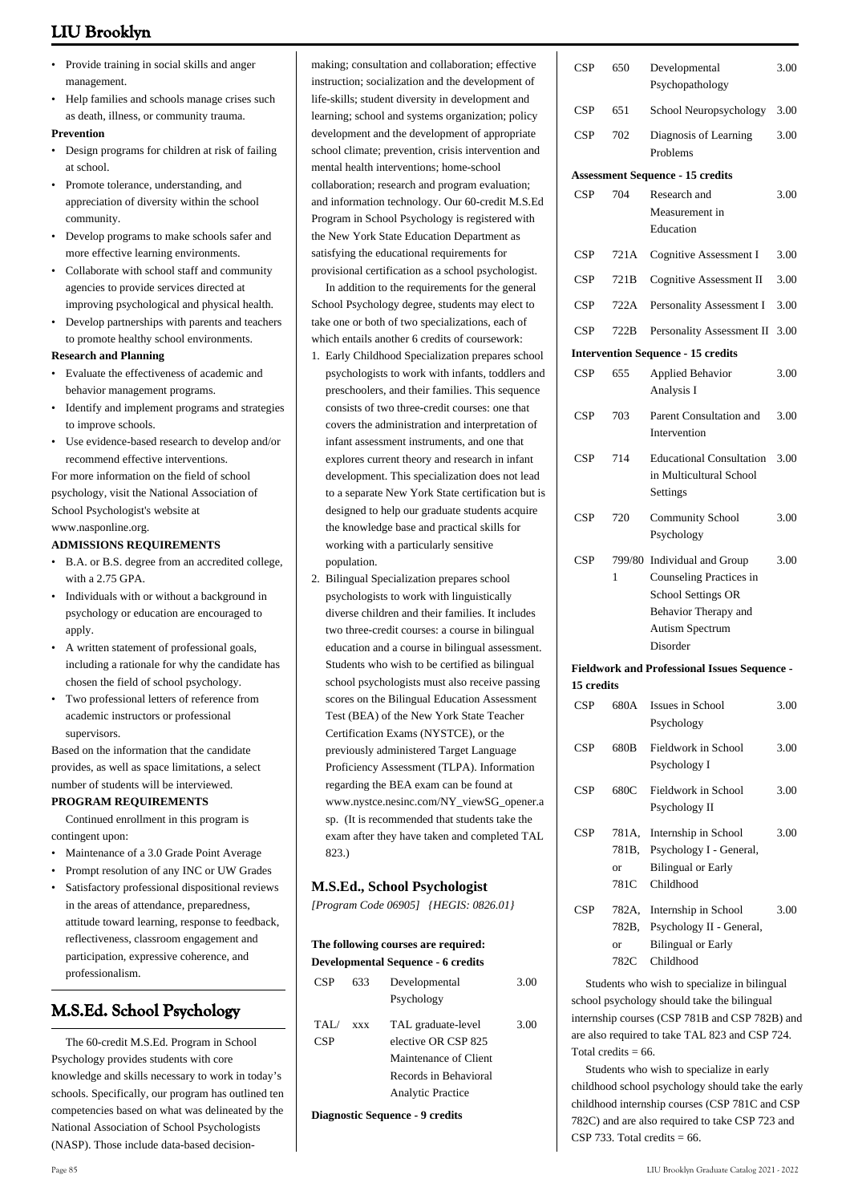- Provide training in social skills and anger management. •
- Help families and schools manage crises such as death, illness, or community trauma. •

### **Prevention**

- Design programs for children at risk of failing at school.
- Promote tolerance, understanding, and appreciation of diversity within the school community. •
- Develop programs to make schools safer and more effective learning environments. •
- Collaborate with school staff and community agencies to provide services directed at improving psychological and physical health. •
- Develop partnerships with parents and teachers to promote healthy school environments.

### **Research and Planning**

- Evaluate the effectiveness of academic and behavior management programs. •
- Identify and implement programs and strategies to improve schools.
- Use evidence-based research to develop and/or recommend effective interventions. •

For more information on the field of school psychology, visit the National Association of School Psychologist's website at [www.nasponline.org.](http://www.nasponline.org)

### **ADMISSIONS REQUIREMENTS**

- B.A. or B.S. degree from an accredited college, with a 2.75 GPA. •
- Individuals with or without a background in psychology or education are encouraged to apply. •
- A written statement of professional goals, including a rationale for why the candidate has chosen the field of school psychology. •
- Two professional letters of reference from academic instructors or professional supervisors.

Based on the information that the candidate provides, as well as space limitations, a select number of students will be interviewed.

# **PROGRAM REQUIREMENTS**

 Continued enrollment in this program is contingent upon:

- Maintenance of a 3.0 Grade Point Average
- Prompt resolution of any INC or UW Grades
- Satisfactory professional dispositional reviews in the areas of attendance, preparedness, attitude toward learning, response to feedback, reflectiveness, classroom engagement and participation, expressive coherence, and professionalism. •

# **M.S.Ed. School Psychology**

 The 60-credit M.S.Ed. Program in School Psychology provides students with core knowledge and skills necessary to work in today's schools. Specifically, our program has outlined ten competencies based on what was delineated by the National Association of School Psychologists (NASP). Those include data-based decisionmaking; consultation and collaboration; effective instruction; socialization and the development of life-skills; student diversity in development and learning; school and systems organization; policy development and the development of appropriate school climate; prevention, crisis intervention and mental health interventions; home-school collaboration; research and program evaluation; and information technology. Our 60-credit M.S.Ed Program in School Psychology is registered with the New York State Education Department as satisfying the educational requirements for provisional certification as a school psychologist.

 In addition to the requirements for the general School Psychology degree, students may elect to take one or both of two specializations, each of which entails another 6 credits of coursework:

- 1. Early Childhood Specialization prepares school psychologists to work with infants, toddlers and preschoolers, and their families. This sequence consists of two three-credit courses: one that covers the administration and interpretation of infant assessment instruments, and one that explores current theory and research in infant development. This specialization does not lead to a separate New York State certification but is designed to help our graduate students acquire the knowledge base and practical skills for working with a particularly sensitive population.
- 2. Bilingual Specialization prepares school psychologists to work with linguistically diverse children and their families. It includes two three-credit courses: a course in bilingual education and a course in bilingual assessment. Students who wish to be certified as bilingual school psychologists must also receive passing scores on the Bilingual Education Assessment Test (BEA) of the New York State Teacher Certification Exams (NYSTCE), or the previously administered Target Language Proficiency Assessment (TLPA). Information regarding the BEA exam can be found at [www.nystce.nesinc.com/NY\\_viewSG\\_opener.a](http://www.nystce.nesinc.com/NY_viewSG_opener.asp) [sp](http://www.nystce.nesinc.com/NY_viewSG_opener.asp). (It is recommended that students take the exam after they have taken and completed TAL 823.)

# **M.S.Ed., School Psychologist**

*[Program Code 06905] {HEGIS: 0826.01}*

### **The following courses are required: Developmental Sequence - 6 credits**

| CSP               | 633                             | Developmental<br>Psychology               | 3.00 |  |
|-------------------|---------------------------------|-------------------------------------------|------|--|
| TAI<br><b>CSP</b> | <b>XXX</b>                      | TAL graduate-level<br>elective OR CSP 825 | 3.00 |  |
|                   |                                 | Maintenance of Client                     |      |  |
|                   |                                 | Records in Behavioral                     |      |  |
|                   |                                 | <b>Analytic Practice</b>                  |      |  |
|                   | Diagnostic Sequence - 9 credits |                                           |      |  |

| CSP        | 650                          | Developmental<br>Psychopathology                                                                                             | 3.00 |
|------------|------------------------------|------------------------------------------------------------------------------------------------------------------------------|------|
| CSP        | 651                          | School Neuropsychology                                                                                                       | 3.00 |
| CSP        | 702                          | Diagnosis of Learning<br>Problems                                                                                            | 3.00 |
|            |                              | <b>Assessment Sequence - 15 credits</b>                                                                                      |      |
| CSP        | 704                          | Research and<br>Measurement in<br>Education                                                                                  | 3.00 |
| CSP        | 721A                         | <b>Cognitive Assessment I</b>                                                                                                | 3.00 |
| CSP        | 721B                         | <b>Cognitive Assessment II</b>                                                                                               | 3.00 |
| CSP        | 722A                         | Personality Assessment I                                                                                                     | 3.00 |
| CSP        | 722B                         | Personality Assessment II                                                                                                    | 3.00 |
|            |                              | <b>Intervention Sequence - 15 credits</b>                                                                                    |      |
| <b>CSP</b> | 655                          | <b>Applied Behavior</b><br>Analysis I                                                                                        | 3.00 |
| CSP        | 703                          | Parent Consultation and<br>Intervention                                                                                      | 3.00 |
| CSP        | 714                          | <b>Educational Consultation</b><br>in Multicultural School<br>Settings                                                       | 3.00 |
| CSP        | 720                          | <b>Community School</b><br>Psychology                                                                                        | 3.00 |
| CSP        | 799/80<br>1                  | Individual and Group<br>Counseling Practices in<br>School Settings OR<br>Behavior Therapy and<br>Autism Spectrum<br>Disorder | 3.00 |
|            |                              | <b>Fieldwork and Professional Issues Sequence -</b>                                                                          |      |
| 15 credits |                              |                                                                                                                              |      |
| CSP        | 680A                         | Issues in School<br>Psychology                                                                                               | 3.00 |
| CSP        | 680B                         | Fieldwork in School<br>Psychology I                                                                                          | 3.00 |
| CSP        | 680C                         | Fieldwork in School<br>Psychology II                                                                                         | 3.00 |
| CSP        | 781A,<br>781B,<br>or<br>781C | Internship in School<br>Psychology I - General,<br><b>Bilingual or Early</b><br>Childhood                                    | 3.00 |
| CSP        | 782A,<br>782B,<br>or<br>782C | Internship in School<br>Psychology II - General,<br><b>Bilingual or Early</b><br>Childhood                                   | 3.00 |

 Students who wish to specialize in bilingual school psychology should take the bilingual internship courses (CSP 781B and CSP 782B) and are also required to take TAL 823 and CSP 724. Total credits  $= 66$ .

 Students who wish to specialize in early childhood school psychology should take the early childhood internship courses (CSP 781C and CSP 782C) and are also required to take CSP 723 and CSP 733. Total credits  $= 66$ .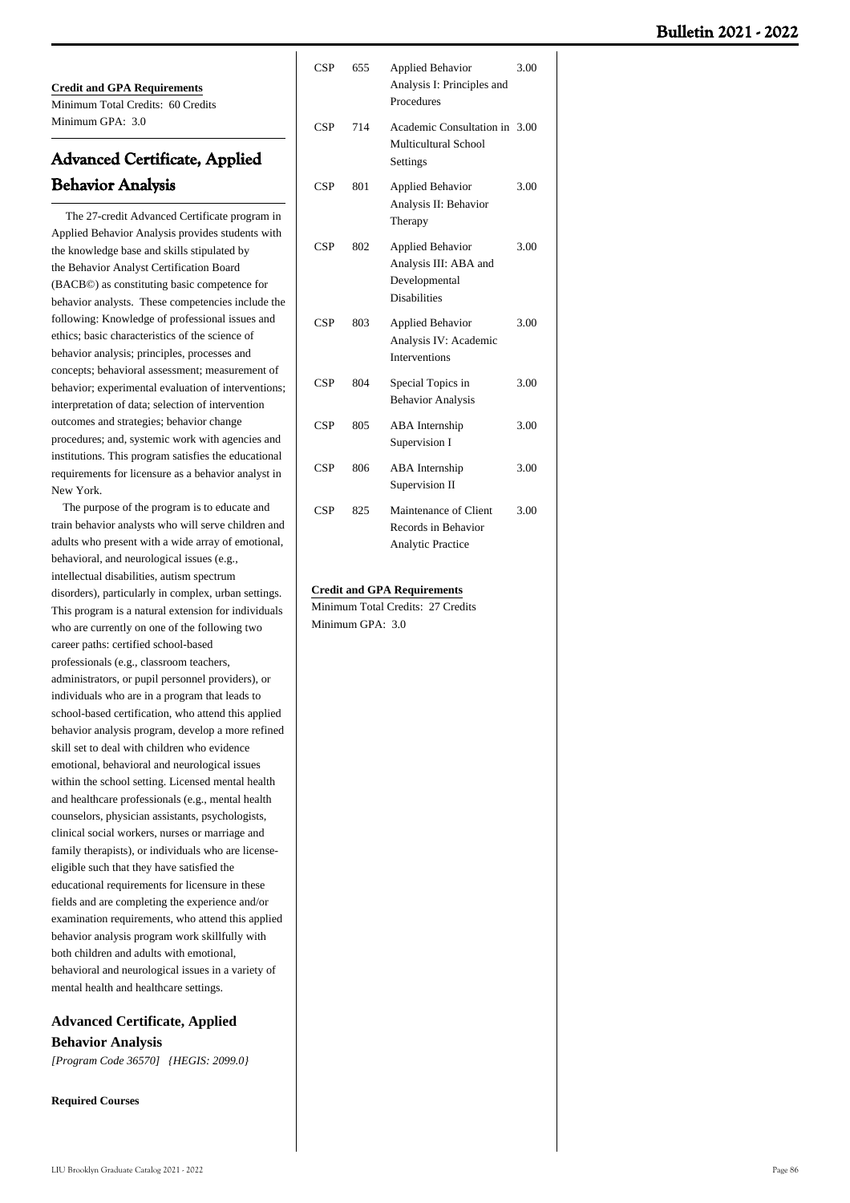**Credit and GPA Requirements** Minimum Total Credits: 60 Credits Minimum GPA: 3.0

# **Advanced Certificate, Applied Behavior Analysis**

 The 27-credit Advanced Certificate program in Applied Behavior Analysis provides students with the knowledge base and skills stipulated by the Behavior Analyst Certification Board (BACB©) as constituting basic competence for behavior analysts. These competencies include the following: Knowledge of professional issues and ethics; basic characteristics of the science of behavior analysis; principles, processes and concepts; behavioral assessment; measurement of behavior; experimental evaluation of interventions; interpretation of data; selection of intervention outcomes and strategies; behavior change procedures; and, systemic work with agencies and institutions. This program satisfies the educational requirements for licensure as a behavior analyst in New York.

 The purpose of the program is to educate and train behavior analysts who will serve children and adults who present with a wide array of emotional, behavioral, and neurological issues (e.g., intellectual disabilities, autism spectrum disorders), particularly in complex, urban settings. This program is a natural extension for individuals who are currently on one of the following two career paths: certified school-based professionals (e.g., classroom teachers, administrators, or pupil personnel providers), or individuals who are in a program that leads to school-based certification, who attend this applied behavior analysis program, develop a more refined skill set to deal with children who evidence emotional, behavioral and neurological issues within the school setting. Licensed mental health and healthcare professionals (e.g., mental health counselors, physician assistants, psychologists, clinical social workers, nurses or marriage and family therapists), or individuals who are licenseeligible such that they have satisfied the educational requirements for licensure in these fields and are completing the experience and/or examination requirements, who attend this applied behavior analysis program work skillfully with both children and adults with emotional, behavioral and neurological issues in a variety of mental health and healthcare settings.

# **Advanced Certificate, Applied Behavior Analysis** *[Program Code 36570] {HEGIS: 2099.0}*

**Required Courses**

| <b>CSP</b> | 655 | <b>Applied Behavior</b><br>Analysis I: Principles and<br>Procedures                      | 3.00 |
|------------|-----|------------------------------------------------------------------------------------------|------|
| <b>CSP</b> | 714 | Academic Consultation in 3.00<br>Multicultural School<br>Settings                        |      |
| <b>CSP</b> | 801 | <b>Applied Behavior</b><br>Analysis II: Behavior<br>Therapy                              | 3.00 |
| <b>CSP</b> | 802 | <b>Applied Behavior</b><br>Analysis III: ABA and<br>Developmental<br><b>Disabilities</b> | 3.00 |
| <b>CSP</b> | 803 | <b>Applied Behavior</b><br>Analysis IV: Academic<br><b>Interventions</b>                 | 3.00 |
| <b>CSP</b> | 804 | Special Topics in<br><b>Behavior Analysis</b>                                            | 3.00 |
| <b>CSP</b> | 805 | ABA Internship<br>Supervision I                                                          | 3.00 |
| <b>CSP</b> | 806 | <b>ABA</b> Internship<br>Supervision II                                                  | 3.00 |
| <b>CSP</b> | 825 | Maintenance of Client<br>Records in Behavior<br><b>Analytic Practice</b>                 | 3.00 |

#### **Credit and GPA Requirements**

Minimum Total Credits: 27 Credits Minimum GPA: 30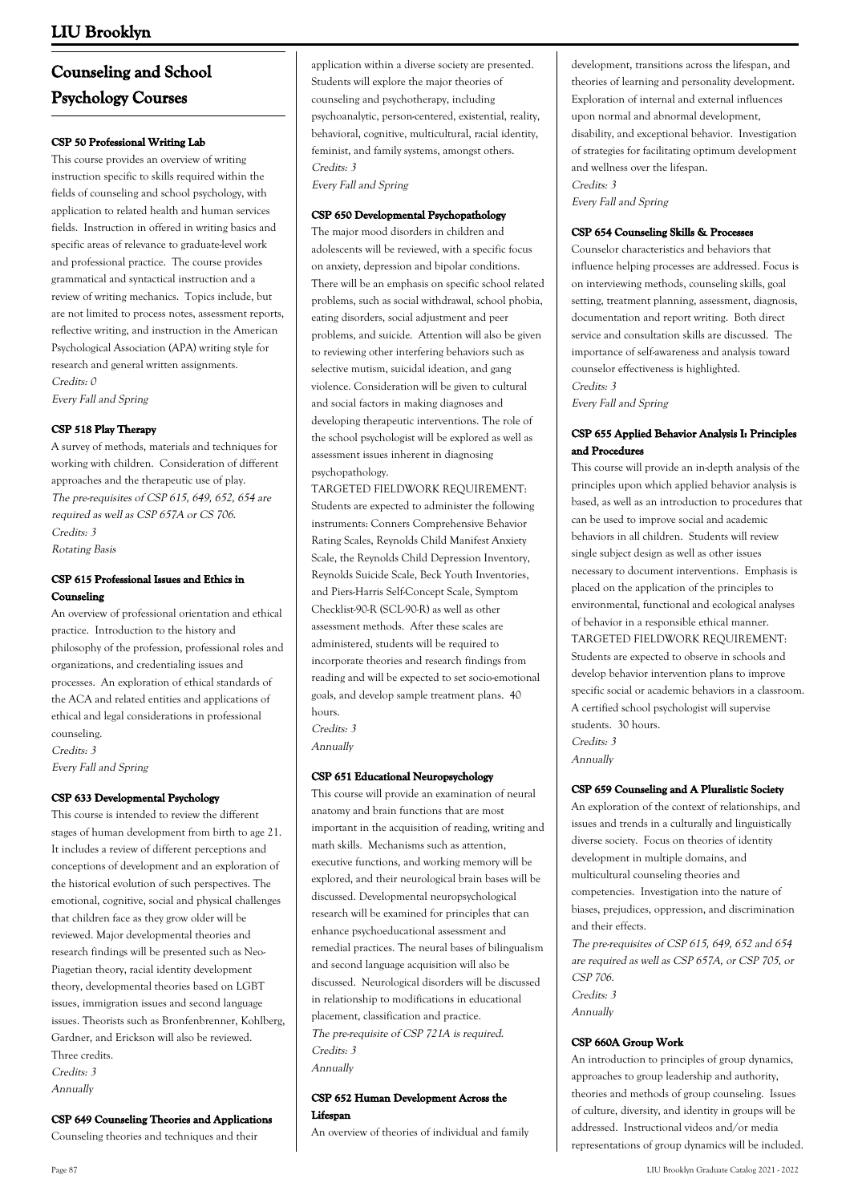# **Counseling and School Psychology Courses**

# **CSP 50 Professional Writing Lab**

This course provides an overview of writing instruction specific to skills required within the fields of counseling and school psychology, with application to related health and human services fields. Instruction in offered in writing basics and specific areas of relevance to graduate-level work and professional practice. The course provides grammatical and syntactical instruction and a review of writing mechanics. Topics include, but are not limited to process notes, assessment reports, reflective writing, and instruction in the American Psychological Association (APA) writing style for research and general written assignments. Credits: 0 Every Fall and Spring

## **CSP 518 Play Therapy**

A survey of methods, materials and techniques for working with children. Consideration of different approaches and the therapeutic use of play. The pre-requisites of CSP 615, 649, 652, 654 are required as well as CSP 657A or CS 706. Credits: 3 Rotating Basis

# **CSP 615 Professional Issues and Ethics in Counseling**

An overview of professional orientation and ethical practice. Introduction to the history and philosophy of the profession, professional roles and organizations, and credentialing issues and processes. An exploration of ethical standards of the ACA and related entities and applications of ethical and legal considerations in professional counseling. Credits: 3

Every Fall and Spring

### **CSP 633 Developmental Psychology**

This course is intended to review the different stages of human development from birth to age 21. It includes a review of different perceptions and conceptions of development and an exploration of the historical evolution of such perspectives. The emotional, cognitive, social and physical challenges that children face as they grow older will be reviewed. Major developmental theories and research findings will be presented such as Neo-Piagetian theory, racial identity development theory, developmental theories based on LGBT issues, immigration issues and second language issues. Theorists such as Bronfenbrenner, Kohlberg, Gardner, and Erickson will also be reviewed. Three credits. Credits: 3 Annually

**CSP 649 Counseling Theories and Applications**

Counseling theories and techniques and their

application within a diverse society are presented. Students will explore the major theories of counseling and psychotherapy, including psychoanalytic, person-centered, existential, reality, behavioral, cognitive, multicultural, racial identity, feminist, and family systems, amongst others. Credits: 3

Every Fall and Spring

#### **CSP 650 Developmental Psychopathology**

The major mood disorders in children and adolescents will be reviewed, with a specific focus on anxiety, depression and bipolar conditions. There will be an emphasis on specific school related problems, such as social withdrawal, school phobia, eating disorders, social adjustment and peer problems, and suicide. Attention will also be given to reviewing other interfering behaviors such as selective mutism, suicidal ideation, and gang violence. Consideration will be given to cultural and social factors in making diagnoses and developing therapeutic interventions. The role of the school psychologist will be explored as well as assessment issues inherent in diagnosing psychopathology.

TARGETED FIELDWORK REQUIREMENT: Students are expected to administer the following instruments: Conners Comprehensive Behavior Rating Scales, Reynolds Child Manifest Anxiety Scale, the Reynolds Child Depression Inventory, Reynolds Suicide Scale, Beck Youth Inventories, and Piers-Harris Self-Concept Scale, Symptom Checklist-90-R (SCL-90-R) as well as other assessment methods. After these scales are administered, students will be required to incorporate theories and research findings from reading and will be expected to set socio-emotional goals, and develop sample treatment plans. 40 hours.

Credits: 3 Annually

# **CSP 651 Educational Neuropsychology**

This course will provide an examination of neural anatomy and brain functions that are most important in the acquisition of reading, writing and math skills. Mechanisms such as attention, executive functions, and working memory will be explored, and their neurological brain bases will be discussed. Developmental neuropsychological research will be examined for principles that can enhance psychoeducational assessment and remedial practices. The neural bases of bilingualism and second language acquisition will also be discussed. Neurological disorders will be discussed in relationship to modifications in educational placement, classification and practice. The pre-requisite of CSP 721A is required. Credits: 3 Annually

**CSP 652 Human Development Across the Lifespan**

An overview of theories of individual and family

development, transitions across the lifespan, and theories of learning and personality development. Exploration of internal and external influences upon normal and abnormal development, disability, and exceptional behavior. Investigation of strategies for facilitating optimum development and wellness over the lifespan. Credits: 3

Every Fall and Spring

#### **CSP 654 Counseling Skills & Processes**

Counselor characteristics and behaviors that influence helping processes are addressed. Focus is on interviewing methods, counseling skills, goal setting, treatment planning, assessment, diagnosis, documentation and report writing. Both direct service and consultation skills are discussed. The importance of self-awareness and analysis toward counselor effectiveness is highlighted. Credits: 3 Every Fall and Spring

# **CSP 655 Applied Behavior Analysis I: Principles and Procedures**

This course will provide an in-depth analysis of the principles upon which applied behavior analysis is based, as well as an introduction to procedures that can be used to improve social and academic behaviors in all children. Students will review single subject design as well as other issues necessary to document interventions. Emphasis is placed on the application of the principles to environmental, functional and ecological analyses of behavior in a responsible ethical manner. TARGETED FIELDWORK REQUIREMENT: Students are expected to observe in schools and develop behavior intervention plans to improve specific social or academic behaviors in a classroom. A certified school psychologist will supervise students. 30 hours. Credits: 3 Annually

### **CSP 659 Counseling and A Pluralistic Society**

An exploration of the context of relationships, and issues and trends in a culturally and linguistically diverse society. Focus on theories of identity development in multiple domains, and multicultural counseling theories and competencies. Investigation into the nature of biases, prejudices, oppression, and discrimination and their effects.

The pre-requisites of CSP 615, 649, 652 and 654 are required as well as CSP 657A, or CSP 705, or  $CSP$  706 Credits: 3 Annually

### **CSP 660A Group Work**

An introduction to principles of group dynamics, approaches to group leadership and authority, theories and methods of group counseling. Issues of culture, diversity, and identity in groups will be addressed. Instructional videos and/or media representations of group dynamics will be included.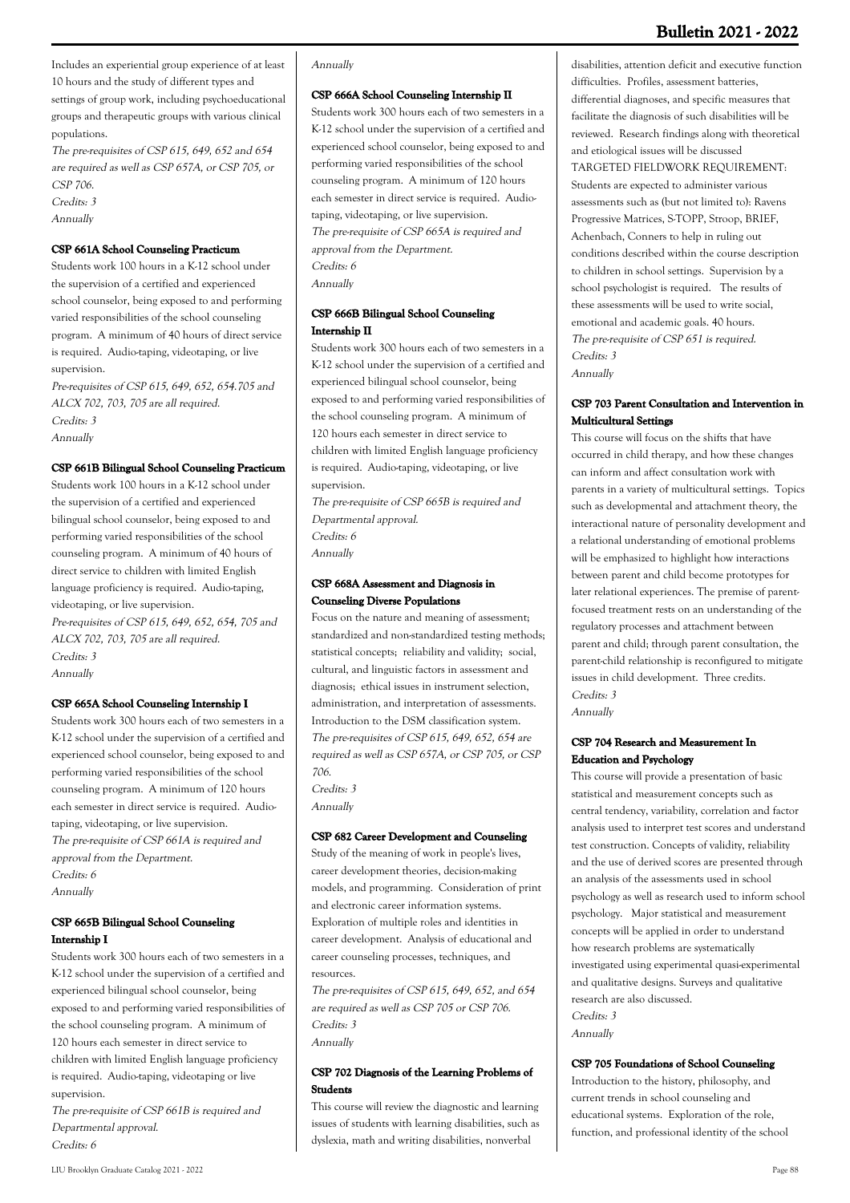**Bulletin 2021 - 2022**

Includes an experiential group experience of at least 10 hours and the study of different types and settings of group work, including psychoeducational groups and therapeutic groups with various clinical populations.

The pre-requisites of CSP 615, 649, 652 and 654 are required as well as CSP 657A, or CSP 705, or CSP 706. Credits: 3

Annually

# **CSP 661A School Counseling Practicum**

Students work 100 hours in a K-12 school under the supervision of a certified and experienced school counselor, being exposed to and performing varied responsibilities of the school counseling program. A minimum of 40 hours of direct service is required. Audio-taping, videotaping, or live supervision.

Pre-requisites of CSP 615, 649, 652, 654.705 and ALCX 702, 703, 705 are all required. Credits: 3 Annually

#### **CSP 661B Bilingual School Counseling Practicum**

Students work 100 hours in a K-12 school under the supervision of a certified and experienced bilingual school counselor, being exposed to and performing varied responsibilities of the school counseling program. A minimum of 40 hours of direct service to children with limited English language proficiency is required. Audio-taping, videotaping, or live supervision. Pre-requisites of CSP 615, 649, 652, 654, 705 and ALCX 702, 703, 705 are all required. Credits: 3

Annually

#### **CSP 665A School Counseling Internship I**

Students work 300 hours each of two semesters in a K-12 school under the supervision of a certified and experienced school counselor, being exposed to and performing varied responsibilities of the school counseling program. A minimum of 120 hours each semester in direct service is required. Audiotaping, videotaping, or live supervision. The pre-requisite of CSP 661A is required and approval from the Department. Credits: 6 Annually

# **CSP 665B Bilingual School Counseling Internship I**

Students work 300 hours each of two semesters in a K-12 school under the supervision of a certified and experienced bilingual school counselor, being exposed to and performing varied responsibilities of the school counseling program. A minimum of 120 hours each semester in direct service to children with limited English language proficiency is required. Audio-taping, videotaping or live supervision.

The pre-requisite of CSP 661B is required and Departmental approval. Credits: 6

### Annually

#### **CSP 666A School Counseling Internship II**

Students work 300 hours each of two semesters in a K-12 school under the supervision of a certified and experienced school counselor, being exposed to and performing varied responsibilities of the school counseling program. A minimum of 120 hours each semester in direct service is required. Audiotaping, videotaping, or live supervision. The pre-requisite of CSP 665A is required and approval from the Department. Credits: 6 Annually

# **CSP 666B Bilingual School Counseling Internship II**

Students work 300 hours each of two semesters in a K-12 school under the supervision of a certified and experienced bilingual school counselor, being exposed to and performing varied responsibilities of the school counseling program. A minimum of 120 hours each semester in direct service to children with limited English language proficiency is required. Audio-taping, videotaping, or live supervision.

The pre-requisite of CSP 665B is required and Departmental approval. Credits: 6 Annually

### **CSP 668A Assessment and Diagnosis in Counseling Diverse Populations**

Focus on the nature and meaning of assessment; standardized and non-standardized testing methods; statistical concepts; reliability and validity; social, cultural, and linguistic factors in assessment and diagnosis; ethical issues in instrument selection, administration, and interpretation of assessments. Introduction to the DSM classification system. The pre-requisites of CSP 615, 649, 652, 654 are required as well as CSP 657A, or CSP 705, or CSP 706.

Credits: 3 Annually

#### **CSP 682 Career Development and Counseling**

Study of the meaning of work in people's lives, career development theories, decision-making models, and programming. Consideration of print and electronic career information systems. Exploration of multiple roles and identities in career development. Analysis of educational and career counseling processes, techniques, and resources.

The pre-requisites of CSP 615, 649, 652, and 654 are required as well as CSP 705 or CSP 706. Credits: 3 Annually

## **CSP 702 Diagnosis of the Learning Problems of Students**

This course will review the diagnostic and learning issues of students with learning disabilities, such as dyslexia, math and writing disabilities, nonverbal

disabilities, attention deficit and executive function difficulties. Profiles, assessment batteries, differential diagnoses, and specific measures that facilitate the diagnosis of such disabilities will be reviewed. Research findings along with theoretical and etiological issues will be discussed TARGETED FIELDWORK REQUIREMENT: Students are expected to administer various assessments such as (but not limited to): Ravens Progressive Matrices, S-TOPP, Stroop, BRIEF, Achenbach, Conners to help in ruling out conditions described within the course description to children in school settings. Supervision by a school psychologist is required. The results of these assessments will be used to write social, emotional and academic goals. 40 hours. The pre-requisite of CSP 651 is required. Credits: 3 Annually

## **CSP 703 Parent Consultation and Intervention in Multicultural Settings**

This course will focus on the shifts that have occurred in child therapy, and how these changes can inform and affect consultation work with parents in a variety of multicultural settings. Topics such as developmental and attachment theory, the interactional nature of personality development and a relational understanding of emotional problems will be emphasized to highlight how interactions between parent and child become prototypes for later relational experiences. The premise of parentfocused treatment rests on an understanding of the regulatory processes and attachment between parent and child; through parent consultation, the parent-child relationship is reconfigured to mitigate issues in child development. Three credits. Credits: 3

Annually

### **CSP 704 Research and Measurement In Education and Psychology**

This course will provide a presentation of basic statistical and measurement concepts such as central tendency, variability, correlation and factor analysis used to interpret test scores and understand test construction. Concepts of validity, reliability and the use of derived scores are presented through an analysis of the assessments used in school psychology as well as research used to inform school psychology. Major statistical and measurement concepts will be applied in order to understand how research problems are systematically investigated using experimental quasi-experimental and qualitative designs. Surveys and qualitative research are also discussed.

Credits: 3 Annually

#### **CSP 705 Foundations of School Counseling**

Introduction to the history, philosophy, and current trends in school counseling and educational systems. Exploration of the role, function, and professional identity of the school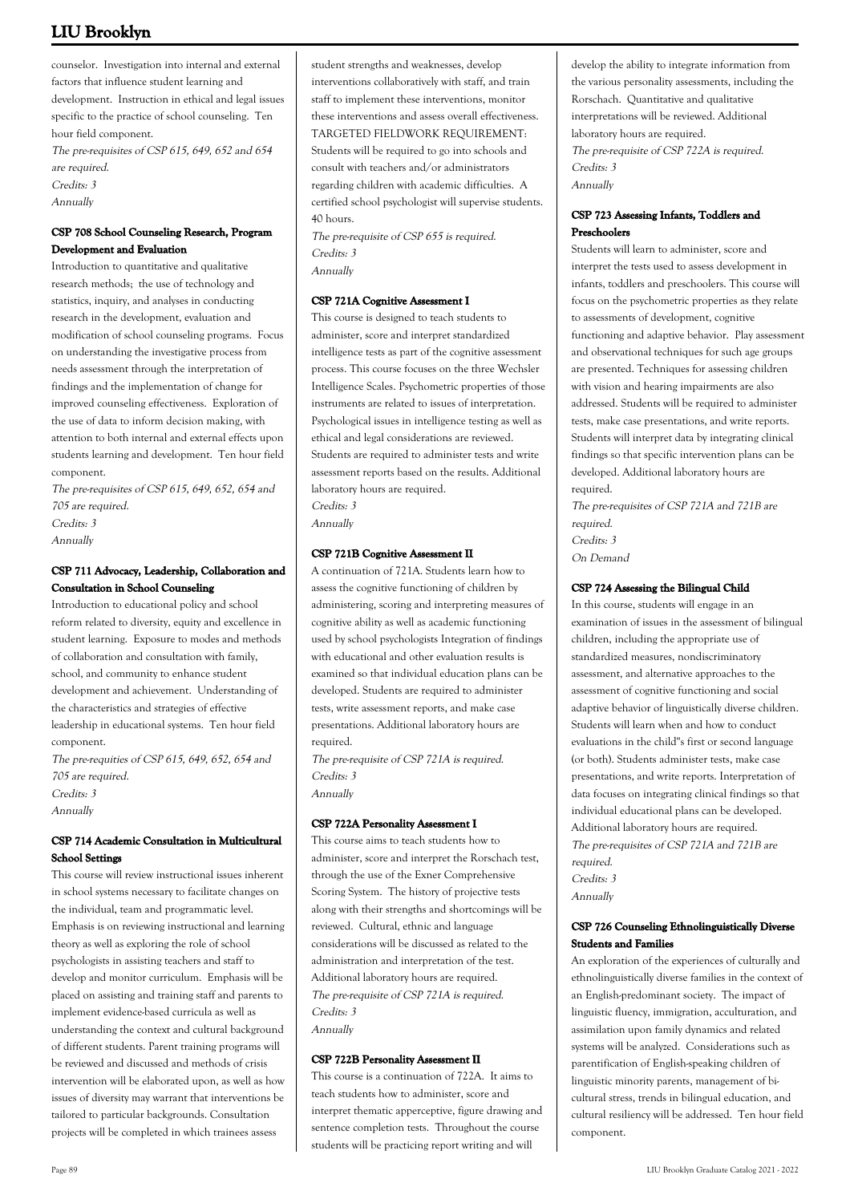counselor. Investigation into internal and external factors that influence student learning and development. Instruction in ethical and legal issues specific to the practice of school counseling. Ten hour field component.

The pre-requisites of CSP 615, 649, 652 and 654 are required. Credits: 3

Annually

# **CSP 708 School Counseling Research, Program Development and Evaluation**

Introduction to quantitative and qualitative research methods; the use of technology and statistics, inquiry, and analyses in conducting research in the development, evaluation and modification of school counseling programs. Focus on understanding the investigative process from needs assessment through the interpretation of findings and the implementation of change for improved counseling effectiveness. Exploration of the use of data to inform decision making, with attention to both internal and external effects upon students learning and development. Ten hour field component.

The pre-requisites of CSP 615, 649, 652, 654 and 705 are required. Credits: 3 Annually

# **CSP 711 Advocacy, Leadership, Collaboration and Consultation in School Counseling**

Introduction to educational policy and school reform related to diversity, equity and excellence in student learning. Exposure to modes and methods of collaboration and consultation with family, school, and community to enhance student development and achievement. Understanding of the characteristics and strategies of effective leadership in educational systems. Ten hour field component.

The pre-requities of CSP 615, 649, 652, 654 and 705 are required. Credits: 3 Annually

# **CSP 714 Academic Consultation in Multicultural School Settings**

This course will review instructional issues inherent in school systems necessary to facilitate changes on the individual, team and programmatic level. Emphasis is on reviewing instructional and learning theory as well as exploring the role of school psychologists in assisting teachers and staff to develop and monitor curriculum. Emphasis will be placed on assisting and training staff and parents to implement evidence-based curricula as well as understanding the context and cultural background of different students. Parent training programs will be reviewed and discussed and methods of crisis intervention will be elaborated upon, as well as how issues of diversity may warrant that interventions be tailored to particular backgrounds. Consultation projects will be completed in which trainees assess

student strengths and weaknesses, develop interventions collaboratively with staff, and train staff to implement these interventions, monitor these interventions and assess overall effectiveness. TARGETED FIELDWORK REQUIREMENT: Students will be required to go into schools and consult with teachers and/or administrators regarding children with academic difficulties. A certified school psychologist will supervise students. 40 hours.

The pre-requisite of CSP 655 is required. Credits: 3 Annually

## **CSP 721A Cognitive Assessment I**

This course is designed to teach students to administer, score and interpret standardized intelligence tests as part of the cognitive assessment process. This course focuses on the three Wechsler Intelligence Scales. Psychometric properties of those instruments are related to issues of interpretation. Psychological issues in intelligence testing as well as ethical and legal considerations are reviewed. Students are required to administer tests and write assessment reports based on the results. Additional laboratory hours are required. Credits: 3

Annually

# **CSP 721B Cognitive Assessment II**

A continuation of 721A. Students learn how to assess the cognitive functioning of children by administering, scoring and interpreting measures of cognitive ability as well as academic functioning used by school psychologists Integration of findings with educational and other evaluation results is examined so that individual education plans can be developed. Students are required to administer tests, write assessment reports, and make case presentations. Additional laboratory hours are required.

The pre-requisite of CSP 721A is required. Credits: 3 Annually

### **CSP 722A Personality Assessment I**

This course aims to teach students how to administer, score and interpret the Rorschach test, through the use of the Exner Comprehensive Scoring System. The history of projective tests along with their strengths and shortcomings will be reviewed. Cultural, ethnic and language considerations will be discussed as related to the administration and interpretation of the test. Additional laboratory hours are required. The pre-requisite of CSP 721A is required. Credits: 3 Annually

### **CSP 722B Personality Assessment II**

This course is a continuation of 722A. It aims to teach students how to administer, score and interpret thematic apperceptive, figure drawing and sentence completion tests. Throughout the course students will be practicing report writing and will

develop the ability to integrate information from the various personality assessments, including the Rorschach. Quantitative and qualitative interpretations will be reviewed. Additional laboratory hours are required. The pre-requisite of CSP 722A is required. Credits: 3 Annually

## **CSP 723 Assessing Infants, Toddlers and Preschoolers**

Students will learn to administer, score and interpret the tests used to assess development in infants, toddlers and preschoolers. This course will focus on the psychometric properties as they relate to assessments of development, cognitive functioning and adaptive behavior. Play assessment and observational techniques for such age groups are presented. Techniques for assessing children with vision and hearing impairments are also addressed. Students will be required to administer tests, make case presentations, and write reports. Students will interpret data by integrating clinical findings so that specific intervention plans can be developed. Additional laboratory hours are required.

The pre-requisites of CSP 721A and 721B are required. Credits: 3 On Demand

## **CSP 724 Assessing the Bilingual Child**

In this course, students will engage in an examination of issues in the assessment of bilingual children, including the appropriate use of standardized measures, nondiscriminatory assessment, and alternative approaches to the assessment of cognitive functioning and social adaptive behavior of linguistically diverse children. Students will learn when and how to conduct evaluations in the child''s first or second language (or both). Students administer tests, make case presentations, and write reports. Interpretation of data focuses on integrating clinical findings so that individual educational plans can be developed. Additional laboratory hours are required. The pre-requisites of CSP 721A and 721B are required. Credits: 3 Annually

# **CSP 726 Counseling Ethnolinguistically Diverse Students and Families**

An exploration of the experiences of culturally and ethnolinguistically diverse families in the context of an English-predominant society. The impact of linguistic fluency, immigration, acculturation, and assimilation upon family dynamics and related systems will be analyzed. Considerations such as parentification of English-speaking children of linguistic minority parents, management of bicultural stress, trends in bilingual education, and cultural resiliency will be addressed. Ten hour field component.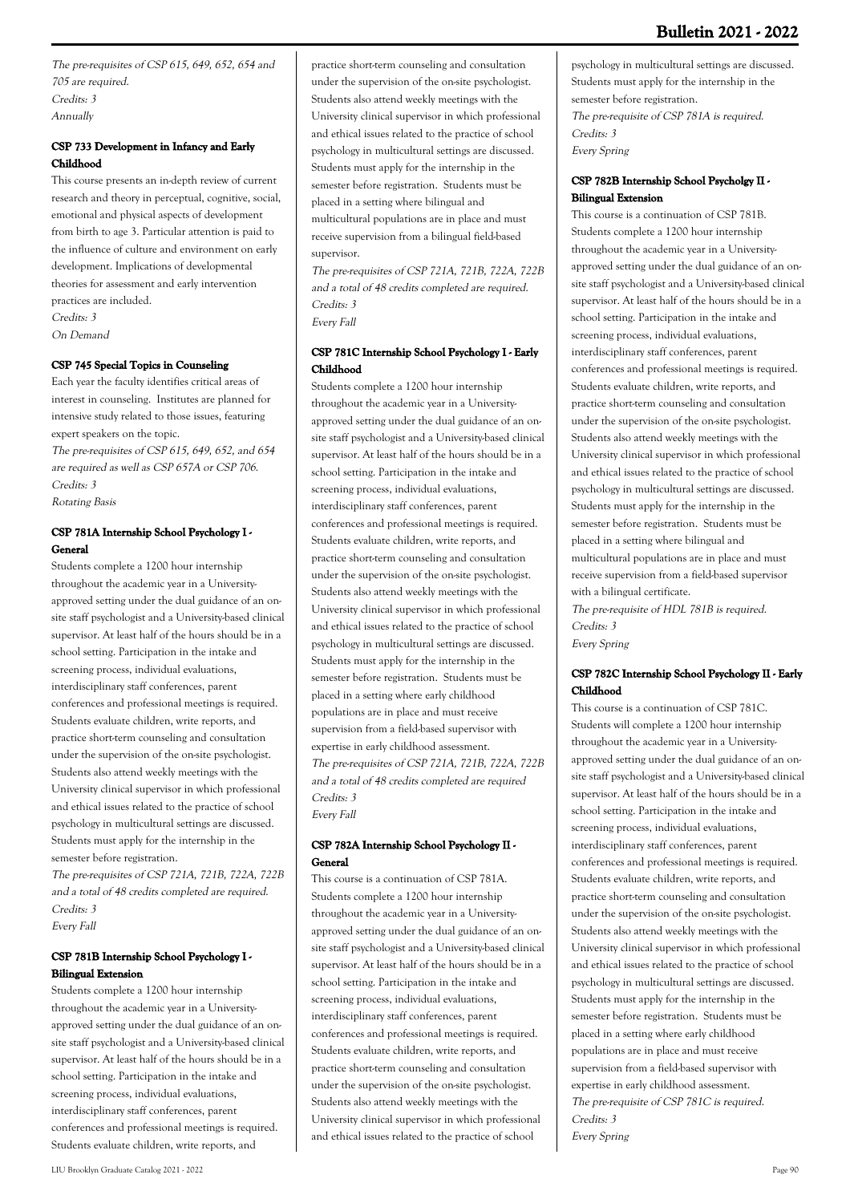The pre-requisites of CSP 615, 649, 652, 654 and 705 are required. Credits: 3 Annually

# **CSP 733 Development in Infancy and Early Childhood**

This course presents an in-depth review of current research and theory in perceptual, cognitive, social, emotional and physical aspects of development from birth to age 3. Particular attention is paid to the influence of culture and environment on early development. Implications of developmental theories for assessment and early intervention practices are included. Credits: 3

On Demand

# **CSP 745 Special Topics in Counseling**

Each year the faculty identifies critical areas of interest in counseling. Institutes are planned for intensive study related to those issues, featuring expert speakers on the topic.

The pre-requisites of CSP 615, 649, 652, and 654 are required as well as CSP 657A or CSP 706. Credits: 3 Rotating Basis

# **CSP 781A Internship School Psychology I - General**

Students complete a 1200 hour internship throughout the academic year in a Universityapproved setting under the dual guidance of an onsite staff psychologist and a University-based clinical supervisor. At least half of the hours should be in a school setting. Participation in the intake and screening process, individual evaluations, interdisciplinary staff conferences, parent conferences and professional meetings is required. Students evaluate children, write reports, and practice short-term counseling and consultation under the supervision of the on-site psychologist. Students also attend weekly meetings with the University clinical supervisor in which professional and ethical issues related to the practice of school psychology in multicultural settings are discussed. Students must apply for the internship in the semester before registration.

The pre-requisites of CSP 721A, 721B, 722A, 722B and a total of 48 credits completed are required. Credits: 3 Every Fall

# **CSP 781B Internship School Psychology I - Bilingual Extension**

Students complete a 1200 hour internship throughout the academic year in a Universityapproved setting under the dual guidance of an onsite staff psychologist and a University-based clinical supervisor. At least half of the hours should be in a school setting. Participation in the intake and screening process, individual evaluations, interdisciplinary staff conferences, parent conferences and professional meetings is required. Students evaluate children, write reports, and

practice short-term counseling and consultation under the supervision of the on-site psychologist. Students also attend weekly meetings with the University clinical supervisor in which professional and ethical issues related to the practice of school psychology in multicultural settings are discussed. Students must apply for the internship in the semester before registration. Students must be placed in a setting where bilingual and multicultural populations are in place and must receive supervision from a bilingual field-based supervisor.

The pre-requisites of CSP 721A, 721B, 722A, 722B and a total of 48 credits completed are required. Credits: 3 Every Fall

# **CSP 781C Internship School Psychology I - Early Childhood**

Students complete a 1200 hour internship throughout the academic year in a Universityapproved setting under the dual guidance of an onsite staff psychologist and a University-based clinical supervisor. At least half of the hours should be in a school setting. Participation in the intake and screening process, individual evaluations, interdisciplinary staff conferences, parent conferences and professional meetings is required. Students evaluate children, write reports, and practice short-term counseling and consultation under the supervision of the on-site psychologist. Students also attend weekly meetings with the University clinical supervisor in which professional and ethical issues related to the practice of school psychology in multicultural settings are discussed. Students must apply for the internship in the semester before registration. Students must be placed in a setting where early childhood populations are in place and must receive supervision from a field-based supervisor with expertise in early childhood assessment. The pre-requisites of CSP 721A, 721B, 722A, 722B and a total of 48 credits completed are required Credits: 3 Every Fall

# **CSP 782A Internship School Psychology II - General**

This course is a continuation of CSP 781A. Students complete a 1200 hour internship throughout the academic year in a Universityapproved setting under the dual guidance of an onsite staff psychologist and a University-based clinical supervisor. At least half of the hours should be in a school setting. Participation in the intake and screening process, individual evaluations, interdisciplinary staff conferences, parent conferences and professional meetings is required. Students evaluate children, write reports, and practice short-term counseling and consultation under the supervision of the on-site psychologist. Students also attend weekly meetings with the University clinical supervisor in which professional and ethical issues related to the practice of school

psychology in multicultural settings are discussed. Students must apply for the internship in the semester before registration. The pre-requisite of CSP 781A is required. Credits: 3 Every Spring

# **CSP 782B Internship School Psycholgy II - Bilingual Extension**

This course is a continuation of CSP 781B. Students complete a 1200 hour internship throughout the academic year in a Universityapproved setting under the dual guidance of an onsite staff psychologist and a University-based clinical supervisor. At least half of the hours should be in a school setting. Participation in the intake and screening process, individual evaluations, interdisciplinary staff conferences, parent conferences and professional meetings is required. Students evaluate children, write reports, and practice short-term counseling and consultation under the supervision of the on-site psychologist. Students also attend weekly meetings with the University clinical supervisor in which professional and ethical issues related to the practice of school psychology in multicultural settings are discussed. Students must apply for the internship in the semester before registration. Students must be placed in a setting where bilingual and multicultural populations are in place and must receive supervision from a field-based supervisor with a bilingual certificate.

The pre-requisite of HDL 781B is required. Credits: 3 Every Spring

# **CSP 782C Internship School Psychology II - Early Childhood**

This course is a continuation of CSP 781C. Students will complete a 1200 hour internship throughout the academic year in a Universityapproved setting under the dual guidance of an onsite staff psychologist and a University-based clinical supervisor. At least half of the hours should be in a school setting. Participation in the intake and screening process, individual evaluations, interdisciplinary staff conferences, parent conferences and professional meetings is required. Students evaluate children, write reports, and practice short-term counseling and consultation under the supervision of the on-site psychologist. Students also attend weekly meetings with the University clinical supervisor in which professional and ethical issues related to the practice of school psychology in multicultural settings are discussed. Students must apply for the internship in the semester before registration. Students must be placed in a setting where early childhood populations are in place and must receive supervision from a field-based supervisor with expertise in early childhood assessment. The pre-requisite of CSP 781C is required. Credits: 3 Every Spring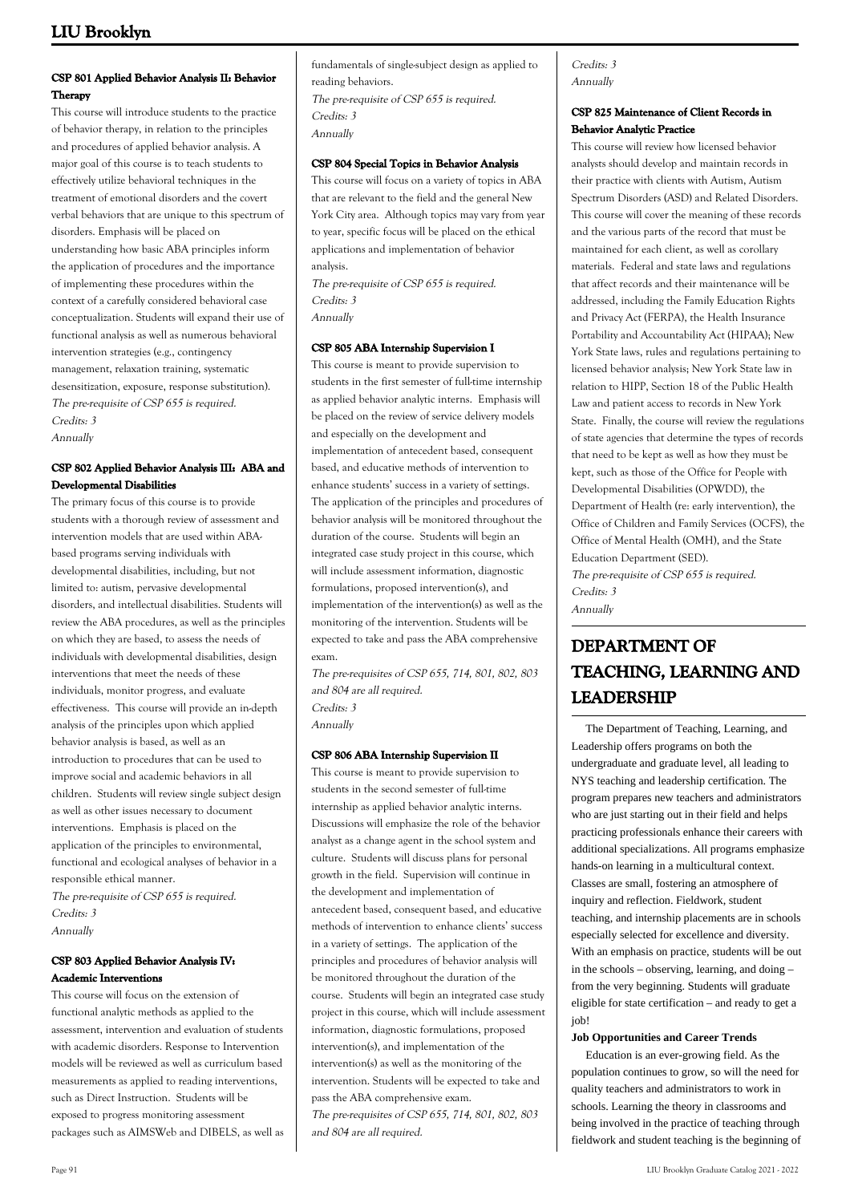# **CSP 801 Applied Behavior Analysis II: Behavior Therapy**

This course will introduce students to the practice of behavior therapy, in relation to the principles and procedures of applied behavior analysis. A major goal of this course is to teach students to effectively utilize behavioral techniques in the treatment of emotional disorders and the covert verbal behaviors that are unique to this spectrum of disorders. Emphasis will be placed on understanding how basic ABA principles inform the application of procedures and the importance of implementing these procedures within the context of a carefully considered behavioral case conceptualization. Students will expand their use of functional analysis as well as numerous behavioral intervention strategies (e.g., contingency management, relaxation training, systematic desensitization, exposure, response substitution). The pre-requisite of CSP 655 is required. Credits: 3 Annually

## **CSP 802 Applied Behavior Analysis III: ABA and Developmental Disabilities**

The primary focus of this course is to provide students with a thorough review of assessment and intervention models that are used within ABAbased programs serving individuals with developmental disabilities, including, but not limited to: autism, pervasive developmental disorders, and intellectual disabilities. Students will review the ABA procedures, as well as the principles on which they are based, to assess the needs of individuals with developmental disabilities, design interventions that meet the needs of these individuals, monitor progress, and evaluate effectiveness. This course will provide an in-depth analysis of the principles upon which applied behavior analysis is based, as well as an introduction to procedures that can be used to improve social and academic behaviors in all children. Students will review single subject design as well as other issues necessary to document interventions. Emphasis is placed on the application of the principles to environmental, functional and ecological analyses of behavior in a responsible ethical manner.

The pre-requisite of CSP 655 is required. Credits: 3 Annually

# **CSP 803 Applied Behavior Analysis IV: Academic Interventions**

This course will focus on the extension of functional analytic methods as applied to the assessment, intervention and evaluation of students with academic disorders. Response to Intervention models will be reviewed as well as curriculum based measurements as applied to reading interventions, such as Direct Instruction. Students will be exposed to progress monitoring assessment packages such as AIMSWeb and DIBELS, as well as fundamentals of single-subject design as applied to reading behaviors. The pre-requisite of CSP 655 is required. Credits: 3

Annually

## **CSP 804 Special Topics in Behavior Analysis**

This course will focus on a variety of topics in ABA that are relevant to the field and the general New York City area. Although topics may vary from year to year, specific focus will be placed on the ethical applications and implementation of behavior analysis.

The pre-requisite of CSP 655 is required. Credits: 3 Annually

# **CSP 805 ABA Internship Supervision I**

This course is meant to provide supervision to students in the first semester of full-time internship as applied behavior analytic interns. Emphasis will be placed on the review of service delivery models and especially on the development and implementation of antecedent based, consequent based, and educative methods of intervention to enhance students' success in a variety of settings. The application of the principles and procedures of behavior analysis will be monitored throughout the duration of the course. Students will begin an integrated case study project in this course, which will include assessment information, diagnostic formulations, proposed intervention(s), and implementation of the intervention(s) as well as the monitoring of the intervention. Students will be expected to take and pass the ABA comprehensive exam.

The pre-requisites of CSP 655, 714, 801, 802, 803 and 804 are all required. Credits: 3 Annually

# **CSP 806 ABA Internship Supervision II**

This course is meant to provide supervision to students in the second semester of full-time internship as applied behavior analytic interns. Discussions will emphasize the role of the behavior analyst as a change agent in the school system and culture. Students will discuss plans for personal growth in the field. Supervision will continue in the development and implementation of antecedent based, consequent based, and educative methods of intervention to enhance clients' success in a variety of settings. The application of the principles and procedures of behavior analysis will be monitored throughout the duration of the course. Students will begin an integrated case study project in this course, which will include assessment information, diagnostic formulations, proposed intervention(s), and implementation of the intervention(s) as well as the monitoring of the intervention. Students will be expected to take and pass the ABA comprehensive exam. The pre-requisites of CSP 655, 714, 801, 802, 803 and 804 are all required.

## Credits: 3 Annually

## **CSP 825 Maintenance of Client Records in Behavior Analytic Practice**

This course will review how licensed behavior analysts should develop and maintain records in their practice with clients with Autism, Autism Spectrum Disorders (ASD) and Related Disorders. This course will cover the meaning of these records and the various parts of the record that must be maintained for each client, as well as corollary materials. Federal and state laws and regulations that affect records and their maintenance will be addressed, including the Family Education Rights and Privacy Act (FERPA), the Health Insurance Portability and Accountability Act (HIPAA); New York State laws, rules and regulations pertaining to licensed behavior analysis; New York State law in relation to HIPP, Section 18 of the Public Health Law and patient access to records in New York State. Finally, the course will review the regulations of state agencies that determine the types of records that need to be kept as well as how they must be kept, such as those of the Office for People with Developmental Disabilities (OPWDD), the Department of Health (re: early intervention), the Office of Children and Family Services (OCFS), the Office of Mental Health (OMH), and the State Education Department (SED). The pre-requisite of CSP 655 is required. Credits: 3 Annually

# **DEPARTMENT OF TEACHING, LEARNING AND LEADERSHIP**

 The Department of Teaching, Learning, and Leadership offers programs on both the undergraduate and graduate level, all leading to NYS teaching and leadership certification. The program prepares new teachers and administrators who are just starting out in their field and helps practicing professionals enhance their careers with additional specializations. All programs emphasize hands-on learning in a multicultural context. Classes are small, fostering an atmosphere of inquiry and reflection. Fieldwork, student teaching, and internship placements are in schools especially selected for excellence and diversity. With an emphasis on practice, students will be out in the schools – observing, learning, and doing – from the very beginning. Students will graduate eligible for state certification – and ready to get a job!

### **Job Opportunities and Career Trends**

 Education is an ever-growing field. As the population continues to grow, so will the need for quality teachers and administrators to work in schools. Learning the theory in classrooms and being involved in the practice of teaching through fieldwork and student teaching is the beginning of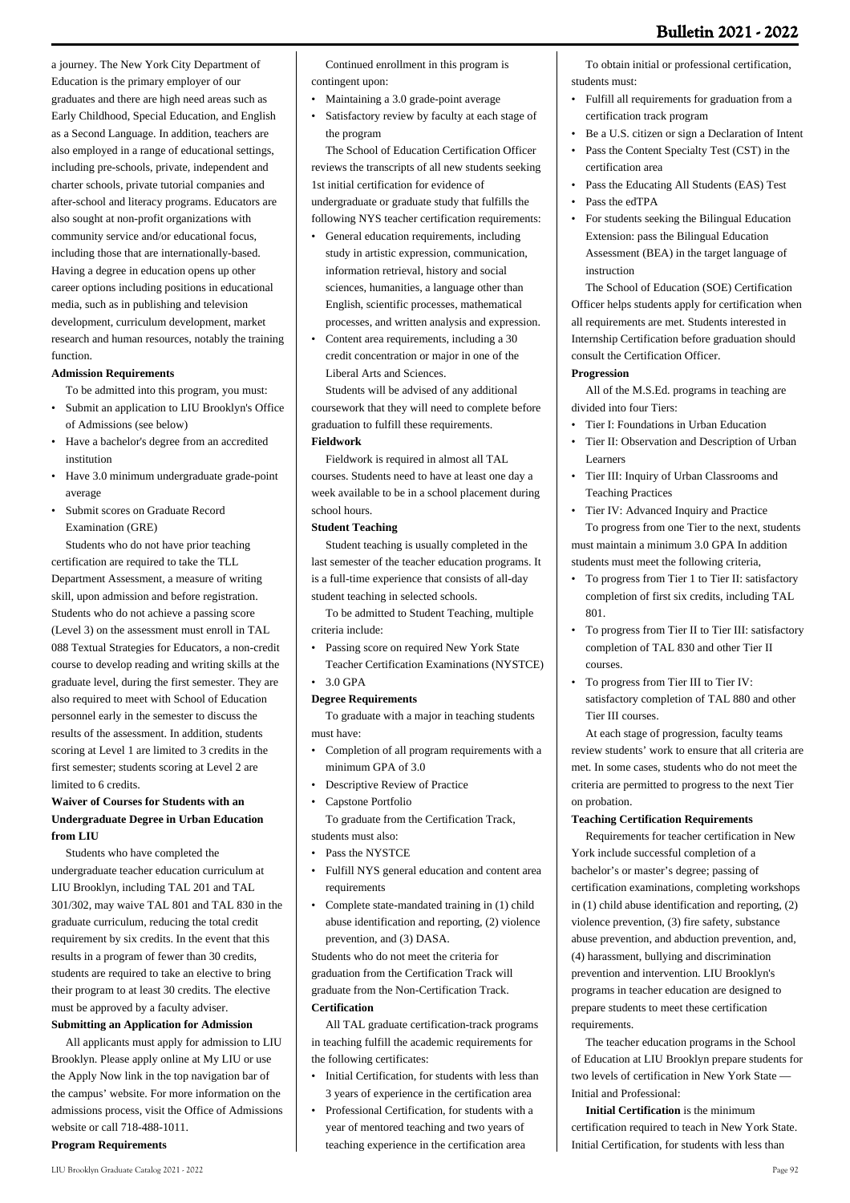a journey. The New York City Department of Education is the primary employer of our graduates and there are high need areas such as Early Childhood, Special Education, and English as a Second Language. In addition, teachers are also employed in a range of educational settings, including pre-schools, private, independent and charter schools, private tutorial companies and after-school and literacy programs. Educators are also sought at non-profit organizations with community service and/or educational focus, including those that are internationally-based. Having a degree in education opens up other career options including positions in educational media, such as in publishing and television development, curriculum development, market research and human resources, notably the training function.

## **Admission Requirements**

To be admitted into this program, you must:

- Submit an application to LIU Brooklyn's Office of Admissions (see below)
- Have a bachelor's degree from an accredited institution •
- Have 3.0 minimum undergraduate grade-point average
- Submit scores on Graduate Record Examination (GRE)

 Students who do not have prior teaching certification are required to take the TLL Department Assessment, a measure of writing skill, upon admission and before registration. Students who do not achieve a passing score (Level 3) on the assessment must enroll in TAL 088 Textual Strategies for Educators, a non-credit course to develop reading and writing skills at the graduate level, during the first semester. They are also required to meet with School of Education personnel early in the semester to discuss the results of the assessment. In addition, students scoring at Level 1 are limited to 3 credits in the first semester; students scoring at Level 2 are limited to 6 credits.

# **Waiver of Courses for Students with an Undergraduate Degree in Urban Education from LIU**

 Students who have completed the undergraduate teacher education curriculum at LIU Brooklyn, including TAL 201 and TAL 301/302, may waive TAL 801 and TAL 830 in the graduate curriculum, reducing the total credit requirement by six credits. In the event that this results in a program of fewer than 30 credits, students are required to take an elective to bring their program to at least 30 credits. The elective must be approved by a faculty adviser.

# **Submitting an Application for Admission**

 All applicants must apply for admission to LIU Brooklyn. Please apply online at My LIU or use the Apply Now link in the top navigation bar of the campus' website. For more information on the admissions process, visit the Office of Admissions website or call 718-488-1011.

**Program Requirements**

 Continued enrollment in this program is contingent upon:

- Maintaining a 3.0 grade-point average
- Satisfactory review by faculty at each stage of the program

 The School of Education Certification Officer reviews the transcripts of all new students seeking 1st initial certification for evidence of undergraduate or graduate study that fulfills the following NYS teacher certification requirements:

- General education requirements, including study in artistic expression, communication, information retrieval, history and social sciences, humanities, a language other than English, scientific processes, mathematical processes, and written analysis and expression.
- Content area requirements, including a 30 credit concentration or major in one of the Liberal Arts and Sciences. •

 Students will be advised of any additional coursework that they will need to complete before graduation to fulfill these requirements.

### **Fieldwork**

 Fieldwork is required in almost all TAL courses. Students need to have at least one day a week available to be in a school placement during school hours.

## **Student Teaching**

 Student teaching is usually completed in the last semester of the teacher education programs. It is a full-time experience that consists of all-day student teaching in selected schools.

 To be admitted to Student Teaching, multiple criteria include:

- Passing score on required New York State •
- Teacher Certification Examinations (NYSTCE) • 3.0 GPA

#### **Degree Requirements**

 To graduate with a major in teaching students must have:

- Completion of all program requirements with a minimum GPA of 3.0
- Descriptive Review of Practice

• Capstone Portfolio

 To graduate from the Certification Track, students must also:

- Pass the NYSTCE
- Fulfill NYS general education and content area requirements
- Complete state-mandated training in (1) child abuse identification and reporting, (2) violence prevention, and (3) DASA. •

Students who do not meet the criteria for graduation from the Certification Track will graduate from the Non-Certification Track. **Certification**

 All TAL graduate certification-track programs in teaching fulfill the academic requirements for the following certificates:

- Initial Certification, for students with less than 3 years of experience in the certification area
- Professional Certification, for students with a year of mentored teaching and two years of teaching experience in the certification area •

 To obtain initial or professional certification, students must:

- Fulfill all requirements for graduation from a certification track program
- Be a U.S. citizen or sign a Declaration of Intent
- Pass the Content Specialty Test (CST) in the certification area •
- Pass the Educating All Students (EAS) Test
- Pass the edTPA
- For students seeking the Bilingual Education Extension: pass the Bilingual Education Assessment (BEA) in the target language of instruction •

 The School of Education (SOE) Certification Officer helps students apply for certification when all requirements are met. Students interested in Internship Certification before graduation should consult the Certification Officer.

#### **Progression**

 All of the M.S.Ed. programs in teaching are divided into four Tiers:

- Tier I: Foundations in Urban Education
- Tier II: Observation and Description of Urban Learners •
- Tier III: Inquiry of Urban Classrooms and Teaching Practices

• Tier IV: Advanced Inquiry and Practice To progress from one Tier to the next, students must maintain a minimum 3.0 GPA In addition students must meet the following criteria,

- To progress from Tier 1 to Tier II: satisfactory completion of first six credits, including TAL 801. •
- To progress from Tier II to Tier III: satisfactory completion of TAL 830 and other Tier II courses.
- To progress from Tier III to Tier IV: satisfactory completion of TAL 880 and other Tier III courses. •

 At each stage of progression, faculty teams review students' work to ensure that all criteria are met. In some cases, students who do not meet the criteria are permitted to progress to the next Tier on probation.

### **Teaching Certification Requirements**

 Requirements for teacher certification in New York include successful completion of a bachelor's or master's degree; passing of certification examinations, completing workshops in (1) child abuse identification and reporting, (2) violence prevention, (3) fire safety, substance abuse prevention, and abduction prevention, and, (4) harassment, bullying and discrimination prevention and intervention. LIU Brooklyn's programs in teacher education are designed to prepare students to meet these certification requirements.

 The teacher education programs in the School of Education at LIU Brooklyn prepare students for two levels of certification in New York State — Initial and Professional:

 **Initial Certification** is the minimum certification required to teach in New York State. Initial Certification, for students with less than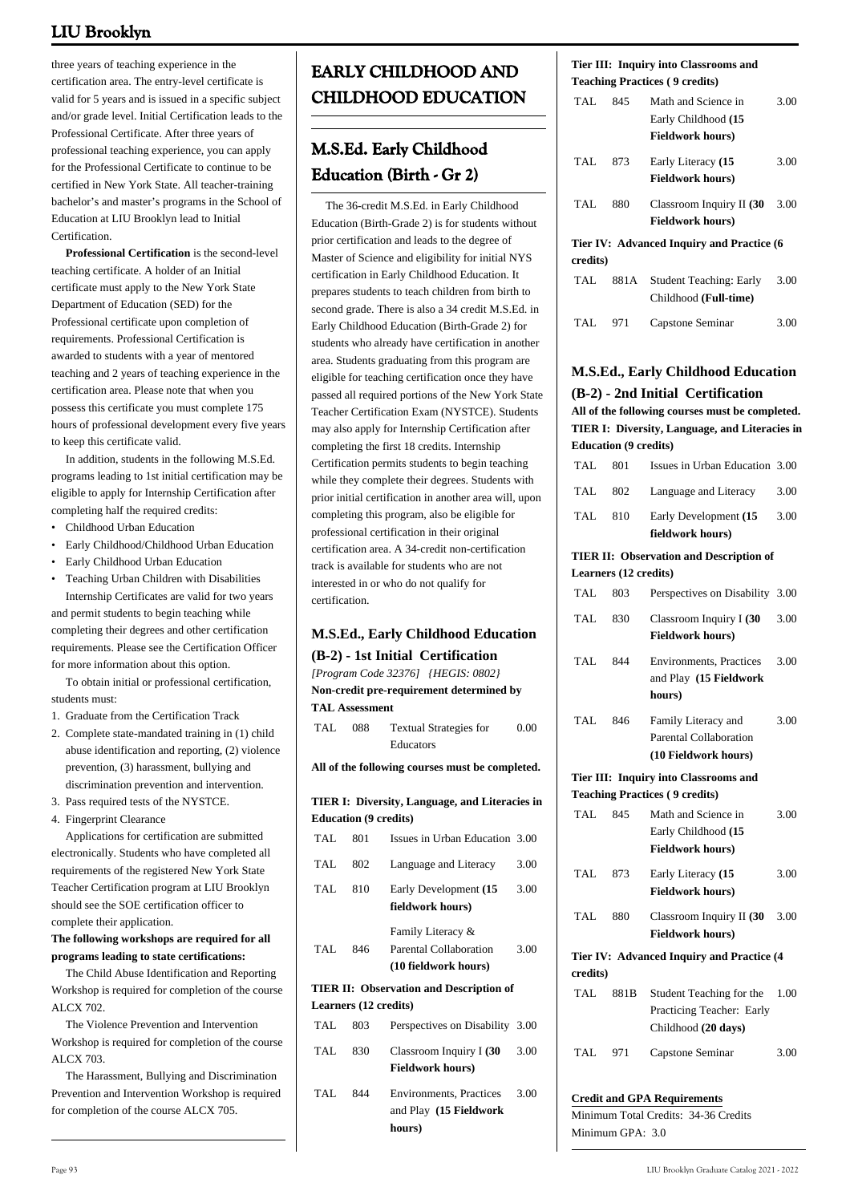three years of teaching experience in the certification area. The entry-level certificate is valid for 5 years and is issued in a specific subject and/or grade level. Initial Certification leads to the Professional Certificate. After three years of professional teaching experience, you can apply for the Professional Certificate to continue to be certified in New York State. All teacher-training bachelor's and master's programs in the School of Education at LIU Brooklyn lead to Initial Certification.

 **Professional Certification** is the second-level teaching certificate. A holder of an Initial certificate must apply to the New York State Department of Education (SED) for the Professional certificate upon completion of requirements. Professional Certification is awarded to students with a year of mentored teaching and 2 years of teaching experience in the certification area. Please note that when you possess this certificate you must complete 175 hours of professional development every five years to keep this certificate valid.

 In addition, students in the following M.S.Ed. programs leading to 1st initial certification may be eligible to apply for Internship Certification after completing half the required credits:

- Childhood Urban Education
- Early Childhood/Childhood Urban Education
- Early Childhood Urban Education
- Teaching Urban Children with Disabilities Internship Certificates are valid for two years and permit students to begin teaching while completing their degrees and other certification requirements. Please see the Certification Officer for more information about this option.

 To obtain initial or professional certification, students must:

1. Graduate from the Certification Track

- 2. Complete state-mandated training in (1) child abuse identification and reporting, (2) violence prevention, (3) harassment, bullying and discrimination prevention and intervention.
- 3. Pass required tests of the NYSTCE.
- 4. Fingerprint Clearance

 Applications for certification are submitted electronically. Students who have completed all requirements of the registered New York State Teacher Certification program at LIU Brooklyn should see the SOE certification officer to complete their application.

## **The following workshops are required for all programs leading to state certifications:**

 The Child Abuse Identification and Reporting Workshop is required for completion of the course ALCX 702.

 The Violence Prevention and Intervention Workshop is required for completion of the course ALCX 703.

 The Harassment, Bullying and Discrimination Prevention and Intervention Workshop is required for completion of the course ALCX 705.

# **EARLY CHILDHOOD AND CHILDHOOD EDUCATION**

# **M.S.Ed. Early Childhood Education (Birth - Gr 2)**

 The 36-credit M.S.Ed. in Early Childhood Education (Birth-Grade 2) is for students without prior certification and leads to the degree of Master of Science and eligibility for initial NYS certification in Early Childhood Education. It prepares students to teach children from birth to second grade. There is also a 34 credit M.S.Ed. in Early Childhood Education (Birth-Grade 2) for students who already have certification in another area. Students graduating from this program are eligible for teaching certification once they have passed all required portions of the New York State Teacher Certification Exam (NYSTCE). Students may also apply for Internship Certification after completing the first 18 credits. Internship Certification permits students to begin teaching while they complete their degrees. Students with prior initial certification in another area will, upon completing this program, also be eligible for professional certification in their original certification area. A 34-credit non-certification track is available for students who are not interested in or who do not qualify for certification.

# **M.S.Ed., Early Childhood Education**

# **(B-2) - 1st Initial Certification**

*[Program Code 32376] {HEGIS: 0802}* **Non-credit pre-requirement determined by**

- **TAL Assessment**
- TAL 088 Textual Strategies for Educators 0.00

**All of the following courses must be completed.**

# **TIER I: Diversity, Language, and Literacies in Education (9 credits)**

| TAL        | 801                   | Issues in Urban Education 3.00                                      |      |
|------------|-----------------------|---------------------------------------------------------------------|------|
| TAL.       | 802                   | Language and Literacy                                               | 3.00 |
| TAL.       | 810                   | Early Development (15<br>fieldwork hours)                           | 3.00 |
| <b>TAL</b> | 846                   | Family Literacy &<br>Parental Collaboration<br>(10 fieldwork hours) | 3.00 |
|            |                       | TIER II: Observation and Description of                             |      |
|            | Learners (12 credits) |                                                                     |      |
| TAL        | 803                   | Perspectives on Disability 3.00                                     |      |
| TAL.       | 830                   | Classroom Inquiry I (30<br><b>Fieldwork hours)</b>                  | 3.00 |
| TAL        | 844                   | <b>Environments, Practices</b>                                      | 3.00 |

**hours)**

### **Tier III: Inquiry into Classrooms and Teaching Practices ( 9 credits)**

| TAL.     | 845  | Math and Science in<br>Early Childhood (15<br><b>Fieldwork hours)</b> | 3.00 |
|----------|------|-----------------------------------------------------------------------|------|
| TAL.     | 873  | Early Literacy (15<br><b>Fieldwork hours)</b>                         | 3.00 |
| TAL.     | 880  | Classroom Inquiry II (30<br><b>Fieldwork hours)</b>                   | 3.00 |
| credits) |      | Tier IV: Advanced Inquiry and Practice (6                             |      |
| TAL.     | 881A | <b>Student Teaching: Early</b><br>Childhood (Full-time)               | 3.00 |
| TAL      | 971  | Capstone Seminar                                                      | 3.00 |

# **M.S.Ed., Early Childhood Education (B-2) - 2nd Initial Certification**

**All of the following courses must be completed. TIER I: Diversity, Language, and Literacies in Education (9 credits)**

| Learners (12 credits)                          |     |                                |      |  |
|------------------------------------------------|-----|--------------------------------|------|--|
| <b>TIER II: Observation and Description of</b> |     |                                |      |  |
|                                                |     | fieldwork hours)               |      |  |
| TAL                                            | 810 | Early Development (15          | 3.00 |  |
| TAL                                            | 802 | Language and Literacy          | 3.00 |  |
| TAL                                            | 801 | Issues in Urban Education 3.00 |      |  |

| <b>TAL</b> | 803  | Perspectives on Disability                                                   | 3.00 |
|------------|------|------------------------------------------------------------------------------|------|
| <b>TAL</b> | 830  | Classroom Inquiry I (30<br><b>Fieldwork hours)</b>                           | 3.00 |
| TAL        | 844  | <b>Environments</b> , Practices<br>and Play (15 Fieldwork<br>hours)          | 3.00 |
| TAL        | 846  | Family Literacy and<br>Parental Collaboration<br>(10 Fieldwork hours)        | 3.00 |
|            |      | Tier III: Inquiry into Classrooms and                                        |      |
|            |      | <b>Teaching Practices (9 credits)</b>                                        |      |
| TAL.       | 845  | Math and Science in<br>Early Childhood (15<br><b>Fieldwork hours)</b>        | 3.00 |
| TAL.       | 873  | Early Literacy (15<br><b>Fieldwork hours)</b>                                | 3.00 |
| TAL.       | 880  | Classroom Inquiry II (30<br><b>Fieldwork hours)</b>                          | 3.00 |
|            |      | Tier IV: Advanced Inquiry and Practice (4)                                   |      |
| credits)   |      |                                                                              |      |
| TAL.       | 881B | Student Teaching for the<br>Practicing Teacher: Early<br>Childhood (20 days) | 1.00 |
| TAL        | 971  | Capstone Seminar                                                             | 3.00 |

# **Credit and GPA Requirements**

Minimum Total Credits: 34-36 Credits Minimum GPA: 3.0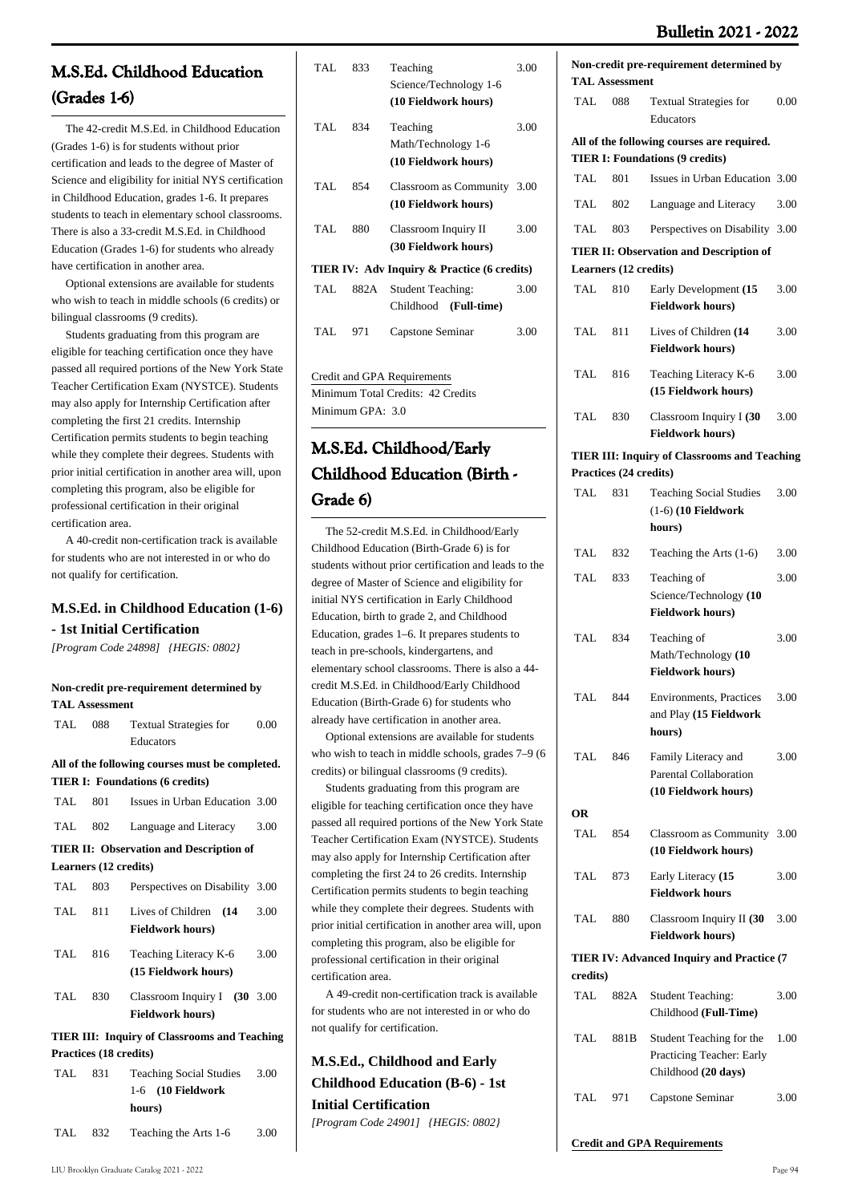# **Bulletin 2021 - 2022**

0.00

3.00

3.00

3.00

3.00

and Teaching

**Non-credit pre-requirement determined by**

TAL 088 Textual Strategies for Educators

**All of the following courses are required. TIER I: Foundations (9 credits)**

TAL 810 Early Development **(15**

TAL 811 Lives of Children **(14**

TAL 816 Teaching Literacy K-6

TAL 830 Classroom Inquiry I **(30**

**Fieldwork hours)**

**Fieldwork hours)**

**(15 Fieldwork hours)**

**Fieldwork hours)**

TAL 801 Issues in Urban Education 3.00 TAL 802 Language and Literacy 3.00 TAL 803 Perspectives on Disability 3.00 **TIER II: Observation and Description of**

**TAL Assessment**

**Learners (12 credits)**

# **M.S.Ed. Childhood Education (Grades 1-6)**

 The 42-credit M.S.Ed. in Childhood Education (Grades 1-6) is for students without prior certification and leads to the degree of Master of Science and eligibility for initial NYS certification in Childhood Education, grades 1-6. It prepares students to teach in elementary school classrooms. There is also a 33-credit M.S.Ed. in Childhood Education (Grades 1-6) for students who already have certification in another area.

 Optional extensions are available for students who wish to teach in middle schools (6 credits) or bilingual classrooms (9 credits).

 Students graduating from this program are eligible for teaching certification once they have passed all required portions of the New York State Teacher Certification Exam (NYSTCE). Students may also apply for Internship Certification after completing the first 21 credits. Internship Certification permits students to begin teaching while they complete their degrees. Students with prior initial certification in another area will, upon completing this program, also be eligible for professional certification in their original certification area.

 A 40-credit non-certification track is available for students who are not interested in or who do not qualify for certification.

# **M.S.Ed. in Childhood Education (1-6) - 1st Initial Certification**

*[Program Code 24898] {HEGIS: 0802}*

#### **Non-credit pre-requirement determined by TAL Assessment**

| TAL.    | 088                    | <b>Textual Strategies for</b><br>Educators                  | 0.00 |
|---------|------------------------|-------------------------------------------------------------|------|
|         |                        | All of the following courses must be completed.             |      |
|         |                        | <b>TIER I: Foundations (6 credits)</b>                      |      |
| TAL     | 801                    | Issues in Urban Education 3.00                              |      |
| TAL 802 |                        | Language and Literacy 3.00                                  |      |
|         |                        | <b>TIER II: Observation and Description of</b>              |      |
|         | Learners (12 credits)  |                                                             |      |
| TAL     | 803                    | Perspectives on Disability 3.00                             |      |
|         | TAL 811                | Lives of Children (14<br><b>Fieldwork hours)</b>            | 3.00 |
| TAL.    | 816                    | Teaching Literacy K-6<br>(15 Fieldwork hours)               | 3.00 |
| TAL.    | 830                    | Classroom Inquiry I $(30, 3.00)$<br><b>Fieldwork hours)</b> |      |
|         |                        | <b>TIER III: Inquiry of Classrooms and Teaching</b>         |      |
|         | Practices (18 credits) |                                                             |      |
|         | TAL 831                | <b>Teaching Social Studies</b><br>1-6 (10 Fieldwork         | 3.00 |

| TAL. | 833                                         | Teaching                    | 3.00 |  |  |  |
|------|---------------------------------------------|-----------------------------|------|--|--|--|
|      |                                             | Science/Technology 1-6      |      |  |  |  |
|      |                                             | (10 Fieldwork hours)        |      |  |  |  |
| TAL. | 834                                         | Teaching                    | 3.00 |  |  |  |
|      |                                             | Math/Technology 1-6         |      |  |  |  |
|      |                                             | (10 Fieldwork hours)        |      |  |  |  |
| TAL. | 854                                         | Classroom as Community 3.00 |      |  |  |  |
|      |                                             | (10 Fieldwork hours)        |      |  |  |  |
| TAL. | 880                                         | Classroom Inquiry II        | 3.00 |  |  |  |
|      |                                             | (30 Fieldwork hours)        |      |  |  |  |
|      | TIER IV: Adv Inquiry & Practice (6 credits) |                             |      |  |  |  |
| TAL. | 882A                                        | Student Teaching:           | 3.00 |  |  |  |
|      |                                             | Childhood (Full-time)       |      |  |  |  |
| TAL. | 971                                         | Capstone Seminar            | 3.00 |  |  |  |
|      |                                             |                             |      |  |  |  |
|      |                                             |                             |      |  |  |  |

Credit and GPA Requirements Minimum Total Credits: 42 Credits Minimum GPA: 3.0

# **M.S.Ed. Childhood/Early Childhood Education (Birth - Grade 6)**

The 52-credit M.S.Ed. in Childhood/Early Childhood Education (Birth-Grade 6) is for students without prior certification and lead degree of Master of Science and eligibility initial NYS certification in Early Childhood Education, birth to grade 2, and Childhood Education, grades  $1-6$ . It prepares students teach in pre-schools, kindergartens, and elementary school classrooms. There is also credit M.S.Ed. in Childhood/Early Childhood Education (Birth-Grade 6) for students who already have certification in another area.

Optional extensions are available for stu who wish to teach in middle schools, grades credits) or bilingual classrooms (9 credits).

Students graduating from this program a eligible for teaching certification once they have passed all required portions of the New York State Teacher Certification Exam (NYSTCE). Students may also apply for Internship Certification after completing the first 24 to 26 credits. Internship Certification permits students to begin teaching while they complete their degrees. Students with prior initial certification in another area will, upon completing this program, also be eligible for professional certification in their original certification area.

 A 49-credit non-certification track is available for students who are not interested in or who do not qualify for certification.

# **M.S.Ed., Childhood and Early Childhood Education (B-6) - 1st Initial Certification** *[Program Code 24901] {HEGIS: 0802}*

|              |      |                        | <b>TIER III: Inquiry of Classrooms and Teaching</b>       |      |  |
|--------------|------|------------------------|-----------------------------------------------------------|------|--|
|              |      | Practices (24 credits) |                                                           |      |  |
|              | TAL. | 831                    | <b>Teaching Social Studies</b>                            | 3.00 |  |
|              |      |                        | $(1-6)$ (10 Fieldwork                                     |      |  |
| ly           |      |                        | hours)                                                    |      |  |
| s to the     | TAL. | 832                    | Teaching the Arts $(1-6)$                                 | 3.00 |  |
| for          | TAL. | 833                    | Teaching of                                               | 3.00 |  |
|              |      |                        | Science/Technology (10                                    |      |  |
|              |      |                        | <b>Fieldwork hours)</b>                                   |      |  |
| to           | TAL. | 834                    | Teaching of                                               | 3.00 |  |
|              |      |                        | Math/Technology (10                                       |      |  |
| a 44-        |      |                        | <b>Fieldwork hours)</b>                                   |      |  |
| эd           | TAL. | 844                    |                                                           | 3.00 |  |
|              |      |                        | <b>Environments</b> , Practices<br>and Play (15 Fieldwork |      |  |
|              |      |                        | hours)                                                    |      |  |
| dents        |      |                        |                                                           |      |  |
| $57-9(6)$    | TAL. | 846                    | Family Literacy and                                       | 3.00 |  |
|              |      |                        | Parental Collaboration                                    |      |  |
| re           |      |                        | (10 Fieldwork hours)                                      |      |  |
| $\mathbf{1}$ |      |                        |                                                           |      |  |

| OR   |     |                                                     |      |
|------|-----|-----------------------------------------------------|------|
| TAL. | 854 | Classroom as Community 3.00<br>(10 Fieldwork hours) |      |
| TAL  | 873 | Early Literacy (15<br><b>Fieldwork hours</b>        | 3.00 |
| TAL. | 880 | Classroom Inquiry II (30<br><b>Fieldwork hours)</b> | 3.00 |

# **TIER IV: Advanced Inquiry and Practice (7 credits)**

| TAL |      | 882A Student Teaching:                                                       | 3.00 |
|-----|------|------------------------------------------------------------------------------|------|
|     |      | Childhood (Full-Time)                                                        |      |
| TAL | 881B | Student Teaching for the<br>Practicing Teacher: Early<br>Childhood (20 days) | 1.00 |
| TAL | 971  | Capstone Seminar                                                             | 3.00 |

# **Credit and GPA Requirements**

**hours)**

TAL 832 Teaching the Arts 1-6 3.00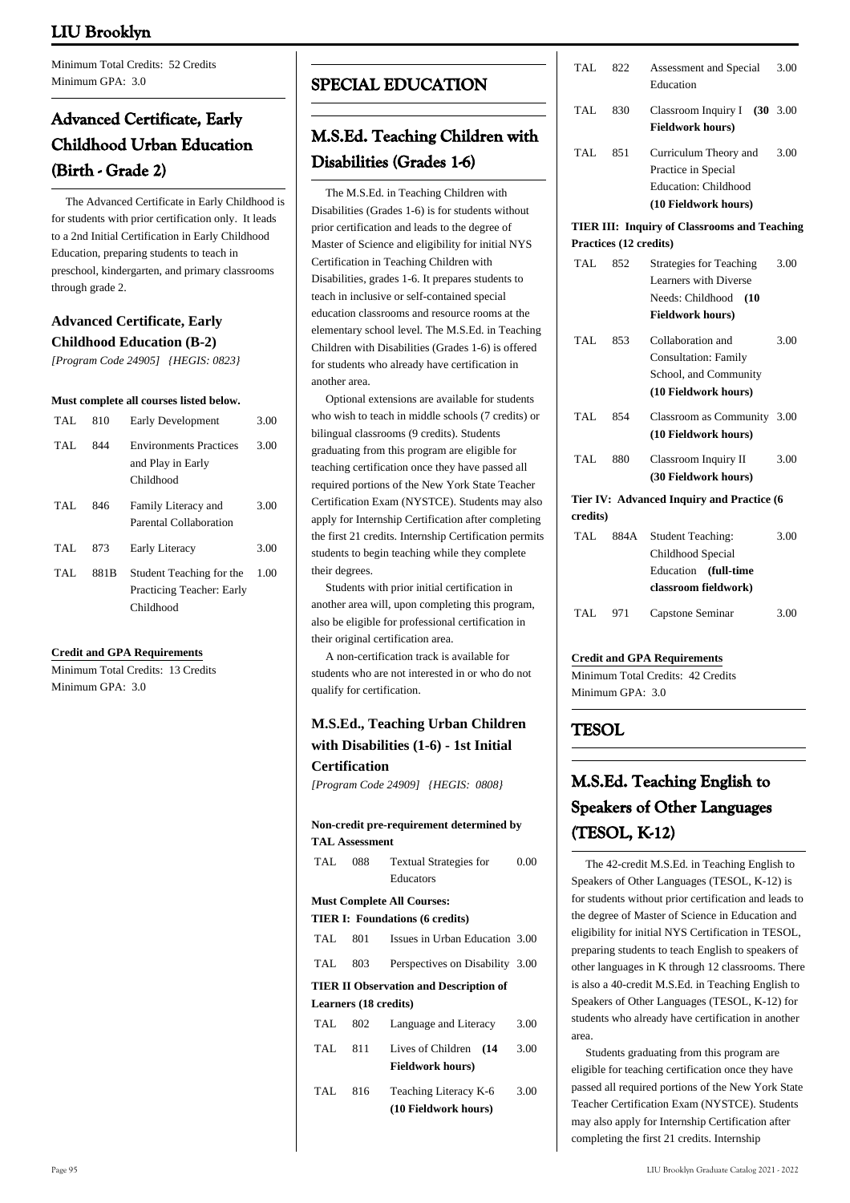Minimum Total Credits: 52 Credits Minimum GPA: 3.0

# **Advanced Certificate, Early Childhood Urban Education (Birth - Grade 2)**

 The Advanced Certificate in Early Childhood is for students with prior certification only. It leads to a 2nd Initial Certification in Early Childhood Education, preparing students to teach in preschool, kindergarten, and primary classrooms through grade 2.

# **Advanced Certificate, Early Childhood Education (B-2)**

*[Program Code 24905] {HEGIS: 0823}*

#### **Must complete all courses listed below.**

| TAL. | 810   | Early Development                                                  | 3.00 |
|------|-------|--------------------------------------------------------------------|------|
| TAL. | 844   | <b>Environments Practices</b><br>and Play in Early<br>Childhood    | 3.00 |
| TAL. | 846   | Family Literacy and<br>Parental Collaboration                      | 3.00 |
| TAL. | 873   | Early Literacy                                                     | 3.00 |
| TAL. | 881 B | Student Teaching for the<br>Practicing Teacher: Early<br>Childhood | 1.00 |

### **Credit and GPA Requirements**

Minimum Total Credits: 13 Credits Minimum GPA: 3.0

# **SPECIAL EDUCATION**

# **M.S.Ed. Teaching Children with Disabilities (Grades 1-6)**

 The M.S.Ed. in Teaching Children with Disabilities (Grades 1-6) is for students without prior certification and leads to the degree of Master of Science and eligibility for initial NYS Certification in Teaching Children with Disabilities, grades 1-6. It prepares students to teach in inclusive or self-contained special education classrooms and resource rooms at the elementary school level. The M.S.Ed. in Teaching Children with Disabilities (Grades 1-6) is offered for students who already have certification in another area.

 Optional extensions are available for students who wish to teach in middle schools (7 credits) or bilingual classrooms (9 credits). Students graduating from this program are eligible for teaching certification once they have passed all required portions of the New York State Teacher Certification Exam (NYSTCE). Students may also apply for Internship Certification after completing the first 21 credits. Internship Certification permits students to begin teaching while they complete their degrees.

 Students with prior initial certification in another area will, upon completing this program, also be eligible for professional certification in their original certification area.

 A non-certification track is available for students who are not interested in or who do not qualify for certification.

# **M.S.Ed., Teaching Urban Children with Disabilities (1-6) - 1st Initial Certification**

*[Program Code 24909] {HEGIS: 0808}*

|      |                       | Non-credit pre-requirement determined by      |      |
|------|-----------------------|-----------------------------------------------|------|
|      | <b>TAL Assessment</b> |                                               |      |
| TAL  | 088                   | <b>Textual Strategies for</b>                 | 0.00 |
|      |                       | Educators                                     |      |
|      |                       | <b>Must Complete All Courses:</b>             |      |
|      |                       | <b>TIER I: Foundations (6 credits)</b>        |      |
| TAL  | 801                   | Issues in Urban Education 3.00                |      |
| TAL  | 803                   | Perspectives on Disability 3.00               |      |
|      |                       | <b>TIER II Observation and Description of</b> |      |
|      | Learners (18 credits) |                                               |      |
| TAL  | 802                   | Language and Literacy                         | 3.00 |
| TAL  | 811                   | Lives of Children (14                         | 3.00 |
|      |                       | <b>Fieldwork hours)</b>                       |      |
| TAL. | 816                   | Teaching Literacy K-6                         | 3.00 |
|      |                       | (10 Fieldwork hours)                          |      |

| TAL      | 822                    | Assessment and Special<br>Education                                                                             | 3.00 |
|----------|------------------------|-----------------------------------------------------------------------------------------------------------------|------|
| TAL.     | 830                    | Classroom Inquiry I<br>(30)<br><b>Fieldwork hours)</b>                                                          | 3.00 |
| TAL.     | 851                    | Curriculum Theory and<br>Practice in Special<br>Education: Childhood<br>(10 Fieldwork hours)                    | 3.00 |
|          |                        | <b>TIER III: Inquiry of Classrooms and Teaching</b>                                                             |      |
|          | Practices (12 credits) |                                                                                                                 |      |
| TAL.     | 852                    | <b>Strategies for Teaching</b><br>Learners with Diverse<br>Needs: Childhood<br>- (10<br><b>Fieldwork hours)</b> | 3.00 |
| TAL.     | 853                    | Collaboration and<br><b>Consultation: Family</b><br>School, and Community<br>(10 Fieldwork hours)               | 3.00 |
| TAL.     | 854                    | Classroom as Community 3.00<br>(10 Fieldwork hours)                                                             |      |
| TAL.     | 880                    | Classroom Inquiry II<br>(30 Fieldwork hours)                                                                    | 3.00 |
|          |                        | Tier IV: Advanced Inquiry and Practice (6                                                                       |      |
| credits) |                        |                                                                                                                 |      |
| TAL.     | 884A                   | <b>Student Teaching:</b><br>Childhood Special<br>Education (full-time<br>classroom fieldwork)                   | 3.00 |
| TAL.     | 971                    | Capstone Seminar                                                                                                | 3.00 |

#### **Credit and GPA Requirements**

Minimum Total Credits: 42 Credits Minimum GPA: 3.0

# **TESOL**

# **M.S.Ed. Teaching English to Speakers of Other Languages (TESOL, K-12)**

 The 42-credit M.S.Ed. in Teaching English to Speakers of Other Languages (TESOL, K-12) is for students without prior certification and leads to the degree of Master of Science in Education and eligibility for initial NYS Certification in TESOL, preparing students to teach English to speakers of other languages in K through 12 classrooms. There is also a 40-credit M.S.Ed. in Teaching English to Speakers of Other Languages (TESOL, K-12) for students who already have certification in another area.

 Students graduating from this program are eligible for teaching certification once they have passed all required portions of the New York State Teacher Certification Exam (NYSTCE). Students may also apply for Internship Certification after completing the first 21 credits. Internship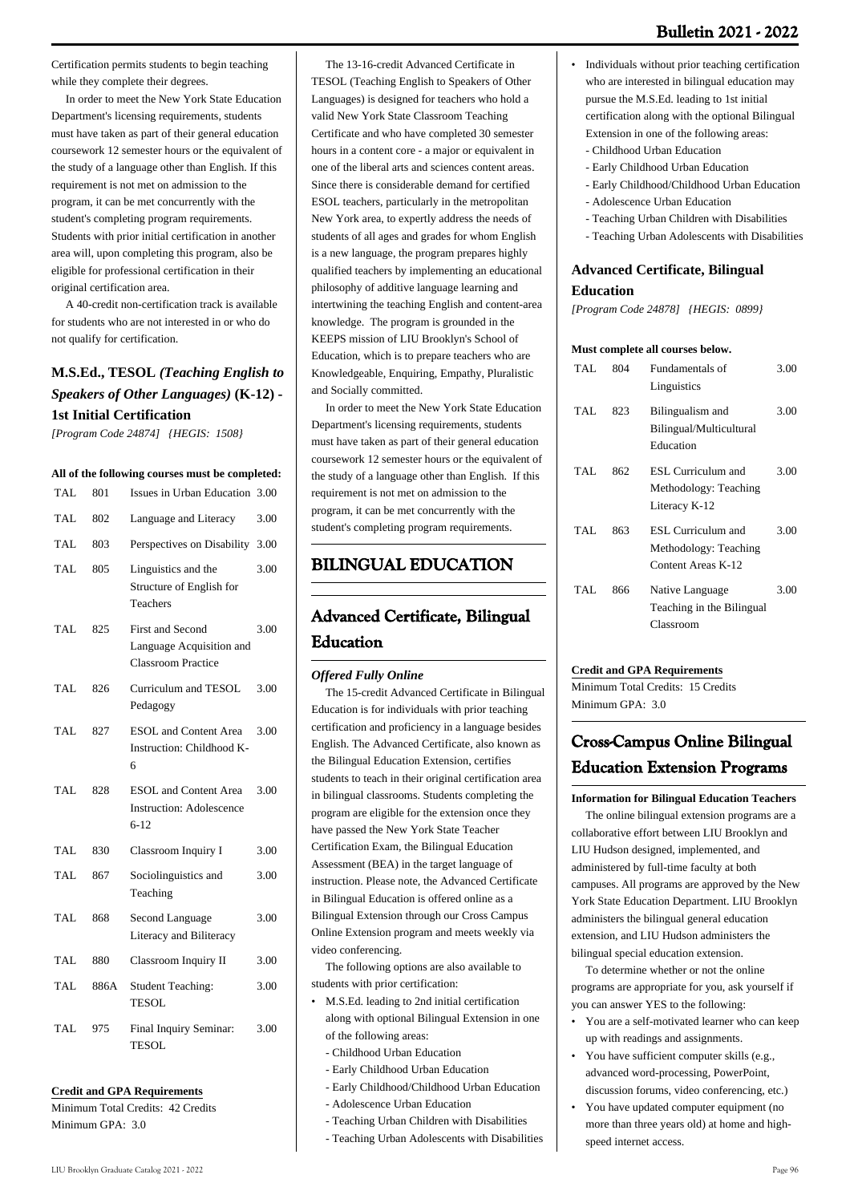Certification permits students to begin teaching while they complete their degrees.

 In order to meet the New York State Education Department's licensing requirements, students must have taken as part of their general education coursework 12 semester hours or the equivalent of the study of a language other than English. If this requirement is not met on admission to the program, it can be met concurrently with the student's completing program requirements. Students with prior initial certification in another area will, upon completing this program, also be eligible for professional certification in their original certification area.

 A 40-credit non-certification track is available for students who are not interested in or who do not qualify for certification.

# **M.S.Ed., TESOL** *(Teaching English to Speakers of Other Languages)* **(K-12) - 1st Initial Certification**

*[Program Code 24874] {HEGIS: 1508}*

#### **All of the following courses must be completed:**

| TAL        | 801  | Issues in Urban Education                                                        | 3.00 |
|------------|------|----------------------------------------------------------------------------------|------|
| <b>TAL</b> | 802  | Language and Literacy                                                            | 3.00 |
| TAL.       | 803  | Perspectives on Disability                                                       | 3.00 |
| TAL        | 805  | Linguistics and the<br>Structure of English for<br>Teachers                      | 3.00 |
| TAL.       | 825  | <b>First and Second</b><br>Language Acquisition and<br><b>Classroom Practice</b> | 3.00 |
| TAL        | 826  | Curriculum and TESOL<br>Pedagogy                                                 | 3.00 |
| TAL.       | 827  | <b>ESOL</b> and Content Area<br>Instruction: Childhood K-<br>6                   | 3.00 |
| TAL.       | 828  | <b>ESOL</b> and Content Area<br><b>Instruction: Adolescence</b><br>$6 - 12$      | 3.00 |
| TAL.       | 830  | Classroom Inquiry I                                                              | 3.00 |
| TAL.       | 867  | Sociolinguistics and<br>Teaching                                                 | 3.00 |
| TAL        | 868  | Second Language<br>Literacy and Biliteracy                                       | 3.00 |
| TAL.       | 880  | Classroom Inquiry II                                                             | 3.00 |
| TAL.       | 886A | <b>Student Teaching:</b><br><b>TESOL</b>                                         | 3.00 |
| TAL.       | 975  | Final Inquiry Seminar:<br><b>TESOL</b>                                           | 3.00 |
|            |      |                                                                                  |      |

#### **Credit and GPA Requirements**

Minimum Total Credits: 42 Credits Minimum GPA: 3.0

 The 13-16-credit Advanced Certificate in TESOL (Teaching English to Speakers of Other Languages) is designed for teachers who hold a valid New York State Classroom Teaching Certificate and who have completed 30 semester hours in a content core - a major or equivalent in one of the liberal arts and sciences content areas. Since there is considerable demand for certified ESOL teachers, particularly in the metropolitan New York area, to expertly address the needs of students of all ages and grades for whom English is a new language, the program prepares highly qualified teachers by implementing an educational philosophy of additive language learning and intertwining the teaching English and content-area knowledge. The program is grounded in the KEEPS mission of LIU Brooklyn's School of Education, which is to prepare teachers who are Knowledgeable, Enquiring, Empathy, Pluralistic and Socially committed.

 In order to meet the New York State Education Department's licensing requirements, students must have taken as part of their general education coursework 12 semester hours or the equivalent of the study of a language other than English. If this requirement is not met on admission to the program, it can be met concurrently with the student's completing program requirements.

# **BILINGUAL EDUCATION**

# **Advanced Certificate, Bilingual Education**

### *Offered Fully Online*

 The 15-credit Advanced Certificate in Bilingual Education is for individuals with prior teaching certification and proficiency in a language besides English. The Advanced Certificate, also known as the Bilingual Education Extension, certifies students to teach in their original certification area in bilingual classrooms. Students completing the program are eligible for the extension once they have passed the New York State Teacher Certification Exam, the Bilingual Education Assessment (BEA) in the target language of instruction. Please note, the Advanced Certificate in Bilingual Education is offered online as a Bilingual Extension through our Cross Campus Online Extension program and meets weekly via video conferencing.

 The following options are also available to students with prior certification:

- M.S.Ed. leading to 2nd initial certification along with optional Bilingual Extension in one of the following areas: •
	- Childhood Urban Education
	- Early Childhood Urban Education
	- Early Childhood/Childhood Urban Education
	- Adolescence Urban Education
	- Teaching Urban Children with Disabilities
	- Teaching Urban Adolescents with Disabilities
- Individuals without prior teaching certification who are interested in bilingual education may pursue the M.S.Ed. leading to 1st initial certification along with the optional Bilingual Extension in one of the following areas:
- Childhood Urban Education

•

- Early Childhood Urban Education
- Early Childhood/Childhood Urban Education
- Adolescence Urban Education
- Teaching Urban Children with Disabilities
- Teaching Urban Adolescents with Disabilities

# **Advanced Certificate, Bilingual Education**

*[Program Code 24878] {HEGIS: 0899}*

#### **Must complete all courses below.**

| TAL. | 804 | Fundamentals of           | 3.00 |
|------|-----|---------------------------|------|
|      |     | Linguistics               |      |
| TAL. | 823 | Bilingualism and          | 3.00 |
|      |     | Bilingual/Multicultural   |      |
|      |     | Education                 |      |
| TAL. | 862 | ESL Curriculum and        | 3.00 |
|      |     | Methodology: Teaching     |      |
|      |     | Literacy K-12             |      |
| TAL. | 863 | ESL Curriculum and        | 3.00 |
|      |     | Methodology: Teaching     |      |
|      |     | Content Areas K-12        |      |
| TAL. | 866 | Native Language           | 3.00 |
|      |     | Teaching in the Bilingual |      |
|      |     | Classroom                 |      |

#### **Credit and GPA Requirements**

Minimum Total Credits: 15 Credits Minimum GPA: 30

# **Cross-Campus Online Bilingual Education Extension Programs**

**Information for Bilingual Education Teachers**

 The online bilingual extension programs are a collaborative effort between LIU Brooklyn and LIU Hudson designed, implemented, and administered by full-time faculty at both campuses. All programs are approved by the New York State Education Department. LIU Brooklyn administers the bilingual general education extension, and LIU Hudson administers the bilingual special education extension.

 To determine whether or not the online programs are appropriate for you, ask yourself if you can answer YES to the following:

- You are a self-motivated learner who can keep up with readings and assignments. •
- You have sufficient computer skills (e.g., advanced word-processing, PowerPoint, discussion forums, video conferencing, etc.) •
- You have updated computer equipment (no more than three years old) at home and highspeed internet access. •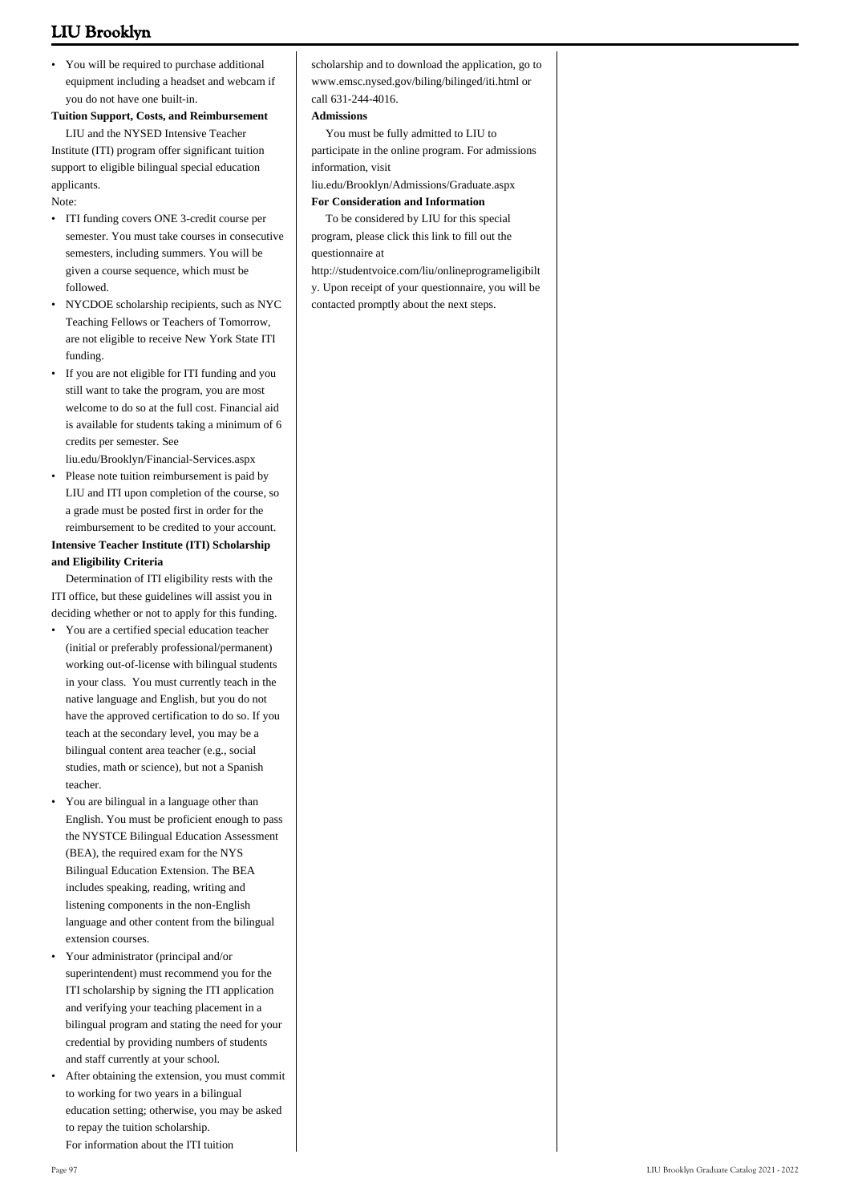• You will be required to purchase additional equipment including a headset and webcam if you do not have one built-in.

### **Tuition Support, Costs, and Reimbursement**

 LIU and the NYSED Intensive Teacher Institute (ITI) program offer significant tuition support to eligible bilingual special education applicants.

#### Note:

- ITI funding covers ONE 3-credit course per semester. You must take courses in consecutive semesters, including summers. You will be given a course sequence, which must be followed.
- NYCDOE scholarship recipients, such as NYC Teaching Fellows or Teachers of Tomorrow, are not eligible to receive New York State ITI funding. •
- If you are not eligible for ITI funding and you still want to take the program, you are most welcome to do so at the full cost. Financial aid is available for students taking a minimum of 6 credits per semester. See

liu.edu/Brooklyn/Financial-Services.aspx

Please note tuition reimbursement is paid by LIU and ITI upon completion of the course, so a grade must be posted first in order for the reimbursement to be credited to your account. •

## **Intensive Teacher Institute (ITI) Scholarship and Eligibility Criteria**

 Determination of ITI eligibility rests with the ITI office, but these guidelines will assist you in deciding whether or not to apply for this funding.

- You are a certified special education teacher (initial or preferably professional/permanent) working out-of-license with bilingual students in your class. You must currently teach in the native language and English, but you do not have the approved certification to do so. If you teach at the secondary level, you may be a bilingual content area teacher (e.g., social studies, math or science), but not a Spanish teacher.
- You are bilingual in a language other than English. You must be proficient enough to pass the NYSTCE Bilingual Education Assessment (BEA), the required exam for the NYS Bilingual Education Extension. The BEA includes speaking, reading, writing and listening components in the non-English language and other content from the bilingual extension courses. •
- Your administrator (principal and/or superintendent) must recommend you for the ITI scholarship by signing the ITI application and verifying your teaching placement in a bilingual program and stating the need for your credential by providing numbers of students and staff currently at your school. •
- After obtaining the extension, you must commit to working for two years in a bilingual education setting; otherwise, you may be asked to repay the tuition scholarship. • For information about the ITI tuition

#### **Admissions**

 You must be fully admitted to LIU to participate in the online program. For admissions information, visit

liu.edu/Brooklyn/Admissions/Graduate.aspx

# **For Consideration and Information**

 To be considered by LIU for this special program, please click this link to fill out the questionnaire at

[http://studentvoice.com/liu/onlineprogrameligibilt](http://studentvoice.com/liu/onlineprogrameligibilty) [y](http://studentvoice.com/liu/onlineprogrameligibilty). Upon receipt of your questionnaire, you will be contacted promptly about the next steps.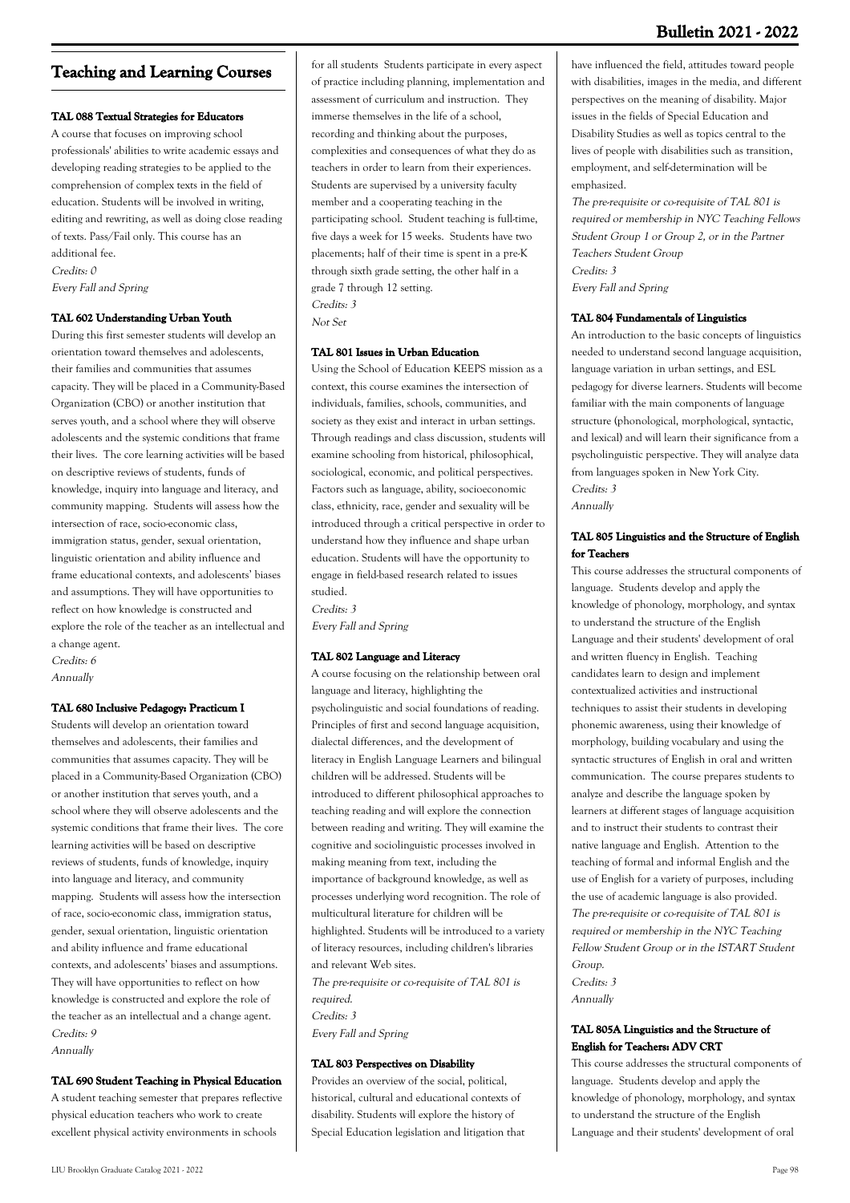# **Teaching and Learning Courses**

### **TAL 088 Textual Strategies for Educators**

A course that focuses on improving school professionals' abilities to write academic essays and developing reading strategies to be applied to the comprehension of complex texts in the field of education. Students will be involved in writing, editing and rewriting, as well as doing close reading of texts. Pass/Fail only. This course has an additional fee. Credits: 0 Every Fall and Spring

#### **TAL 602 Understanding Urban Youth**

During this first semester students will develop an orientation toward themselves and adolescents, their families and communities that assumes capacity. They will be placed in a Community-Based Organization (CBO) or another institution that serves youth, and a school where they will observe adolescents and the systemic conditions that frame their lives. The core learning activities will be based on descriptive reviews of students, funds of knowledge, inquiry into language and literacy, and community mapping. Students will assess how the intersection of race, socio-economic class, immigration status, gender, sexual orientation, linguistic orientation and ability influence and frame educational contexts, and adolescents' biases and assumptions. They will have opportunities to reflect on how knowledge is constructed and explore the role of the teacher as an intellectual and a change agent.

Credits: 6 Annually

#### **TAL 680 Inclusive Pedagogy: Practicum I**

Students will develop an orientation toward themselves and adolescents, their families and communities that assumes capacity. They will be placed in a Community-Based Organization (CBO) or another institution that serves youth, and a school where they will observe adolescents and the systemic conditions that frame their lives. The core learning activities will be based on descriptive reviews of students, funds of knowledge, inquiry into language and literacy, and community mapping. Students will assess how the intersection of race, socio-economic class, immigration status, gender, sexual orientation, linguistic orientation and ability influence and frame educational contexts, and adolescents' biases and assumptions. They will have opportunities to reflect on how knowledge is constructed and explore the role of the teacher as an intellectual and a change agent. Credits: 9 Annually

#### **TAL 690 Student Teaching in Physical Education**

A student teaching semester that prepares reflective physical education teachers who work to create excellent physical activity environments in schools

for all students Students participate in every aspect of practice including planning, implementation and assessment of curriculum and instruction. They immerse themselves in the life of a school, recording and thinking about the purposes, complexities and consequences of what they do as teachers in order to learn from their experiences. Students are supervised by a university faculty member and a cooperating teaching in the participating school. Student teaching is full-time, five days a week for 15 weeks. Students have two placements; half of their time is spent in a pre-K through sixth grade setting, the other half in a grade 7 through 12 setting. Credits: 3 Not Set

#### **TAL 801 Issues in Urban Education**

Using the School of Education KEEPS mission as a context, this course examines the intersection of individuals, families, schools, communities, and society as they exist and interact in urban settings. Through readings and class discussion, students will examine schooling from historical, philosophical, sociological, economic, and political perspectives. Factors such as language, ability, socioeconomic class, ethnicity, race, gender and sexuality will be introduced through a critical perspective in order to understand how they influence and shape urban education. Students will have the opportunity to engage in field-based research related to issues studied.

Credits: 3 Every Fall and Spring

#### **TAL 802 Language and Literacy**

A course focusing on the relationship between oral language and literacy, highlighting the psycholinguistic and social foundations of reading. Principles of first and second language acquisition, dialectal differences, and the development of literacy in English Language Learners and bilingual children will be addressed. Students will be introduced to different philosophical approaches to teaching reading and will explore the connection between reading and writing. They will examine the cognitive and sociolinguistic processes involved in making meaning from text, including the importance of background knowledge, as well as processes underlying word recognition. The role of multicultural literature for children will be highlighted. Students will be introduced to a variety of literacy resources, including children's libraries and relevant Web sites.

The pre-requisite or co-requisite of TAL 801 is required. Credits: 3 Every Fall and Spring

#### **TAL 803 Perspectives on Disability**

Provides an overview of the social, political, historical, cultural and educational contexts of disability. Students will explore the history of Special Education legislation and litigation that

have influenced the field, attitudes toward people with disabilities, images in the media, and different perspectives on the meaning of disability. Major issues in the fields of Special Education and Disability Studies as well as topics central to the lives of people with disabilities such as transition, employment, and self-determination will be emphasized.

The pre-requisite or co-requisite of TAL 801 is required or membership in NYC Teaching Fellows Student Group 1 or Group 2, or in the Partner Teachers Student Group Credits: 3 Every Fall and Spring

## **TAL 804 Fundamentals of Linguistics**

An introduction to the basic concepts of linguistics needed to understand second language acquisition, language variation in urban settings, and ESL pedagogy for diverse learners. Students will become familiar with the main components of language structure (phonological, morphological, syntactic, and lexical) and will learn their significance from a psycholinguistic perspective. They will analyze data from languages spoken in New York City. Credits: 3 Annually

# **TAL 805 Linguistics and the Structure of English for Teachers**

This course addresses the structural components of language. Students develop and apply the knowledge of phonology, morphology, and syntax to understand the structure of the English Language and their students' development of oral and written fluency in English. Teaching candidates learn to design and implement contextualized activities and instructional techniques to assist their students in developing phonemic awareness, using their knowledge of morphology, building vocabulary and using the syntactic structures of English in oral and written communication. The course prepares students to analyze and describe the language spoken by learners at different stages of language acquisition and to instruct their students to contrast their native language and English. Attention to the teaching of formal and informal English and the use of English for a variety of purposes, including the use of academic language is also provided. The pre-requisite or co-requisite of TAL 801 is required or membership in the NYC Teaching Fellow Student Group or in the ISTART Student Group.

Credits: 3 Annually

## **TAL 805A Linguistics and the Structure of English for Teachers: ADV CRT**

This course addresses the structural components of language. Students develop and apply the knowledge of phonology, morphology, and syntax to understand the structure of the English Language and their students' development of oral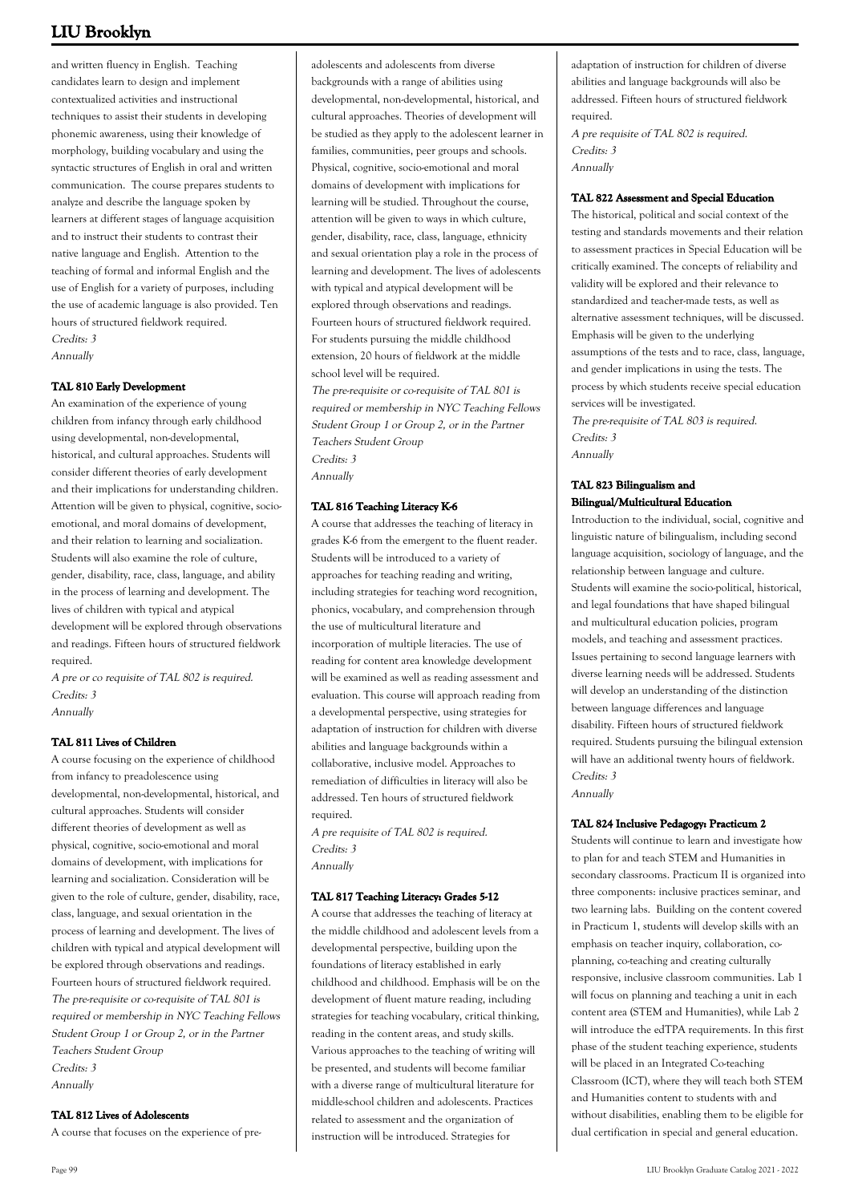and written fluency in English. Teaching candidates learn to design and implement contextualized activities and instructional techniques to assist their students in developing phonemic awareness, using their knowledge of morphology, building vocabulary and using the syntactic structures of English in oral and written communication. The course prepares students to analyze and describe the language spoken by learners at different stages of language acquisition and to instruct their students to contrast their native language and English. Attention to the teaching of formal and informal English and the use of English for a variety of purposes, including the use of academic language is also provided. Ten hours of structured fieldwork required. Credits: 3 Annually

**TAL 810 Early Development**

An examination of the experience of young children from infancy through early childhood using developmental, non-developmental, historical, and cultural approaches. Students will consider different theories of early development and their implications for understanding children. Attention will be given to physical, cognitive, socioemotional, and moral domains of development, and their relation to learning and socialization. Students will also examine the role of culture, gender, disability, race, class, language, and ability in the process of learning and development. The lives of children with typical and atypical development will be explored through observations and readings. Fifteen hours of structured fieldwork required.

A pre or co requisite of TAL 802 is required. Credits: 3 Annually

**TAL 811 Lives of Children**

A course focusing on the experience of childhood from infancy to preadolescence using developmental, non-developmental, historical, and cultural approaches. Students will consider different theories of development as well as physical, cognitive, socio-emotional and moral domains of development, with implications for learning and socialization. Consideration will be given to the role of culture, gender, disability, race, class, language, and sexual orientation in the process of learning and development. The lives of children with typical and atypical development will be explored through observations and readings. Fourteen hours of structured fieldwork required. The pre-requisite or co-requisite of TAL 801 is required or membership in NYC Teaching Fellows Student Group 1 or Group 2, or in the Partner Teachers Student Group Credits: 3 Annually

**TAL 812 Lives of Adolescents**

A course that focuses on the experience of pre-

adolescents and adolescents from diverse backgrounds with a range of abilities using developmental, non-developmental, historical, and cultural approaches. Theories of development will be studied as they apply to the adolescent learner in families, communities, peer groups and schools. Physical, cognitive, socio-emotional and moral domains of development with implications for learning will be studied. Throughout the course, attention will be given to ways in which culture, gender, disability, race, class, language, ethnicity and sexual orientation play a role in the process of learning and development. The lives of adolescents with typical and atypical development will be explored through observations and readings. Fourteen hours of structured fieldwork required. For students pursuing the middle childhood extension, 20 hours of fieldwork at the middle school level will be required.

The pre-requisite or co-requisite of TAL 801 is required or membership in NYC Teaching Fellows Student Group 1 or Group 2, or in the Partner Teachers Student Group Credits: 3 Annually

# **TAL 816 Teaching Literacy K-6**

A course that addresses the teaching of literacy in grades K-6 from the emergent to the fluent reader. Students will be introduced to a variety of approaches for teaching reading and writing, including strategies for teaching word recognition, phonics, vocabulary, and comprehension through the use of multicultural literature and incorporation of multiple literacies. The use of reading for content area knowledge development will be examined as well as reading assessment and evaluation. This course will approach reading from a developmental perspective, using strategies for adaptation of instruction for children with diverse abilities and language backgrounds within a collaborative, inclusive model. Approaches to remediation of difficulties in literacy will also be addressed. Ten hours of structured fieldwork required.

A pre requisite of TAL 802 is required. Credits: 3 Annually

# **TAL 817 Teaching Literacy: Grades 5-12**

A course that addresses the teaching of literacy at the middle childhood and adolescent levels from a developmental perspective, building upon the foundations of literacy established in early childhood and childhood. Emphasis will be on the development of fluent mature reading, including strategies for teaching vocabulary, critical thinking, reading in the content areas, and study skills. Various approaches to the teaching of writing will be presented, and students will become familiar with a diverse range of multicultural literature for middle-school children and adolescents. Practices related to assessment and the organization of instruction will be introduced. Strategies for

adaptation of instruction for children of diverse abilities and language backgrounds will also be addressed. Fifteen hours of structured fieldwork required.

A pre requisite of TAL 802 is required. Credits: 3 Annually

### **TAL 822 Assessment and Special Education**

The historical, political and social context of the testing and standards movements and their relation to assessment practices in Special Education will be critically examined. The concepts of reliability and validity will be explored and their relevance to standardized and teacher-made tests, as well as alternative assessment techniques, will be discussed. Emphasis will be given to the underlying assumptions of the tests and to race, class, language, and gender implications in using the tests. The process by which students receive special education services will be investigated.

The pre-requisite of TAL 803 is required. Credits: 3 Annually

# **TAL 823 Bilingualism and Bilingual/Multicultural Education**

Introduction to the individual, social, cognitive and linguistic nature of bilingualism, including second language acquisition, sociology of language, and the relationship between language and culture. Students will examine the socio-political, historical, and legal foundations that have shaped bilingual and multicultural education policies, program models, and teaching and assessment practices. Issues pertaining to second language learners with diverse learning needs will be addressed. Students will develop an understanding of the distinction between language differences and language disability. Fifteen hours of structured fieldwork required. Students pursuing the bilingual extension will have an additional twenty hours of fieldwork. Credits: 3 Annually

# **TAL 824 Inclusive Pedagogy: Practicum 2**

Students will continue to learn and investigate how to plan for and teach STEM and Humanities in secondary classrooms. Practicum II is organized into three components: inclusive practices seminar, and two learning labs. Building on the content covered in Practicum 1, students will develop skills with an emphasis on teacher inquiry, collaboration, coplanning, co-teaching and creating culturally responsive, inclusive classroom communities. Lab 1 will focus on planning and teaching a unit in each content area (STEM and Humanities), while Lab 2 will introduce the edTPA requirements. In this first phase of the student teaching experience, students will be placed in an Integrated Co-teaching Classroom (ICT), where they will teach both STEM and Humanities content to students with and without disabilities, enabling them to be eligible for dual certification in special and general education.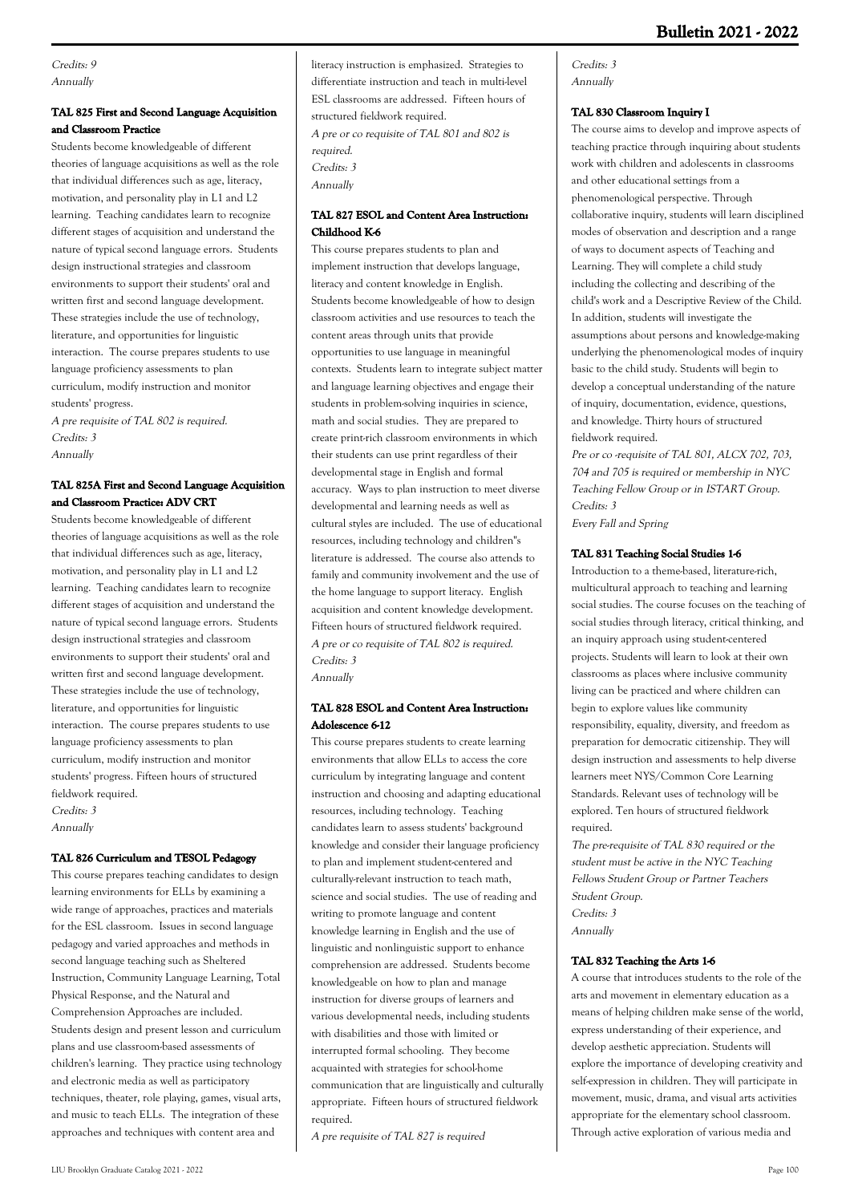Credits: 9 Annually

# **TAL 825 First and Second Language Acquisition and Classroom Practice**

Students become knowledgeable of different theories of language acquisitions as well as the role that individual differences such as age, literacy, motivation, and personality play in L1 and L2 learning. Teaching candidates learn to recognize different stages of acquisition and understand the nature of typical second language errors. Students design instructional strategies and classroom environments to support their students' oral and written first and second language development. These strategies include the use of technology, literature, and opportunities for linguistic interaction. The course prepares students to use language proficiency assessments to plan curriculum, modify instruction and monitor students' progress.

A pre requisite of TAL 802 is required. Credits: 3 Annually

# **TAL 825A First and Second Language Acquisition and Classroom Practice: ADV CRT**

Students become knowledgeable of different theories of language acquisitions as well as the role that individual differences such as age, literacy, motivation, and personality play in L1 and L2 learning. Teaching candidates learn to recognize different stages of acquisition and understand the nature of typical second language errors. Students design instructional strategies and classroom environments to support their students' oral and written first and second language development. These strategies include the use of technology, literature, and opportunities for linguistic interaction. The course prepares students to use language proficiency assessments to plan curriculum, modify instruction and monitor students' progress. Fifteen hours of structured fieldwork required. Credits: 3

Annually

### **TAL 826 Curriculum and TESOL Pedagogy**

This course prepares teaching candidates to design learning environments for ELLs by examining a wide range of approaches, practices and materials for the ESL classroom. Issues in second language pedagogy and varied approaches and methods in second language teaching such as Sheltered Instruction, Community Language Learning, Total Physical Response, and the Natural and Comprehension Approaches are included. Students design and present lesson and curriculum plans and use classroom-based assessments of children's learning. They practice using technology and electronic media as well as participatory techniques, theater, role playing, games, visual arts, and music to teach ELLs. The integration of these approaches and techniques with content area and

literacy instruction is emphasized. Strategies to differentiate instruction and teach in multi-level ESL classrooms are addressed. Fifteen hours of structured fieldwork required. A pre or co requisite of TAL 801 and 802 is required. Credits: 3 Annually

# **TAL 827 ESOL and Content Area Instruction: Childhood K-6**

This course prepares students to plan and implement instruction that develops language, literacy and content knowledge in English. Students become knowledgeable of how to design classroom activities and use resources to teach the content areas through units that provide opportunities to use language in meaningful contexts. Students learn to integrate subject matter and language learning objectives and engage their students in problem-solving inquiries in science, math and social studies. They are prepared to create print-rich classroom environments in which their students can use print regardless of their developmental stage in English and formal accuracy. Ways to plan instruction to meet diverse developmental and learning needs as well as cultural styles are included. The use of educational resources, including technology and children''s literature is addressed. The course also attends to family and community involvement and the use of the home language to support literacy. English acquisition and content knowledge development. Fifteen hours of structured fieldwork required. A pre or co requisite of TAL 802 is required. Credits: 3 Annually

## **TAL 828 ESOL and Content Area Instruction: Adolescence 6-12**

This course prepares students to create learning environments that allow ELLs to access the core curriculum by integrating language and content instruction and choosing and adapting educational resources, including technology. Teaching candidates learn to assess students' background knowledge and consider their language proficiency to plan and implement student-centered and culturally-relevant instruction to teach math, science and social studies. The use of reading and writing to promote language and content knowledge learning in English and the use of linguistic and nonlinguistic support to enhance comprehension are addressed. Students become knowledgeable on how to plan and manage instruction for diverse groups of learners and various developmental needs, including students with disabilities and those with limited or interrupted formal schooling. They become acquainted with strategies for school-home communication that are linguistically and culturally appropriate. Fifteen hours of structured fieldwork required.

A pre requisite of TAL 827 is required

# Credits: 3 Annually

### **TAL 830 Classroom Inquiry I**

The course aims to develop and improve aspects of teaching practice through inquiring about students work with children and adolescents in classrooms and other educational settings from a phenomenological perspective. Through collaborative inquiry, students will learn disciplined modes of observation and description and a range of ways to document aspects of Teaching and Learning. They will complete a child study including the collecting and describing of the child's work and a Descriptive Review of the Child. In addition, students will investigate the assumptions about persons and knowledge-making underlying the phenomenological modes of inquiry basic to the child study. Students will begin to develop a conceptual understanding of the nature of inquiry, documentation, evidence, questions, and knowledge. Thirty hours of structured fieldwork required.

Pre or co -requisite of TAL 801, ALCX 702, 703, 704 and 705 is required or membership in NYC Teaching Fellow Group or in ISTART Group. Credits: 3 Every Fall and Spring

### **TAL 831 Teaching Social Studies 1-6**

Introduction to a theme-based, literature-rich, multicultural approach to teaching and learning social studies. The course focuses on the teaching of social studies through literacy, critical thinking, and an inquiry approach using student-centered projects. Students will learn to look at their own classrooms as places where inclusive community living can be practiced and where children can begin to explore values like community responsibility, equality, diversity, and freedom as preparation for democratic citizenship. They will design instruction and assessments to help diverse learners meet NYS/Common Core Learning Standards. Relevant uses of technology will be explored. Ten hours of structured fieldwork required.

The pre-requisite of TAL 830 required or the student must be active in the NYC Teaching Fellows Student Group or Partner Teachers Student Group. Credits: 3 Annually

#### **TAL 832 Teaching the Arts 1-6**

A course that introduces students to the role of the arts and movement in elementary education as a means of helping children make sense of the world, express understanding of their experience, and develop aesthetic appreciation. Students will explore the importance of developing creativity and self-expression in children. They will participate in movement, music, drama, and visual arts activities appropriate for the elementary school classroom. Through active exploration of various media and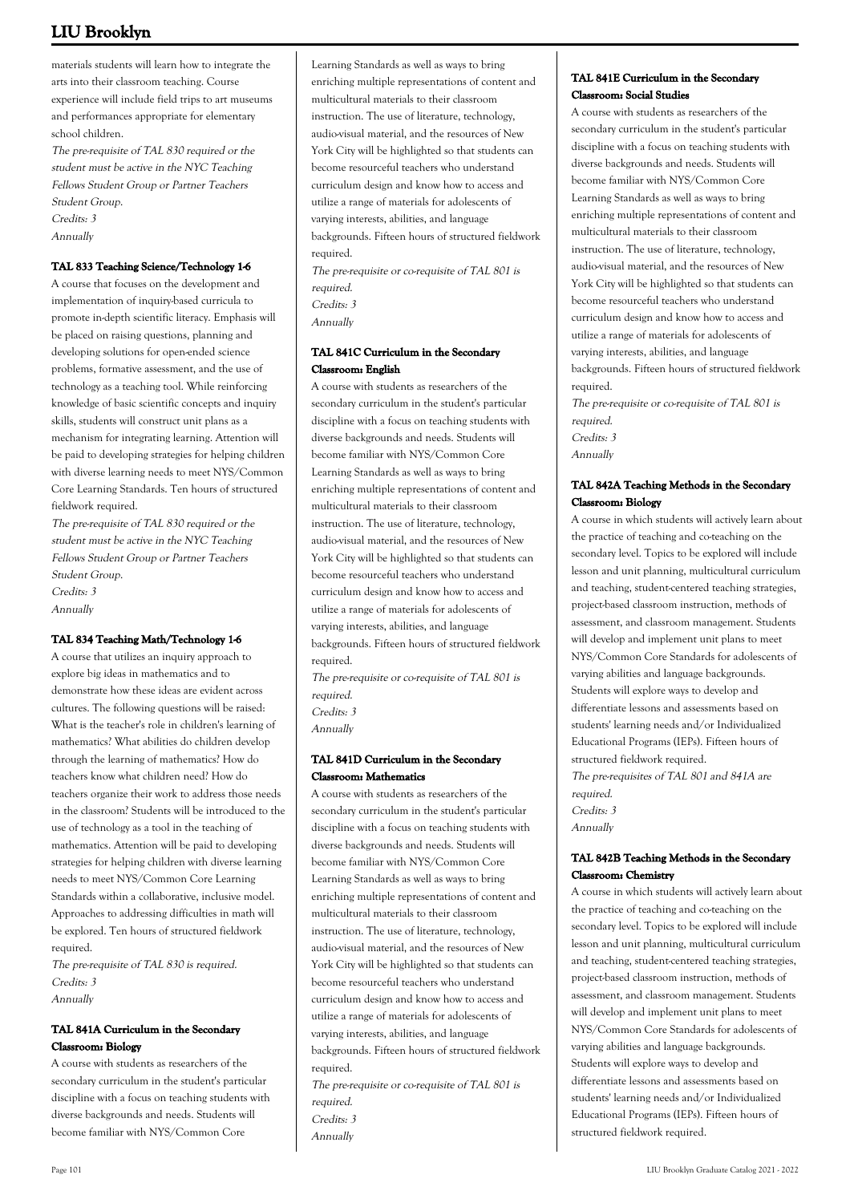materials students will learn how to integrate the arts into their classroom teaching. Course experience will include field trips to art museums and performances appropriate for elementary school children.

The pre-requisite of TAL 830 required or the student must be active in the NYC Teaching Fellows Student Group or Partner Teachers Student Group. Credits: 3 Annually

### **TAL 833 Teaching Science/Technology 1-6**

A course that focuses on the development and implementation of inquiry-based curricula to promote in-depth scientific literacy. Emphasis will be placed on raising questions, planning and developing solutions for open-ended science problems, formative assessment, and the use of technology as a teaching tool. While reinforcing knowledge of basic scientific concepts and inquiry skills, students will construct unit plans as a mechanism for integrating learning. Attention will be paid to developing strategies for helping children with diverse learning needs to meet NYS/Common Core Learning Standards. Ten hours of structured fieldwork required.

The pre-requisite of TAL 830 required or the student must be active in the NYC Teaching Fellows Student Group or Partner Teachers Student Group. Credits: 3 Annually

### **TAL 834 Teaching Math/Technology 1-6**

A course that utilizes an inquiry approach to explore big ideas in mathematics and to demonstrate how these ideas are evident across cultures. The following questions will be raised: What is the teacher's role in children's learning of mathematics? What abilities do children develop through the learning of mathematics? How do teachers know what children need? How do teachers organize their work to address those needs in the classroom? Students will be introduced to the use of technology as a tool in the teaching of mathematics. Attention will be paid to developing strategies for helping children with diverse learning needs to meet NYS/Common Core Learning Standards within a collaborative, inclusive model. Approaches to addressing difficulties in math will be explored. Ten hours of structured fieldwork required.

The pre-requisite of TAL 830 is required. Credits: 3 Annually

## **TAL 841A Curriculum in the Secondary Classroom: Biology**

A course with students as researchers of the secondary curriculum in the student's particular discipline with a focus on teaching students with diverse backgrounds and needs. Students will become familiar with NYS/Common Core

Learning Standards as well as ways to bring enriching multiple representations of content and multicultural materials to their classroom instruction. The use of literature, technology, audio-visual material, and the resources of New York City will be highlighted so that students can become resourceful teachers who understand curriculum design and know how to access and utilize a range of materials for adolescents of varying interests, abilities, and language backgrounds. Fifteen hours of structured fieldwork required. The pre-requisite or co-requisite of TAL 801 is

required. Credits: 3

Annually

# **TAL 841C Curriculum in the Secondary Classroom: English**

A course with students as researchers of the secondary curriculum in the student's particular discipline with a focus on teaching students with diverse backgrounds and needs. Students will become familiar with NYS/Common Core Learning Standards as well as ways to bring enriching multiple representations of content and multicultural materials to their classroom instruction. The use of literature, technology, audio-visual material, and the resources of New York City will be highlighted so that students can become resourceful teachers who understand curriculum design and know how to access and utilize a range of materials for adolescents of varying interests, abilities, and language backgrounds. Fifteen hours of structured fieldwork required. The pre-requisite or co-requisite of TAL 801 is required.

Credits: 3 Annually

**TAL 841D Curriculum in the Secondary**

**Classroom: Mathematics** A course with students as researchers of the secondary curriculum in the student's particular discipline with a focus on teaching students with diverse backgrounds and needs. Students will become familiar with NYS/Common Core Learning Standards as well as ways to bring enriching multiple representations of content and multicultural materials to their classroom instruction. The use of literature, technology, audio-visual material, and the resources of New York City will be highlighted so that students can become resourceful teachers who understand curriculum design and know how to access and utilize a range of materials for adolescents of varying interests, abilities, and language backgrounds. Fifteen hours of structured fieldwork required. The pre-requisite or co-requisite of TAL 801 is required.

- Credits: 3
- Annually

# **TAL 841E Curriculum in the Secondary Classroom: Social Studies**

A course with students as researchers of the secondary curriculum in the student's particular discipline with a focus on teaching students with diverse backgrounds and needs. Students will become familiar with NYS/Common Core Learning Standards as well as ways to bring enriching multiple representations of content and multicultural materials to their classroom instruction. The use of literature, technology, audio-visual material, and the resources of New York City will be highlighted so that students can become resourceful teachers who understand curriculum design and know how to access and utilize a range of materials for adolescents of varying interests, abilities, and language backgrounds. Fifteen hours of structured fieldwork required.

The pre-requisite or co-requisite of TAL 801 is required. Credits: 3 Annually

## **TAL 842A Teaching Methods in the Secondary Classroom: Biology**

A course in which students will actively learn about the practice of teaching and co-teaching on the secondary level. Topics to be explored will include lesson and unit planning, multicultural curriculum and teaching, student-centered teaching strategies, project-based classroom instruction, methods of assessment, and classroom management. Students will develop and implement unit plans to meet NYS/Common Core Standards for adolescents of varying abilities and language backgrounds. Students will explore ways to develop and differentiate lessons and assessments based on students' learning needs and/or Individualized Educational Programs (IEPs). Fifteen hours of structured fieldwork required. The pre-requisites of TAL 801 and 841A are

required. Credits: 3 Annually

## **TAL 842B Teaching Methods in the Secondary Classroom: Chemistry**

A course in which students will actively learn about the practice of teaching and co-teaching on the secondary level. Topics to be explored will include lesson and unit planning, multicultural curriculum and teaching, student-centered teaching strategies, project-based classroom instruction, methods of assessment, and classroom management. Students will develop and implement unit plans to meet NYS/Common Core Standards for adolescents of varying abilities and language backgrounds. Students will explore ways to develop and differentiate lessons and assessments based on students' learning needs and/or Individualized Educational Programs (IEPs). Fifteen hours of structured fieldwork required.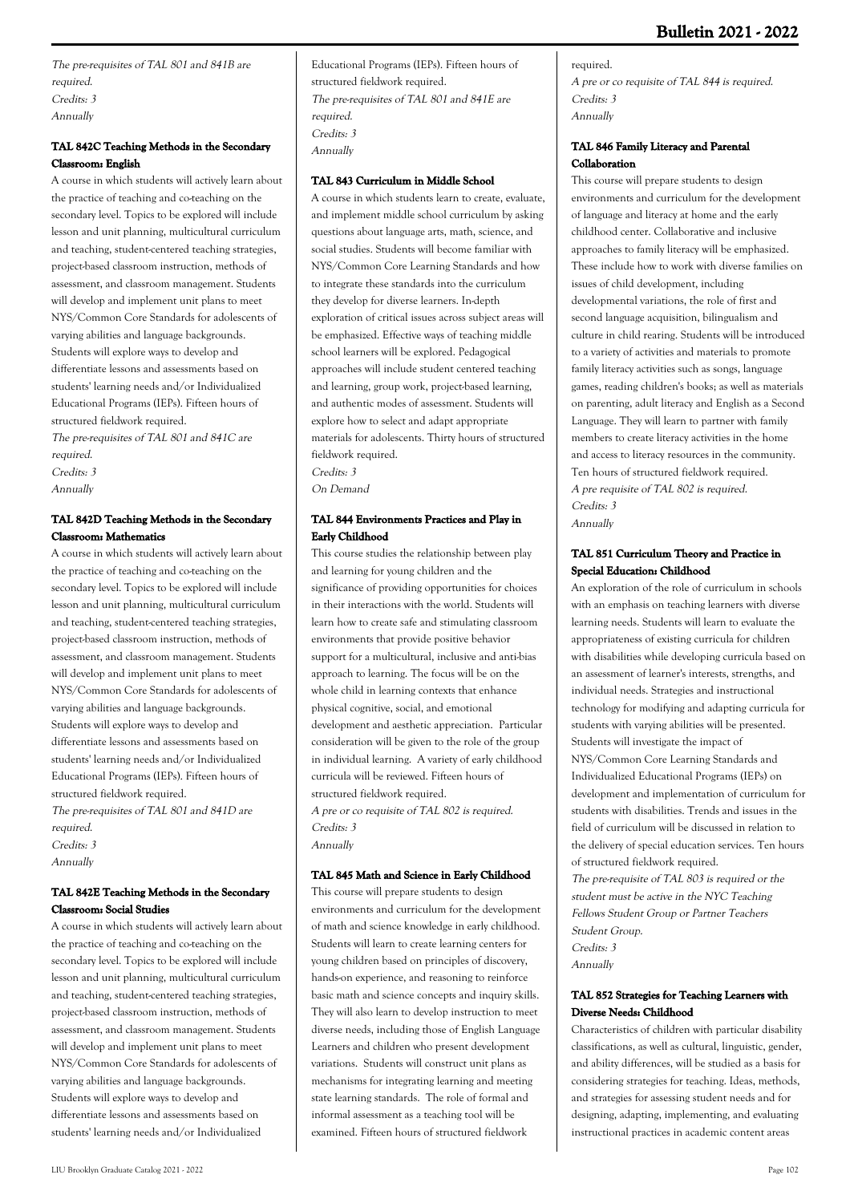# **Bulletin 2021 - 2022**

The pre-requisites of TAL 801 and 841B are required. Credits: 3 Annually

# **TAL 842C Teaching Methods in the Secondary Classroom: English**

A course in which students will actively learn about the practice of teaching and co-teaching on the secondary level. Topics to be explored will include lesson and unit planning, multicultural curriculum and teaching, student-centered teaching strategies, project-based classroom instruction, methods of assessment, and classroom management. Students will develop and implement unit plans to meet NYS/Common Core Standards for adolescents of varying abilities and language backgrounds. Students will explore ways to develop and differentiate lessons and assessments based on students' learning needs and/or Individualized Educational Programs (IEPs). Fifteen hours of structured fieldwork required.

The pre-requisites of TAL 801 and 841C are required. Credits: 3 Annually

# **TAL 842D Teaching Methods in the Secondary Classroom: Mathematics**

A course in which students will actively learn about the practice of teaching and co-teaching on the secondary level. Topics to be explored will include lesson and unit planning, multicultural curriculum and teaching, student-centered teaching strategies, project-based classroom instruction, methods of assessment, and classroom management. Students will develop and implement unit plans to meet NYS/Common Core Standards for adolescents of varying abilities and language backgrounds. Students will explore ways to develop and differentiate lessons and assessments based on students' learning needs and/or Individualized Educational Programs (IEPs). Fifteen hours of structured fieldwork required. The pre-requisites of TAL 801 and 841D are

required. Credits: 3

Annually

# **TAL 842E Teaching Methods in the Secondary Classroom: Social Studies**

A course in which students will actively learn about the practice of teaching and co-teaching on the secondary level. Topics to be explored will include lesson and unit planning, multicultural curriculum and teaching, student-centered teaching strategies, project-based classroom instruction, methods of assessment, and classroom management. Students will develop and implement unit plans to meet NYS/Common Core Standards for adolescents of varying abilities and language backgrounds. Students will explore ways to develop and differentiate lessons and assessments based on students' learning needs and/or Individualized

# **TAL 843 Curriculum in Middle School**

A course in which students learn to create, evaluate, and implement middle school curriculum by asking questions about language arts, math, science, and social studies. Students will become familiar with NYS/Common Core Learning Standards and how to integrate these standards into the curriculum they develop for diverse learners. In-depth exploration of critical issues across subject areas will be emphasized. Effective ways of teaching middle school learners will be explored. Pedagogical approaches will include student centered teaching and learning, group work, project-based learning, and authentic modes of assessment. Students will explore how to select and adapt appropriate materials for adolescents. Thirty hours of structured fieldwork required. Credits: 3

On Demand

## **TAL 844 Environments Practices and Play in Early Childhood**

This course studies the relationship between play and learning for young children and the significance of providing opportunities for choices in their interactions with the world. Students will learn how to create safe and stimulating classroom environments that provide positive behavior support for a multicultural, inclusive and anti-bias approach to learning. The focus will be on the whole child in learning contexts that enhance physical cognitive, social, and emotional development and aesthetic appreciation. Particular consideration will be given to the role of the group in individual learning. A variety of early childhood curricula will be reviewed. Fifteen hours of structured fieldwork required. A pre or co requisite of TAL 802 is required. Credits: 3

Annually

### **TAL 845 Math and Science in Early Childhood**

This course will prepare students to design environments and curriculum for the development of math and science knowledge in early childhood. Students will learn to create learning centers for young children based on principles of discovery, hands-on experience, and reasoning to reinforce basic math and science concepts and inquiry skills. They will also learn to develop instruction to meet diverse needs, including those of English Language Learners and children who present development variations. Students will construct unit plans as mechanisms for integrating learning and meeting state learning standards. The role of formal and informal assessment as a teaching tool will be examined. Fifteen hours of structured fieldwork

required. A pre or co requisite of TAL 844 is required. Credits: 3 Annually

## **TAL 846 Family Literacy and Parental Collaboration**

This course will prepare students to design environments and curriculum for the development of language and literacy at home and the early childhood center. Collaborative and inclusive approaches to family literacy will be emphasized. These include how to work with diverse families on issues of child development, including developmental variations, the role of first and second language acquisition, bilingualism and culture in child rearing. Students will be introduced to a variety of activities and materials to promote family literacy activities such as songs, language games, reading children's books; as well as materials on parenting, adult literacy and English as a Second Language. They will learn to partner with family members to create literacy activities in the home and access to literacy resources in the community. Ten hours of structured fieldwork required. A pre requisite of TAL 802 is required. Credits: 3 Annually

## **TAL 851 Curriculum Theory and Practice in Special Education: Childhood**

An exploration of the role of curriculum in schools with an emphasis on teaching learners with diverse learning needs. Students will learn to evaluate the appropriateness of existing curricula for children with disabilities while developing curricula based on an assessment of learner's interests, strengths, and individual needs. Strategies and instructional technology for modifying and adapting curricula for students with varying abilities will be presented. Students will investigate the impact of NYS/Common Core Learning Standards and Individualized Educational Programs (IEPs) on development and implementation of curriculum for students with disabilities. Trends and issues in the field of curriculum will be discussed in relation to the delivery of special education services. Ten hours of structured fieldwork required.

The pre-requisite of TAL 803 is required or the student must be active in the NYC Teaching Fellows Student Group or Partner Teachers Student Group. Credits: 3 Annually

# **TAL 852 Strategies for Teaching Learners with Diverse Needs: Childhood**

Characteristics of children with particular disability classifications, as well as cultural, linguistic, gender, and ability differences, will be studied as a basis for considering strategies for teaching. Ideas, methods, and strategies for assessing student needs and for designing, adapting, implementing, and evaluating instructional practices in academic content areas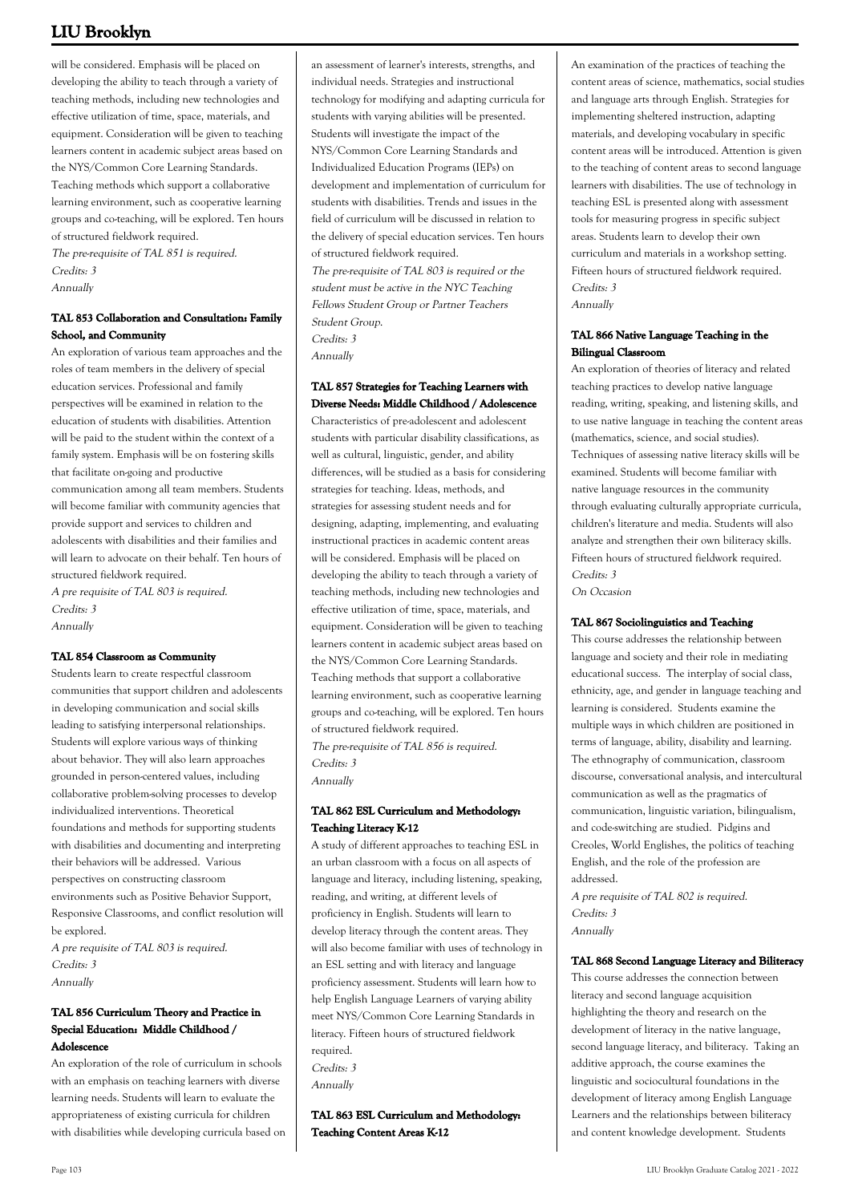will be considered. Emphasis will be placed on developing the ability to teach through a variety of teaching methods, including new technologies and effective utilization of time, space, materials, and equipment. Consideration will be given to teaching learners content in academic subject areas based on the NYS/Common Core Learning Standards. Teaching methods which support a collaborative learning environment, such as cooperative learning groups and co-teaching, will be explored. Ten hours of structured fieldwork required.

The pre-requisite of TAL 851 is required. Credits: 3 Annually

## **TAL 853 Collaboration and Consultation: Family School, and Community**

An exploration of various team approaches and the roles of team members in the delivery of special education services. Professional and family perspectives will be examined in relation to the education of students with disabilities. Attention will be paid to the student within the context of a family system. Emphasis will be on fostering skills that facilitate on-going and productive communication among all team members. Students will become familiar with community agencies that provide support and services to children and adolescents with disabilities and their families and will learn to advocate on their behalf. Ten hours of structured fieldwork required. A pre requisite of TAL 803 is required.

Credits: 3 Annually

### **TAL 854 Classroom as Community**

Students learn to create respectful classroom communities that support children and adolescents in developing communication and social skills leading to satisfying interpersonal relationships. Students will explore various ways of thinking about behavior. They will also learn approaches grounded in person-centered values, including collaborative problem-solving processes to develop individualized interventions. Theoretical foundations and methods for supporting students with disabilities and documenting and interpreting their behaviors will be addressed. Various perspectives on constructing classroom environments such as Positive Behavior Support, Responsive Classrooms, and conflict resolution will be explored.

A pre requisite of TAL 803 is required. Credits: 3 Annually

# **TAL 856 Curriculum Theory and Practice in Special Education: Middle Childhood / Adolescence**

An exploration of the role of curriculum in schools with an emphasis on teaching learners with diverse learning needs. Students will learn to evaluate the appropriateness of existing curricula for children with disabilities while developing curricula based on an assessment of learner's interests, strengths, and individual needs. Strategies and instructional technology for modifying and adapting curricula for students with varying abilities will be presented. Students will investigate the impact of the NYS/Common Core Learning Standards and Individualized Education Programs (IEPs) on development and implementation of curriculum for students with disabilities. Trends and issues in the field of curriculum will be discussed in relation to the delivery of special education services. Ten hours of structured fieldwork required. The pre-requisite of TAL 803 is required or the student must be active in the NYC Teaching Fellows Student Group or Partner Teachers

Student Group. Credits: 3 Annually

# **TAL 857 Strategies for Teaching Learners with Diverse Needs: Middle Childhood / Adolescence**

Characteristics of pre-adolescent and adolescent students with particular disability classifications, as well as cultural, linguistic, gender, and ability differences, will be studied as a basis for considering strategies for teaching. Ideas, methods, and strategies for assessing student needs and for designing, adapting, implementing, and evaluating instructional practices in academic content areas will be considered. Emphasis will be placed on developing the ability to teach through a variety of teaching methods, including new technologies and effective utilization of time, space, materials, and equipment. Consideration will be given to teaching learners content in academic subject areas based on the NYS/Common Core Learning Standards. Teaching methods that support a collaborative learning environment, such as cooperative learning groups and co-teaching, will be explored. Ten hours of structured fieldwork required. The pre-requisite of TAL 856 is required. Credits: 3

Annually

# **TAL 862 ESL Curriculum and Methodology: Teaching Literacy K-12**

A study of different approaches to teaching ESL in an urban classroom with a focus on all aspects of language and literacy, including listening, speaking, reading, and writing, at different levels of proficiency in English. Students will learn to develop literacy through the content areas. They will also become familiar with uses of technology in an ESL setting and with literacy and language proficiency assessment. Students will learn how to help English Language Learners of varying ability meet NYS/Common Core Learning Standards in literacy. Fifteen hours of structured fieldwork required. Credits: 3 Annually

**TAL 863 ESL Curriculum and Methodology: Teaching Content Areas K-12**

An examination of the practices of teaching the content areas of science, mathematics, social studies and language arts through English. Strategies for implementing sheltered instruction, adapting materials, and developing vocabulary in specific content areas will be introduced. Attention is given to the teaching of content areas to second language learners with disabilities. The use of technology in teaching ESL is presented along with assessment tools for measuring progress in specific subject areas. Students learn to develop their own curriculum and materials in a workshop setting. Fifteen hours of structured fieldwork required. Credits: 3 Annually

## **TAL 866 Native Language Teaching in the Bilingual Classroom**

An exploration of theories of literacy and related teaching practices to develop native language reading, writing, speaking, and listening skills, and to use native language in teaching the content areas (mathematics, science, and social studies). Techniques of assessing native literacy skills will be examined. Students will become familiar with native language resources in the community through evaluating culturally appropriate curricula, children's literature and media. Students will also analyze and strengthen their own biliteracy skills. Fifteen hours of structured fieldwork required. Credits: 3

On Occasion

### **TAL 867 Sociolinguistics and Teaching**

This course addresses the relationship between language and society and their role in mediating educational success. The interplay of social class, ethnicity, age, and gender in language teaching and learning is considered. Students examine the multiple ways in which children are positioned in terms of language, ability, disability and learning. The ethnography of communication, classroom discourse, conversational analysis, and intercultural communication as well as the pragmatics of communication, linguistic variation, bilingualism, and code-switching are studied. Pidgins and Creoles, World Englishes, the politics of teaching English, and the role of the profession are addressed.

A pre requisite of TAL 802 is required. Credits: 3 Annually

### **TAL 868 Second Language Literacy and Biliteracy**

This course addresses the connection between literacy and second language acquisition highlighting the theory and research on the development of literacy in the native language, second language literacy, and biliteracy. Taking an additive approach, the course examines the linguistic and sociocultural foundations in the development of literacy among English Language Learners and the relationships between biliteracy and content knowledge development. Students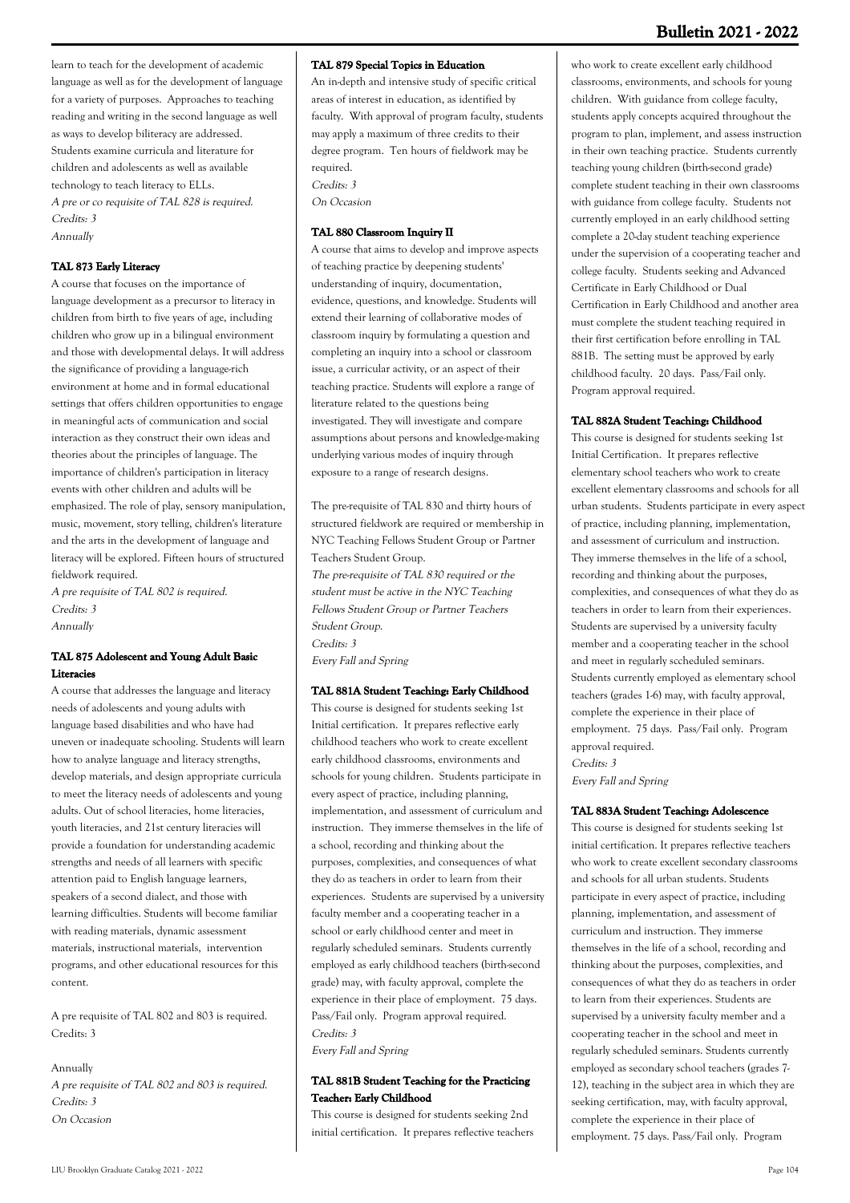learn to teach for the development of academic language as well as for the development of language for a variety of purposes. Approaches to teaching reading and writing in the second language as well as ways to develop biliteracy are addressed. Students examine curricula and literature for children and adolescents as well as available technology to teach literacy to ELLs. A pre or co requisite of TAL 828 is required. Credits: 3 Annually

### **TAL 873 Early Literacy**

A course that focuses on the importance of language development as a precursor to literacy in children from birth to five years of age, including children who grow up in a bilingual environment and those with developmental delays. It will address the significance of providing a language-rich environment at home and in formal educational settings that offers children opportunities to engage in meaningful acts of communication and social interaction as they construct their own ideas and theories about the principles of language. The importance of children's participation in literacy events with other children and adults will be emphasized. The role of play, sensory manipulation, music, movement, story telling, children's literature and the arts in the development of language and literacy will be explored. Fifteen hours of structured fieldwork required.

A pre requisite of TAL 802 is required. Credits: 3 Annually

#### **TAL 875 Adolescent and Young Adult Basic Literacies**

A course that addresses the language and literacy needs of adolescents and young adults with language based disabilities and who have had uneven or inadequate schooling. Students will learn how to analyze language and literacy strengths, develop materials, and design appropriate curricula to meet the literacy needs of adolescents and young adults. Out of school literacies, home literacies, youth literacies, and 21st century literacies will provide a foundation for understanding academic strengths and needs of all learners with specific attention paid to English language learners, speakers of a second dialect, and those with learning difficulties. Students will become familiar with reading materials, dynamic assessment materials, instructional materials, intervention programs, and other educational resources for this content.

A pre requisite of TAL 802 and 803 is required. Credits: 3

#### Annually

A pre requisite of TAL 802 and 803 is required. Credits: 3 On Occasion

#### **TAL 879 Special Topics in Education**

An in-depth and intensive study of specific critical areas of interest in education, as identified by faculty. With approval of program faculty, students may apply a maximum of three credits to their degree program. Ten hours of fieldwork may be required. Credits: 3

On Occasion

## **TAL 880 Classroom Inquiry II**

A course that aims to develop and improve aspects of teaching practice by deepening students' understanding of inquiry, documentation, evidence, questions, and knowledge. Students will extend their learning of collaborative modes of classroom inquiry by formulating a question and completing an inquiry into a school or classroom issue, a curricular activity, or an aspect of their teaching practice. Students will explore a range of literature related to the questions being investigated. They will investigate and compare assumptions about persons and knowledge-making underlying various modes of inquiry through exposure to a range of research designs.

The pre-requisite of TAL 830 and thirty hours of structured fieldwork are required or membership in NYC Teaching Fellows Student Group or Partner Teachers Student Group. The pre-requisite of TAL 830 required or the student must be active in the NYC Teaching Fellows Student Group or Partner Teachers Student Group. Credits: 3 Every Fall and Spring

### **TAL 881A Student Teaching: Early Childhood**

This course is designed for students seeking 1st Initial certification. It prepares reflective early childhood teachers who work to create excellent early childhood classrooms, environments and schools for young children. Students participate in every aspect of practice, including planning, implementation, and assessment of curriculum and instruction. They immerse themselves in the life of a school, recording and thinking about the purposes, complexities, and consequences of what they do as teachers in order to learn from their experiences. Students are supervised by a university faculty member and a cooperating teacher in a school or early childhood center and meet in regularly scheduled seminars. Students currently employed as early childhood teachers (birth-second grade) may, with faculty approval, complete the experience in their place of employment. 75 days. Pass/Fail only. Program approval required. Credits: 3

Every Fall and Spring

## **TAL 881B Student Teaching for the Practicing Teacher: Early Childhood**

This course is designed for students seeking 2nd initial certification. It prepares reflective teachers

who work to create excellent early childhood classrooms, environments, and schools for young children. With guidance from college faculty, students apply concepts acquired throughout the program to plan, implement, and assess instruction in their own teaching practice. Students currently teaching young children (birth-second grade) complete student teaching in their own classrooms with guidance from college faculty. Students not currently employed in an early childhood setting complete a 20-day student teaching experience under the supervision of a cooperating teacher and college faculty. Students seeking and Advanced Certificate in Early Childhood or Dual Certification in Early Childhood and another area must complete the student teaching required in their first certification before enrolling in TAL 881B. The setting must be approved by early childhood faculty. 20 days. Pass/Fail only. Program approval required.

#### **TAL 882A Student Teaching: Childhood**

This course is designed for students seeking 1st Initial Certification. It prepares reflective elementary school teachers who work to create excellent elementary classrooms and schools for all urban students. Students participate in every aspect of practice, including planning, implementation, and assessment of curriculum and instruction. They immerse themselves in the life of a school, recording and thinking about the purposes, complexities, and consequences of what they do as teachers in order to learn from their experiences. Students are supervised by a university faculty member and a cooperating teacher in the school and meet in regularly sccheduled seminars. Students currently employed as elementary school teachers (grades 1-6) may, with faculty approval, complete the experience in their place of employment. 75 days. Pass/Fail only. Program approval required. Credits: 3

Every Fall and Spring

#### **TAL 883A Student Teaching: Adolescence**

This course is designed for students seeking 1st initial certification. It prepares reflective teachers who work to create excellent secondary classrooms and schools for all urban students. Students participate in every aspect of practice, including planning, implementation, and assessment of curriculum and instruction. They immerse themselves in the life of a school, recording and thinking about the purposes, complexities, and consequences of what they do as teachers in order to learn from their experiences. Students are supervised by a university faculty member and a cooperating teacher in the school and meet in regularly scheduled seminars. Students currently employed as secondary school teachers (grades 7- 12), teaching in the subject area in which they are seeking certification, may, with faculty approval, complete the experience in their place of employment. 75 days. Pass/Fail only. Program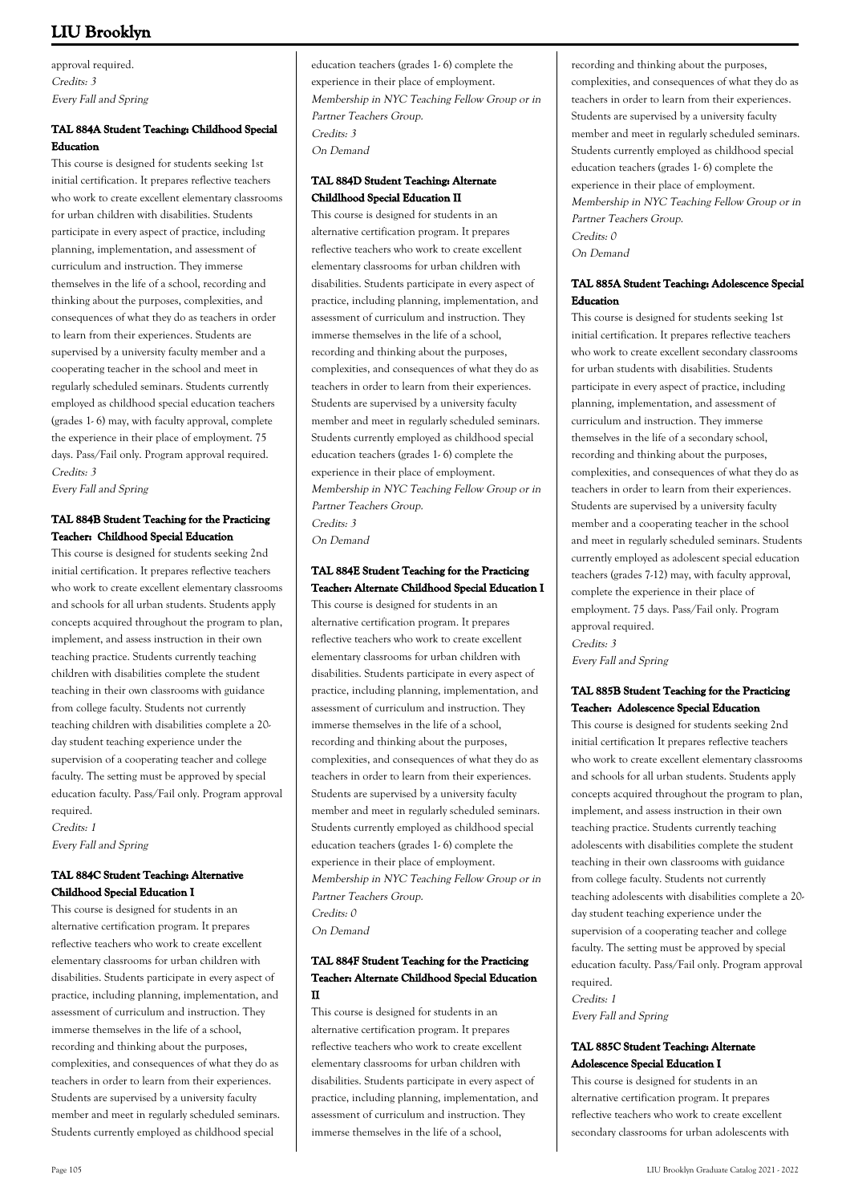approval required. Credits: 3 Every Fall and Spring

# **TAL 884A Student Teaching: Childhood Special Education**

This course is designed for students seeking 1st initial certification. It prepares reflective teachers who work to create excellent elementary classrooms for urban children with disabilities. Students participate in every aspect of practice, including planning, implementation, and assessment of curriculum and instruction. They immerse themselves in the life of a school, recording and thinking about the purposes, complexities, and consequences of what they do as teachers in order to learn from their experiences. Students are supervised by a university faculty member and a cooperating teacher in the school and meet in regularly scheduled seminars. Students currently employed as childhood special education teachers (grades 1- 6) may, with faculty approval, complete the experience in their place of employment. 75 days. Pass/Fail only. Program approval required. Credits: 3

Every Fall and Spring

# **TAL 884B Student Teaching for the Practicing Teacher: Childhood Special Education**

This course is designed for students seeking 2nd initial certification. It prepares reflective teachers who work to create excellent elementary classrooms and schools for all urban students. Students apply concepts acquired throughout the program to plan, implement, and assess instruction in their own teaching practice. Students currently teaching children with disabilities complete the student teaching in their own classrooms with guidance from college faculty. Students not currently teaching children with disabilities complete a 20 day student teaching experience under the supervision of a cooperating teacher and college faculty. The setting must be approved by special education faculty. Pass/Fail only. Program approval required.

Credits: 1 Every Fall and Spring

# **TAL 884C Student Teaching: Alternative Childhood Special Education I**

This course is designed for students in an alternative certification program. It prepares reflective teachers who work to create excellent elementary classrooms for urban children with disabilities. Students participate in every aspect of practice, including planning, implementation, and assessment of curriculum and instruction. They immerse themselves in the life of a school, recording and thinking about the purposes, complexities, and consequences of what they do as teachers in order to learn from their experiences. Students are supervised by a university faculty member and meet in regularly scheduled seminars. Students currently employed as childhood special

education teachers (grades 1- 6) complete the experience in their place of employment. Membership in NYC Teaching Fellow Group or in Partner Teachers Group. Credits: 3 On Demand

# **TAL 884D Student Teaching: Alternate Childlhood Special Education II**

This course is designed for students in an alternative certification program. It prepares reflective teachers who work to create excellent elementary classrooms for urban children with disabilities. Students participate in every aspect of practice, including planning, implementation, and assessment of curriculum and instruction. They immerse themselves in the life of a school, recording and thinking about the purposes, complexities, and consequences of what they do as teachers in order to learn from their experiences. Students are supervised by a university faculty member and meet in regularly scheduled seminars. Students currently employed as childhood special education teachers (grades 1- 6) complete the experience in their place of employment. Membership in NYC Teaching Fellow Group or in Partner Teachers Group. Credits: 3 On Demand

# **TAL 884E Student Teaching for the Practicing Teacher: Alternate Childhood Special Education I**

This course is designed for students in an alternative certification program. It prepares reflective teachers who work to create excellent elementary classrooms for urban children with disabilities. Students participate in every aspect of practice, including planning, implementation, and assessment of curriculum and instruction. They immerse themselves in the life of a school, recording and thinking about the purposes, complexities, and consequences of what they do as teachers in order to learn from their experiences. Students are supervised by a university faculty member and meet in regularly scheduled seminars. Students currently employed as childhood special education teachers (grades 1- 6) complete the experience in their place of employment. Membership in NYC Teaching Fellow Group or in Partner Teachers Group. Credits: 0 On Demand

# **TAL 884F Student Teaching for the Practicing Teacher: Alternate Childhood Special Education II**

This course is designed for students in an alternative certification program. It prepares reflective teachers who work to create excellent elementary classrooms for urban children with disabilities. Students participate in every aspect of practice, including planning, implementation, and assessment of curriculum and instruction. They immerse themselves in the life of a school,

recording and thinking about the purposes, complexities, and consequences of what they do as teachers in order to learn from their experiences. Students are supervised by a university faculty member and meet in regularly scheduled seminars. Students currently employed as childhood special education teachers (grades 1- 6) complete the experience in their place of employment. Membership in NYC Teaching Fellow Group or in Partner Teachers Group. Credits: 0 On Demand

## **TAL 885A Student Teaching: Adolescence Special Education**

This course is designed for students seeking 1st initial certification. It prepares reflective teachers who work to create excellent secondary classrooms for urban students with disabilities. Students participate in every aspect of practice, including planning, implementation, and assessment of curriculum and instruction. They immerse themselves in the life of a secondary school, recording and thinking about the purposes, complexities, and consequences of what they do as teachers in order to learn from their experiences. Students are supervised by a university faculty member and a cooperating teacher in the school and meet in regularly scheduled seminars. Students currently employed as adolescent special education teachers (grades 7-12) may, with faculty approval, complete the experience in their place of employment. 75 days. Pass/Fail only. Program approval required. Credits: 3

Every Fall and Spring

# **TAL 885B Student Teaching for the Practicing Teacher: Adolescence Special Education**

This course is designed for students seeking 2nd initial certification It prepares reflective teachers who work to create excellent elementary classrooms and schools for all urban students. Students apply concepts acquired throughout the program to plan, implement, and assess instruction in their own teaching practice. Students currently teaching adolescents with disabilities complete the student teaching in their own classrooms with guidance from college faculty. Students not currently teaching adolescents with disabilities complete a 20 day student teaching experience under the supervision of a cooperating teacher and college faculty. The setting must be approved by special education faculty. Pass/Fail only. Program approval required.

Credits: 1

Every Fall and Spring

# **TAL 885C Student Teaching: Alternate Adolescence Special Education I**

This course is designed for students in an alternative certification program. It prepares reflective teachers who work to create excellent secondary classrooms for urban adolescents with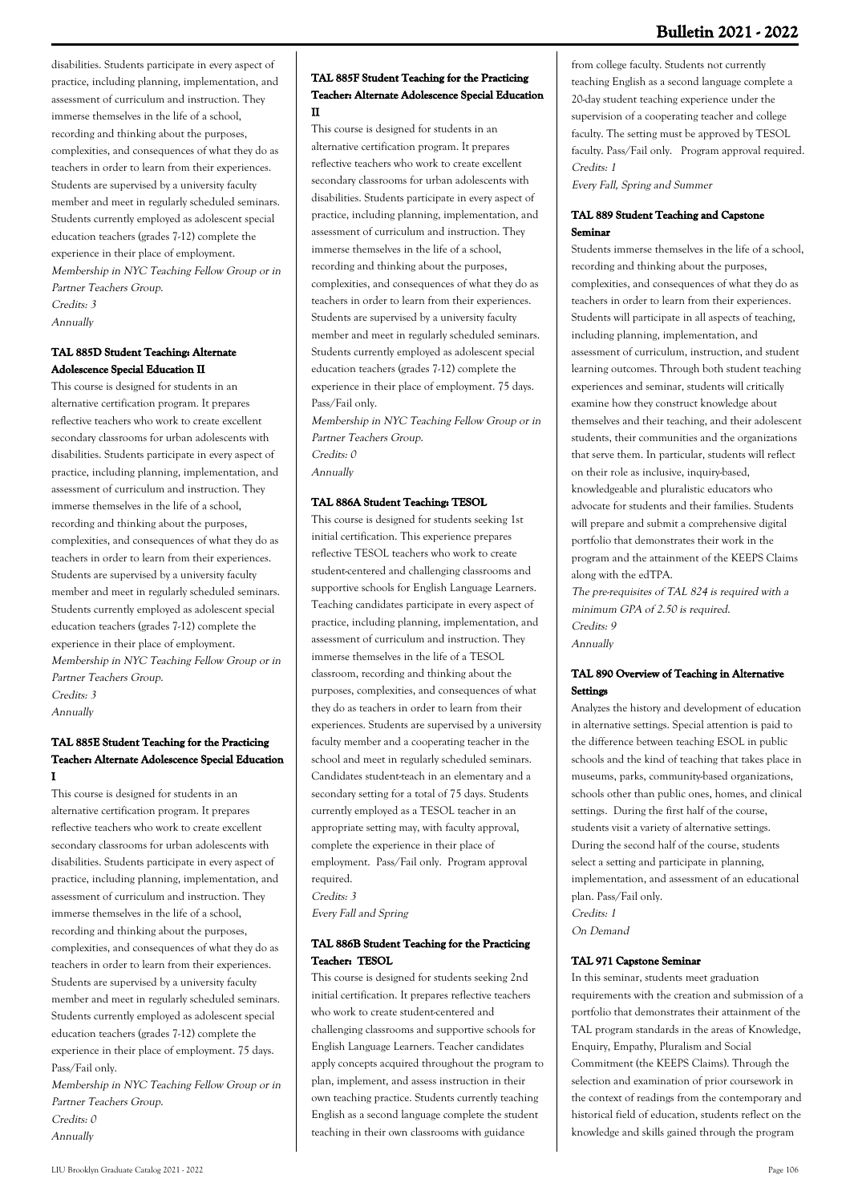disabilities. Students participate in every aspect of practice, including planning, implementation, and assessment of curriculum and instruction. They immerse themselves in the life of a school, recording and thinking about the purposes, complexities, and consequences of what they do as teachers in order to learn from their experiences. Students are supervised by a university faculty member and meet in regularly scheduled seminars. Students currently employed as adolescent special education teachers (grades 7-12) complete the experience in their place of employment. Membership in NYC Teaching Fellow Group or in Partner Teachers Group. Credits: 3

Annually

# **TAL 885D Student Teaching: Alternate Adolescence Special Education II**

This course is designed for students in an alternative certification program. It prepares reflective teachers who work to create excellent secondary classrooms for urban adolescents with disabilities. Students participate in every aspect of practice, including planning, implementation, and assessment of curriculum and instruction. They immerse themselves in the life of a school, recording and thinking about the purposes, complexities, and consequences of what they do as teachers in order to learn from their experiences. Students are supervised by a university faculty member and meet in regularly scheduled seminars. Students currently employed as adolescent special education teachers (grades 7-12) complete the experience in their place of employment. Membership in NYC Teaching Fellow Group or in Partner Teachers Group. Credits: 3 Annually

# **TAL 885E Student Teaching for the Practicing Teacher: Alternate Adolescence Special Education I**

This course is designed for students in an alternative certification program. It prepares reflective teachers who work to create excellent secondary classrooms for urban adolescents with disabilities. Students participate in every aspect of practice, including planning, implementation, and assessment of curriculum and instruction. They immerse themselves in the life of a school, recording and thinking about the purposes, complexities, and consequences of what they do as teachers in order to learn from their experiences. Students are supervised by a university faculty member and meet in regularly scheduled seminars. Students currently employed as adolescent special education teachers (grades 7-12) complete the experience in their place of employment. 75 days. Pass/Fail only.

Membership in NYC Teaching Fellow Group or in Partner Teachers Group. Credits: 0 Annually

#### **TAL 885F Student Teaching for the Practicing Teacher: Alternate Adolescence Special Education II**

This course is designed for students in an alternative certification program. It prepares reflective teachers who work to create excellent secondary classrooms for urban adolescents with disabilities. Students participate in every aspect of practice, including planning, implementation, and assessment of curriculum and instruction. They immerse themselves in the life of a school, recording and thinking about the purposes, complexities, and consequences of what they do as teachers in order to learn from their experiences. Students are supervised by a university faculty member and meet in regularly scheduled seminars. Students currently employed as adolescent special education teachers (grades 7-12) complete the experience in their place of employment. 75 days. Pass/Fail only.

Membership in NYC Teaching Fellow Group or in Partner Teachers Group. Credits: 0 Annually

#### **TAL 886A Student Teaching: TESOL**

This course is designed for students seeking 1st initial certification. This experience prepares reflective TESOL teachers who work to create student-centered and challenging classrooms and supportive schools for English Language Learners. Teaching candidates participate in every aspect of practice, including planning, implementation, and assessment of curriculum and instruction. They immerse themselves in the life of a TESOL classroom, recording and thinking about the purposes, complexities, and consequences of what they do as teachers in order to learn from their experiences. Students are supervised by a university faculty member and a cooperating teacher in the school and meet in regularly scheduled seminars. Candidates student-teach in an elementary and a secondary setting for a total of 75 days. Students currently employed as a TESOL teacher in an appropriate setting may, with faculty approval, complete the experience in their place of employment. Pass/Fail only. Program approval required. Credits: 3

Every Fall and Spring

# **TAL 886B Student Teaching for the Practicing Teacher: TESOL**

This course is designed for students seeking 2nd initial certification. It prepares reflective teachers who work to create student-centered and challenging classrooms and supportive schools for English Language Learners. Teacher candidates apply concepts acquired throughout the program to plan, implement, and assess instruction in their own teaching practice. Students currently teaching English as a second language complete the student teaching in their own classrooms with guidance

from college faculty. Students not currently teaching English as a second language complete a 20-day student teaching experience under the supervision of a cooperating teacher and college faculty. The setting must be approved by TESOL faculty. Pass/Fail only. Program approval required. Credits: 1

Every Fall, Spring and Summer

#### **TAL 889 Student Teaching and Capstone Seminar**

Students immerse themselves in the life of a school, recording and thinking about the purposes, complexities, and consequences of what they do as teachers in order to learn from their experiences. Students will participate in all aspects of teaching, including planning, implementation, and assessment of curriculum, instruction, and student learning outcomes. Through both student teaching experiences and seminar, students will critically examine how they construct knowledge about themselves and their teaching, and their adolescent students, their communities and the organizations that serve them. In particular, students will reflect on their role as inclusive, inquiry-based, knowledgeable and pluralistic educators who advocate for students and their families. Students will prepare and submit a comprehensive digital portfolio that demonstrates their work in the program and the attainment of the KEEPS Claims along with the edTPA.

The pre-requisites of TAL 824 is required with a minimum GPA of 2.50 is required. Credits: 9 Annually

## **TAL 890 Overview of Teaching in Alternative Settings**

Analyzes the history and development of education in alternative settings. Special attention is paid to the difference between teaching ESOL in public schools and the kind of teaching that takes place in museums, parks, community-based organizations, schools other than public ones, homes, and clinical settings. During the first half of the course, students visit a variety of alternative settings. During the second half of the course, students select a setting and participate in planning, implementation, and assessment of an educational plan. Pass/Fail only. Credits: 1

On Demand

#### **TAL 971 Capstone Seminar**

In this seminar, students meet graduation requirements with the creation and submission of a portfolio that demonstrates their attainment of the TAL program standards in the areas of Knowledge, Enquiry, Empathy, Pluralism and Social Commitment (the KEEPS Claims). Through the selection and examination of prior coursework in the context of readings from the contemporary and historical field of education, students reflect on the knowledge and skills gained through the program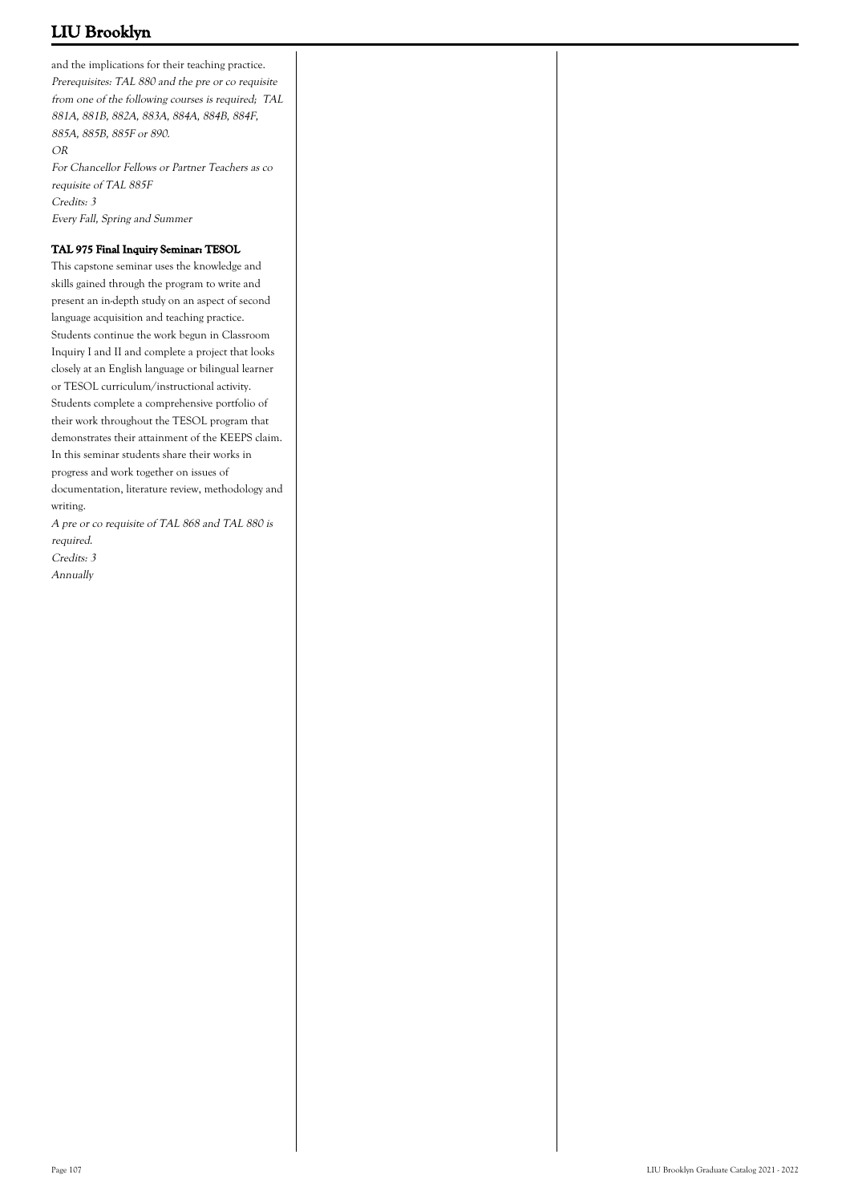and the implications for their teaching practice. Prerequisites: TAL 880 and the pre or co requisite from one of the following courses is required; TAL 881A, 881B, 882A, 883A, 884A, 884B, 884F, 885A, 885B, 885F or 890. OR For Chancellor Fellows or Partner Teachers as co requisite of TAL 885F Credits: 3 Every Fall, Spring and Summer

## **TAL 975 Final Inquiry Seminar: TESOL**

This capstone seminar uses the knowledge and skills gained through the program to write and present an in-depth study on an aspect of second language acquisition and teaching practice. Students continue the work begun in Classroom Inquiry I and II and complete a project that looks closely at an English language or bilingual learner or TESOL curriculum/instructional activity. Students complete a comprehensive portfolio of their work throughout the TESOL program that demonstrates their attainment of the KEEPS claim. In this seminar students share their works in progress and work together on issues of documentation, literature review, methodology and writing.

A pre or co requisite of TAL 868 and TAL 880 is required.

Credits: 3 Annually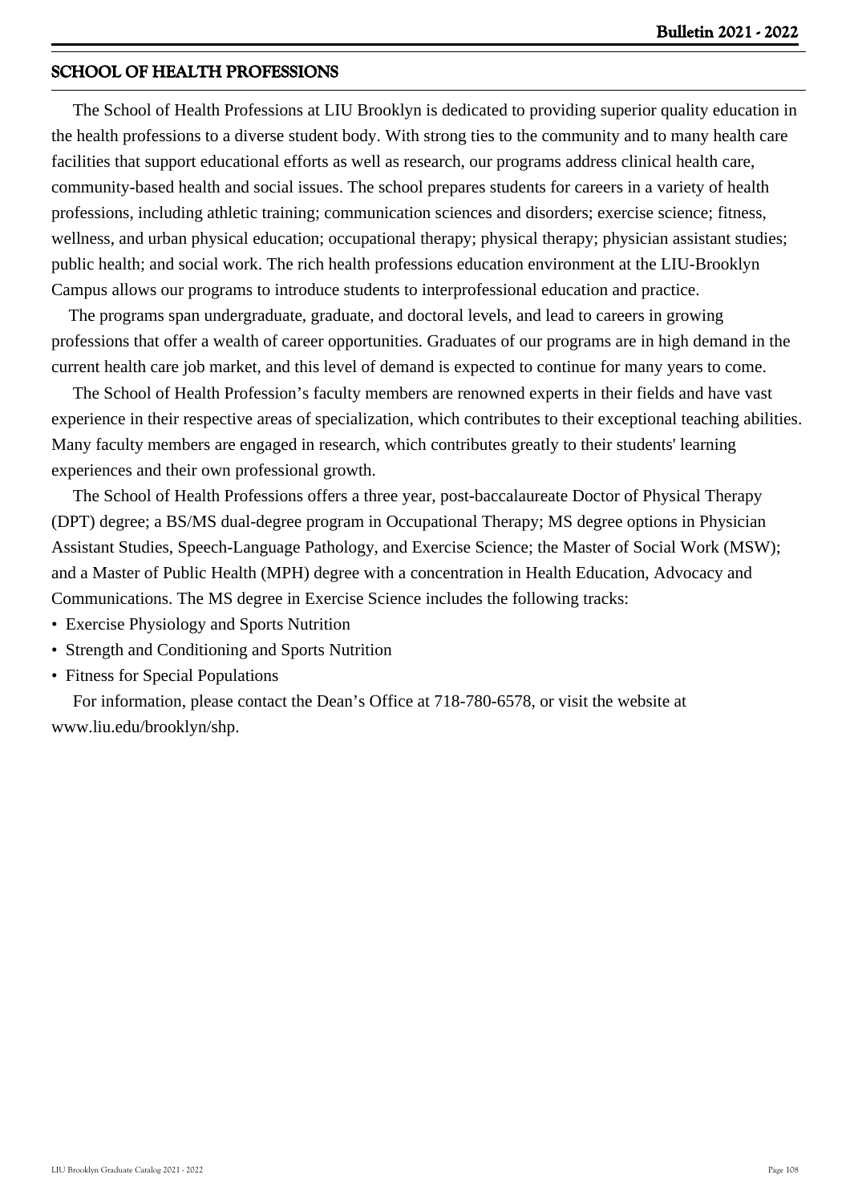# **SCHOOL OF HEALTH PROFESSIONS**

 The School of Health Professions at LIU Brooklyn is dedicated to providing superior quality education in the health professions to a diverse student body. With strong ties to the community and to many health care facilities that support educational efforts as well as research, our programs address clinical health care, community-based health and social issues. The school prepares students for careers in a variety of health professions, including athletic training; communication sciences and disorders; exercise science; fitness, wellness, and urban physical education; occupational therapy; physical therapy; physician assistant studies; public health; and social work. The rich health professions education environment at the LIU-Brooklyn Campus allows our programs to introduce students to interprofessional education and practice.

 The programs span undergraduate, graduate, and doctoral levels, and lead to careers in growing professions that offer a wealth of career opportunities. Graduates of our programs are in high demand in the current health care job market, and this level of demand is expected to continue for many years to come.

 The School of Health Profession's faculty members are renowned experts in their fields and have vast experience in their respective areas of specialization, which contributes to their exceptional teaching abilities. Many faculty members are engaged in research, which contributes greatly to their students' learning experiences and their own professional growth.

 The School of Health Professions offers a three year, post-baccalaureate Doctor of Physical Therapy (DPT) degree; a BS/MS dual-degree program in Occupational Therapy; MS degree options in Physician Assistant Studies, Speech-Language Pathology, and Exercise Science; the Master of Social Work (MSW); and a Master of Public Health (MPH) degree with a concentration in Health Education, Advocacy and Communications. The MS degree in Exercise Science includes the following tracks:

- Exercise Physiology and Sports Nutrition
- Strength and Conditioning and Sports Nutrition
- Fitness for Special Populations

 For information, please contact the Dean's Office at 718-780-6578, or visit the website at www.liu.edu/brooklyn/shp.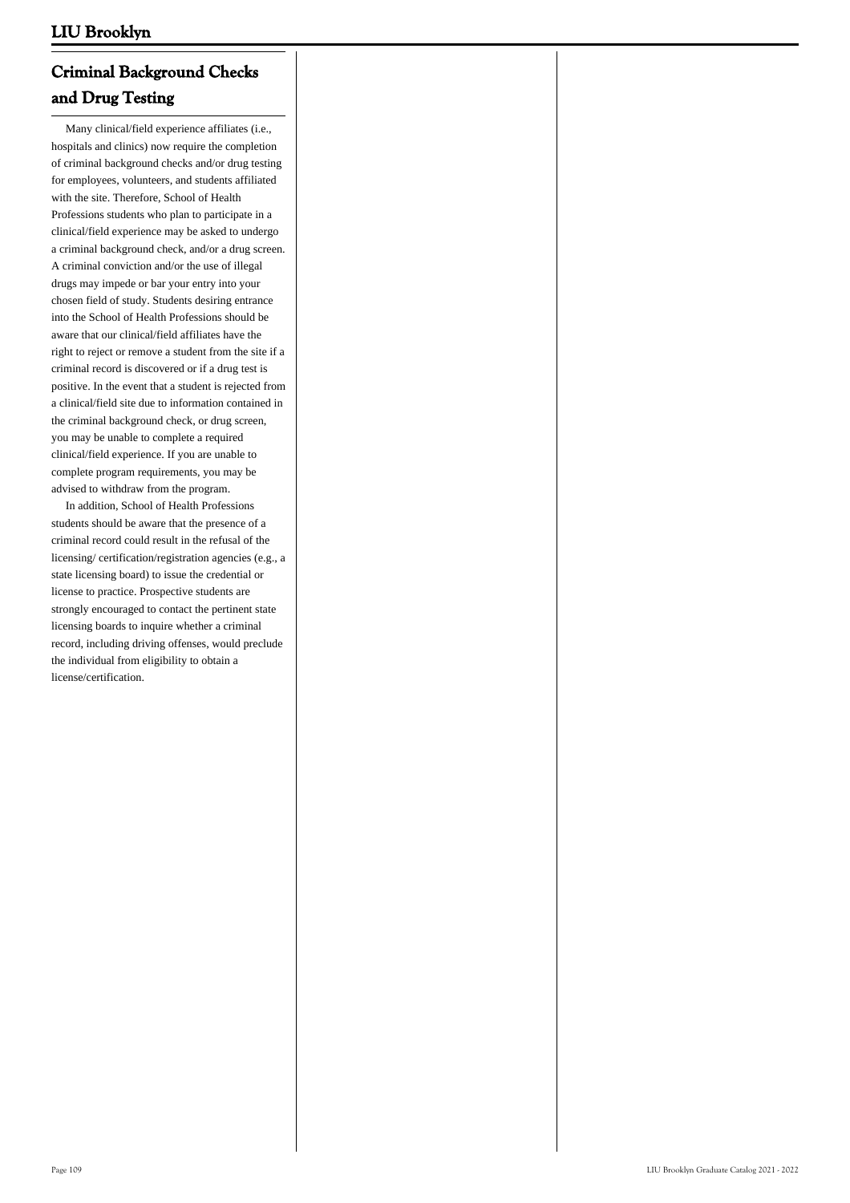# **Criminal Background Checks and Drug Testing**

 Many clinical/field experience affiliates (i.e., hospitals and clinics) now require the completion of criminal background checks and/or drug testing for employees, volunteers, and students affiliated with the site. Therefore, School of Health Professions students who plan to participate in a clinical/field experience may be asked to undergo a criminal background check, and/or a drug screen. A criminal conviction and/or the use of illegal drugs may impede or bar your entry into your chosen field of study. Students desiring entrance into the School of Health Professions should be aware that our clinical/field affiliates have the right to reject or remove a student from the site if a criminal record is discovered or if a drug test is positive. In the event that a student is rejected from a clinical/field site due to information contained in the criminal background check, or drug screen, you may be unable to complete a required clinical/field experience. If you are unable to complete program requirements, you may be advised to withdraw from the program.

 In addition, School of Health Professions students should be aware that the presence of a criminal record could result in the refusal of the licensing/ certification/registration agencies (e.g., a state licensing board) to issue the credential or license to practice. Prospective students are strongly encouraged to contact the pertinent state licensing boards to inquire whether a criminal record, including driving offenses, would preclude the individual from eligibility to obtain a license/certification.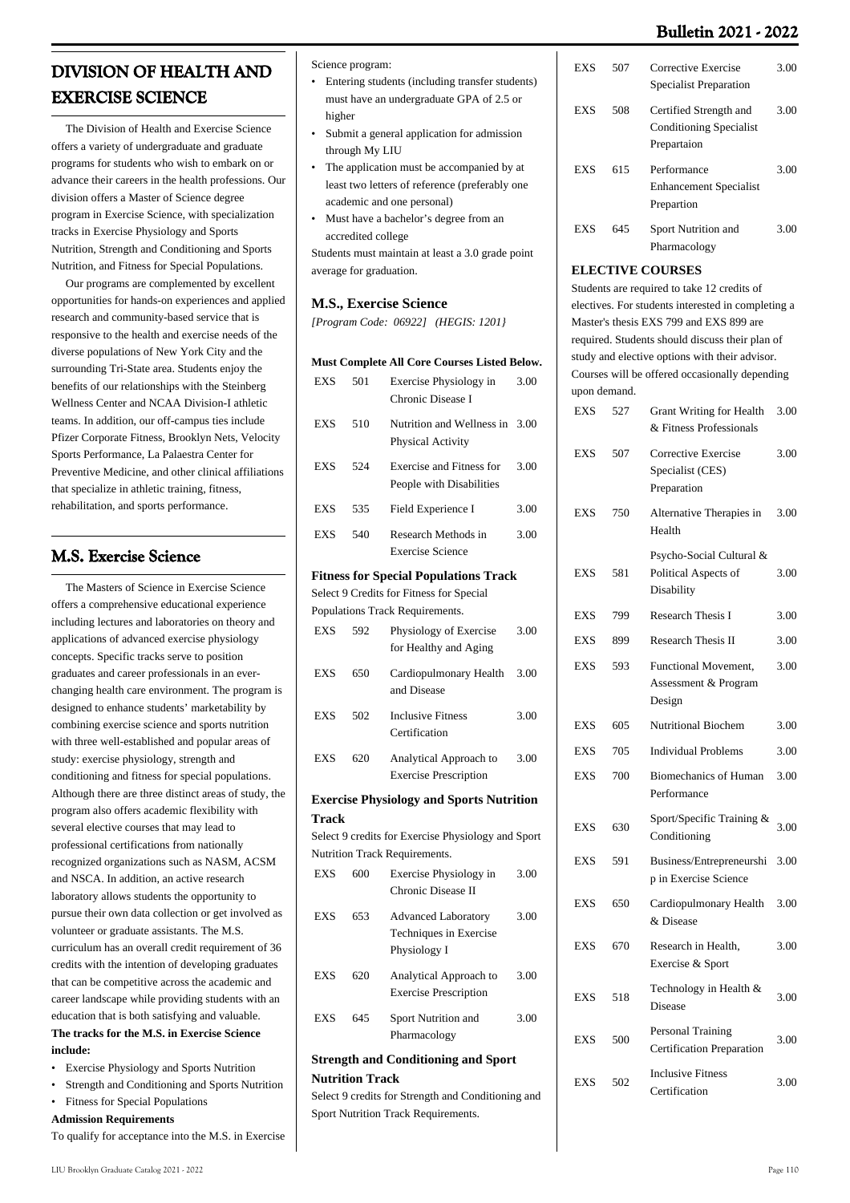# **Bulletin 2021 - 2022**

# **DIVISION OF HEALTH AND EXERCISE SCIENCE**

 The Division of Health and Exercise Science offers a variety of undergraduate and graduate programs for students who wish to embark on or advance their careers in the health professions. Our division offers a Master of Science degree program in Exercise Science, with specialization tracks in Exercise Physiology and Sports Nutrition, Strength and Conditioning and Sports Nutrition, and Fitness for Special Populations.

 Our programs are complemented by excellent opportunities for hands-on experiences and applied research and community-based service that is responsive to the health and exercise needs of the diverse populations of New York City and the surrounding Tri-State area. Students enjoy the benefits of our relationships with the Steinberg Wellness Center and NCAA Division-I athletic teams. In addition, our off-campus ties include Pfizer Corporate Fitness, Brooklyn Nets, Velocity Sports Performance, La Palaestra Center for Preventive Medicine, and other clinical affiliations that specialize in athletic training, fitness, rehabilitation, and sports performance.

# **M.S. Exercise Science**

 The Masters of Science in Exercise Science offers a comprehensive educational experience including lectures and laboratories on theory and applications of advanced exercise physiology concepts. Specific tracks serve to position graduates and career professionals in an everchanging health care environment. The program is designed to enhance students' marketability by combining exercise science and sports nutrition with three well-established and popular areas of study: exercise physiology, strength and conditioning and fitness for special populations. Although there are three distinct areas of study, the program also offers academic flexibility with several elective courses that may lead to professional certifications from nationally recognized organizations such as NASM, ACSM and NSCA. In addition, an active research laboratory allows students the opportunity to pursue their own data collection or get involved as volunteer or graduate assistants. The M.S. curriculum has an overall credit requirement of 36 credits with the intention of developing graduates that can be competitive across the academic and career landscape while providing students with an education that is both satisfying and valuable. **The tracks for the M.S. in Exercise Science include:**

- Exercise Physiology and Sports Nutrition
- Strength and Conditioning and Sports Nutrition
- Fitness for Special Populations **Admission Requirements**
- To qualify for acceptance into the M.S. in Exercise

Science program:

- Entering students (including transfer students) must have an undergraduate GPA of 2.5 or higher
- Submit a general application for admission through My LIU •
- The application must be accompanied by at least two letters of reference (preferably one academic and one personal) •
- Must have a bachelor's degree from an accredited college •

Students must maintain at least a 3.0 grade point average for graduation.

#### **M.S., Exercise Science**

*[Program Code: 06922] (HEGIS: 1201}*

#### **Must Complete All Core Courses Listed Below.**

| <b>EXS</b>                                      | 501                    | Exercise Physiology in<br>Chronic Disease I                   | 3.00 |  |  |  |
|-------------------------------------------------|------------------------|---------------------------------------------------------------|------|--|--|--|
| <b>EXS</b>                                      | 510                    | Nutrition and Wellness in<br>Physical Activity                | 3.00 |  |  |  |
| <b>EXS</b>                                      | 524                    | <b>Exercise and Fitness for</b><br>People with Disabilities   | 3.00 |  |  |  |
| EXS                                             | 535                    | Field Experience I                                            | 3.00 |  |  |  |
| <b>EXS</b>                                      | 540                    | Research Methods in<br><b>Exercise Science</b>                | 3.00 |  |  |  |
|                                                 |                        | <b>Fitness for Special Populations Track</b>                  |      |  |  |  |
|                                                 |                        | Select 9 Credits for Fitness for Special                      |      |  |  |  |
|                                                 |                        | Populations Track Requirements.                               |      |  |  |  |
| <b>EXS</b>                                      | 592                    | Physiology of Exercise<br>for Healthy and Aging               | 3.00 |  |  |  |
| <b>EXS</b>                                      | 650                    | Cardiopulmonary Health<br>and Disease                         | 3.00 |  |  |  |
| <b>EXS</b>                                      | 502                    | <b>Inclusive Fitness</b><br>Certification                     | 3.00 |  |  |  |
| <b>EXS</b>                                      | 620                    | Analytical Approach to<br><b>Exercise Prescription</b>        | 3.00 |  |  |  |
| <b>Exercise Physiology and Sports Nutrition</b> |                        |                                                               |      |  |  |  |
| Track                                           |                        |                                                               |      |  |  |  |
|                                                 |                        | Select 9 credits for Exercise Physiology and Sport            |      |  |  |  |
|                                                 |                        | Nutrition Track Requirements.                                 |      |  |  |  |
| <b>EXS</b>                                      | 600                    | Exercise Physiology in<br>Chronic Disease II                  | 3.00 |  |  |  |
| <b>EXS</b>                                      | 653                    | Advanced Laboratory<br>Techniques in Exercise<br>Physiology I | 3.00 |  |  |  |
| <b>EXS</b>                                      | 620                    | Analytical Approach to<br><b>Exercise Prescription</b>        | 3.00 |  |  |  |
| <b>EXS</b>                                      | 645                    | Sport Nutrition and<br>Pharmacology                           | 3.00 |  |  |  |
|                                                 |                        | <b>Strength and Conditioning and Sport</b>                    |      |  |  |  |
|                                                 | <b>Nutrition Track</b> |                                                               |      |  |  |  |
|                                                 |                        | Select 9 credits for Strength and Conditioning and            |      |  |  |  |

Sport Nutrition Track Requirements.

| EXS | 507 | Corrective Exercise<br><b>Specialist Preparation</b>                    | 3.00 |
|-----|-----|-------------------------------------------------------------------------|------|
| EXS | 508 | Certified Strength and<br><b>Conditioning Specialist</b><br>Prepartaion | 3.00 |
| EXS | 615 | Performance<br><b>Enhancement Specialist</b><br>Prepartion              | 3.00 |
| EXS | 645 | Sport Nutrition and<br>Pharmacology                                     | 3.00 |

#### **ELECTIVE COURSES**

Students are required to take 12 credits of electives. For students interested in completing a Master's thesis EXS 799 and EXS 899 are required. Students should discuss their plan of study and elective options with their advisor. Courses will be offered occasionally depending upon demand.

| EXS        | 527 | <b>Grant Writing for Health</b><br>& Fitness Professionals     | 3.00 |
|------------|-----|----------------------------------------------------------------|------|
| EXS        | 507 | Corrective Exercise<br>Specialist (CES)<br>Preparation         | 3.00 |
| EXS        | 750 | Alternative Therapies in<br>Health                             | 3.00 |
| <b>EXS</b> | 581 | Psycho-Social Cultural &<br>Political Aspects of<br>Disability | 3.00 |
| EXS        | 799 | <b>Research Thesis I</b>                                       | 3.00 |
| EXS        | 899 | <b>Research Thesis II</b>                                      | 3.00 |
| <b>EXS</b> | 593 | Functional Movement,<br>Assessment & Program<br>Design         | 3.00 |
| <b>EXS</b> | 605 | <b>Nutritional Biochem</b>                                     | 3.00 |
| <b>EXS</b> | 705 | <b>Individual Problems</b>                                     | 3.00 |
| <b>EXS</b> | 700 | <b>Biomechanics of Human</b><br>Performance                    | 3.00 |
| <b>EXS</b> | 630 | Sport/Specific Training &<br>Conditioning                      | 3.00 |
| <b>EXS</b> | 591 | Business/Entrepreneurshi<br>p in Exercise Science              | 3.00 |
| <b>EXS</b> | 650 | Cardiopulmonary Health<br>& Disease                            | 3.00 |
| <b>EXS</b> | 670 | Research in Health,<br>Exercise & Sport                        | 3.00 |
| <b>EXS</b> | 518 | Technology in Health &<br>Disease                              | 3.00 |
| <b>EXS</b> | 500 | Personal Training<br><b>Certification Preparation</b>          | 3.00 |
| <b>EXS</b> | 502 | <b>Inclusive Fitness</b><br>Certification                      | 3.00 |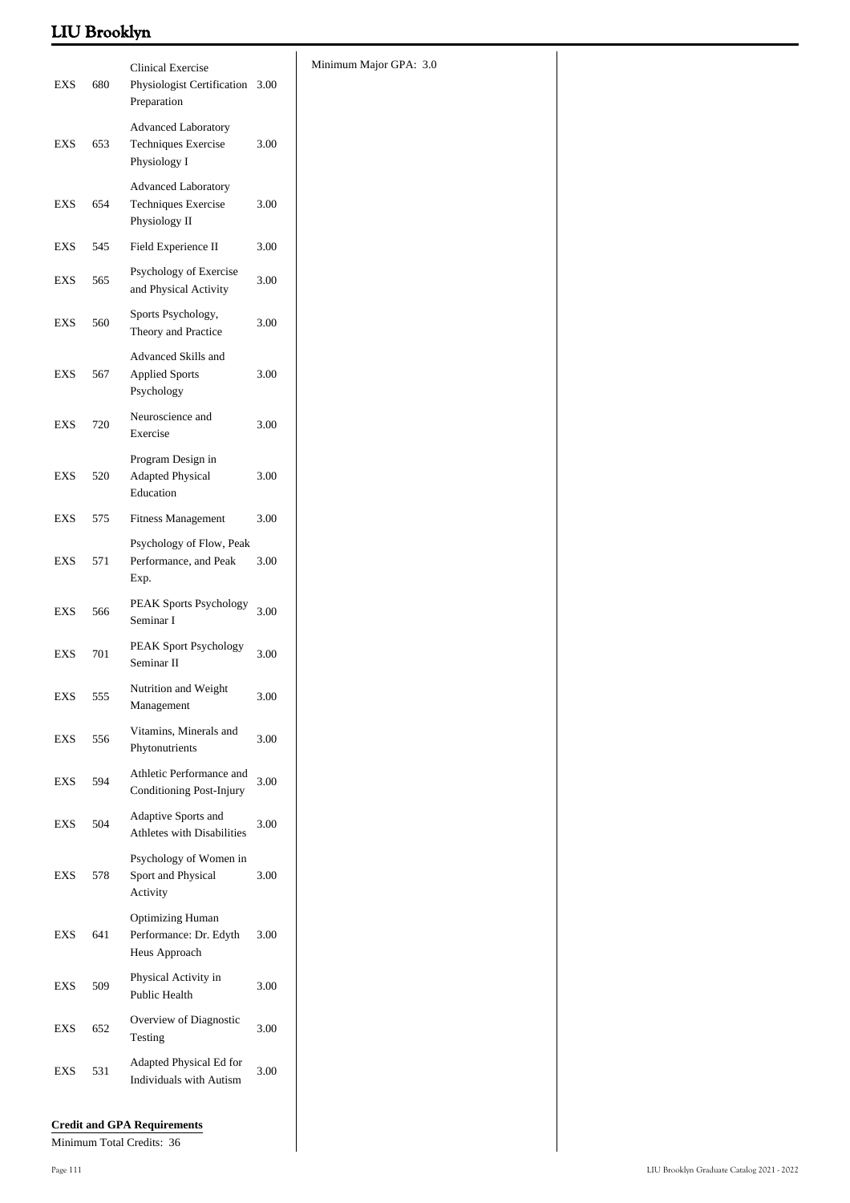|                             |     | <b>Clinical Exercise</b>                                           |          | Minimum Major GPA: 3.0 |
|-----------------------------|-----|--------------------------------------------------------------------|----------|------------------------|
| EXS                         | 680 | Physiologist Certification 3.00<br>Preparation                     |          |                        |
| <b>EXS</b>                  | 653 | <b>Advanced Laboratory</b><br>Techniques Exercise<br>Physiology I  | $3.00\,$ |                        |
| <b>EXS</b>                  | 654 | Advanced Laboratory<br>Techniques Exercise<br>Physiology II        | 3.00     |                        |
| EXS                         | 545 | Field Experience II                                                | 3.00     |                        |
| EXS                         | 565 | Psychology of Exercise<br>and Physical Activity                    | $3.00\,$ |                        |
| EXS                         | 560 | Sports Psychology,<br>Theory and Practice                          | 3.00     |                        |
| EXS                         | 567 | Advanced Skills and<br><b>Applied Sports</b><br>Psychology         | $3.00\,$ |                        |
| EXS                         | 720 | Neuroscience and<br>Exercise                                       | 3.00     |                        |
| <b>EXS</b>                  | 520 | Program Design in<br><b>Adapted Physical</b><br>Education          | 3.00     |                        |
| $\mathop{\rm EXS}\nolimits$ | 575 | <b>Fitness Management</b>                                          | 3.00     |                        |
| EXS                         | 571 | Psychology of Flow, Peak<br>Performance, and Peak<br>Exp.          | 3.00     |                        |
| EXS                         | 566 | PEAK Sports Psychology<br>Seminar I                                | 3.00     |                        |
| EXS                         | 701 | PEAK Sport Psychology<br>Seminar II                                | 3.00     |                        |
| EXS                         | 555 | Nutrition and Weight<br>Management                                 | $3.00\,$ |                        |
| EXS                         | 556 | Vitamins, Minerals and<br>Phytonutrients                           | 3.00     |                        |
| EXS                         | 594 | Athletic Performance and<br>Conditioning Post-Injury               | 3.00     |                        |
| EXS                         | 504 | Adaptive Sports and<br>Athletes with Disabilities                  | $3.00\,$ |                        |
| EXS                         | 578 | Psychology of Women in<br>Sport and Physical<br>Activity           | $3.00\,$ |                        |
| <b>EXS</b>                  | 641 | <b>Optimizing Human</b><br>Performance: Dr. Edyth<br>Heus Approach | 3.00     |                        |
| EXS                         | 509 | Physical Activity in<br>Public Health                              | 3.00     |                        |
| EXS                         | 652 | Overview of Diagnostic<br>Testing                                  | $3.00\,$ |                        |
| EXS                         | 531 | Adapted Physical Ed for<br>Individuals with Autism                 | 3.00     |                        |
|                             |     |                                                                    |          |                        |

### **Credit and GPA Requirements**

Minimum Total Credits: 36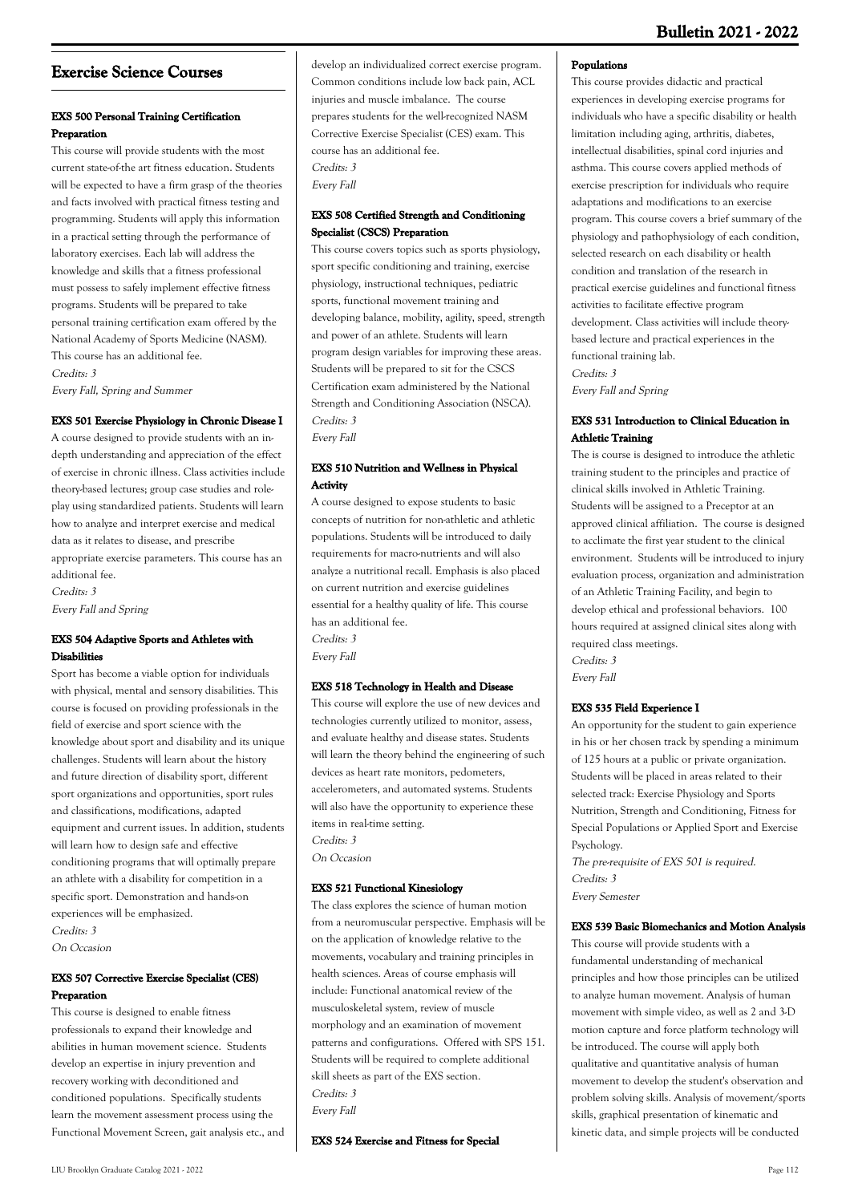# **Exercise Science Courses**

### **EXS 500 Personal Training Certification Preparation**

This course will provide students with the most current state-of-the art fitness education. Students will be expected to have a firm grasp of the theories and facts involved with practical fitness testing and programming. Students will apply this information in a practical setting through the performance of laboratory exercises. Each lab will address the knowledge and skills that a fitness professional must possess to safely implement effective fitness programs. Students will be prepared to take personal training certification exam offered by the National Academy of Sports Medicine (NASM). This course has an additional fee. Credits: 3

Every Fall, Spring and Summer

### **EXS 501 Exercise Physiology in Chronic Disease I**

A course designed to provide students with an indepth understanding and appreciation of the effect of exercise in chronic illness. Class activities include theory-based lectures; group case studies and roleplay using standardized patients. Students will learn how to analyze and interpret exercise and medical data as it relates to disease, and prescribe appropriate exercise parameters. This course has an additional fee. Credits: 3 Every Fall and Spring

### **EXS 504 Adaptive Sports and Athletes with Disabilities**

Sport has become a viable option for individuals with physical, mental and sensory disabilities. This course is focused on providing professionals in the field of exercise and sport science with the knowledge about sport and disability and its unique challenges. Students will learn about the history and future direction of disability sport, different sport organizations and opportunities, sport rules and classifications, modifications, adapted equipment and current issues. In addition, students will learn how to design safe and effective conditioning programs that will optimally prepare an athlete with a disability for competition in a specific sport. Demonstration and hands-on experiences will be emphasized. Credits: 3

On Occasion

### **EXS 507 Corrective Exercise Specialist (CES) Preparation**

This course is designed to enable fitness professionals to expand their knowledge and abilities in human movement science. Students develop an expertise in injury prevention and recovery working with deconditioned and conditioned populations. Specifically students learn the movement assessment process using the Functional Movement Screen, gait analysis etc., and develop an individualized correct exercise program. Common conditions include low back pain, ACL injuries and muscle imbalance. The course prepares students for the well-recognized NASM Corrective Exercise Specialist (CES) exam. This course has an additional fee. Credits: 3 Every Fall

### **EXS 508 Certified Strength and Conditioning Specialist (CSCS) Preparation**

This course covers topics such as sports physiology, sport specific conditioning and training, exercise physiology, instructional techniques, pediatric sports, functional movement training and developing balance, mobility, agility, speed, strength and power of an athlete. Students will learn program design variables for improving these areas. Students will be prepared to sit for the CSCS Certification exam administered by the National Strength and Conditioning Association (NSCA). Credits: 3 Every Fall

### **EXS 510 Nutrition and Wellness in Physical Activity**

A course designed to expose students to basic concepts of nutrition for non-athletic and athletic populations. Students will be introduced to daily requirements for macro-nutrients and will also analyze a nutritional recall. Emphasis is also placed on current nutrition and exercise guidelines essential for a healthy quality of life. This course has an additional fee. Credits: 3 Every Fall

# **EXS 518 Technology in Health and Disease**

This course will explore the use of new devices and technologies currently utilized to monitor, assess, and evaluate healthy and disease states. Students will learn the theory behind the engineering of such devices as heart rate monitors, pedometers, accelerometers, and automated systems. Students will also have the opportunity to experience these items in real-time setting. Credits: 3

On Occasion

# **EXS 521 Functional Kinesiology**

The class explores the science of human motion from a neuromuscular perspective. Emphasis will be on the application of knowledge relative to the movements, vocabulary and training principles in health sciences. Areas of course emphasis will include: Functional anatomical review of the musculoskeletal system, review of muscle morphology and an examination of movement patterns and configurations. Offered with SPS 151. Students will be required to complete additional skill sheets as part of the EXS section. Credits: 3 Every Fall

**EXS 524 Exercise and Fitness for Special**

### **Populations**

This course provides didactic and practical experiences in developing exercise programs for individuals who have a specific disability or health limitation including aging, arthritis, diabetes, intellectual disabilities, spinal cord injuries and asthma. This course covers applied methods of exercise prescription for individuals who require adaptations and modifications to an exercise program. This course covers a brief summary of the physiology and pathophysiology of each condition, selected research on each disability or health condition and translation of the research in practical exercise guidelines and functional fitness activities to facilitate effective program development. Class activities will include theorybased lecture and practical experiences in the functional training lab. Credits: 3 Every Fall and Spring

### **EXS 531 Introduction to Clinical Education in Athletic Training**

The is course is designed to introduce the athletic training student to the principles and practice of clinical skills involved in Athletic Training. Students will be assigned to a Preceptor at an approved clinical affiliation. The course is designed to acclimate the first year student to the clinical environment. Students will be introduced to injury evaluation process, organization and administration of an Athletic Training Facility, and begin to develop ethical and professional behaviors. 100 hours required at assigned clinical sites along with required class meetings. Credits: 3

Every Fall

### **EXS 535 Field Experience I**

An opportunity for the student to gain experience in his or her chosen track by spending a minimum of 125 hours at a public or private organization. Students will be placed in areas related to their selected track: Exercise Physiology and Sports Nutrition, Strength and Conditioning, Fitness for Special Populations or Applied Sport and Exercise Psychology.

The pre-requisite of EXS 501 is required. Credits: 3 Every Semester

#### **EXS 539 Basic Biomechanics and Motion Analysis**

This course will provide students with a fundamental understanding of mechanical principles and how those principles can be utilized to analyze human movement. Analysis of human movement with simple video, as well as 2 and 3-D motion capture and force platform technology will be introduced. The course will apply both qualitative and quantitative analysis of human movement to develop the student's observation and problem solving skills. Analysis of movement/sports skills, graphical presentation of kinematic and kinetic data, and simple projects will be conducted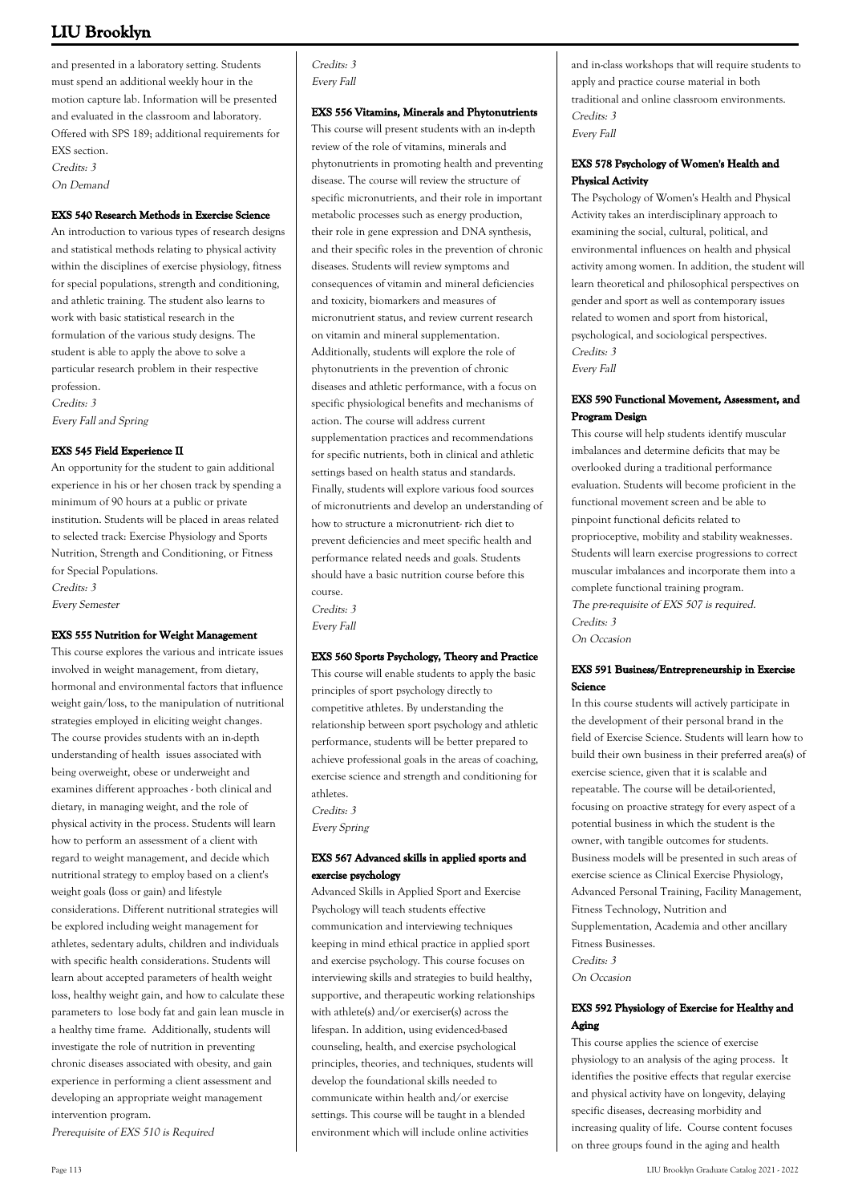and presented in a laboratory setting. Students must spend an additional weekly hour in the motion capture lab. Information will be presented and evaluated in the classroom and laboratory. Offered with SPS 189; additional requirements for EXS section. Credits: 3 On Demand

#### **EXS 540 Research Methods in Exercise Science**

An introduction to various types of research designs and statistical methods relating to physical activity within the disciplines of exercise physiology, fitness for special populations, strength and conditioning, and athletic training. The student also learns to work with basic statistical research in the formulation of the various study designs. The student is able to apply the above to solve a particular research problem in their respective profession. Credits: 3

Every Fall and Spring

#### **EXS 545 Field Experience II**

An opportunity for the student to gain additional experience in his or her chosen track by spending a minimum of 90 hours at a public or private institution. Students will be placed in areas related to selected track: Exercise Physiology and Sports Nutrition, Strength and Conditioning, or Fitness for Special Populations. Credits: 3 Every Semester

#### **EXS 555 Nutrition for Weight Management**

This course explores the various and intricate issues involved in weight management, from dietary, hormonal and environmental factors that influence weight gain/loss, to the manipulation of nutritional strategies employed in eliciting weight changes. The course provides students with an in-depth understanding of health issues associated with being overweight, obese or underweight and examines different approaches - both clinical and dietary, in managing weight, and the role of physical activity in the process. Students will learn how to perform an assessment of a client with regard to weight management, and decide which nutritional strategy to employ based on a client's weight goals (loss or gain) and lifestyle considerations. Different nutritional strategies will be explored including weight management for athletes, sedentary adults, children and individuals with specific health considerations. Students will learn about accepted parameters of health weight loss, healthy weight gain, and how to calculate these parameters to lose body fat and gain lean muscle in a healthy time frame. Additionally, students will investigate the role of nutrition in preventing chronic diseases associated with obesity, and gain experience in performing a client assessment and developing an appropriate weight management intervention program.

Prerequisite of EXS 510 is Required

Credits: 3 Every Fall

#### **EXS 556 Vitamins, Minerals and Phytonutrients**

This course will present students with an in-depth review of the role of vitamins, minerals and phytonutrients in promoting health and preventing disease. The course will review the structure of specific micronutrients, and their role in important metabolic processes such as energy production, their role in gene expression and DNA synthesis, and their specific roles in the prevention of chronic diseases. Students will review symptoms and consequences of vitamin and mineral deficiencies and toxicity, biomarkers and measures of micronutrient status, and review current research on vitamin and mineral supplementation. Additionally, students will explore the role of phytonutrients in the prevention of chronic diseases and athletic performance, with a focus on specific physiological benefits and mechanisms of action. The course will address current supplementation practices and recommendations for specific nutrients, both in clinical and athletic settings based on health status and standards. Finally, students will explore various food sources of micronutrients and develop an understanding of how to structure a micronutrient- rich diet to prevent deficiencies and meet specific health and performance related needs and goals. Students should have a basic nutrition course before this course. Credits: 3

Every Fall

#### **EXS 560 Sports Psychology, Theory and Practice**

This course will enable students to apply the basic principles of sport psychology directly to competitive athletes. By understanding the relationship between sport psychology and athletic performance, students will be better prepared to achieve professional goals in the areas of coaching, exercise science and strength and conditioning for athletes.

Credits: 3

Every Spring

#### **EXS 567 Advanced skills in applied sports and exercise psychology**

Advanced Skills in Applied Sport and Exercise Psychology will teach students effective communication and interviewing techniques keeping in mind ethical practice in applied sport and exercise psychology. This course focuses on interviewing skills and strategies to build healthy, supportive, and therapeutic working relationships with athlete(s) and/or exerciser(s) across the lifespan. In addition, using evidenced-based counseling, health, and exercise psychological principles, theories, and techniques, students will develop the foundational skills needed to communicate within health and/or exercise settings. This course will be taught in a blended environment which will include online activities

and in-class workshops that will require students to apply and practice course material in both traditional and online classroom environments. Credits: 3 Every Fall

#### **EXS 578 Psychology of Women's Health and Physical Activity**

The Psychology of Women's Health and Physical Activity takes an interdisciplinary approach to examining the social, cultural, political, and environmental influences on health and physical activity among women. In addition, the student will learn theoretical and philosophical perspectives on gender and sport as well as contemporary issues related to women and sport from historical, psychological, and sociological perspectives. Credits: 3 Every Fall

#### **EXS 590 Functional Movement, Assessment, and Program Design**

This course will help students identify muscular imbalances and determine deficits that may be overlooked during a traditional performance evaluation. Students will become proficient in the functional movement screen and be able to pinpoint functional deficits related to proprioceptive, mobility and stability weaknesses. Students will learn exercise progressions to correct muscular imbalances and incorporate them into a complete functional training program.

The pre-requisite of EXS 507 is required. Credits: 3 On Occasion

#### **EXS 591 Business/Entrepreneurship in Exercise Science**

In this course students will actively participate in the development of their personal brand in the field of Exercise Science. Students will learn how to build their own business in their preferred area(s) of exercise science, given that it is scalable and repeatable. The course will be detail-oriented, focusing on proactive strategy for every aspect of a potential business in which the student is the owner, with tangible outcomes for students. Business models will be presented in such areas of exercise science as Clinical Exercise Physiology, Advanced Personal Training, Facility Management, Fitness Technology, Nutrition and Supplementation, Academia and other ancillary Fitness Businesses. Credits: 3 On Occasion

#### **EXS 592 Physiology of Exercise for Healthy and Aging**

This course applies the science of exercise physiology to an analysis of the aging process. It identifies the positive effects that regular exercise and physical activity have on longevity, delaying specific diseases, decreasing morbidity and increasing quality of life. Course content focuses on three groups found in the aging and health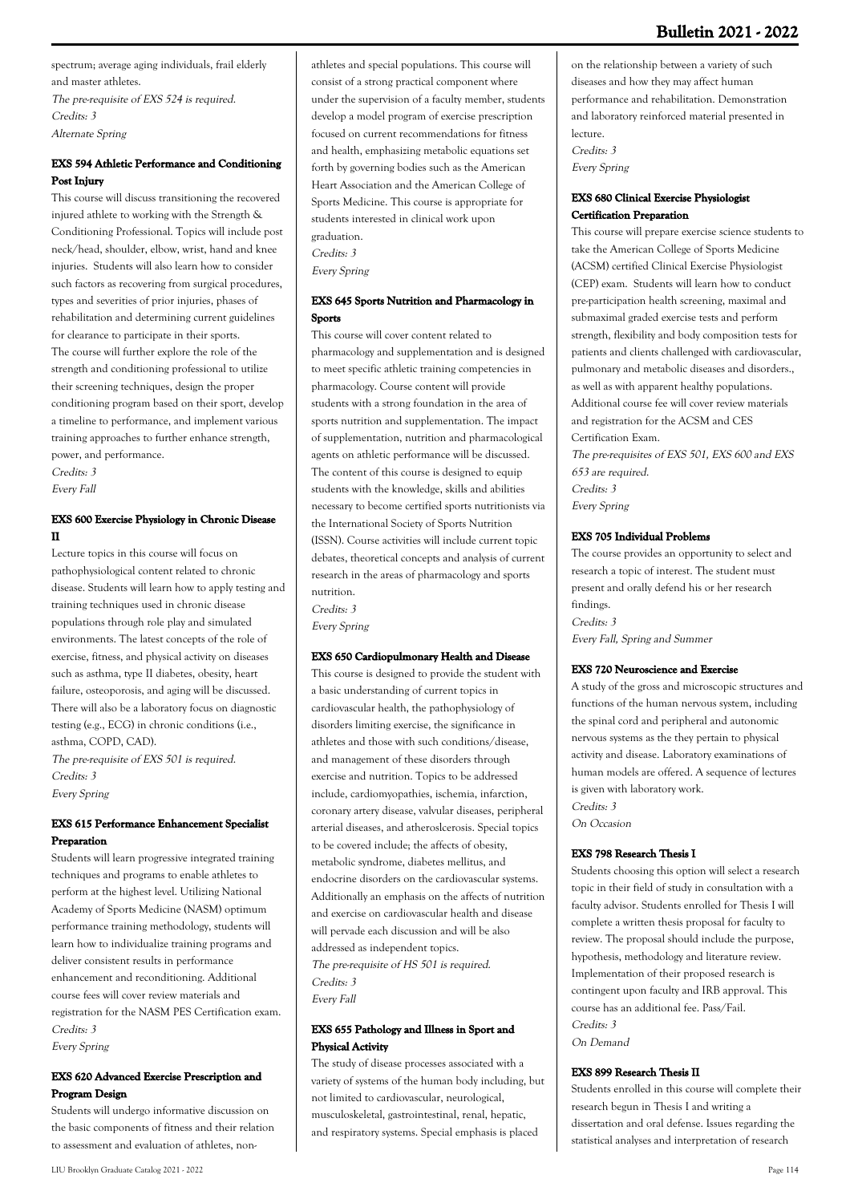spectrum; average aging individuals, frail elderly and master athletes.

The pre-requisite of EXS 524 is required. Credits: 3 Alternate Spring

### **EXS 594 Athletic Performance and Conditioning Post Injury**

This course will discuss transitioning the recovered injured athlete to working with the Strength & Conditioning Professional. Topics will include post neck/head, shoulder, elbow, wrist, hand and knee injuries. Students will also learn how to consider such factors as recovering from surgical procedures, types and severities of prior injuries, phases of rehabilitation and determining current guidelines for clearance to participate in their sports. The course will further explore the role of the strength and conditioning professional to utilize their screening techniques, design the proper conditioning program based on their sport, develop a timeline to performance, and implement various training approaches to further enhance strength, power, and performance.

Credits: 3 Every Fall

#### **EXS 600 Exercise Physiology in Chronic Disease II**

Lecture topics in this course will focus on pathophysiological content related to chronic disease. Students will learn how to apply testing and training techniques used in chronic disease populations through role play and simulated environments. The latest concepts of the role of exercise, fitness, and physical activity on diseases such as asthma, type II diabetes, obesity, heart failure, osteoporosis, and aging will be discussed. There will also be a laboratory focus on diagnostic testing (e.g., ECG) in chronic conditions (i.e., asthma, COPD, CAD).

The pre-requisite of EXS 501 is required. Credits: 3 Every Spring

### **EXS 615 Performance Enhancement Specialist Preparation**

Students will learn progressive integrated training techniques and programs to enable athletes to perform at the highest level. Utilizing National Academy of Sports Medicine (NASM) optimum performance training methodology, students will learn how to individualize training programs and deliver consistent results in performance enhancement and reconditioning. Additional course fees will cover review materials and registration for the NASM PES Certification exam. Credits: 3 Every Spring

#### **EXS 620 Advanced Exercise Prescription and Program Design**

Students will undergo informative discussion on the basic components of fitness and their relation to assessment and evaluation of athletes, nonathletes and special populations. This course will consist of a strong practical component where under the supervision of a faculty member, students develop a model program of exercise prescription focused on current recommendations for fitness and health, emphasizing metabolic equations set forth by governing bodies such as the American Heart Association and the American College of Sports Medicine. This course is appropriate for students interested in clinical work upon graduation. Credits: 3 Every Spring

### **EXS 645 Sports Nutrition and Pharmacology in Sports**

This course will cover content related to pharmacology and supplementation and is designed to meet specific athletic training competencies in pharmacology. Course content will provide students with a strong foundation in the area of sports nutrition and supplementation. The impact of supplementation, nutrition and pharmacological agents on athletic performance will be discussed. The content of this course is designed to equip students with the knowledge, skills and abilities necessary to become certified sports nutritionists via the International Society of Sports Nutrition (ISSN). Course activities will include current topic debates, theoretical concepts and analysis of current research in the areas of pharmacology and sports nutrition.

Credits: 3

Every Spring

#### **EXS 650 Cardiopulmonary Health and Disease**

This course is designed to provide the student with a basic understanding of current topics in cardiovascular health, the pathophysiology of disorders limiting exercise, the significance in athletes and those with such conditions/disease, and management of these disorders through exercise and nutrition. Topics to be addressed include, cardiomyopathies, ischemia, infarction, coronary artery disease, valvular diseases, peripheral arterial diseases, and atheroslcerosis. Special topics to be covered include; the affects of obesity, metabolic syndrome, diabetes mellitus, and endocrine disorders on the cardiovascular systems. Additionally an emphasis on the affects of nutrition and exercise on cardiovascular health and disease will pervade each discussion and will be also addressed as independent topics. The pre-requisite of HS 501 is required. Credits: 3 Every Fall

#### **EXS 655 Pathology and Illness in Sport and Physical Activity**

The study of disease processes associated with a variety of systems of the human body including, but not limited to cardiovascular, neurological, musculoskeletal, gastrointestinal, renal, hepatic, and respiratory systems. Special emphasis is placed

on the relationship between a variety of such diseases and how they may affect human performance and rehabilitation. Demonstration and laboratory reinforced material presented in lecture.

Credits: 3 Every Spring

### **EXS 680 Clinical Exercise Physiologist Certification Preparation**

This course will prepare exercise science students to take the American College of Sports Medicine (ACSM) certified Clinical Exercise Physiologist (CEP) exam. Students will learn how to conduct pre-participation health screening, maximal and submaximal graded exercise tests and perform strength, flexibility and body composition tests for patients and clients challenged with cardiovascular, pulmonary and metabolic diseases and disorders., as well as with apparent healthy populations. Additional course fee will cover review materials and registration for the ACSM and CES Certification Exam. The pre-requisites of EXS 501, EXS 600 and EXS

653 are required. Credits: 3 Every Spring

#### **EXS 705 Individual Problems**

The course provides an opportunity to select and research a topic of interest. The student must present and orally defend his or her research findings. Credits: 3 Every Fall, Spring and Summer

#### **EXS 720 Neuroscience and Exercise**

A study of the gross and microscopic structures and functions of the human nervous system, including the spinal cord and peripheral and autonomic nervous systems as the they pertain to physical activity and disease. Laboratory examinations of human models are offered. A sequence of lectures is given with laboratory work. Credits: 3

On Occasion

#### **EXS 798 Research Thesis I**

Students choosing this option will select a research topic in their field of study in consultation with a faculty advisor. Students enrolled for Thesis I will complete a written thesis proposal for faculty to review. The proposal should include the purpose, hypothesis, methodology and literature review. Implementation of their proposed research is contingent upon faculty and IRB approval. This course has an additional fee. Pass/Fail. Credits: 3 On Demand

#### **EXS 899 Research Thesis II**

Students enrolled in this course will complete their research begun in Thesis I and writing a dissertation and oral defense. Issues regarding the statistical analyses and interpretation of research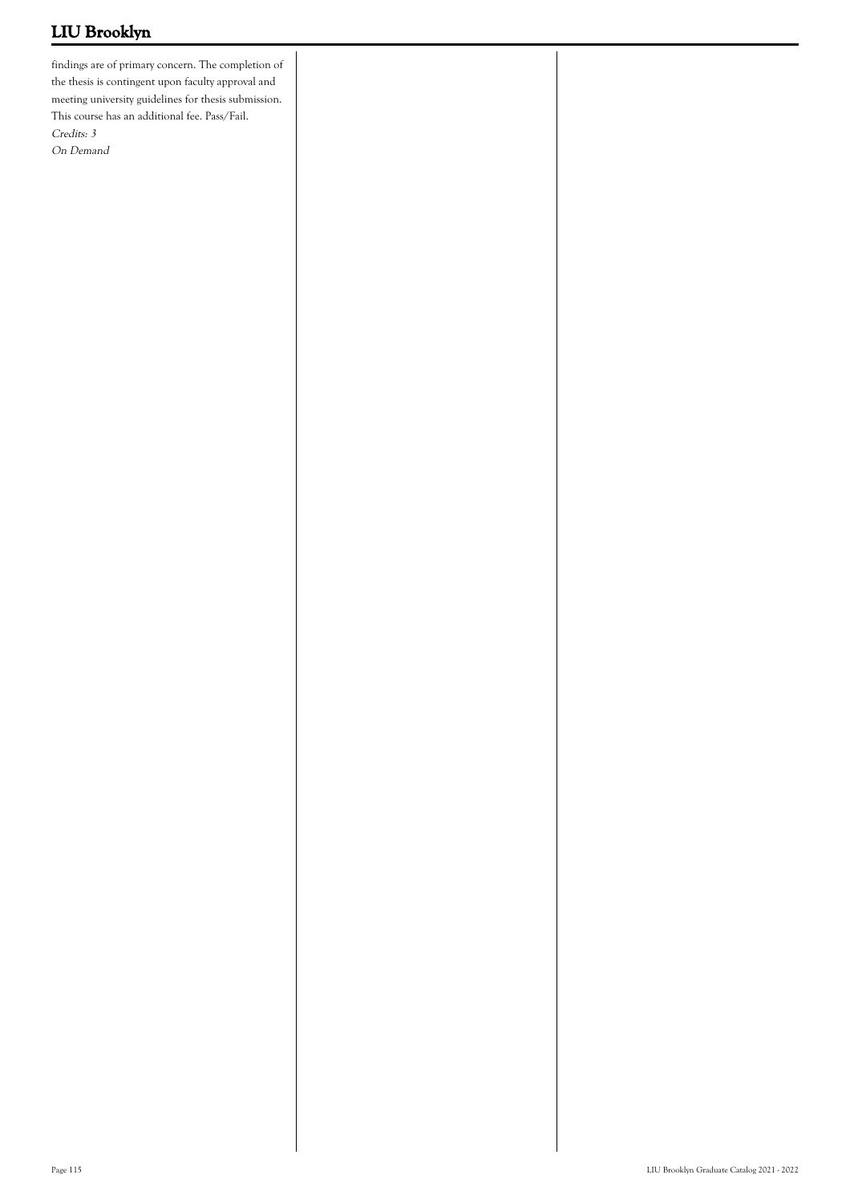findings are of primary concern. The completion of the thesis is contingent upon faculty approval and meeting university guidelines for thesis submission. This course has an additional fee. Pass/Fail. Credits: 3 On Demand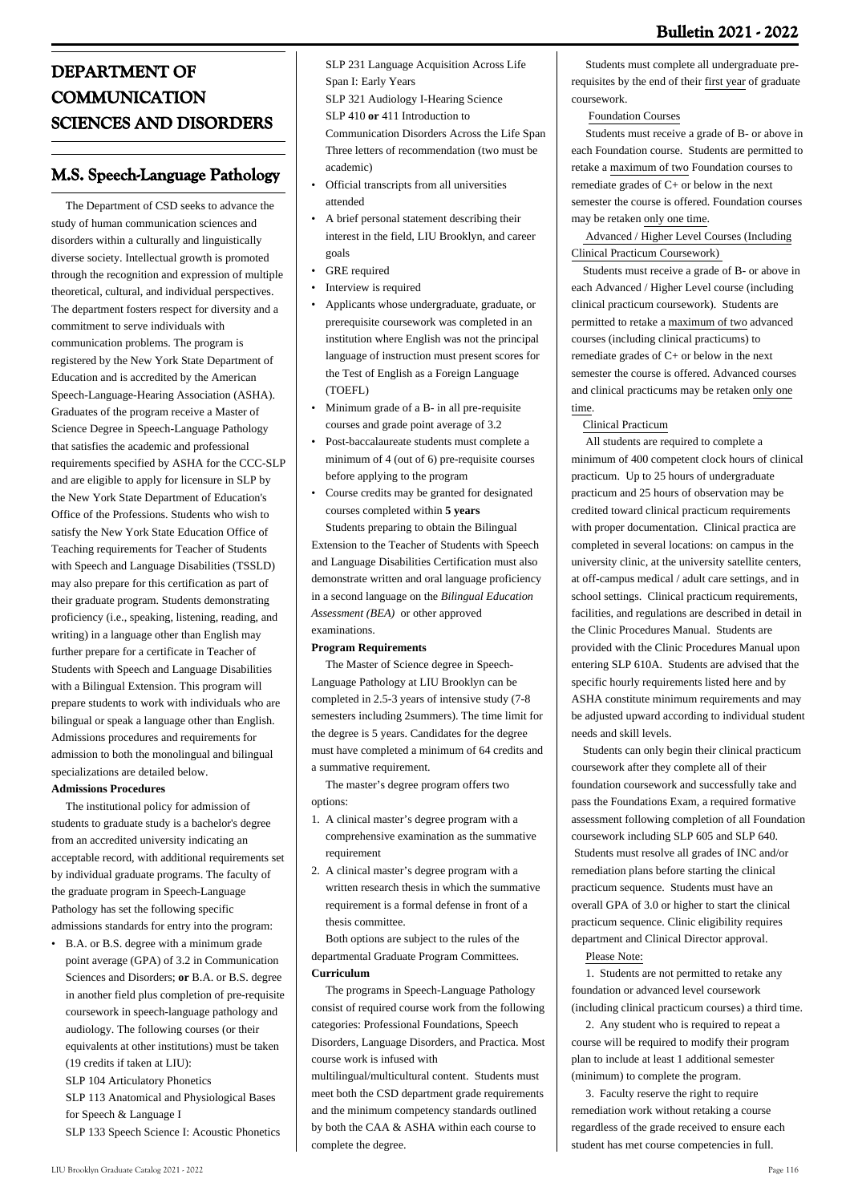# **DEPARTMENT OF COMMUNICATION SCIENCES AND DISORDERS**

# **M.S. Speech-Language Pathology**

 The Department of CSD seeks to advance the study of human communication sciences and disorders within a culturally and linguistically diverse society. Intellectual growth is promoted through the recognition and expression of multiple theoretical, cultural, and individual perspectives. The department fosters respect for diversity and a commitment to serve individuals with communication problems. The program is registered by the New York State Department of Education and is accredited by the American Speech-Language-Hearing Association (ASHA). Graduates of the program receive a Master of Science Degree in Speech-Language Pathology that satisfies the academic and professional requirements specified by ASHA for the CCC-SLP and are eligible to apply for licensure in SLP by the New York State Department of Education's Office of the Professions. Students who wish to satisfy the New York State Education Office of Teaching requirements for Teacher of Students with Speech and Language Disabilities (TSSLD) may also prepare for this certification as part of their graduate program. Students demonstrating proficiency (i.e., speaking, listening, reading, and writing) in a language other than English may further prepare for a certificate in Teacher of Students with Speech and Language Disabilities with a Bilingual Extension. This program will prepare students to work with individuals who are bilingual or speak a language other than English. Admissions procedures and requirements for admission to both the monolingual and bilingual specializations are detailed below.

### **Admissions Procedures**

 The institutional policy for admission of students to graduate study is a bachelor's degree from an accredited university indicating an acceptable record, with additional requirements set by individual graduate programs. The faculty of the graduate program in Speech-Language Pathology has set the following specific admissions standards for entry into the program:

B.A. or B.S. degree with a minimum grade • point average (GPA) of 3.2 in Communication Sciences and Disorders; **or** B.A. or B.S. degree in another field plus completion of pre-requisite coursework in speech-language pathology and audiology. The following courses (or their equivalents at other institutions) must be taken (19 credits if taken at LIU):

SLP 104 Articulatory Phonetics

SLP 113 Anatomical and Physiological Bases for Speech & Language I

SLP 133 Speech Science I: Acoustic Phonetics

SLP 231 Language Acquisition Across Life Span I: Early Years

SLP 321 Audiology I-Hearing Science SLP 410 **or** 411 Introduction to

Communication Disorders Across the Life Span

- Three letters of recommendation (two must be
- academic)
- Official transcripts from all universities attended •
- A brief personal statement describing their interest in the field, LIU Brooklyn, and career goals •
- GRE required
- Interview is required
- Applicants whose undergraduate, graduate, or prerequisite coursework was completed in an institution where English was not the principal language of instruction must present scores for the Test of English as a Foreign Language (TOEFL) •
- Minimum grade of a B- in all pre-requisite courses and grade point average of 3.2 •
- Post-baccalaureate students must complete a minimum of 4 (out of 6) pre-requisite courses before applying to the program •
- Course credits may be granted for designated courses completed within **5 years** •

 Students preparing to obtain the Bilingual Extension to the Teacher of Students with Speech and Language Disabilities Certification must also demonstrate written and oral language proficiency in a second language on the *Bilingual Education Assessment (BEA)* or other approved examinations.

# **Program Requirements**

 The Master of Science degree in Speech-Language Pathology at LIU Brooklyn can be completed in 2.5-3 years of intensive study (7-8 semesters including 2summers). The time limit for the degree is 5 years. Candidates for the degree must have completed a minimum of 64 credits and a summative requirement.

 The master's degree program offers two options:

- A clinical master's degree program with a 1. comprehensive examination as the summative requirement
- 2. A clinical master's degree program with a written research thesis in which the summative requirement is a formal defense in front of a thesis committee.

 Both options are subject to the rules of the departmental Graduate Program Committees. **Curriculum**

 The programs in Speech-Language Pathology consist of required course work from the following categories: Professional Foundations, Speech Disorders, Language Disorders, and Practica. Most course work is infused with

multilingual/multicultural content. Students must meet both the CSD department grade requirements and the minimum competency standards outlined by both the CAA & ASHA within each course to complete the degree.

 Students must complete all undergraduate prerequisites by the end of their first year of graduate coursework.

Foundation Courses

 Students must receive a grade of B- or above in each Foundation course. Students are permitted to retake a maximum of two Foundation courses to remediate grades of C+ or below in the next semester the course is offered. Foundation courses may be retaken only one time.

 Advanced / Higher Level Courses (Including Clinical Practicum Coursework)

 Students must receive a grade of B- or above in each Advanced / Higher Level course (including clinical practicum coursework). Students are permitted to retake a maximum of two advanced courses (including clinical practicums) to remediate grades of C+ or below in the next semester the course is offered. Advanced courses and clinical practicums may be retaken only one time.

### Clinical Practicum

 All students are required to complete a minimum of 400 competent clock hours of clinical practicum. Up to 25 hours of undergraduate practicum and 25 hours of observation may be credited toward clinical practicum requirements with proper documentation. Clinical practica are completed in several locations: on campus in the university clinic, at the university satellite centers, at off-campus medical / adult care settings, and in school settings. Clinical practicum requirements, facilities, and regulations are described in detail in the Clinic Procedures Manual. Students are provided with the Clinic Procedures Manual upon entering SLP 610A. Students are advised that the specific hourly requirements listed here and by ASHA constitute minimum requirements and may be adjusted upward according to individual student needs and skill levels.

 Students can only begin their clinical practicum coursework after they complete all of their foundation coursework and successfully take and pass the Foundations Exam, a required formative assessment following completion of all Foundation coursework including SLP 605 and SLP 640. Students must resolve all grades of INC and/or remediation plans before starting the clinical practicum sequence. Students must have an overall GPA of 3.0 or higher to start the clinical practicum sequence. Clinic eligibility requires department and Clinical Director approval.

Please Note:

 1. Students are not permitted to retake any foundation or advanced level coursework (including clinical practicum courses) a third time.

 2. Any student who is required to repeat a course will be required to modify their program plan to include at least 1 additional semester (minimum) to complete the program.

 3. Faculty reserve the right to require remediation work without retaking a course regardless of the grade received to ensure each student has met course competencies in full.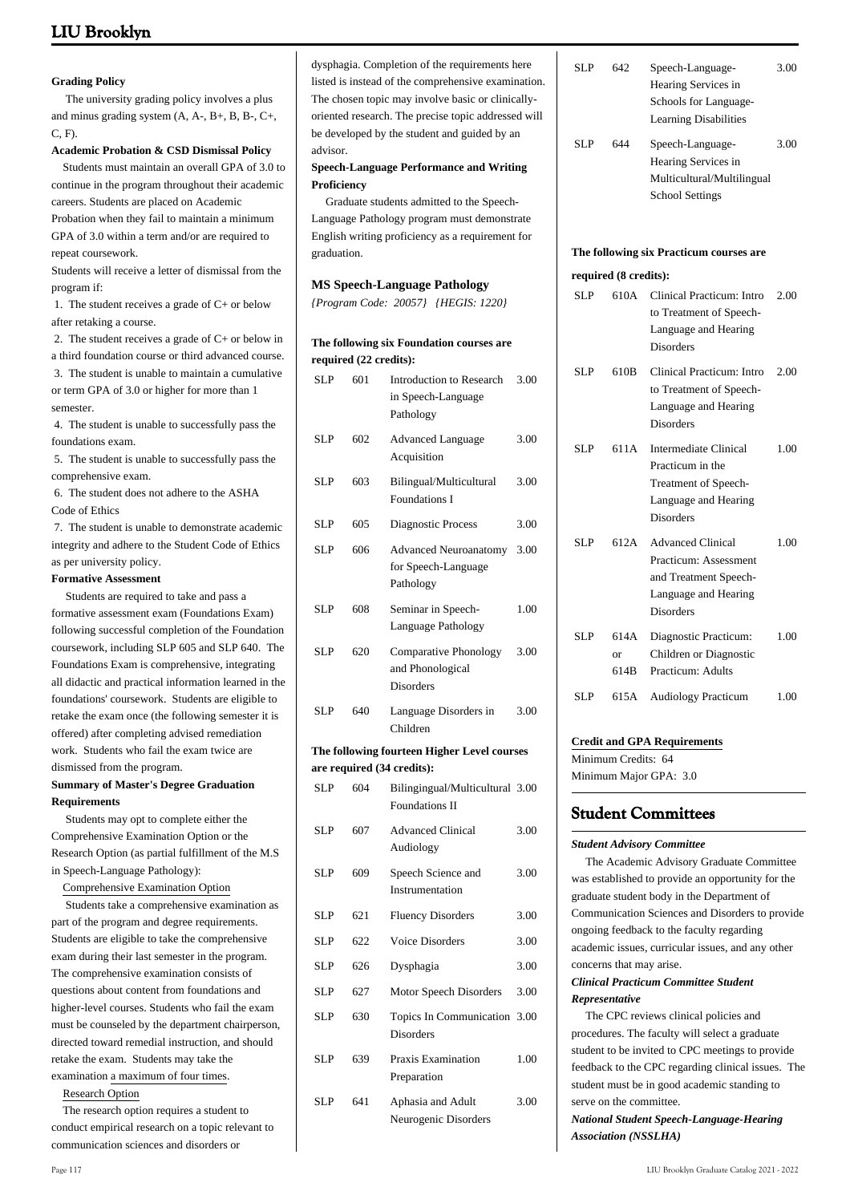#### **Grading Policy**

 The university grading policy involves a plus and minus grading system (A, A-, B+, B, B-, C+, C, F).

#### **Academic Probation & CSD Dismissal Policy**

 Students must maintain an overall GPA of 3.0 to continue in the program throughout their academic careers. Students are placed on Academic

Probation when they fail to maintain a minimum GPA of 3.0 within a term and/or are required to repeat coursework.

Students will receive a letter of dismissal from the program if:

 1. The student receives a grade of C+ or below after retaking a course.

 2. The student receives a grade of C+ or below in a third foundation course or third advanced course. 3. The student is unable to maintain a cumulative or term GPA of 3.0 or higher for more than 1 semester.

 4. The student is unable to successfully pass the foundations exam.

 5. The student is unable to successfully pass the comprehensive exam.

 6. The student does not adhere to the ASHA Code of Ethics

 7. The student is unable to demonstrate academic integrity and adhere to the Student Code of Ethics as per university policy.

#### **Formative Assessment**

 Students are required to take and pass a formative assessment exam (Foundations Exam) following successful completion of the Foundation coursework, including SLP 605 and SLP 640. The Foundations Exam is comprehensive, integrating all didactic and practical information learned in the foundations' coursework. Students are eligible to retake the exam once (the following semester it is offered) after completing advised remediation work. Students who fail the exam twice are dismissed from the program.

#### **Summary of Master's Degree Graduation Requirements**

 Students may opt to complete either the Comprehensive Examination Option or the Research Option (as partial fulfillment of the M.S in Speech-Language Pathology):

Comprehensive Examination Option

 Students take a comprehensive examination as part of the program and degree requirements. Students are eligible to take the comprehensive exam during their last semester in the program. The comprehensive examination consists of questions about content from foundations and higher-level courses. Students who fail the exam must be counseled by the department chairperson, directed toward remedial instruction, and should retake the exam. Students may take the examination a maximum of four times.

Research Option

 The research option requires a student to conduct empirical research on a topic relevant to communication sciences and disorders or

dysphagia. Completion of the requirements here listed is instead of the comprehensive examination. The chosen topic may involve basic or clinicallyoriented research. The precise topic addressed will be developed by the student and guided by an advisor.

**Speech-Language Performance and Writing Proficiency**

 Graduate students admitted to the Speech-Language Pathology program must demonstrate English writing proficiency as a requirement for graduation.

#### **MS Speech-Language Pathology**

*{Program Code: 20057} {HEGIS: 1220}*

#### **The following six Foundation courses are required (22 credits):**

| SLP                                         | 601 | <b>Introduction to Research</b><br>in Speech-Language<br>Pathology | 3.00 |  |  |
|---------------------------------------------|-----|--------------------------------------------------------------------|------|--|--|
| <b>SLP</b>                                  | 602 | <b>Advanced Language</b><br>Acquisition                            | 3.00 |  |  |
| <b>SLP</b>                                  | 603 | Bilingual/Multicultural<br><b>Foundations I</b>                    | 3.00 |  |  |
| SLP                                         | 605 | Diagnostic Process                                                 | 3.00 |  |  |
| <b>SLP</b>                                  | 606 | <b>Advanced Neuroanatomy</b><br>for Speech-Language<br>Pathology   | 3.00 |  |  |
| <b>SLP</b>                                  | 608 | Seminar in Speech-<br>Language Pathology                           | 1.00 |  |  |
| <b>SLP</b>                                  | 620 | Comparative Phonology<br>and Phonological<br><b>Disorders</b>      | 3.00 |  |  |
| <b>SLP</b>                                  | 640 | Language Disorders in<br>Children                                  | 3.00 |  |  |
| The following fourteen Higher Level courses |     |                                                                    |      |  |  |
|                                             |     |                                                                    |      |  |  |
|                                             |     | are required (34 credits):                                         |      |  |  |
| <b>SLP</b>                                  | 604 | Bilingingual/Multicultural 3.00<br><b>Foundations II</b>           |      |  |  |
| <b>SLP</b>                                  | 607 | <b>Advanced Clinical</b><br>Audiology                              | 3.00 |  |  |
| <b>SLP</b>                                  | 609 | Speech Science and<br>Instrumentation                              | 3.00 |  |  |
| SLP                                         | 621 | <b>Fluency Disorders</b>                                           | 3.00 |  |  |
| <b>SLP</b>                                  | 622 | <b>Voice Disorders</b>                                             | 3.00 |  |  |
| SLP                                         | 626 | Dysphagia                                                          | 3.00 |  |  |
| <b>SLP</b>                                  | 627 | Motor Speech Disorders                                             | 3.00 |  |  |
| SLP                                         | 630 | Topics In Communication 3.00<br><b>Disorders</b>                   |      |  |  |
| <b>SLP</b>                                  | 639 | Praxis Examination<br>Preparation                                  | 1.00 |  |  |

| SLP | 642. | Speech-Language-             | 3.00 |
|-----|------|------------------------------|------|
|     |      | Hearing Services in          |      |
|     |      | Schools for Language-        |      |
|     |      | <b>Learning Disabilities</b> |      |
| SLP | 644  | Speech-Language-             | 3.00 |
|     |      | Hearing Services in          |      |
|     |      | Multicultural/Multilingual   |      |
|     |      | <b>School Settings</b>       |      |
|     |      |                              |      |
|     |      |                              |      |

#### **The following six Practicum courses are**

#### **required (8 credits):**

| SLP        | 610A               | Clinical Practicum: Intro<br>to Treatment of Speech-<br>Language and Hearing<br><b>Disorders</b>                       | 2.00 |
|------------|--------------------|------------------------------------------------------------------------------------------------------------------------|------|
| SLP.       | 610 <sub>B</sub>   | Clinical Practicum: Intro<br>to Treatment of Speech-<br>Language and Hearing<br><b>Disorders</b>                       | 2.00 |
| SL P       | 611A               | Intermediate Clinical<br>Practicum in the<br>Treatment of Speech-<br>Language and Hearing<br><b>Disorders</b>          | 1.00 |
| SLP.       | 612.A              | <b>Advanced Clinical</b><br>Practicum: Assessment<br>and Treatment Speech-<br>Language and Hearing<br><b>Disorders</b> | 1.00 |
| SLP        | 614A<br>Ωr<br>614B | Diagnostic Practicum:<br>Children or Diagnostic<br>Practicum: Adults                                                   | 1.00 |
| <b>SLP</b> | 615A               | <b>Audiology Practicum</b>                                                                                             | 1.00 |

#### **Credit and GPA Requirements**

Minimum Credits: 64 Minimum Major GPA: 3.0

### **Student Committees**

#### *Student Advisory Committee*

 The Academic Advisory Graduate Committee was established to provide an opportunity for the graduate student body in the Department of Communication Sciences and Disorders to provide ongoing feedback to the faculty regarding academic issues, curricular issues, and any other concerns that may arise.

#### *Clinical Practicum Committee Student Representative*

 The CPC reviews clinical policies and procedures. The faculty will select a graduate student to be invited to CPC meetings to provide feedback to the CPC regarding clinical issues. The student must be in good academic standing to serve on the committee.

*National Student Speech-Language-Hearing Association (NSSLHA)*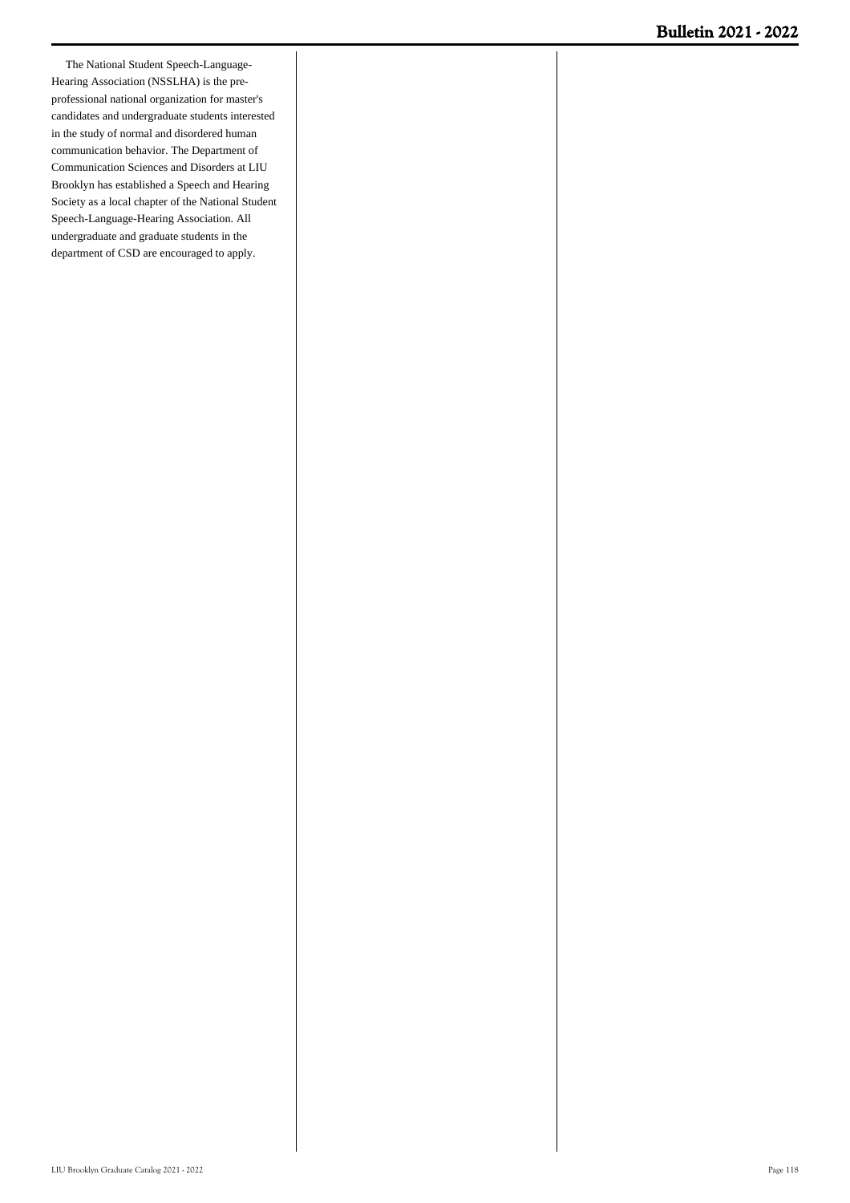The National Student Speech-Language-Hearing Association (NSSLHA) is the preprofessional national organization for master's candidates and undergraduate students interested in the study of normal and disordered human communication behavior. The Department of Communication Sciences and Disorders at LIU Brooklyn has established a Speech and Hearing Society as a local chapter of the National Student Speech-Language-Hearing Association. All undergraduate and graduate students in the department of CSD are encouraged to apply.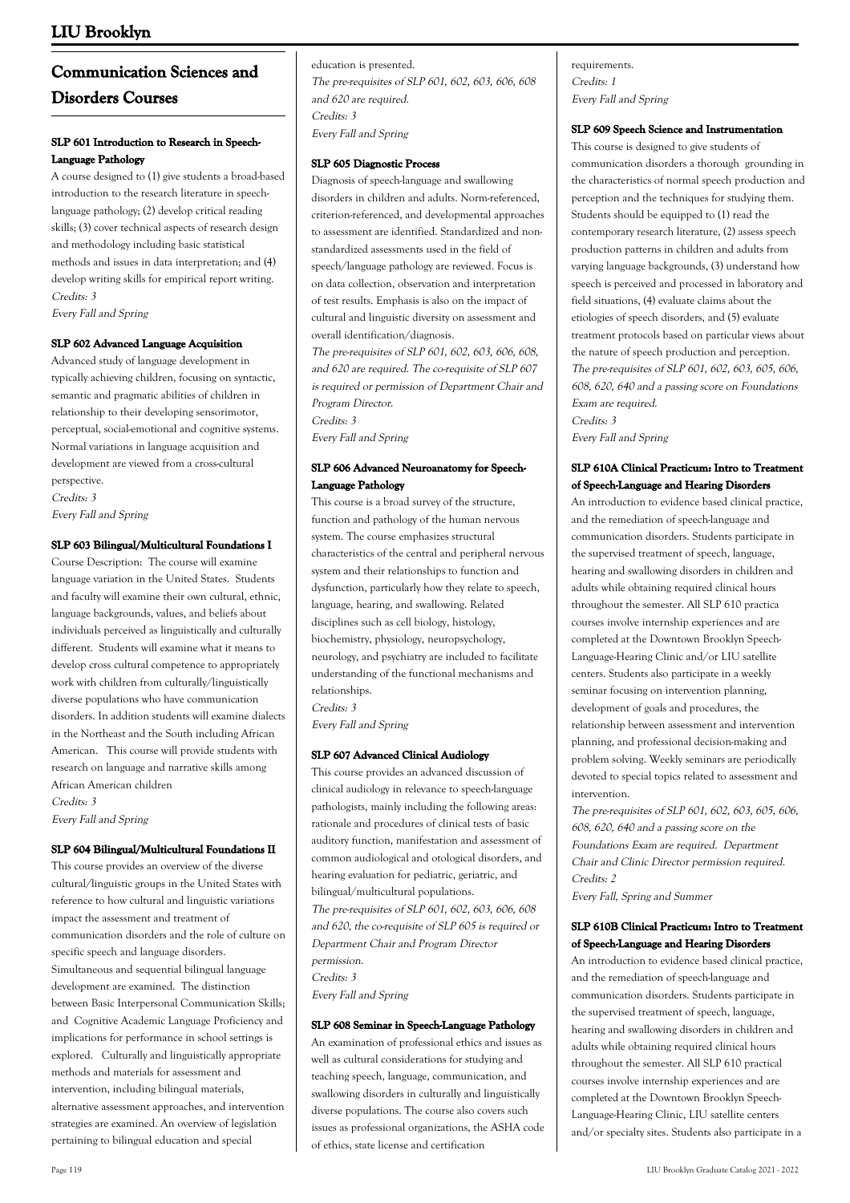# **Communication Sciences and Disorders Courses**

#### **SLP 601 Introduction to Research in Speech-Language Pathology**

A course designed to (1) give students a broad-based introduction to the research literature in speechlanguage pathology; (2) develop critical reading skills; (3) cover technical aspects of research design and methodology including basic statistical methods and issues in data interpretation; and (4) develop writing skills for empirical report writing. Credits: 3 Every Fall and Spring

#### **SLP 602 Advanced Language Acquisition**

Advanced study of language development in typically achieving children, focusing on syntactic, semantic and pragmatic abilities of children in relationship to their developing sensorimotor, perceptual, social-emotional and cognitive systems. Normal variations in language acquisition and development are viewed from a cross-cultural perspective. Credits: 3

Every Fall and Spring

#### **SLP 603 Bilingual/Multicultural Foundations I**

Course Description: The course will examine language variation in the United States. Students and faculty will examine their own cultural, ethnic, language backgrounds, values, and beliefs about individuals perceived as linguistically and culturally different. Students will examine what it means to develop cross cultural competence to appropriately work with children from culturally/linguistically diverse populations who have communication disorders. In addition students will examine dialects in the Northeast and the South including African American. This course will provide students with research on language and narrative skills among African American children Credits: 3

Every Fall and Spring

#### **SLP 604 Bilingual/Multicultural Foundations II**

This course provides an overview of the diverse cultural/linguistic groups in the United States with reference to how cultural and linguistic variations impact the assessment and treatment of communication disorders and the role of culture on specific speech and language disorders. Simultaneous and sequential bilingual language development are examined. The distinction between Basic Interpersonal Communication Skills; and Cognitive Academic Language Proficiency and implications for performance in school settings is explored. Culturally and linguistically appropriate methods and materials for assessment and intervention, including bilingual materials, alternative assessment approaches, and intervention strategies are examined. An overview of legislation pertaining to bilingual education and special

education is presented. The pre-requisites of SLP 601, 602, 603, 606, 608 and 620 are required. Credits: 3 Every Fall and Spring

#### **SLP 605 Diagnostic Process**

Diagnosis of speech-language and swallowing disorders in children and adults. Norm-referenced, criterion-referenced, and developmental approaches to assessment are identified. Standardized and nonstandardized assessments used in the field of speech/language pathology are reviewed. Focus is on data collection, observation and interpretation of test results. Emphasis is also on the impact of cultural and linguistic diversity on assessment and overall identification/diagnosis.

The pre-requisites of SLP 601, 602, 603, 606, 608, and 620 are required. The co-requisite of SLP 607 is required or permission of Department Chair and Program Director. Credits: 3

Every Fall and Spring

#### **SLP 606 Advanced Neuroanatomy for Speech-Language Pathology**

This course is a broad survey of the structure, function and pathology of the human nervous system. The course emphasizes structural characteristics of the central and peripheral nervous system and their relationships to function and dysfunction, particularly how they relate to speech, language, hearing, and swallowing. Related disciplines such as cell biology, histology, biochemistry, physiology, neuropsychology, neurology, and psychiatry are included to facilitate understanding of the functional mechanisms and relationships.

Credits: 3

Every Fall and Spring

#### **SLP 607 Advanced Clinical Audiology**

This course provides an advanced discussion of clinical audiology in relevance to speech-language pathologists, mainly including the following areas: rationale and procedures of clinical tests of basic auditory function, manifestation and assessment of common audiological and otological disorders, and hearing evaluation for pediatric, geriatric, and bilingual/multicultural populations. The pre-requisites of SLP 601, 602, 603, 606, 608 and 620, the co-requisite of SLP 605 is required or Department Chair and Program Director permission. Credits: 3 Every Fall and Spring

#### **SLP 608 Seminar in Speech-Language Pathology**

An examination of professional ethics and issues as well as cultural considerations for studying and teaching speech, language, communication, and swallowing disorders in culturally and linguistically diverse populations. The course also covers such issues as professional organizations, the ASHA code of ethics, state license and certification

requirements. Credits: 1 Every Fall and Spring

#### **SLP 609 Speech Science and Instrumentation**

This course is designed to give students of communication disorders a thorough grounding in the characteristics of normal speech production and perception and the techniques for studying them. Students should be equipped to (1) read the contemporary research literature, (2) assess speech production patterns in children and adults from varying language backgrounds, (3) understand how speech is perceived and processed in laboratory and field situations, (4) evaluate claims about the etiologies of speech disorders, and (5) evaluate treatment protocols based on particular views about the nature of speech production and perception. The pre-requisites of SLP 601, 602, 603, 605, 606, 608, 620, 640 and a passing score on Foundations Exam are required. Credits: 3

**SLP 610A Clinical Practicum: Intro to Treatment**

Every Fall and Spring

**of Speech-Language and Hearing Disorders** An introduction to evidence based clinical practice, and the remediation of speech-language and communication disorders. Students participate in the supervised treatment of speech, language, hearing and swallowing disorders in children and adults while obtaining required clinical hours throughout the semester. All SLP 610 practica courses involve internship experiences and are completed at the Downtown Brooklyn Speech-Language-Hearing Clinic and/or LIU satellite centers. Students also participate in a weekly seminar focusing on intervention planning, development of goals and procedures, the relationship between assessment and intervention planning, and professional decision-making and problem solving. Weekly seminars are periodically devoted to special topics related to assessment and intervention.

The pre-requisites of SLP 601, 602, 603, 605, 606, 608, 620, 640 and a passing score on the Foundations Exam are required. Department Chair and Clinic Director permission required. Credits: 2

Every Fall, Spring and Summer

#### **SLP 610B Clinical Practicum: Intro to Treatment of Speech-Language and Hearing Disorders**

An introduction to evidence based clinical practice, and the remediation of speech-language and communication disorders. Students participate in the supervised treatment of speech, language, hearing and swallowing disorders in children and adults while obtaining required clinical hours throughout the semester. All SLP 610 practical courses involve internship experiences and are completed at the Downtown Brooklyn Speech-Language-Hearing Clinic, LIU satellite centers and/or specialty sites. Students also participate in a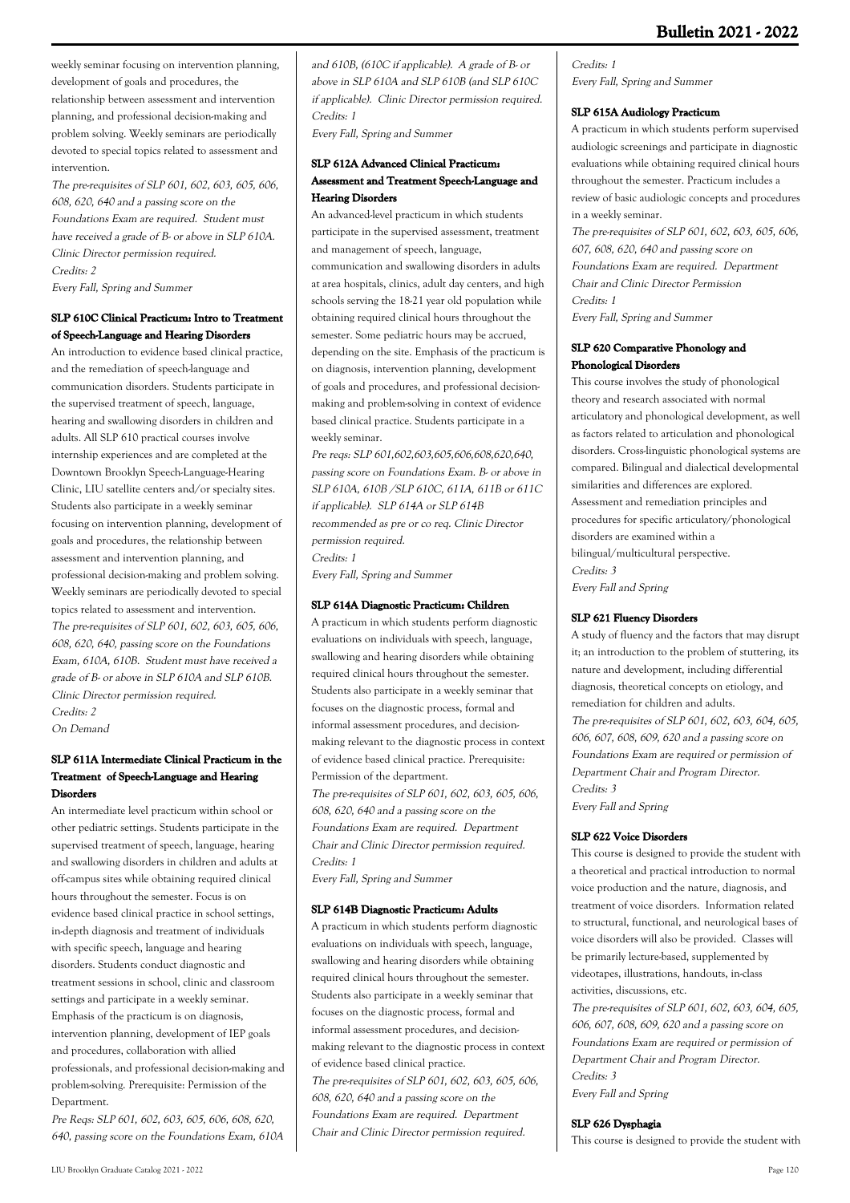weekly seminar focusing on intervention planning, development of goals and procedures, the relationship between assessment and intervention planning, and professional decision-making and problem solving. Weekly seminars are periodically devoted to special topics related to assessment and intervention.

The pre-requisites of SLP 601, 602, 603, 605, 606, 608, 620, 640 and a passing score on the Foundations Exam are required. Student must have received a grade of B- or above in SLP 610A. Clinic Director permission required. Credits: 2 Every Fall, Spring and Summer

### **SLP 610C Clinical Practicum: Intro to Treatment of Speech-Language and Hearing Disorders**

An introduction to evidence based clinical practice, and the remediation of speech-language and communication disorders. Students participate in the supervised treatment of speech, language, hearing and swallowing disorders in children and adults. All SLP 610 practical courses involve internship experiences and are completed at the Downtown Brooklyn Speech-Language-Hearing Clinic, LIU satellite centers and/or specialty sites. Students also participate in a weekly seminar focusing on intervention planning, development of goals and procedures, the relationship between assessment and intervention planning, and professional decision-making and problem solving. Weekly seminars are periodically devoted to special topics related to assessment and intervention. The pre-requisites of SLP 601, 602, 603, 605, 606, 608, 620, 640, passing score on the Foundations Exam, 610A, 610B. Student must have received a grade of B- or above in SLP 610A and SLP 610B. Clinic Director permission required. Credits: 2

On Demand

### **SLP 611A Intermediate Clinical Practicum in the Treatment of Speech-Language and Hearing Disorders**

An intermediate level practicum within school or other pediatric settings. Students participate in the supervised treatment of speech, language, hearing and swallowing disorders in children and adults at off-campus sites while obtaining required clinical hours throughout the semester. Focus is on evidence based clinical practice in school settings, in-depth diagnosis and treatment of individuals with specific speech, language and hearing disorders. Students conduct diagnostic and treatment sessions in school, clinic and classroom settings and participate in a weekly seminar. Emphasis of the practicum is on diagnosis, intervention planning, development of IEP goals and procedures, collaboration with allied professionals, and professional decision-making and problem-solving. Prerequisite: Permission of the Department.

Pre Reqs: SLP 601, 602, 603, 605, 606, 608, 620, 640, passing score on the Foundations Exam, 610A and 610B, (610C if applicable). A grade of B- or above in SLP 610A and SLP 610B (and SLP 610C if applicable). Clinic Director permission required. Credits: 1

Every Fall, Spring and Summer

#### **SLP 612A Advanced Clinical Practicum: Assessment and Treatment Speech-Language and Hearing Disorders**

An advanced-level practicum in which students participate in the supervised assessment, treatment and management of speech, language, communication and swallowing disorders in adults at area hospitals, clinics, adult day centers, and high schools serving the 18-21 year old population while obtaining required clinical hours throughout the semester. Some pediatric hours may be accrued, depending on the site. Emphasis of the practicum is on diagnosis, intervention planning, development of goals and procedures, and professional decisionmaking and problem-solving in context of evidence based clinical practice. Students participate in a weekly seminar.

Pre reqs: SLP 601,602,603,605,606,608,620,640, passing score on Foundations Exam. B- or above in SLP 610A, 610B /SLP 610C, 611A, 611B or 611C if applicable). SLP 614A or SLP 614B recommended as pre or co req. Clinic Director permission required. Credits: 1 Every Fall, Spring and Summer

#### **SLP 614A Diagnostic Practicum: Children**

A practicum in which students perform diagnostic evaluations on individuals with speech, language, swallowing and hearing disorders while obtaining required clinical hours throughout the semester. Students also participate in a weekly seminar that focuses on the diagnostic process, formal and informal assessment procedures, and decisionmaking relevant to the diagnostic process in context of evidence based clinical practice. Prerequisite: Permission of the department.

The pre-requisites of SLP 601, 602, 603, 605, 606, 608, 620, 640 and a passing score on the Foundations Exam are required. Department Chair and Clinic Director permission required. Credits: 1

Every Fall, Spring and Summer

#### **SLP 614B Diagnostic Practicum: Adults**

A practicum in which students perform diagnostic evaluations on individuals with speech, language, swallowing and hearing disorders while obtaining required clinical hours throughout the semester. Students also participate in a weekly seminar that focuses on the diagnostic process, formal and informal assessment procedures, and decisionmaking relevant to the diagnostic process in context of evidence based clinical practice. The pre-requisites of SLP 601, 602, 603, 605, 606, 608, 620, 640 and a passing score on the Foundations Exam are required. Department Chair and Clinic Director permission required.

Credits: 1 Every Fall, Spring and Summer

#### **SLP 615A Audiology Practicum**

A practicum in which students perform supervised audiologic screenings and participate in diagnostic evaluations while obtaining required clinical hours throughout the semester. Practicum includes a review of basic audiologic concepts and procedures in a weekly seminar.

The pre-requisites of SLP 601, 602, 603, 605, 606, 607, 608, 620, 640 and passing score on Foundations Exam are required. Department Chair and Clinic Director Permission Credits: 1

Every Fall, Spring and Summer

### **SLP 620 Comparative Phonology and Phonological Disorders**

This course involves the study of phonological theory and research associated with normal articulatory and phonological development, as well as factors related to articulation and phonological disorders. Cross-linguistic phonological systems are compared. Bilingual and dialectical developmental similarities and differences are explored. Assessment and remediation principles and procedures for specific articulatory/phonological disorders are examined within a bilingual/multicultural perspective. Credits: 3 Every Fall and Spring

#### **SLP 621 Fluency Disorders**

A study of fluency and the factors that may disrupt it; an introduction to the problem of stuttering, its nature and development, including differential diagnosis, theoretical concepts on etiology, and remediation for children and adults. The pre-requisites of SLP 601, 602, 603, 604, 605, 606, 607, 608, 609, 620 and a passing score on Foundations Exam are required or permission of Department Chair and Program Director. Credits: 3 Every Fall and Spring

#### **SLP 622 Voice Disorders**

This course is designed to provide the student with a theoretical and practical introduction to normal voice production and the nature, diagnosis, and treatment of voice disorders. Information related to structural, functional, and neurological bases of voice disorders will also be provided. Classes will be primarily lecture-based, supplemented by videotapes, illustrations, handouts, in-class activities, discussions, etc.

The pre-requisites of SLP 601, 602, 603, 604, 605, 606, 607, 608, 609, 620 and a passing score on Foundations Exam are required or permission of Department Chair and Program Director. Credits: 3 Every Fall and Spring

**SLP 626 Dysphagia**

This course is designed to provide the student with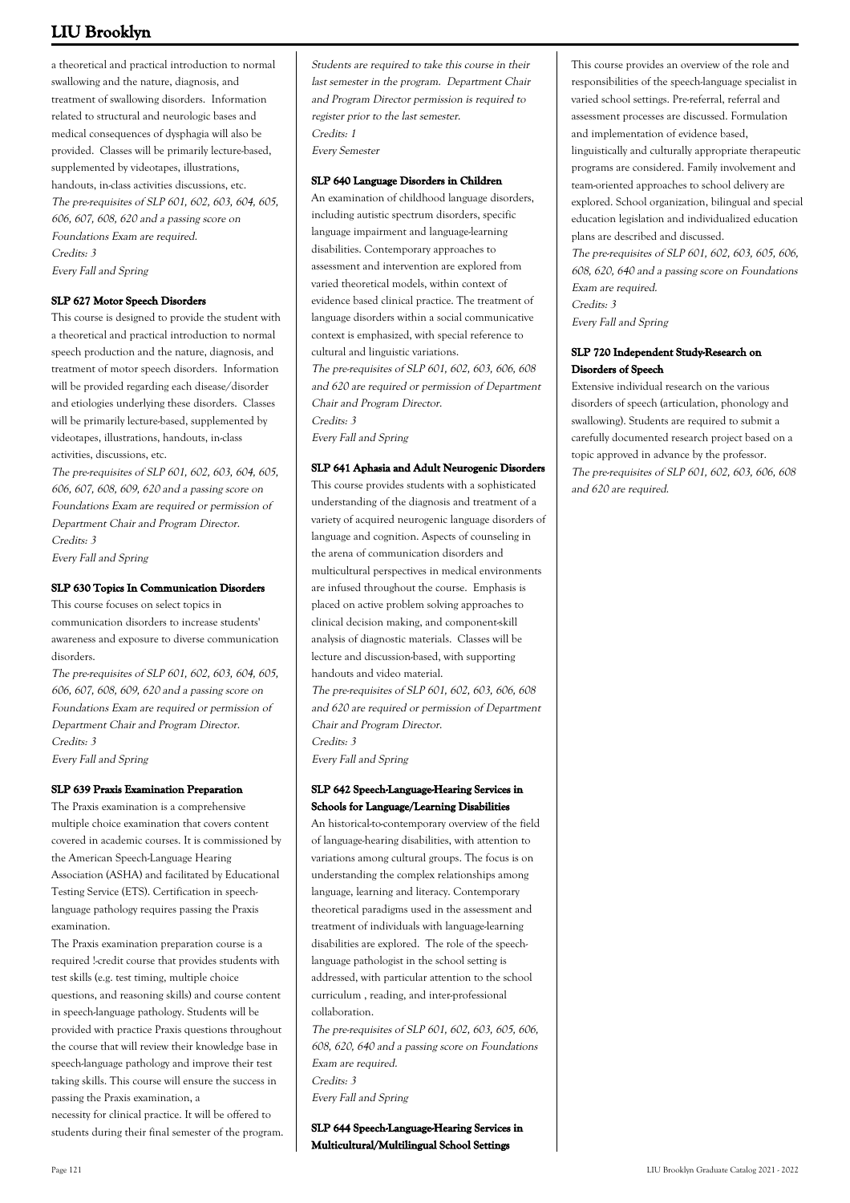a theoretical and practical introduction to normal swallowing and the nature, diagnosis, and treatment of swallowing disorders. Information related to structural and neurologic bases and medical consequences of dysphagia will also be provided. Classes will be primarily lecture-based, supplemented by videotapes, illustrations, handouts, in-class activities discussions, etc. The pre-requisites of SLP 601, 602, 603, 604, 605, 606, 607, 608, 620 and a passing score on Foundations Exam are required. Credits: 3 Every Fall and Spring

#### **SLP 627 Motor Speech Disorders**

This course is designed to provide the student with a theoretical and practical introduction to normal speech production and the nature, diagnosis, and treatment of motor speech disorders. Information will be provided regarding each disease/disorder and etiologies underlying these disorders. Classes will be primarily lecture-based, supplemented by videotapes, illustrations, handouts, in-class activities, discussions, etc.

The pre-requisites of SLP 601, 602, 603, 604, 605, 606, 607, 608, 609, 620 and a passing score on Foundations Exam are required or permission of Department Chair and Program Director. Credits: 3 Every Fall and Spring

#### **SLP 630 Topics In Communication Disorders**

This course focuses on select topics in communication disorders to increase students' awareness and exposure to diverse communication disorders.

The pre-requisites of SLP 601, 602, 603, 604, 605, 606, 607, 608, 609, 620 and a passing score on Foundations Exam are required or permission of Department Chair and Program Director. Credits: 3 Every Fall and Spring

#### **SLP 639 Praxis Examination Preparation**

The Praxis examination is a comprehensive multiple choice examination that covers content covered in academic courses. It is commissioned by the American Speech-Language Hearing Association (ASHA) and facilitated by Educational Testing Service (ETS). Certification in speechlanguage pathology requires passing the Praxis examination.

The Praxis examination preparation course is a required !-credit course that provides students with test skills (e.g. test timing, multiple choice questions, and reasoning skills) and course content in speech-language pathology. Students will be provided with practice Praxis questions throughout the course that will review their knowledge base in speech-language pathology and improve their test taking skills. This course will ensure the success in passing the Praxis examination, a necessity for clinical practice. It will be offered to students during their final semester of the program.

Students are required to take this course in their last semester in the program. Department Chair and Program Director permission is required to register prior to the last semester. Credits: 1 Every Semester

#### **SLP 640 Language Disorders in Children**

An examination of childhood language disorders, including autistic spectrum disorders, specific language impairment and language-learning disabilities. Contemporary approaches to assessment and intervention are explored from varied theoretical models, within context of evidence based clinical practice. The treatment of language disorders within a social communicative context is emphasized, with special reference to cultural and linguistic variations. The pre-requisites of SLP 601, 602, 603, 606, 608 and 620 are required or permission of Department Chair and Program Director. Credits: 3 Every Fall and Spring

#### **SLP 641 Aphasia and Adult Neurogenic Disorders**

This course provides students with a sophisticated understanding of the diagnosis and treatment of a variety of acquired neurogenic language disorders of language and cognition. Aspects of counseling in the arena of communication disorders and multicultural perspectives in medical environments are infused throughout the course. Emphasis is placed on active problem solving approaches to clinical decision making, and component-skill analysis of diagnostic materials. Classes will be lecture and discussion-based, with supporting handouts and video material. The pre-requisites of SLP 601, 602, 603, 606, 608 and 620 are required or permission of Department Chair and Program Director. Credits: 3

Every Fall and Spring

#### **SLP 642 Speech-Language-Hearing Services in Schools for Language/Learning Disabilities**

An historical-to-contemporary overview of the field of language-hearing disabilities, with attention to variations among cultural groups. The focus is on understanding the complex relationships among language, learning and literacy. Contemporary theoretical paradigms used in the assessment and treatment of individuals with language-learning disabilities are explored. The role of the speechlanguage pathologist in the school setting is addressed, with particular attention to the school curriculum , reading, and inter-professional collaboration.

The pre-requisites of SLP 601, 602, 603, 605, 606, 608, 620, 640 and a passing score on Foundations Exam are required. Credits: 3 Every Fall and Spring

**SLP 644 Speech-Language-Hearing Services in Multicultural/Multilingual School Settings**

This course provides an overview of the role and responsibilities of the speech-language specialist in varied school settings. Pre-referral, referral and assessment processes are discussed. Formulation and implementation of evidence based, linguistically and culturally appropriate therapeutic programs are considered. Family involvement and team-oriented approaches to school delivery are explored. School organization, bilingual and special education legislation and individualized education plans are described and discussed. The pre-requisites of SLP 601, 602, 603, 605, 606,

608, 620, 640 and a passing score on Foundations Exam are required. Credits: 3

Every Fall and Spring

#### **SLP 720 Independent Study-Research on Disorders of Speech**

Extensive individual research on the various disorders of speech (articulation, phonology and swallowing). Students are required to submit a carefully documented research project based on a topic approved in advance by the professor. The pre-requisites of SLP 601, 602, 603, 606, 608 and 620 are required.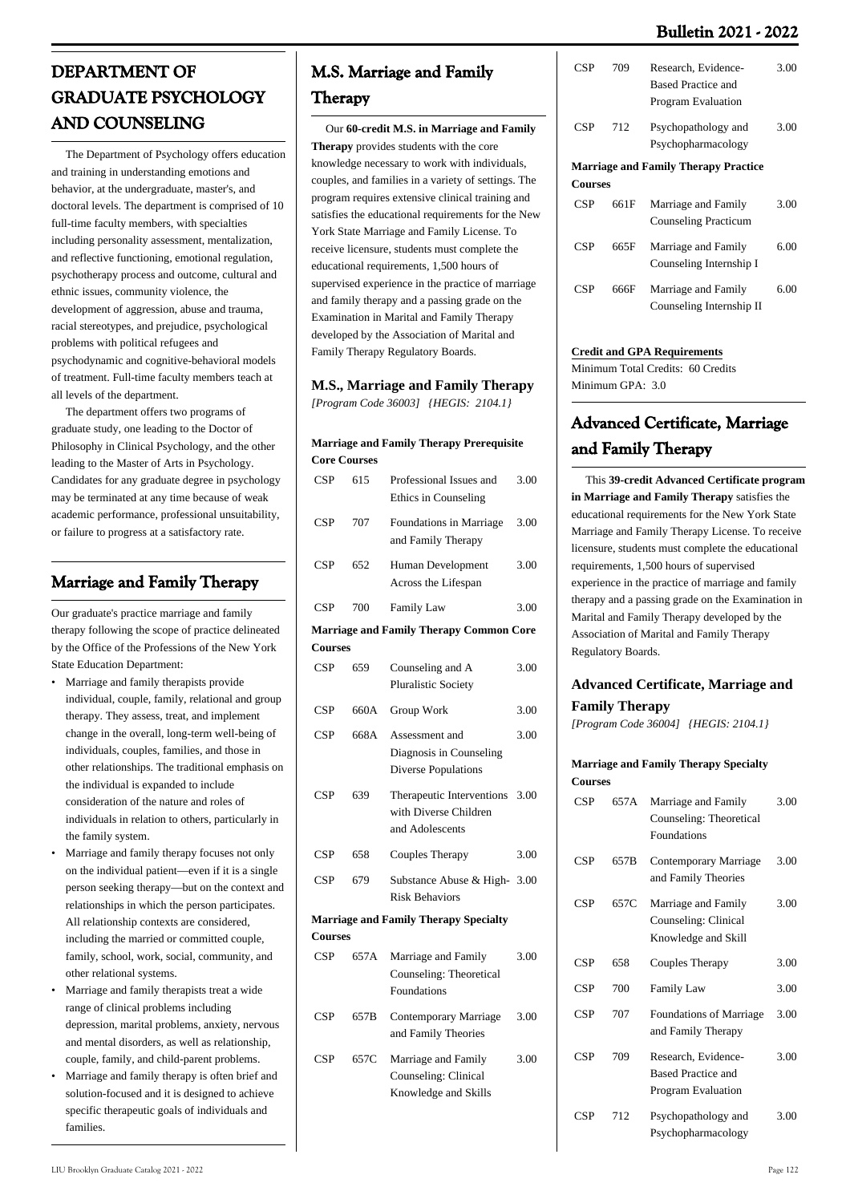### **Bulletin 2021 - 2022**

# **DEPARTMENT OF GRADUATE PSYCHOLOGY AND COUNSELING**

 The Department of Psychology offers education and training in understanding emotions and behavior, at the undergraduate, master's, and doctoral levels. The department is comprised of 10 full-time faculty members, with specialties including personality assessment, mentalization, and reflective functioning, emotional regulation, psychotherapy process and outcome, cultural and ethnic issues, community violence, the development of aggression, abuse and trauma, racial stereotypes, and prejudice, psychological problems with political refugees and psychodynamic and cognitive-behavioral models of treatment. Full-time faculty members teach at all levels of the department.

 The department offers two programs of graduate study, one leading to the Doctor of Philosophy in Clinical Psychology, and the other leading to the Master of Arts in Psychology. Candidates for any graduate degree in psychology may be terminated at any time because of weak academic performance, professional unsuitability, or failure to progress at a satisfactory rate.

# **Marriage and Family Therapy**

Our graduate's practice marriage and family therapy following the scope of practice delineated by the [Office of the Professions of the New York](http://www.op.nysed.gov/prof/mhp/mftbroch.htm) [State Education Department](http://www.op.nysed.gov/prof/mhp/mftbroch.htm):

- Marriage and family therapists provide individual, couple, family, relational and group therapy. They assess, treat, and implement change in the overall, long-term well-being of individuals, couples, families, and those in other relationships. The traditional emphasis on the individual is expanded to include consideration of the nature and roles of individuals in relation to others, particularly in the family system. •
- Marriage and family therapy focuses not only on the individual patient—even if it is a single person seeking therapy—but on the context and relationships in which the person participates. All relationship contexts are considered, including the married or committed couple, family, school, work, social, community, and other relational systems. •
- Marriage and family therapists treat a wide range of clinical problems including depression, marital problems, anxiety, nervous and mental disorders, as well as relationship, couple, family, and child-parent problems. •
- Marriage and family therapy is often brief and solution-focused and it is designed to achieve specific therapeutic goals of individuals and families. •

# **M.S. Marriage and Family Therapy**

 Our **60-credit M.S. in Marriage and Family Therapy** provides students with the core knowledge necessary to work with individuals, couples, and families in a variety of settings. The program requires extensive clinical training and satisfies the educational requirements for the New York State Marriage and Family License. To receive licensure, students must complete the educational requirements, 1,500 hours of supervised experience in the practice of marriage and family therapy and a passing grade on the Examination in Marital and Family Therapy developed by the Association of Marital and Family Therapy Regulatory Boards.

# **M.S., Marriage and Family Therapy**

*[Program Code 36003] {HEGIS: 2104.1}*

#### **Marriage and Family Therapy Prerequisite Core Courses**

| <b>CSP</b>     | 615  | Professional Issues and<br>Ethics in Counseling                         | 3.00 |
|----------------|------|-------------------------------------------------------------------------|------|
| CSP            | 707  | Foundations in Marriage<br>and Family Therapy                           | 3.00 |
| <b>CSP</b>     | 652  | Human Development<br>Across the Lifespan                                | 3.00 |
| <b>CSP</b>     | 700  | <b>Family Law</b>                                                       | 3.00 |
|                |      | <b>Marriage and Family Therapy Common Core</b>                          |      |
| <b>Courses</b> |      |                                                                         |      |
| CSP            | 659  | Counseling and A<br><b>Pluralistic Society</b>                          | 3.00 |
| CSP            | 660A | Group Work                                                              | 3.00 |
| <b>CSP</b>     | 668A | Assessment and<br>Diagnosis in Counseling<br><b>Diverse Populations</b> | 3.00 |
| <b>CSP</b>     | 639  | Therapeutic Interventions<br>with Diverse Children<br>and Adolescents   | 3.00 |
| CSP            | 658  | Couples Therapy                                                         | 3.00 |
| CSP            | 679  | Substance Abuse & High-<br><b>Risk Behaviors</b>                        | 3.00 |
|                |      | <b>Marriage and Family Therapy Specialty</b>                            |      |
| <b>Courses</b> |      |                                                                         |      |
| CSP            | 657A | Marriage and Family<br>Counseling: Theoretical<br>Foundations           | 3.00 |
| <b>CSP</b>     | 657B | Contemporary Marriage<br>and Family Theories                            | 3.00 |
| <b>CSP</b>     | 657C | Marriage and Family<br>Counseling: Clinical<br>Knowledge and Skills     | 3.00 |

| <b>CSP</b>     | 709  | Research, Evidence-<br><b>Based Practice and</b><br>Program Evaluation | 3.00 |
|----------------|------|------------------------------------------------------------------------|------|
| <b>CSP</b>     | 712  | Psychopathology and<br>Psychopharmacology                              | 3.00 |
|                |      | <b>Marriage and Family Therapy Practice</b>                            |      |
| <b>Courses</b> |      |                                                                        |      |
| <b>CSP</b>     | 661F | Marriage and Family<br><b>Counseling Practicum</b>                     | 3.00 |
| <b>CSP</b>     | 665F | Marriage and Family<br>Counseling Internship I                         | 6.00 |
| CSP            | 666F | Marriage and Family<br>Counseling Internship II                        | 6.00 |
|                |      |                                                                        |      |

#### **Credit and GPA Requirements**

Minimum Total Credits: 60 Credits Minimum GPA: 3.0

# **Advanced Certificate, Marriage and Family Therapy**

 This **39-credit Advanced Certificate program in Marriage and Family Therapy** satisfies the educational requirements for the New York State Marriage and Family Therapy License. To receive licensure, students must complete the educational requirements, 1,500 hours of supervised experience in the practice of marriage and family therapy and a passing grade on the Examination in Marital and Family Therapy developed by the Association of Marital and Family Therapy Regulatory Boards.

### **Advanced Certificate, Marriage and Family Therapy**

*[Program Code 36004] {HEGIS: 2104.1}*

#### **Marriage and Family Therapy Specialty Courses**

| CSP | 657A | Marriage and Family<br>Counseling: Theoretical<br><b>Foundations</b>   | 3.00 |
|-----|------|------------------------------------------------------------------------|------|
| CSP | 657B | Contemporary Marriage<br>and Family Theories                           | 3.00 |
| CSP | 657C | Marriage and Family<br>Counseling: Clinical<br>Knowledge and Skill     | 3.00 |
| CSP | 658  | Couples Therapy                                                        | 3.00 |
| CSP | 700  | <b>Family Law</b>                                                      | 3.00 |
| CSP | 707  | <b>Foundations of Marriage</b><br>and Family Therapy                   | 3.00 |
| CSP | 709  | Research, Evidence-<br><b>Based Practice and</b><br>Program Evaluation | 3.00 |
| CSP | 712  | Psychopathology and<br>Psychopharmacology                              | 3.00 |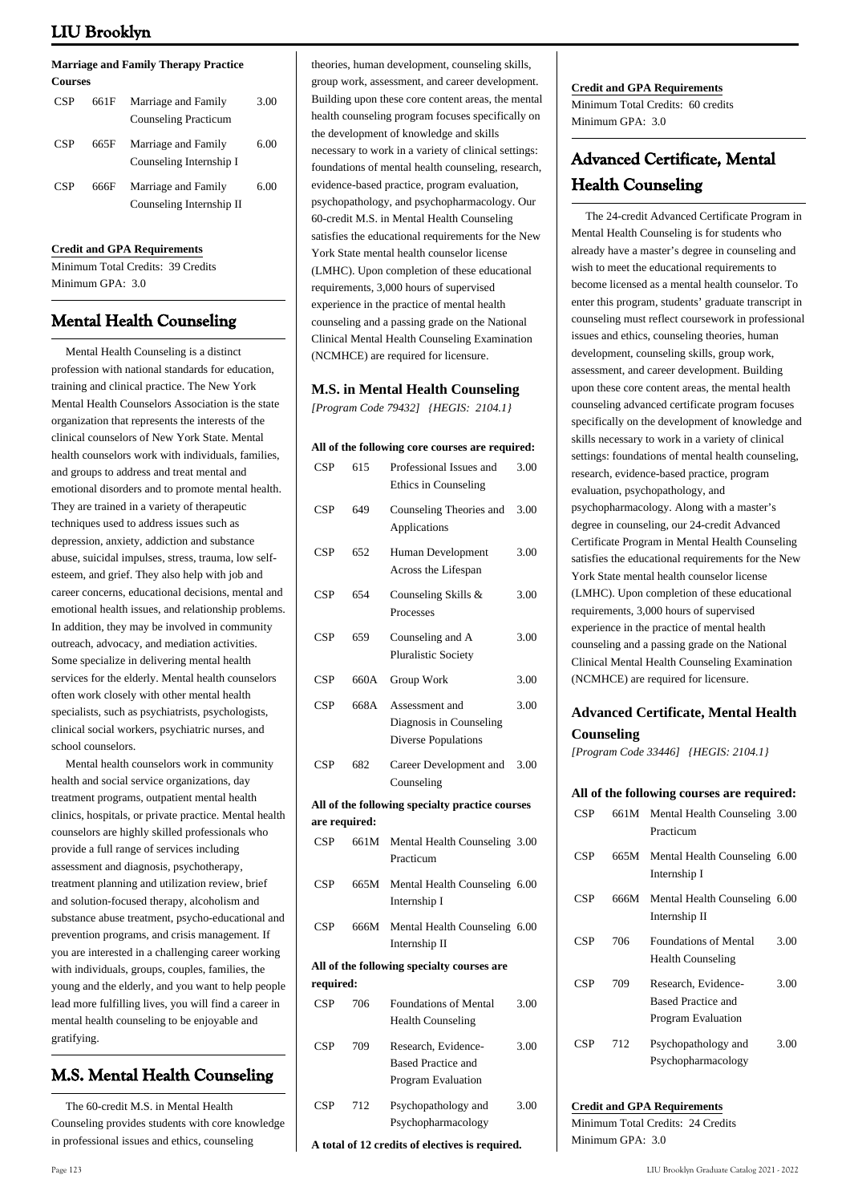#### **Marriage and Family Therapy Practice Courses**

| CSP | 661F | Marriage and Family<br><b>Counseling Practicum</b> | 3.00 |
|-----|------|----------------------------------------------------|------|
| CSP | 665F | Marriage and Family<br>Counseling Internship I     | 6.00 |
| CSP | 666F | Marriage and Family<br>Counseling Internship II    | 6.00 |

#### **Credit and GPA Requirements**

Minimum Total Credits: 39 Credits Minimum GPA: 3.0

# **Mental Health Counseling**

 Mental Health Counseling is a distinct profession with national standards for education, training and clinical practice. [The New York](http://nymhca.org/) [Mental Health Counselors Association](http://nymhca.org/) is the state organization that represents the interests of the clinical counselors of New York State. Mental health counselors work with individuals, families and groups to address and treat mental and emotional disorders and to promote mental health. They are trained in a variety of therapeutic techniques used to address issues such as depression, anxiety, addiction and substance abuse, suicidal impulses, stress, trauma, low selfesteem, and grief. They also help with job and career concerns, educational decisions, mental and emotional health issues, and relationship problems. In addition, they may be involved in community outreach, advocacy, and mediation activities. Some specialize in delivering mental health services for the elderly. Mental health counselors often work closely with other mental health specialists, such as psychiatrists, psychologists, clinical social workers, psychiatric nurses, and school counselors.

 Mental health counselors work in community health and social service organizations, day treatment programs, outpatient mental health clinics, hospitals, or private practice. Mental health counselors are highly skilled professionals who provide a full range of services including assessment and diagnosis, psychotherapy, treatment planning and utilization review, brief and solution-focused therapy, alcoholism and substance abuse treatment, psycho-educational and prevention programs, and crisis management. If you are interested in a challenging career working with individuals, groups, couples, families, the young and the elderly, and you want to help people lead more fulfilling lives, you will find a career in mental health counseling to be enjoyable and gratifying.

# **M.S. Mental Health Counseling**

 The 60-credit M.S. in Mental Health Counseling provides students with core knowledge in professional issues and ethics, counseling

theories, human development, counseling skills, group work, assessment, and career development. Building upon these core content areas, the mental health counseling program focuses specifically on the development of knowledge and skills necessary to work in a variety of clinical settings: foundations of mental health counseling, research, evidence-based practice, program evaluation, psychopathology, and psychopharmacology. Our 60-credit M.S. in Mental Health Counseling satisfies the educational requirements for the New York State mental health counselor license (LMHC). Upon completion of these educational requirements, 3,000 hours of supervised experience in the practice of mental health counseling and a passing grade on the National Clinical Mental Health Counseling Examination (NCMHCE) are required for licensure.

#### **M.S. in Mental Health Counseling**

*[Program Code 79432] {HEGIS: 2104.1}*

#### **All of the following core courses are required:**

| <b>CSP</b>    | 615  | Professional Issues and<br>Ethics in Counseling                        | 3.00 |  |  |  |
|---------------|------|------------------------------------------------------------------------|------|--|--|--|
| CSP           | 649  | Counseling Theories and<br>Applications                                | 3.00 |  |  |  |
| CSP           | 652  | Human Development<br>Across the Lifespan                               | 3.00 |  |  |  |
| <b>CSP</b>    | 654  | Counseling Skills &<br>Processes                                       | 3.00 |  |  |  |
| <b>CSP</b>    | 659  | Counseling and A<br><b>Pluralistic Society</b>                         | 3.00 |  |  |  |
| CSP           | 660A | Group Work                                                             | 3.00 |  |  |  |
| CSP           | 668A | Assessment and<br>Diagnosis in Counseling<br>Diverse Populations       | 3.00 |  |  |  |
| CSP           | 682  | Career Development and<br>Counseling                                   | 3.00 |  |  |  |
|               |      | All of the following specialty practice courses                        |      |  |  |  |
| are required: |      |                                                                        |      |  |  |  |
| CSP           | 661M | Mental Health Counseling 3.00<br>Practicum                             |      |  |  |  |
| CSP           | 665M | Mental Health Counseling 6.00<br>Internship I                          |      |  |  |  |
| CSP           | 666M | Mental Health Counseling 6.00<br>Internship II                         |      |  |  |  |
|               |      | All of the following specialty courses are                             |      |  |  |  |
| required:     |      |                                                                        |      |  |  |  |
| <b>CSP</b>    | 706  | <b>Foundations of Mental</b><br><b>Health Counseling</b>               | 3.00 |  |  |  |
| CSP           | 709  | Research, Evidence-<br><b>Based Practice and</b><br>Program Evaluation | 3.00 |  |  |  |
| CSP           | 712  | Psychopathology and<br>Psychopharmacology                              | 3.00 |  |  |  |
|               |      | A total of 12 credits of electives is required.                        |      |  |  |  |

#### **Credit and GPA Requirements**

Minimum Total Credits: 60 credits Minimum GPA: 3.0

# **Advanced Certificate, Mental Health Counseling**

 The 24-credit Advanced Certificate Program in Mental Health Counseling is for students who already have a master's degree in counseling and wish to meet the educational requirements to become licensed as a mental health counselor. To enter this program, students' graduate transcript in counseling must reflect coursework in professional issues and ethics, counseling theories, human development, counseling skills, group work, assessment, and career development. Building upon these core content areas, the mental health counseling advanced certificate program focuses specifically on the development of knowledge and skills necessary to work in a variety of clinical settings: foundations of mental health counseling, research, evidence-based practice, program evaluation, psychopathology, and psychopharmacology. Along with a master's degree in counseling, our 24-credit Advanced Certificate Program in Mental Health Counseling satisfies the educational requirements for the New York State mental health counselor license (LMHC). Upon completion of these educational requirements, 3,000 hours of supervised experience in the practice of mental health counseling and a passing grade on the National Clinical Mental Health Counseling Examination (NCMHCE) are required for licensure.

# **Advanced Certificate, Mental Health Counseling**

*[Program Code 33446] {HEGIS: 2104.1}*

|            |      | All of the following courses are required:                             |      |
|------------|------|------------------------------------------------------------------------|------|
| <b>CSP</b> |      | 661M Mental Health Counseling 3.00<br>Practicum                        |      |
| <b>CSP</b> | 665M | Mental Health Counseling 6.00<br>Internship I                          |      |
| <b>CSP</b> | 666M | Mental Health Counseling 6.00<br>Internship II                         |      |
| <b>CSP</b> | 706  | <b>Foundations of Mental</b><br><b>Health Counseling</b>               | 3.00 |
| <b>CSP</b> | 709  | Research, Evidence-<br><b>Based Practice and</b><br>Program Evaluation | 3.00 |
| <b>CSP</b> | 712  | Psychopathology and<br>Psychopharmacology                              | 3.00 |

# **Credit and GPA Requirements**

Minimum Total Credits: 24 Credits Minimum GPA: 30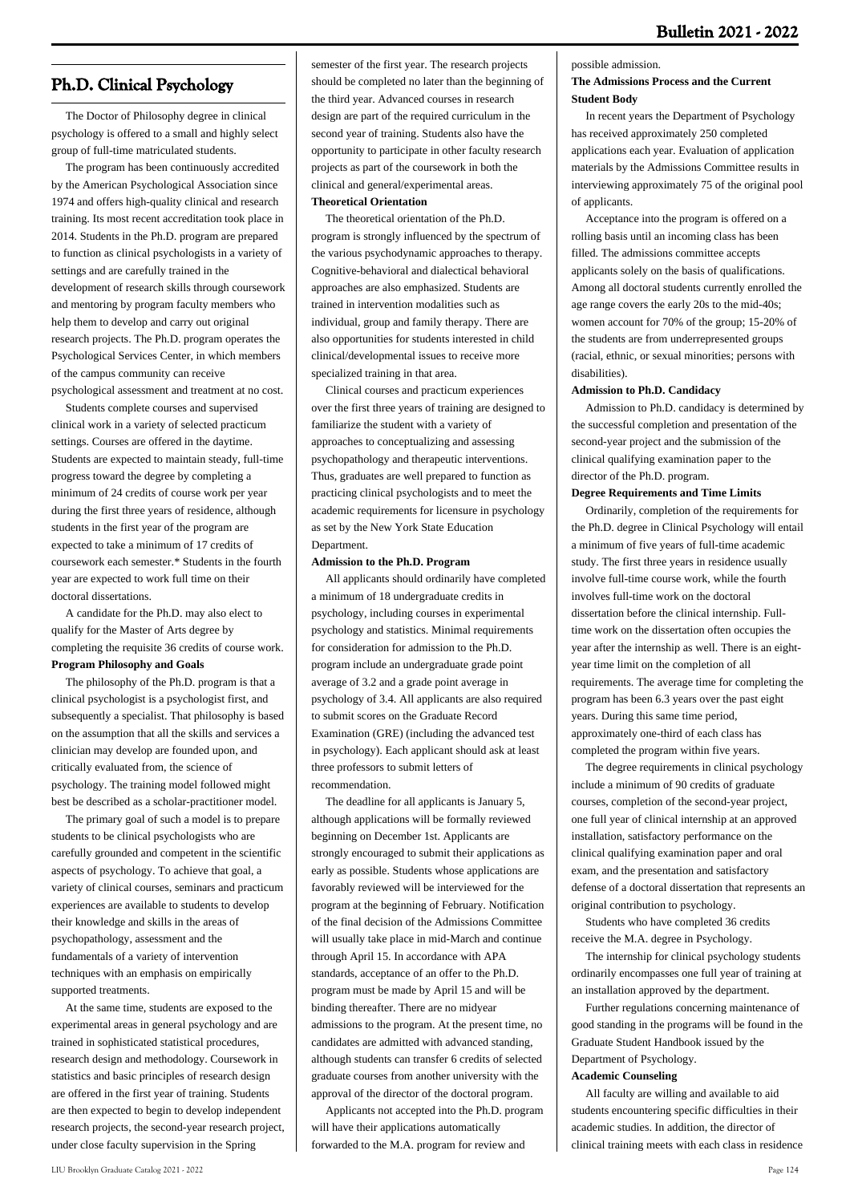# **Ph.D. Clinical Psychology**

 The Doctor of Philosophy degree in clinical psychology is offered to a small and highly select group of full-time matriculated students.

 The program has been continuously accredited by the American Psychological Association since 1974 and offers high-quality clinical and research training. Its most recent accreditation took place in 2014. Students in the Ph.D. program are prepared to function as clinical psychologists in a variety of settings and are carefully trained in the development of research skills through coursework and mentoring by program faculty members who help them to develop and carry out original research projects. The Ph.D. program operates the Psychological Services Center, in which members of the campus community can receive psychological assessment and treatment at no cost.

 Students complete courses and supervised clinical work in a variety of selected practicum settings. Courses are offered in the daytime. Students are expected to maintain steady, full-time progress toward the degree by completing a minimum of 24 credits of course work per year during the first three years of residence, although students in the first year of the program are expected to take a minimum of 17 credits of coursework each semester.\* Students in the fourth year are expected to work full time on their doctoral dissertations.

 A candidate for the Ph.D. may also elect to qualify for the Master of Arts degree by completing the requisite 36 credits of course work. **Program Philosophy and Goals**

 The philosophy of the Ph.D. program is that a clinical psychologist is a psychologist first, and subsequently a specialist. That philosophy is based on the assumption that all the skills and services a clinician may develop are founded upon, and critically evaluated from, the science of psychology. The training model followed might best be described as a scholar-practitioner model.

 The primary goal of such a model is to prepare students to be clinical psychologists who are carefully grounded and competent in the scientific aspects of psychology. To achieve that goal, a variety of clinical courses, seminars and practicum experiences are available to students to develop their knowledge and skills in the areas of psychopathology, assessment and the fundamentals of a variety of intervention techniques with an emphasis on empirically supported treatments.

 At the same time, students are exposed to the experimental areas in general psychology and are trained in sophisticated statistical procedures, research design and methodology. Coursework in statistics and basic principles of research design are offered in the first year of training. Students are then expected to begin to develop independent research projects, the second-year research project, under close faculty supervision in the Spring

semester of the first year. The research projects should be completed no later than the beginning of the third year. Advanced courses in research design are part of the required curriculum in the second year of training. Students also have the opportunity to participate in other faculty research projects as part of the coursework in both the clinical and general/experimental areas. **Theoretical Orientation**

### The theoretical orientation of the Ph.D. program is strongly influenced by the spectrum of the various psychodynamic approaches to therapy. Cognitive-behavioral and dialectical behavioral approaches are also emphasized. Students are trained in intervention modalities such as individual, group and family therapy. There are also opportunities for students interested in child clinical/developmental issues to receive more specialized training in that area.

 Clinical courses and practicum experiences over the first three years of training are designed to familiarize the student with a variety of approaches to conceptualizing and assessing psychopathology and therapeutic interventions. Thus, graduates are well prepared to function as practicing clinical psychologists and to meet the academic requirements for licensure in psychology as set by the New York State Education Department.

#### **Admission to the Ph.D. Program**

 All applicants should ordinarily have completed a minimum of 18 undergraduate credits in psychology, including courses in experimental psychology and statistics. Minimal requirements for consideration for admission to the Ph.D. program include an undergraduate grade point average of 3.2 and a grade point average in psychology of 3.4. All applicants are also required to submit scores on the Graduate Record Examination (GRE) (including the advanced test in psychology). Each applicant should ask at least three professors to submit letters of recommendation.

 The deadline for all applicants is January 5, although applications will be formally reviewed beginning on December 1st. Applicants are strongly encouraged to submit their applications as early as possible. Students whose applications are favorably reviewed will be interviewed for the program at the beginning of February. Notification of the final decision of the Admissions Committee will usually take place in mid-March and continue through April 15. In accordance with APA standards, acceptance of an offer to the Ph.D. program must be made by April 15 and will be binding thereafter. There are no midyear admissions to the program. At the present time, no candidates are admitted with advanced standing, although students can transfer 6 credits of selected graduate courses from another university with the approval of the director of the doctoral program.

 Applicants not accepted into the Ph.D. program will have their applications automatically forwarded to the M.A. program for review and

#### possible admission.

#### **The Admissions Process and the Current Student Body**

 In recent years the Department of Psychology has received approximately 250 completed applications each year. Evaluation of application materials by the Admissions Committee results in interviewing approximately 75 of the original pool of applicants.

 Acceptance into the program is offered on a rolling basis until an incoming class has been filled. The admissions committee accepts applicants solely on the basis of qualifications. Among all doctoral students currently enrolled the age range covers the early 20s to the mid-40s; women account for 70% of the group; 15-20% of the students are from underrepresented groups (racial, ethnic, or sexual minorities; persons with disabilities).

#### **Admission to Ph.D. Candidacy**

 Admission to Ph.D. candidacy is determined by the successful completion and presentation of the second-year project and the submission of the clinical qualifying examination paper to the director of the Ph.D. program.

#### **Degree Requirements and Time Limits**

 Ordinarily, completion of the requirements for the Ph.D. degree in Clinical Psychology will entail a minimum of five years of full-time academic study. The first three years in residence usually involve full-time course work, while the fourth involves full-time work on the doctoral dissertation before the clinical internship. Fulltime work on the dissertation often occupies the year after the internship as well. There is an eightyear time limit on the completion of all requirements. The average time for completing the program has been 6.3 years over the past eight years. During this same time period, approximately one-third of each class has completed the program within five years.

 The degree requirements in clinical psychology include a minimum of 90 credits of graduate courses, completion of the second-year project, one full year of clinical internship at an approved installation, satisfactory performance on the clinical qualifying examination paper and oral exam, and the presentation and satisfactory defense of a doctoral dissertation that represents an original contribution to psychology.

 Students who have completed 36 credits receive the M.A. degree in Psychology.

 The internship for clinical psychology students ordinarily encompasses one full year of training at an installation approved by the department.

 Further regulations concerning maintenance of good standing in the programs will be found in the Graduate Student Handbook issued by the Department of Psychology.

#### **Academic Counseling**

 All faculty are willing and available to aid students encountering specific difficulties in their academic studies. In addition, the director of clinical training meets with each class in residence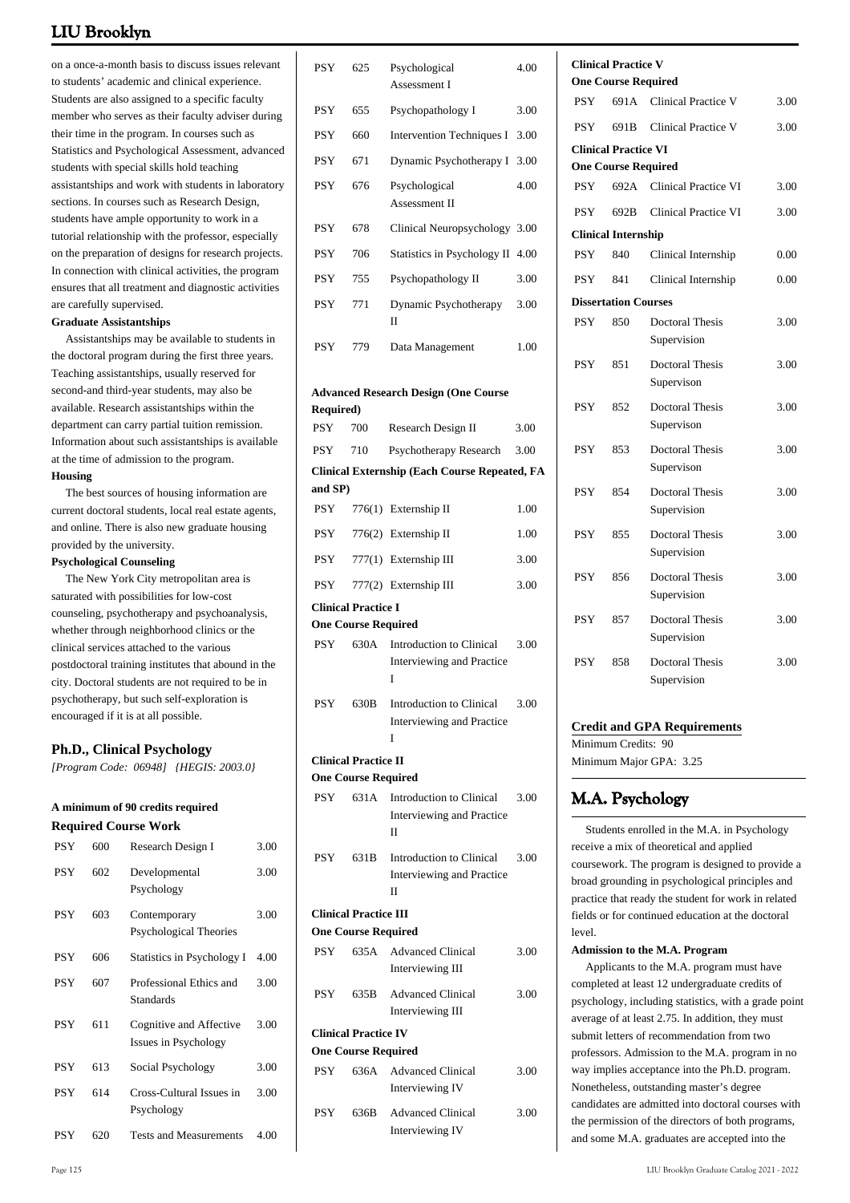on a once-a-month basis to discuss issues relevant to students' academic and clinical experience. Students are also assigned to a specific faculty member who serves as their faculty adviser during their time in the program. In courses such as Statistics and Psychological Assessment, advanced students with special skills hold teaching assistantships and work with students in laboratory sections. In courses such as Research Design, students have ample opportunity to work in a tutorial relationship with the professor, especially on the preparation of designs for research projects. In connection with clinical activities, the program ensures that all treatment and diagnostic activities are carefully supervised.

#### **Graduate Assistantships**

 Assistantships may be available to students in the doctoral program during the first three years. Teaching assistantships, usually reserved for second-and third-year students, may also be available. Research assistantships within the department can carry partial tuition remission. Information about such assistantships is available at the time of admission to the program. **Housing**

 The best sources of housing information are current doctoral students, local real estate agents, and online. There is also new graduate housing provided by the university.

#### **Psychological Counseling**

 The New York City metropolitan area is saturated with possibilities for low-cost counseling, psychotherapy and psychoanalysis, whether through neighborhood clinics or the clinical services attached to the various postdoctoral training institutes that abound in the city. Doctoral students are not required to be in psychotherapy, but such self-exploration is encouraged if it is at all possible.

#### **Ph.D., Clinical Psychology**

*[Program Code: 06948] {HEGIS: 2003.0}*

#### **A minimum of 90 credits required Required Course Work**

| <b>PSY</b> | 600 | Research Design I                               | 3.00 |
|------------|-----|-------------------------------------------------|------|
| <b>PSY</b> | 602 | Developmental<br>Psychology                     | 3.00 |
| <b>PSY</b> | 603 | Contemporary<br><b>Psychological Theories</b>   | 3.00 |
| PSY        | 606 | Statistics in Psychology I                      | 4.00 |
| PSY        | 607 | Professional Ethics and<br>Standards            | 3.00 |
| PSY        | 611 | Cognitive and Affective<br>Issues in Psychology | 3.00 |
| PSY        | 613 | Social Psychology                               | 3.00 |
| PSY        | 614 | Cross-Cultural Issues in<br>Psychology          | 3.00 |
| <b>PSY</b> | 620 | <b>Tests and Measurements</b>                   | 4.00 |

| PSY                            | 625                                                        | Psychological<br>Assessment I                                        | 4.00 |
|--------------------------------|------------------------------------------------------------|----------------------------------------------------------------------|------|
| PSY                            | 655                                                        | Psychopathology I                                                    | 3.00 |
| <b>PSY</b>                     | 660                                                        | <b>Intervention Techniques I</b>                                     | 3.00 |
| PSY                            | 671                                                        | Dynamic Psychotherapy I                                              | 3.00 |
| PSY                            | 676                                                        | Psychological<br>Assessment II                                       | 4.00 |
| <b>PSY</b>                     | 678                                                        | Clinical Neuropsychology                                             | 3.00 |
| <b>PSY</b>                     | 706                                                        | Statistics in Psychology II                                          | 4.00 |
| <b>PSY</b>                     | 755                                                        | Psychopathology II                                                   | 3.00 |
| <b>PSY</b>                     | 771                                                        | Dynamic Psychotherapy<br>$_{\rm II}$                                 | 3.00 |
| <b>PSY</b>                     | 779                                                        | Data Management                                                      | 1.00 |
| <b>Required)</b><br><b>PSY</b> | 700                                                        | <b>Advanced Research Design (One Course</b><br>Research Design II    | 3.00 |
| <b>PSY</b>                     | 710                                                        | Psychotherapy Research                                               | 3.00 |
| and SP)                        |                                                            | <b>Clinical Externship (Each Course Repeated, FA</b>                 |      |
| <b>PSY</b>                     |                                                            | 776(1) Externship II                                                 | 1.00 |
| PSY                            |                                                            | 776(2) Externship II                                                 | 1.00 |
| PSY.                           |                                                            | 777(1) Externship III                                                | 3.00 |
| PSY                            |                                                            | 777(2) Externship III                                                | 3.00 |
|                                | <b>Clinical Practice I</b>                                 |                                                                      |      |
| <b>PSY</b>                     | <b>One Course Required</b>                                 | 630A Introduction to Clinical                                        | 3.00 |
|                                |                                                            | Interviewing and Practice<br>I                                       |      |
| <b>PSY</b>                     | 630B                                                       | Introduction to Clinical<br>Interviewing and Practice<br>I           | 3.00 |
|                                | <b>Clinical Practice II</b><br><b>One Course Required</b>  |                                                                      |      |
| <b>PSY</b>                     | 631A                                                       | Introduction to Clinical<br>Interviewing and Practice<br>Н           | 3.00 |
| PSY                            | 631B                                                       | Introduction to Clinical<br>Interviewing and Practice<br>$_{\rm II}$ | 3.00 |
|                                | <b>Clinical Practice III</b><br><b>One Course Required</b> |                                                                      |      |
| PSY -                          |                                                            | 635A Advanced Clinical<br>Interviewing III                           | 3.00 |
| PSY                            | 635B                                                       | <b>Advanced Clinical</b><br>Interviewing III                         | 3.00 |
|                                | <b>Clinical Practice IV</b><br><b>One Course Required</b>  |                                                                      |      |
| PSY                            | 636A                                                       | <b>Advanced Clinical</b><br>Interviewing IV                          | 3.00 |
| PSY                            | 636B                                                       | <b>Advanced Clinical</b><br>Interviewing IV                          | 3.00 |

4.00

|            | <b>Clinical Practice V</b>  |                                       |      |
|------------|-----------------------------|---------------------------------------|------|
|            | <b>One Course Required</b>  |                                       |      |
| <b>PSY</b> |                             | 691A Clinical Practice V              | 3.00 |
| <b>PSY</b> | 691B                        | Clinical Practice V                   | 3.00 |
|            | <b>Clinical Practice VI</b> |                                       |      |
|            | <b>One Course Required</b>  |                                       |      |
| <b>PSY</b> |                             | 692A Clinical Practice VI             | 3.00 |
| <b>PSY</b> | 692B                        | <b>Clinical Practice VI</b>           | 3.00 |
|            | <b>Clinical Internship</b>  |                                       |      |
| <b>PSY</b> | 840                         | Clinical Internship                   | 0.00 |
| <b>PSY</b> | 841                         | Clinical Internship                   | 0.00 |
|            | <b>Dissertation Courses</b> |                                       |      |
| <b>PSY</b> | 850                         | <b>Doctoral Thesis</b><br>Supervision | 3.00 |
| <b>PSY</b> | 851                         | <b>Doctoral Thesis</b><br>Supervison  | 3.00 |
| <b>PSY</b> | 852                         | <b>Doctoral Thesis</b><br>Supervison  | 3.00 |
| <b>PSY</b> | 853                         | <b>Doctoral Thesis</b><br>Supervison  | 3.00 |
| <b>PSY</b> | 854                         | <b>Doctoral Thesis</b><br>Supervision | 3.00 |
| <b>PSY</b> | 855                         | <b>Doctoral Thesis</b><br>Supervision | 3.00 |
| <b>PSY</b> | 856                         | Doctoral Thesis<br>Supervision        | 3.00 |
| <b>PSY</b> | 857                         | <b>Doctoral Thesis</b><br>Supervision | 3.00 |
| <b>PSY</b> | 858                         | Doctoral Thesis<br>Supervision        | 3.00 |

#### **Credit and GPA Requirements**

Minimum Credits: 90 Minimum Major GPA: 3.25

# **M.A. Psychology**

 Students enrolled in the M.A. in Psychology receive a mix of theoretical and applied coursework. The program is designed to provide a broad grounding in psychological principles and practice that ready the student for work in related fields or for continued education at the doctoral level.

#### **Admission to the M.A. Program**

 Applicants to the M.A. program must have completed at least 12 undergraduate credits of psychology, including statistics, with a grade point average of at least 2.75. In addition, they must submit letters of recommendation from two professors. Admission to the M.A. program in no way implies acceptance into the Ph.D. program. Nonetheless, outstanding master's degree candidates are admitted into doctoral courses with the permission of the directors of both programs, and some M.A. graduates are accepted into the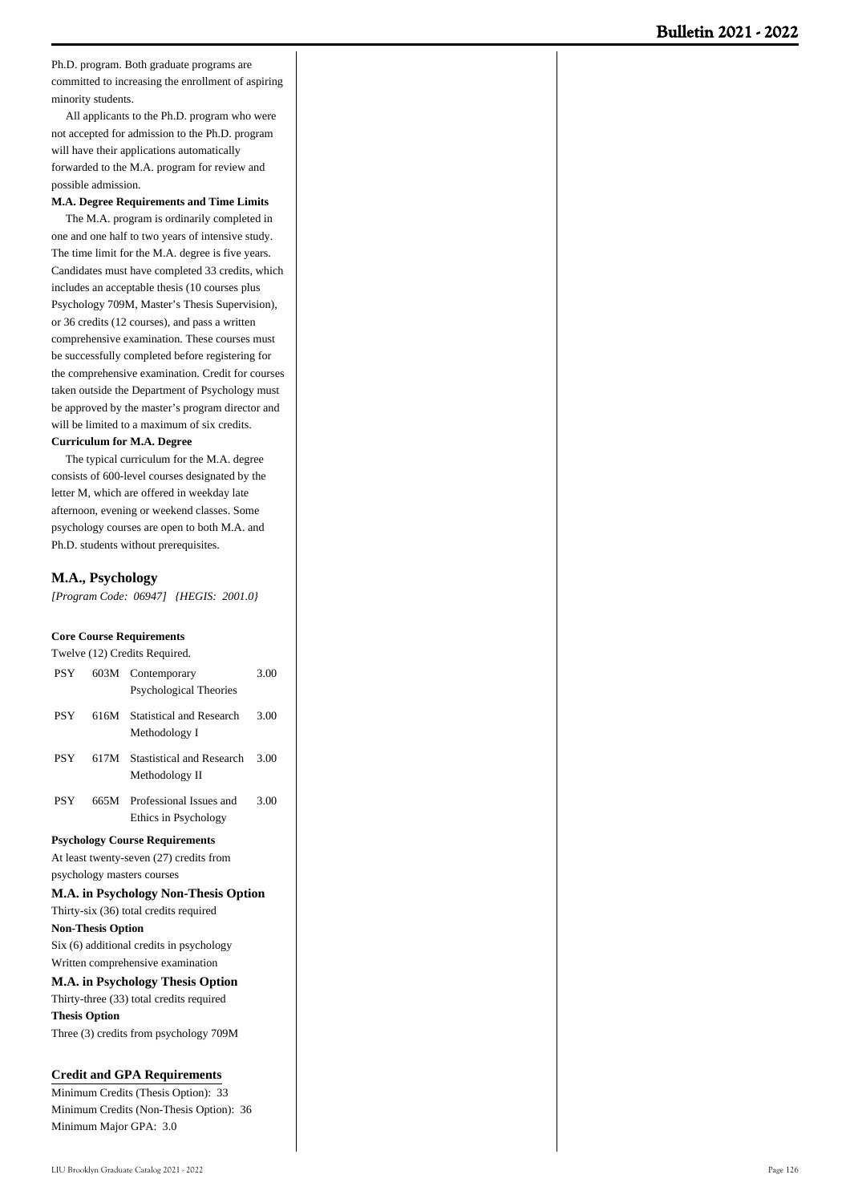Ph.D. program. Both graduate programs are committed to increasing the enrollment of aspiring minority students.

 All applicants to the Ph.D. program who were not accepted for admission to the Ph.D. program will have their applications automatically forwarded to the M.A. program for review and possible admission.

**M.A. Degree Requirements and Time Limits**

 The M.A. program is ordinarily completed in one and one half to two years of intensive study. The time limit for the M.A. degree is five years. Candidates must have completed 33 credits, which includes an acceptable thesis (10 courses plus Psychology 709M, Master's Thesis Supervision), or 36 credits (12 courses), and pass a written comprehensive examination. These courses must be successfully completed before registering for the comprehensive examination. Credit for courses taken outside the Department of Psychology must be approved by the master's program director and will be limited to a maximum of six credits.

#### **Curriculum for M.A. Degree**

 The typical curriculum for the M.A. degree consists of 600-level courses designated by the letter M, which are offered in weekday late afternoon, evening or weekend classes. Some psychology courses are open to both M.A. and Ph.D. students without prerequisites.

#### **M.A., Psychology**

*[Program Code: 06947] {HEGIS: 2001.0}*

#### **Core Course Requirements**

Twelve (12) Credits Required.

| PSY        | 603M                     | Contemporary                                | 3.00 |
|------------|--------------------------|---------------------------------------------|------|
|            |                          | Psychological Theories                      |      |
| <b>PSY</b> |                          | 616M Statistical and Research               | 3.00 |
|            |                          | Methodology I                               |      |
| <b>PSY</b> |                          | 617M Stastistical and Research              | 3.00 |
|            |                          | Methodology II                              |      |
| <b>PSY</b> | 665M                     | Professional Issues and                     | 3.00 |
|            |                          | Ethics in Psychology                        |      |
|            |                          | <b>Psychology Course Requirements</b>       |      |
|            |                          | At least twenty-seven (27) credits from     |      |
|            |                          | psychology masters courses                  |      |
|            |                          | M.A. in Psychology Non-Thesis Option        |      |
|            |                          | Thirty-six (36) total credits required      |      |
|            | <b>Non-Thesis Option</b> |                                             |      |
|            |                          | Six (6) additional credits in psychology    |      |
|            |                          | Written comprehensive examination           |      |
|            |                          | M.A. in Psychology Thesis Option            |      |
|            |                          | and the second control of the second second |      |

Thirty-three (33) total credits required **Thesis Option** Three (3) credits from psychology 709M

#### **Credit and GPA Requirements**

Minimum Credits (Thesis Option): 33 Minimum Credits (Non-Thesis Option): 36 Minimum Major GPA: 3.0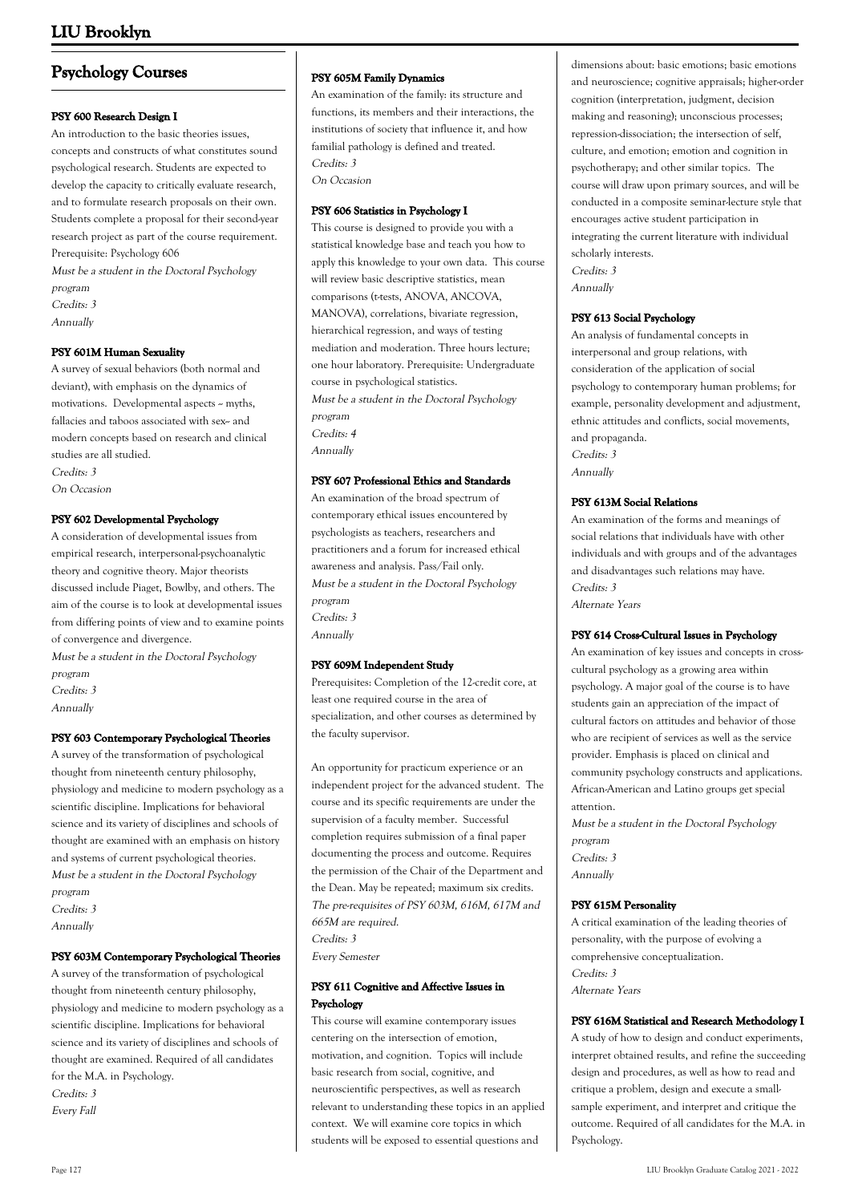# **Psychology Courses**

#### **PSY 600 Research Design I**

An introduction to the basic theories issues, concepts and constructs of what constitutes sound psychological research. Students are expected to develop the capacity to critically evaluate research, and to formulate research proposals on their own. Students complete a proposal for their second-year research project as part of the course requirement. Prerequisite: Psychology 606

Must be a student in the Doctoral Psychology program

Credits: 3

Annually

#### **PSY 601M Human Sexuality**

A survey of sexual behaviors (both normal and deviant), with emphasis on the dynamics of motivations. Developmental aspects  $\sim$  myths, fallacies and taboos associated with sex-- and modern concepts based on research and clinical studies are all studied. Credits: 3 On Occasion

#### **PSY 602 Developmental Psychology**

A consideration of developmental issues from empirical research, interpersonal-psychoanalytic theory and cognitive theory. Major theorists discussed include Piaget, Bowlby, and others. The aim of the course is to look at developmental issues from differing points of view and to examine points of convergence and divergence.

Must be a student in the Doctoral Psychology program Credits: 3 Annually

#### **PSY 603 Contemporary Psychological Theories**

A survey of the transformation of psychological thought from nineteenth century philosophy, physiology and medicine to modern psychology as a scientific discipline. Implications for behavioral science and its variety of disciplines and schools of thought are examined with an emphasis on history and systems of current psychological theories. Must be a student in the Doctoral Psychology program

Credits: 3 Annually

#### **PSY 603M Contemporary Psychological Theories**

A survey of the transformation of psychological thought from nineteenth century philosophy, physiology and medicine to modern psychology as a scientific discipline. Implications for behavioral science and its variety of disciplines and schools of thought are examined. Required of all candidates for the M.A. in Psychology. Credits: 3 Every Fall

#### **PSY 605M Family Dynamics**

An examination of the family: its structure and functions, its members and their interactions, the institutions of society that influence it, and how familial pathology is defined and treated. Credits: 3 On Occasion

**PSY 606 Statistics in Psychology I** This course is designed to provide you with a statistical knowledge base and teach you how to apply this knowledge to your own data. This course will review basic descriptive statistics, mean comparisons (t-tests, ANOVA, ANCOVA, MANOVA), correlations, bivariate regression, hierarchical regression, and ways of testing mediation and moderation. Three hours lecture; one hour laboratory. Prerequisite: Undergraduate course in psychological statistics. Must be a student in the Doctoral Psychology program Credits: 4 Annually

#### **PSY 607 Professional Ethics and Standards**

An examination of the broad spectrum of contemporary ethical issues encountered by psychologists as teachers, researchers and practitioners and a forum for increased ethical awareness and analysis. Pass/Fail only. Must be a student in the Doctoral Psychology program Credits: 3 Annually

#### **PSY 609M Independent Study**

Prerequisites: Completion of the 12-credit core, at least one required course in the area of specialization, and other courses as determined by the faculty supervisor.

An opportunity for practicum experience or an independent project for the advanced student. The course and its specific requirements are under the supervision of a faculty member. Successful completion requires submission of a final paper documenting the process and outcome. Requires the permission of the Chair of the Department and the Dean. May be repeated; maximum six credits. The pre-requisites of PSY 603M, 616M, 617M and 665M are required. Credits: 3 Every Semester

#### **PSY 611 Cognitive and Affective Issues in Psychology**

This course will examine contemporary issues centering on the intersection of emotion, motivation, and cognition. Topics will include basic research from social, cognitive, and neuroscientific perspectives, as well as research relevant to understanding these topics in an applied context. We will examine core topics in which students will be exposed to essential questions and

dimensions about: basic emotions; basic emotions and neuroscience; cognitive appraisals; higher-order cognition (interpretation, judgment, decision making and reasoning); unconscious processes; repression-dissociation; the intersection of self, culture, and emotion; emotion and cognition in psychotherapy; and other similar topics. The course will draw upon primary sources, and will be conducted in a composite seminar-lecture style that encourages active student participation in integrating the current literature with individual scholarly interests. Credits: 3 Annually

#### **PSY 613 Social Psychology**

An analysis of fundamental concepts in interpersonal and group relations, with consideration of the application of social psychology to contemporary human problems; for example, personality development and adjustment, ethnic attitudes and conflicts, social movements, and propaganda. Credits: 3 Annually

#### **PSY 613M Social Relations**

An examination of the forms and meanings of social relations that individuals have with other individuals and with groups and of the advantages and disadvantages such relations may have. Credits: 3 Alternate Years

#### **PSY 614 Cross-Cultural Issues in Psychology**

An examination of key issues and concepts in crosscultural psychology as a growing area within psychology. A major goal of the course is to have students gain an appreciation of the impact of cultural factors on attitudes and behavior of those who are recipient of services as well as the service provider. Emphasis is placed on clinical and community psychology constructs and applications. African-American and Latino groups get special attention.

Must be a student in the Doctoral Psychology program Credits: 3 Annually

#### **PSY 615M Personality**

A critical examination of the leading theories of personality, with the purpose of evolving a comprehensive conceptualization. Credits: 3 Alternate Years

#### **PSY 616M Statistical and Research Methodology I**

A study of how to design and conduct experiments, interpret obtained results, and refine the succeeding design and procedures, as well as how to read and critique a problem, design and execute a smallsample experiment, and interpret and critique the outcome. Required of all candidates for the M.A. in Psychology.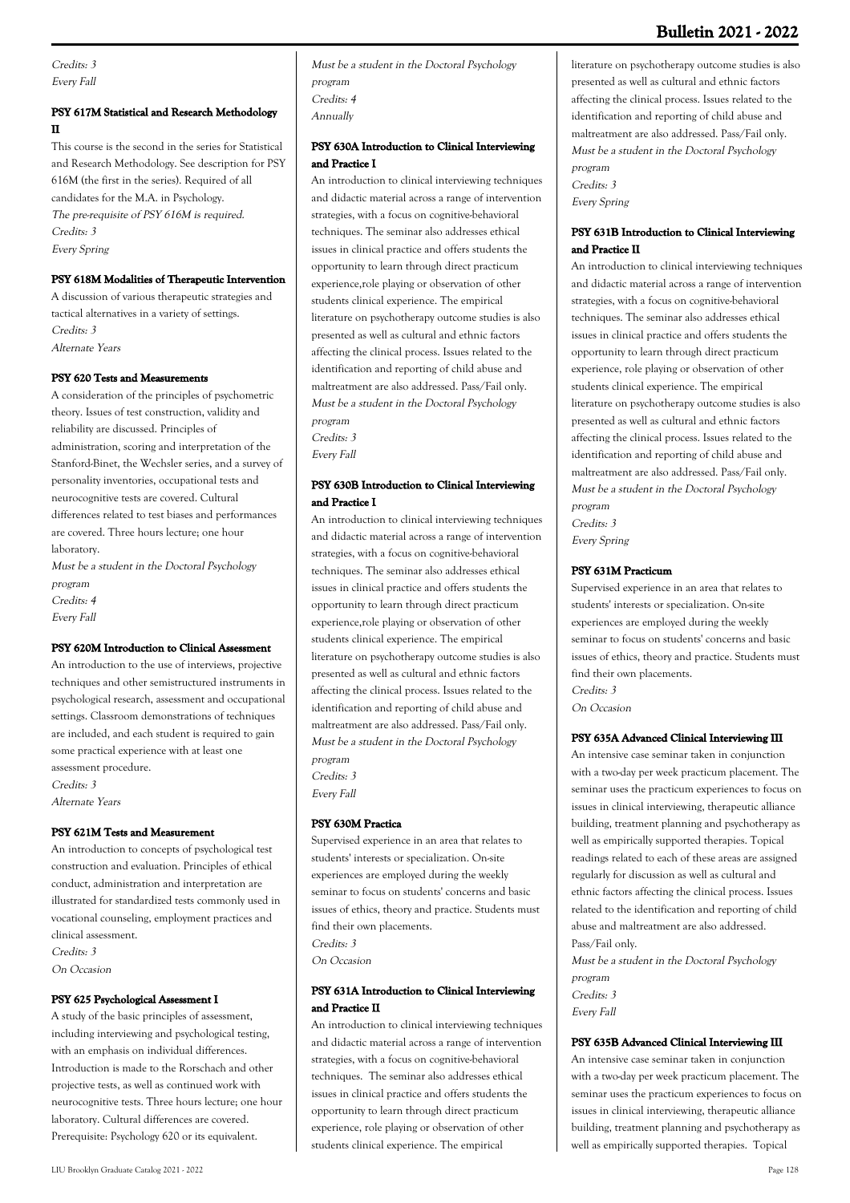# **Bulletin 2021 - 2022**

Credits: 3 Every Fall

### **PSY 617M Statistical and Research Methodology II**

This course is the second in the series for Statistical and Research Methodology. See description for PSY 616M (the first in the series). Required of all candidates for the M.A. in Psychology. The pre-requisite of PSY 616M is required. Credits: 3 Every Spring

#### **PSY 618M Modalities of Therapeutic Intervention**

A discussion of various therapeutic strategies and tactical alternatives in a variety of settings. Credits: 3 Alternate Years

#### **PSY 620 Tests and Measurements**

A consideration of the principles of psychometric theory. Issues of test construction, validity and reliability are discussed. Principles of administration, scoring and interpretation of the Stanford-Binet, the Wechsler series, and a survey of personality inventories, occupational tests and neurocognitive tests are covered. Cultural differences related to test biases and performances are covered. Three hours lecture; one hour laboratory. Must be a student in the Doctoral Psychology

program Credits: 4 Every Fall

### **PSY 620M Introduction to Clinical Assessment**

An introduction to the use of interviews, projective techniques and other semistructured instruments in psychological research, assessment and occupational settings. Classroom demonstrations of techniques are included, and each student is required to gain some practical experience with at least one assessment procedure. Credits: 3 Alternate Years

#### **PSY 621M Tests and Measurement**

An introduction to concepts of psychological test construction and evaluation. Principles of ethical conduct, administration and interpretation are illustrated for standardized tests commonly used in vocational counseling, employment practices and clinical assessment. Credits: 3 On Occasion

#### **PSY 625 Psychological Assessment I**

A study of the basic principles of assessment, including interviewing and psychological testing, with an emphasis on individual differences. Introduction is made to the Rorschach and other projective tests, as well as continued work with neurocognitive tests. Three hours lecture; one hour laboratory. Cultural differences are covered. Prerequisite: Psychology 620 or its equivalent.

Must be a student in the Doctoral Psychology program Credits: 4 Annually

#### **PSY 630A Introduction to Clinical Interviewing and Practice I**

An introduction to clinical interviewing techniques and didactic material across a range of intervention strategies, with a focus on cognitive-behavioral techniques. The seminar also addresses ethical issues in clinical practice and offers students the opportunity to learn through direct practicum experience,role playing or observation of other students clinical experience. The empirical literature on psychotherapy outcome studies is also presented as well as cultural and ethnic factors affecting the clinical process. Issues related to the identification and reporting of child abuse and maltreatment are also addressed. Pass/Fail only. Must be a student in the Doctoral Psychology program Credits: 3

Every Fall

#### **PSY 630B Introduction to Clinical Interviewing and Practice I**

An introduction to clinical interviewing techniques and didactic material across a range of intervention strategies, with a focus on cognitive-behavioral techniques. The seminar also addresses ethical issues in clinical practice and offers students the opportunity to learn through direct practicum experience,role playing or observation of other students clinical experience. The empirical literature on psychotherapy outcome studies is also presented as well as cultural and ethnic factors affecting the clinical process. Issues related to the identification and reporting of child abuse and maltreatment are also addressed. Pass/Fail only. Must be a student in the Doctoral Psychology program Credits: 3

Every Fall

#### **PSY 630M Practica**

Supervised experience in an area that relates to students' interests or specialization. On-site experiences are employed during the weekly seminar to focus on students' concerns and basic issues of ethics, theory and practice. Students must find their own placements. Credits: 3 On Occasion

#### **PSY 631A Introduction to Clinical Interviewing and Practice II**

An introduction to clinical interviewing techniques and didactic material across a range of intervention strategies, with a focus on cognitive-behavioral techniques. The seminar also addresses ethical issues in clinical practice and offers students the opportunity to learn through direct practicum experience, role playing or observation of other students clinical experience. The empirical

literature on psychotherapy outcome studies is also presented as well as cultural and ethnic factors affecting the clinical process. Issues related to the identification and reporting of child abuse and maltreatment are also addressed. Pass/Fail only. Must be a student in the Doctoral Psychology program Credits: 3 Every Spring

#### **PSY 631B Introduction to Clinical Interviewing and Practice II**

An introduction to clinical interviewing techniques and didactic material across a range of intervention strategies, with a focus on cognitive-behavioral techniques. The seminar also addresses ethical issues in clinical practice and offers students the opportunity to learn through direct practicum experience, role playing or observation of other students clinical experience. The empirical literature on psychotherapy outcome studies is also presented as well as cultural and ethnic factors affecting the clinical process. Issues related to the identification and reporting of child abuse and maltreatment are also addressed. Pass/Fail only. Must be a student in the Doctoral Psychology program Credits: 3 Every Spring

#### **PSY 631M Practicum**

Supervised experience in an area that relates to students' interests or specialization. On-site experiences are employed during the weekly seminar to focus on students' concerns and basic issues of ethics, theory and practice. Students must find their own placements. Credits: 3 On Occasion

#### **PSY 635A Advanced Clinical Interviewing III**

An intensive case seminar taken in conjunction with a two-day per week practicum placement. The seminar uses the practicum experiences to focus on issues in clinical interviewing, therapeutic alliance building, treatment planning and psychotherapy as well as empirically supported therapies. Topical readings related to each of these areas are assigned regularly for discussion as well as cultural and ethnic factors affecting the clinical process. Issues related to the identification and reporting of child abuse and maltreatment are also addressed. Pass/Fail only. Must be a student in the Doctoral Psychology

program Credits: 3 Every Fall

#### **PSY 635B Advanced Clinical Interviewing III**

An intensive case seminar taken in conjunction with a two-day per week practicum placement. The seminar uses the practicum experiences to focus on issues in clinical interviewing, therapeutic alliance building, treatment planning and psychotherapy as well as empirically supported therapies. Topical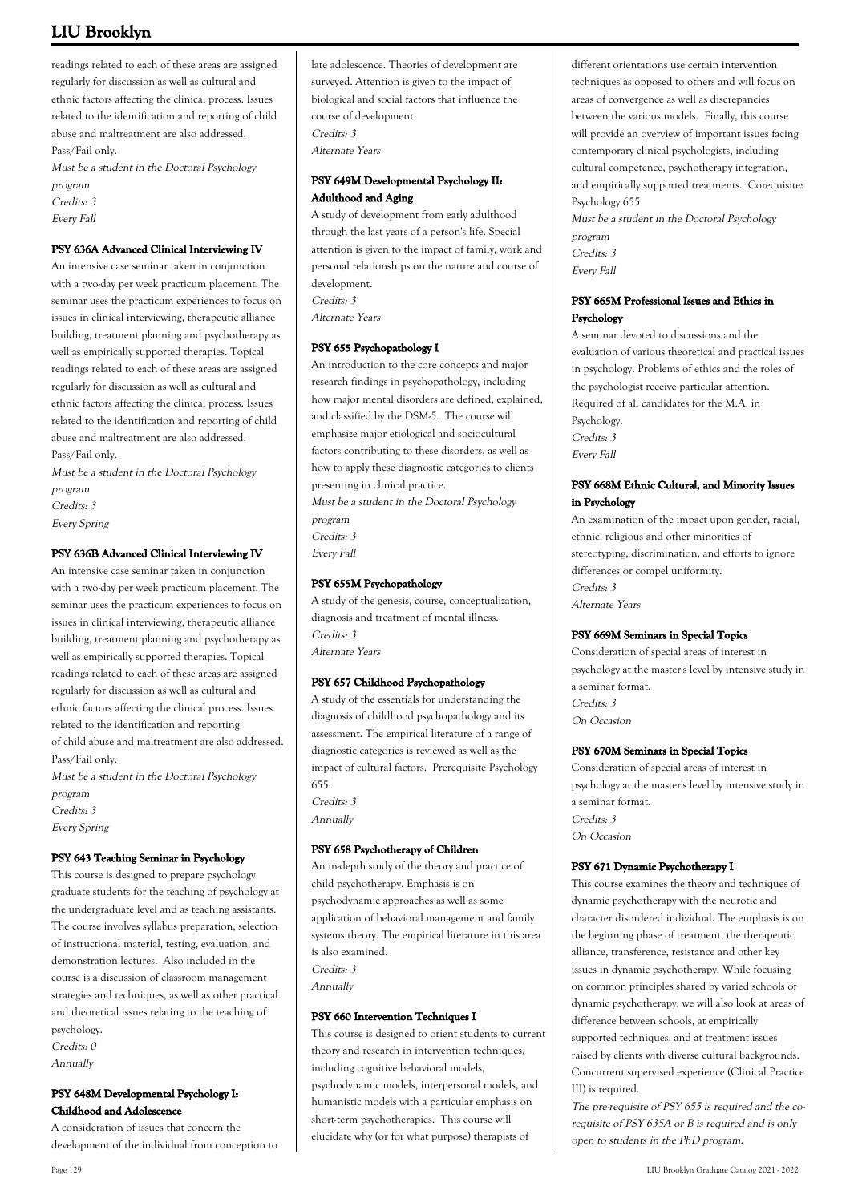readings related to each of these areas are assigned regularly for discussion as well as cultural and ethnic factors affecting the clinical process. Issues related to the identification and reporting of child abuse and maltreatment are also addressed. Pass/Fail only.

Must be a student in the Doctoral Psychology program Credits: 3

Every Fall

### **PSY 636A Advanced Clinical Interviewing IV**

An intensive case seminar taken in conjunction with a two-day per week practicum placement. The seminar uses the practicum experiences to focus on issues in clinical interviewing, therapeutic alliance building, treatment planning and psychotherapy as well as empirically supported therapies. Topical readings related to each of these areas are assigned regularly for discussion as well as cultural and ethnic factors affecting the clinical process. Issues related to the identification and reporting of child abuse and maltreatment are also addressed. Pass/Fail only.

Must be a student in the Doctoral Psychology program

Credits: 3

Every Spring

### **PSY 636B Advanced Clinical Interviewing IV**

An intensive case seminar taken in conjunction with a two-day per week practicum placement. The seminar uses the practicum experiences to focus on issues in clinical interviewing, therapeutic alliance building, treatment planning and psychotherapy as well as empirically supported therapies. Topical readings related to each of these areas are assigned regularly for discussion as well as cultural and ethnic factors affecting the clinical process. Issues related to the identification and reporting of child abuse and maltreatment are also addressed. Pass/Fail only.

Must be a student in the Doctoral Psychology program Credits: 3 Every Spring

#### **PSY 643 Teaching Seminar in Psychology**

This course is designed to prepare psychology graduate students for the teaching of psychology at the undergraduate level and as teaching assistants. The course involves syllabus preparation, selection of instructional material, testing, evaluation, and demonstration lectures. Also included in the course is a discussion of classroom management strategies and techniques, as well as other practical and theoretical issues relating to the teaching of psychology. Credits: 0 Annually

#### **PSY 648M Developmental Psychology I: Childhood and Adolescence**

A consideration of issues that concern the development of the individual from conception to late adolescence. Theories of development are surveyed. Attention is given to the impact of biological and social factors that influence the course of development. Credits: 3 Alternate Years

#### **PSY 649M Developmental Psychology II: Adulthood and Aging**

A study of development from early adulthood through the last years of a person's life. Special attention is given to the impact of family, work and personal relationships on the nature and course of development. Credits: 3 Alternate Years

#### **PSY 655 Psychopathology I**

An introduction to the core concepts and major research findings in psychopathology, including how major mental disorders are defined, explained, and classified by the DSM-5. The course will emphasize major etiological and sociocultural factors contributing to these disorders, as well as how to apply these diagnostic categories to clients presenting in clinical practice.

Must be a student in the Doctoral Psychology program Credits: 3

Every Fall

#### **PSY 655M Psychopathology**

A study of the genesis, course, conceptualization, diagnosis and treatment of mental illness. Credits: 3 Alternate Years

#### **PSY 657 Childhood Psychopathology**

A study of the essentials for understanding the diagnosis of childhood psychopathology and its assessment. The empirical literature of a range of diagnostic categories is reviewed as well as the impact of cultural factors. Prerequisite Psychology 655.

Credits: 3 Annually

### **PSY 658 Psychotherapy of Children**

An in-depth study of the theory and practice of child psychotherapy. Emphasis is on psychodynamic approaches as well as some application of behavioral management and family systems theory. The empirical literature in this area is also examined. Credits: 3 Annually

#### **PSY 660 Intervention Techniques I**

This course is designed to orient students to current theory and research in intervention techniques, including cognitive behavioral models, psychodynamic models, interpersonal models, and humanistic models with a particular emphasis on short-term psychotherapies. This course will elucidate why (or for what purpose) therapists of

different orientations use certain intervention techniques as opposed to others and will focus on areas of convergence as well as discrepancies between the various models. Finally, this course will provide an overview of important issues facing contemporary clinical psychologists, including cultural competence, psychotherapy integration, and empirically supported treatments. Corequisite: Psychology 655

Must be a student in the Doctoral Psychology program Credits: 3 Every Fall

#### **PSY 665M Professional Issues and Ethics in Psychology**

A seminar devoted to discussions and the evaluation of various theoretical and practical issues in psychology. Problems of ethics and the roles of the psychologist receive particular attention. Required of all candidates for the M.A. in Psychology. Credits: 3 Every Fall

#### **PSY 668M Ethnic Cultural, and Minority Issues in Psychology**

An examination of the impact upon gender, racial, ethnic, religious and other minorities of stereotyping, discrimination, and efforts to ignore differences or compel uniformity. Credits: 3 Alternate Years

### **PSY 669M Seminars in Special Topics**

Consideration of special areas of interest in psychology at the master's level by intensive study in a seminar format. Credits: 3 On Occasion

#### **PSY 670M Seminars in Special Topics**

Consideration of special areas of interest in psychology at the master's level by intensive study in a seminar format. Credits: 3 On Occasion

### **PSY 671 Dynamic Psychotherapy I**

This course examines the theory and techniques of dynamic psychotherapy with the neurotic and character disordered individual. The emphasis is on the beginning phase of treatment, the therapeutic alliance, transference, resistance and other key issues in dynamic psychotherapy. While focusing on common principles shared by varied schools of dynamic psychotherapy, we will also look at areas of difference between schools, at empirically supported techniques, and at treatment issues raised by clients with diverse cultural backgrounds. Concurrent supervised experience (Clinical Practice III) is required.

The pre-requisite of PSY 655 is required and the corequisite of PSY 635A or B is required and is only open to students in the PhD program.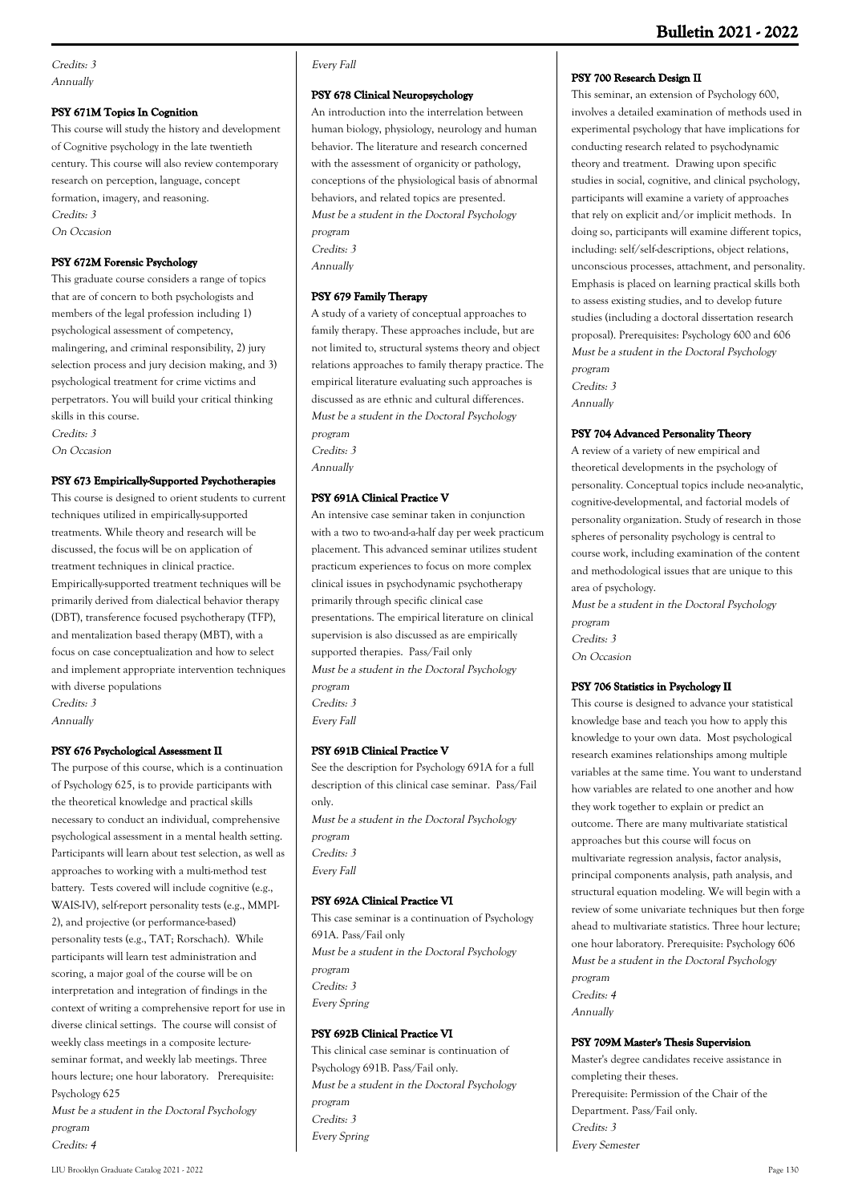#### **PSY 671M Topics In Cognition**

This course will study the history and development of Cognitive psychology in the late twentieth century. This course will also review contemporary research on perception, language, concept formation, imagery, and reasoning. Credits: 3 On Occasion

#### **PSY 672M Forensic Psychology**

This graduate course considers a range of topics that are of concern to both psychologists and members of the legal profession including 1) psychological assessment of competency, malingering, and criminal responsibility, 2) jury selection process and jury decision making, and 3) psychological treatment for crime victims and perpetrators. You will build your critical thinking skills in this course.

Credits: 3 On Occasion

#### **PSY 673 Empirically-Supported Psychotherapies**

This course is designed to orient students to current techniques utilized in empirically-supported treatments. While theory and research will be discussed, the focus will be on application of treatment techniques in clinical practice. Empirically-supported treatment techniques will be primarily derived from dialectical behavior therapy (DBT), transference focused psychotherapy (TFP), and mentalization based therapy (MBT), with a focus on case conceptualization and how to select and implement appropriate intervention techniques with diverse populations Credits: 3

Annually

#### **PSY 676 Psychological Assessment II**

The purpose of this course, which is a continuation of Psychology 625, is to provide participants with the theoretical knowledge and practical skills necessary to conduct an individual, comprehensive psychological assessment in a mental health setting. Participants will learn about test selection, as well as approaches to working with a multi-method test battery. Tests covered will include cognitive (e.g., WAIS-IV), self-report personality tests (e.g., MMPI-2), and projective (or performance-based) personality tests (e.g., TAT; Rorschach). While participants will learn test administration and scoring, a major goal of the course will be on interpretation and integration of findings in the context of writing a comprehensive report for use in diverse clinical settings. The course will consist of weekly class meetings in a composite lectureseminar format, and weekly lab meetings. Three hours lecture: one hour laboratory. Prerequisite: Psychology 625

Must be a student in the Doctoral Psychology program

#### Credits: 4

#### **PSY 678 Clinical Neuropsychology**

An introduction into the interrelation between human biology, physiology, neurology and human behavior. The literature and research concerned with the assessment of organicity or pathology, conceptions of the physiological basis of abnormal behaviors, and related topics are presented. Must be a student in the Doctoral Psychology program Credits: 3 Annually

#### **PSY 679 Family Therapy**

A study of a variety of conceptual approaches to family therapy. These approaches include, but are not limited to, structural systems theory and object relations approaches to family therapy practice. The empirical literature evaluating such approaches is discussed as are ethnic and cultural differences. Must be a student in the Doctoral Psychology program Credits: 3

Annually

#### **PSY 691A Clinical Practice V**

An intensive case seminar taken in conjunction with a two to two-and-a-half day per week practicum placement. This advanced seminar utilizes student practicum experiences to focus on more complex clinical issues in psychodynamic psychotherapy primarily through specific clinical case presentations. The empirical literature on clinical supervision is also discussed as are empirically supported therapies. Pass/Fail only Must be a student in the Doctoral Psychology program Credits: 3 Every Fall

#### **PSY 691B Clinical Practice V**

See the description for Psychology 691A for a full description of this clinical case seminar. Pass/Fail only. Must be a student in the Doctoral Psychology program Credits: 3 Every Fall

#### **PSY 692A Clinical Practice VI**

This case seminar is a continuation of Psychology 691A. Pass/Fail only Must be a student in the Doctoral Psychology program Credits: 3 Every Spring

#### **PSY 692B Clinical Practice VI**

This clinical case seminar is continuation of Psychology 691B. Pass/Fail only. Must be a student in the Doctoral Psychology program Credits: 3 Every Spring

#### **PSY 700 Research Design II**

This seminar, an extension of Psychology 600, involves a detailed examination of methods used in experimental psychology that have implications for conducting research related to psychodynamic theory and treatment. Drawing upon specific studies in social, cognitive, and clinical psychology, participants will examine a variety of approaches that rely on explicit and/or implicit methods. In doing so, participants will examine different topics, including: self/self-descriptions, object relations, unconscious processes, attachment, and personality. Emphasis is placed on learning practical skills both to assess existing studies, and to develop future studies (including a doctoral dissertation research proposal). Prerequisites: Psychology 600 and 606 Must be a student in the Doctoral Psychology program Credits: 3

Annually

#### **PSY 704 Advanced Personality Theory**

A review of a variety of new empirical and theoretical developments in the psychology of personality. Conceptual topics include neo-analytic, cognitive-developmental, and factorial models of personality organization. Study of research in those spheres of personality psychology is central to course work, including examination of the content and methodological issues that are unique to this area of psychology.

Must be a student in the Doctoral Psychology program Credits: 3 On Occasion

#### **PSY 706 Statistics in Psychology II**

This course is designed to advance your statistical knowledge base and teach you how to apply this knowledge to your own data. Most psychological research examines relationships among multiple variables at the same time. You want to understand how variables are related to one another and how they work together to explain or predict an outcome. There are many multivariate statistical approaches but this course will focus on multivariate regression analysis, factor analysis, principal components analysis, path analysis, and structural equation modeling. We will begin with a review of some univariate techniques but then forge ahead to multivariate statistics. Three hour lecture; one hour laboratory. Prerequisite: Psychology 606 Must be a student in the Doctoral Psychology program Credits: 4 Annually

#### **PSY 709M Master's Thesis Supervision**

Master's degree candidates receive assistance in completing their theses. Prerequisite: Permission of the Chair of the Department. Pass/Fail only. Credits: 3 Every Semester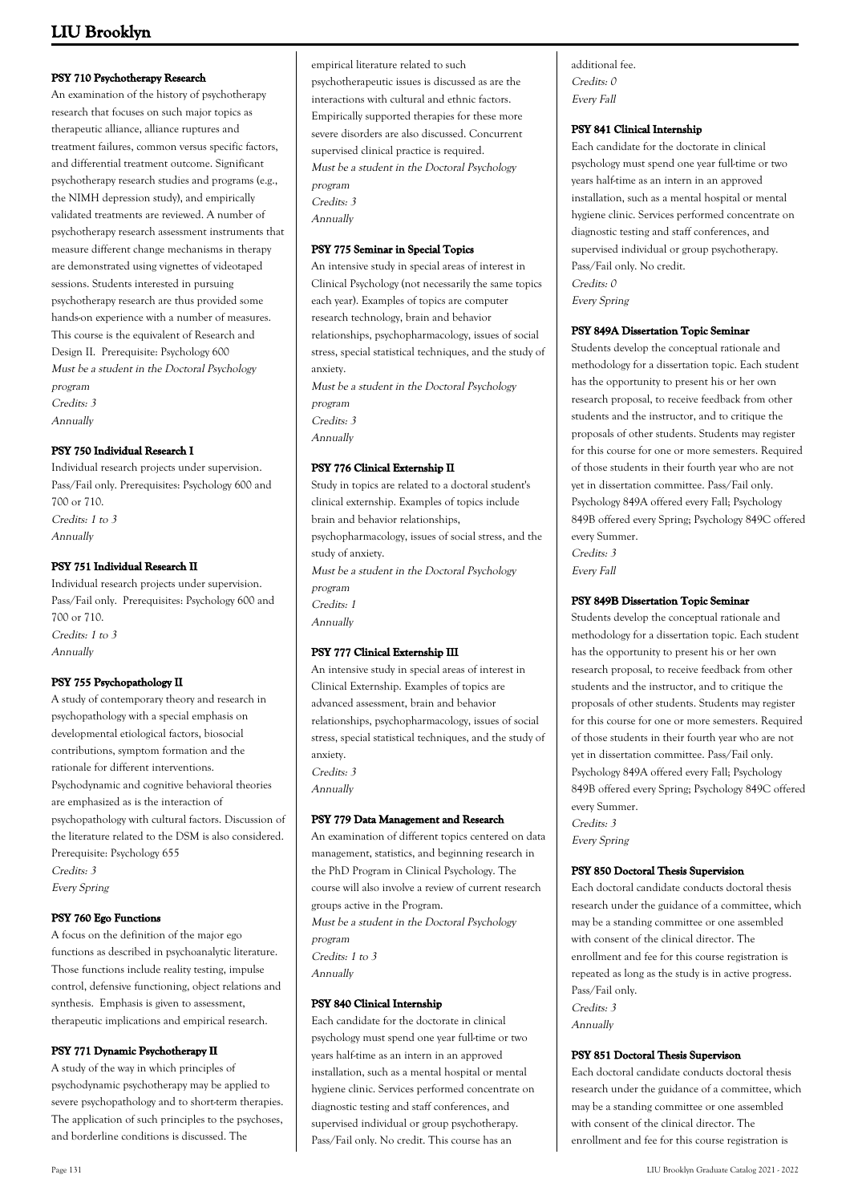### **PSY 710 Psychotherapy Research**

An examination of the history of psychotherapy research that focuses on such major topics as therapeutic alliance, alliance ruptures and treatment failures, common versus specific factors, and differential treatment outcome. Significant psychotherapy research studies and programs (e.g., the NIMH depression study), and empirically validated treatments are reviewed. A number of psychotherapy research assessment instruments that measure different change mechanisms in therapy are demonstrated using vignettes of videotaped sessions. Students interested in pursuing psychotherapy research are thus provided some hands-on experience with a number of measures. This course is the equivalent of Research and Design II. Prerequisite: Psychology 600 Must be a student in the Doctoral Psychology program Credits: 3 Annually

#### **PSY 750 Individual Research I**

Individual research projects under supervision. Pass/Fail only. Prerequisites: Psychology 600 and 700 or 710. Credits: 1 to 3 Annually

#### **PSY 751 Individual Research II**

Individual research projects under supervision. Pass/Fail only. Prerequisites: Psychology 600 and 700 or 710. Credits: 1 to 3 Annually

#### **PSY 755 Psychopathology II**

A study of contemporary theory and research in psychopathology with a special emphasis on developmental etiological factors, biosocial contributions, symptom formation and the rationale for different interventions. Psychodynamic and cognitive behavioral theories are emphasized as is the interaction of psychopathology with cultural factors. Discussion of the literature related to the DSM is also considered. Prerequisite: Psychology 655 Credits: 3 Every Spring

#### **PSY 760 Ego Functions**

A focus on the definition of the major ego functions as described in psychoanalytic literature. Those functions include reality testing, impulse control, defensive functioning, object relations and synthesis. Emphasis is given to assessment, therapeutic implications and empirical research.

#### **PSY 771 Dynamic Psychotherapy II**

A study of the way in which principles of psychodynamic psychotherapy may be applied to severe psychopathology and to short-term therapies. The application of such principles to the psychoses, and borderline conditions is discussed. The

empirical literature related to such psychotherapeutic issues is discussed as are the interactions with cultural and ethnic factors. Empirically supported therapies for these more severe disorders are also discussed. Concurrent supervised clinical practice is required. Must be a student in the Doctoral Psychology program

Credits: 3 Annually

**PSY 775 Seminar in Special Topics** An intensive study in special areas of interest in Clinical Psychology (not necessarily the same topics each year). Examples of topics are computer research technology, brain and behavior relationships, psychopharmacology, issues of social stress, special statistical techniques, and the study of anxiety. Must be a student in the Doctoral Psychology program

Credits: 3

Annually

#### **PSY 776 Clinical Externship II**

Study in topics are related to a doctoral student's clinical externship. Examples of topics include brain and behavior relationships, psychopharmacology, issues of social stress, and the study of anxiety. Must be a student in the Doctoral Psychology program Credits: 1 Annually

#### **PSY 777 Clinical Externship III**

An intensive study in special areas of interest in Clinical Externship. Examples of topics are advanced assessment, brain and behavior relationships, psychopharmacology, issues of social stress, special statistical techniques, and the study of anxiety. Credits: 3 Annually

#### **PSY 779 Data Management and Research**

An examination of different topics centered on data management, statistics, and beginning research in the PhD Program in Clinical Psychology. The course will also involve a review of current research groups active in the Program. Must be a student in the Doctoral Psychology program Credits: 1 to 3 Annually

#### **PSY 840 Clinical Internship**

Each candidate for the doctorate in clinical psychology must spend one year full-time or two years half-time as an intern in an approved installation, such as a mental hospital or mental hygiene clinic. Services performed concentrate on diagnostic testing and staff conferences, and supervised individual or group psychotherapy. Pass/Fail only. No credit. This course has an

additional fee. Credits: 0 Every Fall

#### **PSY 841 Clinical Internship**

Each candidate for the doctorate in clinical psychology must spend one year full-time or two years half-time as an intern in an approved installation, such as a mental hospital or mental hygiene clinic. Services performed concentrate on diagnostic testing and staff conferences, and supervised individual or group psychotherapy. Pass/Fail only. No credit. Credits: 0 Every Spring

#### **PSY 849A Dissertation Topic Seminar**

Students develop the conceptual rationale and methodology for a dissertation topic. Each student has the opportunity to present his or her own research proposal, to receive feedback from other students and the instructor, and to critique the proposals of other students. Students may register for this course for one or more semesters. Required of those students in their fourth year who are not yet in dissertation committee. Pass/Fail only. Psychology 849A offered every Fall; Psychology 849B offered every Spring; Psychology 849C offered every Summer. Credits: 3

Every Fall

#### **PSY 849B Dissertation Topic Seminar**

Students develop the conceptual rationale and methodology for a dissertation topic. Each student has the opportunity to present his or her own research proposal, to receive feedback from other students and the instructor, and to critique the proposals of other students. Students may register for this course for one or more semesters. Required of those students in their fourth year who are not yet in dissertation committee. Pass/Fail only. Psychology 849A offered every Fall; Psychology 849B offered every Spring; Psychology 849C offered every Summer. Credits: 3

Every Spring

#### **PSY 850 Doctoral Thesis Supervision**

Each doctoral candidate conducts doctoral thesis research under the guidance of a committee, which may be a standing committee or one assembled with consent of the clinical director. The enrollment and fee for this course registration is repeated as long as the study is in active progress. Pass/Fail only. Credits: 3

Annually

#### **PSY 851 Doctoral Thesis Supervison**

Each doctoral candidate conducts doctoral thesis research under the guidance of a committee, which may be a standing committee or one assembled with consent of the clinical director. The enrollment and fee for this course registration is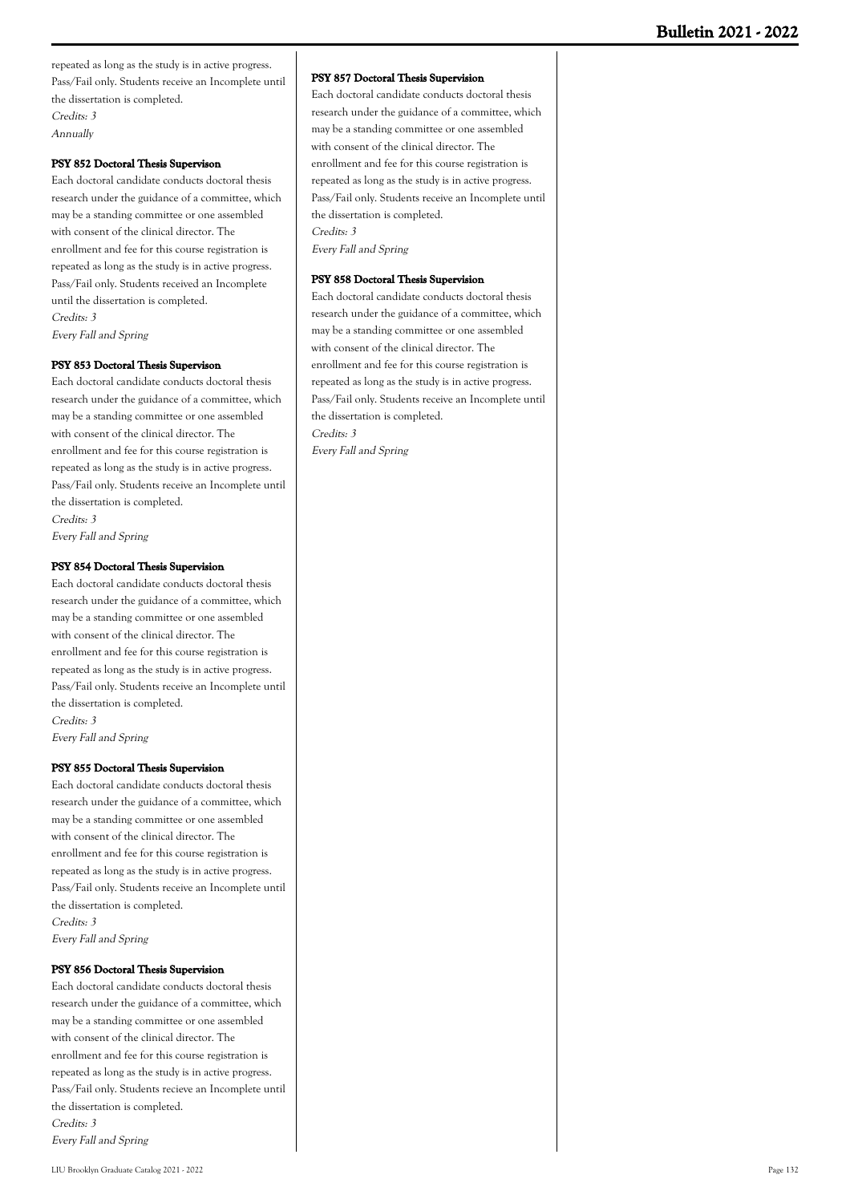repeated as long as the study is in active progress. Pass/Fail only. Students receive an Incomplete until the dissertation is completed. Credits: 3 Annually

#### **PSY 852 Doctoral Thesis Supervison**

Each doctoral candidate conducts doctoral thesis research under the guidance of a committee, which may be a standing committee or one assembled with consent of the clinical director. The enrollment and fee for this course registration is repeated as long as the study is in active progress. Pass/Fail only. Students received an Incomplete until the dissertation is completed. Credits: 3 Every Fall and Spring

#### **PSY 853 Doctoral Thesis Supervison**

Each doctoral candidate conducts doctoral thesis research under the guidance of a committee, which may be a standing committee or one assembled with consent of the clinical director. The enrollment and fee for this course registration is repeated as long as the study is in active progress. Pass/Fail only. Students receive an Incomplete until the dissertation is completed. Credits: 3 Every Fall and Spring

**PSY 854 Doctoral Thesis Supervision**

Each doctoral candidate conducts doctoral thesis research under the guidance of a committee, which may be a standing committee or one assembled with consent of the clinical director. The enrollment and fee for this course registration is repeated as long as the study is in active progress. Pass/Fail only. Students receive an Incomplete until the dissertation is completed. Credits: 3

Every Fall and Spring

#### **PSY 855 Doctoral Thesis Supervision**

Each doctoral candidate conducts doctoral thesis research under the guidance of a committee, which may be a standing committee or one assembled with consent of the clinical director. The enrollment and fee for this course registration is repeated as long as the study is in active progress. Pass/Fail only. Students receive an Incomplete until the dissertation is completed. Credits: 3 Every Fall and Spring

#### **PSY 856 Doctoral Thesis Supervision**

Each doctoral candidate conducts doctoral thesis research under the guidance of a committee, which may be a standing committee or one assembled with consent of the clinical director. The enrollment and fee for this course registration is repeated as long as the study is in active progress. Pass/Fail only. Students recieve an Incomplete until the dissertation is completed. Credits: 3 Every Fall and Spring

#### **PSY 857 Doctoral Thesis Supervision**

Each doctoral candidate conducts doctoral thesis research under the guidance of a committee, which may be a standing committee or one assembled with consent of the clinical director. The enrollment and fee for this course registration is repeated as long as the study is in active progress. Pass/Fail only. Students receive an Incomplete until the dissertation is completed. Credits: 3 Every Fall and Spring

#### **PSY 858 Doctoral Thesis Supervision**

Each doctoral candidate conducts doctoral thesis research under the guidance of a committee, which may be a standing committee or one assembled with consent of the clinical director. The enrollment and fee for this course registration is repeated as long as the study is in active progress. Pass/Fail only. Students receive an Incomplete until the dissertation is completed. Credits: 3 Every Fall and Spring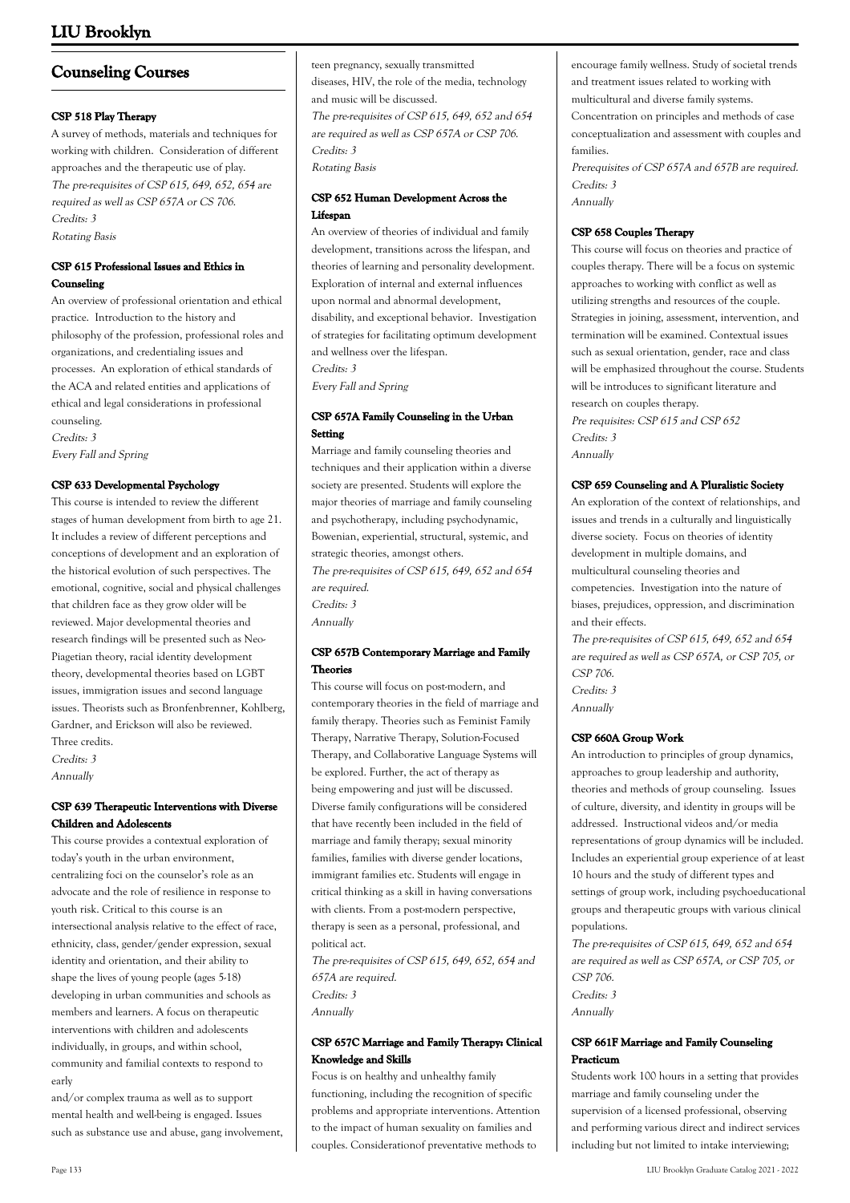# **Counseling Courses**

#### **CSP 518 Play Therapy**

A survey of methods, materials and techniques for working with children. Consideration of different approaches and the therapeutic use of play. The pre-requisites of CSP 615, 649, 652, 654 are required as well as CSP 657A or CS 706. Credits: 3 Rotating Basis

#### **CSP 615 Professional Issues and Ethics in Counseling**

An overview of professional orientation and ethical practice. Introduction to the history and philosophy of the profession, professional roles and organizations, and credentialing issues and processes. An exploration of ethical standards of the ACA and related entities and applications of ethical and legal considerations in professional counseling. Credits: 3

Every Fall and Spring

#### **CSP 633 Developmental Psychology**

This course is intended to review the different stages of human development from birth to age 21. It includes a review of different perceptions and conceptions of development and an exploration of the historical evolution of such perspectives. The emotional, cognitive, social and physical challenges that children face as they grow older will be reviewed. Major developmental theories and research findings will be presented such as Neo-Piagetian theory, racial identity development theory, developmental theories based on LGBT issues, immigration issues and second language issues. Theorists such as Bronfenbrenner, Kohlberg, Gardner, and Erickson will also be reviewed. Three credits.

Credits: 3

Annually

### **CSP 639 Therapeutic Interventions with Diverse Children and Adolescents**

This course provides a contextual exploration of today's youth in the urban environment, centralizing foci on the counselor's role as an advocate and the role of resilience in response to youth risk. Critical to this course is an intersectional analysis relative to the effect of race, ethnicity, class, gender/gender expression, sexual identity and orientation, and their ability to shape the lives of young people (ages 5-18) developing in urban communities and schools as members and learners. A focus on therapeutic interventions with children and adolescents individually, in groups, and within school, community and familial contexts to respond to early

and/or complex trauma as well as to support mental health and well-being is engaged. Issues such as substance use and abuse, gang involvement, teen pregnancy, sexually transmitted diseases, HIV, the role of the media, technology and music will be discussed. The pre-requisites of CSP 615, 649, 652 and 654 are required as well as CSP 657A or CSP 706. Credits: 3 Rotating Basis

#### **CSP 652 Human Development Across the Lifespan**

An overview of theories of individual and family development, transitions across the lifespan, and theories of learning and personality development. Exploration of internal and external influences upon normal and abnormal development, disability, and exceptional behavior. Investigation of strategies for facilitating optimum development and wellness over the lifespan.

Credits: 3

Every Fall and Spring

#### **CSP 657A Family Counseling in the Urban Setting**

Marriage and family counseling theories and techniques and their application within a diverse society are presented. Students will explore the major theories of marriage and family counseling and psychotherapy, including psychodynamic, Bowenian, experiential, structural, systemic, and strategic theories, amongst others. The pre-requisites of CSP 615, 649, 652 and 654 are required. Credits: 3 Annually

#### **CSP 657B Contemporary Marriage and Family Theories**

This course will focus on post-modern, and contemporary theories in the field of marriage and family therapy. Theories such as Feminist Family Therapy, Narrative Therapy, Solution-Focused Therapy, and Collaborative Language Systems will be explored. Further, the act of therapy as being empowering and just will be discussed. Diverse family configurations will be considered that have recently been included in the field of marriage and family therapy; sexual minority families, families with diverse gender locations, immigrant families etc. Students will engage in critical thinking as a skill in having conversations with clients. From a post-modern perspective, therapy is seen as a personal, professional, and political act.

The pre-requisites of CSP 615, 649, 652, 654 and 657A are required. Credits: 3 Annually

### **CSP 657C Marriage and Family Therapy: Clinical Knowledge and Skills**

Focus is on healthy and unhealthy family functioning, including the recognition of specific problems and appropriate interventions. Attention to the impact of human sexuality on families and couples. Considerationof preventative methods to

encourage family wellness. Study of societal trends and treatment issues related to working with multicultural and diverse family systems. Concentration on principles and methods of case conceptualization and assessment with couples and families.

Prerequisites of CSP 657A and 657B are required. Credits: 3 Annually

#### **CSP 658 Couples Therapy**

This course will focus on theories and practice of couples therapy. There will be a focus on systemic approaches to working with conflict as well as utilizing strengths and resources of the couple. Strategies in joining, assessment, intervention, and termination will be examined. Contextual issues such as sexual orientation, gender, race and class will be emphasized throughout the course. Students will be introduces to significant literature and research on couples therapy. Pre requisites: CSP 615 and CSP 652 Credits: 3 Annually

#### **CSP 659 Counseling and A Pluralistic Society**

An exploration of the context of relationships, and issues and trends in a culturally and linguistically diverse society. Focus on theories of identity development in multiple domains, and multicultural counseling theories and competencies. Investigation into the nature of biases, prejudices, oppression, and discrimination and their effects.

The pre-requisites of CSP 615, 649, 652 and 654 are required as well as CSP 657A, or CSP 705, or CSP 706. Credits: 3 Annually

#### **CSP 660A Group Work**

An introduction to principles of group dynamics, approaches to group leadership and authority, theories and methods of group counseling. Issues of culture, diversity, and identity in groups will be addressed. Instructional videos and/or media representations of group dynamics will be included. Includes an experiential group experience of at least 10 hours and the study of different types and settings of group work, including psychoeducational groups and therapeutic groups with various clinical populations.

The pre-requisites of CSP 615, 649, 652 and 654 are required as well as CSP 657A, or CSP 705, or  $CSP$  706 Credits: 3 Annually

#### **CSP 661F Marriage and Family Counseling Practicum**

Students work 100 hours in a setting that provides marriage and family counseling under the supervision of a licensed professional, observing and performing various direct and indirect services including but not limited to intake interviewing;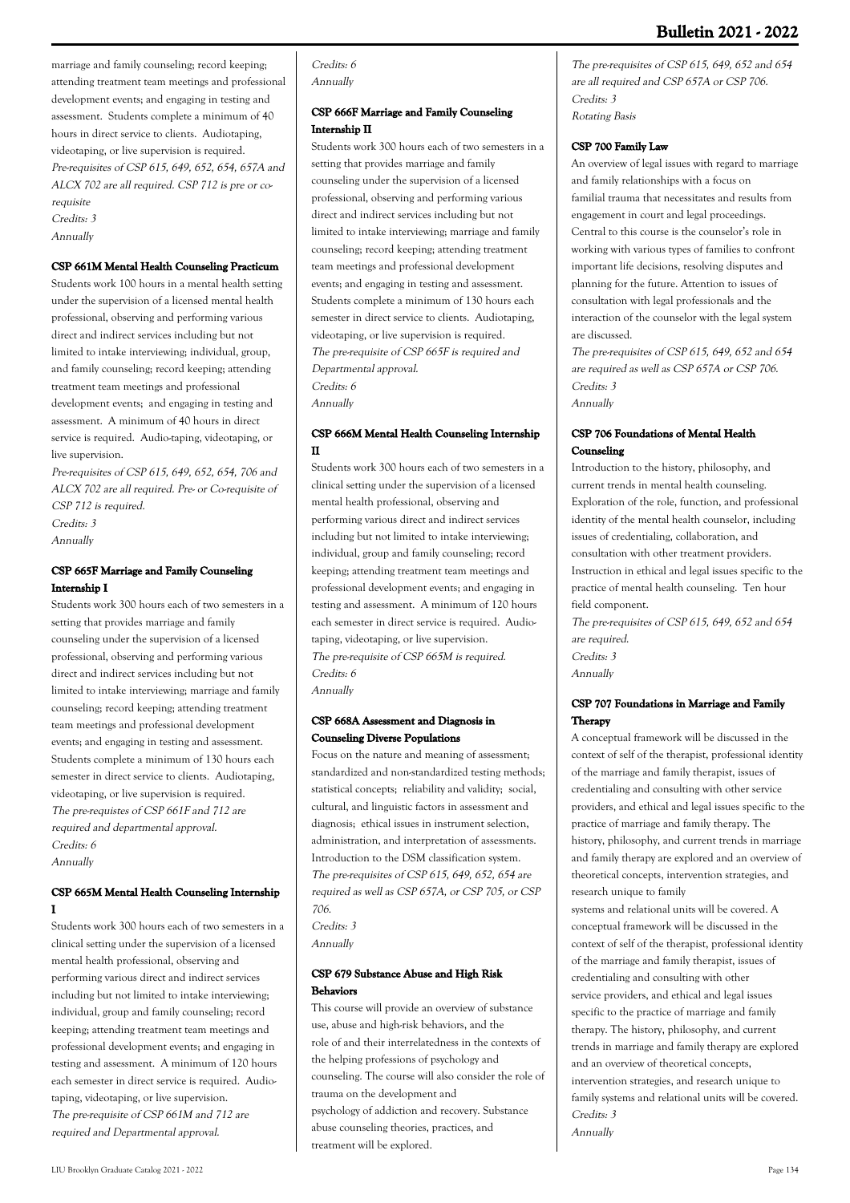### **Bulletin 2021 - 2022**

marriage and family counseling; record keeping; attending treatment team meetings and professional development events; and engaging in testing and assessment. Students complete a minimum of 40 hours in direct service to clients. Audiotaping, videotaping, or live supervision is required. Pre-requisites of CSP 615, 649, 652, 654, 657A and ALCX 702 are all required. CSP 712 is pre or corequisite Credits: 3

Annually

#### **CSP 661M Mental Health Counseling Practicum**

Students work 100 hours in a mental health setting under the supervision of a licensed mental health professional, observing and performing various direct and indirect services including but not limited to intake interviewing; individual, group, and family counseling; record keeping; attending treatment team meetings and professional development events; and engaging in testing and assessment. A minimum of 40 hours in direct service is required. Audio-taping, videotaping, or live supervision.

Pre-requisites of CSP 615, 649, 652, 654, 706 and ALCX 702 are all required. Pre- or Co-requisite of CSP 712 is required. Credits: 3 Annually

#### **CSP 665F Marriage and Family Counseling Internship I**

Students work 300 hours each of two semesters in a setting that provides marriage and family counseling under the supervision of a licensed professional, observing and performing various direct and indirect services including but not limited to intake interviewing; marriage and family counseling; record keeping; attending treatment team meetings and professional development events; and engaging in testing and assessment. Students complete a minimum of 130 hours each semester in direct service to clients. Audiotaping, videotaping, or live supervision is required. The pre-requistes of CSP 661F and 712 are required and departmental approval. Credits: 6 Annually

#### **CSP 665M Mental Health Counseling Internship I**

Students work 300 hours each of two semesters in a clinical setting under the supervision of a licensed mental health professional, observing and performing various direct and indirect services including but not limited to intake interviewing; individual, group and family counseling; record keeping; attending treatment team meetings and professional development events; and engaging in testing and assessment. A minimum of 120 hours each semester in direct service is required. Audiotaping, videotaping, or live supervision. The pre-requisite of CSP 661M and 712 are required and Departmental approval.

Credits: 6 Annually

#### **CSP 666F Marriage and Family Counseling Internship II**

Students work 300 hours each of two semesters in a setting that provides marriage and family counseling under the supervision of a licensed professional, observing and performing various direct and indirect services including but not limited to intake interviewing; marriage and family counseling; record keeping; attending treatment team meetings and professional development events; and engaging in testing and assessment. Students complete a minimum of 130 hours each semester in direct service to clients. Audiotaping, videotaping, or live supervision is required. The pre-requisite of CSP 665F is required and Departmental approval. Credits: 6

Annually

#### **CSP 666M Mental Health Counseling Internship II**

Students work 300 hours each of two semesters in a clinical setting under the supervision of a licensed mental health professional, observing and performing various direct and indirect services including but not limited to intake interviewing; individual, group and family counseling; record keeping; attending treatment team meetings and professional development events; and engaging in testing and assessment. A minimum of 120 hours each semester in direct service is required. Audiotaping, videotaping, or live supervision. The pre-requisite of CSP 665M is required. Credits: 6 Annually

#### **CSP 668A Assessment and Diagnosis in Counseling Diverse Populations**

Focus on the nature and meaning of assessment; standardized and non-standardized testing methods; statistical concepts; reliability and validity; social, cultural, and linguistic factors in assessment and diagnosis; ethical issues in instrument selection, administration, and interpretation of assessments. Introduction to the DSM classification system. The pre-requisites of CSP 615, 649, 652, 654 are required as well as CSP 657A, or CSP 705, or CSP 706.

Credits: 3 Annually

#### **CSP 679 Substance Abuse and High Risk Behaviors**

This course will provide an overview of substance use, abuse and high-risk behaviors, and the role of and their interrelatedness in the contexts of the helping professions of psychology and counseling. The course will also consider the role of trauma on the development and psychology of addiction and recovery. Substance abuse counseling theories, practices, and treatment will be explored.

The pre-requisites of CSP 615, 649, 652 and 654 are all required and CSP 657A or CSP 706. Credits: 3 Rotating Basis

#### **CSP 700 Family Law**

An overview of legal issues with regard to marriage and family relationships with a focus on familial trauma that necessitates and results from engagement in court and legal proceedings. Central to this course is the counselor's role in working with various types of families to confront important life decisions, resolving disputes and planning for the future. Attention to issues of consultation with legal professionals and the interaction of the counselor with the legal system are discussed.

The pre-requisites of CSP 615, 649, 652 and 654 are required as well as CSP 657A or CSP 706. Credits: 3 Annually

#### **CSP 706 Foundations of Mental Health Counseling**

Introduction to the history, philosophy, and current trends in mental health counseling. Exploration of the role, function, and professional identity of the mental health counselor, including issues of credentialing, collaboration, and consultation with other treatment providers. Instruction in ethical and legal issues specific to the practice of mental health counseling. Ten hour field component.

The pre-requisites of CSP 615, 649, 652 and 654 are required. Credits: 3 Annually

#### **CSP 707 Foundations in Marriage and Family Therapy**

A conceptual framework will be discussed in the context of self of the therapist, professional identity of the marriage and family therapist, issues of credentialing and consulting with other service providers, and ethical and legal issues specific to the practice of marriage and family therapy. The history, philosophy, and current trends in marriage and family therapy are explored and an overview of theoretical concepts, intervention strategies, and research unique to family

systems and relational units will be covered. A conceptual framework will be discussed in the context of self of the therapist, professional identity of the marriage and family therapist, issues of credentialing and consulting with other service providers, and ethical and legal issues specific to the practice of marriage and family therapy. The history, philosophy, and current trends in marriage and family therapy are explored and an overview of theoretical concepts, intervention strategies, and research unique to family systems and relational units will be covered. Credits: 3 Annually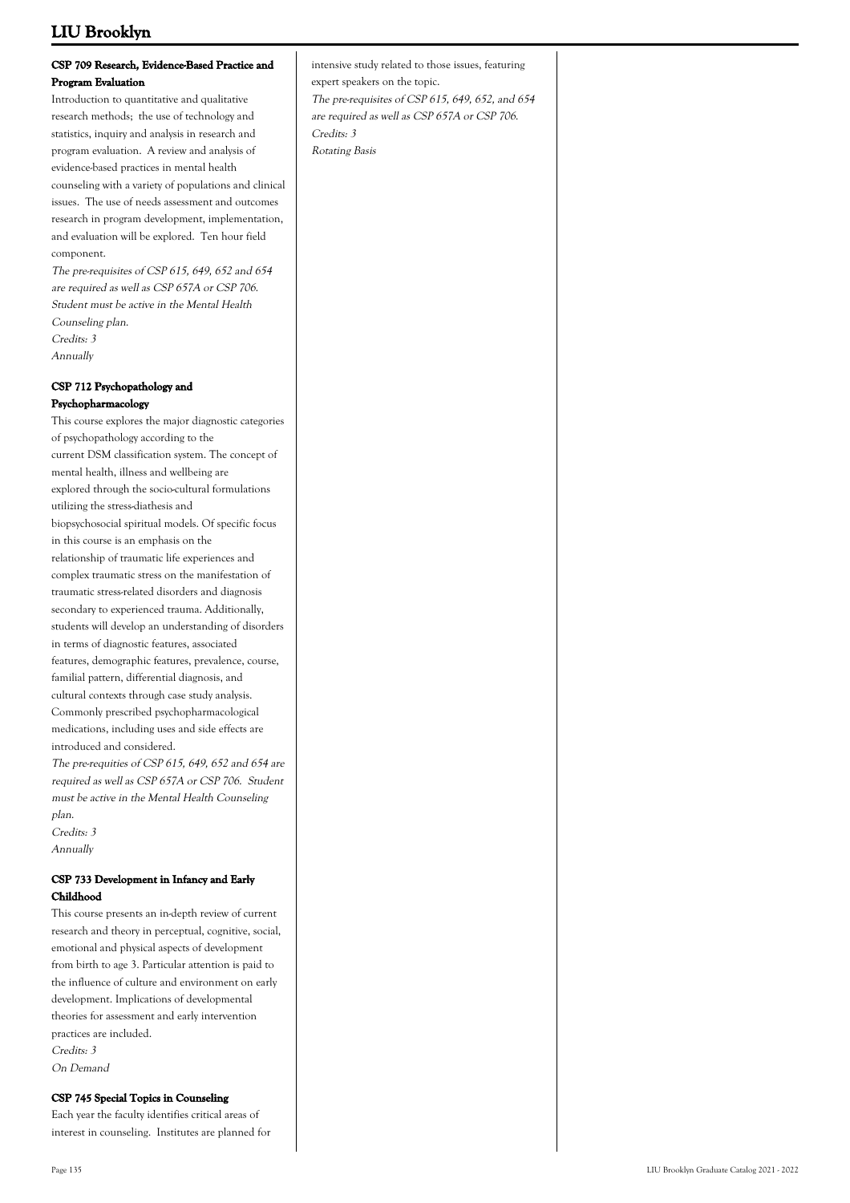#### **CSP 709 Research, Evidence-Based Practice and Program Evaluation**

Introduction to quantitative and qualitative research methods; the use of technology and statistics, inquiry and analysis in research and program evaluation. A review and analysis of evidence-based practices in mental health counseling with a variety of populations and clinical issues. The use of needs assessment and outcomes research in program development, implementation, and evaluation will be explored. Ten hour field component.

The pre-requisites of CSP 615, 649, 652 and 654 are required as well as CSP 657A or CSP 706. Student must be active in the Mental Health Counseling plan. Credits: 3 Annually

#### **CSP 712 Psychopathology and Psychopharmacology**

This course explores the major diagnostic categories of psychopathology according to the current DSM classification system. The concept of mental health, illness and wellbeing are explored through the socio-cultural formulations utilizing the stress-diathesis and biopsychosocial spiritual models. Of specific focus in this course is an emphasis on the relationship of traumatic life experiences and complex traumatic stress on the manifestation of traumatic stress-related disorders and diagnosis secondary to experienced trauma. Additionally, students will develop an understanding of disorders in terms of diagnostic features, associated features, demographic features, prevalence, course, familial pattern, differential diagnosis, and cultural contexts through case study analysis. Commonly prescribed psychopharmacological medications, including uses and side effects are introduced and considered.

The pre-requities of CSP 615, 649, 652 and 654 are required as well as CSP 657A or CSP 706. Student must be active in the Mental Health Counseling plan.

Credits: 3 Annually

### **CSP 733 Development in Infancy and Early Childhood**

This course presents an in-depth review of current research and theory in perceptual, cognitive, social, emotional and physical aspects of development from birth to age 3. Particular attention is paid to the influence of culture and environment on early development. Implications of developmental theories for assessment and early intervention practices are included. Credits: 3 On Demand

# **CSP 745 Special Topics in Counseling**

Each year the faculty identifies critical areas of interest in counseling. Institutes are planned for

intensive study related to those issues, featuring expert speakers on the topic. The pre-requisites of CSP 615, 649, 652, and 654 are required as well as CSP 657A or CSP 706.

Credits: 3 Rotating Basis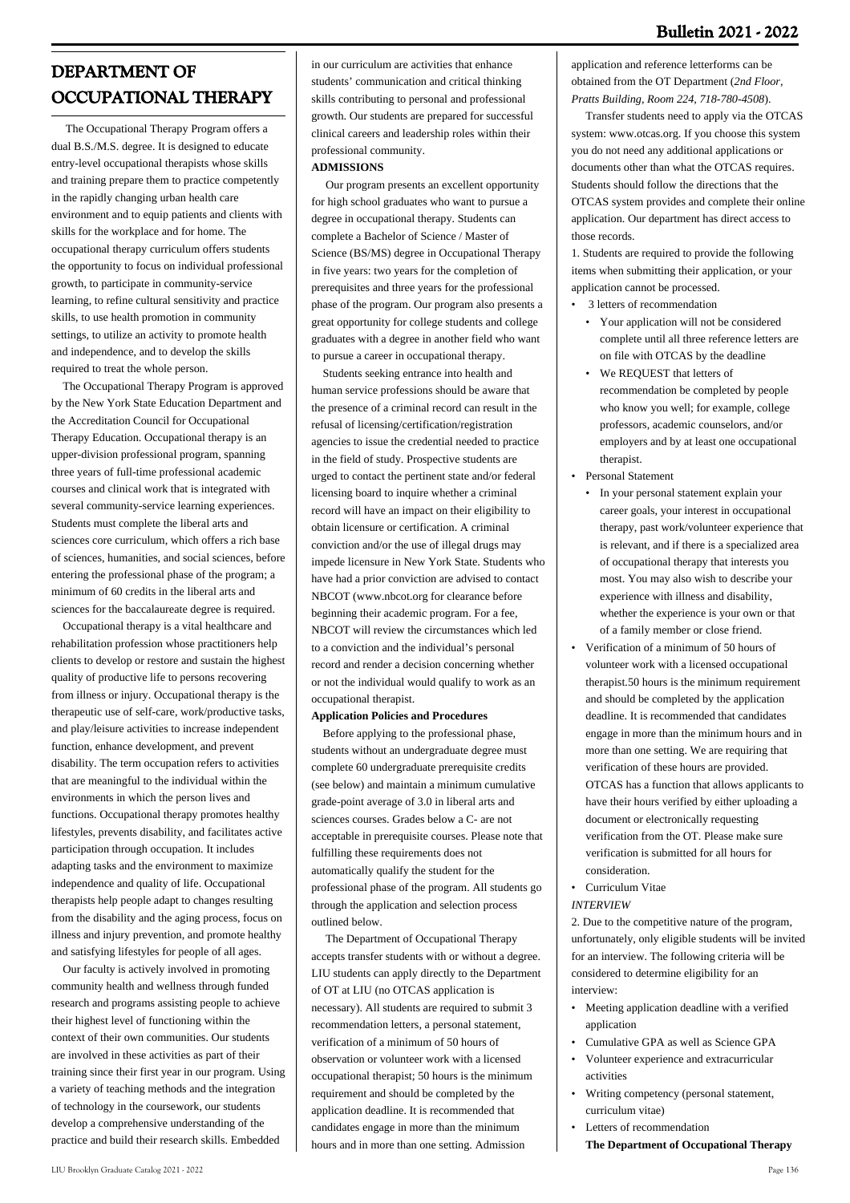# **DEPARTMENT OF OCCUPATIONAL THERAPY**

 The Occupational Therapy Program offers a dual B.S./M.S. degree. It is designed to educate entry-level occupational therapists whose skills and training prepare them to practice competently in the rapidly changing urban health care environment and to equip patients and clients with skills for the workplace and for home. The occupational therapy curriculum offers students the opportunity to focus on individual professional growth, to participate in community-service learning, to refine cultural sensitivity and practice skills, to use health promotion in community settings, to utilize an activity to promote health and independence, and to develop the skills required to treat the whole person.

 The Occupational Therapy Program is approved by the New York State Education Department and the Accreditation Council for Occupational Therapy Education. Occupational therapy is an upper-division professional program, spanning three years of full-time professional academic courses and clinical work that is integrated with several community-service learning experiences. Students must complete the liberal arts and sciences core curriculum, which offers a rich base of sciences, humanities, and social sciences, before entering the professional phase of the program; a minimum of 60 credits in the liberal arts and sciences for the baccalaureate degree is required.

 Occupational therapy is a vital healthcare and rehabilitation profession whose practitioners help clients to develop or restore and sustain the highest quality of productive life to persons recovering from illness or injury. Occupational therapy is the therapeutic use of self-care, work/productive tasks, and play/leisure activities to increase independent function, enhance development, and prevent disability. The term occupation refers to activities that are meaningful to the individual within the environments in which the person lives and functions. Occupational therapy promotes healthy lifestyles, prevents disability, and facilitates active participation through occupation. It includes adapting tasks and the environment to maximize independence and quality of life. Occupational therapists help people adapt to changes resulting from the disability and the aging process, focus on illness and injury prevention, and promote healthy and satisfying lifestyles for people of all ages.

 Our faculty is actively involved in promoting community health and wellness through funded research and programs assisting people to achieve their highest level of functioning within the context of their own communities. Our students are involved in these activities as part of their training since their first year in our program. Using a variety of teaching methods and the integration of technology in the coursework, our students develop a comprehensive understanding of the practice and build their research skills. Embedded

in our curriculum are activities that enhance students' communication and critical thinking skills contributing to personal and professional growth. Our students are prepared for successful clinical careers and leadership roles within their professional community.

#### **ADMISSIONS**

 Our program presents an excellent opportunity for high school graduates who want to pursue a degree in occupational therapy. Students can complete a Bachelor of Science / Master of Science (BS/MS) degree in Occupational Therapy in five years: two years for the completion of prerequisites and three years for the professional phase of the program. Our program also presents a great opportunity for college students and college graduates with a degree in another field who want to pursue a career in occupational therapy.

 Students seeking entrance into health and human service professions should be aware that the presence of a criminal record can result in the refusal of licensing/certification/registration agencies to issue the credential needed to practice in the field of study. Prospective students are urged to contact the pertinent state and/or federal licensing board to inquire whether a criminal record will have an impact on their eligibility to obtain licensure or certification. A criminal conviction and/or the use of illegal drugs may impede licensure in New York State. Students who have had a prior conviction are advised to contact NBCOT ([www.nbcot.org](http://www.liu.edu/Brooklyn/Academics/Schools/SHP/Dept/Occupational-Therapy/Programs/www.nbcot.org) for clearance before beginning their academic program. For a fee, NBCOT will review the circumstances which led to a conviction and the individual's personal record and render a decision concerning whether or not the individual would qualify to work as an occupational therapist.

#### **Application Policies and Procedures**

 Before applying to the professional phase, students without an undergraduate degree must complete 60 undergraduate prerequisite credits (see below) and maintain a minimum cumulative grade-point average of 3.0 in liberal arts and sciences courses. Grades below a C- are not acceptable in prerequisite courses. Please note that fulfilling these requirements does not automatically qualify the student for the professional phase of the program. All students go through the application and selection process outlined below.

 The Department of Occupational Therapy accepts transfer students with or without a degree. LIU students can apply directly to the Department of OT at LIU (no OTCAS application is necessary). All students are required to submit 3 recommendation letters, a personal statement, verification of a minimum of 50 hours of observation or volunteer work with a licensed occupational therapist; 50 hours is the minimum requirement and should be completed by the application deadline. It is recommended that candidates engage in more than the minimum hours and in more than one setting. Admission

application and reference letterforms can be obtained from the OT Department (*2nd Floor, Pratts Building, Room 224, 718-780-4508*).

 Transfer students need to apply via the OTCAS system: [www.otcas.org.](http://www.otcas.org) If you choose this system you do not need any additional applications or documents other than what the OTCAS requires. Students should follow the directions that the OTCAS system provides and complete their online application. Our department has direct access to those records.

1. Students are required to provide the following items when submitting their application, or your application cannot be processed.

- 3 letters of recommendation
- Your application will not be considered complete until all three reference letters are on file with OTCAS by the deadline
- We REQUEST that letters of recommendation be completed by people who know you well; for example, college professors, academic counselors, and/or employers and by at least one occupational therapist.
- Personal Statement
	- In your personal statement explain your career goals, your interest in occupational therapy, past work/volunteer experience that is relevant, and if there is a specialized area of occupational therapy that interests you most. You may also wish to describe your experience with illness and disability, whether the experience is your own or that of a family member or close friend.
- Verification of a minimum of 50 hours of volunteer work with a licensed occupational therapist.50 hours is the minimum requirement and should be completed by the application deadline. It is recommended that candidates engage in more than the minimum hours and in more than one setting. We are requiring that verification of these hours are provided. OTCAS has a function that allows applicants to have their hours verified by either uploading a document or electronically requesting verification from the OT. Please make sure verification is submitted for all hours for consideration.
- Curriculum Vitae

### *INTERVIEW*

2. Due to the competitive nature of the program, unfortunately, only eligible students will be invited for an interview. The following criteria will be considered to determine eligibility for an interview:

- Meeting application deadline with a verified application
- Cumulative GPA as well as Science GPA
- Volunteer experience and extracurricular activities •
- Writing competency (personal statement, curriculum vitae) •
- Letters of recommendation **The Department of Occupational Therapy**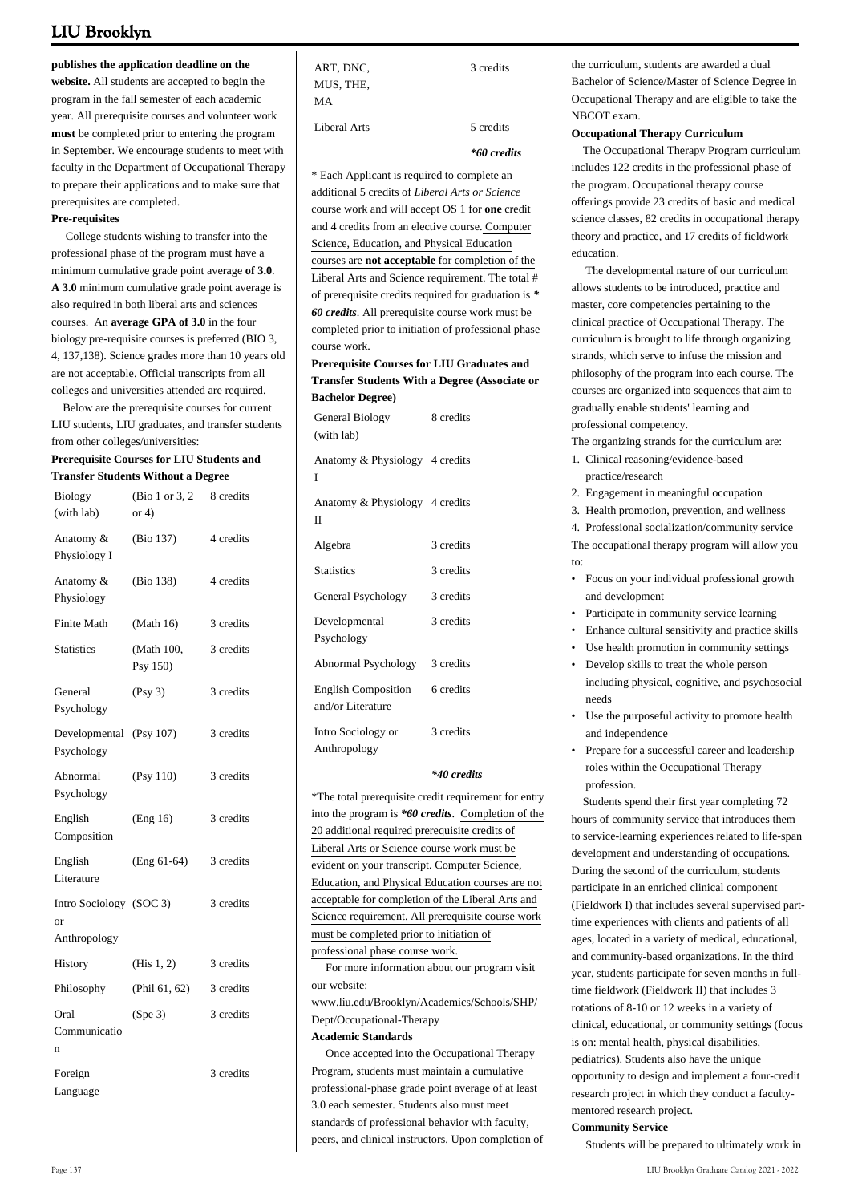**publishes the application deadline on the**

**website.** All students are accepted to begin the program in the fall semester of each academic year. All prerequisite courses and volunteer work **must** be completed prior to entering the program in September. We encourage students to meet with faculty in the Department of Occupational Therapy to prepare their applications and to make sure that prerequisites are completed.

#### **Pre-requisites**

 College students wishing to transfer into the professional phase of the program must have a minimum cumulative grade point average **of 3.0**. **A 3.0** minimum cumulative grade point average is also required in both liberal arts and sciences courses. An **average GPA of 3.0** in the four biology pre-requisite courses is preferred (BIO 3, 4, 137,138). Science grades more than 10 years old are not acceptable. Official transcripts from all colleges and universities attended are required.

 Below are the prerequisite courses for current LIU students, LIU graduates, and transfer students from other colleges/universities:

#### **Prerequisite Courses for LIU Students and Transfer Students Without a Degree**

| Biology<br>(with lab)                         | (Bio 1 or 3, 2)<br>or $4)$ | 8 credits |
|-----------------------------------------------|----------------------------|-----------|
| Anatomy &<br>Physiology I                     | (Bio 137)                  | 4 credits |
| Anatomy &<br>Physiology                       | (Bio 138)                  | 4 credits |
| Finite Math                                   | (Math 16)                  | 3 credits |
| <b>Statistics</b>                             | (Math 100,<br>Psy 150)     | 3 credits |
| General<br>Psychology                         | (Psy 3)                    | 3 credits |
| Developmental (Psy 107)<br>Psychology         |                            | 3 credits |
| Abnormal<br>Psychology                        | (Psy 110)                  | 3 credits |
| English<br>Composition                        | (Eng 16)                   | 3 credits |
| English<br>Literature                         | $(Eng 61-64)$              | 3 credits |
| Intro Sociology (SOC 3)<br>or<br>Anthropology |                            | 3 credits |
| History                                       | (His $1, 2$ )              | 3 credits |
| Philosophy                                    | (Phil 61, 62)              | 3 credits |
| Oral<br>Communicatio<br>n                     | (Spe 3)                    | 3 credits |
| Foreign<br>Language                           |                            | 3 credits |

| ART, DNC,    | 3 credits |
|--------------|-----------|
| MUS, THE,    |           |
| МA           |           |
| Liberal Arts | 5 credits |

*\*60 credits*

\* Each Applicant is required to complete an additional 5 credits of *Liberal Arts or Science* course work and will accept OS 1 for **one** credit and 4 credits from an elective course. Computer Science, Education, and Physical Education courses are **not acceptable** for completion of the Liberal Arts and Science requirement. The total # of prerequisite credits required for graduation is *\* 60 credits*. All prerequisite course work must be completed prior to initiation of professional phase course work.

#### **Prerequisite Courses for LIU Graduates and Transfer Students With a Degree (Associate or Bachelor Degree)**

| <b>General Biology</b><br>(with lab)            | 8 credits |
|-------------------------------------------------|-----------|
| Anatomy & Physiology 4 credits<br>T             |           |
| Anatomy & Physiology 4 credits<br>П             |           |
| Algebra                                         | 3 credits |
| <b>Statistics</b>                               | 3 credits |
| General Psychology                              | 3 credits |
| Developmental<br>Psychology                     | 3 credits |
| Abnormal Psychology                             | 3 credits |
| <b>English Composition</b><br>and/or Literature | 6 credits |
| Intro Sociology or<br>Anthropology              | 3 credits |

#### *\*40 credits*

\*The total prerequisite credit requirement for entry into the program is *\*60 credits*. Completion of the 20 additional required prerequisite credits of Liberal Arts or Science course work must be evident on your transcript. Computer Science, Education, and Physical Education courses are not acceptable for completion of the Liberal Arts and Science requirement. All prerequisite course work must be completed prior to initiation of professional phase course work.

 For more information about our program visit our website:

[www.liu.edu/Brooklyn/Academics/Schools/SHP/](http://www.liu.edu/Brooklyn/Academics/Schools/SHP/Dept/Occupational-Therapy.aspx) [Dept/Occupational-Therapy](http://www.liu.edu/Brooklyn/Academics/Schools/SHP/Dept/Occupational-Therapy.aspx)

#### **Academic Standards**

 Once accepted into the Occupational Therapy Program, students must maintain a cumulative professional-phase grade point average of at least 3.0 each semester. Students also must meet standards of professional behavior with faculty, peers, and clinical instructors. Upon completion of

the curriculum, students are awarded a dual Bachelor of Science/Master of Science Degree in Occupational Therapy and are eligible to take the NBCOT exam.

#### **Occupational Therapy Curriculum**

 The Occupational Therapy Program curriculum includes 122 credits in the professional phase of the program. Occupational therapy course offerings provide 23 credits of basic and medical science classes, 82 credits in occupational therapy theory and practice, and 17 credits of fieldwork education.

 The developmental nature of our curriculum allows students to be introduced, practice and master, core competencies pertaining to the clinical practice of Occupational Therapy. The curriculum is brought to life through organizing strands, which serve to infuse the mission and philosophy of the program into each course. The courses are organized into sequences that aim to gradually enable students' learning and professional competency.

The organizing strands for the curriculum are:

- Clinical reasoning/evidence-based 1. practice/research
- 2. Engagement in meaningful occupation
- 3. Health promotion, prevention, and wellness

4. Professional socialization/community service The occupational therapy program will allow you to:

- Focus on your individual professional growth and development
- Participate in community service learning
- Enhance cultural sensitivity and practice skills
- Use health promotion in community settings
- Develop skills to treat the whole person including physical, cognitive, and psychosocial needs •
- Use the purposeful activity to promote health and independence •
- Prepare for a successful career and leadership roles within the Occupational Therapy profession. •

 Students spend their first year completing 72 hours of community service that introduces them to service-learning experiences related to life-span development and understanding of occupations. During the second of the curriculum, students participate in an enriched clinical component (Fieldwork I) that includes several supervised parttime experiences with clients and patients of all ages, located in a variety of medical, educational, and community-based organizations. In the third year, students participate for seven months in fulltime fieldwork (Fieldwork II) that includes 3 rotations of 8-10 or 12 weeks in a variety of clinical, educational, or community settings (focus is on: mental health, physical disabilities, pediatrics). Students also have the unique opportunity to design and implement a four-credit research project in which they conduct a facultymentored research project.

#### **Community Service**

Students will be prepared to ultimately work in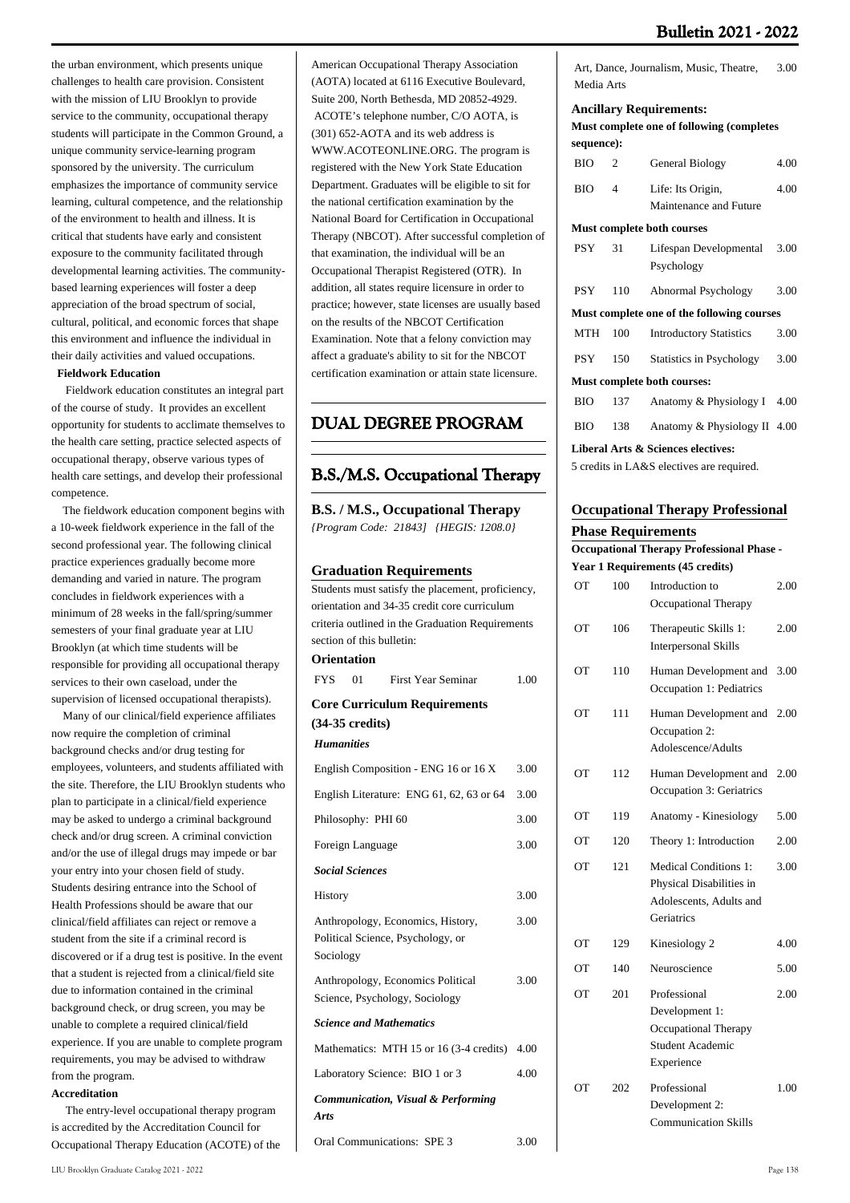3.00

4.00

the urban environment, which presents unique challenges to health care provision. Consistent with the mission of LIU Brooklyn to provide service to the community, occupational therapy students will participate in the Common Ground, a unique community service-learning program sponsored by the university. The curriculum emphasizes the importance of community service learning, cultural competence, and the relationship of the environment to health and illness. It is critical that students have early and consistent exposure to the community facilitated through developmental learning activities. The communitybased learning experiences will foster a deep appreciation of the broad spectrum of social, cultural, political, and economic forces that shape this environment and influence the individual in their daily activities and valued occupations.

# **Fieldwork Education**

 Fieldwork education constitutes an integral part of the course of study. It provides an excellent opportunity for students to acclimate themselves to the health care setting, practice selected aspects of occupational therapy, observe various types of health care settings, and develop their professional competence.

 The fieldwork education component begins with a 10-week fieldwork experience in the fall of the second professional year. The following clinical practice experiences gradually become more demanding and varied in nature. The program concludes in fieldwork experiences with a minimum of 28 weeks in the fall/spring/summer semesters of your final graduate year at LIU Brooklyn (at which time students will be responsible for providing all occupational therapy services to their own caseload, under the supervision of licensed occupational therapists).

 Many of our clinical/field experience affiliates now require the completion of criminal background checks and/or drug testing for employees, volunteers, and students affiliated with the site. Therefore, the LIU Brooklyn students who plan to participate in a clinical/field experience may be asked to undergo a criminal background check and/or drug screen. A criminal conviction and/or the use of illegal drugs may impede or bar your entry into your chosen field of study. Students desiring entrance into the School of Health Professions should be aware that our clinical/field affiliates can reject or remove a student from the site if a criminal record is discovered or if a drug test is positive. In the event that a student is rejected from a clinical/field site due to information contained in the criminal background check, or drug screen, you may be unable to complete a required clinical/field experience. If you are unable to complete program requirements, you may be advised to withdraw from the program.

#### **Accreditation**

 The entry-level occupational therapy program is accredited by the Accreditation Council for Occupational Therapy Education (ACOTE) of the

American Occupational Therapy Association (AOTA) located at 6116 Executive Boulevard, Suite 200, North Bethesda, MD 20852-4929. ACOTE's telephone number, C/O AOTA, is (301) 652-AOTA and its web address is WWW.ACOTEONLINE.ORG. The program is registered with the New York State Education Department. Graduates will be eligible to sit for the national certification examination by the National Board for Certification in Occupational Therapy (NBCOT). After successful completion of that examination, the individual will be an Occupational Therapist Registered (OTR). In addition, all states require licensure in order to practice; however, state licenses are usually based on the results of the NBCOT Certification Examination. Note that a felony conviction may affect a graduate's ability to sit for the NBCOT certification examination or attain state licensure.

# **DUAL DEGREE PROGRAM**

# **B.S./M.S. Occupational Therapy**

**B.S. / M.S., Occupational Therapy** *{Program Code: 21843] {HEGIS: 1208.0}*

#### **Graduation Requirements**

|                                              |                           | Students must satisfy the placement, proficiency,                      |      |  |
|----------------------------------------------|---------------------------|------------------------------------------------------------------------|------|--|
| orientation and 34-35 credit core curriculum |                           |                                                                        |      |  |
|                                              |                           | criteria outlined in the Graduation Requirements                       |      |  |
|                                              |                           | section of this bulletin:                                              |      |  |
|                                              | <b>Orientation</b>        |                                                                        |      |  |
| <b>FYS</b>                                   | $^{\Omega}$               | <b>First Year Seminar</b>                                              | 1.00 |  |
|                                              |                           | <b>Core Curriculum Requirements</b>                                    |      |  |
|                                              | $(34-35 \text{ credits})$ |                                                                        |      |  |
| <b>Humanities</b>                            |                           |                                                                        |      |  |
|                                              |                           | English Composition - ENG 16 or 16 X                                   | 3.00 |  |
|                                              |                           | English Literature: ENG 61, 62, 63 or 64                               | 3.00 |  |
|                                              | Philosophy: PHI 60        |                                                                        | 3.00 |  |
|                                              | Foreign Language          |                                                                        | 3.00 |  |
|                                              | <b>Social Sciences</b>    |                                                                        |      |  |
| History                                      |                           |                                                                        | 3.00 |  |
| Sociology                                    |                           | Anthropology, Economics, History,<br>Political Science, Psychology, or | 3.00 |  |
|                                              |                           | Anthropology, Economics Political<br>Science, Psychology, Sociology    | 3.00 |  |
|                                              |                           | <b>Science and Mathematics</b>                                         |      |  |
|                                              |                           | Mathematics: MTH 15 or 16 (3-4 credits)                                | 4.00 |  |
|                                              |                           | Laboratory Science: BIO 1 or 3                                         | 4.00 |  |
| Arts                                         |                           | Communication, Visual & Performing                                     |      |  |
|                                              |                           | Oral Communications: SPE 3                                             | 3.00 |  |

| BЮ | $\mathbf{4}$ | Life: Its Origin,      |
|----|--------------|------------------------|
|    |              | Maintenance and Future |

BIO 2 General Biology 4.00

**Must complete one of following (completes**

Art, Dance, Journalism, Music, Theatre,

#### **Must complete both courses**

**Ancillary Requirements:**

Media Arts

**sequence):**

| <b>PSY</b> | 31  | Lifespan Developmental<br>Psychology       | 3.00 |
|------------|-----|--------------------------------------------|------|
| <b>PSY</b> | 110 | Abnormal Psychology                        | 3.00 |
|            |     | Must complete one of the following courses |      |
| <b>MTH</b> | 100 | <b>Introductory Statistics</b>             | 3.00 |
| <b>PSY</b> | 150 | <b>Statistics in Psychology</b>            | 3.00 |
|            |     | Must complete both courses:                |      |
| <b>BIO</b> | 137 | Anatomy & Physiology I 4.00                |      |
| <b>BIO</b> | 138 | Anatomy & Physiology II 4.00               |      |
|            |     | Liberal Arts & Sciences electives:         |      |

5 credits in LA&S electives are required.

#### **Occupational Therapy Professional**

#### **Phase Requirements**

| <b>Occupational Therapy Professional Phase -</b> |     |                                                                                                   |      |
|--------------------------------------------------|-----|---------------------------------------------------------------------------------------------------|------|
|                                                  |     | Year 1 Requirements (45 credits)                                                                  |      |
| OТ                                               | 100 | Introduction to<br>Occupational Therapy                                                           | 2.00 |
| OТ                                               | 106 | Therapeutic Skills 1:<br><b>Interpersonal Skills</b>                                              | 2.00 |
| OТ                                               | 110 | Human Development and<br>Occupation 1: Pediatrics                                                 | 3.00 |
| OТ                                               | 111 | Human Development and<br>Occupation 2:<br>Adolescence/Adults                                      | 2.00 |
| ОT                                               | 112 | Human Development and<br>Occupation 3: Geriatrics                                                 | 2.00 |
| OТ                                               | 119 | Anatomy - Kinesiology                                                                             | 5.00 |
| OТ                                               | 120 | Theory 1: Introduction                                                                            | 2.00 |
| OТ                                               | 121 | <b>Medical Conditions 1:</b><br>Physical Disabilities in<br>Adolescents, Adults and<br>Geriatrics | 3.00 |
| OТ                                               | 129 | Kinesiology 2                                                                                     | 4.00 |
| OТ                                               | 140 | Neuroscience                                                                                      | 5.00 |
| OТ                                               | 201 | Professional<br>Development 1:<br>Occupational Therapy<br><b>Student Academic</b><br>Experience   | 2.00 |
| OТ                                               | 202 | Professional<br>Development 2:<br><b>Communication Skills</b>                                     | 1.00 |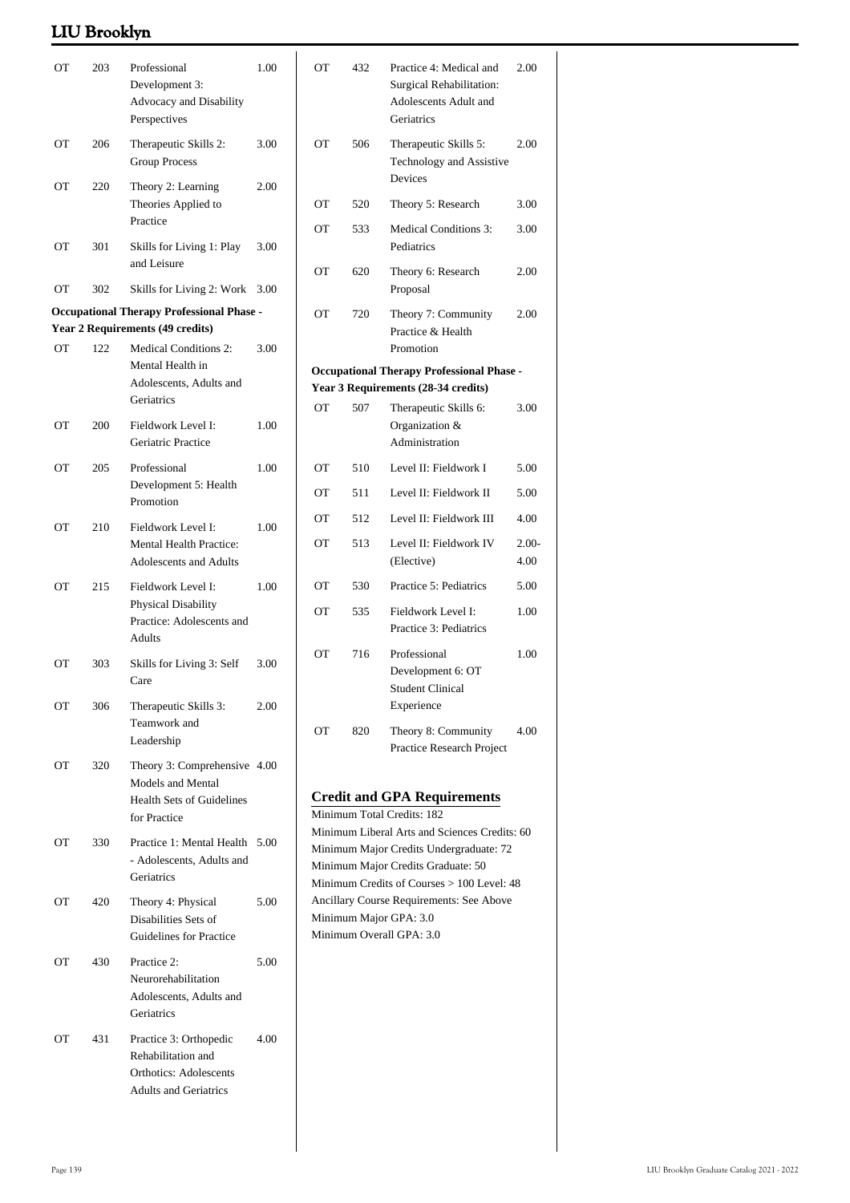| ОT                                               | 203 | Professional<br>Development 3:<br>Advocacy and Disability<br>Perspectives                                     | 1.00 | ОT                                                                                                                                             | 432                                                                                            | Practice 4: Medical and<br>Surgical Rehabilitation:<br>Adolescents Adult and<br>Geriatrics | 2.00             |  |
|--------------------------------------------------|-----|---------------------------------------------------------------------------------------------------------------|------|------------------------------------------------------------------------------------------------------------------------------------------------|------------------------------------------------------------------------------------------------|--------------------------------------------------------------------------------------------|------------------|--|
| ОT                                               | 206 | Therapeutic Skills 2:<br><b>Group Process</b>                                                                 | 3.00 | OT                                                                                                                                             | 506                                                                                            | Therapeutic Skills 5:<br>Technology and Assistive<br>Devices                               | 2.00             |  |
| ОT                                               | 220 | Theory 2: Learning<br>Theories Applied to                                                                     | 2.00 | OT                                                                                                                                             | 520                                                                                            | Theory 5: Research                                                                         | 3.00             |  |
|                                                  |     | Practice                                                                                                      |      | <b>OT</b>                                                                                                                                      | 533                                                                                            | <b>Medical Conditions 3:</b>                                                               | 3.00             |  |
| ОT                                               | 301 | Skills for Living 1: Play<br>and Leisure                                                                      | 3.00 | <b>OT</b>                                                                                                                                      | 620                                                                                            | Pediatrics<br>Theory 6: Research                                                           | 2.00             |  |
| OT                                               | 302 | Skills for Living 2: Work 3.00                                                                                |      |                                                                                                                                                |                                                                                                | Proposal                                                                                   |                  |  |
| <b>Occupational Therapy Professional Phase -</b> |     |                                                                                                               |      | <b>OT</b>                                                                                                                                      | 720                                                                                            | Theory 7: Community                                                                        | 2.00             |  |
| <b>OT</b>                                        | 122 | Year 2 Requirements (49 credits)<br><b>Medical Conditions 2:</b>                                              | 3.00 |                                                                                                                                                |                                                                                                | Practice & Health<br>Promotion                                                             |                  |  |
|                                                  |     | Mental Health in<br>Adolescents, Adults and                                                                   |      |                                                                                                                                                | <b>Occupational Therapy Professional Phase -</b><br>Year 3 Requirements (28-34 credits)        |                                                                                            |                  |  |
|                                                  |     | Geriatrics                                                                                                    |      | <b>OT</b>                                                                                                                                      | 507                                                                                            | Therapeutic Skills 6:                                                                      | 3.00             |  |
| ОT                                               | 200 | Fieldwork Level I:<br>Geriatric Practice                                                                      | 1.00 |                                                                                                                                                |                                                                                                | Organization &<br>Administration                                                           |                  |  |
| ОT                                               | 205 | Professional                                                                                                  | 1.00 | ОT                                                                                                                                             | 510                                                                                            | Level II: Fieldwork I                                                                      | 5.00             |  |
|                                                  |     | Development 5: Health<br>Promotion                                                                            |      | ОT                                                                                                                                             | 511                                                                                            | Level II: Fieldwork II                                                                     | 5.00             |  |
| ОT                                               | 210 | Fieldwork Level I:                                                                                            | 1.00 | OT                                                                                                                                             | 512                                                                                            | Level II: Fieldwork III                                                                    | 4.00             |  |
|                                                  |     | <b>Mental Health Practice:</b><br><b>Adolescents and Adults</b>                                               |      | <b>OT</b>                                                                                                                                      | 513                                                                                            | Level II: Fieldwork IV<br>(Elective)                                                       | $2.00 -$<br>4.00 |  |
| OT                                               | 215 | Fieldwork Level I:                                                                                            | 1.00 | ОT                                                                                                                                             | 530                                                                                            | Practice 5: Pediatrics                                                                     | 5.00             |  |
|                                                  |     | Physical Disability<br>Practice: Adolescents and<br>Adults                                                    |      | ОT                                                                                                                                             | 535                                                                                            | Fieldwork Level I:<br>Practice 3: Pediatrics                                               | 1.00             |  |
| <b>OT</b>                                        | 303 | Skills for Living 3: Self<br>Care                                                                             | 3.00 | ОT                                                                                                                                             | 716                                                                                            | Professional<br>Development 6: OT<br><b>Student Clinical</b>                               | 1.00             |  |
| ОT                                               | 306 | Therapeutic Skills 3:<br>Teamwork and<br>Leadership                                                           | 2.00 | OT                                                                                                                                             | 820                                                                                            | Experience<br>Theory 8: Community                                                          | 4.00             |  |
| ОT                                               | 320 | Theory 3: Comprehensive 4.00<br>Models and Mental<br><b>Health Sets of Guidelines</b><br>for Practice         |      | Practice Research Project<br><b>Credit and GPA Requirements</b><br>Minimum Total Credits: 182<br>Minimum Liberal Arts and Sciences Credits: 60 |                                                                                                |                                                                                            |                  |  |
| ОT                                               | 330 | Practice 1: Mental Health 5.00<br>- Adolescents, Adults and<br>Geriatrics                                     |      | Minimum Major Credits Undergraduate: 72<br>Minimum Major Credits Graduate: 50<br>Minimum Credits of Courses > 100 Level: 48                    |                                                                                                |                                                                                            |                  |  |
| ОT                                               | 420 | Theory 4: Physical<br>Disabilities Sets of<br>Guidelines for Practice                                         | 5.00 |                                                                                                                                                | Ancillary Course Requirements: See Above<br>Minimum Major GPA: 3.0<br>Minimum Overall GPA: 3.0 |                                                                                            |                  |  |
| ОT                                               | 430 | Practice 2:<br>Neurorehabilitation<br>Adolescents, Adults and<br>Geriatrics                                   | 5.00 |                                                                                                                                                |                                                                                                |                                                                                            |                  |  |
| ОT                                               | 431 | Practice 3: Orthopedic<br>Rehabilitation and<br><b>Orthotics: Adolescents</b><br><b>Adults and Geriatrics</b> | 4.00 |                                                                                                                                                |                                                                                                |                                                                                            |                  |  |

2.00- 4.00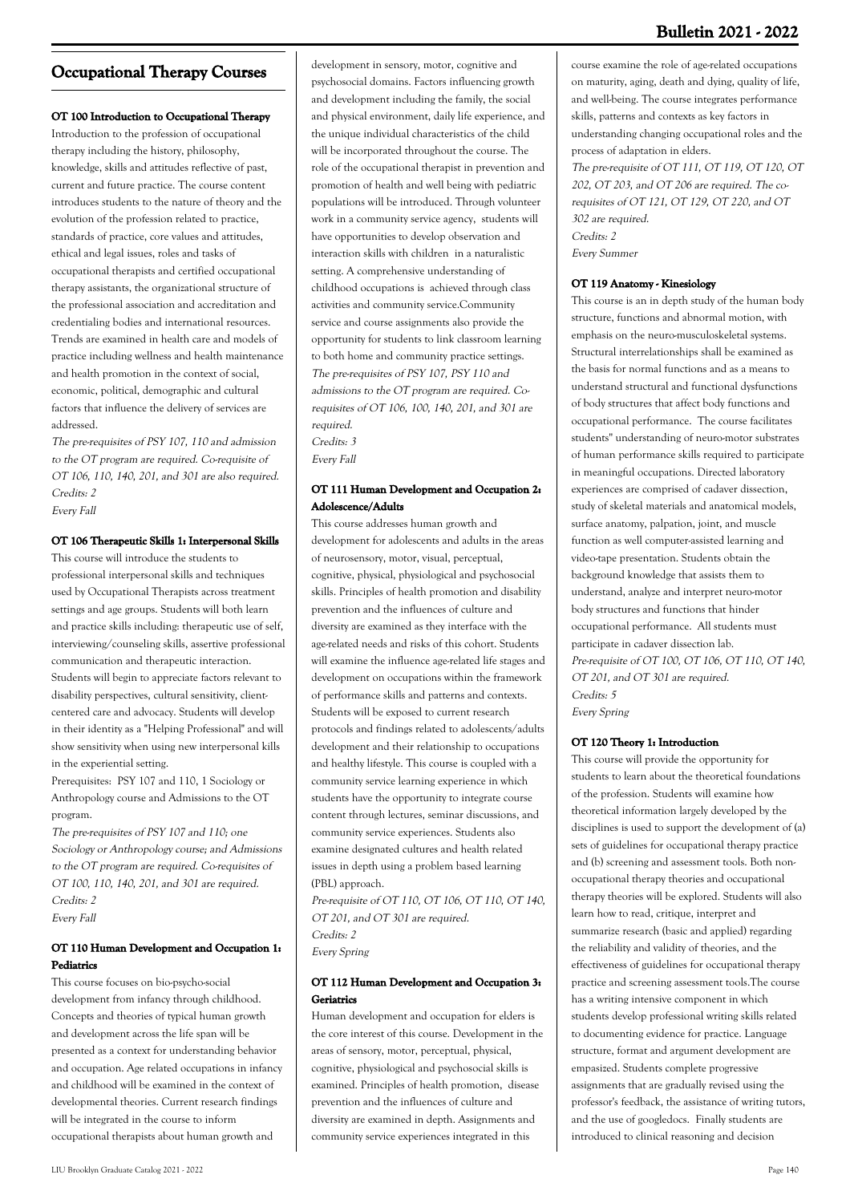# **Occupational Therapy Courses**

#### **OT 100 Introduction to Occupational Therapy**

Introduction to the profession of occupational therapy including the history, philosophy, knowledge, skills and attitudes reflective of past, current and future practice. The course content introduces students to the nature of theory and the evolution of the profession related to practice, standards of practice, core values and attitudes, ethical and legal issues, roles and tasks of occupational therapists and certified occupational therapy assistants, the organizational structure of the professional association and accreditation and credentialing bodies and international resources. Trends are examined in health care and models of practice including wellness and health maintenance and health promotion in the context of social, economic, political, demographic and cultural factors that influence the delivery of services are addressed.

The pre-requisites of PSY 107, 110 and admission to the OT program are required. Co-requisite of OT 106, 110, 140, 201, and 301 are also required. Credits: 2

Every Fall

#### **OT 106 Therapeutic Skills 1: Interpersonal Skills**

This course will introduce the students to professional interpersonal skills and techniques used by Occupational Therapists across treatment settings and age groups. Students will both learn and practice skills including: therapeutic use of self, interviewing/counseling skills, assertive professional communication and therapeutic interaction. Students will begin to appreciate factors relevant to disability perspectives, cultural sensitivity, clientcentered care and advocacy. Students will develop in their identity as a "Helping Professional" and will show sensitivity when using new interpersonal kills in the experiential setting.

Prerequisites: PSY 107 and 110, 1 Sociology or Anthropology course and Admissions to the OT program.

The pre-requisites of PSY 107 and 110; one Sociology or Anthropology course; and Admissions to the OT program are required. Co-requisites of OT 100, 110, 140, 201, and 301 are required. Credits: 2 Every Fall

#### **OT 110 Human Development and Occupation 1: Pediatrics**

This course focuses on bio-psycho-social development from infancy through childhood. Concepts and theories of typical human growth and development across the life span will be presented as a context for understanding behavior and occupation. Age related occupations in infancy and childhood will be examined in the context of developmental theories. Current research findings will be integrated in the course to inform occupational therapists about human growth and

development in sensory, motor, cognitive and psychosocial domains. Factors influencing growth and development including the family, the social and physical environment, daily life experience, and the unique individual characteristics of the child will be incorporated throughout the course. The role of the occupational therapist in prevention and promotion of health and well being with pediatric populations will be introduced. Through volunteer work in a community service agency, students will have opportunities to develop observation and interaction skills with children in a naturalistic setting. A comprehensive understanding of childhood occupations is achieved through class activities and community service.Community service and course assignments also provide the opportunity for students to link classroom learning to both home and community practice settings. The pre-requisites of PSY 107, PSY 110 and admissions to the OT program are required. Corequisites of OT 106, 100, 140, 201, and 301 are required. Credits: 3

Every Fall

#### **OT 111 Human Development and Occupation 2: Adolescence/Adults**

This course addresses human growth and development for adolescents and adults in the areas of neurosensory, motor, visual, perceptual, cognitive, physical, physiological and psychosocial skills. Principles of health promotion and disability prevention and the influences of culture and diversity are examined as they interface with the age-related needs and risks of this cohort. Students will examine the influence age-related life stages and development on occupations within the framework of performance skills and patterns and contexts. Students will be exposed to current research protocols and findings related to adolescents/adults development and their relationship to occupations and healthy lifestyle. This course is coupled with a community service learning experience in which students have the opportunity to integrate course content through lectures, seminar discussions, and community service experiences. Students also examine designated cultures and health related issues in depth using a problem based learning (PBL) approach.

Pre-requisite of OT 110, OT 106, OT 110, OT 140, OT 201, and OT 301 are required. Credits: 2 Every Spring

#### **OT 112 Human Development and Occupation 3: Geriatrics**

Human development and occupation for elders is the core interest of this course. Development in the areas of sensory, motor, perceptual, physical, cognitive, physiological and psychosocial skills is examined. Principles of health promotion, disease prevention and the influences of culture and diversity are examined in depth. Assignments and community service experiences integrated in this

course examine the role of age-related occupations on maturity, aging, death and dying, quality of life, and well-being. The course integrates performance skills, patterns and contexts as key factors in understanding changing occupational roles and the process of adaptation in elders. The pre-requisite of OT 111, OT 119, OT 120, OT 202, OT 203, and OT 206 are required. The corequisites of OT 121, OT 129, OT 220, and OT 302 are required. Credits: 2

Every Summer

#### **OT 119 Anatomy - Kinesiology**

This course is an in depth study of the human body structure, functions and abnormal motion, with emphasis on the neuro-musculoskeletal systems. Structural interrelationships shall be examined as the basis for normal functions and as a means to understand structural and functional dysfunctions of body structures that affect body functions and occupational performance. The course facilitates students'' understanding of neuro-motor substrates of human performance skills required to participate in meaningful occupations. Directed laboratory experiences are comprised of cadaver dissection, study of skeletal materials and anatomical models, surface anatomy, palpation, joint, and muscle function as well computer-assisted learning and video-tape presentation. Students obtain the background knowledge that assists them to understand, analyze and interpret neuro-motor body structures and functions that hinder occupational performance. All students must participate in cadaver dissection lab. Pre-requisite of OT 100, OT 106, OT 110, OT 140, OT 201, and OT 301 are required. Credits: 5 Every Spring

#### **OT 120 Theory 1: Introduction**

This course will provide the opportunity for students to learn about the theoretical foundations of the profession. Students will examine how theoretical information largely developed by the disciplines is used to support the development of (a) sets of guidelines for occupational therapy practice and (b) screening and assessment tools. Both nonoccupational therapy theories and occupational therapy theories will be explored. Students will also learn how to read, critique, interpret and summarize research (basic and applied) regarding the reliability and validity of theories, and the effectiveness of guidelines for occupational therapy practice and screening assessment tools.The course has a writing intensive component in which students develop professional writing skills related to documenting evidence for practice. Language structure, format and argument development are empasized. Students complete progressive assignments that are gradually revised using the professor's feedback, the assistance of writing tutors, and the use of googledocs. Finally students are introduced to clinical reasoning and decision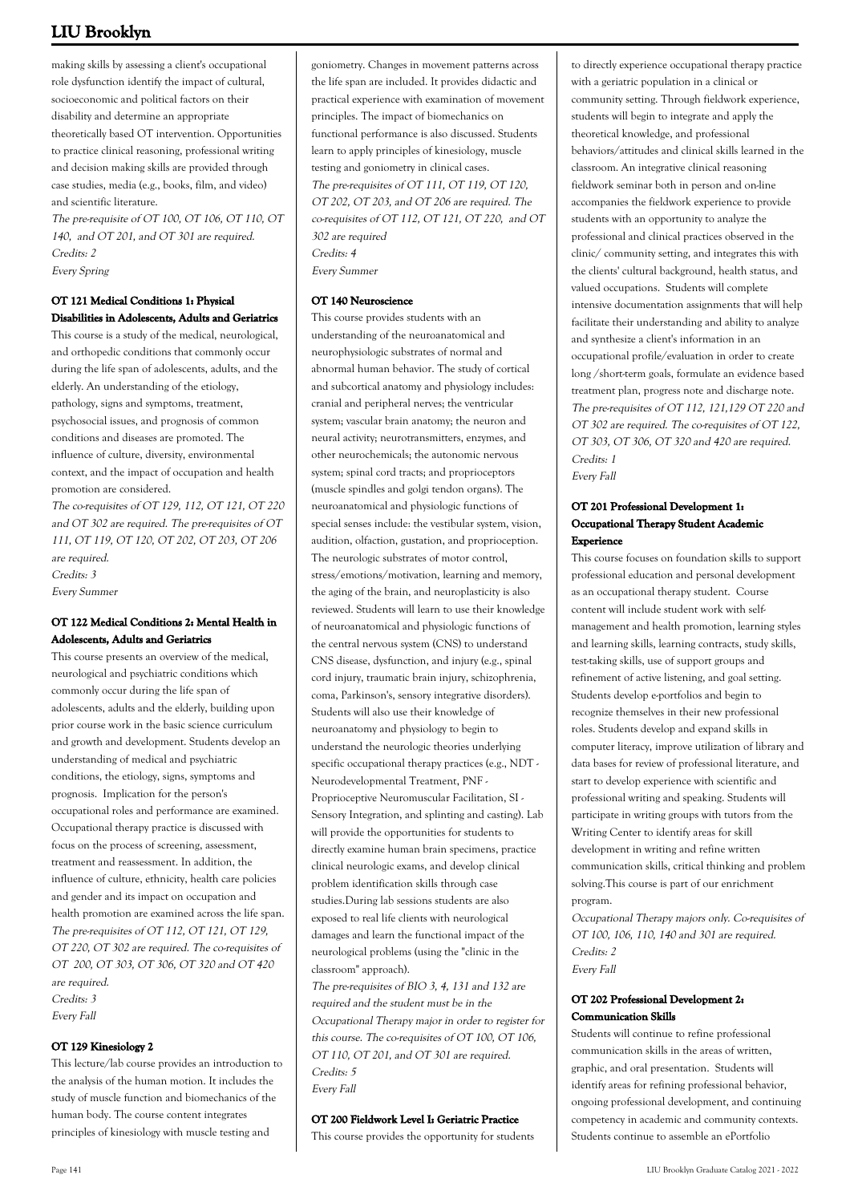making skills by assessing a client's occupational role dysfunction identify the impact of cultural, socioeconomic and political factors on their disability and determine an appropriate theoretically based OT intervention. Opportunities to practice clinical reasoning, professional writing and decision making skills are provided through case studies, media (e.g., books, film, and video) and scientific literature.

The pre-requisite of OT 100, OT 106, OT 110, OT 140, and OT 201, and OT 301 are required. Credits: 2 Every Spring

#### **OT 121 Medical Conditions 1: Physical Disabilities in Adolescents, Adults and Geriatrics**

This course is a study of the medical, neurological, and orthopedic conditions that commonly occur during the life span of adolescents, adults, and the elderly. An understanding of the etiology, pathology, signs and symptoms, treatment, psychosocial issues, and prognosis of common conditions and diseases are promoted. The influence of culture, diversity, environmental context, and the impact of occupation and health promotion are considered.

The co-requisites of OT 129, 112, OT 121, OT 220 and OT 302 are required. The pre-requisites of OT 111, OT 119, OT 120, OT 202, OT 203, OT 206 are required. Credits: 3 Every Summer

### **OT 122 Medical Conditions 2: Mental Health in Adolescents, Adults and Geriatrics**

This course presents an overview of the medical, neurological and psychiatric conditions which commonly occur during the life span of adolescents, adults and the elderly, building upon prior course work in the basic science curriculum and growth and development. Students develop an understanding of medical and psychiatric conditions, the etiology, signs, symptoms and prognosis. Implication for the person's occupational roles and performance are examined. Occupational therapy practice is discussed with focus on the process of screening, assessment, treatment and reassessment. In addition, the influence of culture, ethnicity, health care policies and gender and its impact on occupation and health promotion are examined across the life span. The pre-requisites of OT 112, OT 121, OT 129, OT 220, OT 302 are required. The co-requisites of OT 200, OT 303, OT 306, OT 320 and OT 420 are required. Credits: 3 Every Fall

#### **OT 129 Kinesiology 2**

This lecture/lab course provides an introduction to the analysis of the human motion. It includes the study of muscle function and biomechanics of the human body. The course content integrates principles of kinesiology with muscle testing and

goniometry. Changes in movement patterns across the life span are included. It provides didactic and practical experience with examination of movement principles. The impact of biomechanics on functional performance is also discussed. Students learn to apply principles of kinesiology, muscle testing and goniometry in clinical cases. The pre-requisites of OT 111, OT 119, OT 120, OT 202, OT 203, and OT 206 are required. The co-requisites of OT 112, OT 121, OT 220, and OT 302 are required Credits: 4 Every Summer

#### **OT 140 Neuroscience**

This course provides students with an understanding of the neuroanatomical and neurophysiologic substrates of normal and abnormal human behavior. The study of cortical and subcortical anatomy and physiology includes: cranial and peripheral nerves; the ventricular system; vascular brain anatomy; the neuron and neural activity; neurotransmitters, enzymes, and other neurochemicals; the autonomic nervous system; spinal cord tracts; and proprioceptors (muscle spindles and golgi tendon organs). The neuroanatomical and physiologic functions of special senses include: the vestibular system, vision, audition, olfaction, gustation, and proprioception. The neurologic substrates of motor control, stress/emotions/motivation, learning and memory, the aging of the brain, and neuroplasticity is also reviewed. Students will learn to use their knowledge of neuroanatomical and physiologic functions of the central nervous system (CNS) to understand CNS disease, dysfunction, and injury (e.g., spinal cord injury, traumatic brain injury, schizophrenia, coma, Parkinson's, sensory integrative disorders). Students will also use their knowledge of neuroanatomy and physiology to begin to understand the neurologic theories underlying specific occupational therapy practices (e.g., NDT - Neurodevelopmental Treatment, PNF - Proprioceptive Neuromuscular Facilitation, SI - Sensory Integration, and splinting and casting). Lab will provide the opportunities for students to directly examine human brain specimens, practice clinical neurologic exams, and develop clinical problem identification skills through case studies.During lab sessions students are also exposed to real life clients with neurological damages and learn the functional impact of the neurological problems (using the "clinic in the classroom" approach).

The pre-requisites of BIO 3, 4, 131 and 132 are required and the student must be in the Occupational Therapy major in order to register for this course. The co-requisites of OT 100, OT 106, OT 110, OT 201, and OT 301 are required. Credits: 5 Every Fall

#### **OT 200 Fieldwork Level I: Geriatric Practice**

This course provides the opportunity for students

to directly experience occupational therapy practice with a geriatric population in a clinical or community setting. Through fieldwork experience, students will begin to integrate and apply the theoretical knowledge, and professional behaviors/attitudes and clinical skills learned in the classroom. An integrative clinical reasoning fieldwork seminar both in person and on-line accompanies the fieldwork experience to provide students with an opportunity to analyze the professional and clinical practices observed in the clinic/ community setting, and integrates this with the clients' cultural background, health status, and valued occupations. Students will complete intensive documentation assignments that will help facilitate their understanding and ability to analyze and synthesize a client's information in an occupational profile/evaluation in order to create long /short-term goals, formulate an evidence based treatment plan, progress note and discharge note. The pre-requisites of OT 112, 121,129 OT 220 and OT 302 are required. The co-requisites of OT 122, OT 303, OT 306, OT 320 and 420 are required. Credits: 1 Every Fall

#### **OT 201 Professional Development 1: Occupational Therapy Student Academic Experience**

This course focuses on foundation skills to support professional education and personal development as an occupational therapy student. Course content will include student work with selfmanagement and health promotion, learning styles and learning skills, learning contracts, study skills, test-taking skills, use of support groups and refinement of active listening, and goal setting. Students develop e-portfolios and begin to recognize themselves in their new professional roles. Students develop and expand skills in computer literacy, improve utilization of library and data bases for review of professional literature, and start to develop experience with scientific and professional writing and speaking. Students will participate in writing groups with tutors from the Writing Center to identify areas for skill development in writing and refine written communication skills, critical thinking and problem solving.This course is part of our enrichment program.

Occupational Therapy majors only. Co-requisites of OT 100, 106, 110, 140 and 301 are required. Credits: 2 Every Fall

#### **OT 202 Professional Development 2: Communication Skills**

Students will continue to refine professional communication skills in the areas of written, graphic, and oral presentation. Students will identify areas for refining professional behavior, ongoing professional development, and continuing competency in academic and community contexts. Students continue to assemble an ePortfolio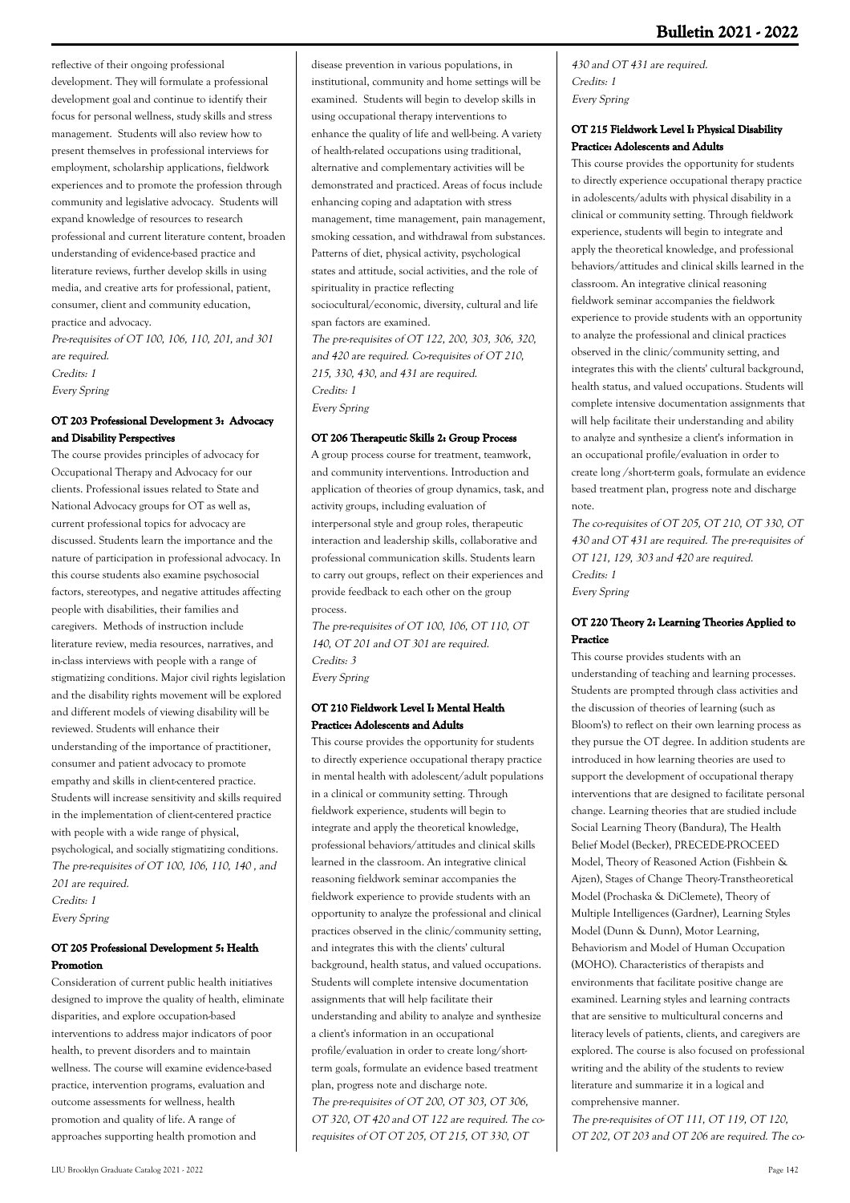reflective of their ongoing professional development. They will formulate a professional development goal and continue to identify their focus for personal wellness, study skills and stress management. Students will also review how to present themselves in professional interviews for employment, scholarship applications, fieldwork experiences and to promote the profession through community and legislative advocacy. Students will expand knowledge of resources to research professional and current literature content, broaden understanding of evidence-based practice and literature reviews, further develop skills in using media, and creative arts for professional, patient, consumer, client and community education, practice and advocacy.

Pre-requisites of OT 100, 106, 110, 201, and 301 are required. Credits: 1 Every Spring

### **OT 203 Professional Development 3: Advocacy and Disability Perspectives**

The course provides principles of advocacy for Occupational Therapy and Advocacy for our clients. Professional issues related to State and National Advocacy groups for OT as well as, current professional topics for advocacy are discussed. Students learn the importance and the nature of participation in professional advocacy. In this course students also examine psychosocial factors, stereotypes, and negative attitudes affecting people with disabilities, their families and caregivers. Methods of instruction include literature review, media resources, narratives, and in-class interviews with people with a range of stigmatizing conditions. Major civil rights legislation and the disability rights movement will be explored and different models of viewing disability will be reviewed. Students will enhance their understanding of the importance of practitioner, consumer and patient advocacy to promote empathy and skills in client-centered practice. Students will increase sensitivity and skills required in the implementation of client-centered practice with people with a wide range of physical, psychological, and socially stigmatizing conditions. The pre-requisites of OT 100, 106, 110, 140 , and 201 are required. Credits: 1 Every Spring

### **OT 205 Professional Development 5: Health Promotion**

Consideration of current public health initiatives designed to improve the quality of health, eliminate disparities, and explore occupation-based interventions to address major indicators of poor health, to prevent disorders and to maintain wellness. The course will examine evidence-based practice, intervention programs, evaluation and outcome assessments for wellness, health promotion and quality of life. A range of approaches supporting health promotion and

disease prevention in various populations, in institutional, community and home settings will be examined. Students will begin to develop skills in using occupational therapy interventions to enhance the quality of life and well-being. A variety of health-related occupations using traditional, alternative and complementary activities will be demonstrated and practiced. Areas of focus include enhancing coping and adaptation with stress management, time management, pain management, smoking cessation, and withdrawal from substances. Patterns of diet, physical activity, psychological states and attitude, social activities, and the role of spirituality in practice reflecting sociocultural/economic, diversity, cultural and life span factors are examined.

The pre-requisites of OT 122, 200, 303, 306, 320, and 420 are required. Co-requisites of OT 210, 215, 330, 430, and 431 are required. Credits: 1 Every Spring

#### **OT 206 Therapeutic Skills 2: Group Process**

A group process course for treatment, teamwork, and community interventions. Introduction and application of theories of group dynamics, task, and activity groups, including evaluation of interpersonal style and group roles, therapeutic interaction and leadership skills, collaborative and professional communication skills. Students learn to carry out groups, reflect on their experiences and provide feedback to each other on the group process.

The pre-requisites of OT 100, 106, OT 110, OT 140, OT 201 and OT 301 are required. Credits: 3 Every Spring

#### **OT 210 Fieldwork Level I: Mental Health Practice: Adolescents and Adults**

This course provides the opportunity for students to directly experience occupational therapy practice in mental health with adolescent/adult populations in a clinical or community setting. Through fieldwork experience, students will begin to integrate and apply the theoretical knowledge, professional behaviors/attitudes and clinical skills learned in the classroom. An integrative clinical reasoning fieldwork seminar accompanies the fieldwork experience to provide students with an opportunity to analyze the professional and clinical practices observed in the clinic/community setting, and integrates this with the clients' cultural background, health status, and valued occupations. Students will complete intensive documentation assignments that will help facilitate their understanding and ability to analyze and synthesize a client's information in an occupational profile/evaluation in order to create long/shortterm goals, formulate an evidence based treatment plan, progress note and discharge note. The pre-requisites of OT 200, OT 303, OT 306, OT 320, OT 420 and OT 122 are required. The corequisites of OT OT 205, OT 215, OT 330, OT

430 and OT 431 are required. Credits: 1 Every Spring

#### **OT 215 Fieldwork Level I: Physical Disability Practice: Adolescents and Adults**

This course provides the opportunity for students to directly experience occupational therapy practice in adolescents/adults with physical disability in a clinical or community setting. Through fieldwork experience, students will begin to integrate and apply the theoretical knowledge, and professional behaviors/attitudes and clinical skills learned in the classroom. An integrative clinical reasoning fieldwork seminar accompanies the fieldwork experience to provide students with an opportunity to analyze the professional and clinical practices observed in the clinic/community setting, and integrates this with the clients' cultural background, health status, and valued occupations. Students will complete intensive documentation assignments that will help facilitate their understanding and ability to analyze and synthesize a client's information in an occupational profile/evaluation in order to create long /short-term goals, formulate an evidence based treatment plan, progress note and discharge note.

The co-requisites of OT 205, OT 210, OT 330, OT 430 and OT 431 are required. The pre-requisites of OT 121, 129, 303 and 420 are required. Credits: 1 Every Spring

#### **OT 220 Theory 2: Learning Theories Applied to Practice**

This course provides students with an understanding of teaching and learning processes. Students are prompted through class activities and the discussion of theories of learning (such as Bloom's) to reflect on their own learning process as they pursue the OT degree. In addition students are introduced in how learning theories are used to support the development of occupational therapy interventions that are designed to facilitate personal change. Learning theories that are studied include Social Learning Theory (Bandura), The Health Belief Model (Becker), PRECEDE-PROCEED Model, Theory of Reasoned Action (Fishbein & Ajzen), Stages of Change Theory-Transtheoretical Model (Prochaska & DiClemete), Theory of Multiple Intelligences (Gardner), Learning Styles Model (Dunn & Dunn), Motor Learning, Behaviorism and Model of Human Occupation (MOHO). Characteristics of therapists and environments that facilitate positive change are examined. Learning styles and learning contracts that are sensitive to multicultural concerns and literacy levels of patients, clients, and caregivers are explored. The course is also focused on professional writing and the ability of the students to review literature and summarize it in a logical and comprehensive manner.

The pre-requisites of OT 111, OT 119, OT 120, OT 202, OT 203 and OT 206 are required. The co-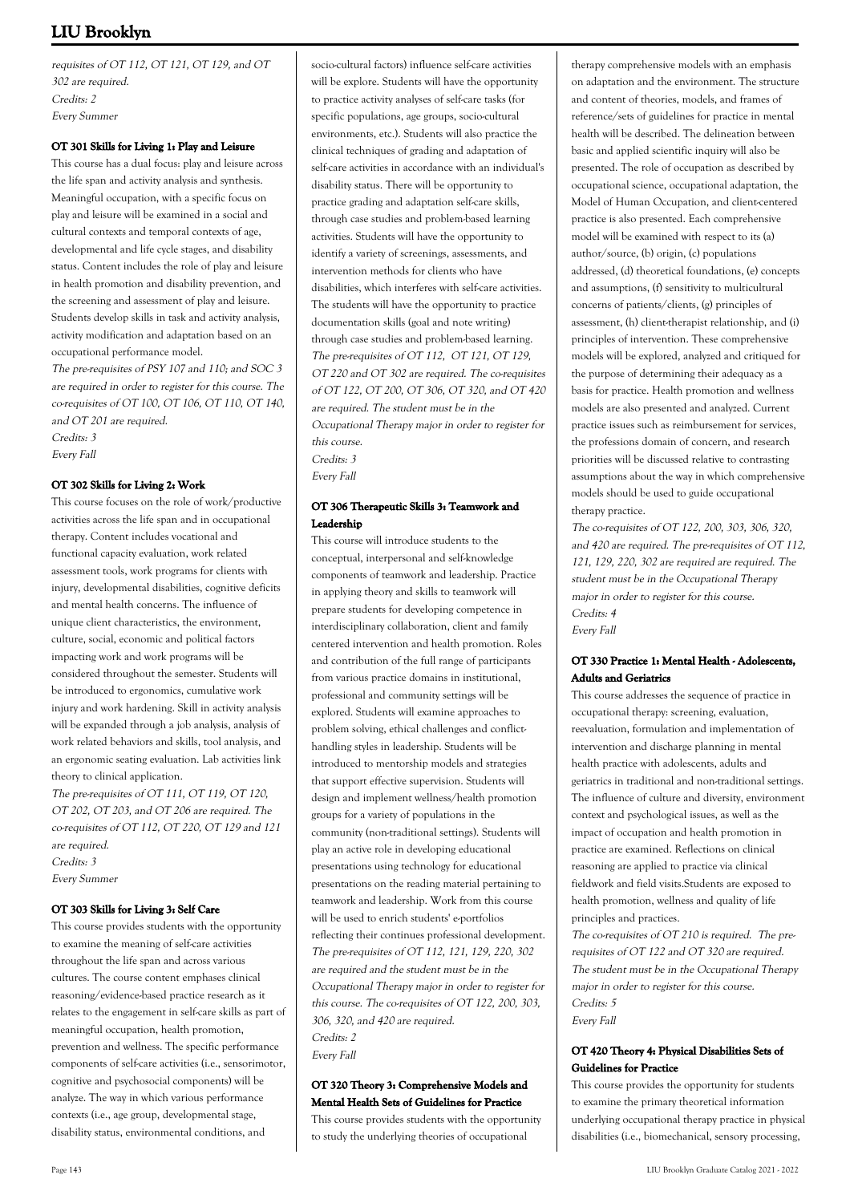requisites of OT 112, OT 121, OT 129, and OT 302 are required. Credits: 2 Every Summer

#### **OT 301 Skills for Living 1: Play and Leisure**

This course has a dual focus: play and leisure across the life span and activity analysis and synthesis. Meaningful occupation, with a specific focus on play and leisure will be examined in a social and cultural contexts and temporal contexts of age, developmental and life cycle stages, and disability status. Content includes the role of play and leisure in health promotion and disability prevention, and the screening and assessment of play and leisure. Students develop skills in task and activity analysis, activity modification and adaptation based on an occupational performance model. The pre-requisites of PSY 107 and 110; and SOC 3

are required in order to register for this course. The co-requisites of OT 100, OT 106, OT 110, OT 140, and OT 201 are required. Credits: 3 Every Fall

#### **OT 302 Skills for Living 2: Work**

This course focuses on the role of work/productive activities across the life span and in occupational therapy. Content includes vocational and functional capacity evaluation, work related assessment tools, work programs for clients with injury, developmental disabilities, cognitive deficits and mental health concerns. The influence of unique client characteristics, the environment, culture, social, economic and political factors impacting work and work programs will be considered throughout the semester. Students will be introduced to ergonomics, cumulative work injury and work hardening. Skill in activity analysis will be expanded through a job analysis, analysis of work related behaviors and skills, tool analysis, and an ergonomic seating evaluation. Lab activities link theory to clinical application.

The pre-requisites of OT 111, OT 119, OT 120, OT 202, OT 203, and OT 206 are required. The co-requisites of OT 112, OT 220, OT 129 and 121 are required. Credits: 3 Every Summer

#### **OT 303 Skills for Living 3: Self Care**

This course provides students with the opportunity to examine the meaning of self-care activities throughout the life span and across various cultures. The course content emphases clinical reasoning/evidence-based practice research as it relates to the engagement in self-care skills as part of meaningful occupation, health promotion, prevention and wellness. The specific performance components of self-care activities (i.e., sensorimotor, cognitive and psychosocial components) will be analyze. The way in which various performance contexts (i.e., age group, developmental stage, disability status, environmental conditions, and

socio-cultural factors) influence self-care activities will be explore. Students will have the opportunity to practice activity analyses of self-care tasks (for specific populations, age groups, socio-cultural environments, etc.). Students will also practice the clinical techniques of grading and adaptation of self-care activities in accordance with an individual's disability status. There will be opportunity to practice grading and adaptation self-care skills, through case studies and problem-based learning activities. Students will have the opportunity to identify a variety of screenings, assessments, and intervention methods for clients who have disabilities, which interferes with self-care activities. The students will have the opportunity to practice documentation skills (goal and note writing) through case studies and problem-based learning. The pre-requisites of OT 112, OT 121, OT 129, OT 220 and OT 302 are required. The co-requisites of OT 122, OT 200, OT 306, OT 320, and OT 420 are required. The student must be in the Occupational Therapy major in order to register for this course. Credits: 3 Every Fall

#### **OT 306 Therapeutic Skills 3: Teamwork and Leadership**

This course will introduce students to the conceptual, interpersonal and self-knowledge components of teamwork and leadership. Practice in applying theory and skills to teamwork will prepare students for developing competence in interdisciplinary collaboration, client and family centered intervention and health promotion. Roles and contribution of the full range of participants from various practice domains in institutional, professional and community settings will be explored. Students will examine approaches to problem solving, ethical challenges and conflicthandling styles in leadership. Students will be introduced to mentorship models and strategies that support effective supervision. Students will design and implement wellness/health promotion groups for a variety of populations in the community (non-traditional settings). Students will play an active role in developing educational presentations using technology for educational presentations on the reading material pertaining to teamwork and leadership. Work from this course will be used to enrich students' e-portfolios reflecting their continues professional development. The pre-requisites of OT 112, 121, 129, 220, 302 are required and the student must be in the Occupational Therapy major in order to register for this course. The co-requisites of OT 122, 200, 303, 306, 320, and 420 are required. Credits: 2 Every Fall

#### **OT 320 Theory 3: Comprehensive Models and Mental Health Sets of Guidelines for Practice**

This course provides students with the opportunity to study the underlying theories of occupational

therapy comprehensive models with an emphasis on adaptation and the environment. The structure and content of theories, models, and frames of reference/sets of guidelines for practice in mental health will be described. The delineation between basic and applied scientific inquiry will also be presented. The role of occupation as described by occupational science, occupational adaptation, the Model of Human Occupation, and client-centered practice is also presented. Each comprehensive model will be examined with respect to its (a) author/source, (b) origin, (c) populations addressed, (d) theoretical foundations, (e) concepts and assumptions, (f) sensitivity to multicultural concerns of patients/clients, (g) principles of assessment, (h) client-therapist relationship, and (i) principles of intervention. These comprehensive models will be explored, analyzed and critiqued for the purpose of determining their adequacy as a basis for practice. Health promotion and wellness models are also presented and analyzed. Current practice issues such as reimbursement for services, the professions domain of concern, and research priorities will be discussed relative to contrasting assumptions about the way in which comprehensive models should be used to guide occupational therapy practice.

The co-requisites of OT 122, 200, 303, 306, 320, and 420 are required. The pre-requisites of OT 112, 121, 129, 220, 302 are required are required. The student must be in the Occupational Therapy major in order to register for this course. Credits: 4 Every Fall

#### **OT 330 Practice 1: Mental Health - Adolescents, Adults and Geriatrics**

This course addresses the sequence of practice in occupational therapy: screening, evaluation, reevaluation, formulation and implementation of intervention and discharge planning in mental health practice with adolescents, adults and geriatrics in traditional and non-traditional settings. The influence of culture and diversity, environment context and psychological issues, as well as the impact of occupation and health promotion in practice are examined. Reflections on clinical reasoning are applied to practice via clinical fieldwork and field visits.Students are exposed to health promotion, wellness and quality of life principles and practices.

The co-requisites of OT 210 is required. The prerequisites of OT 122 and OT 320 are required. The student must be in the Occupational Therapy major in order to register for this course. Credits: 5 Every Fall

#### **OT 420 Theory 4: Physical Disabilities Sets of Guidelines for Practice**

This course provides the opportunity for students to examine the primary theoretical information underlying occupational therapy practice in physical disabilities (i.e., biomechanical, sensory processing,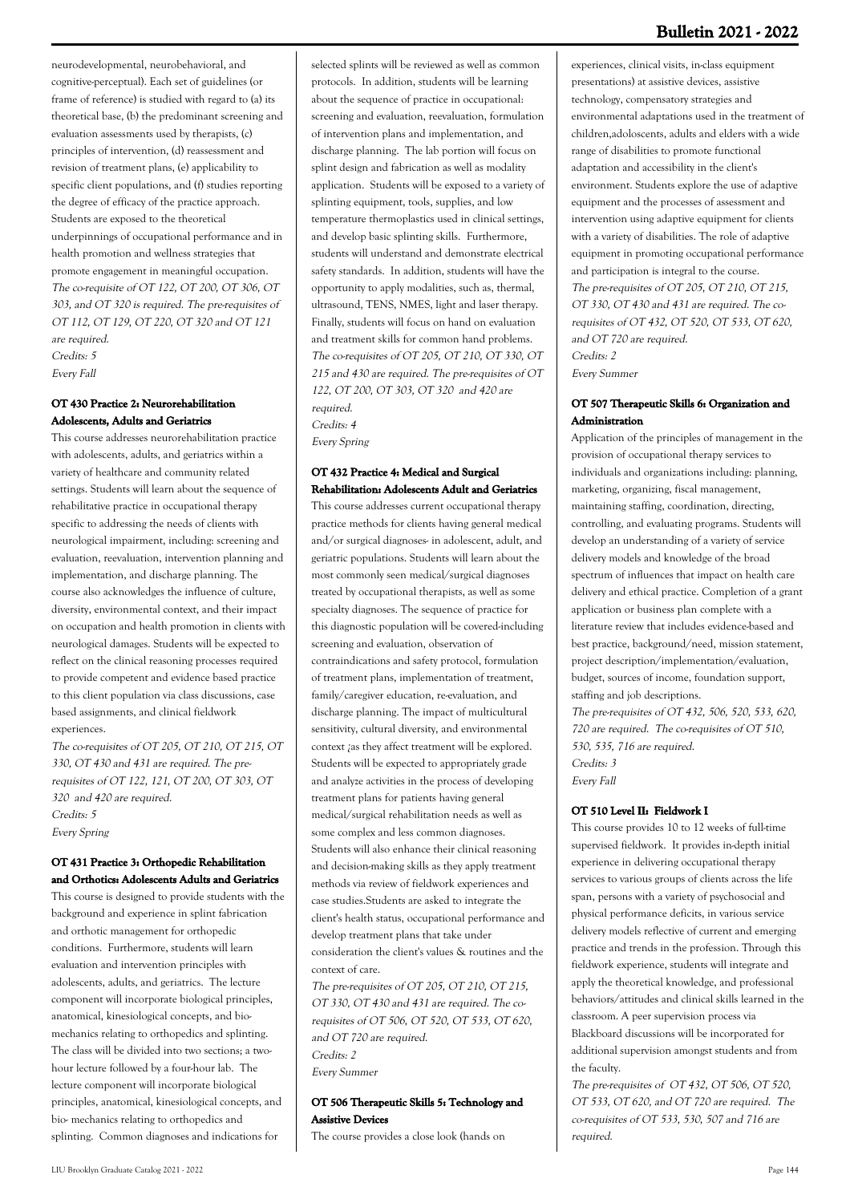neurodevelopmental, neurobehavioral, and cognitive-perceptual). Each set of guidelines (or frame of reference) is studied with regard to (a) its theoretical base, (b) the predominant screening and evaluation assessments used by therapists, (c) principles of intervention, (d) reassessment and revision of treatment plans, (e) applicability to specific client populations, and (f) studies reporting the degree of efficacy of the practice approach. Students are exposed to the theoretical underpinnings of occupational performance and in health promotion and wellness strategies that promote engagement in meaningful occupation. The co-requisite of OT 122, OT 200, OT 306, OT 303, and OT 320 is required. The pre-requisites of OT 112, OT 129, OT 220, OT 320 and OT 121 are required. Credits: 5

Every Fall

## **OT 430 Practice 2: Neurorehabilitation Adolescents, Adults and Geriatrics**

This course addresses neurorehabilitation practice with adolescents, adults, and geriatrics within a variety of healthcare and community related settings. Students will learn about the sequence of rehabilitative practice in occupational therapy specific to addressing the needs of clients with neurological impairment, including: screening and evaluation, reevaluation, intervention planning and implementation, and discharge planning. The course also acknowledges the influence of culture, diversity, environmental context, and their impact on occupation and health promotion in clients with neurological damages. Students will be expected to reflect on the clinical reasoning processes required to provide competent and evidence based practice to this client population via class discussions, case based assignments, and clinical fieldwork experiences.

The co-requisites of OT 205, OT 210, OT 215, OT 330, OT 430 and 431 are required. The prerequisites of OT 122, 121, OT 200, OT 303, OT 320 and 420 are required. Credits: 5 Every Spring

### **OT 431 Practice 3: Orthopedic Rehabilitation and Orthotics: Adolescents Adults and Geriatrics**

This course is designed to provide students with the background and experience in splint fabrication and orthotic management for orthopedic conditions. Furthermore, students will learn evaluation and intervention principles with adolescents, adults, and geriatrics. The lecture component will incorporate biological principles, anatomical, kinesiological concepts, and biomechanics relating to orthopedics and splinting. The class will be divided into two sections; a twohour lecture followed by a four-hour lab. The lecture component will incorporate biological principles, anatomical, kinesiological concepts, and bio- mechanics relating to orthopedics and splinting. Common diagnoses and indications for

selected splints will be reviewed as well as common protocols. In addition, students will be learning about the sequence of practice in occupational: screening and evaluation, reevaluation, formulation of intervention plans and implementation, and discharge planning. The lab portion will focus on splint design and fabrication as well as modality application. Students will be exposed to a variety of splinting equipment, tools, supplies, and low temperature thermoplastics used in clinical settings, and develop basic splinting skills. Furthermore, students will understand and demonstrate electrical safety standards. In addition, students will have the opportunity to apply modalities, such as, thermal, ultrasound, TENS, NMES, light and laser therapy. Finally, students will focus on hand on evaluation and treatment skills for common hand problems. The co-requisites of OT 205, OT 210, OT 330, OT 215 and 430 are required. The pre-requisites of OT 122, OT 200, OT 303, OT 320 and 420 are required. Credits: 4

Every Spring

### **OT 432 Practice 4: Medical and Surgical Rehabilitation: Adolescents Adult and Geriatrics**

This course addresses current occupational therapy practice methods for clients having general medical and/or surgical diagnoses- in adolescent, adult, and geriatric populations. Students will learn about the most commonly seen medical/surgical diagnoses treated by occupational therapists, as well as some specialty diagnoses. The sequence of practice for this diagnostic population will be covered-including screening and evaluation, observation of contraindications and safety protocol, formulation of treatment plans, implementation of treatment, family/caregiver education, re-evaluation, and discharge planning. The impact of multicultural sensitivity, cultural diversity, and environmental context ¿as they affect treatment will be explored. Students will be expected to appropriately grade and analyze activities in the process of developing treatment plans for patients having general medical/surgical rehabilitation needs as well as some complex and less common diagnoses. Students will also enhance their clinical reasoning and decision-making skills as they apply treatment methods via review of fieldwork experiences and case studies.Students are asked to integrate the client's health status, occupational performance and develop treatment plans that take under consideration the client's values & routines and the context of care.

The pre-requisites of OT 205, OT 210, OT 215, OT 330, OT 430 and 431 are required. The corequisites of OT 506, OT 520, OT 533, OT 620, and OT 720 are required. Credits: 2 Every Summer

### **OT 506 Therapeutic Skills 5: Technology and Assistive Devices**

The course provides a close look (hands on

experiences, clinical visits, in-class equipment presentations) at assistive devices, assistive technology, compensatory strategies and environmental adaptations used in the treatment of children,adoloscents, adults and elders with a wide range of disabilities to promote functional adaptation and accessibility in the client's environment. Students explore the use of adaptive equipment and the processes of assessment and intervention using adaptive equipment for clients with a variety of disabilities. The role of adaptive equipment in promoting occupational performance and participation is integral to the course. The pre-requisites of OT 205, OT 210, OT 215, OT 330, OT 430 and 431 are required. The corequisites of OT 432, OT 520, OT 533, OT 620, and OT 720 are required. Credits: 2 Every Summer

#### **OT 507 Therapeutic Skills 6: Organization and Administration**

Application of the principles of management in the provision of occupational therapy services to individuals and organizations including: planning, marketing, organizing, fiscal management, maintaining staffing, coordination, directing, controlling, and evaluating programs. Students will develop an understanding of a variety of service delivery models and knowledge of the broad spectrum of influences that impact on health care delivery and ethical practice. Completion of a grant application or business plan complete with a literature review that includes evidence-based and best practice, background/need, mission statement, project description/implementation/evaluation, budget, sources of income, foundation support, staffing and job descriptions. The pre-requisites of OT 432, 506, 520, 533, 620, 720 are required. The co-requisites of OT 510, 530, 535, 716 are required. Credits: 3

Every Fall

## **OT 510 Level II: Fieldwork I**

This course provides 10 to 12 weeks of full-time supervised fieldwork. It provides in-depth initial experience in delivering occupational therapy services to various groups of clients across the life span, persons with a variety of psychosocial and physical performance deficits, in various service delivery models reflective of current and emerging practice and trends in the profession. Through this fieldwork experience, students will integrate and apply the theoretical knowledge, and professional behaviors/attitudes and clinical skills learned in the classroom. A peer supervision process via Blackboard discussions will be incorporated for additional supervision amongst students and from the faculty.

The pre-requisites of OT 432, OT 506, OT 520, OT 533, OT 620, and OT 720 are required. The co-requisites of OT 533, 530, 507 and 716 are required.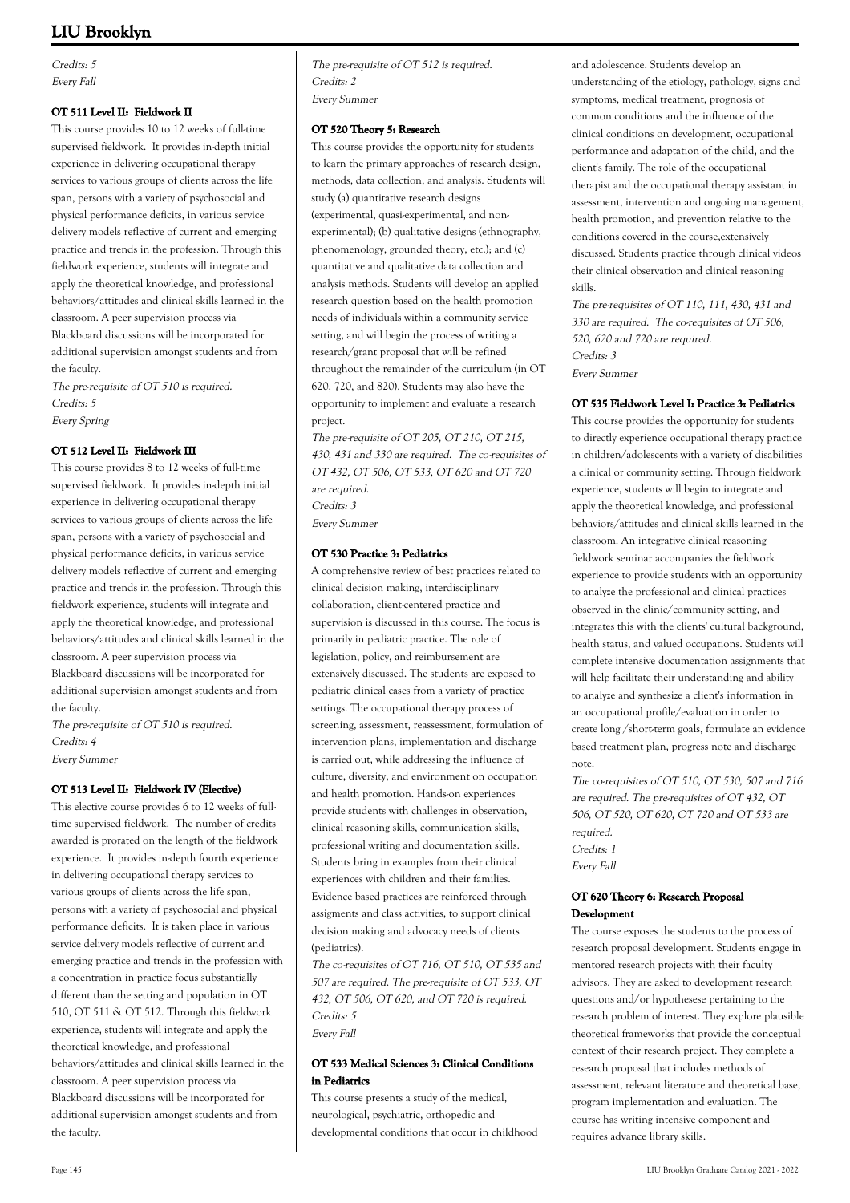Credits: 5 Every Fall

## **OT 511 Level II: Fieldwork II**

This course provides 10 to 12 weeks of full-time supervised fieldwork. It provides in-depth initial experience in delivering occupational therapy services to various groups of clients across the life span, persons with a variety of psychosocial and physical performance deficits, in various service delivery models reflective of current and emerging practice and trends in the profession. Through this fieldwork experience, students will integrate and apply the theoretical knowledge, and professional behaviors/attitudes and clinical skills learned in the classroom. A peer supervision process via Blackboard discussions will be incorporated for additional supervision amongst students and from the faculty.

The pre-requisite of OT 510 is required. Credits: 5 Every Spring

#### **OT 512 Level II: Fieldwork III**

This course provides 8 to 12 weeks of full-time supervised fieldwork. It provides in-depth initial experience in delivering occupational therapy services to various groups of clients across the life span, persons with a variety of psychosocial and physical performance deficits, in various service delivery models reflective of current and emerging practice and trends in the profession. Through this fieldwork experience, students will integrate and apply the theoretical knowledge, and professional behaviors/attitudes and clinical skills learned in the classroom. A peer supervision process via Blackboard discussions will be incorporated for additional supervision amongst students and from the faculty.

The pre-requisite of OT 510 is required. Credits: 4 Every Summer

#### **OT 513 Level II: Fieldwork IV (Elective)**

This elective course provides 6 to 12 weeks of fulltime supervised fieldwork. The number of credits awarded is prorated on the length of the fieldwork experience. It provides in-depth fourth experience in delivering occupational therapy services to various groups of clients across the life span, persons with a variety of psychosocial and physical performance deficits. It is taken place in various service delivery models reflective of current and emerging practice and trends in the profession with a concentration in practice focus substantially different than the setting and population in OT 510, OT 511 & OT 512. Through this fieldwork experience, students will integrate and apply the theoretical knowledge, and professional behaviors/attitudes and clinical skills learned in the classroom. A peer supervision process via Blackboard discussions will be incorporated for additional supervision amongst students and from the faculty.

The pre-requisite of OT 512 is required. Credits: 2 Every Summer

### **OT 520 Theory 5: Research**

This course provides the opportunity for students to learn the primary approaches of research design, methods, data collection, and analysis. Students will study (a) quantitative research designs (experimental, quasi-experimental, and nonexperimental); (b) qualitative designs (ethnography, phenomenology, grounded theory, etc.); and (c) quantitative and qualitative data collection and analysis methods. Students will develop an applied research question based on the health promotion needs of individuals within a community service setting, and will begin the process of writing a research/grant proposal that will be refined throughout the remainder of the curriculum (in OT 620, 720, and 820). Students may also have the opportunity to implement and evaluate a research project.

The pre-requisite of OT 205, OT 210, OT 215, 430, 431 and 330 are required. The co-requisites of OT 432, OT 506, OT 533, OT 620 and OT 720 are required. Credits: 3

Every Summer

#### **OT 530 Practice 3: Pediatrics**

A comprehensive review of best practices related to clinical decision making, interdisciplinary collaboration, client-centered practice and supervision is discussed in this course. The focus is primarily in pediatric practice. The role of legislation, policy, and reimbursement are extensively discussed. The students are exposed to pediatric clinical cases from a variety of practice settings. The occupational therapy process of screening, assessment, reassessment, formulation of intervention plans, implementation and discharge is carried out, while addressing the influence of culture, diversity, and environment on occupation and health promotion. Hands-on experiences provide students with challenges in observation, clinical reasoning skills, communication skills, professional writing and documentation skills. Students bring in examples from their clinical experiences with children and their families. Evidence based practices are reinforced through assigments and class activities, to support clinical decision making and advocacy needs of clients (pediatrics).

The co-requisites of OT 716, OT 510, OT 535 and 507 are required. The pre-requisite of OT 533, OT 432, OT 506, OT 620, and OT 720 is required. Credits: 5 Every Fall

### **OT 533 Medical Sciences 3: Clinical Conditions in Pediatrics**

This course presents a study of the medical, neurological, psychiatric, orthopedic and developmental conditions that occur in childhood and adolescence. Students develop an understanding of the etiology, pathology, signs and symptoms, medical treatment, prognosis of common conditions and the influence of the clinical conditions on development, occupational performance and adaptation of the child, and the client's family. The role of the occupational therapist and the occupational therapy assistant in assessment, intervention and ongoing management, health promotion, and prevention relative to the conditions covered in the course,extensively discussed. Students practice through clinical videos their clinical observation and clinical reasoning skills.

The pre-requisites of OT 110, 111, 430, 431 and 330 are required. The co-requisites of OT 506, 520, 620 and 720 are required. Credits: 3 Every Summer

#### **OT 535 Fieldwork Level I: Practice 3: Pediatrics**

This course provides the opportunity for students to directly experience occupational therapy practice in children/adolescents with a variety of disabilities a clinical or community setting. Through fieldwork experience, students will begin to integrate and apply the theoretical knowledge, and professional behaviors/attitudes and clinical skills learned in the classroom. An integrative clinical reasoning fieldwork seminar accompanies the fieldwork experience to provide students with an opportunity to analyze the professional and clinical practices observed in the clinic/community setting, and integrates this with the clients' cultural background, health status, and valued occupations. Students will complete intensive documentation assignments that will help facilitate their understanding and ability to analyze and synthesize a client's information in an occupational profile/evaluation in order to create long /short-term goals, formulate an evidence based treatment plan, progress note and discharge note.

The co-requisites of OT 510, OT 530, 507 and 716 are required. The pre-requisites of OT 432, OT 506, OT 520, OT 620, OT 720 and OT 533 are required. Credits: 1 Every Fall

### **OT 620 Theory 6: Research Proposal Development**

The course exposes the students to the process of research proposal development. Students engage in mentored research projects with their faculty advisors. They are asked to development research questions and/or hypothesese pertaining to the research problem of interest. They explore plausible theoretical frameworks that provide the conceptual context of their research project. They complete a research proposal that includes methods of assessment, relevant literature and theoretical base, program implementation and evaluation. The course has writing intensive component and requires advance library skills.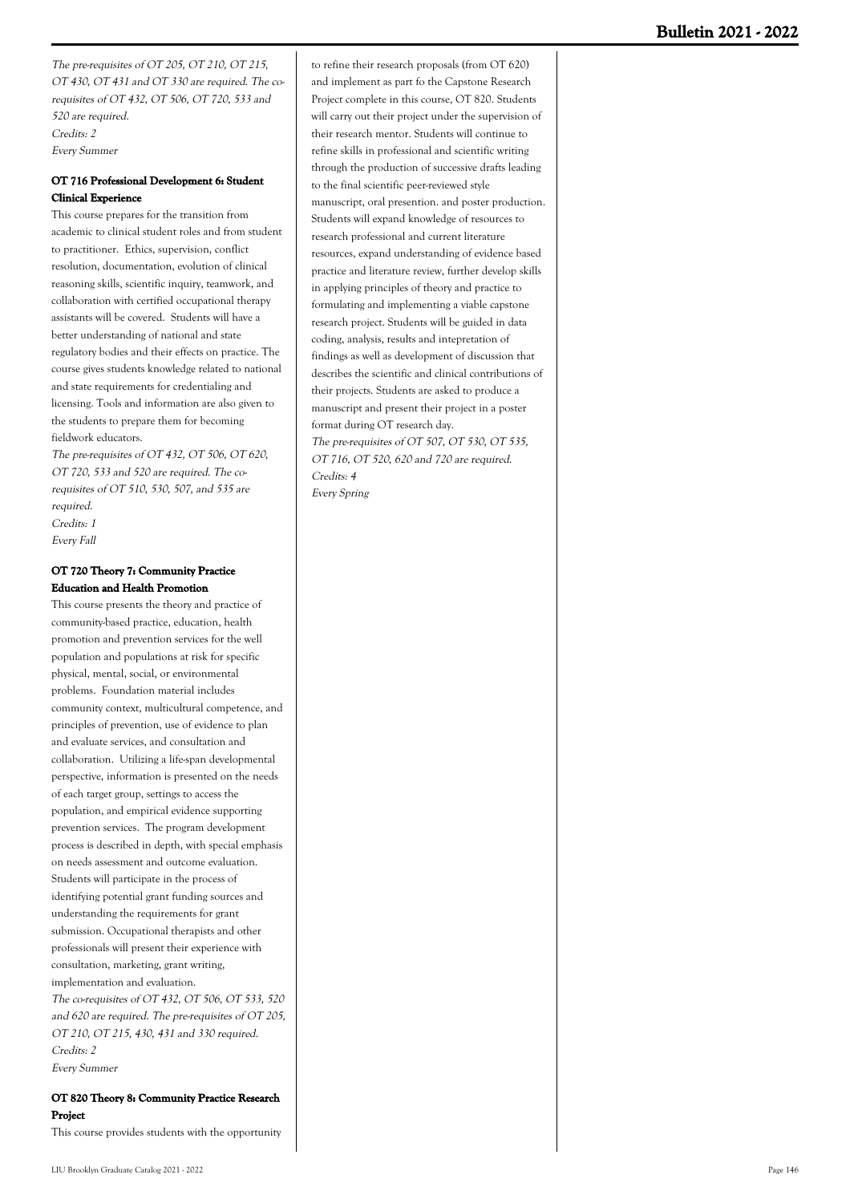The pre-requisites of OT 205, OT 210, OT 215, OT 430, OT 431 and OT 330 are required. The corequisites of OT 432, OT 506, OT 720, 533 and 520 are required. Credits: 2 Every Summer

## **OT 716 Professional Development 6: Student Clinical Experience**

This course prepares for the transition from academic to clinical student roles and from student to practitioner. Ethics, supervision, conflict resolution, documentation, evolution of clinical reasoning skills, scientific inquiry, teamwork, and collaboration with certified occupational therapy assistants will be covered. Students will have a better understanding of national and state regulatory bodies and their effects on practice. The course gives students knowledge related to national and state requirements for credentialing and licensing. Tools and information are also given to the students to prepare them for becoming fieldwork educators.

The pre-requisites of OT 432, OT 506, OT 620, OT 720, 533 and 520 are required. The corequisites of OT 510, 530, 507, and 535 are required. Credits: 1 Every Fall

## **OT 720 Theory 7: Community Practice Education and Health Promotion**

This course presents the theory and practice of community-based practice, education, health promotion and prevention services for the well population and populations at risk for specific physical, mental, social, or environmental problems. Foundation material includes community context, multicultural competence, and principles of prevention, use of evidence to plan and evaluate services, and consultation and collaboration. Utilizing a life-span developmental perspective, information is presented on the needs of each target group, settings to access the population, and empirical evidence supporting prevention services. The program development process is described in depth, with special emphasis on needs assessment and outcome evaluation. Students will participate in the process of identifying potential grant funding sources and understanding the requirements for grant submission. Occupational therapists and other professionals will present their experience with consultation, marketing, grant writing, implementation and evaluation.

The co-requisites of OT 432, OT 506, OT 533, 520 and 620 are required. The pre-requisites of OT 205, OT 210, OT 215, 430, 431 and 330 required. Credits: 2 Every Summer

## **OT 820 Theory 8: Community Practice Research Project**

This course provides students with the opportunity

to refine their research proposals (from OT 620) and implement as part fo the Capstone Research Project complete in this course, OT 820. Students will carry out their project under the supervision of their research mentor. Students will continue to refine skills in professional and scientific writing through the production of successive drafts leading to the final scientific peer-reviewed style manuscript, oral presention. and poster production. Students will expand knowledge of resources to research professional and current literature resources, expand understanding of evidence based practice and literature review, further develop skills in applying principles of theory and practice to formulating and implementing a viable capstone research project. Students will be guided in data coding, analysis, results and intepretation of findings as well as development of discussion that describes the scientific and clinical contributions of their projects. Students are asked to produce a manuscript and present their project in a poster format during OT research day. The pre-requisites of OT 507, OT 530, OT 535, OT 716, OT 520, 620 and 720 are required. Credits: 4 Every Spring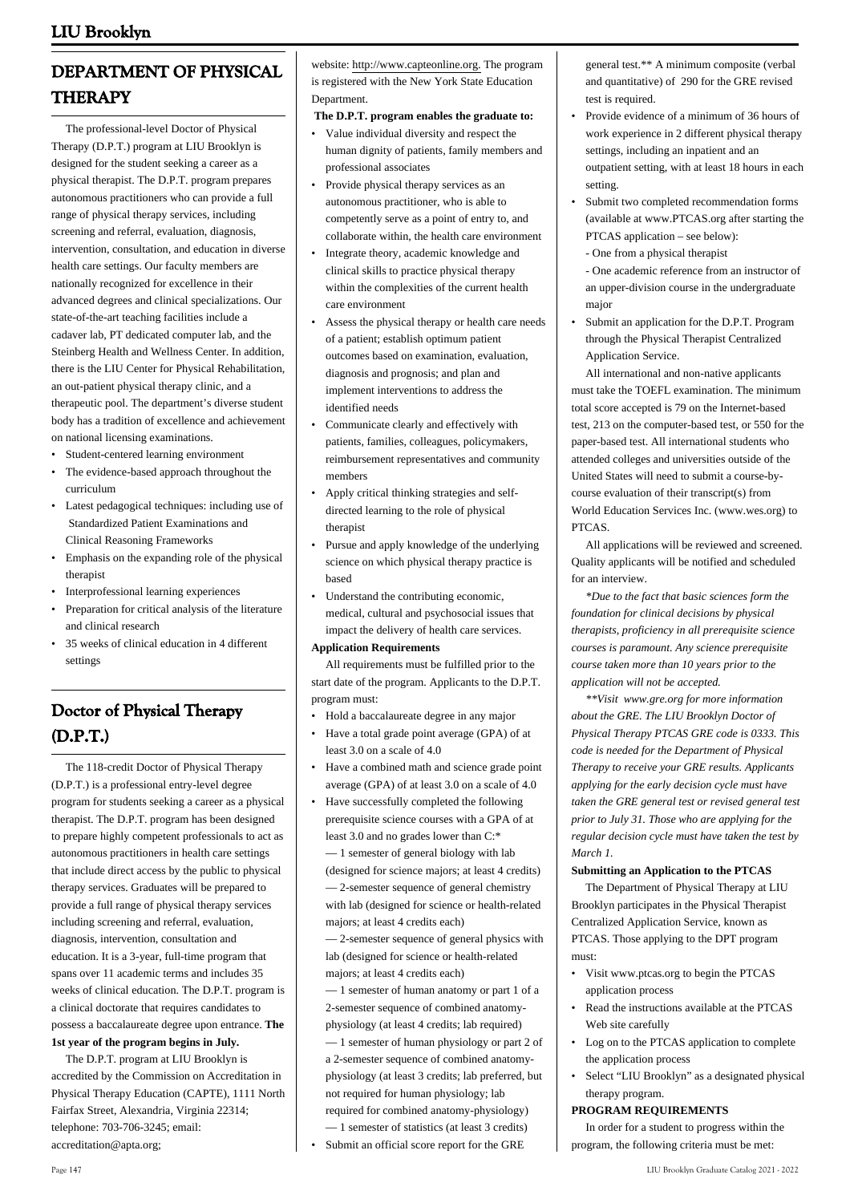# **DEPARTMENT OF PHYSICAL THERAPY**

 The professional-level Doctor of Physical Therapy (D.P.T.) program at LIU Brooklyn is designed for the student seeking a career as a physical therapist. The D.P.T. program prepares autonomous practitioners who can provide a full range of physical therapy services, including screening and referral, evaluation, diagnosis, intervention, consultation, and education in diverse health care settings. Our faculty members are nationally recognized for excellence in their advanced degrees and clinical specializations. Our state-of-the-art teaching facilities include a cadaver lab, PT dedicated computer lab, and the Steinberg Health and Wellness Center. In addition, there is the LIU Center for Physical Rehabilitation, an out-patient physical therapy clinic, and a therapeutic pool. The department's diverse student body has a tradition of excellence and achievement on national licensing examinations.

- Student-centered learning environment
- The evidence-based approach throughout the curriculum •
- Latest pedagogical techniques: including use of Standardized Patient Examinations and Clinical Reasoning Frameworks
- Emphasis on the expanding role of the physical therapist
- Interprofessional learning experiences
- Preparation for critical analysis of the literature and clinical research •
- 35 weeks of clinical education in 4 different settings •

# **Doctor of Physical Therapy (D.P.T.)**

 The 118-credit Doctor of Physical Therapy (D.P.T.) is a professional entry-level degree program for students seeking a career as a physical therapist. The D.P.T. program has been designed to prepare highly competent professionals to act as autonomous practitioners in health care settings that include direct access by the public to physical therapy services. Graduates will be prepared to provide a full range of physical therapy services including screening and referral, evaluation, diagnosis, intervention, consultation and education. It is a 3-year, full-time program that spans over 11 academic terms and includes 35 weeks of clinical education. The D.P.T. program is a clinical doctorate that requires candidates to possess a baccalaureate degree upon entrance. **The 1st year of the program begins in July.**

 The D.P.T. program at LIU Brooklyn is accredited by the Commission on Accreditation in Physical Therapy Education (CAPTE), 1111 North Fairfax Street, Alexandria, Virginia 22314; telephone: 703-706-3245; email: accreditation@apta.org;

website: http://www.capteonline.org. The program is registered with the New York State Education Department.

 **The D.P.T. program enables the graduate to:**

- Value individual diversity and respect the human dignity of patients, family members and professional associates •
- Provide physical therapy services as an autonomous practitioner, who is able to competently serve as a point of entry to, and collaborate within, the health care environment •
- Integrate theory, academic knowledge and clinical skills to practice physical therapy within the complexities of the current health care environment •
- Assess the physical therapy or health care needs of a patient; establish optimum patient outcomes based on examination, evaluation, diagnosis and prognosis; and plan and implement interventions to address the identified needs •
- Communicate clearly and effectively with patients, families, colleagues, policymakers, reimbursement representatives and community members •
- Apply critical thinking strategies and selfdirected learning to the role of physical therapist •
- Pursue and apply knowledge of the underlying science on which physical therapy practice is based •
- Understand the contributing economic, medical, cultural and psychosocial issues that impact the delivery of health care services. •

#### **Application Requirements**

 All requirements must be fulfilled prior to the start date of the program. Applicants to the D.P.T. program must:

- Hold a baccalaureate degree in any major
- Have a total grade point average (GPA) of at least 3.0 on a scale of 4.0
- Have a combined math and science grade point average (GPA) of at least 3.0 on a scale of 4.0 •
- Have successfully completed the following prerequisite science courses with a GPA of at least 3.0 and no grades lower than C:\* — 1 semester of general biology with lab (designed for science majors; at least 4 credits) — 2-semester sequence of general chemistry with lab (designed for science or health-related majors; at least 4 credits each) •

— 2-semester sequence of general physics with lab (designed for science or health-related majors; at least 4 credits each)

— 1 semester of human anatomy or part 1 of a 2-semester sequence of combined anatomyphysiology (at least 4 credits; lab required)

— 1 semester of human physiology or part 2 of a 2-semester sequence of combined anatomyphysiology (at least 3 credits; lab preferred, but not required for human physiology; lab required for combined anatomy-physiology) — 1 semester of statistics (at least 3 credits)

Submit an official score report for the GRE

general test.\*\* A minimum composite (verbal and quantitative) of 290 for the GRE revised test is required.

- Provide evidence of a minimum of 36 hours of work experience in 2 different physical therapy settings, including an inpatient and an outpatient setting, with at least 18 hours in each setting.
- Submit two completed recommendation forms (available at www.PTCAS.org after starting the PTCAS application – see below): •
	- One from a physical therapist

- One academic reference from an instructor of an upper-division course in the undergraduate major

Submit an application for the D.P.T. Program through the Physical Therapist Centralized Application Service. •

 All international and non-native applicants must take the TOEFL examination. The minimum total score accepted is 79 on the Internet-based test, 213 on the computer-based test, or 550 for the paper-based test. All international students who attended colleges and universities outside of the United States will need to submit a course-bycourse evaluation of their transcript(s) from World Education Services Inc. ([www.wes.org](http://www.wes.org)) to **PTCAS** 

 All applications will be reviewed and screened. Quality applicants will be notified and scheduled for an interview.

 *\*Due to the fact that basic sciences form the foundation for clinical decisions by physical therapists, proficiency in all prerequisite science courses is paramount. Any science prerequisite course taken more than 10 years prior to the application will not be accepted.*

 *\*\*Visit www.gre.org for more information about the GRE. The LIU Brooklyn Doctor of Physical Therapy PTCAS GRE code is 0333. This code is needed for the Department of Physical Therapy to receive your GRE results. Applicants applying for the early decision cycle must have taken the GRE general test or revised general test prior to July 31. Those who are applying for the regular decision cycle must have taken the test by March 1.*

#### **Submitting an Application to the PTCAS**

 The Department of Physical Therapy at LIU Brooklyn participates in the Physical Therapist Centralized Application Service, known as PTCAS. Those applying to the DPT program must:

- Visit www.ptcas.org to begin the PTCAS application process •
- Read the instructions available at the PTCAS Web site carefully
- Log on to the PTCAS application to complete the application process •
- Select "LIU Brooklyn" as a designated physical therapy program. •

#### **PROGRAM REQUIREMENTS**

 In order for a student to progress within the program, the following criteria must be met: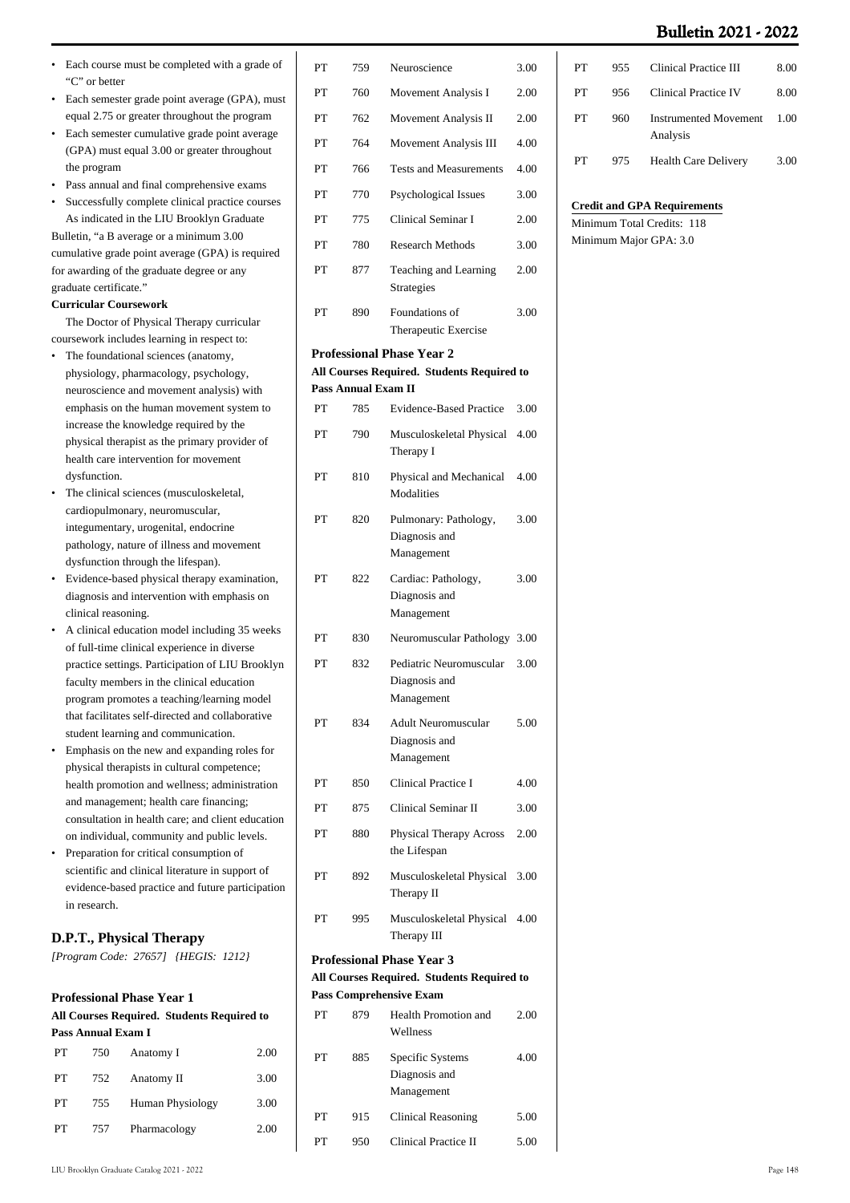- Each course must be completed with a grade of "C" or better •
- Each semester grade point average (GPA), must equal 2.75 or greater throughout the program •
- Each semester cumulative grade point average (GPA) must equal 3.00 or greater throughout the program
- Pass annual and final comprehensive exams
- Successfully complete clinical practice courses As indicated in the LIU Brooklyn Graduate

Bulletin, "a B average or a minimum 3.00 cumulative grade point average (GPA) is required for awarding of the graduate degree or any graduate certificate."

## **Curricular Coursework**

 The Doctor of Physical Therapy curricular coursework includes learning in respect to:

- The foundational sciences (anatomy, physiology, pharmacology, psychology, neuroscience and movement analysis) with emphasis on the human movement system to increase the knowledge required by the physical therapist as the primary provider of health care intervention for movement dysfunction. •
- The clinical sciences (musculoskeletal, cardiopulmonary, neuromuscular, integumentary, urogenital, endocrine pathology, nature of illness and movement dysfunction through the lifespan). •
- Evidence-based physical therapy examination, diagnosis and intervention with emphasis on clinical reasoning. •
- A clinical education model including 35 weeks of full-time clinical experience in diverse practice settings. Participation of LIU Brooklyn faculty members in the clinical education program promotes a teaching/learning model that facilitates self-directed and collaborative student learning and communication.
- Emphasis on the new and expanding roles for physical therapists in cultural competence; health promotion and wellness; administration and management; health care financing; consultation in health care; and client education on individual, community and public levels. •
- Preparation for critical consumption of scientific and clinical literature in support of evidence-based practice and future participation in research.

## **D.P.T., Physical Therapy**

*[Program Code: 27657] {HEGIS: 1212}*

## **Professional Phase Year 1**

| All Courses Required. Students Required to |                    |                  |      |
|--------------------------------------------|--------------------|------------------|------|
|                                            | Pass Annual Exam I |                  |      |
| PТ                                         | 750                | Anatomy I        | 2.00 |
| PТ                                         | 752                | Anatomy II       | 3.00 |
| PТ                                         | 755                | Human Physiology | 3.00 |
| PТ                                         | 757                | Pharmacology     | 2.00 |
|                                            |                    |                  |      |

| PT | 759                        | Neuroscience                                           | 3.00 |
|----|----------------------------|--------------------------------------------------------|------|
| PT | 760                        | Movement Analysis I                                    | 2.00 |
| PT | 762                        | Movement Analysis II                                   | 2.00 |
| PT | 764                        | Movement Analysis III                                  | 4.00 |
| PT | 766                        | <b>Tests and Measurements</b>                          | 4.00 |
| PT | 770                        | Psychological Issues                                   | 3.00 |
| PT | 775                        | <b>Clinical Seminar I</b>                              | 2.00 |
| PT | 780                        | <b>Research Methods</b>                                | 3.00 |
| PT | 877                        | Teaching and Learning<br>Strategies                    | 2.00 |
| PT | 890                        | Foundations of<br>Therapeutic Exercise                 | 3.00 |
|    |                            | <b>Professional Phase Year 2</b>                       |      |
|    | <b>Pass Annual Exam II</b> | All Courses Required. Students Required to             |      |
| PT | 785                        | <b>Evidence-Based Practice</b>                         | 3.00 |
| PT | 790                        | Musculoskeletal Physical                               | 4.00 |
|    |                            | Therapy I                                              |      |
| PT | 810                        | Physical and Mechanical<br>Modalities                  | 4.00 |
| PT | 820                        | Pulmonary: Pathology,<br>Diagnosis and<br>Management   | 3.00 |
| PT | 822                        | Cardiac: Pathology,<br>Diagnosis and<br>Management     | 3.00 |
| PT | 830                        | Neuromuscular Pathology                                | 3.00 |
| PT | 832                        | Pediatric Neuromuscular<br>Diagnosis and<br>Management | 3.00 |
| PT | 834                        | Adult Neuromuscular<br>Diagnosis and<br>Management     | 5.00 |
| PT | 850                        | <b>Clinical Practice I</b>                             | 4.00 |
| PT | 875                        | Clinical Seminar II                                    | 3.00 |
| PT | 880                        | Physical Therapy Across<br>the Lifespan                | 2.00 |
| PT | 892                        | Musculoskeletal Physical<br>Therapy II                 | 3.00 |
| PT | 995                        | Musculoskeletal Physical<br>Therapy III                | 4.00 |
|    |                            | <b>Professional Phase Year 3</b>                       |      |
|    |                            | All Courses Required. Students Required to             |      |
| PT | 879                        | <b>Pass Comprehensive Exam</b><br>Health Promotion and | 2.00 |
|    |                            | Wellness                                               |      |
| PT | 885                        | Specific Systems<br>Diagnosis and<br>Management        | 4.00 |
| PT | 915                        | <b>Clinical Reasoning</b>                              | 5.00 |
| PТ | 950                        | <b>Clinical Practice II</b>                            | 5.00 |

| PТ | 955  | Clinical Practice III                    | 8.00 |
|----|------|------------------------------------------|------|
| PТ | 956. | Clinical Practice IV                     | 8.00 |
| PТ | 960  | <b>Instrumented Movement</b><br>Analysis | 1.00 |
| PТ | 975  | <b>Health Care Delivery</b>              | 3.00 |

#### **Credit and GPA Requirements**

Minimum Total Credits: 118 Minimum Major GPA: 3.0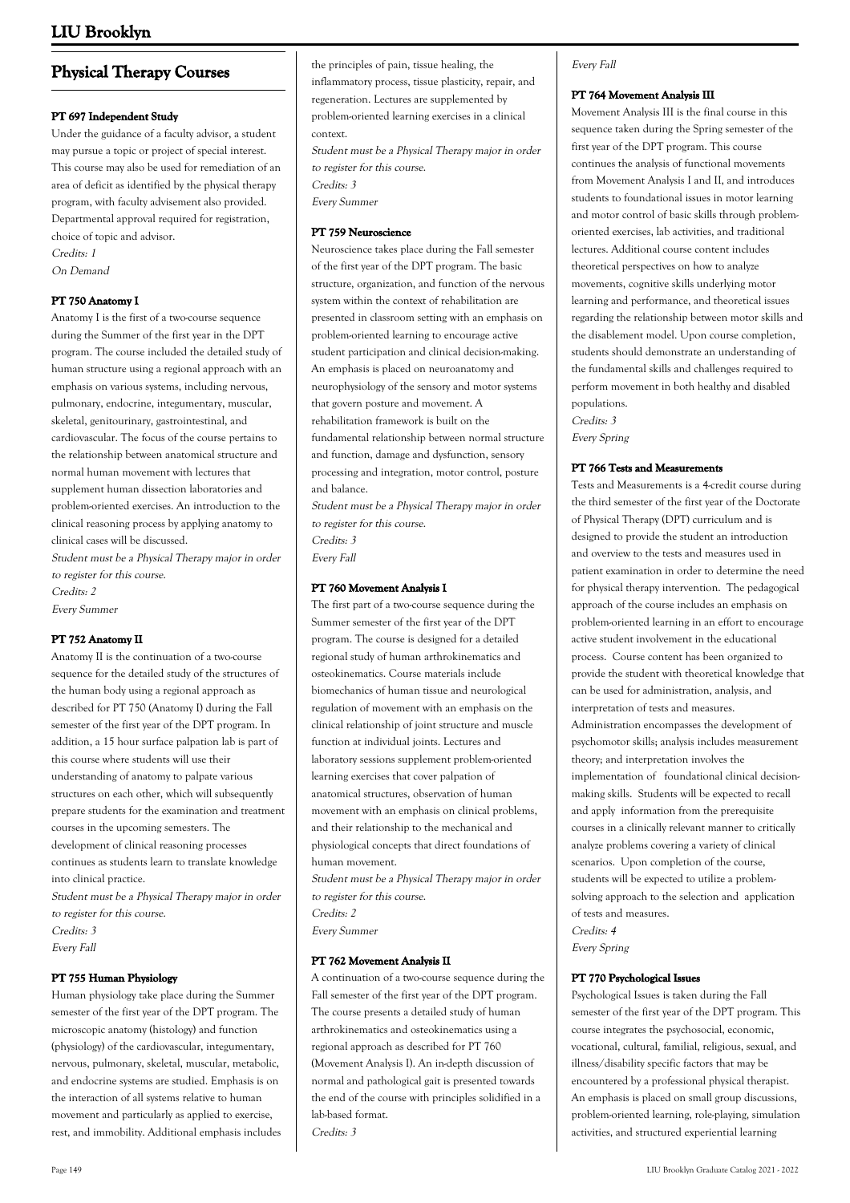## **Physical Therapy Courses**

#### **PT 697 Independent Study**

Under the guidance of a faculty advisor, a student may pursue a topic or project of special interest. This course may also be used for remediation of an area of deficit as identified by the physical therapy program, with faculty advisement also provided. Departmental approval required for registration, choice of topic and advisor. Credits: 1

On Demand

### **PT 750 Anatomy I**

Anatomy I is the first of a two-course sequence during the Summer of the first year in the DPT program. The course included the detailed study of human structure using a regional approach with an emphasis on various systems, including nervous, pulmonary, endocrine, integumentary, muscular, skeletal, genitourinary, gastrointestinal, and cardiovascular. The focus of the course pertains to the relationship between anatomical structure and normal human movement with lectures that supplement human dissection laboratories and problem-oriented exercises. An introduction to the clinical reasoning process by applying anatomy to clinical cases will be discussed. Student must be a Physical Therapy major in order

to register for this course. Credits: 2 Every Summer

#### **PT 752 Anatomy II**

Anatomy II is the continuation of a two-course sequence for the detailed study of the structures of the human body using a regional approach as described for PT 750 (Anatomy I) during the Fall semester of the first year of the DPT program. In addition, a 15 hour surface palpation lab is part of this course where students will use their understanding of anatomy to palpate various structures on each other, which will subsequently prepare students for the examination and treatment courses in the upcoming semesters. The development of clinical reasoning processes continues as students learn to translate knowledge into clinical practice.

Student must be a Physical Therapy major in order to register for this course.

Credits: 3 Every Fall

#### **PT 755 Human Physiology**

Human physiology take place during the Summer semester of the first year of the DPT program. The microscopic anatomy (histology) and function (physiology) of the cardiovascular, integumentary, nervous, pulmonary, skeletal, muscular, metabolic, and endocrine systems are studied. Emphasis is on the interaction of all systems relative to human movement and particularly as applied to exercise, rest, and immobility. Additional emphasis includes the principles of pain, tissue healing, the inflammatory process, tissue plasticity, repair, and regeneration. Lectures are supplemented by problem-oriented learning exercises in a clinical context.

Student must be a Physical Therapy major in order to register for this course. Credits: 3 Every Summer

#### **PT 759 Neuroscience**

Neuroscience takes place during the Fall semester of the first year of the DPT program. The basic structure, organization, and function of the nervous system within the context of rehabilitation are presented in classroom setting with an emphasis on problem-oriented learning to encourage active student participation and clinical decision-making. An emphasis is placed on neuroanatomy and neurophysiology of the sensory and motor systems that govern posture and movement. A rehabilitation framework is built on the fundamental relationship between normal structure and function, damage and dysfunction, sensory processing and integration, motor control, posture and balance.

Student must be a Physical Therapy major in order to register for this course. Credits: 3 Every Fall

#### **PT 760 Movement Analysis I**

The first part of a two-course sequence during the Summer semester of the first year of the DPT program. The course is designed for a detailed regional study of human arthrokinematics and osteokinematics. Course materials include biomechanics of human tissue and neurological regulation of movement with an emphasis on the clinical relationship of joint structure and muscle function at individual joints. Lectures and laboratory sessions supplement problem-oriented learning exercises that cover palpation of anatomical structures, observation of human movement with an emphasis on clinical problems, and their relationship to the mechanical and physiological concepts that direct foundations of human movement.

Student must be a Physical Therapy major in order to register for this course. Credits: 2

Every Summer

#### **PT 762 Movement Analysis II**

A continuation of a two-course sequence during the Fall semester of the first year of the DPT program. The course presents a detailed study of human arthrokinematics and osteokinematics using a regional approach as described for PT 760 (Movement Analysis I). An in-depth discussion of normal and pathological gait is presented towards the end of the course with principles solidified in a lab-based format. Credits: 3

### Every Fall

#### **PT 764 Movement Analysis III**

Movement Analysis III is the final course in this sequence taken during the Spring semester of the first year of the DPT program. This course continues the analysis of functional movements from Movement Analysis I and II, and introduces students to foundational issues in motor learning and motor control of basic skills through problemoriented exercises, lab activities, and traditional lectures. Additional course content includes theoretical perspectives on how to analyze movements, cognitive skills underlying motor learning and performance, and theoretical issues regarding the relationship between motor skills and the disablement model. Upon course completion, students should demonstrate an understanding of the fundamental skills and challenges required to perform movement in both healthy and disabled populations. Credits: 3

Every Spring

#### **PT 766 Tests and Measurements**

Tests and Measurements is a 4-credit course during the third semester of the first year of the Doctorate of Physical Therapy (DPT) curriculum and is designed to provide the student an introduction and overview to the tests and measures used in patient examination in order to determine the need for physical therapy intervention. The pedagogical approach of the course includes an emphasis on problem-oriented learning in an effort to encourage active student involvement in the educational process. Course content has been organized to provide the student with theoretical knowledge that can be used for administration, analysis, and interpretation of tests and measures. Administration encompasses the development of psychomotor skills; analysis includes measurement theory; and interpretation involves the implementation of foundational clinical decisionmaking skills. Students will be expected to recall and apply information from the prerequisite courses in a clinically relevant manner to critically analyze problems covering a variety of clinical scenarios. Upon completion of the course, students will be expected to utilize a problemsolving approach to the selection and application of tests and measures. Credits: 4

Every Spring

#### **PT 770 Psychological Issues**

Psychological Issues is taken during the Fall semester of the first year of the DPT program. This course integrates the psychosocial, economic, vocational, cultural, familial, religious, sexual, and illness/disability specific factors that may be encountered by a professional physical therapist. An emphasis is placed on small group discussions, problem-oriented learning, role-playing, simulation activities, and structured experiential learning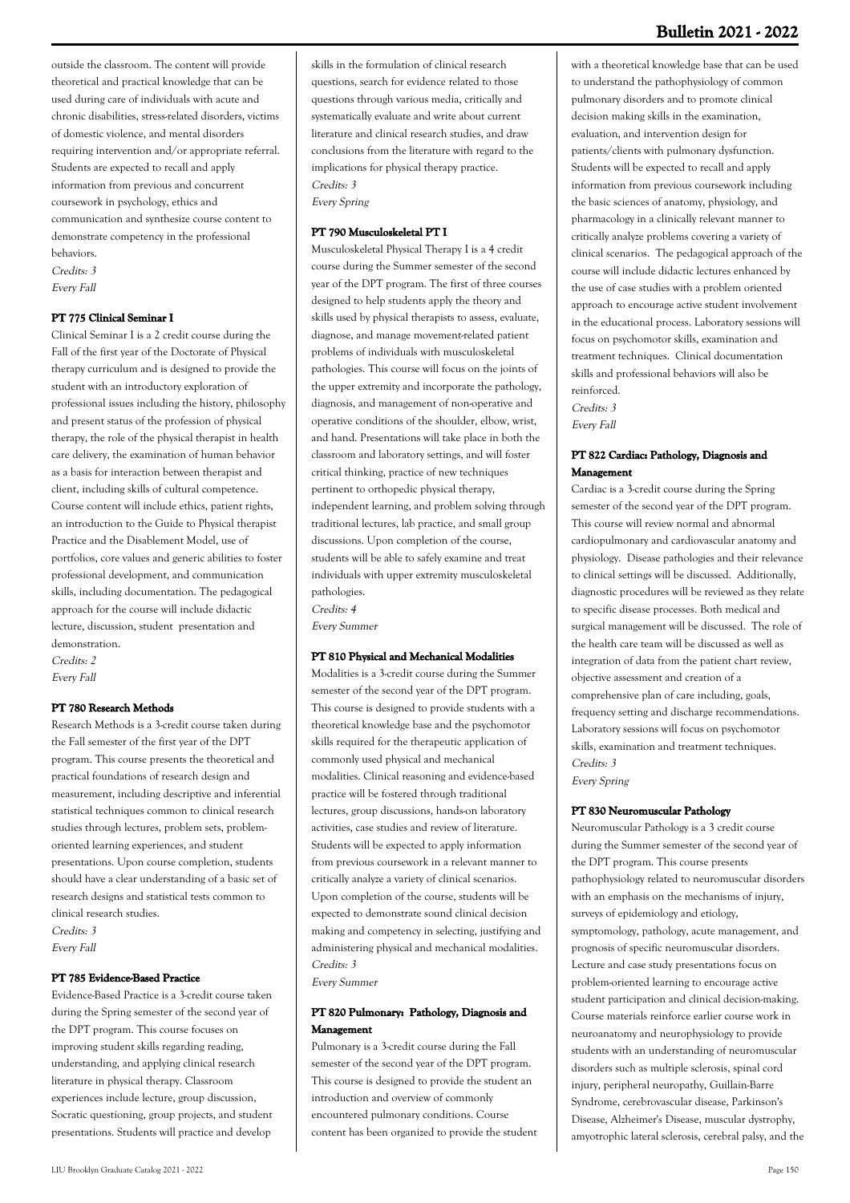outside the classroom. The content will provide theoretical and practical knowledge that can be used during care of individuals with acute and chronic disabilities, stress-related disorders, victims of domestic violence, and mental disorders requiring intervention and/or appropriate referral. Students are expected to recall and apply information from previous and concurrent coursework in psychology, ethics and communication and synthesize course content to demonstrate competency in the professional behaviors. Credits: 3

Every Fall

#### **PT 775 Clinical Seminar I**

Clinical Seminar I is a 2 credit course during the Fall of the first year of the Doctorate of Physical therapy curriculum and is designed to provide the student with an introductory exploration of professional issues including the history, philosophy and present status of the profession of physical therapy, the role of the physical therapist in health care delivery, the examination of human behavior as a basis for interaction between therapist and client, including skills of cultural competence. Course content will include ethics, patient rights, an introduction to the Guide to Physical therapist Practice and the Disablement Model, use of portfolios, core values and generic abilities to foster professional development, and communication skills, including documentation. The pedagogical approach for the course will include didactic lecture, discussion, student presentation and demonstration.

Credits: 2 Every Fall

#### **PT 780 Research Methods**

Research Methods is a 3-credit course taken during the Fall semester of the first year of the DPT program. This course presents the theoretical and practical foundations of research design and measurement, including descriptive and inferential statistical techniques common to clinical research studies through lectures, problem sets, problemoriented learning experiences, and student presentations. Upon course completion, students should have a clear understanding of a basic set of research designs and statistical tests common to clinical research studies.

Credits: 3 Every Fall

#### **PT 785 Evidence-Based Practice**

Evidence-Based Practice is a 3-credit course taken during the Spring semester of the second year of the DPT program. This course focuses on improving student skills regarding reading, understanding, and applying clinical research literature in physical therapy. Classroom experiences include lecture, group discussion, Socratic questioning, group projects, and student presentations. Students will practice and develop

skills in the formulation of clinical research questions, search for evidence related to those questions through various media, critically and systematically evaluate and write about current literature and clinical research studies, and draw conclusions from the literature with regard to the implications for physical therapy practice. Credits: 3

Every Spring

#### **PT 790 Musculoskeletal PT I**

Musculoskeletal Physical Therapy I is a 4 credit course during the Summer semester of the second year of the DPT program. The first of three courses designed to help students apply the theory and skills used by physical therapists to assess, evaluate, diagnose, and manage movement-related patient problems of individuals with musculoskeletal pathologies. This course will focus on the joints of the upper extremity and incorporate the pathology, diagnosis, and management of non-operative and operative conditions of the shoulder, elbow, wrist, and hand. Presentations will take place in both the classroom and laboratory settings, and will foster critical thinking, practice of new techniques pertinent to orthopedic physical therapy, independent learning, and problem solving through traditional lectures, lab practice, and small group discussions. Upon completion of the course, students will be able to safely examine and treat individuals with upper extremity musculoskeletal pathologies.

Credits: 4

Every Summer

#### **PT 810 Physical and Mechanical Modalities**

Modalities is a 3-credit course during the Summer semester of the second year of the DPT program. This course is designed to provide students with a theoretical knowledge base and the psychomotor skills required for the therapeutic application of commonly used physical and mechanical modalities. Clinical reasoning and evidence-based practice will be fostered through traditional lectures, group discussions, hands-on laboratory activities, case studies and review of literature. Students will be expected to apply information from previous coursework in a relevant manner to critically analyze a variety of clinical scenarios. Upon completion of the course, students will be expected to demonstrate sound clinical decision making and competency in selecting, justifying and administering physical and mechanical modalities. Credits: 3

Every Summer

### **PT 820 Pulmonary: Pathology, Diagnosis and Management**

Pulmonary is a 3-credit course during the Fall semester of the second year of the DPT program. This course is designed to provide the student an introduction and overview of commonly encountered pulmonary conditions. Course content has been organized to provide the student

## **Bulletin 2021 - 2022**

with a theoretical knowledge base that can be used to understand the pathophysiology of common pulmonary disorders and to promote clinical decision making skills in the examination, evaluation, and intervention design for patients/clients with pulmonary dysfunction. Students will be expected to recall and apply information from previous coursework including the basic sciences of anatomy, physiology, and pharmacology in a clinically relevant manner to critically analyze problems covering a variety of clinical scenarios. The pedagogical approach of the course will include didactic lectures enhanced by the use of case studies with a problem oriented approach to encourage active student involvement in the educational process. Laboratory sessions will focus on psychomotor skills, examination and treatment techniques. Clinical documentation skills and professional behaviors will also be reinforced.

Credits: 3 Every Fall

### **PT 822 Cardiac: Pathology, Diagnosis and Management**

Cardiac is a 3-credit course during the Spring semester of the second year of the DPT program. This course will review normal and abnormal cardiopulmonary and cardiovascular anatomy and physiology. Disease pathologies and their relevance to clinical settings will be discussed. Additionally, diagnostic procedures will be reviewed as they relate to specific disease processes. Both medical and surgical management will be discussed. The role of the health care team will be discussed as well as integration of data from the patient chart review, objective assessment and creation of a comprehensive plan of care including, goals, frequency setting and discharge recommendations. Laboratory sessions will focus on psychomotor skills, examination and treatment techniques. Credits: 3 Every Spring

#### **PT 830 Neuromuscular Pathology**

Neuromuscular Pathology is a 3 credit course during the Summer semester of the second year of the DPT program. This course presents pathophysiology related to neuromuscular disorders with an emphasis on the mechanisms of injury, surveys of epidemiology and etiology, symptomology, pathology, acute management, and prognosis of specific neuromuscular disorders. Lecture and case study presentations focus on problem-oriented learning to encourage active student participation and clinical decision-making. Course materials reinforce earlier course work in neuroanatomy and neurophysiology to provide students with an understanding of neuromuscular disorders such as multiple sclerosis, spinal cord injury, peripheral neuropathy, Guillain-Barre Syndrome, cerebrovascular disease, Parkinson's Disease, Alzheimer's Disease, muscular dystrophy, amyotrophic lateral sclerosis, cerebral palsy, and the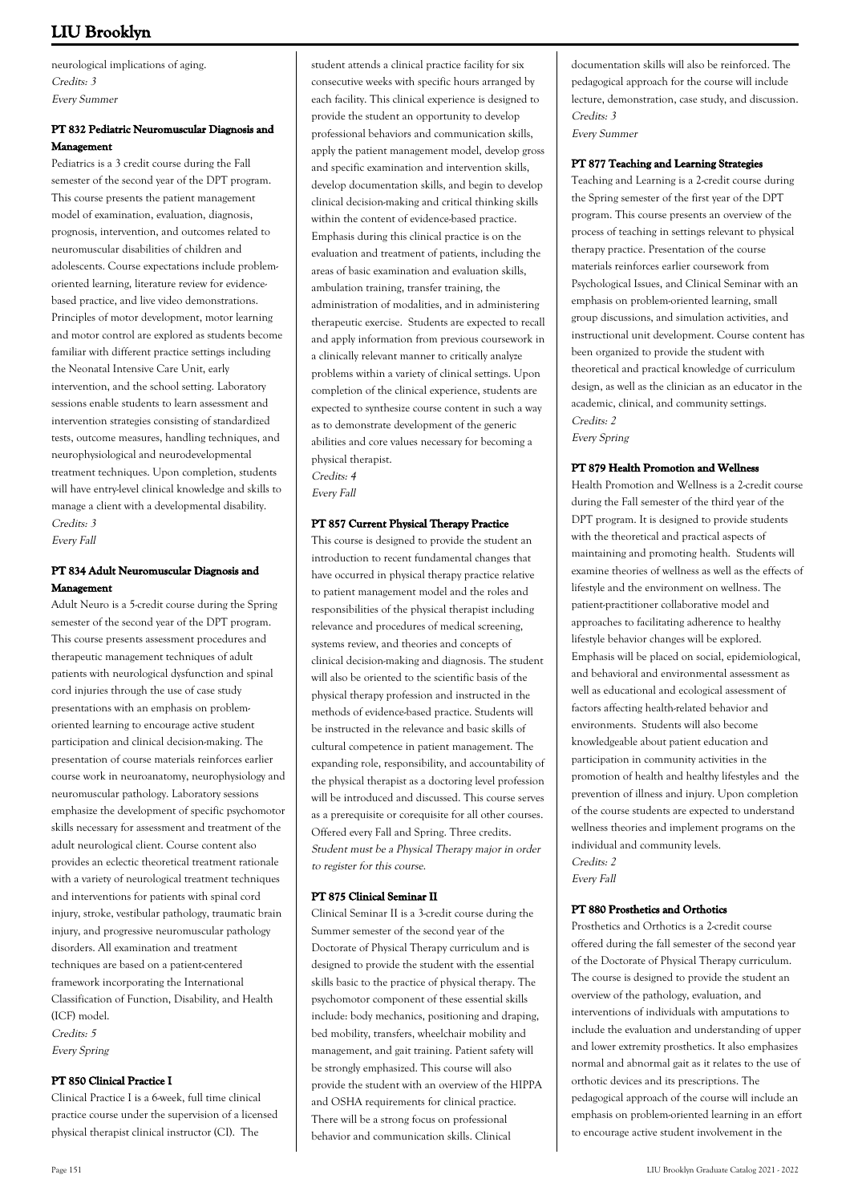neurological implications of aging. Credits: 3 Every Summer

## **PT 832 Pediatric Neuromuscular Diagnosis and Management**

Pediatrics is a 3 credit course during the Fall semester of the second year of the DPT program. This course presents the patient management model of examination, evaluation, diagnosis, prognosis, intervention, and outcomes related to neuromuscular disabilities of children and adolescents. Course expectations include problemoriented learning, literature review for evidencebased practice, and live video demonstrations. Principles of motor development, motor learning and motor control are explored as students become familiar with different practice settings including the Neonatal Intensive Care Unit, early intervention, and the school setting. Laboratory sessions enable students to learn assessment and intervention strategies consisting of standardized tests, outcome measures, handling techniques, and neurophysiological and neurodevelopmental treatment techniques. Upon completion, students will have entry-level clinical knowledge and skills to manage a client with a developmental disability. Credits: 3 Every Fall

## **PT 834 Adult Neuromuscular Diagnosis and Management**

Adult Neuro is a 5-credit course during the Spring semester of the second year of the DPT program. This course presents assessment procedures and therapeutic management techniques of adult patients with neurological dysfunction and spinal cord injuries through the use of case study presentations with an emphasis on problemoriented learning to encourage active student participation and clinical decision-making. The presentation of course materials reinforces earlier course work in neuroanatomy, neurophysiology and neuromuscular pathology. Laboratory sessions emphasize the development of specific psychomotor skills necessary for assessment and treatment of the adult neurological client. Course content also provides an eclectic theoretical treatment rationale with a variety of neurological treatment techniques and interventions for patients with spinal cord injury, stroke, vestibular pathology, traumatic brain injury, and progressive neuromuscular pathology disorders. All examination and treatment techniques are based on a patient-centered framework incorporating the International Classification of Function, Disability, and Health (ICF) model. Credits: 5

Every Spring

## **PT 850 Clinical Practice I**

Clinical Practice I is a 6-week, full time clinical practice course under the supervision of a licensed physical therapist clinical instructor (CI). The

student attends a clinical practice facility for six consecutive weeks with specific hours arranged by each facility. This clinical experience is designed to provide the student an opportunity to develop professional behaviors and communication skills, apply the patient management model, develop gross and specific examination and intervention skills, develop documentation skills, and begin to develop clinical decision-making and critical thinking skills within the content of evidence-based practice. Emphasis during this clinical practice is on the evaluation and treatment of patients, including the areas of basic examination and evaluation skills, ambulation training, transfer training, the administration of modalities, and in administering therapeutic exercise. Students are expected to recall and apply information from previous coursework in a clinically relevant manner to critically analyze problems within a variety of clinical settings. Upon completion of the clinical experience, students are expected to synthesize course content in such a way as to demonstrate development of the generic abilities and core values necessary for becoming a physical therapist.

Credits: 4 Every Fall

## **PT 857 Current Physical Therapy Practice**

This course is designed to provide the student an introduction to recent fundamental changes that have occurred in physical therapy practice relative to patient management model and the roles and responsibilities of the physical therapist including relevance and procedures of medical screening, systems review, and theories and concepts of clinical decision-making and diagnosis. The student will also be oriented to the scientific basis of the physical therapy profession and instructed in the methods of evidence-based practice. Students will be instructed in the relevance and basic skills of cultural competence in patient management. The expanding role, responsibility, and accountability of the physical therapist as a doctoring level profession will be introduced and discussed. This course serves as a prerequisite or corequisite for all other courses. Offered every Fall and Spring. Three credits. Student must be a Physical Therapy major in order to register for this course.

#### **PT 875 Clinical Seminar II**

Clinical Seminar II is a 3-credit course during the Summer semester of the second year of the Doctorate of Physical Therapy curriculum and is designed to provide the student with the essential skills basic to the practice of physical therapy. The psychomotor component of these essential skills include: body mechanics, positioning and draping, bed mobility, transfers, wheelchair mobility and management, and gait training. Patient safety will be strongly emphasized. This course will also provide the student with an overview of the HIPPA and OSHA requirements for clinical practice. There will be a strong focus on professional behavior and communication skills. Clinical

documentation skills will also be reinforced. The pedagogical approach for the course will include lecture, demonstration, case study, and discussion. Credits: 3 Every Summer

#### **PT 877 Teaching and Learning Strategies**

Teaching and Learning is a 2-credit course during the Spring semester of the first year of the DPT program. This course presents an overview of the process of teaching in settings relevant to physical therapy practice. Presentation of the course materials reinforces earlier coursework from Psychological Issues, and Clinical Seminar with an emphasis on problem-oriented learning, small group discussions, and simulation activities, and instructional unit development. Course content has been organized to provide the student with theoretical and practical knowledge of curriculum design, as well as the clinician as an educator in the academic, clinical, and community settings. Credits: 2 Every Spring

### **PT 879 Health Promotion and Wellness**

Health Promotion and Wellness is a 2-credit course during the Fall semester of the third year of the DPT program. It is designed to provide students with the theoretical and practical aspects of maintaining and promoting health. Students will examine theories of wellness as well as the effects of lifestyle and the environment on wellness. The patient-practitioner collaborative model and approaches to facilitating adherence to healthy lifestyle behavior changes will be explored. Emphasis will be placed on social, epidemiological, and behavioral and environmental assessment as well as educational and ecological assessment of factors affecting health-related behavior and environments. Students will also become knowledgeable about patient education and participation in community activities in the promotion of health and healthy lifestyles and the prevention of illness and injury. Upon completion of the course students are expected to understand wellness theories and implement programs on the individual and community levels. Credits: 2

Every Fall

## **PT 880 Prosthetics and Orthotics**

Prosthetics and Orthotics is a 2-credit course offered during the fall semester of the second year of the Doctorate of Physical Therapy curriculum. The course is designed to provide the student an overview of the pathology, evaluation, and interventions of individuals with amputations to include the evaluation and understanding of upper and lower extremity prosthetics. It also emphasizes normal and abnormal gait as it relates to the use of orthotic devices and its prescriptions. The pedagogical approach of the course will include an emphasis on problem-oriented learning in an effort to encourage active student involvement in the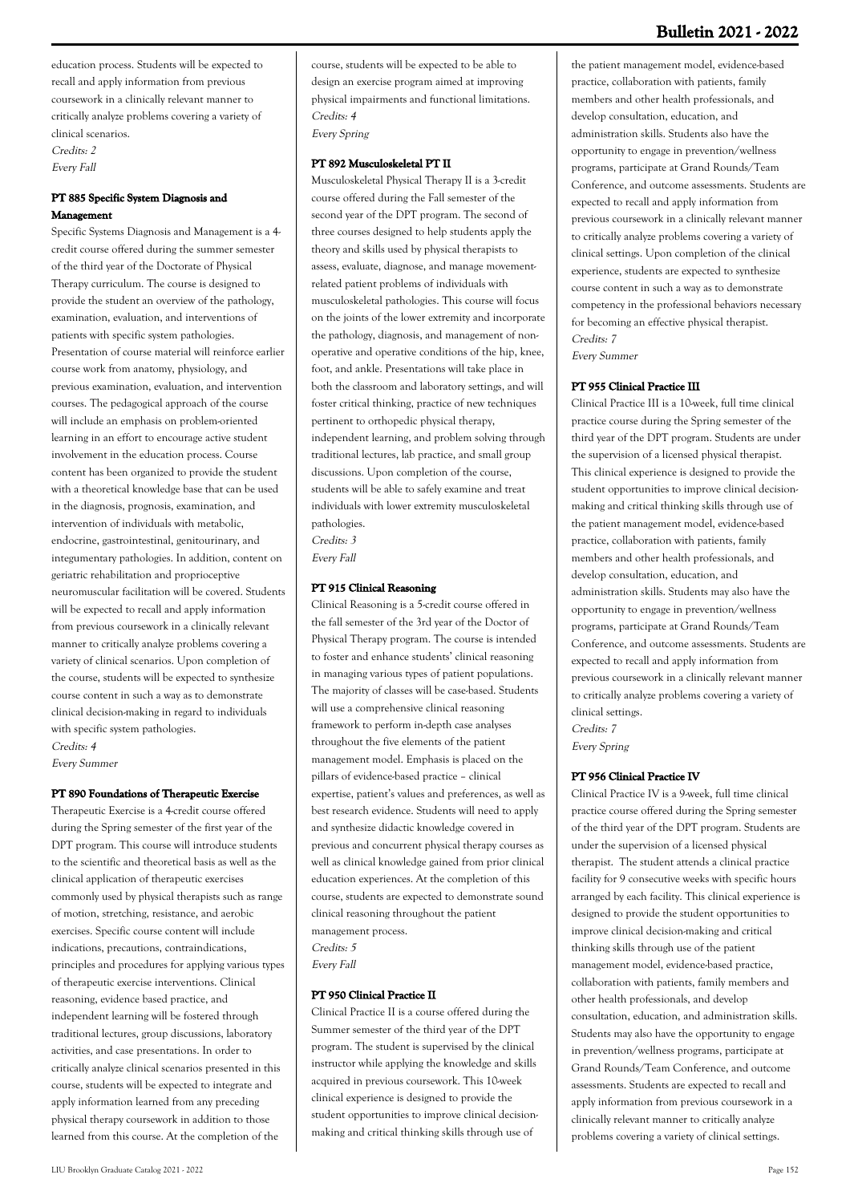education process. Students will be expected to recall and apply information from previous coursework in a clinically relevant manner to critically analyze problems covering a variety of clinical scenarios.

Credits: 2 Every Fall

## **PT 885 Specific System Diagnosis and Management**

Specific Systems Diagnosis and Management is a 4 credit course offered during the summer semester of the third year of the Doctorate of Physical Therapy curriculum. The course is designed to provide the student an overview of the pathology, examination, evaluation, and interventions of patients with specific system pathologies. Presentation of course material will reinforce earlier course work from anatomy, physiology, and previous examination, evaluation, and intervention courses. The pedagogical approach of the course will include an emphasis on problem-oriented learning in an effort to encourage active student involvement in the education process. Course content has been organized to provide the student with a theoretical knowledge base that can be used in the diagnosis, prognosis, examination, and intervention of individuals with metabolic, endocrine, gastrointestinal, genitourinary, and integumentary pathologies. In addition, content on geriatric rehabilitation and proprioceptive neuromuscular facilitation will be covered. Students will be expected to recall and apply information from previous coursework in a clinically relevant manner to critically analyze problems covering a variety of clinical scenarios. Upon completion of the course, students will be expected to synthesize course content in such a way as to demonstrate clinical decision-making in regard to individuals with specific system pathologies. Credits: 4

Every Summer

#### **PT 890 Foundations of Therapeutic Exercise**

Therapeutic Exercise is a 4-credit course offered during the Spring semester of the first year of the DPT program. This course will introduce students to the scientific and theoretical basis as well as the clinical application of therapeutic exercises commonly used by physical therapists such as range of motion, stretching, resistance, and aerobic exercises. Specific course content will include indications, precautions, contraindications, principles and procedures for applying various types of therapeutic exercise interventions. Clinical reasoning, evidence based practice, and independent learning will be fostered through traditional lectures, group discussions, laboratory activities, and case presentations. In order to critically analyze clinical scenarios presented in this course, students will be expected to integrate and apply information learned from any preceding physical therapy coursework in addition to those learned from this course. At the completion of the

course, students will be expected to be able to design an exercise program aimed at improving physical impairments and functional limitations. Credits: 4

Every Spring

#### **PT 892 Musculoskeletal PT II**

Musculoskeletal Physical Therapy II is a 3-credit course offered during the Fall semester of the second year of the DPT program. The second of three courses designed to help students apply the theory and skills used by physical therapists to assess, evaluate, diagnose, and manage movementrelated patient problems of individuals with musculoskeletal pathologies. This course will focus on the joints of the lower extremity and incorporate the pathology, diagnosis, and management of nonoperative and operative conditions of the hip, knee, foot, and ankle. Presentations will take place in both the classroom and laboratory settings, and will foster critical thinking, practice of new techniques pertinent to orthopedic physical therapy, independent learning, and problem solving through traditional lectures, lab practice, and small group discussions. Upon completion of the course, students will be able to safely examine and treat individuals with lower extremity musculoskeletal pathologies. Credits: 3

Every Fall

### **PT 915 Clinical Reasoning**

Clinical Reasoning is a 5-credit course offered in the fall semester of the 3rd year of the Doctor of Physical Therapy program. The course is intended to foster and enhance students' clinical reasoning in managing various types of patient populations. The majority of classes will be case-based. Students will use a comprehensive clinical reasoning framework to perform in-depth case analyses throughout the five elements of the patient management model. Emphasis is placed on the pillars of evidence-based practice – clinical expertise, patient's values and preferences, as well as best research evidence. Students will need to apply and synthesize didactic knowledge covered in previous and concurrent physical therapy courses as well as clinical knowledge gained from prior clinical education experiences. At the completion of this course, students are expected to demonstrate sound clinical reasoning throughout the patient management process. Credits: 5 Every Fall

#### **PT 950 Clinical Practice II**

Clinical Practice II is a course offered during the Summer semester of the third year of the DPT program. The student is supervised by the clinical instructor while applying the knowledge and skills acquired in previous coursework. This 10-week clinical experience is designed to provide the student opportunities to improve clinical decisionmaking and critical thinking skills through use of

the patient management model, evidence-based practice, collaboration with patients, family members and other health professionals, and develop consultation, education, and administration skills. Students also have the opportunity to engage in prevention/wellness programs, participate at Grand Rounds/Team Conference, and outcome assessments. Students are expected to recall and apply information from previous coursework in a clinically relevant manner to critically analyze problems covering a variety of clinical settings. Upon completion of the clinical experience, students are expected to synthesize course content in such a way as to demonstrate competency in the professional behaviors necessary for becoming an effective physical therapist. Credits: 7 Every Summer

#### **PT 955 Clinical Practice III**

Clinical Practice III is a 10-week, full time clinical practice course during the Spring semester of the third year of the DPT program. Students are under the supervision of a licensed physical therapist. This clinical experience is designed to provide the student opportunities to improve clinical decisionmaking and critical thinking skills through use of the patient management model, evidence-based practice, collaboration with patients, family members and other health professionals, and develop consultation, education, and administration skills. Students may also have the opportunity to engage in prevention/wellness programs, participate at Grand Rounds/Team Conference, and outcome assessments. Students are expected to recall and apply information from previous coursework in a clinically relevant manner to critically analyze problems covering a variety of clinical settings. Credits: 7

Every Spring

## **PT 956 Clinical Practice IV**

Clinical Practice IV is a 9-week, full time clinical practice course offered during the Spring semester of the third year of the DPT program. Students are under the supervision of a licensed physical therapist. The student attends a clinical practice facility for 9 consecutive weeks with specific hours arranged by each facility. This clinical experience is designed to provide the student opportunities to improve clinical decision-making and critical thinking skills through use of the patient management model, evidence-based practice, collaboration with patients, family members and other health professionals, and develop consultation, education, and administration skills. Students may also have the opportunity to engage in prevention/wellness programs, participate at Grand Rounds/Team Conference, and outcome assessments. Students are expected to recall and apply information from previous coursework in a clinically relevant manner to critically analyze problems covering a variety of clinical settings.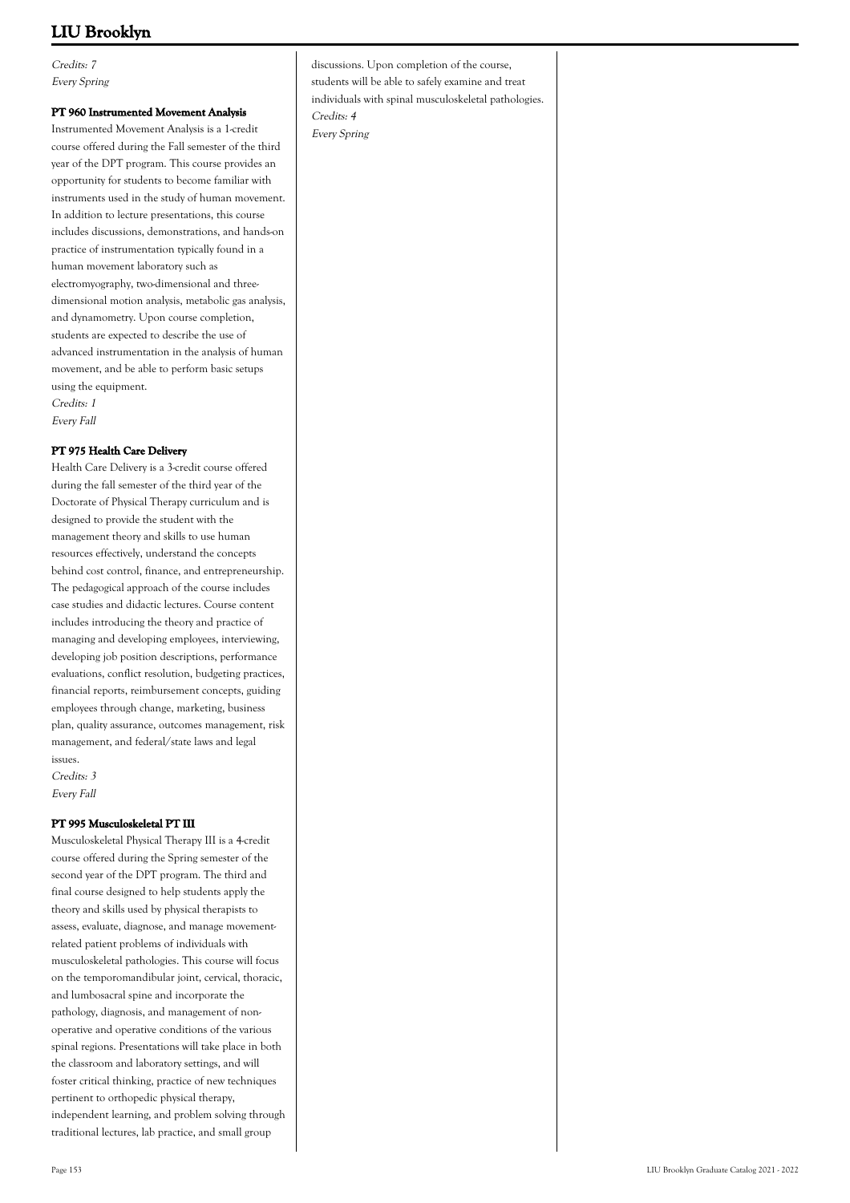Credits: 7 Every Spring

### **PT 960 Instrumented Movement Analysis**

Instrumented Movement Analysis is a 1-credit course offered during the Fall semester of the third year of the DPT program. This course provides an opportunity for students to become familiar with instruments used in the study of human movement. In addition to lecture presentations, this course includes discussions, demonstrations, and hands-on practice of instrumentation typically found in a human movement laboratory such as electromyography, two-dimensional and threedimensional motion analysis, metabolic gas analysis, and dynamometry. Upon course completion, students are expected to describe the use of advanced instrumentation in the analysis of human movement, and be able to perform basic setups using the equipment. Credits: 1

Every Fall

### **PT 975 Health Care Delivery**

Health Care Delivery is a 3-credit course offered during the fall semester of the third year of the Doctorate of Physical Therapy curriculum and is designed to provide the student with the management theory and skills to use human resources effectively, understand the concepts behind cost control, finance, and entrepreneurship. The pedagogical approach of the course includes case studies and didactic lectures. Course content includes introducing the theory and practice of managing and developing employees, interviewing, developing job position descriptions, performance evaluations, conflict resolution, budgeting practices, financial reports, reimbursement concepts, guiding employees through change, marketing, business plan, quality assurance, outcomes management, risk management, and federal/state laws and legal issues.

Credits: 3 Every Fall

### **PT 995 Musculoskeletal PT III**

Musculoskeletal Physical Therapy III is a 4-credit course offered during the Spring semester of the second year of the DPT program. The third and final course designed to help students apply the theory and skills used by physical therapists to assess, evaluate, diagnose, and manage movementrelated patient problems of individuals with musculoskeletal pathologies. This course will focus on the temporomandibular joint, cervical, thoracic, and lumbosacral spine and incorporate the pathology, diagnosis, and management of nonoperative and operative conditions of the various spinal regions. Presentations will take place in both the classroom and laboratory settings, and will foster critical thinking, practice of new techniques pertinent to orthopedic physical therapy, independent learning, and problem solving through traditional lectures, lab practice, and small group

discussions. Upon completion of the course, students will be able to safely examine and treat individuals with spinal musculoskeletal pathologies. Credits: 4 Every Spring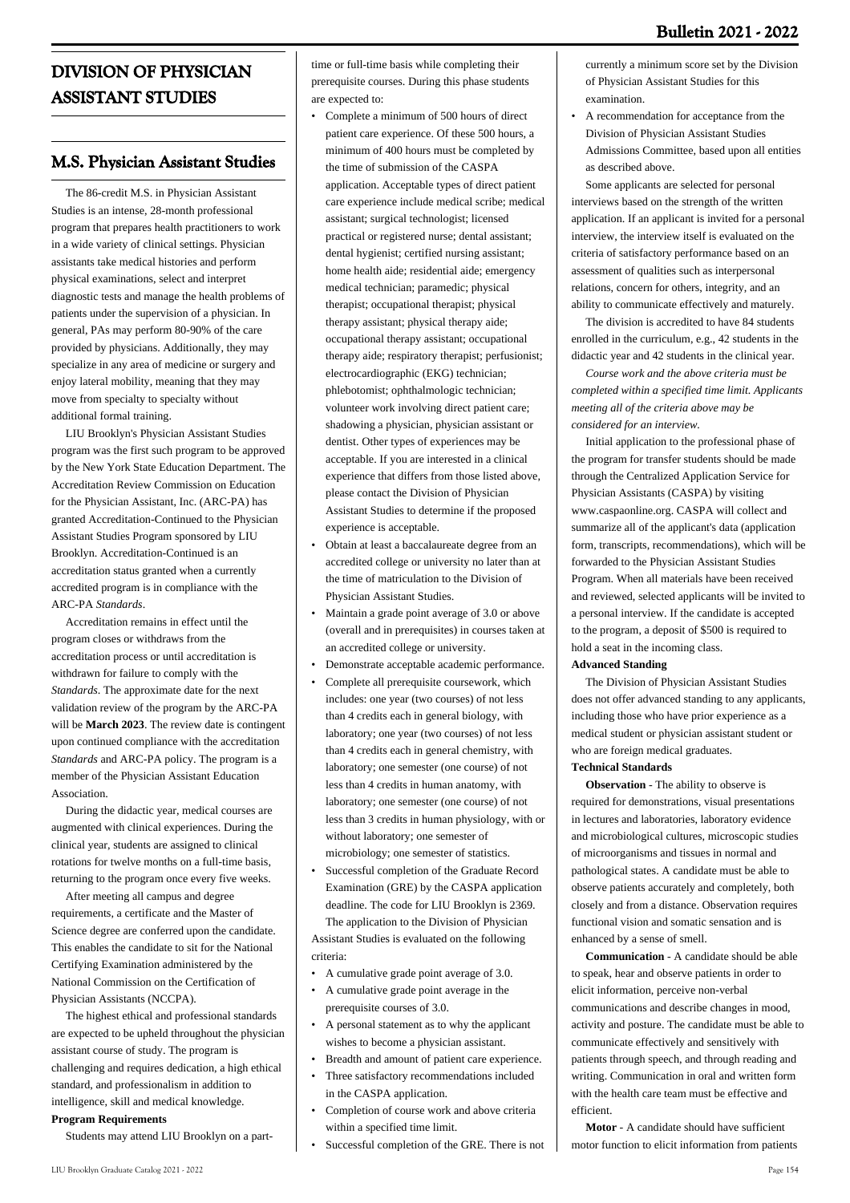# **DIVISION OF PHYSICIAN ASSISTANT STUDIES**

# **M.S. Physician Assistant Studies**

 The 86-credit M.S. in Physician Assistant Studies is an intense, 28-month professional program that prepares health practitioners to work in a wide variety of clinical settings. Physician assistants take medical histories and perform physical examinations, select and interpret diagnostic tests and manage the health problems of patients under the supervision of a physician. In general, PAs may perform 80-90% of the care provided by physicians. Additionally, they may specialize in any area of medicine or surgery and enjoy lateral mobility, meaning that they may move from specialty to specialty without additional formal training.

 LIU Brooklyn's Physician Assistant Studies program was the first such program to be approved by the New York State Education Department. The Accreditation Review Commission on Education for the Physician Assistant, Inc. (ARC-PA) has granted Accreditation-Continued to the Physician Assistant Studies Program sponsored by LIU Brooklyn. Accreditation-Continued is an accreditation status granted when a currently accredited program is in compliance with the ARC-PA *Standards*.

 Accreditation remains in effect until the program closes or withdraws from the accreditation process or until accreditation is withdrawn for failure to comply with the *Standards*. The approximate date for the next validation review of the program by the ARC-PA will be **March 2023**. The review date is contingent upon continued compliance with the accreditation *Standards* and ARC-PA policy. The program is a member of the Physician Assistant Education Association.

 During the didactic year, medical courses are augmented with clinical experiences. During the clinical year, students are assigned to clinical rotations for twelve months on a full-time basis, returning to the program once every five weeks.

 After meeting all campus and degree requirements, a certificate and the Master of Science degree are conferred upon the candidate. This enables the candidate to sit for the National Certifying Examination administered by the National Commission on the Certification of Physician Assistants (NCCPA).

 The highest ethical and professional standards are expected to be upheld throughout the physician assistant course of study. The program is challenging and requires dedication, a high ethical standard, and professionalism in addition to intelligence, skill and medical knowledge. **Program Requirements**

Students may attend LIU Brooklyn on a part-

time or full-time basis while completing their prerequisite courses. During this phase students are expected to:

- Complete a minimum of 500 hours of direct patient care experience. Of these 500 hours, a minimum of 400 hours must be completed by the time of submission of the CASPA application. Acceptable types of direct patient care experience include medical scribe; medical assistant; surgical technologist; licensed practical or registered nurse; dental assistant; dental hygienist; certified nursing assistant; home health aide; residential aide; emergency medical technician; paramedic; physical therapist; occupational therapist; physical therapy assistant; physical therapy aide; occupational therapy assistant; occupational therapy aide; respiratory therapist; perfusionist; electrocardiographic (EKG) technician; phlebotomist; ophthalmologic technician; volunteer work involving direct patient care; shadowing a physician, physician assistant or dentist. Other types of experiences may be acceptable. If you are interested in a clinical experience that differs from those listed above, please contact the Division of Physician Assistant Studies to determine if the proposed experience is acceptable.
- Obtain at least a baccalaureate degree from an accredited college or university no later than at the time of matriculation to the Division of Physician Assistant Studies. •
- Maintain a grade point average of 3.0 or above (overall and in prerequisites) in courses taken at an accredited college or university. •
- Demonstrate acceptable academic performance.
- Complete all prerequisite coursework, which includes: one year (two courses) of not less than 4 credits each in general biology, with laboratory; one year (two courses) of not less than 4 credits each in general chemistry, with laboratory; one semester (one course) of not less than 4 credits in human anatomy, with laboratory; one semester (one course) of not less than 3 credits in human physiology, with or without laboratory; one semester of microbiology; one semester of statistics. •
- Successful completion of the Graduate Record Examination (GRE) by the CASPA application deadline. The code for LIU Brooklyn is 2369. • The application to the Division of Physician Assistant Studies is evaluated on the following

criteria:

- A cumulative grade point average of 3.0.
- A cumulative grade point average in the prerequisite courses of 3.0.
- A personal statement as to why the applicant wishes to become a physician assistant. •
- Breadth and amount of patient care experience.
- Three satisfactory recommendations included in the CASPA application. •
- Completion of course work and above criteria within a specified time limit. •
- Successful completion of the GRE. There is not

currently a minimum score set by the Division of Physician Assistant Studies for this examination.

A recommendation for acceptance from the Division of Physician Assistant Studies Admissions Committee, based upon all entities as described above. •

 Some applicants are selected for personal interviews based on the strength of the written application. If an applicant is invited for a personal interview, the interview itself is evaluated on the criteria of satisfactory performance based on an assessment of qualities such as interpersonal relations, concern for others, integrity, and an ability to communicate effectively and maturely.

 The division is accredited to have 84 students enrolled in the curriculum, e.g., 42 students in the didactic year and 42 students in the clinical year.

 *Course work and the above criteria must be completed within a specified time limit. Applicants meeting all of the criteria above may be considered for an interview.*

 Initial application to the professional phase of the program for transfer students should be made through the Centralized Application Service for Physician Assistants (CASPA) by visiting www.caspaonline.org. CASPA will collect and summarize all of the applicant's data (application form, transcripts, recommendations), which will be forwarded to the Physician Assistant Studies Program. When all materials have been received and reviewed, selected applicants will be invited to a personal interview. If the candidate is accepted to the program, a deposit of \$500 is required to hold a seat in the incoming class.

### **Advanced Standing**

 The Division of Physician Assistant Studies does not offer advanced standing to any applicants, including those who have prior experience as a medical student or physician assistant student or who are foreign medical graduates.

### **Technical Standards**

 **Observation** - The ability to observe is required for demonstrations, visual presentations in lectures and laboratories, laboratory evidence and microbiological cultures, microscopic studies of microorganisms and tissues in normal and pathological states. A candidate must be able to observe patients accurately and completely, both closely and from a distance. Observation requires functional vision and somatic sensation and is enhanced by a sense of smell.

 **Communication** - A candidate should be able to speak, hear and observe patients in order to elicit information, perceive non-verbal communications and describe changes in mood, activity and posture. The candidate must be able to communicate effectively and sensitively with patients through speech, and through reading and writing. Communication in oral and written form with the health care team must be effective and efficient.

 **Motor** - A candidate should have sufficient motor function to elicit information from patients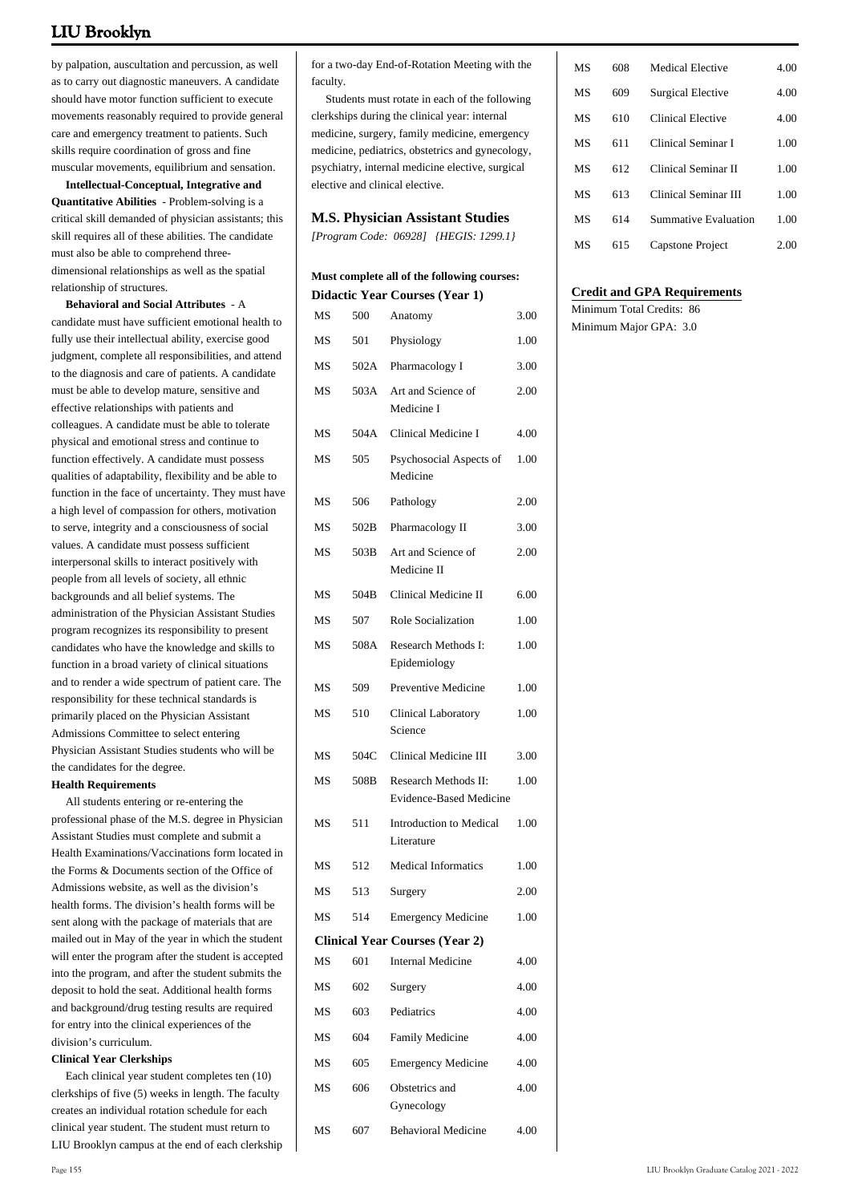by palpation, auscultation and percussion, as well as to carry out diagnostic maneuvers. A candidate should have motor function sufficient to execute movements reasonably required to provide general care and emergency treatment to patients. Such skills require coordination of gross and fine muscular movements, equilibrium and sensation.

 **Intellectual-Conceptual, Integrative and Quantitative Abilities** - Problem-solving is a critical skill demanded of physician assistants; this skill requires all of these abilities. The candidate must also be able to comprehend threedimensional relationships as well as the spatial relationship of structures.

 **Behavioral and Social Attributes** - A candidate must have sufficient emotional health to fully use their intellectual ability, exercise good judgment, complete all responsibilities, and attend to the diagnosis and care of patients. A candidate must be able to develop mature, sensitive and effective relationships with patients and colleagues. A candidate must be able to tolerate physical and emotional stress and continue to function effectively. A candidate must possess qualities of adaptability, flexibility and be able to function in the face of uncertainty. They must have a high level of compassion for others, motivation to serve, integrity and a consciousness of social values. A candidate must possess sufficient interpersonal skills to interact positively with people from all levels of society, all ethnic backgrounds and all belief systems. The administration of the Physician Assistant Studies program recognizes its responsibility to present candidates who have the knowledge and skills to function in a broad variety of clinical situations and to render a wide spectrum of patient care. The responsibility for these technical standards is primarily placed on the Physician Assistant Admissions Committee to select entering Physician Assistant Studies students who will be the candidates for the degree.

#### **Health Requirements**

 All students entering or re-entering the professional phase of the M.S. degree in Physician Assistant Studies must complete and submit a Health Examinations/Vaccinations form located in the Forms & Documents section of the Office of Admissions website, as well as the division's health forms. The division's health forms will be sent along with the package of materials that are mailed out in May of the year in which the student will enter the program after the student is accepted into the program, and after the student submits the deposit to hold the seat. Additional health forms and background/drug testing results are required for entry into the clinical experiences of the division's curriculum.

#### **Clinical Year Clerkships**

 Each clinical year student completes ten (10) clerkships of five (5) weeks in length. The faculty creates an individual rotation schedule for each clinical year student. The student must return to LIU Brooklyn campus at the end of each clerkship for a two-day End-of-Rotation Meeting with the faculty.

 Students must rotate in each of the following clerkships during the clinical year: internal medicine, surgery, family medicine, emergency medicine, pediatrics, obstetrics and gynecology, psychiatry, internal medicine elective, surgical elective and clinical elective.

#### **M.S. Physician Assistant Studies**

*[Program Code: 06928] {HEGIS: 1299.1}*

#### **Must complete all of the following courses: Didactic Year Courses (Year 1)**

|    |      | $\sim$ $\sim$ $\sim$ $\sim$ $\sim$                     |      |
|----|------|--------------------------------------------------------|------|
| MS | 500  | Anatomy                                                | 3.00 |
| MS | 501  | Physiology                                             | 1.00 |
| MS | 502A | Pharmacology I                                         | 3.00 |
| MS | 503A | Art and Science of<br>Medicine I                       | 2.00 |
| MS | 504A | Clinical Medicine I                                    | 4.00 |
| MS | 505  | Psychosocial Aspects of<br>Medicine                    | 1.00 |
| MS | 506  | Pathology                                              | 2.00 |
| MS | 502B | Pharmacology II                                        | 3.00 |
| MS | 503B | Art and Science of<br>Medicine II                      | 2.00 |
| MS | 504B | Clinical Medicine II                                   | 6.00 |
| MS | 507  | <b>Role Socialization</b>                              | 1.00 |
| MS | 508A | Research Methods I:<br>Epidemiology                    | 1.00 |
| MS | 509  | Preventive Medicine                                    | 1.00 |
| MS | 510  | Clinical Laboratory<br>Science                         | 1.00 |
| MS | 504C | Clinical Medicine III                                  | 3.00 |
| MS | 508B | Research Methods II:<br><b>Evidence-Based Medicine</b> | 1.00 |
| MS | 511  | <b>Introduction to Medical</b><br>Literature           | 1.00 |
| MS | 512  | <b>Medical Informatics</b>                             | 1.00 |
| MS | 513  | Surgery                                                | 2.00 |
| MS | 514  | <b>Emergency Medicine</b>                              | 1.00 |
|    |      | <b>Clinical Year Courses (Year 2)</b>                  |      |
| MS | 601  | <b>Internal Medicine</b>                               | 4.00 |
| MS | 602  | Surgery                                                | 4.00 |
| MS | 603  | Pediatrics                                             | 4.00 |
| MS | 604  | <b>Family Medicine</b>                                 | 4.00 |
| MS | 605  | <b>Emergency Medicine</b>                              | 4.00 |
| MS | 606  | Obstetrics and<br>Gynecology                           | 4.00 |
| MS | 607  | <b>Behavioral Medicine</b>                             | 4.00 |

| МS | 608 | <b>Medical Elective</b>     | 4.00 |
|----|-----|-----------------------------|------|
| MS | 609 | <b>Surgical Elective</b>    | 4.00 |
| MS | 610 | Clinical Elective           | 4.00 |
| МS | 611 | Clinical Seminar I          | 1.00 |
| МS | 612 | Clinical Seminar II         | 1.00 |
| МS | 613 | Clinical Seminar III        | 1.00 |
| МS | 614 | <b>Summative Evaluation</b> | 1.00 |
| MS | 615 | Capstone Project            | 2.00 |
|    |     |                             |      |

#### **Credit and GPA Requirements**

Minimum Total Credits: 86 Minimum Major GPA: 3.0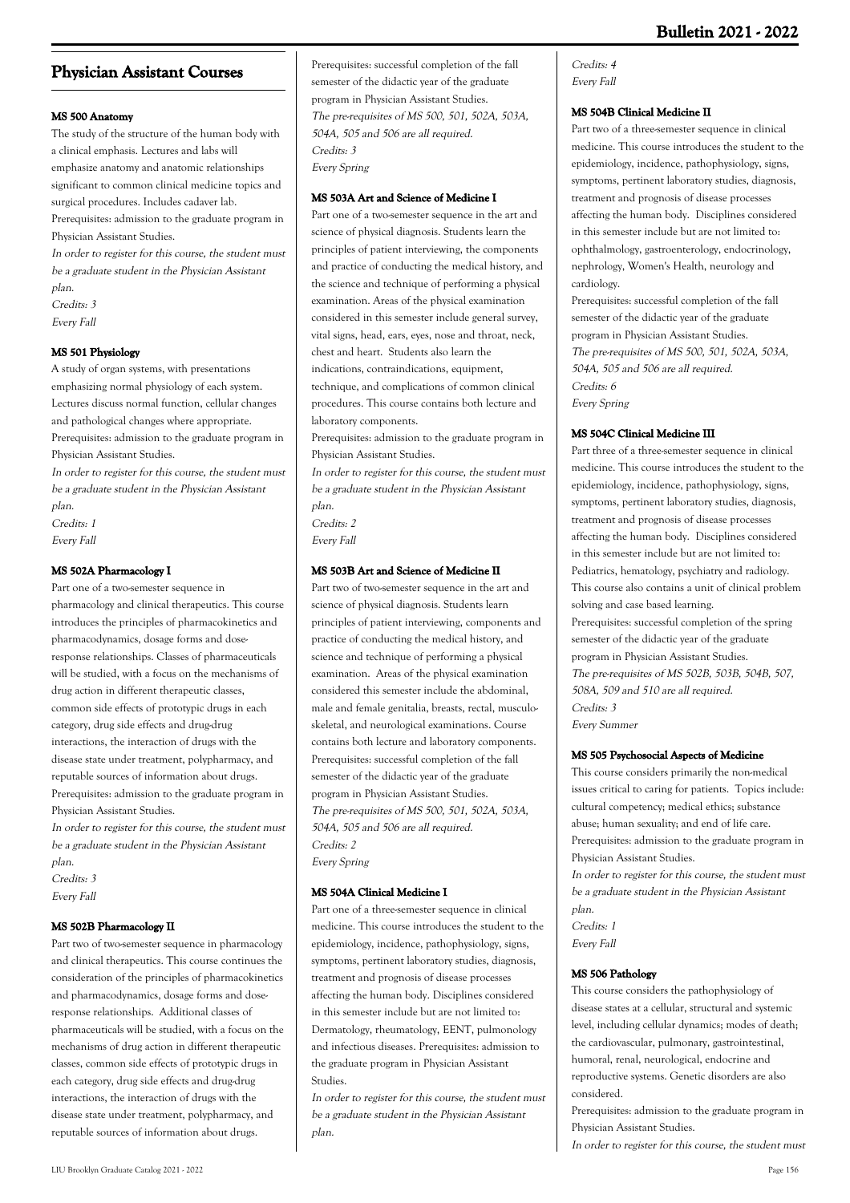# **Physician Assistant Courses**

## **MS 500 Anatomy**

The study of the structure of the human body with a clinical emphasis. Lectures and labs will emphasize anatomy and anatomic relationships significant to common clinical medicine topics and surgical procedures. Includes cadaver lab. Prerequisites: admission to the graduate program in

Physician Assistant Studies.

In order to register for this course, the student must be a graduate student in the Physician Assistant plan.

Credits: 3 Every Fall

### **MS 501 Physiology**

A study of organ systems, with presentations emphasizing normal physiology of each system. Lectures discuss normal function, cellular changes and pathological changes where appropriate. Prerequisites: admission to the graduate program in Physician Assistant Studies.

In order to register for this course, the student must be a graduate student in the Physician Assistant plan. Credits: 1

Every Fall

### **MS 502A Pharmacology I**

Part one of a two-semester sequence in pharmacology and clinical therapeutics. This course introduces the principles of pharmacokinetics and pharmacodynamics, dosage forms and doseresponse relationships. Classes of pharmaceuticals will be studied, with a focus on the mechanisms of drug action in different therapeutic classes, common side effects of prototypic drugs in each category, drug side effects and drug-drug interactions, the interaction of drugs with the disease state under treatment, polypharmacy, and reputable sources of information about drugs. Prerequisites: admission to the graduate program in Physician Assistant Studies.

In order to register for this course, the student must be a graduate student in the Physician Assistant plan.

Credits: 3 Every Fall

#### **MS 502B Pharmacology II**

Part two of two-semester sequence in pharmacology and clinical therapeutics. This course continues the consideration of the principles of pharmacokinetics and pharmacodynamics, dosage forms and doseresponse relationships. Additional classes of pharmaceuticals will be studied, with a focus on the mechanisms of drug action in different therapeutic classes, common side effects of prototypic drugs in each category, drug side effects and drug-drug interactions, the interaction of drugs with the disease state under treatment, polypharmacy, and reputable sources of information about drugs.

Prerequisites: successful completion of the fall semester of the didactic year of the graduate program in Physician Assistant Studies. The pre-requisites of MS 500, 501, 502A, 503A, 504A, 505 and 506 are all required. Credits: 3 Every Spring

#### **MS 503A Art and Science of Medicine I**

Part one of a two-semester sequence in the art and science of physical diagnosis. Students learn the principles of patient interviewing, the components and practice of conducting the medical history, and the science and technique of performing a physical examination. Areas of the physical examination considered in this semester include general survey, vital signs, head, ears, eyes, nose and throat, neck, chest and heart. Students also learn the indications, contraindications, equipment, technique, and complications of common clinical procedures. This course contains both lecture and laboratory components.

Prerequisites: admission to the graduate program in Physician Assistant Studies.

In order to register for this course, the student must be a graduate student in the Physician Assistant

plan. Credits: 2

Every Fall

### **MS 503B Art and Science of Medicine II**

Part two of two-semester sequence in the art and science of physical diagnosis. Students learn principles of patient interviewing, components and practice of conducting the medical history, and science and technique of performing a physical examination. Areas of the physical examination considered this semester include the abdominal, male and female genitalia, breasts, rectal, musculoskeletal, and neurological examinations. Course contains both lecture and laboratory components. Prerequisites: successful completion of the fall semester of the didactic year of the graduate program in Physician Assistant Studies. The pre-requisites of MS 500, 501, 502A, 503A, 504A, 505 and 506 are all required. Credits: 2 Every Spring

#### **MS 504A Clinical Medicine I**

Part one of a three-semester sequence in clinical medicine. This course introduces the student to the epidemiology, incidence, pathophysiology, signs, symptoms, pertinent laboratory studies, diagnosis, treatment and prognosis of disease processes affecting the human body. Disciplines considered in this semester include but are not limited to: Dermatology, rheumatology, EENT, pulmonology and infectious diseases. Prerequisites: admission to the graduate program in Physician Assistant Studies.

In order to register for this course, the student must be a graduate student in the Physician Assistant plan.

Credits: 4 Every Fall

### **MS 504B Clinical Medicine II**

Part two of a three-semester sequence in clinical medicine. This course introduces the student to the epidemiology, incidence, pathophysiology, signs, symptoms, pertinent laboratory studies, diagnosis, treatment and prognosis of disease processes affecting the human body. Disciplines considered in this semester include but are not limited to: ophthalmology, gastroenterology, endocrinology, nephrology, Women's Health, neurology and cardiology.

Prerequisites: successful completion of the fall semester of the didactic year of the graduate program in Physician Assistant Studies. The pre-requisites of MS 500, 501, 502A, 503A, 504A, 505 and 506 are all required. Credits: 6 Every Spring

### **MS 504C Clinical Medicine III**

Part three of a three-semester sequence in clinical medicine. This course introduces the student to the epidemiology, incidence, pathophysiology, signs, symptoms, pertinent laboratory studies, diagnosis, treatment and prognosis of disease processes affecting the human body. Disciplines considered in this semester include but are not limited to: Pediatrics, hematology, psychiatry and radiology. This course also contains a unit of clinical problem solving and case based learning. Prerequisites: successful completion of the spring semester of the didactic year of the graduate program in Physician Assistant Studies. The pre-requisites of MS 502B, 503B, 504B, 507, 508A, 509 and 510 are all required. Credits: 3 Every Summer

#### **MS 505 Psychosocial Aspects of Medicine**

This course considers primarily the non-medical issues critical to caring for patients. Topics include: cultural competency; medical ethics; substance abuse; human sexuality; and end of life care. Prerequisites: admission to the graduate program in Physician Assistant Studies. In order to register for this course, the student must

be a graduate student in the Physician Assistant plan. Credits: 1

Every Fall

## **MS 506 Pathology**

This course considers the pathophysiology of disease states at a cellular, structural and systemic level, including cellular dynamics; modes of death; the cardiovascular, pulmonary, gastrointestinal, humoral, renal, neurological, endocrine and reproductive systems. Genetic disorders are also considered.

Prerequisites: admission to the graduate program in Physician Assistant Studies.

In order to register for this course, the student must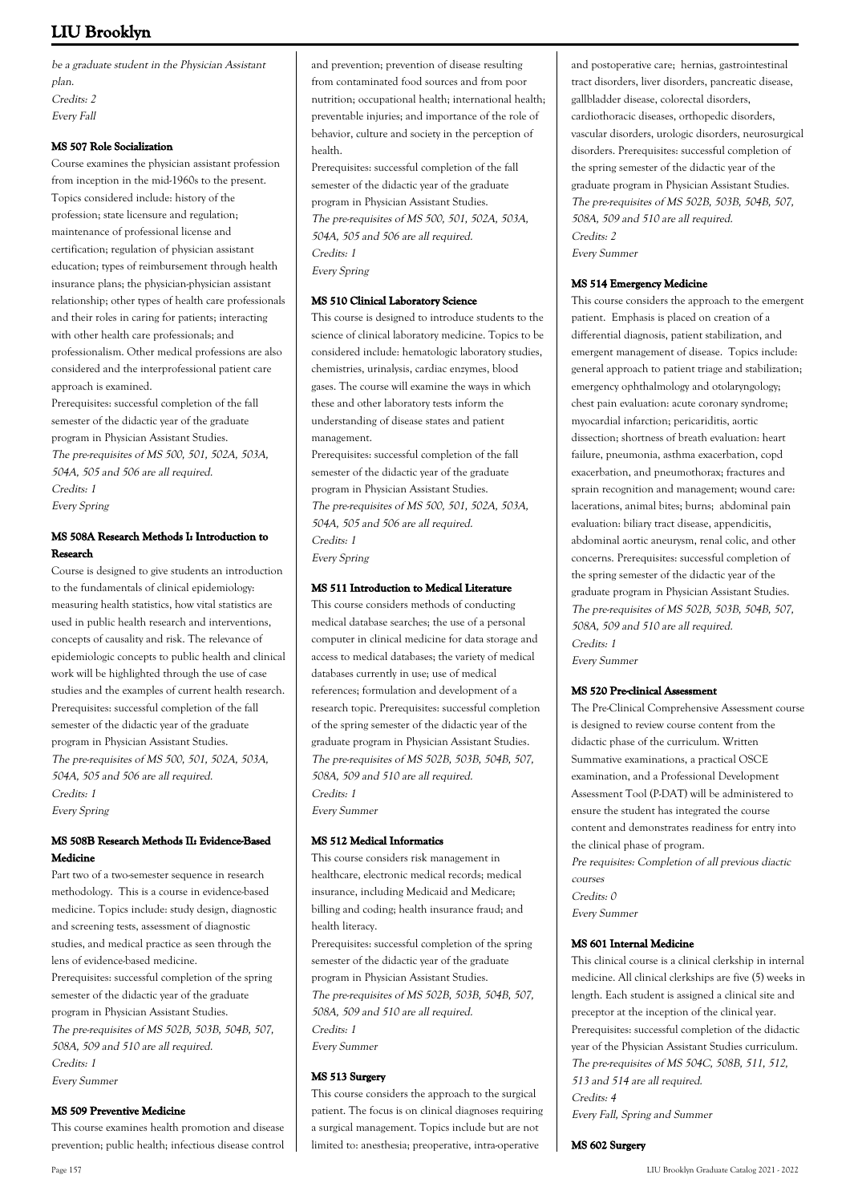be a graduate student in the Physician Assistant plan. Credits: 2 Every Fall

#### **MS 507 Role Socialization**

Course examines the physician assistant profession from inception in the mid-1960s to the present. Topics considered include: history of the profession; state licensure and regulation; maintenance of professional license and certification; regulation of physician assistant education; types of reimbursement through health insurance plans; the physician-physician assistant relationship; other types of health care professionals and their roles in caring for patients; interacting with other health care professionals; and professionalism. Other medical professions are also considered and the interprofessional patient care approach is examined.

Prerequisites: successful completion of the fall semester of the didactic year of the graduate program in Physician Assistant Studies. The pre-requisites of MS 500, 501, 502A, 503A, 504A, 505 and 506 are all required. Credits: 1

Every Spring

## **MS 508A Research Methods I: Introduction to Research**

Course is designed to give students an introduction to the fundamentals of clinical epidemiology: measuring health statistics, how vital statistics are used in public health research and interventions, concepts of causality and risk. The relevance of epidemiologic concepts to public health and clinical work will be highlighted through the use of case studies and the examples of current health research. Prerequisites: successful completion of the fall semester of the didactic year of the graduate program in Physician Assistant Studies. The pre-requisites of MS 500, 501, 502A, 503A, 504A, 505 and 506 are all required. Credits: 1 Every Spring

## **MS 508B Research Methods II: Evidence-Based Medicine**

Part two of a two-semester sequence in research methodology. This is a course in evidence-based medicine. Topics include: study design, diagnostic and screening tests, assessment of diagnostic studies, and medical practice as seen through the lens of evidence-based medicine. Prerequisites: successful completion of the spring semester of the didactic year of the graduate program in Physician Assistant Studies. The pre-requisites of MS 502B, 503B, 504B, 507, 508A, 509 and 510 are all required. Credits: 1 Every Summer

#### **MS 509 Preventive Medicine**

This course examines health promotion and disease prevention; public health; infectious disease control

and prevention; prevention of disease resulting from contaminated food sources and from poor nutrition; occupational health; international health; preventable injuries; and importance of the role of behavior, culture and society in the perception of health.

Prerequisites: successful completion of the fall semester of the didactic year of the graduate program in Physician Assistant Studies. The pre-requisites of MS 500, 501, 502A, 503A, 504A, 505 and 506 are all required. Credits: 1 Every Spring

#### **MS 510 Clinical Laboratory Science**

This course is designed to introduce students to the science of clinical laboratory medicine. Topics to be considered include: hematologic laboratory studies, chemistries, urinalysis, cardiac enzymes, blood gases. The course will examine the ways in which these and other laboratory tests inform the understanding of disease states and patient management.

Prerequisites: successful completion of the fall semester of the didactic year of the graduate program in Physician Assistant Studies. The pre-requisites of MS 500, 501, 502A, 503A, 504A, 505 and 506 are all required. Credits: 1 Every Spring

#### **MS 511 Introduction to Medical Literature**

This course considers methods of conducting medical database searches; the use of a personal computer in clinical medicine for data storage and access to medical databases; the variety of medical databases currently in use; use of medical references; formulation and development of a research topic. Prerequisites: successful completion of the spring semester of the didactic year of the graduate program in Physician Assistant Studies. The pre-requisites of MS 502B, 503B, 504B, 507, 508A, 509 and 510 are all required. Credits: 1 Every Summer

#### **MS 512 Medical Informatics**

This course considers risk management in healthcare, electronic medical records; medical insurance, including Medicaid and Medicare; billing and coding; health insurance fraud; and health literacy.

Prerequisites: successful completion of the spring semester of the didactic year of the graduate program in Physician Assistant Studies. The pre-requisites of MS 502B, 503B, 504B, 507, 508A, 509 and 510 are all required. Credits: 1 Every Summer

### **MS 513 Surgery**

This course considers the approach to the surgical patient. The focus is on clinical diagnoses requiring a surgical management. Topics include but are not limited to: anesthesia; preoperative, intra-operative

and postoperative care; hernias, gastrointestinal tract disorders, liver disorders, pancreatic disease, gallbladder disease, colorectal disorders, cardiothoracic diseases, orthopedic disorders, vascular disorders, urologic disorders, neurosurgical disorders. Prerequisites: successful completion of the spring semester of the didactic year of the graduate program in Physician Assistant Studies. The pre-requisites of MS 502B, 503B, 504B, 507, 508A, 509 and 510 are all required. Credits: 2 Every Summer

#### **MS 514 Emergency Medicine**

This course considers the approach to the emergent patient. Emphasis is placed on creation of a differential diagnosis, patient stabilization, and emergent management of disease. Topics include: general approach to patient triage and stabilization; emergency ophthalmology and otolaryngology; chest pain evaluation: acute coronary syndrome; myocardial infarction; pericariditis, aortic dissection; shortness of breath evaluation: heart failure, pneumonia, asthma exacerbation, copd exacerbation, and pneumothorax; fractures and sprain recognition and management; wound care: lacerations, animal bites; burns; abdominal pain evaluation: biliary tract disease, appendicitis, abdominal aortic aneurysm, renal colic, and other concerns. Prerequisites: successful completion of the spring semester of the didactic year of the graduate program in Physician Assistant Studies. The pre-requisites of MS 502B, 503B, 504B, 507, 508A, 509 and 510 are all required. Credits: 1 Every Summer

#### **MS 520 Pre-clinical Assessment**

The Pre-Clinical Comprehensive Assessment course is designed to review course content from the didactic phase of the curriculum. Written Summative examinations, a practical OSCE examination, and a Professional Development Assessment Tool (P-DAT) will be administered to ensure the student has integrated the course content and demonstrates readiness for entry into the clinical phase of program. Pre requisites: Completion of all previous diactic courses Credits: 0 Every Summer

#### **MS 601 Internal Medicine**

This clinical course is a clinical clerkship in internal medicine. All clinical clerkships are five (5) weeks in length. Each student is assigned a clinical site and preceptor at the inception of the clinical year. Prerequisites: successful completion of the didactic year of the Physician Assistant Studies curriculum. The pre-requisites of MS 504C, 508B, 511, 512, 513 and 514 are all required. Credits: 4 Every Fall, Spring and Summer

#### **MS 602 Surgery**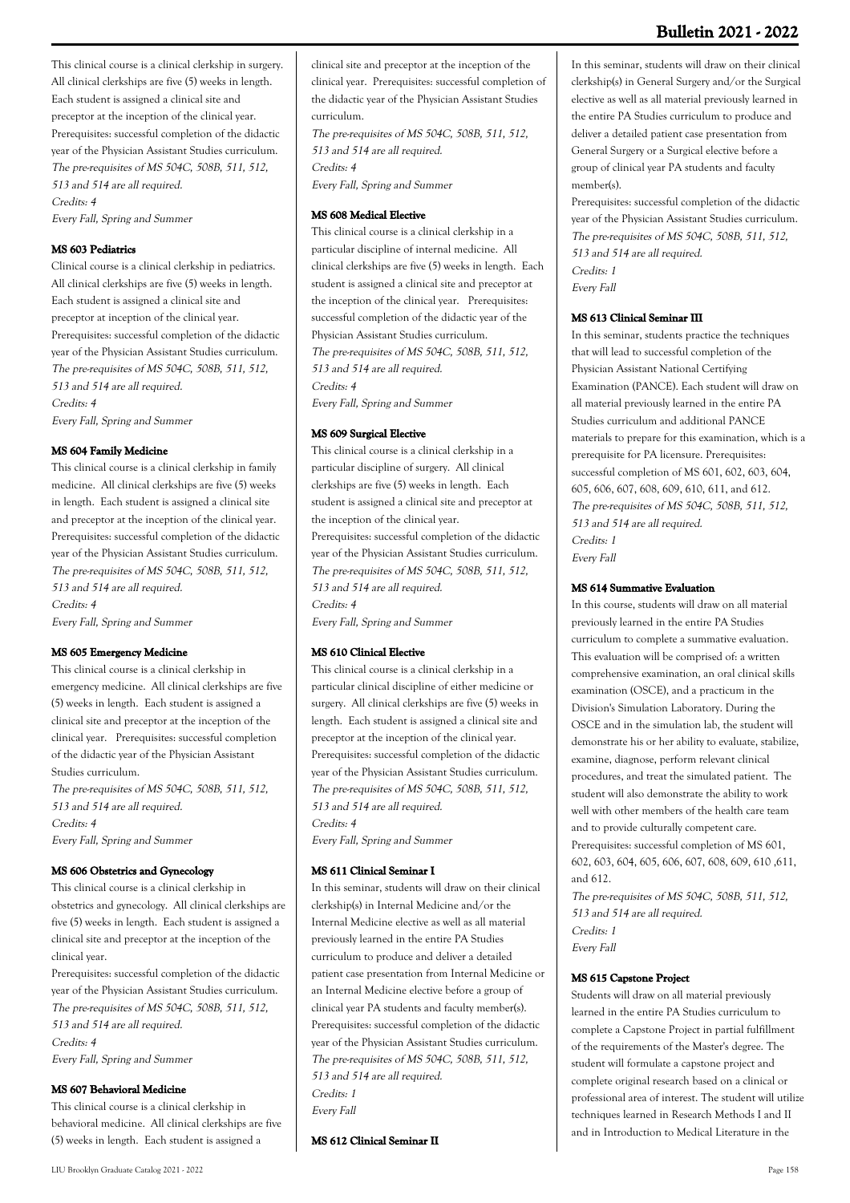This clinical course is a clinical clerkship in surgery. All clinical clerkships are five (5) weeks in length. Each student is assigned a clinical site and preceptor at the inception of the clinical year. Prerequisites: successful completion of the didactic year of the Physician Assistant Studies curriculum. The pre-requisites of MS 504C, 508B, 511, 512, 513 and 514 are all required. Credits: 4

Every Fall, Spring and Summer

#### **MS 603 Pediatrics**

Clinical course is a clinical clerkship in pediatrics. All clinical clerkships are five (5) weeks in length. Each student is assigned a clinical site and preceptor at inception of the clinical year. Prerequisites: successful completion of the didactic year of the Physician Assistant Studies curriculum. The pre-requisites of MS 504C, 508B, 511, 512, 513 and 514 are all required. Credits: 4 Every Fall, Spring and Summer

#### **MS 604 Family Medicine**

This clinical course is a clinical clerkship in family medicine. All clinical clerkships are five (5) weeks in length. Each student is assigned a clinical site and preceptor at the inception of the clinical year. Prerequisites: successful completion of the didactic year of the Physician Assistant Studies curriculum. The pre-requisites of MS 504C, 508B, 511, 512, 513 and 514 are all required. Credits: 4 Every Fall, Spring and Summer

#### **MS 605 Emergency Medicine**

This clinical course is a clinical clerkship in emergency medicine. All clinical clerkships are five (5) weeks in length. Each student is assigned a clinical site and preceptor at the inception of the clinical year. Prerequisites: successful completion of the didactic year of the Physician Assistant Studies curriculum. The pre-requisites of MS 504C, 508B, 511, 512,

513 and 514 are all required. Credits: 4 Every Fall, Spring and Summer

#### **MS 606 Obstetrics and Gynecology**

This clinical course is a clinical clerkship in obstetrics and gynecology. All clinical clerkships are five (5) weeks in length. Each student is assigned a clinical site and preceptor at the inception of the clinical year.

Prerequisites: successful completion of the didactic year of the Physician Assistant Studies curriculum. The pre-requisites of MS 504C, 508B, 511, 512, 513 and 514 are all required. Credits: 4 Every Fall, Spring and Summer

#### **MS 607 Behavioral Medicine**

This clinical course is a clinical clerkship in behavioral medicine. All clinical clerkships are five (5) weeks in length. Each student is assigned a

clinical site and preceptor at the inception of the clinical year. Prerequisites: successful completion of the didactic year of the Physician Assistant Studies curriculum.

The pre-requisites of MS 504C, 508B, 511, 512, 513 and 514 are all required. Credits: 4 Every Fall, Spring and Summer

#### **MS 608 Medical Elective**

This clinical course is a clinical clerkship in a particular discipline of internal medicine. All clinical clerkships are five (5) weeks in length. Each student is assigned a clinical site and preceptor at the inception of the clinical year. Prerequisites: successful completion of the didactic year of the Physician Assistant Studies curriculum. The pre-requisites of MS 504C, 508B, 511, 512, 513 and 514 are all required. Credits: 4 Every Fall, Spring and Summer

### **MS 609 Surgical Elective**

This clinical course is a clinical clerkship in a particular discipline of surgery. All clinical clerkships are five (5) weeks in length. Each student is assigned a clinical site and preceptor at the inception of the clinical year. Prerequisites: successful completion of the didactic year of the Physician Assistant Studies curriculum. The pre-requisites of MS 504C, 508B, 511, 512, 513 and 514 are all required. Credits: 4 Every Fall, Spring and Summer

#### **MS 610 Clinical Elective**

This clinical course is a clinical clerkship in a particular clinical discipline of either medicine or surgery. All clinical clerkships are five (5) weeks in length. Each student is assigned a clinical site and preceptor at the inception of the clinical year. Prerequisites: successful completion of the didactic year of the Physician Assistant Studies curriculum. The pre-requisites of MS 504C, 508B, 511, 512, 513 and 514 are all required. Credits: 4 Every Fall, Spring and Summer

### **MS 611 Clinical Seminar I**

In this seminar, students will draw on their clinical clerkship(s) in Internal Medicine and/or the Internal Medicine elective as well as all material previously learned in the entire PA Studies curriculum to produce and deliver a detailed patient case presentation from Internal Medicine or an Internal Medicine elective before a group of clinical year PA students and faculty member(s). Prerequisites: successful completion of the didactic year of the Physician Assistant Studies curriculum. The pre-requisites of MS 504C, 508B, 511, 512, 513 and 514 are all required. Credits: 1 Every Fall

**MS 612 Clinical Seminar II**

In this seminar, students will draw on their clinical clerkship(s) in General Surgery and/or the Surgical elective as well as all material previously learned in the entire PA Studies curriculum to produce and deliver a detailed patient case presentation from General Surgery or a Surgical elective before a group of clinical year PA students and faculty member(s).

Prerequisites: successful completion of the didactic year of the Physician Assistant Studies curriculum. The pre-requisites of MS 504C, 508B, 511, 512, 513 and 514 are all required. Credits: 1 Every Fall

#### **MS 613 Clinical Seminar III**

In this seminar, students practice the techniques that will lead to successful completion of the Physician Assistant National Certifying Examination (PANCE). Each student will draw on all material previously learned in the entire PA Studies curriculum and additional PANCE materials to prepare for this examination, which is a prerequisite for PA licensure. Prerequisites: successful completion of MS 601, 602, 603, 604, 605, 606, 607, 608, 609, 610, 611, and 612. The pre-requisites of MS 504C, 508B, 511, 512, 513 and 514 are all required. Credits: 1 Every Fall

## **MS 614 Summative Evaluation**

In this course, students will draw on all material previously learned in the entire PA Studies curriculum to complete a summative evaluation. This evaluation will be comprised of: a written comprehensive examination, an oral clinical skills examination (OSCE), and a practicum in the Division's Simulation Laboratory. During the OSCE and in the simulation lab, the student will demonstrate his or her ability to evaluate, stabilize, examine, diagnose, perform relevant clinical procedures, and treat the simulated patient. The student will also demonstrate the ability to work well with other members of the health care team and to provide culturally competent care. Prerequisites: successful completion of MS 601, 602, 603, 604, 605, 606, 607, 608, 609, 610 ,611, and 612.

The pre-requisites of MS 504C, 508B, 511, 512, 513 and 514 are all required. Credits: 1 Every Fall

#### **MS 615 Capstone Project**

Students will draw on all material previously learned in the entire PA Studies curriculum to complete a Capstone Project in partial fulfillment of the requirements of the Master's degree. The student will formulate a capstone project and complete original research based on a clinical or professional area of interest. The student will utilize techniques learned in Research Methods I and II and in Introduction to Medical Literature in the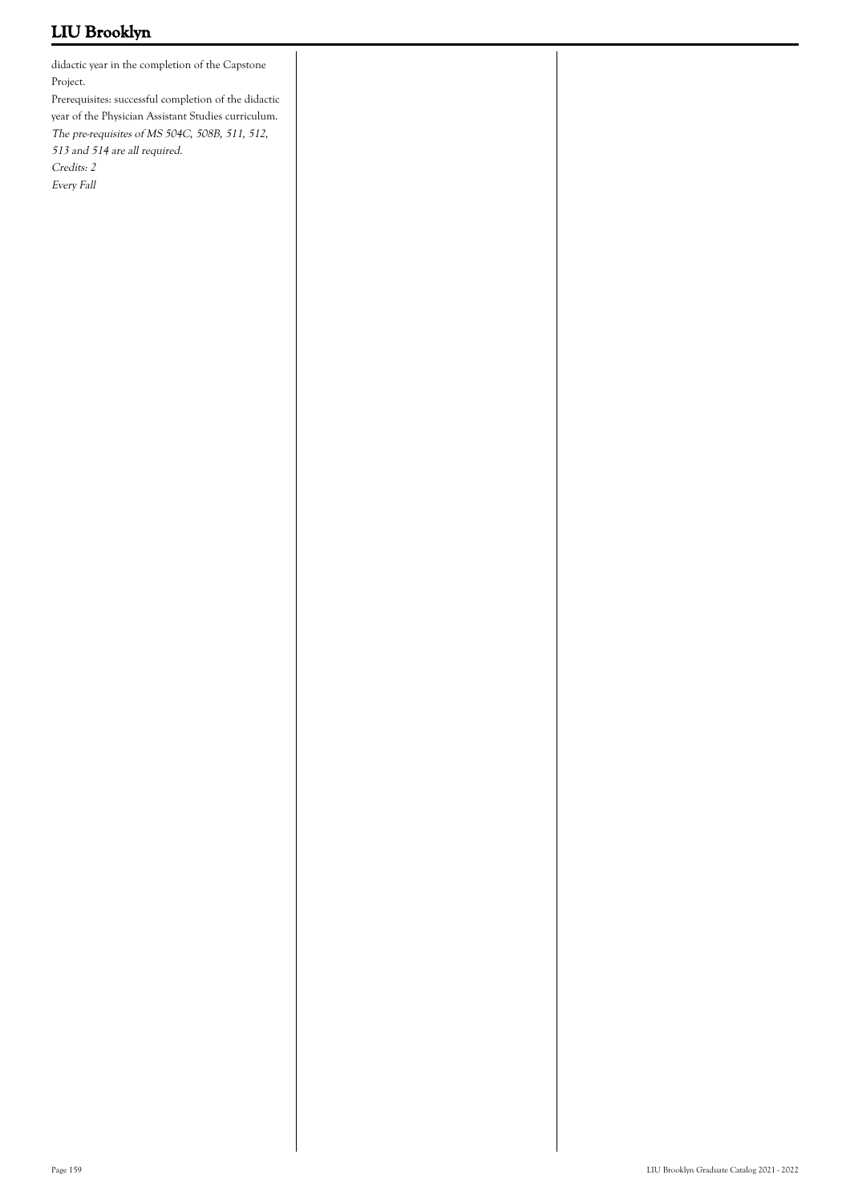didactic year in the completion of the Capstone Project.

Prerequisites: successful completion of the didactic year of the Physician Assistant Studies curriculum. The pre-requisites of MS 504C, 508B, 511, 512,

513 and 514 are all required.

Credits: 2

Every Fall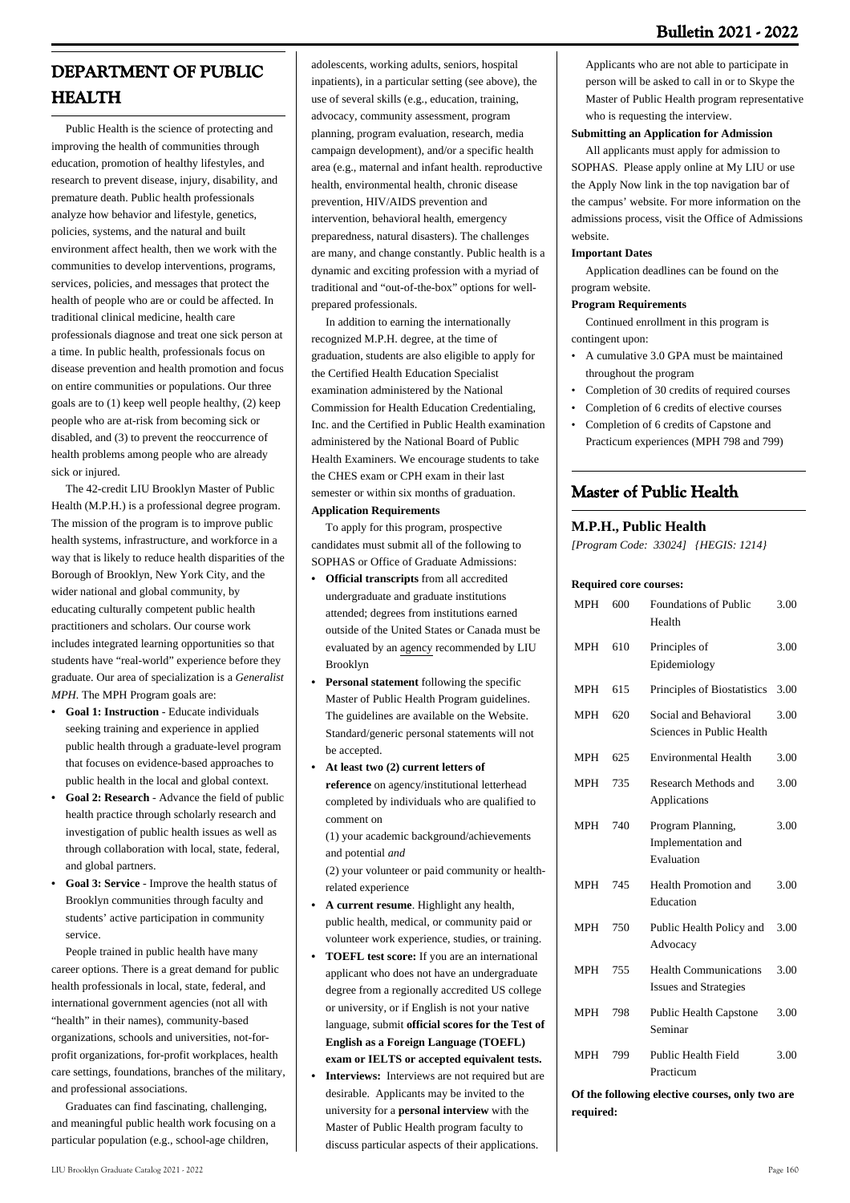# **DEPARTMENT OF PUBLIC HEALTH**

 Public Health is the science of protecting and improving the health of communities through education, promotion of healthy lifestyles, and research to prevent disease, injury, disability, and premature death. Public health professionals analyze how behavior and lifestyle, genetics, policies, systems, and the natural and built environment affect health, then we work with the communities to develop interventions, programs, services, policies, and messages that protect the health of people who are or could be affected. In traditional clinical medicine, health care professionals diagnose and treat one sick person at a time. In public health, professionals focus on disease prevention and health promotion and focus on entire communities or populations. Our three goals are to (1) keep well people healthy, (2) keep people who are at-risk from becoming sick or disabled, and (3) to prevent the reoccurrence of health problems among people who are already sick or injured.

 The 42-credit LIU Brooklyn Master of Public Health (M.P.H.) is a professional degree program. The mission of the program is to improve public health systems, infrastructure, and workforce in a way that is likely to reduce health disparities of the Borough of Brooklyn, New York City, and the wider national and global community, by educating culturally competent public health practitioners and scholars. Our course work includes integrated learning opportunities so that students have "real-world" experience before they graduate. Our area of specialization is a *Generalist MPH.* The MPH Program goals are:

- **Goal 1: Instruction** Educate individuals **•** seeking training and experience in applied public health through a graduate-level program that focuses on evidence-based approaches to public health in the local and global context.
- **Goal 2: Research** Advance the field of public health practice through scholarly research and investigation of public health issues as well as through collaboration with local, state, federal, and global partners. **•**
- **Goal 3: Service** Improve the health status of **•** Brooklyn communities through faculty and students' active participation in community service.

 People trained in public health have many career options. There is a great demand for public health professionals in local, state, federal, and international government agencies (not all with "health" in their names), community-based organizations, schools and universities, not-forprofit organizations, for-profit workplaces, health care settings, foundations, branches of the military, and professional associations.

 Graduates can find fascinating, challenging, and meaningful public health work focusing on a particular population (e.g., school-age children,

adolescents, working adults, seniors, hospital inpatients), in a particular setting (see above), the use of several skills (e.g., education, training, advocacy, community assessment, program planning, program evaluation, research, media campaign development), and/or a specific health area (e.g., maternal and infant health. reproductive health, environmental health, chronic disease prevention, HIV/AIDS prevention and intervention, behavioral health, emergency preparedness, natural disasters). The challenges are many, and change constantly. Public health is a dynamic and exciting profession with a myriad of traditional and "out-of-the-box" options for wellprepared professionals.

 In addition to earning the internationally recognized M.P.H. degree, at the time of graduation, students are also eligible to apply for the Certified Health Education Specialist examination administered by the National Commission for Health Education Credentialing, Inc. and the Certified in Public Health examination administered by the National Board of Public Health Examiners. We encourage students to take the CHES exam or CPH exam in their last semester or within six months of graduation.

## **Application Requirements**

 To apply for this program, prospective candidates must submit all of the following to SOPHAS or Office of Graduate Admissions:

- **Official transcripts** from all accredited undergraduate and graduate institutions attended; degrees from institutions earned outside of the United States or Canada must be evaluated by an agency recommended by LIU Brooklyn **•**
- **Personal statement** following the specific Master of Public Health Program guidelines. The guidelines are available on the Website. Standard/generic personal statements will not be accepted. **•**
- **At least two (2) current letters of reference** on agency/institutional letterhead completed by individuals who are qualified to comment on **•**

(1) your academic background/achievements and potential *and*

(2) your volunteer or paid community or healthrelated experience

- **A current resume**. Highlight any health, public health, medical, or community paid or volunteer work experience, studies, or training. **•**
- **TOEFL test score:** If you are an international applicant who does not have an undergraduate degree from a regionally accredited US college or university, or if English is not your native language, submit **official scores for the Test of English as a Foreign Language (TOEFL) exam or IELTS or accepted equivalent tests. •**
- **Interviews:** Interviews are not required but are desirable. Applicants may be invited to the university for a **personal interview** with the Master of Public Health program faculty to discuss particular aspects of their applications. **•**

Applicants who are not able to participate in person will be asked to call in or to Skype the Master of Public Health program representative who is requesting the interview.

#### **Submitting an Application for Admission**

 All applicants must apply for admission to SOPHAS. Please apply online at My LIU or use the Apply Now link in the top navigation bar of the campus' website. For more information on the admissions process, visit the Office of Admissions website.

#### **Important Dates**

 Application deadlines can be found on the program website.

#### **Program Requirements**

 Continued enrollment in this program is contingent upon:

- A cumulative 3.0 GPA must be maintained throughout the program
- Completion of 30 credits of required courses
- Completion of 6 credits of elective courses
- Completion of 6 credits of Capstone and Practicum experiences (MPH 798 and 799) •

## **Master of Public Health**

#### **M.P.H., Public Health**

*[Program Code: 33024] {HEGIS: 1214}*

#### **Required core courses:**

| <b>MPH</b> | 600 | <b>Foundations of Public</b><br>Health                       | 3.00 |
|------------|-----|--------------------------------------------------------------|------|
| <b>MPH</b> | 610 | Principles of<br>Epidemiology                                | 3.00 |
| <b>MPH</b> | 615 | Principles of Biostatistics                                  | 3.00 |
| <b>MPH</b> | 620 | Social and Behavioral<br>Sciences in Public Health           | 3.00 |
| <b>MPH</b> | 625 | <b>Environmental Health</b>                                  | 3.00 |
| <b>MPH</b> | 735 | Research Methods and<br>Applications                         | 3.00 |
| <b>MPH</b> | 740 | Program Planning,<br>Implementation and<br>Evaluation        | 3.00 |
| <b>MPH</b> | 745 | Health Promotion and<br>Education                            | 3.00 |
| <b>MPH</b> | 750 | Public Health Policy and<br>Advocacy                         | 3.00 |
| <b>MPH</b> | 755 | <b>Health Communications</b><br><b>Issues and Strategies</b> | 3.00 |
| <b>MPH</b> | 798 | <b>Public Health Capstone</b><br>Seminar                     | 3.00 |
| <b>MPH</b> | 799 | Public Health Field<br>Practicum                             | 3.00 |
|            |     |                                                              |      |

**Of the following elective courses, only two are required:**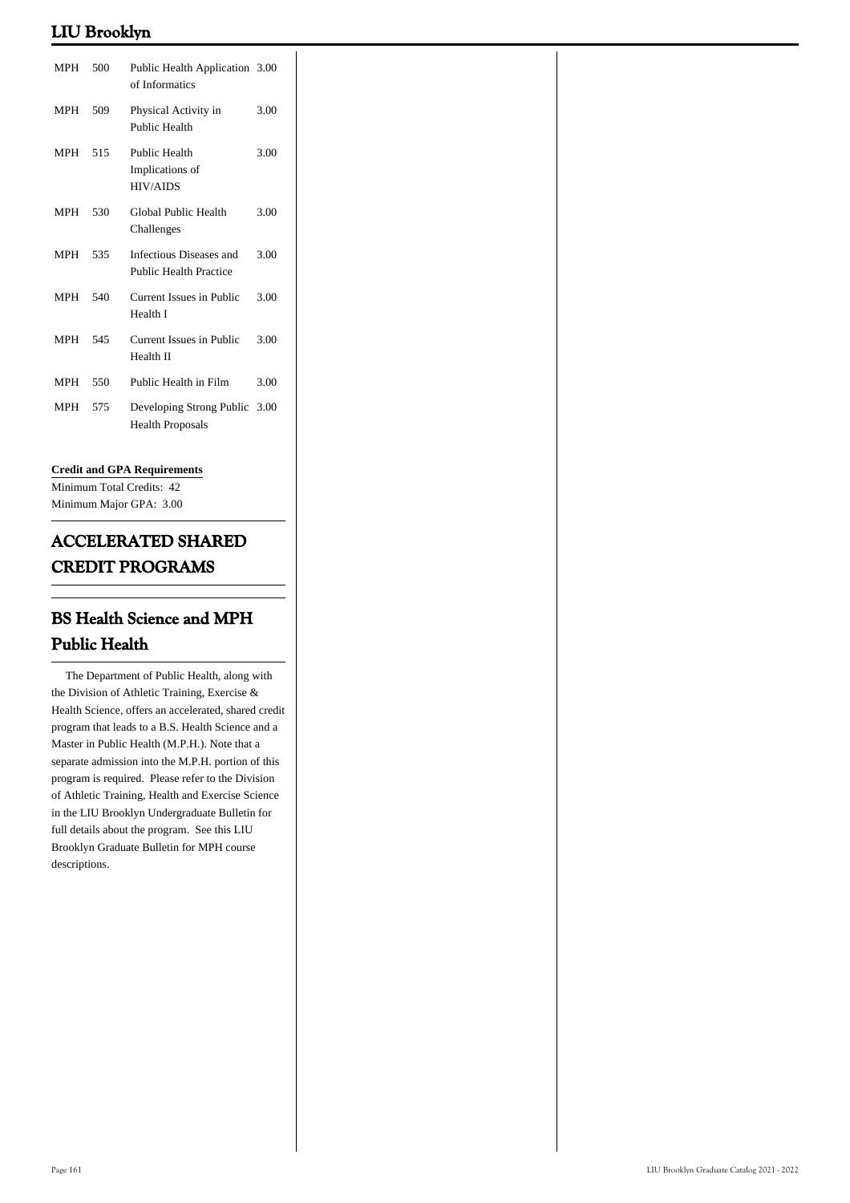| <b>MPH</b> | 500 | Public Health Application 3.00<br>of Informatics         |      |
|------------|-----|----------------------------------------------------------|------|
| <b>MPH</b> | 509 | Physical Activity in<br>Public Health                    | 3.00 |
| <b>MPH</b> | 515 | Public Health<br>Implications of<br><b>HIV/AIDS</b>      | 3.00 |
| <b>MPH</b> | 530 | Global Public Health<br>Challenges                       | 3.00 |
| <b>MPH</b> | 535 | Infectious Diseases and<br><b>Public Health Practice</b> | 3.00 |
| <b>MPH</b> | 540 | Current Issues in Public<br>Health I                     | 3.00 |
| MPH        | 545 | Current Issues in Public<br>Health II                    | 3.00 |
| <b>MPH</b> | 550 | Public Health in Film                                    | 3.00 |
| <b>MPH</b> | 575 | Developing Strong Public 3.00<br><b>Health Proposals</b> |      |

### **Credit and GPA Requirements**

Minimum Total Credits: 42 Minimum Major GPA: 3.00

# **ACCELERATED SHARED CREDIT PROGRAMS**

# **BS Health Science and MPH Public Health**

 The Department of Public Health, along with the Division of Athletic Training, Exercise & Health Science, offers an accelerated, shared credit program that leads to a B.S. Health Science and a Master in Public Health (M.P.H.). Note that a separate admission into the M.P.H. portion of this program is required. Please refer to the Division of Athletic Training, Health and Exercise Science in the LIU Brooklyn Undergraduate Bulletin for full details about the program. See this LIU Brooklyn Graduate Bulletin for MPH course descriptions.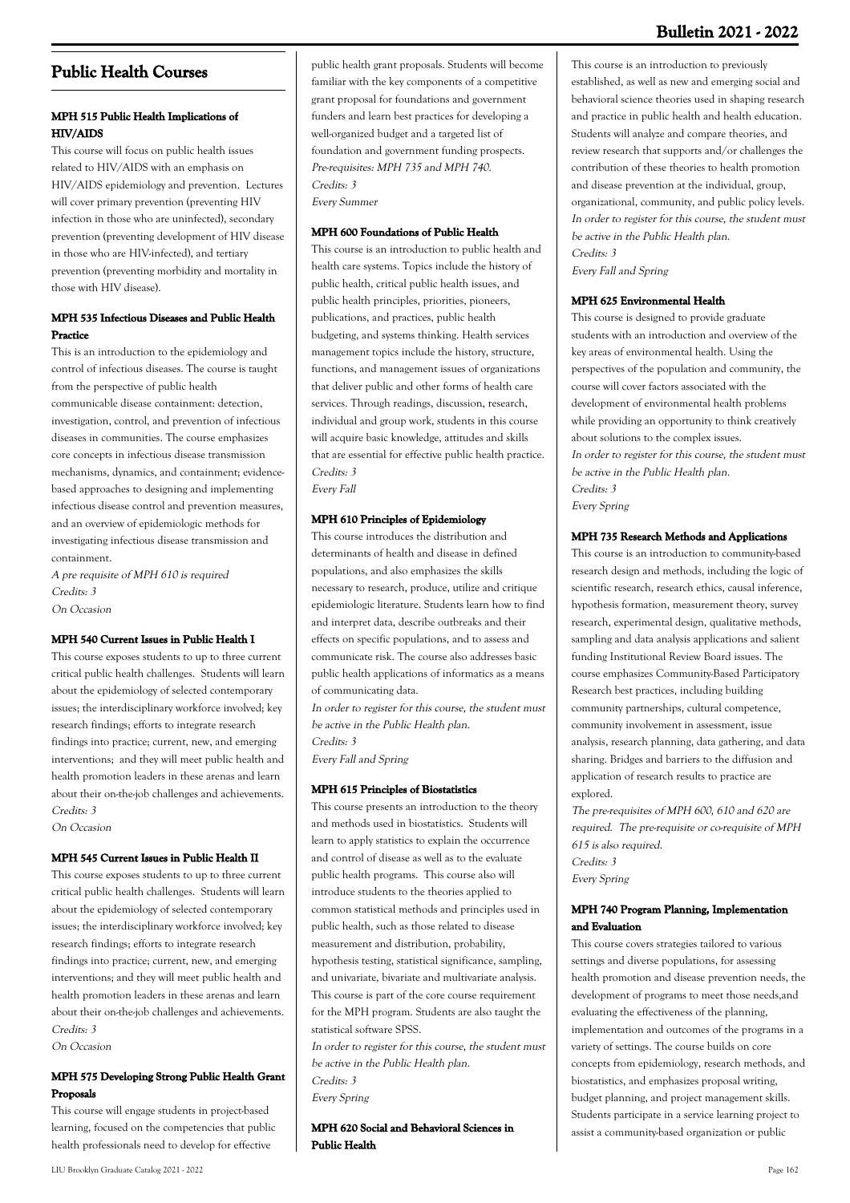## **Public Health Courses**

## **MPH 515 Public Health Implications of HIV/AIDS**

This course will focus on public health issues related to HIV/AIDS with an emphasis on HIV/AIDS epidemiology and prevention. Lectures will cover primary prevention (preventing HIV infection in those who are uninfected), secondary prevention (preventing development of HIV disease in those who are HIV-infected), and tertiary prevention (preventing morbidity and mortality in those with HIV disease).

## **MPH 535 Infectious Diseases and Public Health Practice**

This is an introduction to the epidemiology and control of infectious diseases. The course is taught from the perspective of public health communicable disease containment: detection, investigation, control, and prevention of infectious diseases in communities. The course emphasizes core concepts in infectious disease transmission mechanisms, dynamics, and containment; evidencebased approaches to designing and implementing infectious disease control and prevention measures, and an overview of epidemiologic methods for investigating infectious disease transmission and containment.

A pre requisite of MPH 610 is required Credits: 3 On Occasion

#### **MPH 540 Current Issues in Public Health I**

This course exposes students to up to three current critical public health challenges. Students will learn about the epidemiology of selected contemporary issues; the interdisciplinary workforce involved; key research findings; efforts to integrate research findings into practice; current, new, and emerging interventions; and they will meet public health and health promotion leaders in these arenas and learn about their on-the-job challenges and achievements. Credits: 3

On Occasion

#### **MPH 545 Current Issues in Public Health II**

This course exposes students to up to three current critical public health challenges. Students will learn about the epidemiology of selected contemporary issues; the interdisciplinary workforce involved; key research findings; efforts to integrate research findings into practice; current, new, and emerging interventions; and they will meet public health and health promotion leaders in these arenas and learn about their on-the-job challenges and achievements. Credits: 3

On Occasion

### **MPH 575 Developing Strong Public Health Grant Proposals**

This course will engage students in project-based learning, focused on the competencies that public health professionals need to develop for effective

familiar with the key components of a competitive grant proposal for foundations and government funders and learn best practices for developing a well-organized budget and a targeted list of foundation and government funding prospects. Pre-requisites: MPH 735 and MPH 740. Credits: 3 Every Summer

public health grant proposals. Students will become

#### **MPH 600 Foundations of Public Health**

This course is an introduction to public health and health care systems. Topics include the history of public health, critical public health issues, and public health principles, priorities, pioneers, publications, and practices, public health budgeting, and systems thinking. Health services management topics include the history, structure, functions, and management issues of organizations that deliver public and other forms of health care services. Through readings, discussion, research, individual and group work, students in this course will acquire basic knowledge, attitudes and skills that are essential for effective public health practice. Credits: 3

Every Fall

#### **MPH 610 Principles of Epidemiology**

This course introduces the distribution and determinants of health and disease in defined populations, and also emphasizes the skills necessary to research, produce, utilize and critique epidemiologic literature. Students learn how to find and interpret data, describe outbreaks and their effects on specific populations, and to assess and communicate risk. The course also addresses basic public health applications of informatics as a means of communicating data.

In order to register for this course, the student must be active in the Public Health plan. Credits: 3

Every Fall and Spring

#### **MPH 615 Principles of Biostatistics**

This course presents an introduction to the theory and methods used in biostatistics. Students will learn to apply statistics to explain the occurrence and control of disease as well as to the evaluate public health programs. This course also will introduce students to the theories applied to common statistical methods and principles used in public health, such as those related to disease measurement and distribution, probability, hypothesis testing, statistical significance, sampling, and univariate, bivariate and multivariate analysis. This course is part of the core course requirement for the MPH program. Students are also taught the statistical software SPSS.

In order to register for this course, the student must be active in the Public Health plan. Credits: 3 Every Spring

**MPH 620 Social and Behavioral Sciences in Public Health**

This course is an introduction to previously established, as well as new and emerging social and behavioral science theories used in shaping research and practice in public health and health education. Students will analyze and compare theories, and review research that supports and/or challenges the contribution of these theories to health promotion and disease prevention at the individual, group, organizational, community, and public policy levels. In order to register for this course, the student must be active in the Public Health plan. Credits: 3

Every Fall and Spring

#### **MPH 625 Environmental Health**

This course is designed to provide graduate students with an introduction and overview of the key areas of environmental health. Using the perspectives of the population and community, the course will cover factors associated with the development of environmental health problems while providing an opportunity to think creatively about solutions to the complex issues. In order to register for this course, the student must be active in the Public Health plan. Credits: 3 Every Spring

#### **MPH 735 Research Methods and Applications**

This course is an introduction to community-based research design and methods, including the logic of scientific research, research ethics, causal inference, hypothesis formation, measurement theory, survey research, experimental design, qualitative methods, sampling and data analysis applications and salient funding Institutional Review Board issues. The course emphasizes Community-Based Participatory Research best practices, including building community partnerships, cultural competence, community involvement in assessment, issue analysis, research planning, data gathering, and data sharing. Bridges and barriers to the diffusion and application of research results to practice are explored.

The pre-requisites of MPH 600, 610 and 620 are required. The pre-requisite or co-requisite of MPH 615 is also required. Credits: 3 Every Spring

#### **MPH 740 Program Planning, Implementation and Evaluation**

This course covers strategies tailored to various settings and diverse populations, for assessing health promotion and disease prevention needs, the development of programs to meet those needs,and evaluating the effectiveness of the planning, implementation and outcomes of the programs in a variety of settings. The course builds on core concepts from epidemiology, research methods, and biostatistics, and emphasizes proposal writing, budget planning, and project management skills. Students participate in a service learning project to assist a community-based organization or public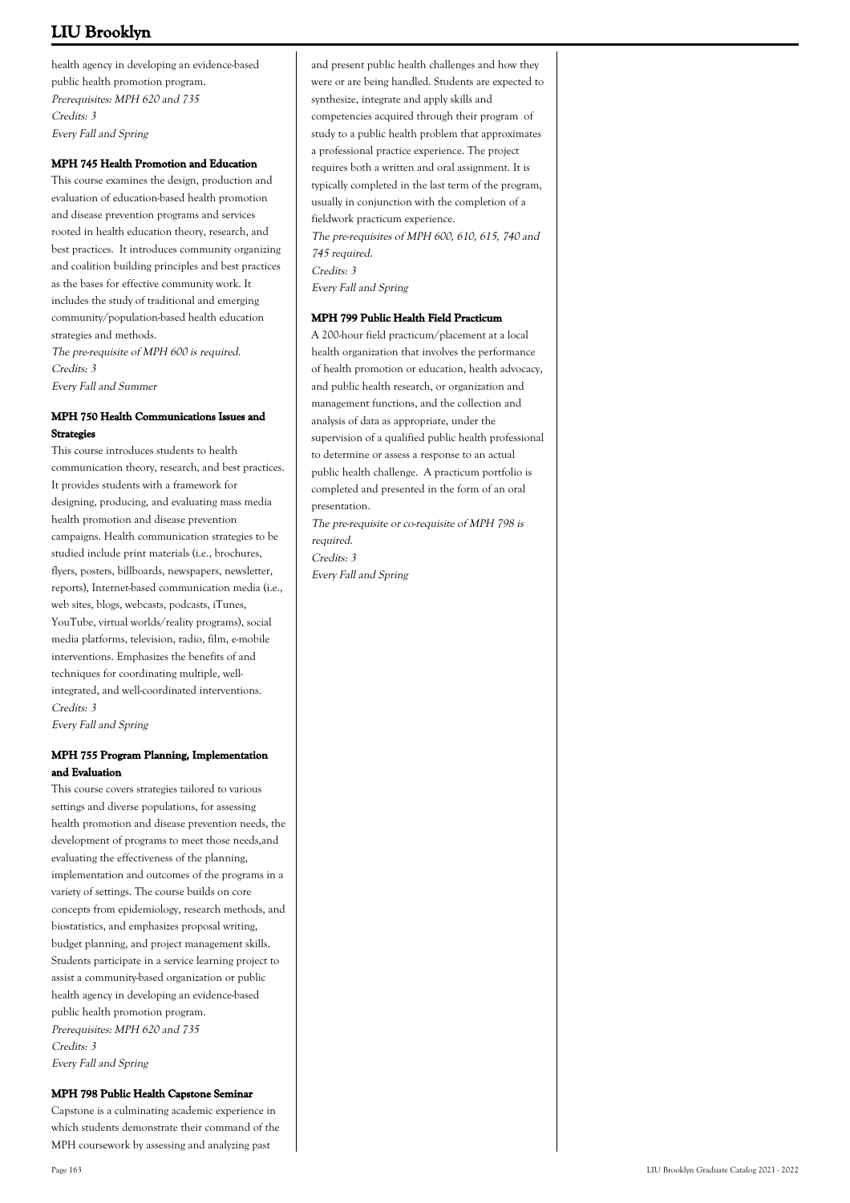health agency in developing an evidence-based public health promotion program. Prerequisites: MPH 620 and 735 Credits: 3 Every Fall and Spring

#### **MPH 745 Health Promotion and Education**

This course examines the design, production and evaluation of education-based health promotion and disease prevention programs and services rooted in health education theory, research, and best practices. It introduces community organizing and coalition building principles and best practices as the bases for effective community work. It includes the study of traditional and emerging community/population-based health education strategies and methods. The pre-requisite of MPH 600 is required.

Credits: 3 Every Fall and Summer

### **MPH 750 Health Communications Issues and Strategies**

This course introduces students to health communication theory, research, and best practices. It provides students with a framework for designing, producing, and evaluating mass media health promotion and disease prevention campaigns. Health communication strategies to be studied include print materials (i.e., brochures, flyers, posters, billboards, newspapers, newsletter, reports), Internet-based communication media (i.e., web sites, blogs, webcasts, podcasts, iTunes, YouTube, virtual worlds/reality programs), social media platforms, television, radio, film, e-mobile interventions. Emphasizes the benefits of and techniques for coordinating multiple, wellintegrated, and well-coordinated interventions. Credits: 3 Every Fall and Spring

## **MPH 755 Program Planning, Implementation and Evaluation**

This course covers strategies tailored to various settings and diverse populations, for assessing health promotion and disease prevention needs, the development of programs to meet those needs,and evaluating the effectiveness of the planning, implementation and outcomes of the programs in a variety of settings. The course builds on core concepts from epidemiology, research methods, and biostatistics, and emphasizes proposal writing, budget planning, and project management skills. Students participate in a service learning project to assist a community-based organization or public health agency in developing an evidence-based public health promotion program. Prerequisites: MPH 620 and 735 Credits: 3 Every Fall and Spring

#### **MPH 798 Public Health Capstone Seminar**

Capstone is a culminating academic experience in which students demonstrate their command of the MPH coursework by assessing and analyzing past

and present public health challenges and how they were or are being handled. Students are expected to synthesize, integrate and apply skills and competencies acquired through their program of study to a public health problem that approximates a professional practice experience. The project requires both a written and oral assignment. It is typically completed in the last term of the program, usually in conjunction with the completion of a fieldwork practicum experience. The pre-requisites of MPH 600, 610, 615, 740 and 745 required. Credits: 3 Every Fall and Spring

#### **MPH 799 Public Health Field Practicum**

A 200-hour field practicum/placement at a local health organization that involves the performance of health promotion or education, health advocacy, and public health research, or organization and management functions, and the collection and analysis of data as appropriate, under the supervision of a qualified public health professional to determine or assess a response to an actual public health challenge. A practicum portfolio is completed and presented in the form of an oral presentation.

The pre-requisite or co-requisite of MPH 798 is required. Credits: 3 Every Fall and Spring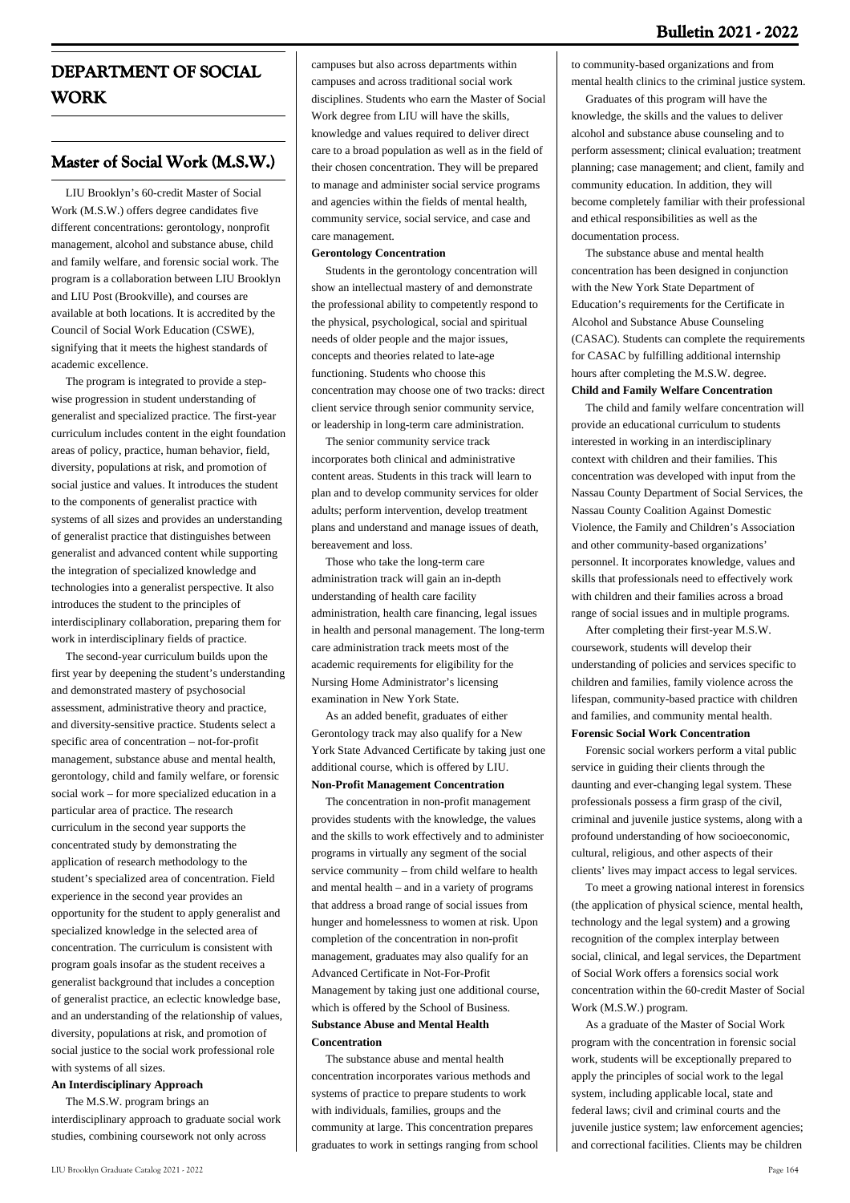# **DEPARTMENT OF SOCIAL WORK**

## **Master of Social Work (M.S.W.)**

 LIU Brooklyn's 60-credit Master of Social Work (M.S.W.) offers degree candidates five different concentrations: gerontology, nonprofit management, alcohol and substance abuse, child and family welfare, and forensic social work. The program is a collaboration between LIU Brooklyn and LIU Post (Brookville), and courses are available at both locations. It is accredited by the Council of Social Work Education (CSWE), signifying that it meets the highest standards of academic excellence.

 The program is integrated to provide a stepwise progression in student understanding of generalist and specialized practice. The first-year curriculum includes content in the eight foundation areas of policy, practice, human behavior, field, diversity, populations at risk, and promotion of social justice and values. It introduces the student to the components of generalist practice with systems of all sizes and provides an understanding of generalist practice that distinguishes between generalist and advanced content while supporting the integration of specialized knowledge and technologies into a generalist perspective. It also introduces the student to the principles of interdisciplinary collaboration, preparing them for work in interdisciplinary fields of practice.

 The second-year curriculum builds upon the first year by deepening the student's understanding and demonstrated mastery of psychosocial assessment, administrative theory and practice, and diversity-sensitive practice. Students select a specific area of concentration – not-for-profit management, substance abuse and mental health, gerontology, child and family welfare, or forensic social work – for more specialized education in a particular area of practice. The research curriculum in the second year supports the concentrated study by demonstrating the application of research methodology to the student's specialized area of concentration. Field experience in the second year provides an opportunity for the student to apply generalist and specialized knowledge in the selected area of concentration. The curriculum is consistent with program goals insofar as the student receives a generalist background that includes a conception of generalist practice, an eclectic knowledge base, and an understanding of the relationship of values, diversity, populations at risk, and promotion of social justice to the social work professional role with systems of all sizes.

#### **An Interdisciplinary Approach**

 The M.S.W. program brings an interdisciplinary approach to graduate social work studies, combining coursework not only across

campuses but also across departments within campuses and across traditional social work disciplines. Students who earn the Master of Social Work degree from LIU will have the skills, knowledge and values required to deliver direct care to a broad population as well as in the field of their chosen concentration. They will be prepared to manage and administer social service programs and agencies within the fields of mental health, community service, social service, and case and care management.

#### **Gerontology Concentration**

 Students in the gerontology concentration will show an intellectual mastery of and demonstrate the professional ability to competently respond to the physical, psychological, social and spiritual needs of older people and the major issues, concepts and theories related to late-age functioning. Students who choose this concentration may choose one of two tracks: direct client service through senior community service, or leadership in long-term care administration.

 The senior community service track incorporates both clinical and administrative content areas. Students in this track will learn to plan and to develop community services for older adults; perform intervention, develop treatment plans and understand and manage issues of death, bereavement and loss.

 Those who take the long-term care administration track will gain an in-depth understanding of health care facility administration, health care financing, legal issues in health and personal management. The long-term care administration track meets most of the academic requirements for eligibility for the Nursing Home Administrator's licensing examination in New York State.

 As an added benefit, graduates of either Gerontology track may also qualify for a New York State Advanced Certificate by taking just one additional course, which is offered by LIU. **Non-Profit Management Concentration**

 The concentration in non-profit management provides students with the knowledge, the values and the skills to work effectively and to administer programs in virtually any segment of the social service community – from child welfare to health and mental health – and in a variety of programs that address a broad range of social issues from hunger and homelessness to women at risk. Upon completion of the concentration in non-profit management, graduates may also qualify for an Advanced Certificate in Not-For-Profit Management by taking just one additional course, which is offered by the School of Business. **Substance Abuse and Mental Health Concentration**

 The substance abuse and mental health concentration incorporates various methods and systems of practice to prepare students to work with individuals, families, groups and the community at large. This concentration prepares graduates to work in settings ranging from school

to community-based organizations and from mental health clinics to the criminal justice system.

 Graduates of this program will have the knowledge, the skills and the values to deliver alcohol and substance abuse counseling and to perform assessment; clinical evaluation; treatment planning; case management; and client, family and community education. In addition, they will become completely familiar with their professional and ethical responsibilities as well as the documentation process.

 The substance abuse and mental health concentration has been designed in conjunction with the New York State Department of Education's requirements for the Certificate in Alcohol and Substance Abuse Counseling (CASAC). Students can complete the requirements for CASAC by fulfilling additional internship hours after completing the M.S.W. degree.

## **Child and Family Welfare Concentration**

 The child and family welfare concentration will provide an educational curriculum to students interested in working in an interdisciplinary context with children and their families. This concentration was developed with input from the Nassau County Department of Social Services, the Nassau County Coalition Against Domestic Violence, the Family and Children's Association and other community-based organizations' personnel. It incorporates knowledge, values and skills that professionals need to effectively work with children and their families across a broad range of social issues and in multiple programs.

 After completing their first-year M.S.W. coursework, students will develop their understanding of policies and services specific to children and families, family violence across the lifespan, community-based practice with children and families, and community mental health. **Forensic Social Work Concentration**

 Forensic social workers perform a vital public service in guiding their clients through the daunting and ever-changing legal system. These professionals possess a firm grasp of the civil, criminal and juvenile justice systems, along with a profound understanding of how socioeconomic, cultural, religious, and other aspects of their clients' lives may impact access to legal services.

 To meet a growing national interest in forensics (the application of physical science, mental health, technology and the legal system) and a growing recognition of the complex interplay between social, clinical, and legal services, the Department of Social Work offers a forensics social work concentration within the 60-credit Master of Social Work (M.S.W.) program.

 As a graduate of the Master of Social Work program with the concentration in forensic social work, students will be exceptionally prepared to apply the principles of social work to the legal system, including applicable local, state and federal laws; civil and criminal courts and the juvenile justice system; law enforcement agencies; and correctional facilities. Clients may be children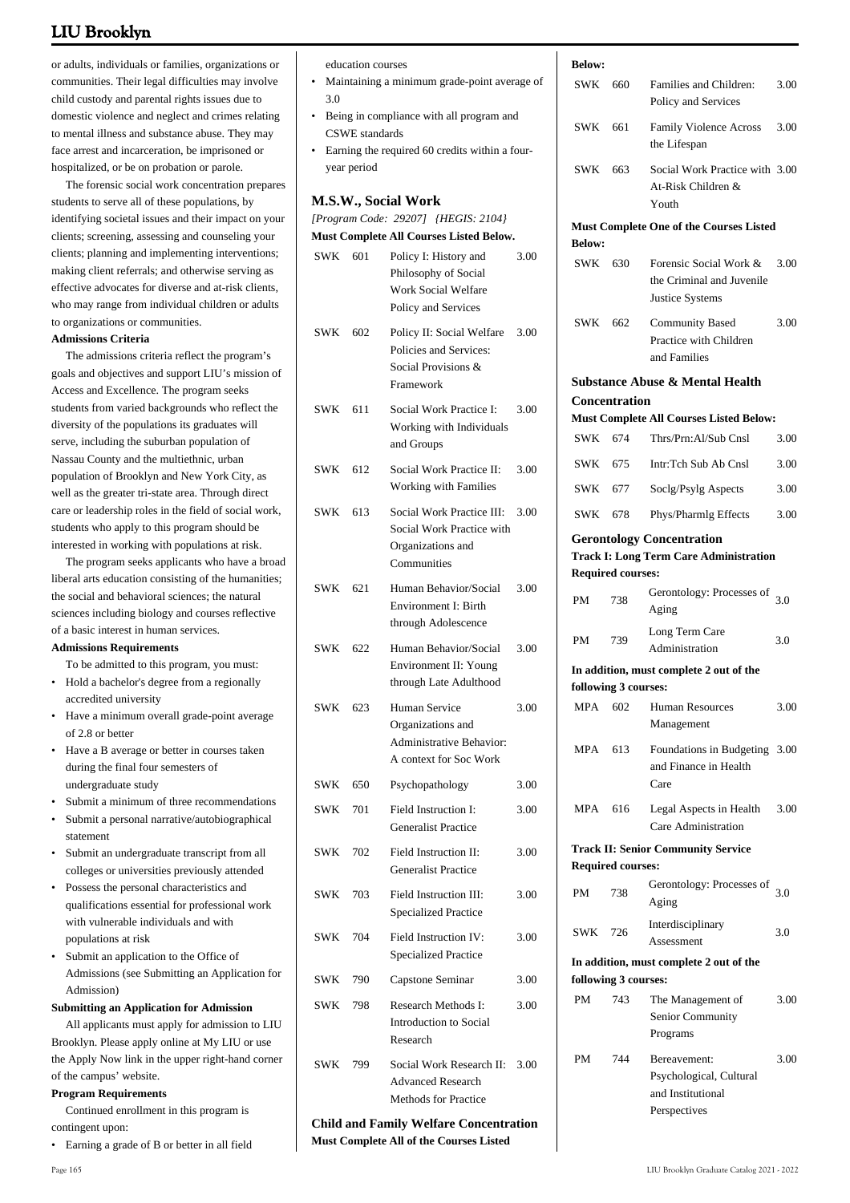or adults, individuals or families, organizations or communities. Their legal difficulties may involve child custody and parental rights issues due to domestic violence and neglect and crimes relating to mental illness and substance abuse. They may face arrest and incarceration, be imprisoned or hospitalized, or be on probation or parole.

 The forensic social work concentration prepares students to serve all of these populations, by identifying societal issues and their impact on your clients; screening, assessing and counseling your clients; planning and implementing interventions; making client referrals; and otherwise serving as effective advocates for diverse and at-risk clients, who may range from individual children or adults to organizations or communities.

#### **Admissions Criteria**

 The admissions criteria reflect the program's goals and objectives and support LIU's mission of Access and Excellence. The program seeks students from varied backgrounds who reflect the diversity of the populations its graduates will serve, including the suburban population of Nassau County and the multiethnic, urban population of Brooklyn and New York City, as well as the greater tri-state area. Through direct care or leadership roles in the field of social work, students who apply to this program should be interested in working with populations at risk.

 The program seeks applicants who have a broad liberal arts education consisting of the humanities; the social and behavioral sciences; the natural sciences including biology and courses reflective of a basic interest in human services.

**Admissions Requirements**

To be admitted to this program, you must:

- Hold a bachelor's degree from a regionally accredited university •
- Have a minimum overall grade-point average of 2.8 or better •
- Have a B average or better in courses taken during the final four semesters of undergraduate study •
- Submit a minimum of three recommendations
- Submit a personal narrative/autobiographical statement •
- Submit an undergraduate transcript from all colleges or universities previously attended •
- Possess the personal characteristics and qualifications essential for professional work with vulnerable individuals and with populations at risk
- Submit an application to the Office of Admissions (see Submitting an Application for Admission) •

#### **Submitting an Application for Admission**

 All applicants must apply for admission to LIU Brooklyn. Please apply online at My LIU or use the Apply Now link in the upper right-hand corner of the campus' website.

#### **Program Requirements**

 Continued enrollment in this program is contingent upon:

• Earning a grade of B or better in all field

education courses

Maintaining a minimum grade-point average of 3.0 •

**Below:**

- Being in compliance with all program and CSWE standards •
- Earning the required 60 credits within a fouryear period •

#### **M.S.W., Social Work**

*[Program Code: 29207] {HEGIS: 2104}*

**Must Complete All Courses Listed Below.**

| <b>SWK</b> | 601 | Policy I: History and<br>Philosophy of Social<br>Work Social Welfare<br>Policy and Services | 3.00 |
|------------|-----|---------------------------------------------------------------------------------------------|------|
| <b>SWK</b> | 602 | Policy II: Social Welfare<br>Policies and Services:<br>Social Provisions &<br>Framework     | 3.00 |
| SWK        | 611 | Social Work Practice I:<br>Working with Individuals<br>and Groups                           | 3.00 |
| SWK        | 612 | Social Work Practice II:<br>Working with Families                                           | 3.00 |
| SWK        | 613 | Social Work Practice III:<br>Social Work Practice with<br>Organizations and<br>Communities  | 3.00 |
| SWK        | 621 | Human Behavior/Social<br>Environment I: Birth<br>through Adolescence                        | 3.00 |
| SWK        | 622 | Human Behavior/Social<br>Environment II: Young<br>through Late Adulthood                    | 3.00 |
| SWK        | 623 | Human Service<br>Organizations and<br>Administrative Behavior:<br>A context for Soc Work    | 3.00 |
| SWK        | 650 | Psychopathology                                                                             | 3.00 |
| <b>SWK</b> | 701 | Field Instruction I:<br><b>Generalist Practice</b>                                          | 3.00 |
| SWK        | 702 | Field Instruction II:<br><b>Generalist Practice</b>                                         | 3.00 |
| SWK        | 703 | Field Instruction III:<br><b>Specialized Practice</b>                                       | 3.00 |
| SWK        | 704 | Field Instruction IV:<br><b>Specialized Practice</b>                                        | 3.00 |
| SWK        | 790 | Capstone Seminar                                                                            | 3.00 |
| SWK        | 798 | Research Methods I:<br>Introduction to Social<br>Research                                   | 3.00 |
| SWK        | 799 | Social Work Research II:<br><b>Advanced Research</b><br><b>Methods for Practice</b>         | 3.00 |
|            |     | Child and Family Walfare Concentration                                                      |      |

#### **Child and Family Welfare Concentration Must Complete All of the Courses Listed**

| SWK                  | 660                      | Families and Children:<br>Policy and Services                                     | 3.00 |
|----------------------|--------------------------|-----------------------------------------------------------------------------------|------|
| SWK                  | 661                      | Family Violence Across<br>the Lifespan                                            | 3.00 |
| SWK                  | 663                      | Social Work Practice with 3.00<br>At-Risk Children &<br>Youth                     |      |
|                      |                          | <b>Must Complete One of the Courses Listed</b>                                    |      |
| <b>Below:</b>        |                          |                                                                                   |      |
| SWK 630              |                          | Forensic Social Work &<br>the Criminal and Juvenile<br>Justice Systems            | 3.00 |
| SWK                  | 662                      | <b>Community Based</b><br>Practice with Children<br>and Families                  | 3.00 |
|                      |                          | Substance Abuse & Mental Health                                                   |      |
|                      | Concentration            |                                                                                   |      |
|                      |                          | <b>Must Complete All Courses Listed Below:</b>                                    |      |
| SWK                  | 674                      | Thrs/Prn:Al/Sub Cnsl                                                              | 3.00 |
| SWK 675              |                          | Intr:Tch Sub Ab Cnsl                                                              | 3.00 |
| SWK                  | 677                      | Soclg/Psylg Aspects                                                               | 3.00 |
| <b>SWK</b>           | 678                      | Phys/Pharmlg Effects                                                              | 3.00 |
|                      | <b>Required courses:</b> | <b>Gerontology Concentration</b><br><b>Track I: Long Term Care Administration</b> |      |
| PM                   | 738                      | Gerontology: Processes of<br>Aging                                                | 3.0  |
| PM                   | 739                      | Long Term Care<br>Administration                                                  | 3.0  |
|                      |                          | In addition, must complete 2 out of the                                           |      |
|                      | following 3 courses:     |                                                                                   |      |
|                      |                          | MPA 602 Human Resources<br>Management                                             | 3.00 |
| <b>MPA</b>           | 613                      | Foundations in Budgeting 3.00<br>and Finance in Health<br>Care                    |      |
| <b>MPA</b>           | 616                      | Legal Aspects in Health<br>Care Administration                                    | 3.00 |
|                      |                          | <b>Track II: Senior Community Service</b>                                         |      |
|                      | <b>Required courses:</b> |                                                                                   |      |
| <b>PM</b>            | 738                      | Gerontology: Processes of<br>Aging                                                | 3.0  |
| SWK                  | 726                      | Interdisciplinary<br>Assessment                                                   | 3.0  |
|                      |                          | In addition, must complete 2 out of the                                           |      |
| following 3 courses: |                          |                                                                                   |      |
| PM                   | 743                      | The Management of<br>Senior Community<br>Programs                                 | 3.00 |
| PM                   | 744                      | Bereavement:<br>Psychological, Cultural<br>and Institutional<br>Perspectives      | 3.00 |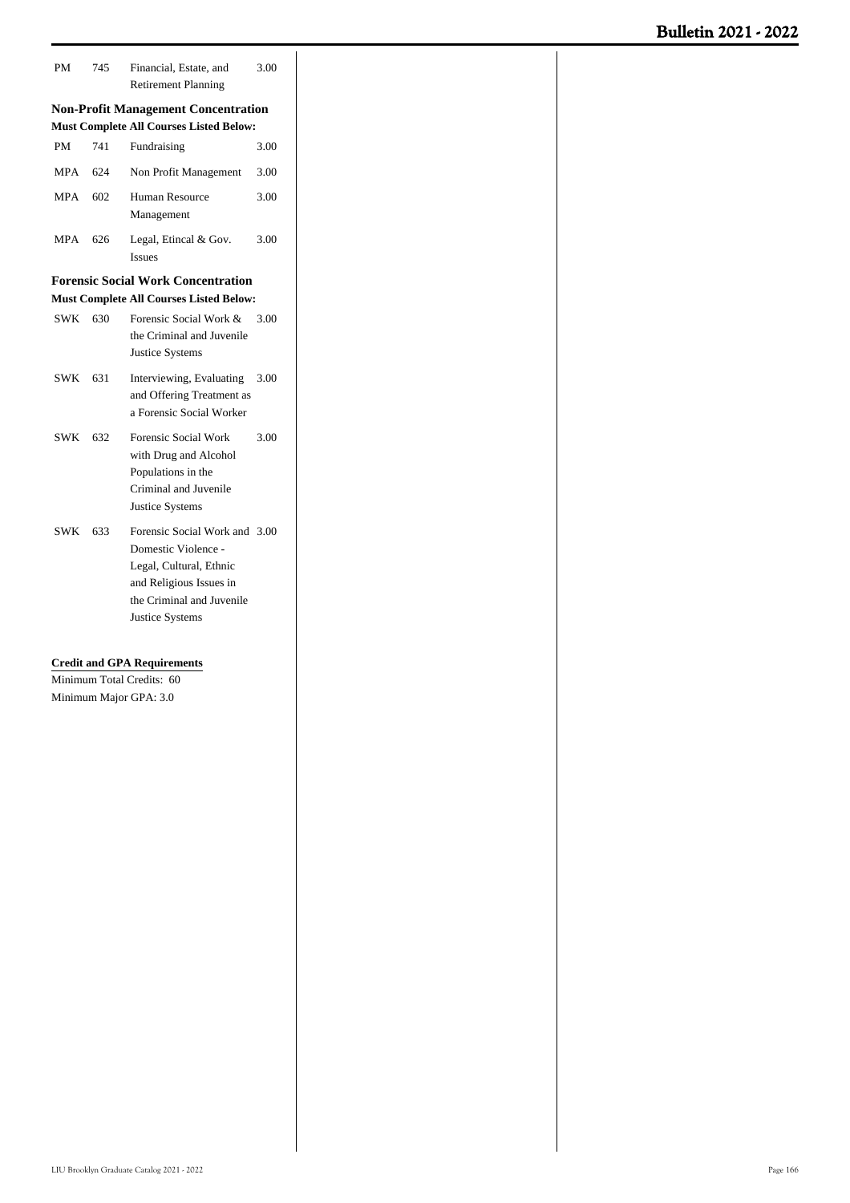| PM                                                                 | 745 | Financial, Estate, and<br><b>Retirement Planning</b>                                                                                                              | 3.00 |  |
|--------------------------------------------------------------------|-----|-------------------------------------------------------------------------------------------------------------------------------------------------------------------|------|--|
|                                                                    |     | <b>Non-Profit Management Concentration</b><br><b>Must Complete All Courses Listed Below:</b>                                                                      |      |  |
| <b>PM</b>                                                          | 741 | Fundraising                                                                                                                                                       | 3.00 |  |
| MPA                                                                | 624 | Non Profit Management                                                                                                                                             | 3.00 |  |
| MPA                                                                | 602 | Human Resource<br>Management                                                                                                                                      | 3.00 |  |
| MPA                                                                | 626 | Legal, Etincal & Gov.<br><b>Issues</b>                                                                                                                            | 3.00 |  |
|                                                                    |     | <b>Forensic Social Work Concentration</b>                                                                                                                         |      |  |
|                                                                    |     | <b>Must Complete All Courses Listed Below:</b>                                                                                                                    |      |  |
| SWK 630                                                            |     | Forensic Social Work &<br>the Criminal and Juvenile<br>Justice Systems                                                                                            | 3.00 |  |
| SWK 631                                                            |     | Interviewing, Evaluating<br>and Offering Treatment as<br>a Forensic Social Worker                                                                                 | 3.00 |  |
| SWK 632                                                            |     | Forensic Social Work<br>with Drug and Alcohol<br>Populations in the<br>Criminal and Juvenile<br>Justice Systems                                                   | 3.00 |  |
| SWK 633                                                            |     | Forensic Social Work and 3.00<br>Domestic Violence -<br>Legal, Cultural, Ethnic<br>and Religious Issues in<br>the Criminal and Juvenile<br><b>Justice Systems</b> |      |  |
| <b>Credit and GPA Requirements</b><br>Minimum Total Credits:<br>60 |     |                                                                                                                                                                   |      |  |

Minimum Major GPA: 3.0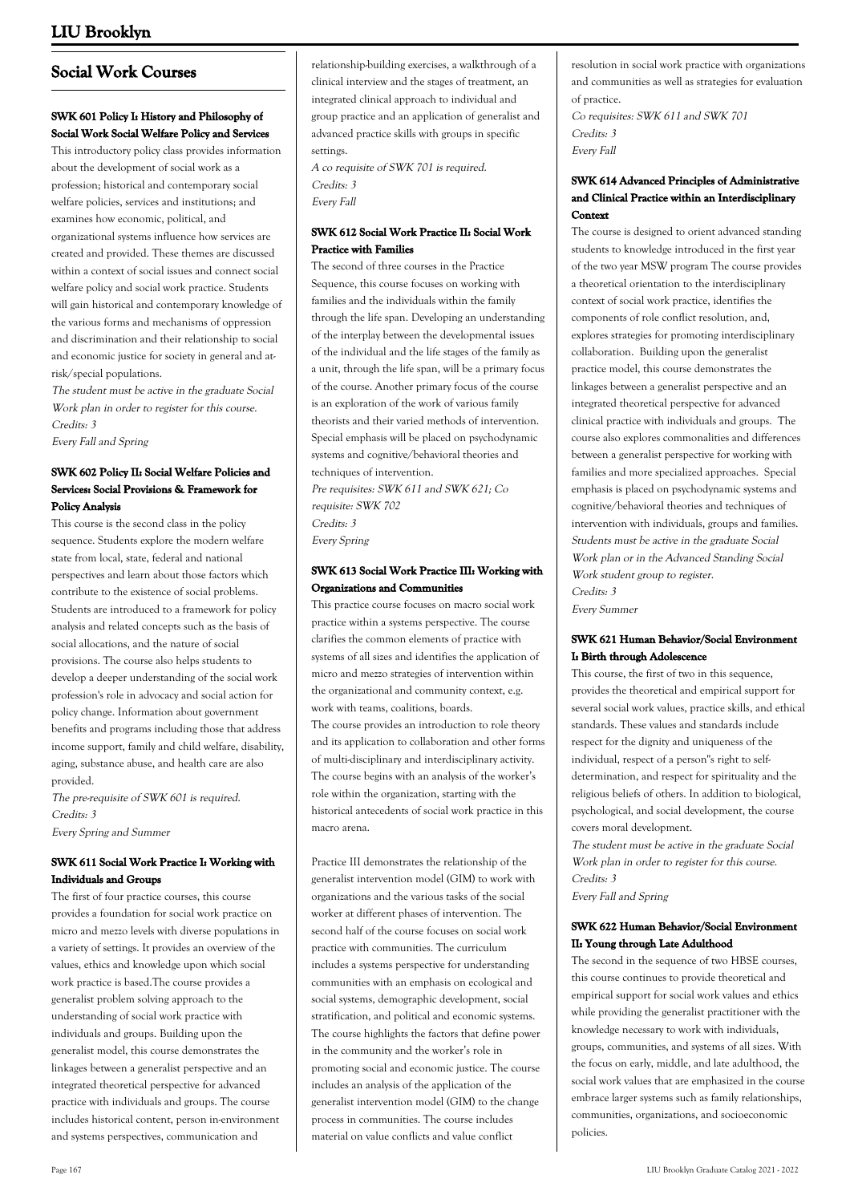## **Social Work Courses**

## **SWK 601 Policy I: History and Philosophy of Social Work Social Welfare Policy and Services**

This introductory policy class provides information about the development of social work as a profession; historical and contemporary social welfare policies, services and institutions; and examines how economic, political, and organizational systems influence how services are created and provided. These themes are discussed within a context of social issues and connect social welfare policy and social work practice. Students will gain historical and contemporary knowledge of the various forms and mechanisms of oppression and discrimination and their relationship to social and economic justice for society in general and atrisk/special populations.

The student must be active in the graduate Social Work plan in order to register for this course. Credits: 3 Every Fall and Spring

## **SWK 602 Policy II: Social Welfare Policies and Services: Social Provisions & Framework for Policy Analysis**

This course is the second class in the policy sequence. Students explore the modern welfare state from local, state, federal and national perspectives and learn about those factors which contribute to the existence of social problems. Students are introduced to a framework for policy analysis and related concepts such as the basis of social allocations, and the nature of social provisions. The course also helps students to develop a deeper understanding of the social work profession's role in advocacy and social action for policy change. Information about government benefits and programs including those that address income support, family and child welfare, disability, aging, substance abuse, and health care are also provided.

The pre-requisite of SWK 601 is required. Credits: 3 Every Spring and Summer

### **SWK 611 Social Work Practice I: Working with Individuals and Groups**

The first of four practice courses, this course provides a foundation for social work practice on micro and mezzo levels with diverse populations in a variety of settings. It provides an overview of the values, ethics and knowledge upon which social work practice is based.The course provides a generalist problem solving approach to the understanding of social work practice with individuals and groups. Building upon the generalist model, this course demonstrates the linkages between a generalist perspective and an integrated theoretical perspective for advanced practice with individuals and groups. The course includes historical content, person in-environment and systems perspectives, communication and

relationship-building exercises, a walkthrough of a clinical interview and the stages of treatment, an integrated clinical approach to individual and group practice and an application of generalist and advanced practice skills with groups in specific settings.

A co requisite of SWK 701 is required. Credits: 3 Every Fall

## **SWK 612 Social Work Practice II: Social Work Practice with Families**

The second of three courses in the Practice Sequence, this course focuses on working with families and the individuals within the family through the life span. Developing an understanding of the interplay between the developmental issues of the individual and the life stages of the family as a unit, through the life span, will be a primary focus of the course. Another primary focus of the course is an exploration of the work of various family theorists and their varied methods of intervention. Special emphasis will be placed on psychodynamic systems and cognitive/behavioral theories and techniques of intervention. Pre requisites: SWK 611 and SWK 621; Co

requisite: SWK 702 Credits: 3 Every Spring

## **SWK 613 Social Work Practice III: Working with Organizations and Communities**

This practice course focuses on macro social work practice within a systems perspective. The course clarifies the common elements of practice with systems of all sizes and identifies the application of micro and mezzo strategies of intervention within the organizational and community context, e.g. work with teams, coalitions, boards. The course provides an introduction to role theory and its application to collaboration and other forms of multi-disciplinary and interdisciplinary activity. The course begins with an analysis of the worker's role within the organization, starting with the historical antecedents of social work practice in this macro arena.

Practice III demonstrates the relationship of the generalist intervention model (GIM) to work with organizations and the various tasks of the social worker at different phases of intervention. The second half of the course focuses on social work practice with communities. The curriculum includes a systems perspective for understanding communities with an emphasis on ecological and social systems, demographic development, social stratification, and political and economic systems. The course highlights the factors that define power in the community and the worker's role in promoting social and economic justice. The course includes an analysis of the application of the generalist intervention model (GIM) to the change process in communities. The course includes material on value conflicts and value conflict

resolution in social work practice with organizations and communities as well as strategies for evaluation of practice.

Co requisites: SWK 611 and SWK 701 Credits: 3 Every Fall

## **SWK 614 Advanced Principles of Administrative and Clinical Practice within an Interdisciplinary Context**

The course is designed to orient advanced standing students to knowledge introduced in the first year of the two year MSW program The course provides a theoretical orientation to the interdisciplinary context of social work practice, identifies the components of role conflict resolution, and, explores strategies for promoting interdisciplinary collaboration. Building upon the generalist practice model, this course demonstrates the linkages between a generalist perspective and an integrated theoretical perspective for advanced clinical practice with individuals and groups. The course also explores commonalities and differences between a generalist perspective for working with families and more specialized approaches. Special emphasis is placed on psychodynamic systems and cognitive/behavioral theories and techniques of intervention with individuals, groups and families. Students must be active in the graduate Social Work plan or in the Advanced Standing Social Work student group to register. Credits: 3 Every Summer

### **SWK 621 Human Behavior/Social Environment I: Birth through Adolescence**

This course, the first of two in this sequence, provides the theoretical and empirical support for several social work values, practice skills, and ethical standards. These values and standards include respect for the dignity and uniqueness of the individual, respect of a person''s right to selfdetermination, and respect for spirituality and the religious beliefs of others. In addition to biological, psychological, and social development, the course covers moral development.

The student must be active in the graduate Social Work plan in order to register for this course. Credits: 3

Every Fall and Spring

#### **SWK 622 Human Behavior/Social Environment II: Young through Late Adulthood**

The second in the sequence of two HBSE courses, this course continues to provide theoretical and empirical support for social work values and ethics while providing the generalist practitioner with the knowledge necessary to work with individuals, groups, communities, and systems of all sizes. With the focus on early, middle, and late adulthood, the social work values that are emphasized in the course embrace larger systems such as family relationships, communities, organizations, and socioeconomic policies.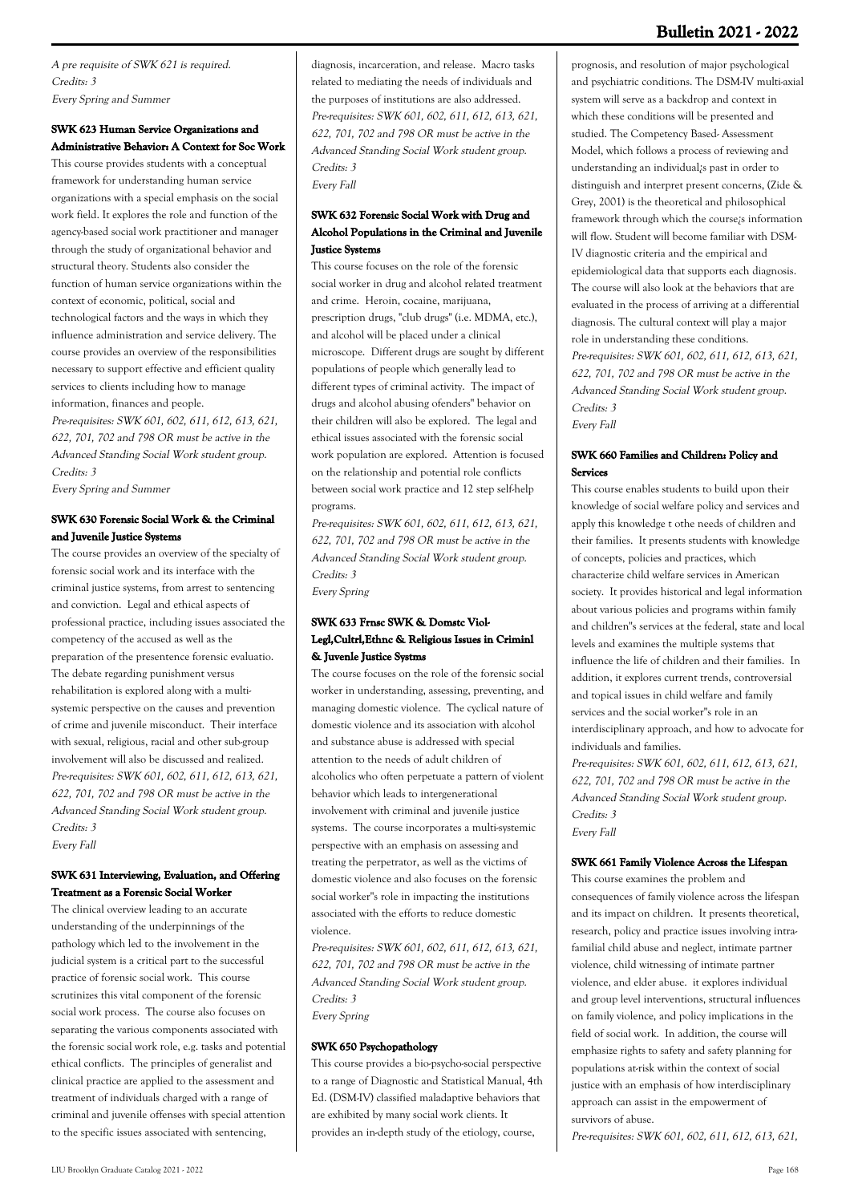A pre requisite of SWK 621 is required. Credits: 3 Every Spring and Summer

## **SWK 623 Human Service Organizations and Administrative Behavior: A Context for Soc Work**

This course provides students with a conceptual framework for understanding human service organizations with a special emphasis on the social work field. It explores the role and function of the agency-based social work practitioner and manager through the study of organizational behavior and structural theory. Students also consider the function of human service organizations within the context of economic, political, social and technological factors and the ways in which they influence administration and service delivery. The course provides an overview of the responsibilities necessary to support effective and efficient quality services to clients including how to manage information, finances and people.

Pre-requisites: SWK 601, 602, 611, 612, 613, 621, 622, 701, 702 and 798 OR must be active in the Advanced Standing Social Work student group. Credits: 3

Every Spring and Summer

## **SWK 630 Forensic Social Work & the Criminal and Juvenile Justice Systems**

The course provides an overview of the specialty of forensic social work and its interface with the criminal justice systems, from arrest to sentencing and conviction. Legal and ethical aspects of professional practice, including issues associated the competency of the accused as well as the preparation of the presentence forensic evaluatio. The debate regarding punishment versus rehabilitation is explored along with a multisystemic perspective on the causes and prevention of crime and juvenile misconduct. Their interface with sexual, religious, racial and other sub-group involvement will also be discussed and realized. Pre-requisites: SWK 601, 602, 611, 612, 613, 621, 622, 701, 702 and 798 OR must be active in the Advanced Standing Social Work student group. Credits: 3 Every Fall

## **SWK 631 Interviewing, Evaluation, and Offering Treatment as a Forensic Social Worker**

The clinical overview leading to an accurate understanding of the underpinnings of the pathology which led to the involvement in the judicial system is a critical part to the successful practice of forensic social work. This course scrutinizes this vital component of the forensic social work process. The course also focuses on separating the various components associated with the forensic social work role, e.g. tasks and potential ethical conflicts. The principles of generalist and clinical practice are applied to the assessment and treatment of individuals charged with a range of criminal and juvenile offenses with special attention to the specific issues associated with sentencing,

diagnosis, incarceration, and release. Macro tasks related to mediating the needs of individuals and the purposes of institutions are also addressed. Pre-requisites: SWK 601, 602, 611, 612, 613, 621, 622, 701, 702 and 798 OR must be active in the Advanced Standing Social Work student group. Credits: 3 Every Fall

## **SWK 632 Forensic Social Work with Drug and Alcohol Populations in the Criminal and Juvenile Justice Systems**

This course focuses on the role of the forensic social worker in drug and alcohol related treatment and crime. Heroin, cocaine, marijuana, prescription drugs, "club drugs" (i.e. MDMA, etc.), and alcohol will be placed under a clinical microscope. Different drugs are sought by different populations of people which generally lead to different types of criminal activity. The impact of drugs and alcohol abusing ofenders'' behavior on their children will also be explored. The legal and ethical issues associated with the forensic social work population are explored. Attention is focused on the relationship and potential role conflicts between social work practice and 12 step self-help programs.

Pre-requisites: SWK 601, 602, 611, 612, 613, 621, 622, 701, 702 and 798 OR must be active in the Advanced Standing Social Work student group. Credits: 3 Every Spring

### **SWK 633 Frnsc SWK & Domstc Viol-Legl,Cultrl,Ethnc & Religious Issues in Criminl & Juvenle Justice Systms**

The course focuses on the role of the forensic social worker in understanding, assessing, preventing, and managing domestic violence. The cyclical nature of domestic violence and its association with alcohol and substance abuse is addressed with special attention to the needs of adult children of alcoholics who often perpetuate a pattern of violent behavior which leads to intergenerational involvement with criminal and juvenile justice systems. The course incorporates a multi-systemic perspective with an emphasis on assessing and treating the perpetrator, as well as the victims of domestic violence and also focuses on the forensic social worker''s role in impacting the institutions associated with the efforts to reduce domestic violence.

Pre-requisites: SWK 601, 602, 611, 612, 613, 621, 622, 701, 702 and 798 OR must be active in the Advanced Standing Social Work student group. Credits: 3 Every Spring

#### **SWK 650 Psychopathology**

This course provides a bio-psycho-social perspective to a range of Diagnostic and Statistical Manual, 4th Ed. (DSM-IV) classified maladaptive behaviors that are exhibited by many social work clients. It provides an in-depth study of the etiology, course,

prognosis, and resolution of major psychological and psychiatric conditions. The DSM-IV multi-axial system will serve as a backdrop and context in which these conditions will be presented and studied. The Competency Based- Assessment Model, which follows a process of reviewing and understanding an individual¿s past in order to distinguish and interpret present concerns, (Zide & Grey, 2001) is the theoretical and philosophical framework through which the course¿s information will flow. Student will become familiar with DSM-IV diagnostic criteria and the empirical and epidemiological data that supports each diagnosis. The course will also look at the behaviors that are evaluated in the process of arriving at a differential diagnosis. The cultural context will play a major role in understanding these conditions. Pre-requisites: SWK 601, 602, 611, 612, 613, 621, 622, 701, 702 and 798 OR must be active in the Advanced Standing Social Work student group. Credits: 3 Every Fall

### **SWK 660 Families and Children: Policy and Services**

This course enables students to build upon their knowledge of social welfare policy and services and apply this knowledge t othe needs of children and their families. It presents students with knowledge of concepts, policies and practices, which characterize child welfare services in American society. It provides historical and legal information about various policies and programs within family and children''s services at the federal, state and local levels and examines the multiple systems that influence the life of children and their families. In addition, it explores current trends, controversial and topical issues in child welfare and family services and the social worker''s role in an interdisciplinary approach, and how to advocate for individuals and families.

Pre-requisites: SWK 601, 602, 611, 612, 613, 621, 622, 701, 702 and 798 OR must be active in the Advanced Standing Social Work student group. Credits: 3 Every Fall

## **SWK 661 Family Violence Across the Lifespan**

This course examines the problem and consequences of family violence across the lifespan and its impact on children. It presents theoretical, research, policy and practice issues involving intrafamilial child abuse and neglect, intimate partner violence, child witnessing of intimate partner violence, and elder abuse. it explores individual and group level interventions, structural influences on family violence, and policy implications in the field of social work. In addition, the course will emphasize rights to safety and safety planning for populations at-risk within the context of social justice with an emphasis of how interdisciplinary approach can assist in the empowerment of survivors of abuse.

Pre-requisites: SWK 601, 602, 611, 612, 613, 621,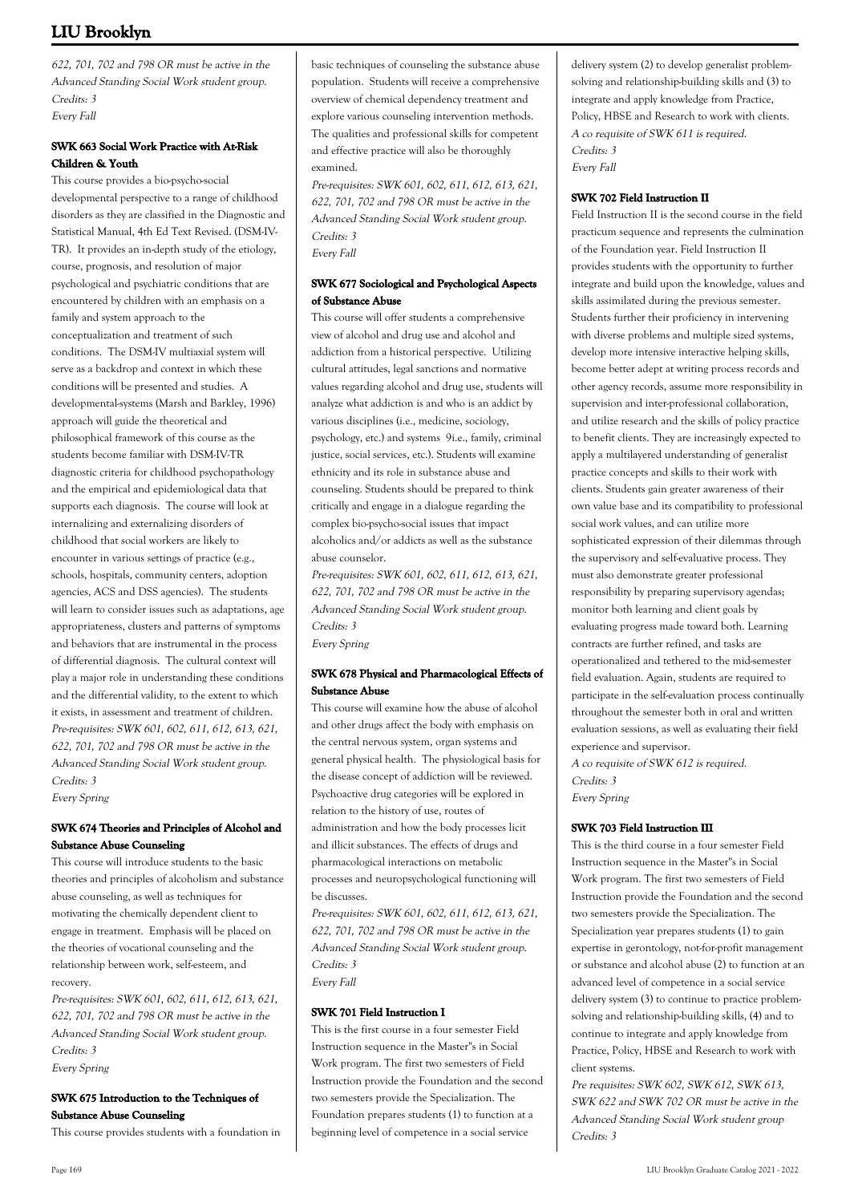622, 701, 702 and 798 OR must be active in the Advanced Standing Social Work student group. Credits: 3 Every Fall

## **SWK 663 Social Work Practice with At-Risk Children & Youth**

This course provides a bio-psycho-social developmental perspective to a range of childhood disorders as they are classified in the Diagnostic and Statistical Manual, 4th Ed Text Revised. (DSM-IV-TR). It provides an in-depth study of the etiology, course, prognosis, and resolution of major psychological and psychiatric conditions that are encountered by children with an emphasis on a family and system approach to the conceptualization and treatment of such conditions. The DSM-IV multiaxial system will serve as a backdrop and context in which these conditions will be presented and studies. A developmental-systems (Marsh and Barkley, 1996) approach will guide the theoretical and philosophical framework of this course as the students become familiar with DSM-IV-TR diagnostic criteria for childhood psychopathology and the empirical and epidemiological data that supports each diagnosis. The course will look at internalizing and externalizing disorders of childhood that social workers are likely to encounter in various settings of practice (e.g., schools, hospitals, community centers, adoption agencies, ACS and DSS agencies). The students will learn to consider issues such as adaptations, age appropriateness, clusters and patterns of symptoms and behaviors that are instrumental in the process of differential diagnosis. The cultural context will play a major role in understanding these conditions and the differential validity, to the extent to which it exists, in assessment and treatment of children. Pre-requisites: SWK 601, 602, 611, 612, 613, 621, 622, 701, 702 and 798 OR must be active in the Advanced Standing Social Work student group. Credits: 3 Every Spring

**SWK 674 Theories and Principles of Alcohol and Substance Abuse Counseling**

This course will introduce students to the basic theories and principles of alcoholism and substance abuse counseling, as well as techniques for motivating the chemically dependent client to engage in treatment. Emphasis will be placed on the theories of vocational counseling and the relationship between work, self-esteem, and recovery.

Pre-requisites: SWK 601, 602, 611, 612, 613, 621, 622, 701, 702 and 798 OR must be active in the Advanced Standing Social Work student group. Credits: 3 Every Spring

## **SWK 675 Introduction to the Techniques of Substance Abuse Counseling**

This course provides students with a foundation in

basic techniques of counseling the substance abuse population. Students will receive a comprehensive overview of chemical dependency treatment and explore various counseling intervention methods. The qualities and professional skills for competent and effective practice will also be thoroughly examined.

Pre-requisites: SWK 601, 602, 611, 612, 613, 621, 622, 701, 702 and 798 OR must be active in the Advanced Standing Social Work student group. Credits: 3 Every Fall

## **SWK 677 Sociological and Psychological Aspects of Substance Abuse**

This course will offer students a comprehensive view of alcohol and drug use and alcohol and addiction from a historical perspective. Utilizing cultural attitudes, legal sanctions and normative values regarding alcohol and drug use, students will analyze what addiction is and who is an addict by various disciplines (i.e., medicine, sociology, psychology, etc.) and systems 9i.e., family, criminal justice, social services, etc.). Students will examine ethnicity and its role in substance abuse and counseling. Students should be prepared to think critically and engage in a dialogue regarding the complex bio-psycho-social issues that impact alcoholics and/or addicts as well as the substance abuse counselor.

Pre-requisites: SWK 601, 602, 611, 612, 613, 621, 622, 701, 702 and 798 OR must be active in the Advanced Standing Social Work student group. Credits: 3 Every Spring

## **SWK 678 Physical and Pharmacological Effects of Substance Abuse**

This course will examine how the abuse of alcohol and other drugs affect the body with emphasis on the central nervous system, organ systems and general physical health. The physiological basis for the disease concept of addiction will be reviewed. Psychoactive drug categories will be explored in relation to the history of use, routes of administration and how the body processes licit and illicit substances. The effects of drugs and pharmacological interactions on metabolic processes and neuropsychological functioning will be discusses.

Pre-requisites: SWK 601, 602, 611, 612, 613, 621, 622, 701, 702 and 798 OR must be active in the Advanced Standing Social Work student group. Credits: 3

Every Fall

## **SWK 701 Field Instruction I**

This is the first course in a four semester Field Instruction sequence in the Master''s in Social Work program. The first two semesters of Field Instruction provide the Foundation and the second two semesters provide the Specialization. The Foundation prepares students (1) to function at a beginning level of competence in a social service

delivery system (2) to develop generalist problemsolving and relationship-building skills and (3) to integrate and apply knowledge from Practice, Policy, HBSE and Research to work with clients. A co requisite of SWK 611 is required. Credits: 3 Every Fall

### **SWK 702 Field Instruction II**

Field Instruction II is the second course in the field practicum sequence and represents the culmination of the Foundation year. Field Instruction II provides students with the opportunity to further integrate and build upon the knowledge, values and skills assimilated during the previous semester. Students further their proficiency in intervening with diverse problems and multiple sized systems, develop more intensive interactive helping skills, become better adept at writing process records and other agency records, assume more responsibility in supervision and inter-professional collaboration, and utilize research and the skills of policy practice to benefit clients. They are increasingly expected to apply a multilayered understanding of generalist practice concepts and skills to their work with clients. Students gain greater awareness of their own value base and its compatibility to professional social work values, and can utilize more sophisticated expression of their dilemmas through the supervisory and self-evaluative process. They must also demonstrate greater professional responsibility by preparing supervisory agendas; monitor both learning and client goals by evaluating progress made toward both. Learning contracts are further refined, and tasks are operationalized and tethered to the mid-semester field evaluation. Again, students are required to participate in the self-evaluation process continually throughout the semester both in oral and written evaluation sessions, as well as evaluating their field experience and supervisor. A co requisite of SWK 612 is required.

Credits: 3 Every Spring

## **SWK 703 Field Instruction III**

This is the third course in a four semester Field Instruction sequence in the Master''s in Social Work program. The first two semesters of Field Instruction provide the Foundation and the second two semesters provide the Specialization. The Specialization year prepares students (1) to gain expertise in gerontology, not-for-profit management or substance and alcohol abuse (2) to function at an advanced level of competence in a social service delivery system (3) to continue to practice problemsolving and relationship-building skills, (4) and to continue to integrate and apply knowledge from Practice, Policy, HBSE and Research to work with client systems.

Pre requisites: SWK 602, SWK 612, SWK 613. SWK 622 and SWK 702 OR must be active in the Advanced Standing Social Work student group Credits: 3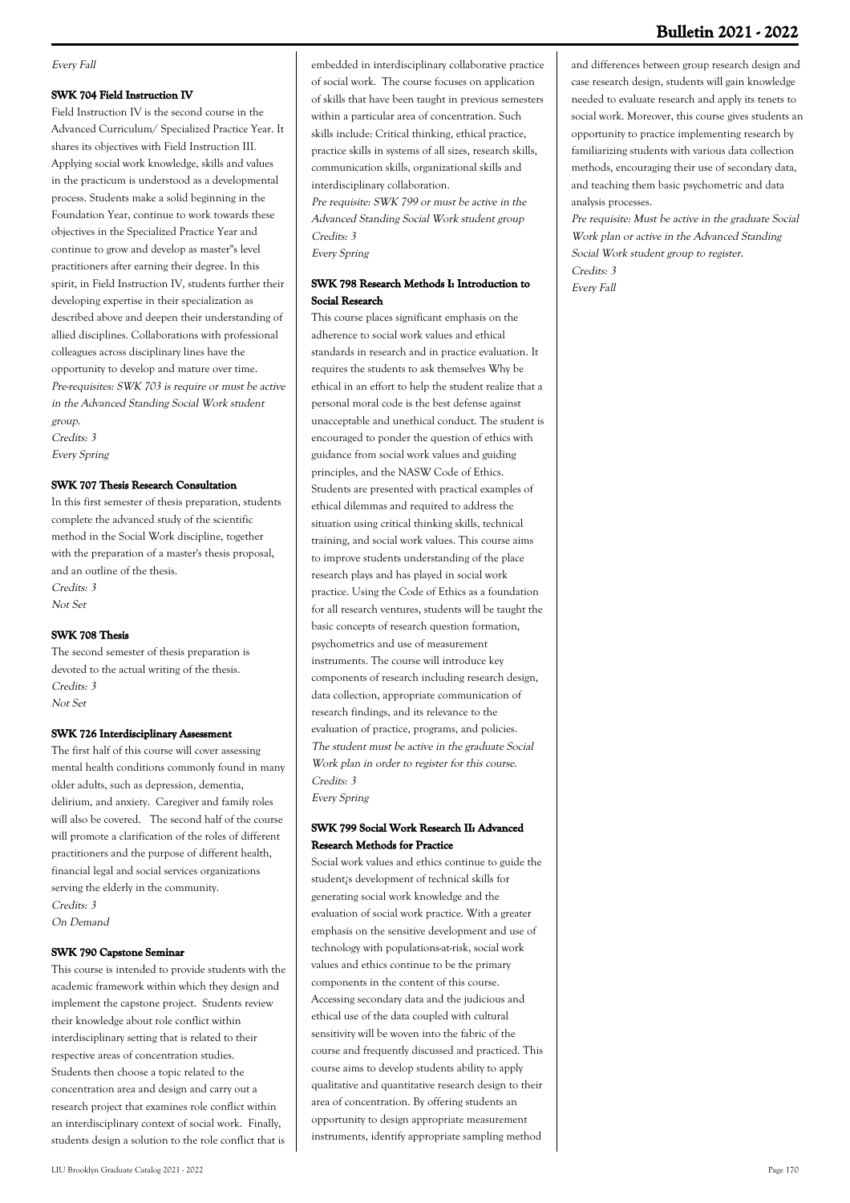#### Every Fall

#### **SWK 704 Field Instruction IV**

Field Instruction IV is the second course in the Advanced Curriculum/ Specialized Practice Year. It shares its objectives with Field Instruction III. Applying social work knowledge, skills and values in the practicum is understood as a developmental process. Students make a solid beginning in the Foundation Year, continue to work towards these objectives in the Specialized Practice Year and continue to grow and develop as master''s level practitioners after earning their degree. In this spirit, in Field Instruction IV, students further their developing expertise in their specialization as described above and deepen their understanding of allied disciplines. Collaborations with professional colleagues across disciplinary lines have the opportunity to develop and mature over time. Pre-requisites: SWK 703 is require or must be active in the Advanced Standing Social Work student group. Credits: 3 Every Spring

#### **SWK 707 Thesis Research Consultation**

In this first semester of thesis preparation, students complete the advanced study of the scientific method in the Social Work discipline, together with the preparation of a master's thesis proposal, and an outline of the thesis. Credits: 3 Not Set

**SWK 708 Thesis**

The second semester of thesis preparation is devoted to the actual writing of the thesis. Credits: 3 Not Set

#### **SWK 726 Interdisciplinary Assessment**

The first half of this course will cover assessing mental health conditions commonly found in many older adults, such as depression, dementia, delirium, and anxiety. Caregiver and family roles will also be covered. The second half of the course will promote a clarification of the roles of different practitioners and the purpose of different health, financial legal and social services organizations serving the elderly in the community. Credits: 3 On Demand

#### **SWK 790 Capstone Seminar**

This course is intended to provide students with the academic framework within which they design and implement the capstone project. Students review their knowledge about role conflict within interdisciplinary setting that is related to their respective areas of concentration studies. Students then choose a topic related to the concentration area and design and carry out a research project that examines role conflict within an interdisciplinary context of social work. Finally, students design a solution to the role conflict that is embedded in interdisciplinary collaborative practice of social work. The course focuses on application of skills that have been taught in previous semesters within a particular area of concentration. Such skills include: Critical thinking, ethical practice, practice skills in systems of all sizes, research skills, communication skills, organizational skills and interdisciplinary collaboration. Pre requisite: SWK 799 or must be active in the

Advanced Standing Social Work student group Credits: 3 Every Spring

### **SWK 798 Research Methods I: Introduction to Social Research**

This course places significant emphasis on the adherence to social work values and ethical standards in research and in practice evaluation. It requires the students to ask themselves Why be ethical in an effort to help the student realize that a personal moral code is the best defense against unacceptable and unethical conduct. The student is encouraged to ponder the question of ethics with guidance from social work values and guiding principles, and the NASW Code of Ethics. Students are presented with practical examples of ethical dilemmas and required to address the situation using critical thinking skills, technical training, and social work values. This course aims to improve students understanding of the place research plays and has played in social work practice. Using the Code of Ethics as a foundation for all research ventures, students will be taught the basic concepts of research question formation, psychometrics and use of measurement instruments. The course will introduce key components of research including research design, data collection, appropriate communication of research findings, and its relevance to the evaluation of practice, programs, and policies. The student must be active in the graduate Social Work plan in order to register for this course. Credits: 3 Every Spring

**SWK 799 Social Work Research II: Advanced Research Methods for Practice**

Social work values and ethics continue to guide the student¿s development of technical skills for generating social work knowledge and the evaluation of social work practice. With a greater emphasis on the sensitive development and use of technology with populations-at-risk, social work values and ethics continue to be the primary components in the content of this course. Accessing secondary data and the judicious and ethical use of the data coupled with cultural sensitivity will be woven into the fabric of the course and frequently discussed and practiced. This course aims to develop students ability to apply qualitative and quantitative research design to their area of concentration. By offering students an opportunity to design appropriate measurement instruments, identify appropriate sampling method

and differences between group research design and case research design, students will gain knowledge needed to evaluate research and apply its tenets to social work. Moreover, this course gives students an opportunity to practice implementing research by familiarizing students with various data collection methods, encouraging their use of secondary data, and teaching them basic psychometric and data analysis processes.

Pre requisite: Must be active in the graduate Social Work plan or active in the Advanced Standing Social Work student group to register. Credits: 3 Every Fall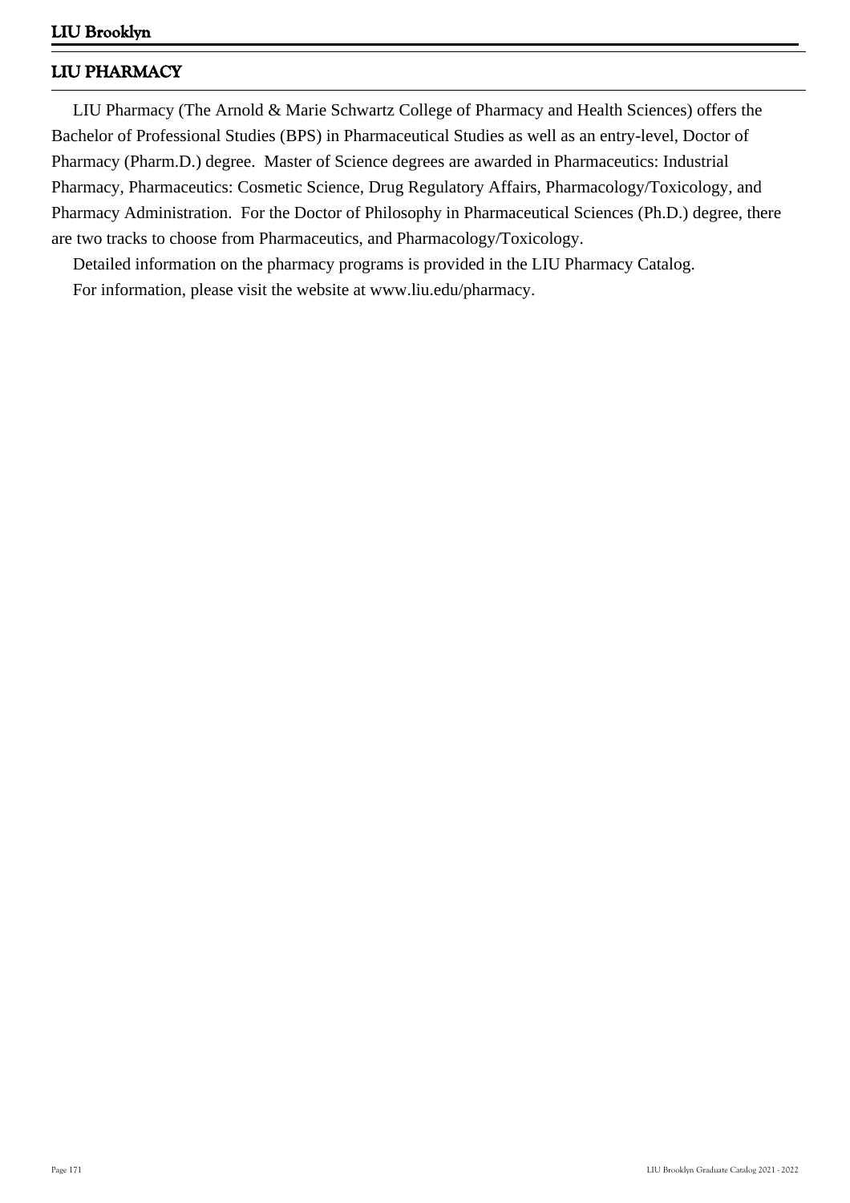# **LIU PHARMACY**

 LIU Pharmacy (The Arnold & Marie Schwartz College of Pharmacy and Health Sciences) offers the Bachelor of Professional Studies (BPS) in Pharmaceutical Studies as well as an entry-level, Doctor of Pharmacy (Pharm.D.) degree. Master of Science degrees are awarded in Pharmaceutics: Industrial Pharmacy, Pharmaceutics: Cosmetic Science, Drug Regulatory Affairs, Pharmacology/Toxicology, and Pharmacy Administration. For the Doctor of Philosophy in Pharmaceutical Sciences (Ph.D.) degree, there are two tracks to choose from Pharmaceutics, and Pharmacology/Toxicology.

 Detailed information on the pharmacy programs is provided in the LIU Pharmacy Catalog. For information, please visit the website at www.liu.edu/pharmacy.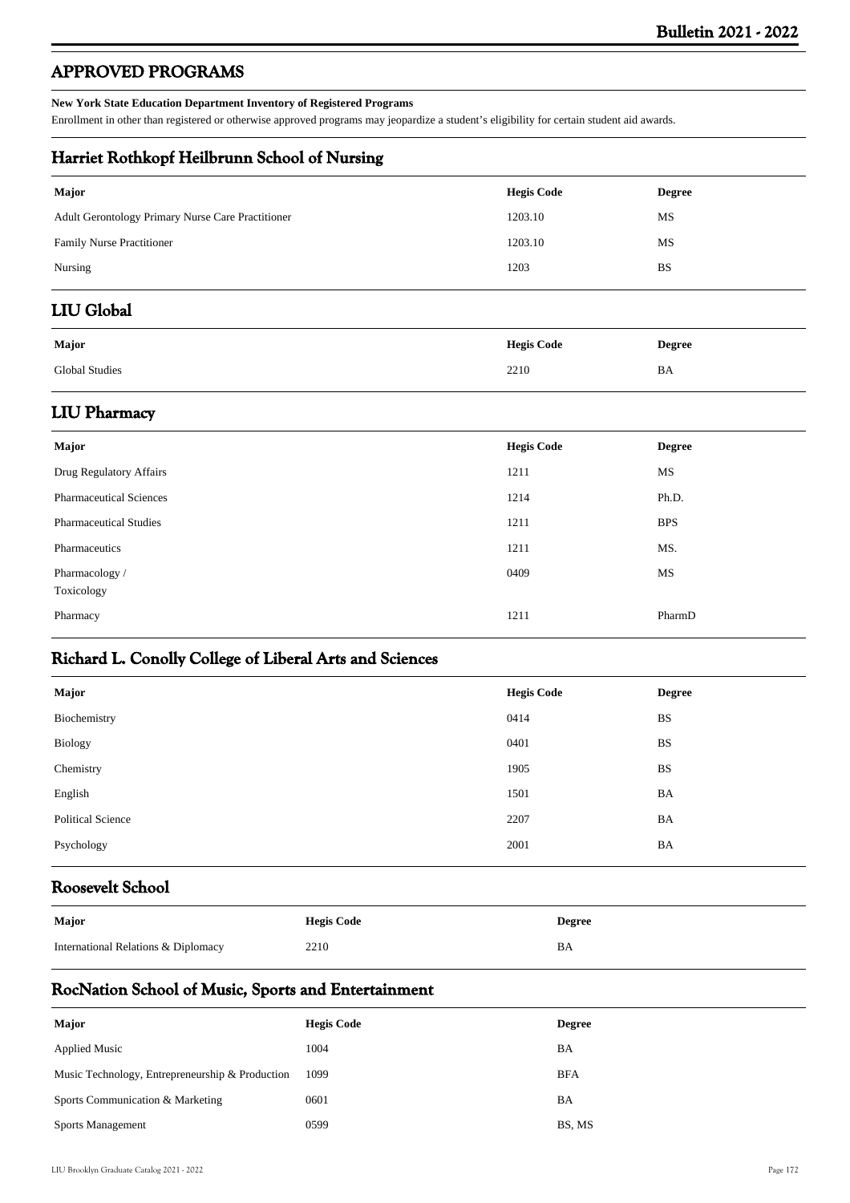# **APPROVED PROGRAMS**

#### **New York State Education Department Inventory of Registered Programs**

Enrollment in other than registered or otherwise approved programs may jeopardize a student's eligibility for certain student aid awards.

## **Harriet Rothkopf Heilbrunn School of Nursing**

| <b>Hegis Code</b> | <b>Degree</b> |
|-------------------|---------------|
| 1203.10           | MS            |
| 1203.10           | MS            |
| 1203              | <b>BS</b>     |
|                   |               |

# **LIU Global**

| Major                 | <b>Hegis Code</b> | <b>Degree</b> |
|-----------------------|-------------------|---------------|
| <b>Global Studies</b> | 2210              | BA            |

## **LIU Pharmacy**

| <b>Major</b>                   | <b>Hegis Code</b> | <b>Degree</b> |
|--------------------------------|-------------------|---------------|
| Drug Regulatory Affairs        | 1211              | MS            |
| <b>Pharmaceutical Sciences</b> | 1214              | Ph.D.         |
| <b>Pharmaceutical Studies</b>  | 1211              | <b>BPS</b>    |
| Pharmaceutics                  | 1211              | MS.           |
| Pharmacology /<br>Toxicology   | 0409              | MS            |
| Pharmacy                       | 1211              | PharmD        |

# **Richard L. Conolly College of Liberal Arts and Sciences**

| Major                    | <b>Hegis Code</b> | <b>Degree</b> |
|--------------------------|-------------------|---------------|
| Biochemistry             | 0414              | <b>BS</b>     |
| <b>Biology</b>           | 0401              | <b>BS</b>     |
| Chemistry                | 1905              | <b>BS</b>     |
| English                  | 1501              | BA            |
| <b>Political Science</b> | 2207              | BA            |
| Psychology               | 2001              | BA            |
|                          |                   |               |

## **Roosevelt School**

| Major                               | <b>Hegis Code</b> | Degree |
|-------------------------------------|-------------------|--------|
| International Relations & Diplomacy | 2210              | BA     |

## **RocNation School of Music, Sports and Entertainment**

| Major                                           | <b>Hegis Code</b> | <b>Degree</b> |
|-------------------------------------------------|-------------------|---------------|
| <b>Applied Music</b>                            | 1004              | BA            |
| Music Technology, Entrepreneurship & Production | 1099              | <b>BFA</b>    |
| Sports Communication & Marketing                | 0601              | BA            |
| <b>Sports Management</b>                        | 0599              | BS, MS        |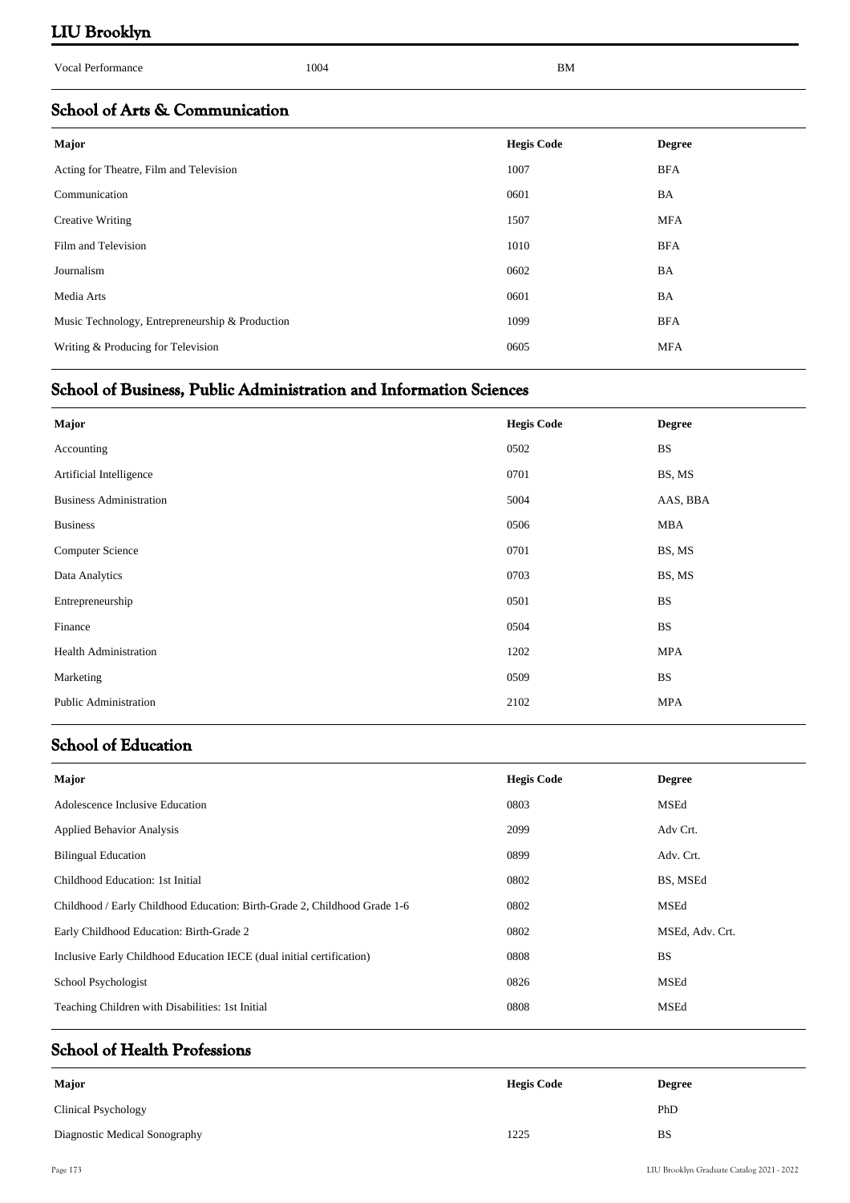| <b>Vocal Performance</b>                        | 1004 | BM                |               |
|-------------------------------------------------|------|-------------------|---------------|
| School of Arts & Communication                  |      |                   |               |
| <b>Major</b>                                    |      | <b>Hegis Code</b> | <b>Degree</b> |
| Acting for Theatre, Film and Television         |      | 1007              | <b>BFA</b>    |
| Communication                                   |      | 0601              | BA            |
| Creative Writing                                |      | 1507              | <b>MFA</b>    |
| Film and Television                             |      | 1010              | <b>BFA</b>    |
| Journalism                                      |      | 0602              | BA            |
| Media Arts                                      |      | 0601              | BA            |
| Music Technology, Entrepreneurship & Production |      | 1099              | <b>BFA</b>    |
| Writing & Producing for Television              |      | 0605              | <b>MFA</b>    |

# **School of Business, Public Administration and Information Sciences**

| Major                          | <b>Hegis Code</b> | <b>Degree</b> |
|--------------------------------|-------------------|---------------|
| Accounting                     | 0502              | $_{\rm BS}$   |
| Artificial Intelligence        | 0701              | BS, MS        |
| <b>Business Administration</b> | 5004              | AAS, BBA      |
| <b>Business</b>                | 0506              | MBA           |
| <b>Computer Science</b>        | 0701              | BS, MS        |
| Data Analytics                 | 0703              | BS, MS        |
| Entrepreneurship               | 0501              | <b>BS</b>     |
| Finance                        | 0504              | <b>BS</b>     |
| <b>Health Administration</b>   | 1202              | <b>MPA</b>    |
| Marketing                      | 0509              | <b>BS</b>     |
| <b>Public Administration</b>   | 2102              | <b>MPA</b>    |

# **School of Education**

| Major                                                                     | <b>Hegis Code</b> | <b>Degree</b>   |
|---------------------------------------------------------------------------|-------------------|-----------------|
| Adolescence Inclusive Education                                           | 0803              | MSEd            |
| <b>Applied Behavior Analysis</b>                                          | 2099              | Adv Crt.        |
| <b>Bilingual Education</b>                                                | 0899              | Adv. Crt.       |
| Childhood Education: 1st Initial                                          | 0802              | BS, MSEd        |
| Childhood / Early Childhood Education: Birth-Grade 2, Childhood Grade 1-6 | 0802              | MSEd            |
| Early Childhood Education: Birth-Grade 2                                  | 0802              | MSEd, Adv. Crt. |
| Inclusive Early Childhood Education IECE (dual initial certification)     | 0808              | <b>BS</b>       |
| School Psychologist                                                       | 0826              | <b>MSEd</b>     |
| Teaching Children with Disabilities: 1st Initial                          | 0808              | MSEd            |
|                                                                           |                   |                 |

# **School of Health Professions**

| Major                         | <b>Hegis Code</b> | <b>Degree</b> |
|-------------------------------|-------------------|---------------|
| Clinical Psychology           |                   | PhD           |
| Diagnostic Medical Sonography | 1225              | <b>BS</b>     |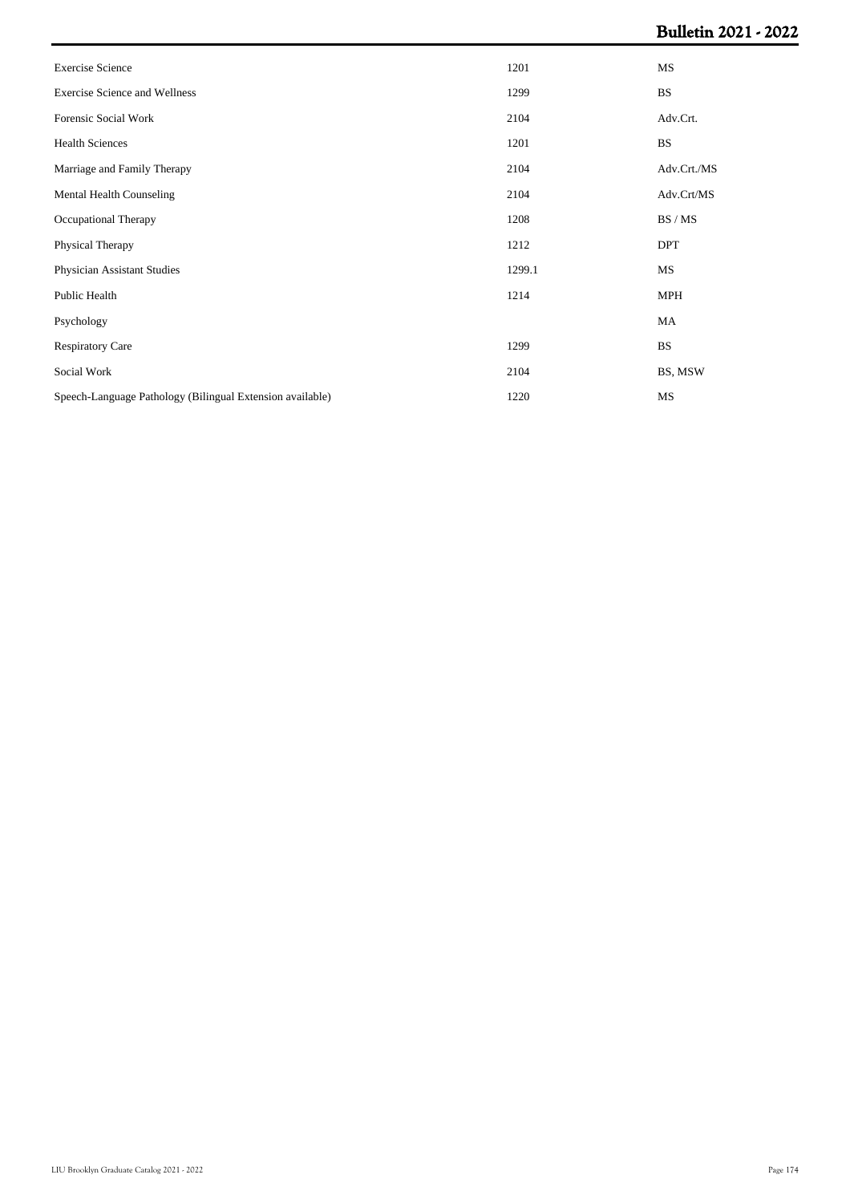| <b>Exercise Science</b>                                   | 1201   | MS          |
|-----------------------------------------------------------|--------|-------------|
| <b>Exercise Science and Wellness</b>                      | 1299   | <b>BS</b>   |
| Forensic Social Work                                      | 2104   | Adv.Crt.    |
| <b>Health Sciences</b>                                    | 1201   | <b>BS</b>   |
| Marriage and Family Therapy                               | 2104   | Adv.Crt./MS |
| Mental Health Counseling                                  | 2104   | Adv.Crt/MS  |
| Occupational Therapy                                      | 1208   | BS / MS     |
| Physical Therapy                                          | 1212   | <b>DPT</b>  |
| Physician Assistant Studies                               | 1299.1 | MS          |
| Public Health                                             | 1214   | <b>MPH</b>  |
| Psychology                                                |        | MA          |
| <b>Respiratory Care</b>                                   | 1299   | <b>BS</b>   |
| Social Work                                               | 2104   | BS, MSW     |
| Speech-Language Pathology (Bilingual Extension available) | 1220   | MS          |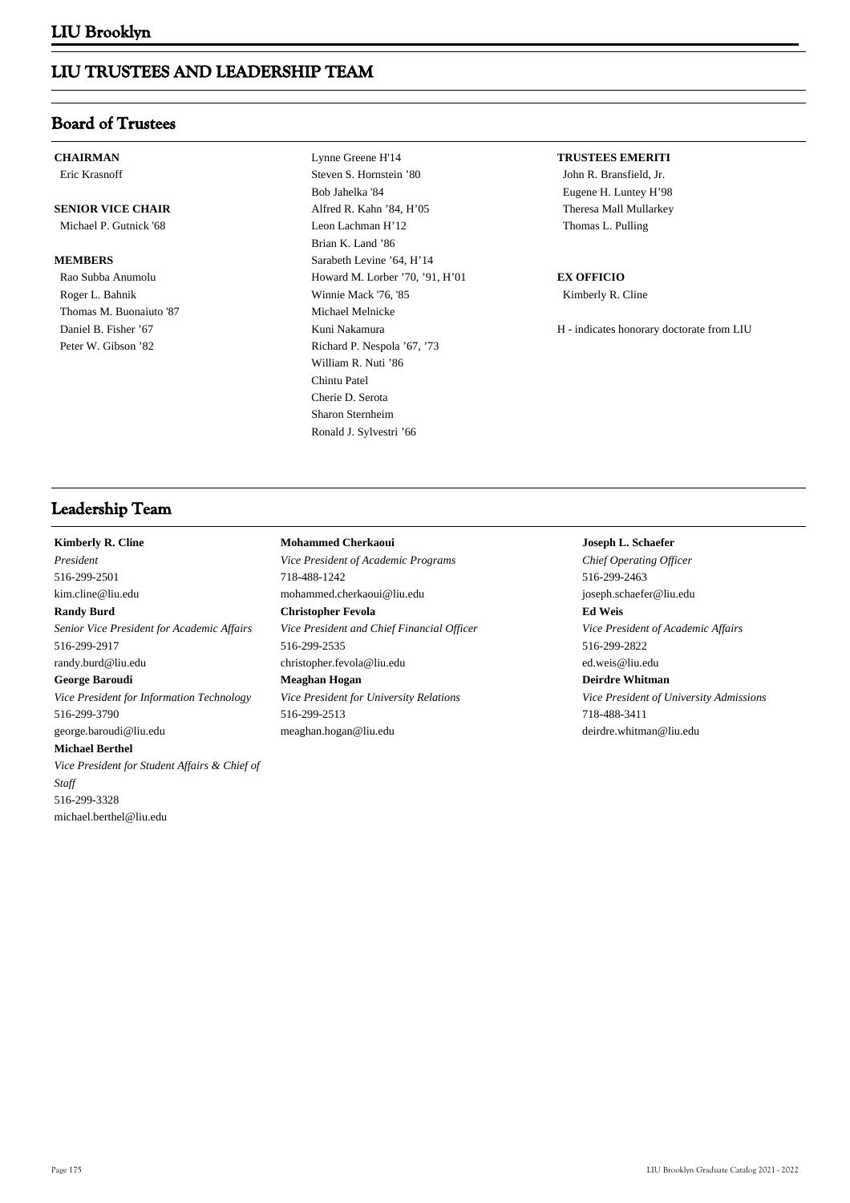## **LIU TRUSTEES AND LEADERSHIP TEAM**

## **Board of Trustees**

## **CHAIRMAN**

Eric Krasnoff

## **SENIOR VICE CHAIR**

Michael P. Gutnick '68

#### **MEMBERS**

 Rao Subba Anumolu Roger L. Bahnik Thomas M. Buonaiuto '87 Daniel B. Fisher '67 Peter W. Gibson '82

 Lynne Greene H'14 Steven S. Hornstein '80 Bob Jahelka '84 Alfred R. Kahn '84, H'05 Leon Lachman H'12 Brian K. Land '86 Sarabeth Levine '64, H'14 Howard M. Lorber '70, '91, H'01 Winnie Mack '76, '85 Michael Melnicke Kuni Nakamura Richard P. Nespola '67, '73 William R. Nuti '86 Chintu Patel Cherie D. Serota Sharon Sternheim Ronald J. Sylvestri '66

#### **TRUSTEES EMERITI**

John R. Bransfield, Jr. Eugene H. Luntey H'98 Theresa Mall Mullarkey Thomas L. Pulling

#### **EX OFFICIO**

Kimberly R. Cline

H - indicates honorary doctorate from LIU

## **Leadership Team**

## **Kimberly R. Cline**

*President* 516-299-2501 kim.cline@liu.edu **Randy Burd** *Senior Vice President for Academic Affairs* 516-299-2917 randy.burd@liu.edu **George Baroudi** *Vice President for Information Technology* 516-299-3790 george.baroudi@liu.edu **Michael Berthel** *Vice President for Student Affairs & Chief of Staff* 516-299-3328 michael.berthel@liu.edu

## *Vice President of Academic Programs* 718-488-1242 mohammed.cherkaoui@liu.edu **Christopher Fevola** *Vice President and Chief Financial Officer* 516-299-2535 christopher.fevola@liu.edu **Meaghan Hogan**

**Mohammed Cherkaoui**

*Vice President for University Relations* 516-299-2513 meaghan.hogan@liu.edu

### **Joseph L. Schaefer**

*Chief Operating Officer* 516-299-2463 joseph.schaefer@liu.edu **Ed Weis** *Vice President of Academic Affairs* 516-299-2822 ed.weis@liu.edu **Deirdre Whitman** *Vice President of University Admissions* 718-488-3411 deirdre.whitman@liu.edu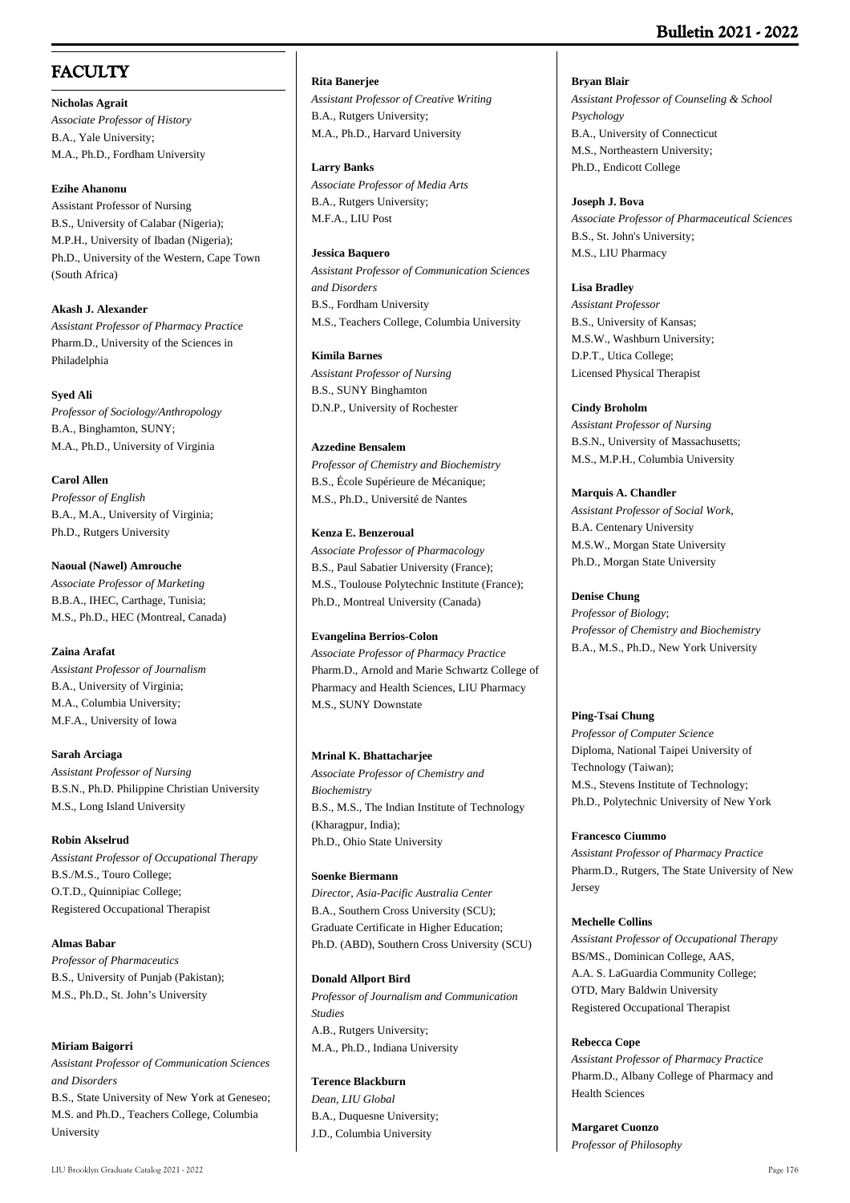# **FACULTY**

**Nicholas Agrait** *Associate Professor of History* B.A., Yale University; M.A., Ph.D., Fordham University

### **Ezihe Ahanonu**

Assistant Professor of Nursing B.S., University of Calabar (Nigeria); M.P.H., University of Ibadan (Nigeria); Ph.D., University of the Western, Cape Town (South Africa)

**Akash J. Alexander** *Assistant Professor of Pharmacy Practice* Pharm.D., University of the Sciences in Philadelphia

### **Syed Ali**

*Professor of Sociology/Anthropology* B.A., Binghamton, SUNY; M.A., Ph.D., University of Virginia

**Carol Allen** *Professor of English* B.A., M.A., University of Virginia; Ph.D., Rutgers University

**Naoual (Nawel) Amrouche** *Associate Professor of Marketing* B.B.A., IHEC, Carthage, Tunisia; M.S., Ph.D., HEC (Montreal, Canada)

## **Zaina Arafat**

*Assistant Professor of Journalism* B.A., University of Virginia; M.A., Columbia University; M.F.A., University of Iowa

**Sarah Arciaga** *Assistant Professor of Nursing* B.S.N., Ph.D. Philippine Christian University M.S., Long Island University

## **Robin Akselrud** *Assistant Professor of Occupational Therapy*

B.S./M.S., Touro College; O.T.D., Quinnipiac College; Registered Occupational Therapist

**Almas Babar**

*Professor of Pharmaceutics* B.S., University of Punjab (Pakistan); M.S., Ph.D., St. John's University

## **Miriam Baigorri**

*Assistant Professor of Communication Sciences and Disorders* B.S., State University of New York at Geneseo; M.S. and Ph.D., Teachers College, Columbia University

#### **Rita Banerjee**

*Assistant Professor of Creative Writing* B.A., Rutgers University; M.A., Ph.D., Harvard University

#### **Larry Banks**

*Associate Professor of Media Arts* B.A., Rutgers University; M.F.A., LIU Post

#### **Jessica Baquero**

*Assistant Professor of Communication Sciences and Disorders* B.S., Fordham University M.S., Teachers College, Columbia University

#### **Kimila Barnes**

*Assistant Professor of Nursing* B.S., SUNY Binghamton D.N.P., University of Rochester

### **Azzedine Bensalem**

*Professor of Chemistry and Biochemistry* B.S., École Supérieure de Mécanique; M.S., Ph.D., Université de Nantes

### **Kenza E. Benzeroual**

*Associate Professor of Pharmacology* B.S., Paul Sabatier University (France); M.S., Toulouse Polytechnic Institute (France); Ph.D., Montreal University (Canada)

## **Evangelina Berrios-Colon**

*Associate Professor of Pharmacy Practice*  Pharm.D., Arnold and Marie Schwartz College of Pharmacy and Health Sciences, LIU Pharmacy M.S., SUNY Downstate

## **Mrinal K. Bhattacharjee**

*Associate Professor of Chemistry and Biochemistry* B.S., M.S., The Indian Institute of Technology (Kharagpur, India); Ph.D., Ohio State University

#### **Soenke Biermann**

*Director, Asia-Pacific Australia Center* B.A., Southern Cross University (SCU); Graduate Certificate in Higher Education; Ph.D. (ABD), Southern Cross University (SCU)

#### **Donald Allport Bird**

*Professor of Journalism and Communication Studies* A.B., Rutgers University; M.A., Ph.D., Indiana University

## **Terence Blackburn**

*Dean, LIU Global* B.A., Duquesne University; J.D., Columbia University

**Bryan Blair** *Assistant Professor of Counseling & School Psychology* B.A., University of Connecticut M.S., Northeastern University;

Ph.D., Endicott College

### **Joseph J. Bova**

*Associate Professor of Pharmaceutical Sciences* B.S., St. John's University; M.S., LIU Pharmacy

### **Lisa Bradley**

*Assistant Professor* B.S., University of Kansas; M.S.W., Washburn University; D.P.T., Utica College; Licensed Physical Therapist

### **Cindy Broholm**

*Assistant Professor of Nursing* B.S.N., University of Massachusetts; M.S., M.P.H., Columbia University

### **Marquis A. Chandler**

*Assistant Professor of Social Work,* B.A. Centenary University M.S.W., Morgan State University Ph.D., Morgan State University

### **Denise Chung**

*Professor of Biology*; *Professor of Chemistry and Biochemistry* B.A., M.S., Ph.D., New York University

## **Ping-Tsai Chung**

*Professor of Computer Science* Diploma, National Taipei University of Technology (Taiwan); M.S., Stevens Institute of Technology; Ph.D., Polytechnic University of New York

#### **Francesco Ciummo**

*Assistant Professor of Pharmacy Practice* Pharm.D., Rutgers, The State University of New Jersey

#### **Mechelle Collins**

*Assistant Professor of Occupational Therapy* BS/MS., Dominican College, AAS, A.A. S. LaGuardia Community College; OTD, Mary Baldwin University Registered Occupational Therapist

#### **Rebecca Cope**

*Assistant Professor of Pharmacy Practice* Pharm.D., Albany College of Pharmacy and Health Sciences

**Margaret Cuonzo** *Professor of Philosophy*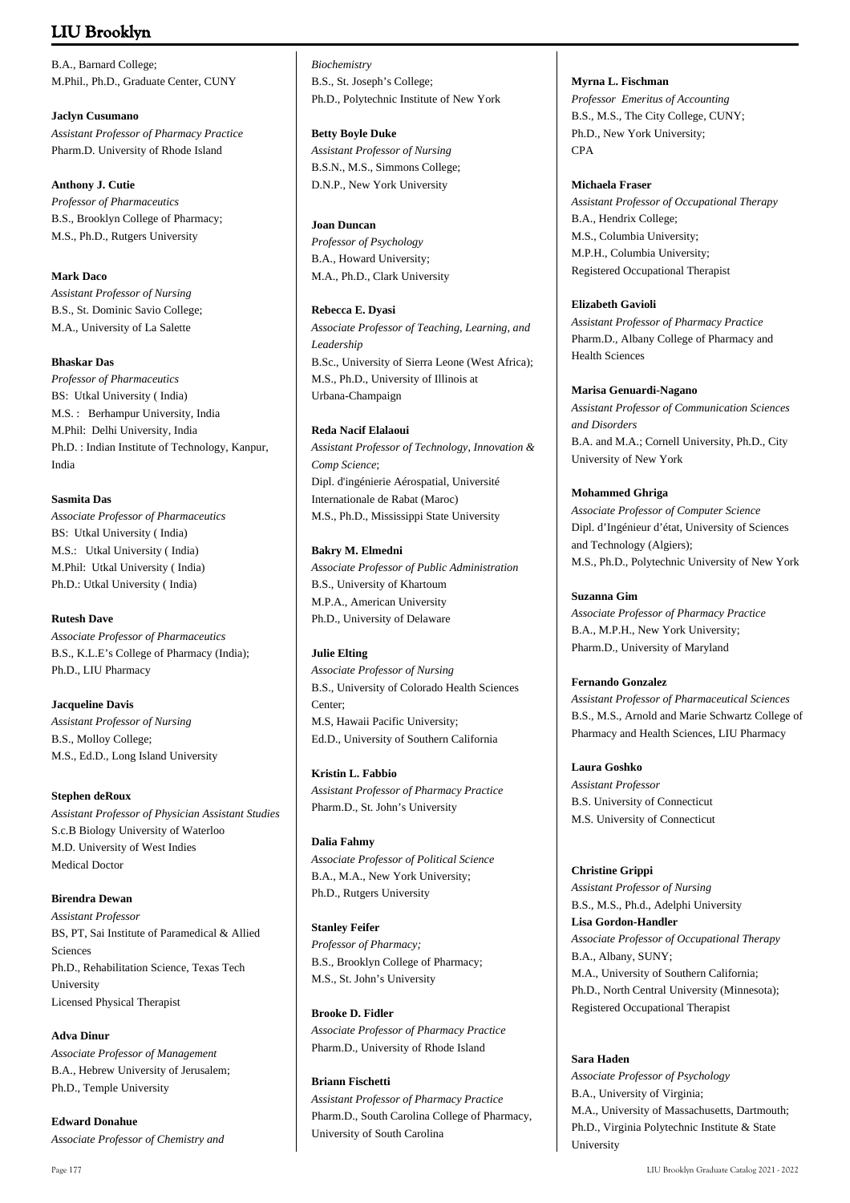B.A., Barnard College; M.Phil., Ph.D., Graduate Center, CUNY

## **Jaclyn Cusumano**

*Assistant Professor of Pharmacy Practice* Pharm.D. University of Rhode Island

### **Anthony J. Cutie**

*Professor of Pharmaceutics* B.S., Brooklyn College of Pharmacy; M.S., Ph.D., Rutgers University

### **Mark Daco**

*Assistant Professor of Nursing* B.S., St. Dominic Savio College; M.A., University of La Salette

### **Bhaskar Das**

*Professor of Pharmaceutics* BS: Utkal University ( India) M.S. : Berhampur University, India M.Phil: Delhi University, India Ph.D. : Indian Institute of Technology, Kanpur, India

### **Sasmita Das**

*Associate Professor of Pharmaceutics* BS: Utkal University ( India) M.S.: Utkal University ( India) M.Phil: Utkal University ( India) Ph.D.: Utkal University ( India)

## **Rutesh Dave**

*Associate Professor of Pharmaceutics* B.S., K.L.E's College of Pharmacy (India); Ph.D., LIU Pharmacy

**Jacqueline Davis** *Assistant Professor of Nursing* B.S., Molloy College; M.S., Ed.D., Long Island University

**Stephen deRoux** *Assistant Professor of Physician Assistant Studies* S.c.B Biology University of Waterloo M.D. University of West Indies Medical Doctor

**Birendra Dewan** *Assistant Professor* BS, PT, Sai Institute of Paramedical & Allied Sciences Ph.D., Rehabilitation Science, Texas Tech University Licensed Physical Therapist

#### **Adva Dinur**

*Associate Professor of Management* B.A., Hebrew University of Jerusalem; Ph.D., Temple University

**Edward Donahue** *Associate Professor of Chemistry and* *Biochemistry* B.S., St. Joseph's College; Ph.D., Polytechnic Institute of New York

#### **Betty Boyle Duke**

*Assistant Professor of Nursing* B.S.N., M.S., Simmons College; D.N.P., New York University

### **Joan Duncan**

*Professor of Psychology* B.A., Howard University; M.A., Ph.D., Clark University

### **Rebecca E. Dyasi**

*Associate Professor of Teaching, Learning, and Leadership* B.Sc., University of Sierra Leone (West Africa); M.S., Ph.D., University of Illinois at Urbana-Champaign

### **Reda Nacif Elalaoui**

*Assistant Professor of Technology, Innovation & Comp Science*; Dipl. d'ingénierie Aérospatial, Université Internationale de Rabat (Maroc) M.S., Ph.D., Mississippi State University

### **Bakry M. Elmedni**

*Associate Professor of Public Administration* B.S., University of Khartoum M.P.A., American University Ph.D., University of Delaware

## **Julie Elting**

*Associate Professor of Nursing* B.S., University of Colorado Health Sciences Center; M.S, Hawaii Pacific University; Ed.D., University of Southern California

**Kristin L. Fabbio** *Assistant Professor of Pharmacy Practice* Pharm.D., St. John's University

**Dalia Fahmy** *Associate Professor of Political Science* B.A., M.A., New York University; Ph.D., Rutgers University

#### **Stanley Feifer**

*Professor of Pharmacy;* B.S., Brooklyn College of Pharmacy; M.S., St. John's University

#### **Brooke D. Fidler** *Associate Professor of Pharmacy Practice* Pharm.D., University of Rhode Island

**Briann Fischetti**

*Assistant Professor of Pharmacy Practice* Pharm.D., South Carolina College of Pharmacy, University of South Carolina

**Myrna L. Fischman**

*Professor Emeritus of Accounting* B.S., M.S., The City College, CUNY; Ph.D., New York University; CPA

#### **Michaela Fraser**

*Assistant Professor of Occupational Therapy* B.A., Hendrix College; M.S., Columbia University; M.P.H., Columbia University; Registered Occupational Therapist

## **Elizabeth Gavioli**

*Assistant Professor of Pharmacy Practice* Pharm.D., Albany College of Pharmacy and Health Sciences

### **Marisa Genuardi-Nagano**

*Assistant Professor of Communication Sciences and Disorders* B.A. and M.A.; Cornell University, Ph.D., City University of New York

### **Mohammed Ghriga**

*Associate Professor of Computer Science* Dipl. d'Ingénieur d'état, University of Sciences and Technology (Algiers); M.S., Ph.D., Polytechnic University of New York

### **Suzanna Gim**

*Associate Professor of Pharmacy Practice* B.A., M.P.H., New York University; Pharm.D., University of Maryland

#### **Fernando Gonzalez**

*Assistant Professor of Pharmaceutical Sciences* B.S., M.S., Arnold and Marie Schwartz College of Pharmacy and Health Sciences, LIU Pharmacy

## **Laura Goshko**

*Assistant Professor* B.S. University of Connecticut M.S. University of Connecticut

#### **Christine Grippi**

*Assistant Professor of Nursing* B.S., M.S., Ph.d., Adelphi University **Lisa Gordon-Handler** *Associate Professor of Occupational Therapy* B.A., Albany, SUNY; M.A., University of Southern California; Ph.D., North Central University (Minnesota); Registered Occupational Therapist

## **Sara Haden**

*Associate Professor of Psychology* B.A., University of Virginia; M.A., University of Massachusetts, Dartmouth; Ph.D., Virginia Polytechnic Institute & State University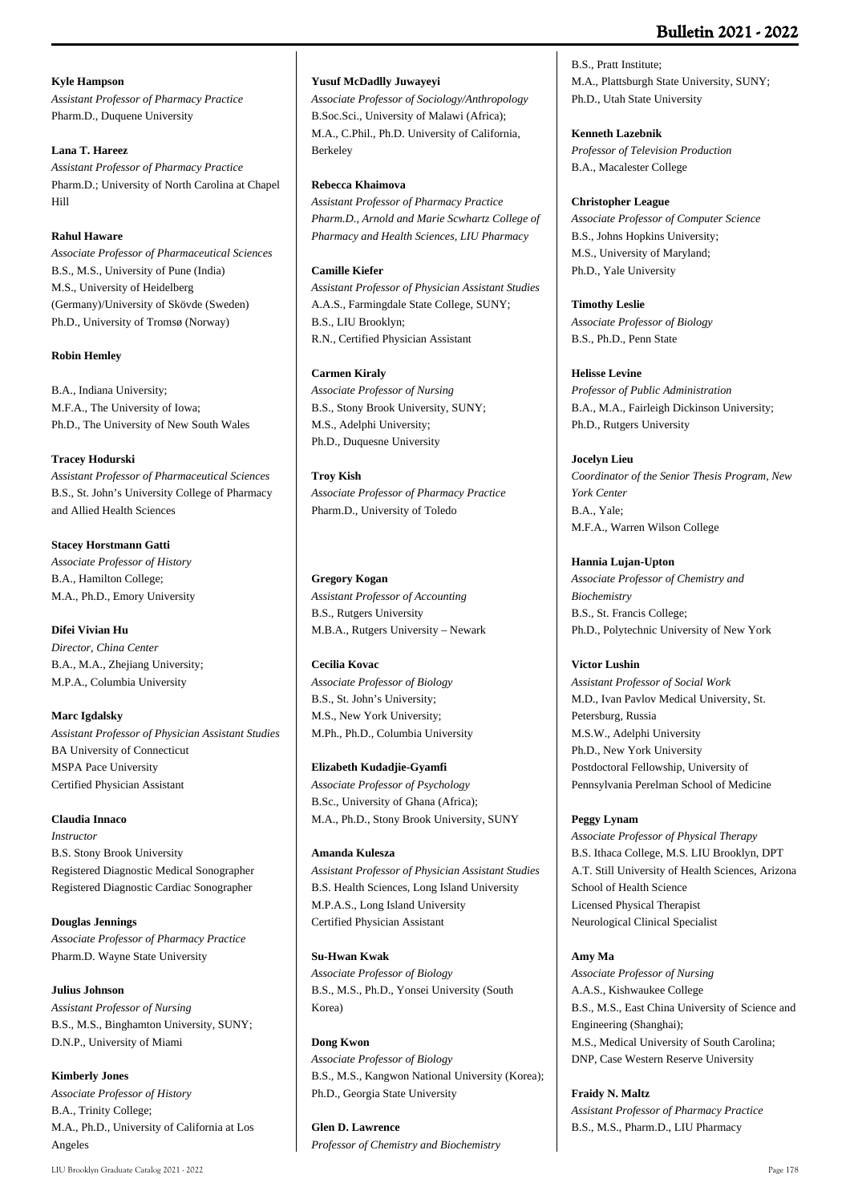## **Kyle Hampson**

*Assistant Professor of Pharmacy Practice* Pharm.D., Duquene University

## **Lana T. Hareez**

*Assistant Professor of Pharmacy Practice* Pharm.D.; University of North Carolina at Chapel Hill

## **Rahul Haware**

*Associate Professor of Pharmaceutical Sciences* B.S., M.S., University of Pune (India) M.S., University of Heidelberg (Germany)/University of Skövde (Sweden) Ph.D., University of Tromsø (Norway)

### **Robin Hemley**

B.A., Indiana University; M.F.A., The University of Iowa; Ph.D., The University of New South Wales

### **Tracey Hodurski**

*Assistant Professor of Pharmaceutical Sciences* B.S., St. John's University College of Pharmacy and Allied Health Sciences

### **Stacey Horstmann Gatti**

*Associate Professor of History* B.A., Hamilton College; M.A., Ph.D., Emory University

## **Difei Vivian Hu**

*Director, China Center* B.A., M.A., Zhejiang University; M.P.A., Columbia University

## **Marc Igdalsky**

*Assistant Professor of Physician Assistant Studies* BA University of Connecticut MSPA Pace University Certified Physician Assistant

## **Claudia Innaco**

*Instructor* B.S. Stony Brook University Registered Diagnostic Medical Sonographer Registered Diagnostic Cardiac Sonographer

**Douglas Jennings** *Associate Professor of Pharmacy Practice* Pharm.D. Wayne State University

## **Julius Johnson** *Assistant Professor of Nursing* B.S., M.S., Binghamton University, SUNY; D.N.P., University of Miami

**Kimberly Jones** *Associate Professor of History* B.A., Trinity College; M.A., Ph.D., University of California at Los Angeles

#### **Yusuf McDadlly Juwayeyi**

*Associate Professor of Sociology/Anthropology* B.Soc.Sci., University of Malawi (Africa); M.A., C.Phil., Ph.D. University of California, Berkeley

#### **Rebecca Khaimova**

*Assistant Professor of Pharmacy Practice Pharm.D., Arnold and Marie Scwhartz College of Pharmacy and Health Sciences, LIU Pharmacy*

### **Camille Kiefer**

*Assistant Professor of Physician Assistant Studies* A.A.S., Farmingdale State College, SUNY; B.S., LIU Brooklyn; R.N., Certified Physician Assistant

## **Carmen Kiraly**

*Associate Professor of Nursing* B.S., Stony Brook University, SUNY; M.S., Adelphi University; Ph.D., Duquesne University

#### **Troy Kish**

*Associate Professor of Pharmacy Practice* Pharm.D., University of Toledo

#### **Gregory Kogan**

*Assistant Professor of Accounting* B.S., Rutgers University M.B.A., Rutgers University – Newark

#### **Cecilia Kovac**

*Associate Professor of Biology* B.S., St. John's University; M.S., New York University; M.Ph., Ph.D., Columbia University

#### **Elizabeth Kudadjie-Gyamfi**

*Associate Professor of Psychology* B.Sc., University of Ghana (Africa); M.A., Ph.D., Stony Brook University, SUNY

## **Amanda Kulesza**

*Assistant Professor of Physician Assistant Studies* B.S. Health Sciences, Long Island University M.P.A.S., Long Island University Certified Physician Assistant

#### **Su-Hwan Kwak**

*Associate Professor of Biology* B.S., M.S., Ph.D., Yonsei University (South Korea)

## **Dong Kwon**

*Associate Professor of Biology* B.S., M.S., Kangwon National University (Korea); Ph.D., Georgia State University

**Glen D. Lawrence** *Professor of Chemistry and Biochemistry*

B.S., Pratt Institute; M.A., Plattsburgh State University, SUNY; Ph.D., Utah State University

## **Kenneth Lazebnik**

*Professor of Television Production* B.A., Macalester College

### **Christopher League**

*Associate Professor of Computer Science* B.S., Johns Hopkins University; M.S., University of Maryland; Ph.D., Yale University

**Timothy Leslie** *Associate Professor of Biology* B.S., Ph.D., Penn State

### **Helisse Levine**

*Professor of Public Administration* B.A., M.A., Fairleigh Dickinson University; Ph.D., Rutgers University

## **Jocelyn Lieu**

*Coordinator of the Senior Thesis Program, New York Center* B.A., Yale; M.F.A., Warren Wilson College

## **Hannia Lujan-Upton**

*Associate Professor of Chemistry and Biochemistry* B.S., St. Francis College; Ph.D., Polytechnic University of New York

## **Victor Lushin**

*Assistant Professor of Social Work* M.D., Ivan Pavlov Medical University, St. Petersburg, Russia M.S.W., Adelphi University Ph.D., New York University Postdoctoral Fellowship, University of Pennsylvania Perelman School of Medicine

## **Peggy Lynam**

*Associate Professor of Physical Therapy* B.S. Ithaca College, M.S. LIU Brooklyn, DPT A.T. Still University of Health Sciences, Arizona School of Health Science Licensed Physical Therapist Neurological Clinical Specialist

#### **Amy Ma**

*Associate Professor of Nursing* A.A.S., Kishwaukee College B.S., M.S., East China University of Science and Engineering (Shanghai); M.S., Medical University of South Carolina; DNP, Case Western Reserve University

## **Fraidy N. Maltz**

*Assistant Professor of Pharmacy Practice* B.S., M.S., Pharm.D., LIU Pharmacy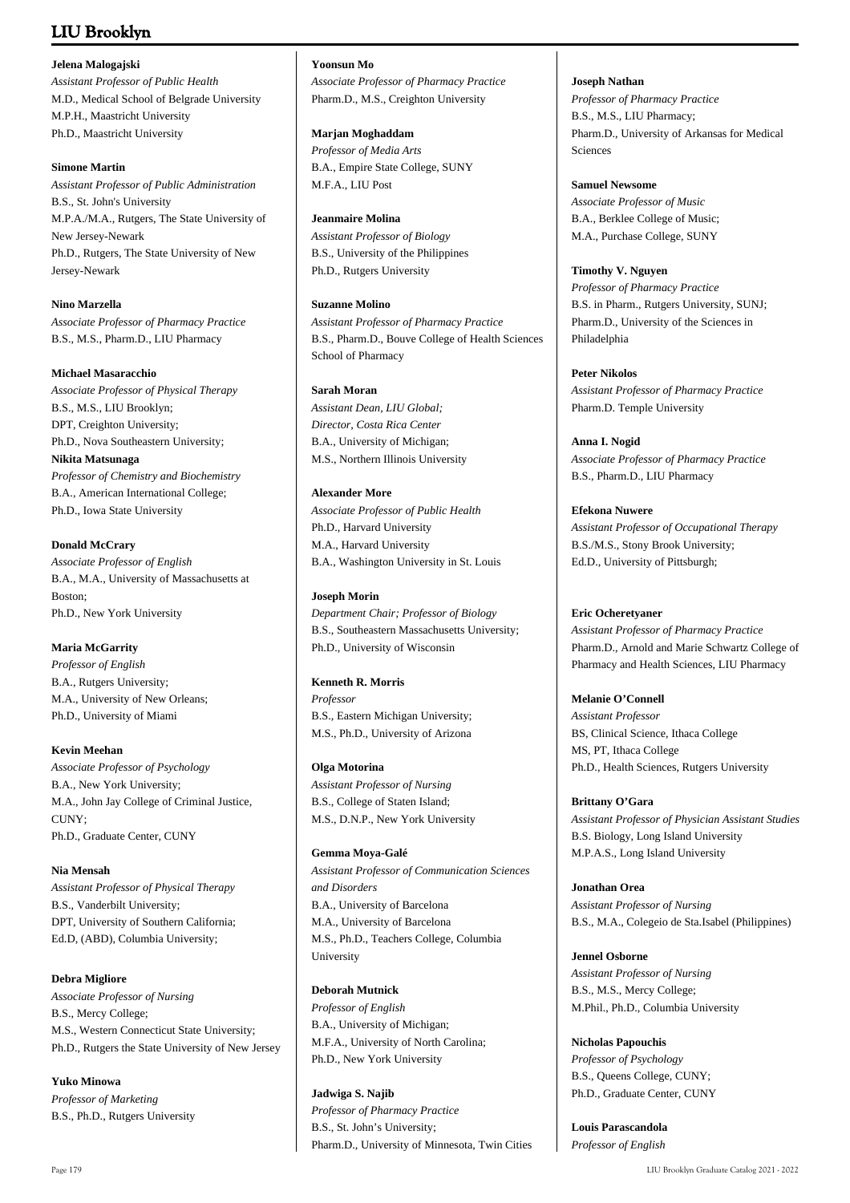### **Jelena Malogajski**

*Assistant Professor of Public Health* M.D., Medical School of Belgrade University M.P.H., Maastricht University Ph.D., Maastricht University

### **Simone Martin**

*Assistant Professor of Public Administration* B.S., St. John's University M.P.A./M.A., Rutgers, The State University of New Jersey-Newark Ph.D., Rutgers, The State University of New Jersey-Newark

## **Nino Marzella**

*Associate Professor of Pharmacy Practice* B.S., M.S., Pharm.D., LIU Pharmacy

## **Michael Masaracchio**

*Associate Professor of Physical Therapy* B.S., M.S., LIU Brooklyn; DPT, Creighton University; Ph.D., Nova Southeastern University; **Nikita Matsunaga** *Professor of Chemistry and Biochemistry* B.A., American International College; Ph.D., Iowa State University

## **Donald McCrary**

*Associate Professor of English* B.A., M.A., University of Massachusetts at Boston; Ph.D., New York University

## **Maria McGarrity**

*Professor of English* B.A., Rutgers University; M.A., University of New Orleans; Ph.D., University of Miami

## **Kevin Meehan**

*Associate Professor of Psychology* B.A., New York University; M.A., John Jay College of Criminal Justice, CUNY; Ph.D., Graduate Center, CUNY

## **Nia Mensah**

*Assistant Professor of Physical Therapy* B.S., Vanderbilt University; DPT, University of Southern California; Ed.D, (ABD), Columbia University;

## **Debra Migliore**

*Associate Professor of Nursing* B.S., Mercy College; M.S., Western Connecticut State University; Ph.D., Rutgers the State University of New Jersey

**Yuko Minowa** *Professor of Marketing* B.S., Ph.D., Rutgers University

## **Yoonsun Mo**

*Associate Professor of Pharmacy Practice* Pharm.D., M.S., Creighton University

### **Marjan Moghaddam**

*Professor of Media Arts* B.A., Empire State College, SUNY M.F.A., LIU Post

### **Jeanmaire Molina**

*Assistant Professor of Biology* B.S., University of the Philippines Ph.D., Rutgers University

## **Suzanne Molino**

*Assistant Professor of Pharmacy Practice* B.S., Pharm.D., Bouve College of Health Sciences School of Pharmacy

## **Sarah Moran**

*Assistant Dean, LIU Global; Director, Costa Rica Center* B.A., University of Michigan; M.S., Northern Illinois University

## **Alexander More**

*Associate Professor of Public Health* Ph.D., Harvard University M.A., Harvard University B.A., Washington University in St. Louis

## **Joseph Morin**

*Department Chair; Professor of Biology* B.S., Southeastern Massachusetts University; Ph.D., University of Wisconsin

## **Kenneth R. Morris**

*Professor* B.S., Eastern Michigan University; M.S., Ph.D., University of Arizona

## **Olga Motorina**

*Assistant Professor of Nursing* B.S., College of Staten Island; M.S., D.N.P., New York University

**Gemma Moya-Galé** *Assistant Professor of Communication Sciences and Disorders* B.A., University of Barcelona M.A., University of Barcelona M.S., Ph.D., Teachers College, Columbia University

## **Deborah Mutnick**

*Professor of English* B.A., University of Michigan; M.F.A., University of North Carolina; Ph.D., New York University

**Jadwiga S. Najib** *Professor of Pharmacy Practice* B.S., St. John's University; Pharm.D., University of Minnesota, Twin Cities

## **Joseph Nathan**

*Professor of Pharmacy Practice* B.S., M.S., LIU Pharmacy; Pharm.D., University of Arkansas for Medical Sciences

### **Samuel Newsome** *Associate Professor of Music* B.A., Berklee College of Music;

M.A., Purchase College, SUNY **Timothy V. Nguyen**

*Professor of Pharmacy Practice* B.S. in Pharm., Rutgers University, SUNJ; Pharm.D., University of the Sciences in Philadelphia

**Peter Nikolos** *Assistant Professor of Pharmacy Practice* Pharm.D. Temple University

**Anna I. Nogid** *Associate Professor of Pharmacy Practice* B.S., Pharm.D., LIU Pharmacy

## **Efekona Nuwere**

*Assistant Professor of Occupational Therapy* B.S./M.S., Stony Brook University; Ed.D., University of Pittsburgh;

## **Eric Ocheretyaner**

*Assistant Professor of Pharmacy Practice* Pharm.D., Arnold and Marie Schwartz College of Pharmacy and Health Sciences, LIU Pharmacy

## **Melanie O'Connell**

*Assistant Professor* BS, Clinical Science, Ithaca College MS, PT, Ithaca College Ph.D., Health Sciences, Rutgers University

## **Brittany O'Gara**

*Assistant Professor of Physician Assistant Studies* B.S. Biology, Long Island University M.P.A.S., Long Island University

## **Jonathan Orea** *Assistant Professor of Nursing* B.S., M.A., Colegeio de Sta.Isabel (Philippines)

**Jennel Osborne** *Assistant Professor of Nursing* B.S., M.S., Mercy College; M.Phil., Ph.D., Columbia University

# **Nicholas Papouchis**

*Professor of Psychology* B.S., Queens College, CUNY; Ph.D., Graduate Center, CUNY

**Louis Parascandola** *Professor of English*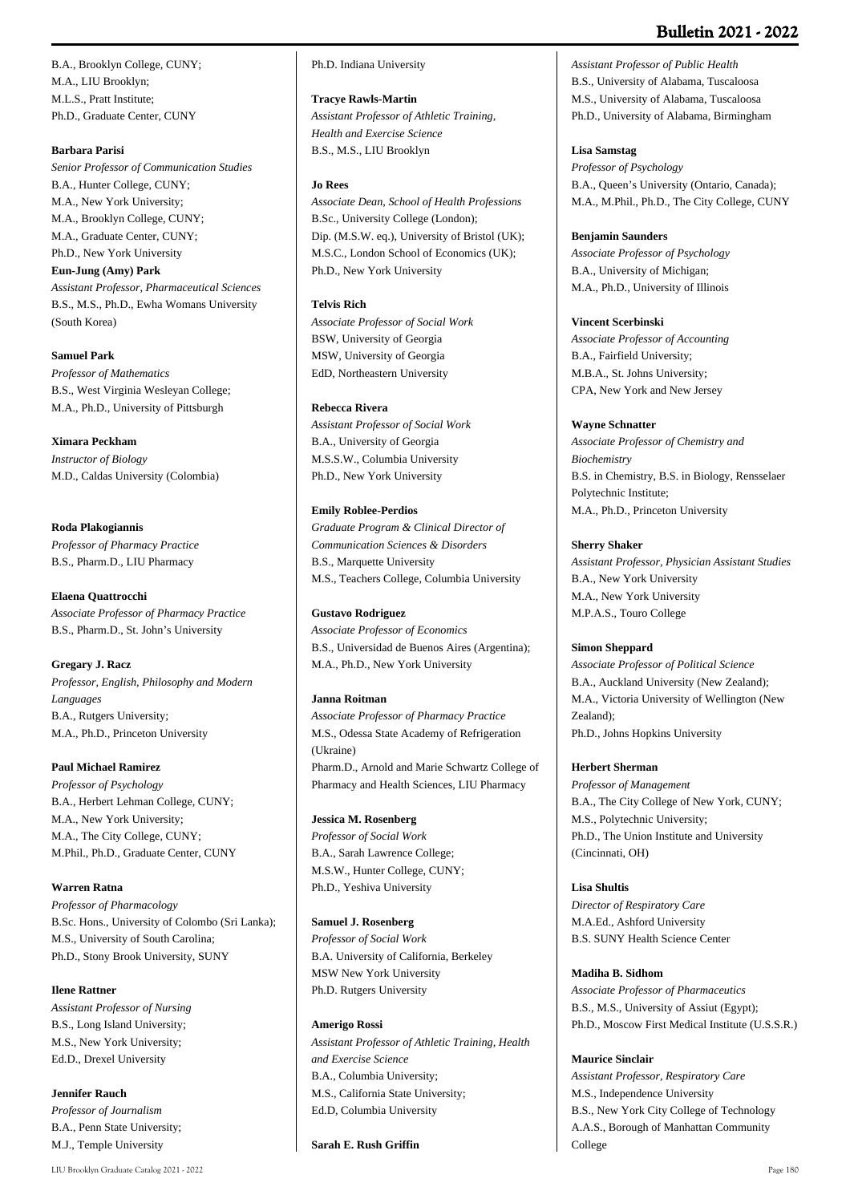# **Bulletin 2021 - 2022**

B.A., Brooklyn College, CUNY; M.A., LIU Brooklyn; M.L.S., Pratt Institute; Ph.D., Graduate Center, CUNY

### **Barbara Parisi**

*Senior Professor of Communication Studies* B.A., Hunter College, CUNY; M.A., New York University; M.A., Brooklyn College, CUNY; M.A., Graduate Center, CUNY; Ph.D., New York University **Eun-Jung (Amy) Park** *Assistant Professor, Pharmaceutical Sciences* B.S., M.S., Ph.D., Ewha Womans University (South Korea)

**Samuel Park** *Professor of Mathematics* B.S., West Virginia Wesleyan College; M.A., Ph.D., University of Pittsburgh

### **Ximara Peckham**

*Instructor of Biology* M.D., Caldas University (Colombia)

### **Roda Plakogiannis**

*Professor of Pharmacy Practice* B.S., Pharm.D., LIU Pharmacy

**Elaena Quattrocchi** *Associate Professor of Pharmacy Practice* B.S., Pharm.D., St. John's University

### **Gregary J. Racz**

*Professor, English, Philosophy and Modern Languages* B.A., Rutgers University; M.A., Ph.D., Princeton University

### **Paul Michael Ramirez**

*Professor of Psychology* B.A., Herbert Lehman College, CUNY; M.A., New York University; M.A., The City College, CUNY; M.Phil., Ph.D., Graduate Center, CUNY

### **Warren Ratna**

*Professor of Pharmacology* B.Sc. Hons., University of Colombo (Sri Lanka); M.S., University of South Carolina; Ph.D., Stony Brook University, SUNY

### **Ilene Rattner**

*Assistant Professor of Nursing* B.S., Long Island University; M.S., New York University; Ed.D., Drexel University

**Jennifer Rauch**

*Professor of Journalism* B.A., Penn State University; M.J., Temple University

### Ph.D. Indiana University

**Tracye Rawls-Martin**

*Assistant Professor of Athletic Training, Health and Exercise Science* B.S., M.S., LIU Brooklyn

#### **Jo Rees**

*Associate Dean, School of Health Professions* B.Sc., University College (London); Dip. (M.S.W. eq.), University of Bristol (UK); M.S.C., London School of Economics (UK); Ph.D., New York University

### **Telvis Rich**

*Associate Professor of Social Work* BSW, University of Georgia MSW, University of Georgia EdD, Northeastern University

### **Rebecca Rivera**

*Assistant Professor of Social Work* B.A., University of Georgia M.S.S.W., Columbia University Ph.D., New York University

### **Emily Roblee-Perdios**

*Graduate Program & Clinical Director of Communication Sciences & Disorders* B.S., Marquette University M.S., Teachers College, Columbia University

### **Gustavo Rodriguez**

*Associate Professor of Economics* B.S., Universidad de Buenos Aires (Argentina); M.A., Ph.D., New York University

### **Janna Roitman**

*Associate Professor of Pharmacy Practice* M.S., Odessa State Academy of Refrigeration (Ukraine) Pharm.D., Arnold and Marie Schwartz College of Pharmacy and Health Sciences, LIU Pharmacy

### **Jessica M. Rosenberg**

*Professor of Social Work* B.A., Sarah Lawrence College; M.S.W., Hunter College, CUNY; Ph.D., Yeshiva University

#### **Samuel J. Rosenberg**

*Professor of Social Work* B.A. University of California, Berkeley MSW New York University Ph.D. Rutgers University

#### **Amerigo Rossi**

*Assistant Professor of Athletic Training, Health and Exercise Science* B.A., Columbia University; M.S., California State University; Ed.D, Columbia University

**Sarah E. Rush Griffin**

*Assistant Professor of Public Health* B.S., University of Alabama, Tuscaloosa M.S., University of Alabama, Tuscaloosa Ph.D., University of Alabama, Birmingham

#### **Lisa Samstag**

*Professor of Psychology* B.A., Queen's University (Ontario, Canada); M.A., M.Phil., Ph.D., The City College, CUNY

#### **Benjamin Saunders**

*Associate Professor of Psychology* B.A., University of Michigan; M.A., Ph.D., University of Illinois

### **Vincent Scerbinski**

*Associate Professor of Accounting* B.A., Fairfield University; M.B.A., St. Johns University; CPA, New York and New Jersey

#### **Wayne Schnatter**

*Associate Professor of Chemistry and Biochemistry* B.S. in Chemistry, B.S. in Biology, Rensselaer Polytechnic Institute; M.A., Ph.D., Princeton University

### **Sherry Shaker**

*Assistant Professor, Physician Assistant Studies* B.A., New York University M.A., New York University M.P.A.S., Touro College

### **Simon Sheppard**

*Associate Professor of Political Science* B.A., Auckland University (New Zealand); M.A., Victoria University of Wellington (New Zealand); Ph.D., Johns Hopkins University

#### **Herbert Sherman**

*Professor of Management* B.A., The City College of New York, CUNY; M.S., Polytechnic University; Ph.D., The Union Institute and University (Cincinnati, OH)

# **Lisa Shultis**

*Director of Respiratory Care* M.A.Ed., Ashford University B.S. SUNY Health Science Center

#### **Madiha B. Sidhom**

*Associate Professor of Pharmaceutics* B.S., M.S., University of Assiut (Egypt); Ph.D., Moscow First Medical Institute (U.S.S.R.)

#### **Maurice Sinclair**

*Assistant Professor, Respiratory Care* M.S., Independence University B.S., New York City College of Technology A.A.S., Borough of Manhattan Community College